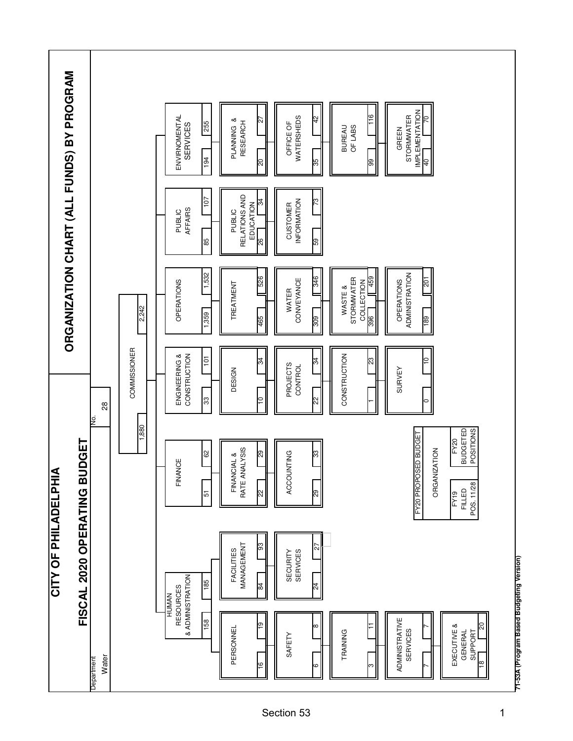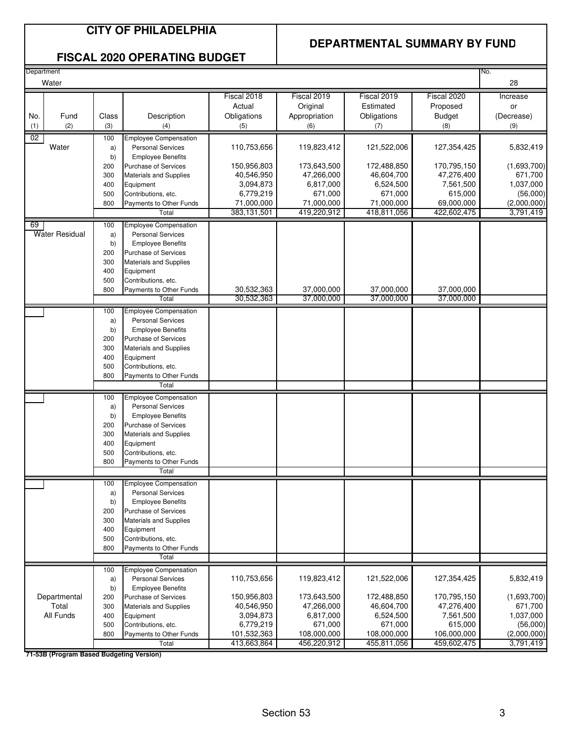### **CITY OF PHILADELPHIA**

### **DEPARTMENTAL SUMMARY BY FUND**

#### **FISCAL 2020 OPERATING BUDGET**

| Department |                |       |                               |             |               |             |               | No.         |
|------------|----------------|-------|-------------------------------|-------------|---------------|-------------|---------------|-------------|
|            | Water          |       |                               |             |               |             |               | 28          |
|            |                |       |                               | Fiscal 2018 | Fiscal 2019   | Fiscal 2019 | Fiscal 2020   | Increase    |
|            |                |       |                               | Actual      | Original      | Estimated   | Proposed      | or          |
| No.        | Fund           | Class | Description                   | Obligations | Appropriation | Obligations | <b>Budget</b> | (Decrease)  |
|            | (2)            |       |                               |             |               |             |               |             |
| (1)        |                | (3)   | (4)                           | (5)         | (6)           | (7)         | (8)           | (9)         |
| 02         |                | 100   | <b>Employee Compensation</b>  |             |               |             |               |             |
|            | Water          | a)    | <b>Personal Services</b>      | 110,753,656 | 119,823,412   | 121,522,006 | 127,354,425   | 5,832,419   |
|            |                | b)    | <b>Employee Benefits</b>      |             |               |             |               |             |
|            |                | 200   | Purchase of Services          | 150,956,803 | 173,643,500   | 172,488,850 | 170,795,150   | (1,693,700) |
|            |                | 300   | Materials and Supplies        | 40,546,950  | 47,266,000    | 46,604,700  | 47,276,400    | 671,700     |
|            |                | 400   | Equipment                     | 3,094,873   | 6,817,000     | 6,524,500   | 7,561,500     | 1,037,000   |
|            |                | 500   | Contributions, etc.           | 6,779,219   | 671,000       | 671,000     | 615,000       | (56,000)    |
|            |                | 800   | Payments to Other Funds       | 71,000,000  | 71,000,000    | 71,000,000  | 69,000,000    | (2,000,000) |
|            |                |       | Total                         | 383,131,501 | 419,220,912   | 418,811,056 | 422,602,475   | 3,791,419   |
| 69         |                | 100   | <b>Employee Compensation</b>  |             |               |             |               |             |
|            | Water Residual | a)    | <b>Personal Services</b>      |             |               |             |               |             |
|            |                | b)    | <b>Employee Benefits</b>      |             |               |             |               |             |
|            |                | 200   | Purchase of Services          |             |               |             |               |             |
|            |                | 300   | <b>Materials and Supplies</b> |             |               |             |               |             |
|            |                | 400   | Equipment                     |             |               |             |               |             |
|            |                | 500   | Contributions, etc.           |             |               |             |               |             |
|            |                | 800   | Payments to Other Funds       | 30,532,363  | 37,000,000    | 37,000,000  | 37,000,000    |             |
|            |                |       | Total                         | 30,532,363  | 37,000,000    | 37,000,000  | 37,000,000    |             |
|            |                |       |                               |             |               |             |               |             |
|            |                | 100   | Employee Compensation         |             |               |             |               |             |
|            |                | a)    | <b>Personal Services</b>      |             |               |             |               |             |
|            |                | b)    | <b>Employee Benefits</b>      |             |               |             |               |             |
|            |                | 200   | Purchase of Services          |             |               |             |               |             |
|            |                | 300   | <b>Materials and Supplies</b> |             |               |             |               |             |
|            |                | 400   | Equipment                     |             |               |             |               |             |
|            |                | 500   | Contributions, etc.           |             |               |             |               |             |
|            |                | 800   | Payments to Other Funds       |             |               |             |               |             |
|            |                |       | Total                         |             |               |             |               |             |
|            |                | 100   | <b>Employee Compensation</b>  |             |               |             |               |             |
|            |                | a)    | <b>Personal Services</b>      |             |               |             |               |             |
|            |                | b)    | <b>Employee Benefits</b>      |             |               |             |               |             |
|            |                | 200   | Purchase of Services          |             |               |             |               |             |
|            |                | 300   | <b>Materials and Supplies</b> |             |               |             |               |             |
|            |                | 400   | Equipment                     |             |               |             |               |             |
|            |                | 500   | Contributions, etc.           |             |               |             |               |             |
|            |                | 800   | Payments to Other Funds       |             |               |             |               |             |
|            |                |       | Total                         |             |               |             |               |             |
|            |                | 100   | <b>Employee Compensation</b>  |             |               |             |               |             |
|            |                | a)    | <b>Personal Services</b>      |             |               |             |               |             |
|            |                | b)    | <b>Employee Benefits</b>      |             |               |             |               |             |
|            |                | 200   | Purchase of Services          |             |               |             |               |             |
|            |                | 300   | <b>Materials and Supplies</b> |             |               |             |               |             |
|            |                | 400   | Equipment                     |             |               |             |               |             |
|            |                | 500   | Contributions, etc.           |             |               |             |               |             |
|            |                | 800   | Payments to Other Funds       |             |               |             |               |             |
|            |                |       | Total                         |             |               |             |               |             |
|            |                |       |                               |             |               |             |               |             |
|            |                | 100   | <b>Employee Compensation</b>  |             |               |             |               |             |
|            |                | a)    | <b>Personal Services</b>      | 110,753,656 | 119,823,412   | 121,522,006 | 127,354,425   | 5,832,419   |
|            |                | b)    | <b>Employee Benefits</b>      |             |               |             |               |             |
|            | Departmental   | 200   | Purchase of Services          | 150,956,803 | 173,643,500   | 172,488,850 | 170,795,150   | (1,693,700) |
|            | Total          | 300   | <b>Materials and Supplies</b> | 40,546,950  | 47,266,000    | 46,604,700  | 47,276,400    | 671,700     |
|            | All Funds      | 400   | Equipment                     | 3,094,873   | 6,817,000     | 6,524,500   | 7,561,500     | 1,037,000   |
|            |                | 500   | Contributions, etc.           | 6,779,219   | 671,000       | 671,000     | 615,000       | (56,000)    |
|            |                | 800   | Payments to Other Funds       | 101,532,363 | 108,000,000   | 108,000,000 | 106,000,000   | (2,000,000) |
|            |                |       | Total                         | 413,663,864 | 456,220,912   | 455,811,056 | 459,602,475   | 3,791,419   |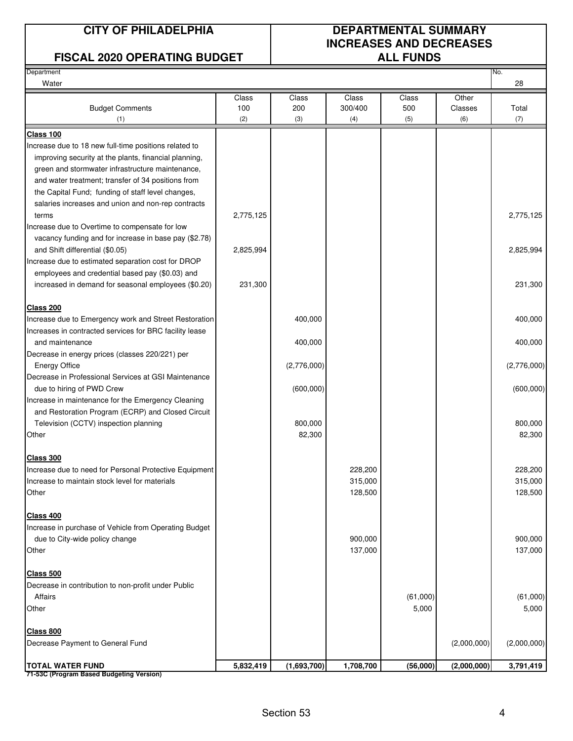### **FISCAL 2020 OPERATING BUDGET**

# **CITY OF PHILADELPHIA DEPARTMENTAL SUMMARY INCREASES AND DECREASES**

| Department<br>Water                                     |           |             |           |          |             | No.<br>28   |
|---------------------------------------------------------|-----------|-------------|-----------|----------|-------------|-------------|
|                                                         | Class     | Class       | Class     | Class    | Other       |             |
| <b>Budget Comments</b>                                  | 100       | 200         | 300/400   | 500      | Classes     | Total       |
| (1)                                                     | (2)       | (3)         | (4)       | (5)      | (6)         | (7)         |
| Class 100                                               |           |             |           |          |             |             |
| Increase due to 18 new full-time positions related to   |           |             |           |          |             |             |
| improving security at the plants, financial planning,   |           |             |           |          |             |             |
| green and stormwater infrastructure maintenance,        |           |             |           |          |             |             |
| and water treatment; transfer of 34 positions from      |           |             |           |          |             |             |
| the Capital Fund; funding of staff level changes,       |           |             |           |          |             |             |
| salaries increases and union and non-rep contracts      |           |             |           |          |             |             |
| terms                                                   | 2,775,125 |             |           |          |             | 2,775,125   |
| Increase due to Overtime to compensate for low          |           |             |           |          |             |             |
| vacancy funding and for increase in base pay (\$2.78)   |           |             |           |          |             |             |
| and Shift differential (\$0.05)                         | 2,825,994 |             |           |          |             | 2,825,994   |
| Increase due to estimated separation cost for DROP      |           |             |           |          |             |             |
| employees and credential based pay (\$0.03) and         |           |             |           |          |             |             |
| increased in demand for seasonal employees (\$0.20)     | 231,300   |             |           |          |             | 231,300     |
| <b>Class 200</b>                                        |           |             |           |          |             |             |
| Increase due to Emergency work and Street Restoration   |           | 400,000     |           |          |             | 400,000     |
| Increases in contracted services for BRC facility lease |           |             |           |          |             |             |
| and maintenance                                         |           | 400,000     |           |          |             | 400,000     |
| Decrease in energy prices (classes 220/221) per         |           |             |           |          |             |             |
| <b>Energy Office</b>                                    |           | (2,776,000) |           |          |             | (2,776,000) |
| Decrease in Professional Services at GSI Maintenance    |           |             |           |          |             |             |
| due to hiring of PWD Crew                               |           | (600, 000)  |           |          |             | (600,000)   |
| Increase in maintenance for the Emergency Cleaning      |           |             |           |          |             |             |
| and Restoration Program (ECRP) and Closed Circuit       |           |             |           |          |             |             |
| Television (CCTV) inspection planning                   |           | 800,000     |           |          |             | 800,000     |
| Other                                                   |           | 82,300      |           |          |             | 82,300      |
| Class 300                                               |           |             |           |          |             |             |
| Increase due to need for Personal Protective Equipment  |           |             | 228,200   |          |             | 228,200     |
| Increase to maintain stock level for materials          |           |             | 315,000   |          |             | 315,000     |
| Other                                                   |           |             | 128,500   |          |             | 128,500     |
| <b>Class 400</b>                                        |           |             |           |          |             |             |
| Increase in purchase of Vehicle from Operating Budget   |           |             |           |          |             |             |
| due to City-wide policy change                          |           |             | 900,000   |          |             | 900,000     |
| Other                                                   |           |             | 137,000   |          |             | 137,000     |
|                                                         |           |             |           |          |             |             |
| <b>Class 500</b>                                        |           |             |           |          |             |             |
| Decrease in contribution to non-profit under Public     |           |             |           |          |             |             |
| Affairs                                                 |           |             |           | (61,000) |             | (61,000)    |
| Other                                                   |           |             |           | 5,000    |             | 5,000       |
| <b>Class 800</b>                                        |           |             |           |          |             |             |
| Decrease Payment to General Fund                        |           |             |           |          | (2,000,000) | (2,000,000) |
| <b>TOTAL WATER FUND</b>                                 | 5,832,419 | (1,693,700) | 1,708,700 | (56,000) | (2,000,000) | 3,791,419   |
| 71-53C (Program Based Budgeting Version)                |           |             |           |          |             |             |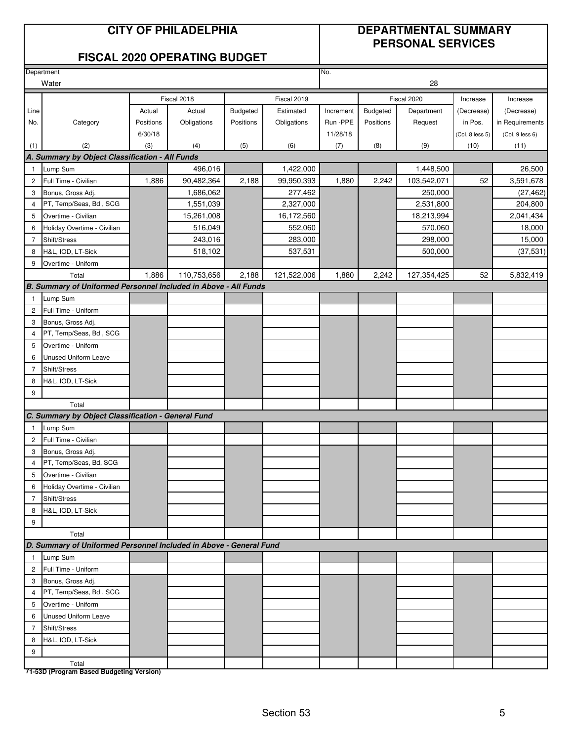### **CITY OF PHILADELPHIA DEPARTMENTAL SUMMARY PERSONAL SERVICES**

#### **FISCAL 2020 OPERATING BUDGET**

|                | Department                                                         |           |             |           |             | No.       |           |             |                 |                 |
|----------------|--------------------------------------------------------------------|-----------|-------------|-----------|-------------|-----------|-----------|-------------|-----------------|-----------------|
|                | Water                                                              |           |             |           |             |           |           | 28          |                 |                 |
|                |                                                                    |           | Fiscal 2018 |           | Fiscal 2019 |           |           | Fiscal 2020 | Increase        | Increase        |
| Line           |                                                                    | Actual    | Actual      | Budgeted  | Estimated   | Increment | Budgeted  | Department  | (Decrease)      | (Decrease)      |
| No.            | Category                                                           | Positions | Obligations | Positions | Obligations | Run - PPE | Positions | Request     | in Pos.         | in Requirements |
|                |                                                                    | 6/30/18   |             |           |             | 11/28/18  |           |             | (Col. 8 less 5) | (Col. 9 less 6) |
| (1)            | (2)                                                                | (3)       | (4)         | (5)       | (6)         | (7)       | (8)       | (9)         | (10)            | (11)            |
|                | A. Summary by Object Classification - All Funds                    |           |             |           |             |           |           |             |                 |                 |
| $\mathbf{1}$   | Lump Sum                                                           |           | 496,016     |           | 1,422,000   |           |           | 1,448,500   |                 | 26,500          |
| $\overline{c}$ | Full Time - Civilian                                               | 1,886     | 90,482,364  | 2,188     | 99,950,393  | 1,880     | 2,242     | 103,542,071 | 52              | 3,591,678       |
| 3              | Bonus, Gross Adj.                                                  |           | 1,686,062   |           | 277,462     |           |           | 250,000     |                 | (27, 462)       |
| $\overline{4}$ | PT, Temp/Seas, Bd, SCG                                             |           | 1,551,039   |           | 2,327,000   |           |           | 2,531,800   |                 | 204,800         |
| 5              | Overtime - Civilian                                                |           | 15,261,008  |           | 16,172,560  |           |           | 18,213,994  |                 | 2,041,434       |
| 6              | Holiday Overtime - Civilian                                        |           | 516,049     |           | 552,060     |           |           | 570,060     |                 | 18,000          |
| 7              | Shift/Stress                                                       |           | 243,016     |           | 283,000     |           |           | 298,000     |                 | 15,000          |
| 8              | H&L, IOD, LT-Sick                                                  |           | 518,102     |           | 537,531     |           |           | 500,000     |                 | (37, 531)       |
| 9              | Overtime - Uniform                                                 |           |             |           |             |           |           |             |                 |                 |
|                | Total                                                              | 1,886     | 110,753,656 | 2,188     | 121,522,006 | 1,880     | 2,242     | 127,354,425 | 52              | 5,832,419       |
|                | B. Summary of Uniformed Personnel Included in Above - All Funds    |           |             |           |             |           |           |             |                 |                 |
| 1              | Lump Sum                                                           |           |             |           |             |           |           |             |                 |                 |
| $\mathbf{2}$   | Full Time - Uniform                                                |           |             |           |             |           |           |             |                 |                 |
| 3              | Bonus, Gross Adj.                                                  |           |             |           |             |           |           |             |                 |                 |
| $\overline{4}$ | PT, Temp/Seas, Bd, SCG                                             |           |             |           |             |           |           |             |                 |                 |
| 5              | Overtime - Uniform                                                 |           |             |           |             |           |           |             |                 |                 |
| 6              | <b>Unused Uniform Leave</b>                                        |           |             |           |             |           |           |             |                 |                 |
| 7              | Shift/Stress                                                       |           |             |           |             |           |           |             |                 |                 |
| 8              | H&L, IOD, LT-Sick                                                  |           |             |           |             |           |           |             |                 |                 |
| 9              |                                                                    |           |             |           |             |           |           |             |                 |                 |
|                | Total                                                              |           |             |           |             |           |           |             |                 |                 |
|                | C. Summary by Object Classification - General Fund                 |           |             |           |             |           |           |             |                 |                 |
| $\mathbf{1}$   | Lump Sum                                                           |           |             |           |             |           |           |             |                 |                 |
| $\overline{c}$ | Full Time - Civilian                                               |           |             |           |             |           |           |             |                 |                 |
| 3              | Bonus, Gross Adj.                                                  |           |             |           |             |           |           |             |                 |                 |
| 4              | PT, Temp/Seas, Bd, SCG                                             |           |             |           |             |           |           |             |                 |                 |
| 5              | Overtime - Civilian                                                |           |             |           |             |           |           |             |                 |                 |
| 6              | Holiday Overtime - Civilian                                        |           |             |           |             |           |           |             |                 |                 |
| 7<br>8         | Shift/Stress<br>H&L, IOD, LT-Sick                                  |           |             |           |             |           |           |             |                 |                 |
| 9              |                                                                    |           |             |           |             |           |           |             |                 |                 |
|                | Total                                                              |           |             |           |             |           |           |             |                 |                 |
|                | D. Summary of Uniformed Personnel Included in Above - General Fund |           |             |           |             |           |           |             |                 |                 |
| $\mathbf{1}$   | Lump Sum                                                           |           |             |           |             |           |           |             |                 |                 |
| $\overline{2}$ | Full Time - Uniform                                                |           |             |           |             |           |           |             |                 |                 |
| 3              | Bonus, Gross Adj.                                                  |           |             |           |             |           |           |             |                 |                 |
| $\overline{4}$ | PT, Temp/Seas, Bd, SCG                                             |           |             |           |             |           |           |             |                 |                 |
| 5              | Overtime - Uniform                                                 |           |             |           |             |           |           |             |                 |                 |
| 6              | Unused Uniform Leave                                               |           |             |           |             |           |           |             |                 |                 |
| 7              | Shift/Stress                                                       |           |             |           |             |           |           |             |                 |                 |
| 8              | H&L, IOD, LT-Sick                                                  |           |             |           |             |           |           |             |                 |                 |
| 9              |                                                                    |           |             |           |             |           |           |             |                 |                 |
|                | Total                                                              |           |             |           |             |           |           |             |                 |                 |
|                | 71-53D (Program Based Budgeting Version)                           |           |             |           |             |           |           |             |                 |                 |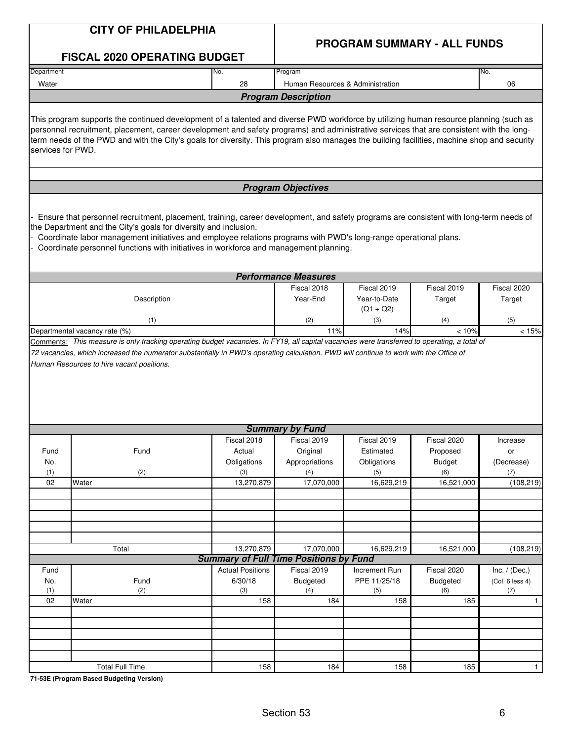|                   | <b>CITY OF PHILADELPHIA</b>                                                                                                                                                                                                                                                                                                                                                                                                      |                                                             |                                  |                                            |                       |                       |
|-------------------|----------------------------------------------------------------------------------------------------------------------------------------------------------------------------------------------------------------------------------------------------------------------------------------------------------------------------------------------------------------------------------------------------------------------------------|-------------------------------------------------------------|----------------------------------|--------------------------------------------|-----------------------|-----------------------|
|                   | <b>FISCAL 2020 OPERATING BUDGET</b>                                                                                                                                                                                                                                                                                                                                                                                              |                                                             |                                  | <b>PROGRAM SUMMARY - ALL FUNDS</b>         |                       |                       |
| Department        |                                                                                                                                                                                                                                                                                                                                                                                                                                  | No.                                                         | Program                          |                                            |                       | No.                   |
| Water             |                                                                                                                                                                                                                                                                                                                                                                                                                                  | 28                                                          | Human Resources & Administration |                                            |                       | 06                    |
|                   |                                                                                                                                                                                                                                                                                                                                                                                                                                  |                                                             | <b>Program Description</b>       |                                            |                       |                       |
| services for PWD. | This program supports the continued development of a talented and diverse PWD workforce by utilizing human resource planning (such as<br>personnel recruitment, placement, career development and safety programs) and administrative services that are consistent with the long-<br>term needs of the PWD and with the City's goals for diversity. This program also manages the building facilities, machine shop and security |                                                             |                                  |                                            |                       |                       |
|                   |                                                                                                                                                                                                                                                                                                                                                                                                                                  |                                                             | <b>Program Objectives</b>        |                                            |                       |                       |
|                   | Ensure that personnel recruitment, placement, training, career development, and safety programs are consistent with long-term needs of<br>the Department and the City's goals for diversity and inclusion.<br>Coordinate labor management initiatives and employee relations programs with PWD's long-range operational plans.<br>Coordinate personnel functions with initiatives in workforce and management planning.          |                                                             |                                  |                                            |                       |                       |
|                   |                                                                                                                                                                                                                                                                                                                                                                                                                                  |                                                             | <b>Performance Measures</b>      |                                            |                       |                       |
|                   | Description                                                                                                                                                                                                                                                                                                                                                                                                                      |                                                             | Fiscal 2018<br>Year-End          | Fiscal 2019<br>Year-to-Date<br>$(Q1 + Q2)$ | Fiscal 2019<br>Target | Fiscal 2020<br>Target |
|                   | (1)                                                                                                                                                                                                                                                                                                                                                                                                                              |                                                             | (2)                              | (3)                                        | (4)                   | (5)                   |
|                   | Departmental vacancy rate (%)                                                                                                                                                                                                                                                                                                                                                                                                    |                                                             | 11%                              | 14%                                        | < 10%                 | < 15%                 |
|                   | Human Resources to hire vacant positions.                                                                                                                                                                                                                                                                                                                                                                                        |                                                             |                                  |                                            |                       |                       |
|                   |                                                                                                                                                                                                                                                                                                                                                                                                                                  |                                                             | <b>Summary by Fund</b>           |                                            |                       |                       |
|                   |                                                                                                                                                                                                                                                                                                                                                                                                                                  | Fiscal 2018                                                 | Fiscal 2019                      | Fiscal 2019                                | Fiscal 2020           | Increase              |
| Fund              | Fund                                                                                                                                                                                                                                                                                                                                                                                                                             | Actual                                                      | Original                         | Estimated                                  | Proposed              | or                    |
| No.<br>(1)        | (2)                                                                                                                                                                                                                                                                                                                                                                                                                              | Obligations                                                 | Appropriations<br>(4)            | Obligations                                | <b>Budget</b><br>(6)  | (Decrease)            |
| 02                | Water                                                                                                                                                                                                                                                                                                                                                                                                                            | (3)<br>13,270,879                                           | 17,070,000                       | (5)<br>16,629,219                          | 16,521,000            | (7)<br>(108, 219)     |
|                   |                                                                                                                                                                                                                                                                                                                                                                                                                                  |                                                             |                                  |                                            |                       |                       |
|                   |                                                                                                                                                                                                                                                                                                                                                                                                                                  |                                                             |                                  |                                            |                       |                       |
|                   |                                                                                                                                                                                                                                                                                                                                                                                                                                  |                                                             |                                  |                                            |                       |                       |
|                   | Total                                                                                                                                                                                                                                                                                                                                                                                                                            | 13,270,879<br><b>Summary of Full Time Positions by Fund</b> | 17,070,000                       | 16,629,219                                 | 16,521,000            | (108, 219)            |
| Fund              |                                                                                                                                                                                                                                                                                                                                                                                                                                  | <b>Actual Positions</b>                                     | Fiscal 2019                      | Increment Run                              | Fiscal 2020           | Inc. $/$ (Dec.)       |
| No.               | Fund                                                                                                                                                                                                                                                                                                                                                                                                                             | 6/30/18                                                     | <b>Budgeted</b>                  | PPE 11/25/18                               | <b>Budgeted</b>       | (Col. 6 less 4)       |
| (1)<br>02         | (2)<br>Water                                                                                                                                                                                                                                                                                                                                                                                                                     | (3)<br>158                                                  | (4)<br>184                       | (5)<br>158                                 | (6)                   | (7)<br>$\mathbf{1}$   |
|                   |                                                                                                                                                                                                                                                                                                                                                                                                                                  |                                                             |                                  |                                            | 185                   |                       |
|                   |                                                                                                                                                                                                                                                                                                                                                                                                                                  |                                                             |                                  |                                            |                       |                       |
|                   |                                                                                                                                                                                                                                                                                                                                                                                                                                  |                                                             |                                  |                                            |                       |                       |
|                   |                                                                                                                                                                                                                                                                                                                                                                                                                                  |                                                             |                                  |                                            |                       |                       |
|                   |                                                                                                                                                                                                                                                                                                                                                                                                                                  |                                                             |                                  |                                            |                       |                       |
|                   | <b>Total Full Time</b>                                                                                                                                                                                                                                                                                                                                                                                                           | 158                                                         | 184                              | 158                                        | 185                   | $\mathbf{1}$          |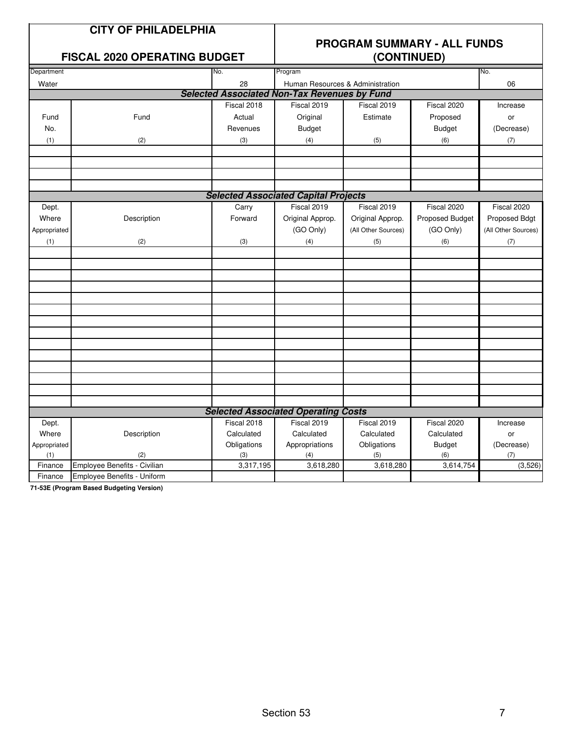| <b>CITY OF PHILADELPHIA</b> |  |
|-----------------------------|--|
|                             |  |

# **PROGRAM SUMMARY - ALL FUNDS**

|              | <b>FISCAL 2020 OPERATING BUDGET</b> |             |                                                     | (CONTINUED)         |                 |                     |
|--------------|-------------------------------------|-------------|-----------------------------------------------------|---------------------|-----------------|---------------------|
| Department   |                                     | No.         | Program                                             |                     |                 | No.                 |
| Water        |                                     | 28          | Human Resources & Administration                    |                     |                 | 06                  |
|              |                                     |             | <b>Selected Associated Non-Tax Revenues by Fund</b> |                     |                 |                     |
|              |                                     | Fiscal 2018 | Fiscal 2019                                         | Fiscal 2019         | Fiscal 2020     | Increase            |
| Fund         | Fund                                | Actual      | Original                                            | Estimate            | Proposed        | or                  |
| No.          |                                     | Revenues    | <b>Budget</b>                                       |                     | <b>Budget</b>   | (Decrease)          |
| (1)          | (2)                                 | (3)         | (4)                                                 | (5)                 | (6)             | (7)                 |
|              |                                     |             |                                                     |                     |                 |                     |
|              |                                     |             |                                                     |                     |                 |                     |
|              |                                     |             |                                                     |                     |                 |                     |
|              |                                     |             | <b>Selected Associated Capital Projects</b>         |                     |                 |                     |
| Dept.        |                                     | Carry       | Fiscal 2019                                         | Fiscal 2019         | Fiscal 2020     | Fiscal 2020         |
| Where        | Description                         | Forward     | Original Approp.                                    | Original Approp.    | Proposed Budget | Proposed Bdgt       |
| Appropriated |                                     |             | (GO Only)                                           | (All Other Sources) | (GO Only)       | (All Other Sources) |
| (1)          | (2)                                 | (3)         | (4)                                                 | (5)                 | (6)             | (7)                 |
|              |                                     |             |                                                     |                     |                 |                     |
|              |                                     |             |                                                     |                     |                 |                     |
|              |                                     |             |                                                     |                     |                 |                     |
|              |                                     |             |                                                     |                     |                 |                     |
|              |                                     |             |                                                     |                     |                 |                     |
|              |                                     |             |                                                     |                     |                 |                     |
|              |                                     |             |                                                     |                     |                 |                     |
|              |                                     |             |                                                     |                     |                 |                     |
|              |                                     |             |                                                     |                     |                 |                     |
|              |                                     |             |                                                     |                     |                 |                     |
|              |                                     |             |                                                     |                     |                 |                     |
|              |                                     |             |                                                     |                     |                 |                     |
|              |                                     |             | <b>Selected Associated Operating Costs</b>          |                     |                 |                     |
| Dept.        |                                     | Fiscal 2018 | Fiscal 2019                                         | Fiscal 2019         | Fiscal 2020     | Increase            |
| Where        | Description                         | Calculated  | Calculated                                          | Calculated          | Calculated      | or                  |
| Appropriated |                                     | Obligations | Appropriations                                      | Obligations         | <b>Budget</b>   | (Decrease)          |
| (1)          | (2)                                 | (3)         | (4)                                                 | (5)                 | (6)             | (7)                 |
| Finance      | Employee Benefits - Civilian        | 3,317,195   | 3,618,280                                           | 3,618,280           | 3,614,754       | (3,526)             |
| Finance      | Employee Benefits - Uniform         |             |                                                     |                     |                 |                     |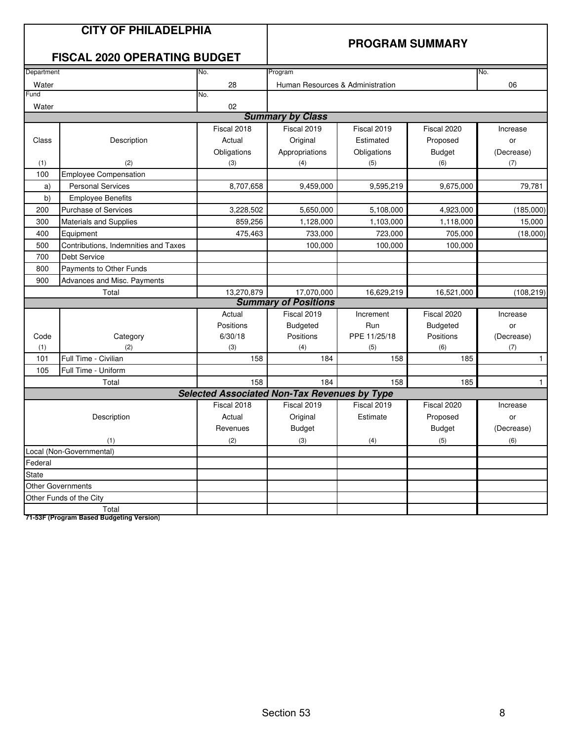|            | <b>CITY OF PHILADELPHIA</b><br><b>FISCAL 2020 OPERATING BUDGET</b> |                                                     | <b>PROGRAM SUMMARY</b>           |                     |                  |                     |  |
|------------|--------------------------------------------------------------------|-----------------------------------------------------|----------------------------------|---------------------|------------------|---------------------|--|
| Department |                                                                    | No.                                                 | Program                          |                     |                  | No.                 |  |
| Water      |                                                                    | 28                                                  | Human Resources & Administration |                     |                  | 06                  |  |
| Fund       |                                                                    | No.                                                 |                                  |                     |                  |                     |  |
| Water      |                                                                    | 02                                                  | <b>Summary by Class</b>          |                     |                  |                     |  |
|            |                                                                    |                                                     |                                  |                     |                  |                     |  |
|            |                                                                    | Fiscal 2018                                         | Fiscal 2019                      | Fiscal 2019         | Fiscal 2020      | Increase            |  |
| Class      | Description                                                        | Actual                                              | Original                         | Estimated           | Proposed         | or                  |  |
|            |                                                                    | Obligations                                         | Appropriations                   | Obligations         | <b>Budget</b>    | (Decrease)          |  |
| (1)        | (2)                                                                | (3)                                                 | (4)                              | (5)                 | (6)              | (7)                 |  |
| 100        | <b>Employee Compensation</b>                                       |                                                     |                                  |                     |                  |                     |  |
| a)         | <b>Personal Services</b>                                           | 8,707,658                                           | 9,459,000                        | 9,595,219           | 9,675,000        | 79,781              |  |
| b)         | <b>Employee Benefits</b>                                           |                                                     |                                  |                     |                  |                     |  |
| 200        | <b>Purchase of Services</b>                                        | 3,228,502                                           | 5,650,000                        | 5,108,000           | 4,923,000        | (185,000)           |  |
| 300        | <b>Materials and Supplies</b>                                      | 859,256                                             | 1,128,000                        | 1,103,000           | 1,118,000        | 15,000              |  |
| 400        | Equipment                                                          | 475,463                                             | 733,000                          | 723,000             | 705,000          | (18,000)            |  |
| 500        | Contributions, Indemnities and Taxes                               |                                                     | 100,000                          | 100,000             | 100,000          |                     |  |
| 700        | <b>Debt Service</b>                                                |                                                     |                                  |                     |                  |                     |  |
| 800        | Payments to Other Funds                                            |                                                     |                                  |                     |                  |                     |  |
| 900        | Advances and Misc. Payments                                        |                                                     |                                  |                     |                  |                     |  |
|            | Total                                                              | 13,270,879                                          | 17,070,000                       | 16,629,219          | 16,521,000       | (108, 219)          |  |
|            |                                                                    |                                                     | <b>Summary of Positions</b>      |                     |                  |                     |  |
|            |                                                                    | Actual                                              | Fiscal 2019                      | Increment           | Fiscal 2020      | Increase            |  |
|            |                                                                    | Positions                                           | Budgeted                         | Run<br>PPE 11/25/18 | <b>Budgeted</b>  | or                  |  |
| Code       | Category<br>(2)                                                    | 6/30/18<br>(3)                                      | Positions<br>(4)                 |                     | Positions<br>(6) | (Decrease)          |  |
| (1)<br>101 | Full Time - Civilian                                               | 158                                                 | 184                              | (5)<br>158          | 185              | (7)<br>$\mathbf{1}$ |  |
| 105        | Full Time - Uniform                                                |                                                     |                                  |                     |                  |                     |  |
|            | Total                                                              | 158                                                 | 184                              | 158                 | 185              | $\mathbf{1}$        |  |
|            |                                                                    | <b>Selected Associated Non-Tax Revenues by Type</b> |                                  |                     |                  |                     |  |
|            |                                                                    | Fiscal 2018                                         | Fiscal 2019                      | Fiscal 2019         | Fiscal 2020      | Increase            |  |
|            | Description                                                        | Actual                                              | Original                         | Estimate            | Proposed         | or                  |  |
|            |                                                                    | Revenues                                            | <b>Budget</b>                    |                     | <b>Budget</b>    | (Decrease)          |  |
|            | (1)                                                                | (2)                                                 | (3)                              | (4)                 | (5)              | (6)                 |  |
|            | Local (Non-Governmental)                                           |                                                     |                                  |                     |                  |                     |  |
| Federal    |                                                                    |                                                     |                                  |                     |                  |                     |  |
| State      |                                                                    |                                                     |                                  |                     |                  |                     |  |
|            | <b>Other Governments</b>                                           |                                                     |                                  |                     |                  |                     |  |
|            | Other Funds of the City                                            |                                                     |                                  |                     |                  |                     |  |
|            | Total                                                              |                                                     |                                  |                     |                  |                     |  |
|            | 71-53F (Program Based Budgeting Version)                           |                                                     |                                  |                     |                  |                     |  |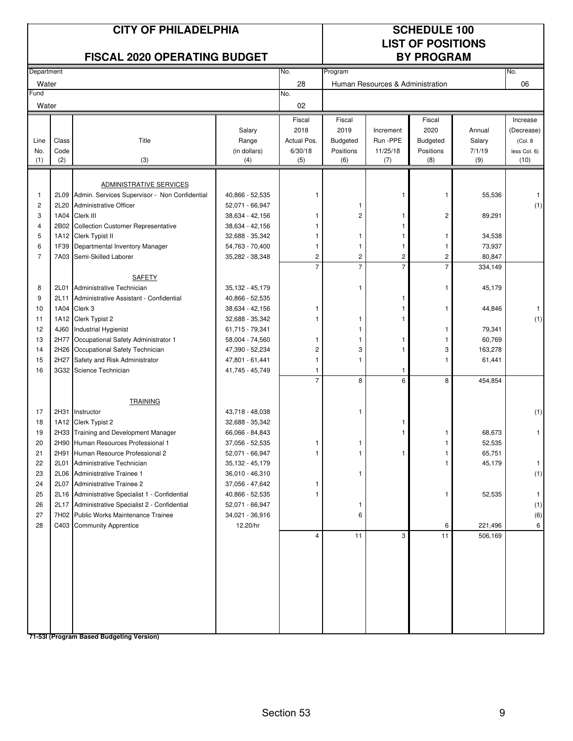| <b>CITY OF PHILADELPHIA</b><br><b>FISCAL 2020 OPERATING BUDGET</b>            |                                                                      |                                                                                                                                                                                                                                                                                                                                                                                                                                        |                                                                                                                                                                                                                           |                                          |                                                        |                                                 | <b>SCHEDULE 100</b><br><b>LIST OF POSITIONS</b><br><b>BY PROGRAM</b> |                                                                      |                                                    |
|-------------------------------------------------------------------------------|----------------------------------------------------------------------|----------------------------------------------------------------------------------------------------------------------------------------------------------------------------------------------------------------------------------------------------------------------------------------------------------------------------------------------------------------------------------------------------------------------------------------|---------------------------------------------------------------------------------------------------------------------------------------------------------------------------------------------------------------------------|------------------------------------------|--------------------------------------------------------|-------------------------------------------------|----------------------------------------------------------------------|----------------------------------------------------------------------|----------------------------------------------------|
| Department                                                                    |                                                                      |                                                                                                                                                                                                                                                                                                                                                                                                                                        |                                                                                                                                                                                                                           | No.                                      | Program                                                |                                                 |                                                                      |                                                                      | No.                                                |
| Water                                                                         |                                                                      |                                                                                                                                                                                                                                                                                                                                                                                                                                        |                                                                                                                                                                                                                           | 28                                       |                                                        | Human Resources & Administration                |                                                                      |                                                                      | 06                                                 |
| Fund<br>Water                                                                 |                                                                      |                                                                                                                                                                                                                                                                                                                                                                                                                                        |                                                                                                                                                                                                                           | No.<br>02                                |                                                        |                                                 |                                                                      |                                                                      |                                                    |
| Line<br>No.                                                                   | Class<br>Code<br>(2)                                                 | Title                                                                                                                                                                                                                                                                                                                                                                                                                                  | Salary<br>Range<br>(in dollars)                                                                                                                                                                                           | Fiscal<br>2018<br>Actual Pos.<br>6/30/18 | Fiscal<br>2019<br>Budgeted<br>Positions                | Increment<br>Run -PPE<br>11/25/18               | Fiscal<br>2020<br><b>Budgeted</b><br>Positions                       | Annual<br>Salary<br>7/1/19                                           | Increase<br>(Decrease)<br>(Col. 8)<br>less Col. 6) |
| (1)                                                                           |                                                                      | (3)                                                                                                                                                                                                                                                                                                                                                                                                                                    | (4)                                                                                                                                                                                                                       | (5)                                      | (6)                                                    | (7)                                             | (8)                                                                  | (9)                                                                  | (10)                                               |
| $\mathbf{1}$<br>$\overline{\mathbf{c}}$<br>3<br>4<br>5<br>6<br>$\overline{7}$ | 2L09<br>2L20<br>1A04<br>2B02<br>1A12<br>1F39<br>7A03                 | <b>ADMINISTRATIVE SERVICES</b><br>Admin. Services Supervisor - Non Confidential<br>Administrative Officer<br>Clerk III<br><b>Collection Customer Representative</b><br>Clerk Typist II<br>Departmental Inventory Manager<br>Semi-Skilled Laborer                                                                                                                                                                                       | 40,866 - 52,535<br>52,071 - 66,947<br>38,634 - 42,156<br>38,634 - 42,156<br>32,688 - 35,342<br>54,763 - 70,400<br>35,282 - 38,348                                                                                         | 1<br>1<br>1<br>1<br>1<br>2               | 1<br>2<br>1<br>$\mathbf{1}$<br>$\overline{\mathbf{c}}$ | 1<br>1<br>1<br>1<br>$\mathbf{1}$<br>$\mathbf 2$ | 1<br>2<br>1<br>1<br>$\overline{\mathbf{c}}$                          | 55,536<br>89,291<br>34,538<br>73,937<br>80,847                       | 1<br>(1)                                           |
|                                                                               |                                                                      |                                                                                                                                                                                                                                                                                                                                                                                                                                        |                                                                                                                                                                                                                           | $\overline{7}$                           | $\overline{7}$                                         | $\overline{7}$                                  | $\overline{7}$                                                       | 334,149                                                              |                                                    |
| 8<br>9<br>10<br>11<br>12<br>13<br>14<br>15<br>16                              | 2L01<br>2L11<br>1A04<br>1A12<br>4J60<br>2H77<br>2H26<br>2H27<br>3G32 | <b>SAFETY</b><br>Administrative Technician<br>Administrative Assistant - Confidential<br>Clerk 3<br>Clerk Typist 2<br>Industrial Hygienist<br>Occupational Safety Administrator 1<br>Occupational Safety Technician<br>Safety and Risk Administrator<br>Science Technician                                                                                                                                                             | 35,132 - 45,179<br>40,866 - 52,535<br>38,634 - 42,156<br>32,688 - 35,342<br>61,715 - 79,341<br>58,004 - 74,560<br>47,390 - 52,234<br>47,801 - 61,441<br>41,745 - 45,749                                                   | 1<br>2<br>1<br>1                         | 1<br>1<br>1<br>1<br>3<br>1                             | 1<br>1<br>1<br>1<br>1<br>1                      | 1<br>1<br>1<br>3                                                     | 45,179<br>44,846<br>79,341<br>60,769<br>163,278<br>61,441            | 1<br>(1)                                           |
|                                                                               |                                                                      |                                                                                                                                                                                                                                                                                                                                                                                                                                        |                                                                                                                                                                                                                           | $\overline{7}$                           | 8                                                      | 6                                               | 8                                                                    | 454,854                                                              |                                                    |
| 17<br>18<br>19<br>20<br>21<br>22<br>23<br>24<br>25<br>26<br>27<br>28          | 2H31<br>2H91<br>2L01<br>2L07<br>2L17                                 | <b>TRAINING</b><br>Instructor<br>1A12 Clerk Typist 2<br>2H33 Training and Development Manager<br>2H90 Human Resources Professional 1<br>Human Resource Professional 2<br>Administrative Technician<br>2L06 Administrative Trainee 1<br>Administrative Trainee 2<br>2L16 Administrative Specialist 1 - Confidential<br>Administrative Specialist 2 - Confidential<br>7H02 Public Works Maintenance Trainee<br>C403 Community Apprentice | 43,718 - 48,038<br>32,688 - 35,342<br>66,066 - 84,843<br>37,056 - 52,535<br>52,071 - 66,947<br>35,132 - 45,179<br>36,010 - 46,310<br>37,056 - 47,642<br>40,866 - 52,535<br>52,071 - 66,947<br>34,021 - 36,916<br>12.20/hr | 1<br>1<br>1<br>4                         | 1<br>1<br>1<br>1<br>6<br>11                            | 1<br>3                                          | 1<br>6<br>11                                                         | 68,673<br>52,535<br>65,751<br>45,179<br>52,535<br>221,496<br>506,169 | (1)<br>1<br>1.<br>(1)<br>-1<br>(1)<br>(6)<br>6     |
|                                                                               |                                                                      |                                                                                                                                                                                                                                                                                                                                                                                                                                        |                                                                                                                                                                                                                           |                                          |                                                        |                                                 |                                                                      |                                                                      |                                                    |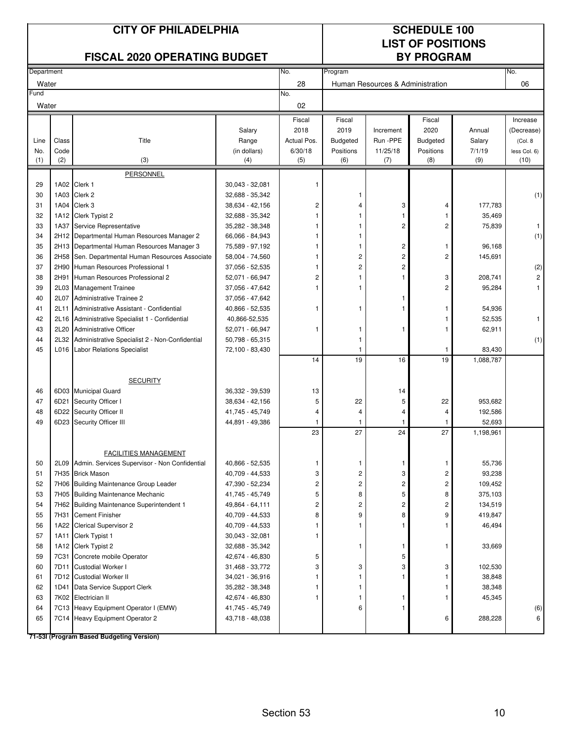| <b>CITY OF PHILADELPHIA</b><br><b>FISCAL 2020 OPERATING BUDGET</b> |       |                                                      |                                    |                         | <b>SCHEDULE 100</b><br><b>LIST OF POSITIONS</b><br><b>BY PROGRAM</b> |                                  |                 |                   |                         |
|--------------------------------------------------------------------|-------|------------------------------------------------------|------------------------------------|-------------------------|----------------------------------------------------------------------|----------------------------------|-----------------|-------------------|-------------------------|
| Department                                                         |       |                                                      |                                    | No.                     | Program                                                              |                                  |                 |                   | No.                     |
| Water                                                              |       |                                                      |                                    | 28                      |                                                                      | Human Resources & Administration |                 |                   | 06                      |
| Fund<br>Water                                                      |       |                                                      |                                    | No.<br>02               |                                                                      |                                  |                 |                   |                         |
|                                                                    |       |                                                      |                                    | Fiscal                  | Fiscal                                                               |                                  | Fiscal          |                   | Increase                |
|                                                                    |       |                                                      | Salary                             | 2018                    | 2019                                                                 | Increment                        | 2020            | Annual            | (Decrease)              |
| Line                                                               | Class | Title                                                | Range                              | Actual Pos.             | <b>Budgeted</b>                                                      | Run -PPE                         | <b>Budgeted</b> | Salary            | (Col. 8)                |
| No.                                                                | Code  | (3)                                                  | (in dollars)                       | 6/30/18                 | Positions                                                            | 11/25/18                         | Positions       | 7/1/19<br>(9)     | less Col. 6)            |
| (1)                                                                | (2)   |                                                      | (4)                                | (5)                     | (6)                                                                  | (7)                              | (8)             |                   | (10)                    |
|                                                                    |       | PERSONNEL                                            |                                    |                         |                                                                      |                                  |                 |                   |                         |
| 29<br>30                                                           |       | 1A02 Clerk 1<br>1A03 Clerk 2                         | 30,043 - 32,081<br>32,688 - 35,342 |                         | 1                                                                    |                                  |                 |                   | (1)                     |
| 31                                                                 |       | 1A04 Clerk 3                                         | 38,634 - 42,156                    | 2                       | 4                                                                    | 3                                | 4               | 177,783           |                         |
| 32                                                                 |       | 1A12 Clerk Typist 2                                  | 32,688 - 35,342                    |                         |                                                                      | 1                                |                 | 35,469            |                         |
| 33                                                                 |       | 1A37 Service Representative                          | 35,282 - 38,348                    | 1                       | 1                                                                    | 2                                | 2               | 75,839            | $\mathbf{1}$            |
| 34                                                                 |       | 2H12 Departmental Human Resources Manager 2          | 66,066 - 84,943                    |                         | 1                                                                    |                                  |                 |                   | (1)                     |
| 35                                                                 |       | 2H13 Departmental Human Resources Manager 3          | 75,589 - 97,192                    |                         | 1                                                                    | 2                                | 1               | 96,168            |                         |
| 36                                                                 | 2H58  | Sen. Departmental Human Resources Associate          | 58,004 - 74,560                    | 1                       | 2                                                                    | $\overline{2}$                   | 2               | 145,691           |                         |
| 37                                                                 | 2H90  | Human Resources Professional 1                       | 37,056 - 52,535                    | 1                       | $\overline{c}$                                                       | 2                                |                 |                   | (2)                     |
| 38                                                                 | 2H91  | Human Resources Professional 2                       | 52,071 - 66,947                    | $\overline{c}$          |                                                                      | 1                                | 3               | 208,741           | $\overline{\mathbf{c}}$ |
| 39                                                                 | 2L03  | <b>Management Trainee</b>                            | 37,056 - 47,642                    | 1                       | 1                                                                    |                                  | 2               | 95,284            | 1                       |
| 40                                                                 | 2L07  | <b>Administrative Trainee 2</b>                      | 37,056 - 47,642                    |                         |                                                                      | ĵ                                |                 |                   |                         |
| 41                                                                 | 2L11  | Administrative Assistant - Confidential              | 40,866 - 52,535                    | 1                       | 1                                                                    |                                  | 1               | 54,936            |                         |
| 42                                                                 | 2L16  | Administrative Specialist 1 - Confidential           | 40,866-52,535                      |                         |                                                                      |                                  |                 | 52,535            | $\mathbf{1}$            |
| 43                                                                 | 2L20  | <b>Administrative Officer</b>                        | 52,071 - 66,947                    | 1                       | 1                                                                    | 1                                | 1               | 62,911            |                         |
| 44                                                                 |       | 2L32 Administrative Specialist 2 - Non-Confidential  | 50,798 - 65,315                    |                         | 1                                                                    |                                  |                 |                   | (1)                     |
| 45                                                                 |       | L016 Labor Relations Specialist                      | 72,100 - 83,430                    |                         |                                                                      |                                  | -1              | 83,430            |                         |
|                                                                    |       |                                                      |                                    | 14                      | 19                                                                   | 16                               | 19              | 1,088,787         |                         |
|                                                                    |       | <b>SECURITY</b>                                      |                                    |                         |                                                                      |                                  |                 |                   |                         |
| 46                                                                 |       | 6D03 Municipal Guard                                 | 36,332 - 39,539                    | 13                      |                                                                      | 14                               |                 |                   |                         |
| 47                                                                 | 6D21  | Security Officer I                                   | 38,634 - 42,156                    | 5                       | 22                                                                   | 5                                | 22              | 953,682           |                         |
| 48                                                                 |       | 6D22 Security Officer II                             | 41,745 - 45,749                    | 4                       | 4                                                                    | 4                                | 4               | 192,586           |                         |
| 49                                                                 | 6D23  | Security Officer III                                 | 44,891 - 49,386                    | -1                      |                                                                      | 1                                | -1              | 52,693            |                         |
|                                                                    |       |                                                      |                                    | 23                      | 27                                                                   | 24                               | 27              | 1,198,961         |                         |
|                                                                    |       |                                                      |                                    |                         |                                                                      |                                  |                 |                   |                         |
|                                                                    |       | <b>FACILITIES MANAGEMENT</b>                         |                                    |                         |                                                                      |                                  |                 |                   |                         |
| 50                                                                 | 2L09  | Admin. Services Supervisor - Non Confidential        | 40,866 - 52,535                    | 1                       | 1                                                                    | 1                                | 1               | 55,736            |                         |
| 51                                                                 |       | 7H35 Brick Mason                                     | 40,709 - 44,533                    | 3                       | $\overline{c}$                                                       | 3                                | 2               | 93,238            |                         |
| 52                                                                 |       | 7H06 Building Maintenance Group Leader               | 47,390 - 52,234                    | $\overline{\mathbf{c}}$ | 2                                                                    | 2                                | 2               | 109,452           |                         |
| 53                                                                 |       | 7H05 Building Maintenance Mechanic                   | 41,745 - 45,749                    | 5                       | 8                                                                    | 5                                | 8               | 375,103           |                         |
| 54                                                                 |       | 7H62 Building Maintenance Superintendent 1           | 49,864 - 64,111                    | $\overline{c}$          | $\overline{c}$                                                       | 2                                | 2               | 134,519           |                         |
| 55<br>56                                                           | 7H31  | <b>Cement Finisher</b><br>1A22 Clerical Supervisor 2 | 40,709 - 44,533<br>40,709 - 44,533 | 8<br>1                  | 9<br>1                                                               | 8<br>1                           | 9<br>1          | 419,847<br>46,494 |                         |
| 57                                                                 | 1A11  | Clerk Typist 1                                       | $30,043 - 32,081$                  | 1                       |                                                                      |                                  |                 |                   |                         |
| 58                                                                 |       | 1A12 Clerk Typist 2                                  | 32,688 - 35,342                    |                         | 1                                                                    | 1                                | 1               | 33,669            |                         |
| 59                                                                 |       | 7C31 Concrete mobile Operator                        | 42,674 - 46,830                    | 5                       |                                                                      | 5                                |                 |                   |                         |
| 60                                                                 | 7D11  | Custodial Worker I                                   | 31,468 - 33,772                    | 3                       | 3                                                                    | 3                                | 3               | 102,530           |                         |
| 61                                                                 |       | 7D12 Custodial Worker II                             | 34,021 - 36,916                    |                         | 1                                                                    | 1                                | 1               | 38,848            |                         |
| 62                                                                 |       | 1D41 Data Service Support Clerk                      | 35,282 - 38,348                    | 1                       | 1                                                                    |                                  | 1               | 38,348            |                         |
| 63                                                                 |       | 7K02 Electrician II                                  | 42,674 - 46,830                    | 1                       | 1                                                                    | 1                                | 1               | 45,345            |                         |
| 64                                                                 |       | 7C13 Heavy Equipment Operator I (EMW)                | 41,745 - 45,749                    |                         | 6                                                                    | 1                                |                 |                   | (6)                     |
| 65                                                                 |       | 7C14 Heavy Equipment Operator 2                      | 43,718 - 48,038                    |                         |                                                                      |                                  | 6               | 288,228           | 6                       |
|                                                                    |       | 71-53I (Program Based Budgeting Version)             |                                    |                         |                                                                      |                                  |                 |                   |                         |

Section 53 10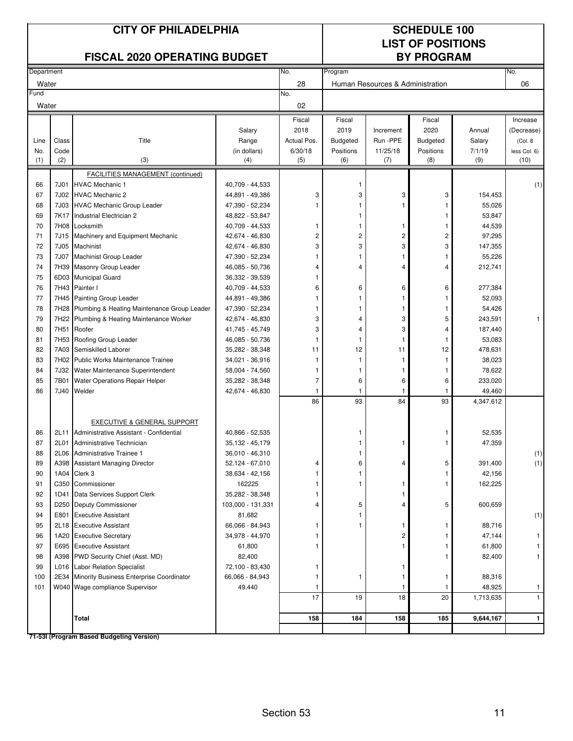|            |                  | <b>CITY OF PHILADELPHIA</b><br><b>FISCAL 2020 OPERATING BUDGET</b> |                                    | <b>SCHEDULE 100</b><br><b>LIST OF POSITIONS</b><br><b>BY PROGRAM</b> |                 |                                  |                 |                  |              |
|------------|------------------|--------------------------------------------------------------------|------------------------------------|----------------------------------------------------------------------|-----------------|----------------------------------|-----------------|------------------|--------------|
| Department |                  |                                                                    |                                    | No.                                                                  | Program         |                                  |                 |                  | No.          |
| Water      |                  |                                                                    |                                    | 28                                                                   |                 | Human Resources & Administration |                 |                  | 06           |
| Fund       |                  |                                                                    |                                    | No.                                                                  |                 |                                  |                 |                  |              |
| Water      |                  |                                                                    |                                    | 02                                                                   |                 |                                  |                 |                  |              |
|            |                  |                                                                    |                                    | Fiscal                                                               | Fiscal          |                                  | Fiscal          |                  | Increase     |
|            |                  |                                                                    | Salary                             | 2018                                                                 | 2019            | Increment                        | 2020            | Annual           | (Decrease)   |
| Line       | Class            | Title                                                              | Range                              | Actual Pos.                                                          | <b>Budgeted</b> | Run -PPE                         | <b>Budgeted</b> | Salary           | (Col. 8)     |
| No.        | Code             |                                                                    | (in dollars)                       | 6/30/18                                                              | Positions       | 11/25/18                         | Positions       | 7/1/19           | less Col. 6) |
| (1)        | (2)              | (3)                                                                | (4)                                | (5)                                                                  | (6)             | (7)                              | (8)             | (9)              | (10)         |
|            |                  | FACILITIES MANAGEMENT (continued)                                  |                                    |                                                                      |                 |                                  |                 |                  |              |
| 66         | 7J01             | <b>HVAC Mechanic 1</b><br><b>HVAC Mechanic 2</b>                   | 40,709 - 44,533                    |                                                                      | 1<br>3          | 3                                |                 |                  | (1)          |
| 67         | 7J02<br>7J03     |                                                                    | 44,891 - 49,386                    | 3                                                                    | 1               | 1                                | 3<br>1          | 154,453          |              |
| 68<br>69   | 7K17             | <b>HVAC Mechanic Group Leader</b><br>Industrial Electrician 2      | 47,390 - 52,234<br>48,822 - 53,847 |                                                                      | 1               |                                  | 1               | 55,026<br>53,847 |              |
| 70         | 7H08             | Locksmith                                                          | 40,709 - 44,533                    | 1                                                                    | 1               | 1                                | 1               | 44,539           |              |
| 71         | 7J15             | Machinery and Equipment Mechanic                                   | 42,674 - 46,830                    | $\overline{c}$                                                       | $\overline{c}$  | 2                                | 2               | 97,295           |              |
| 72         | 7J05             | Machinist                                                          | 42,674 - 46,830                    | 3                                                                    | 3               | 3                                | 3               | 147,355          |              |
| 73         | 7J07             | Machinist Group Leader                                             | 47,390 - 52,234                    |                                                                      | 1               | 1                                | 1               | 55,226           |              |
| 74         | 7H39             | Masonry Group Leader                                               | 46,085 - 50,736                    | 4                                                                    | $\overline{4}$  | 4                                | 4               | 212,741          |              |
| 75         | 6D03             | <b>Municipal Guard</b>                                             | 36,332 - 39,539                    |                                                                      |                 |                                  |                 |                  |              |
| 76         | 7H43             | Painter I                                                          | 40,709 - 44,533                    | 6                                                                    | 6               | 6                                | 6               | 277,384          |              |
| 77         |                  | 7H45 Painting Group Leader                                         | 44,891 - 49,386                    |                                                                      | 1               | 1                                | 1               | 52,093           |              |
| 78         | 7H28             | Plumbing & Heating Maintenance Group Leader                        | 47,390 - 52,234                    |                                                                      | 1               |                                  | 1               | 54,426           |              |
| 79         | 7H22             | Plumbing & Heating Maintenance Worker                              | 42,674 - 46,830                    | 3                                                                    | 4               | 3                                | 5               | 243,591          |              |
| 80         | 7H <sub>51</sub> | Roofer                                                             | 41,745 - 45,749                    | 3                                                                    | 4               | 3                                | 4               | 187,440          |              |
| 81         | 7H <sub>53</sub> | Roofing Group Leader                                               | 46,085 - 50,736                    |                                                                      | 1               |                                  | 1               | 53,083           |              |
| 82         | 7A03             | Semiskilled Laborer                                                | 35,282 - 38,348                    | 11                                                                   | 12              | 11                               | 12              | 478,631          |              |
| 83         | 7H02             | Public Works Maintenance Trainee                                   | 34,021 - 36,916                    | 1                                                                    | 1               | 1                                | 1               | 38,023           |              |
| 84         | 7J32             | Water Maintenance Superintendent                                   | 58,004 - 74,560                    |                                                                      | 1               |                                  | 1               | 78,622           |              |
| 85         | 7B01             | Water Operations Repair Helper                                     | 35,282 - 38,348                    | $\overline{7}$                                                       | 6               | 6                                | 6               | 233,020          |              |
| 86         | 7J40             | Welder                                                             | 42,674 - 46,830                    | $\mathbf{1}$                                                         | 1               | 1                                | 1               | 49,460           |              |
|            |                  |                                                                    |                                    | 86                                                                   | 93              | 84                               | 93              | 4,347,612        |              |
|            |                  | EXECUTIVE & GENERAL SUPPORT                                        |                                    |                                                                      |                 |                                  |                 |                  |              |
| 86         | 2L11             | Administrative Assistant - Confidential                            | 40,866 - 52,535                    |                                                                      | 1               |                                  | 1               | 52,535           |              |
| 87         | 2L01             | Administrative Technician                                          | 35,132 - 45,179                    |                                                                      |                 |                                  |                 | 47,359           |              |
| 88         | 2L06             | Administrative Trainee 1                                           | 36,010 - 46,310                    |                                                                      | 1               |                                  |                 |                  | (1)          |
| 89         |                  | A398 Assistant Managing Director                                   | 52,124 - 67,010                    | 4                                                                    | 6               | 4                                | 5               | 391,400          | (1)          |
| 90         | 1A04             | Clerk 3                                                            | 38,634 - 42,156                    |                                                                      | 1               |                                  | 1               | 42,156           |              |
| 91         |                  | C350 Commissioner                                                  | 162225                             |                                                                      | 1               | 1                                | 1               | 162,225          |              |
| 92         | 1D41             | Data Services Support Clerk                                        | 35,282 - 38,348                    |                                                                      |                 | 1                                |                 |                  |              |
| 93         |                  | D250 Deputy Commissioner                                           | 103,000 - 131,331                  | 4                                                                    | 5               | 4                                | 5               | 600,659          |              |
| 94         | E801             | <b>Executive Assistant</b>                                         | 81,682                             |                                                                      | 1               |                                  |                 |                  | (1)          |
| 95         |                  | 2L18 Executive Assistant                                           | 66,066 - 84,943                    |                                                                      | 1               | 1                                | 1               | 88,716           |              |
| 96         | 1A20             | <b>Executive Secretary</b>                                         | 34,978 - 44,970                    |                                                                      |                 | 2                                | 1               | 47,144           |              |
| 97         |                  | E695 Executive Assistant                                           | 61,800                             | 1                                                                    |                 | 1                                | 1               | 61,800           |              |
| 98         |                  | A398 PWD Security Chief (Asst. MD)                                 | 82,400                             |                                                                      |                 |                                  | 1               | 82,400           |              |
| 99         | L016             | <b>Labor Relation Specialist</b>                                   | 72,100 - 83,430                    |                                                                      |                 | 1                                |                 |                  |              |
| 100        | 2E34             | Minority Business Enterprise Coordinator                           | 66,066 - 84,943                    |                                                                      | 1               | 1                                | 1               | 88,316           |              |
| 101        |                  | W040 Wage compliance Supervisor                                    | 49,440                             |                                                                      |                 | -1                               | -1              | 48,925           | 1            |
|            |                  |                                                                    |                                    | 17                                                                   | 19              | 18                               | 20              | 1,713,635        | $\mathbf{1}$ |
|            |                  | Total                                                              |                                    | 158                                                                  | 184             | 158                              | 185             | 9,644,167        | 1            |
|            |                  | 71-53I (Program Based Budgeting Version)                           |                                    |                                                                      |                 |                                  |                 |                  |              |

Section 53 11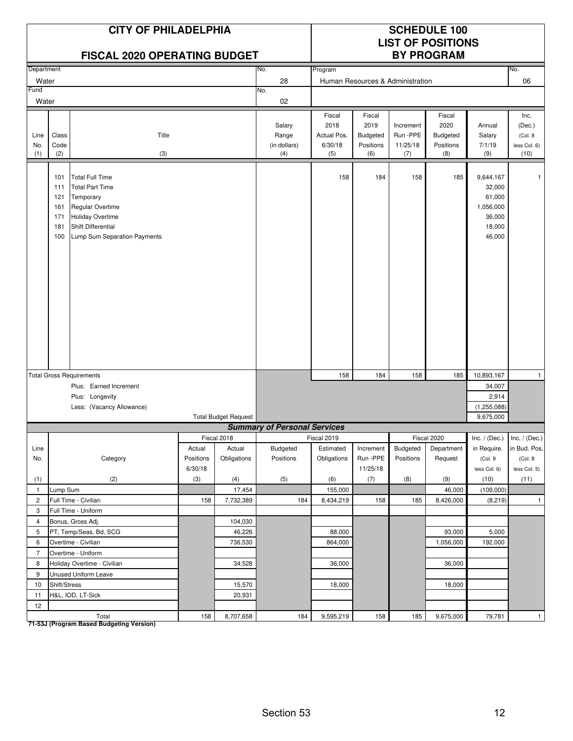|                     |                                               | <b>CITY OF PHILADELPHIA</b><br><b>FISCAL 2020 OPERATING BUDGET</b>                                                                                                 |           |                             |                                        |                                                 |                                                | <b>SCHEDULE 100</b><br><b>LIST OF POSITIONS</b><br><b>BY PROGRAM</b> |                                                       |                                                                          |                                                   |
|---------------------|-----------------------------------------------|--------------------------------------------------------------------------------------------------------------------------------------------------------------------|-----------|-----------------------------|----------------------------------------|-------------------------------------------------|------------------------------------------------|----------------------------------------------------------------------|-------------------------------------------------------|--------------------------------------------------------------------------|---------------------------------------------------|
| Department          |                                               |                                                                                                                                                                    |           |                             | No.                                    | Program                                         |                                                |                                                                      |                                                       |                                                                          | No.                                               |
| Water               |                                               |                                                                                                                                                                    |           |                             | 28                                     |                                                 |                                                | Human Resources & Administration                                     |                                                       |                                                                          | 06                                                |
| Fund                |                                               |                                                                                                                                                                    |           |                             | No.                                    |                                                 |                                                |                                                                      |                                                       |                                                                          |                                                   |
| Water               |                                               |                                                                                                                                                                    |           |                             | 02                                     |                                                 |                                                |                                                                      |                                                       |                                                                          |                                                   |
| Line<br>No.<br>(1)  | Class<br>Code<br>(2)                          | Title<br>(3)                                                                                                                                                       |           |                             | Salary<br>Range<br>(in dollars)<br>(4) | Fiscal<br>2018<br>Actual Pos.<br>6/30/18<br>(5) | Fiscal<br>2019<br>Budgeted<br>Positions<br>(6) | Increment<br>Run-PPE<br>11/25/18<br>(7)                              | Fiscal<br>2020<br><b>Budgeted</b><br>Positions<br>(8) | Annual<br>Salary<br>7/1/19<br>(9)                                        | Inc.<br>(Dec.)<br>(Col. 8<br>less Col. 6)<br>(10) |
|                     | 101<br>111<br>121<br>161<br>171<br>181<br>100 | <b>Total Full Time</b><br><b>Total Part Time</b><br>Temporary<br>Regular Overtime<br><b>Holiday Overtime</b><br>Shift Differential<br>Lump Sum Separation Payments |           |                             |                                        | 158                                             | 184                                            | 158                                                                  | 185                                                   | 9,644,167<br>32,000<br>61,000<br>1,056,000<br>36,000<br>18,000<br>46,000 | -1                                                |
|                     |                                               | <b>Total Gross Requirements</b>                                                                                                                                    |           |                             |                                        | 158                                             | 184                                            | 158                                                                  | 185                                                   | 10,893,167                                                               | $\mathbf{1}$                                      |
|                     |                                               | Plus: Earned Increment                                                                                                                                             |           |                             |                                        |                                                 |                                                |                                                                      |                                                       | 34,007                                                                   |                                                   |
|                     |                                               | Plus: Longevity                                                                                                                                                    |           |                             |                                        |                                                 |                                                |                                                                      |                                                       | 2,914                                                                    |                                                   |
|                     |                                               | Less: (Vacancy Allowance)                                                                                                                                          |           |                             |                                        |                                                 |                                                |                                                                      |                                                       | (1, 255, 088)                                                            |                                                   |
|                     |                                               |                                                                                                                                                                    |           | <b>Total Budget Request</b> |                                        |                                                 |                                                |                                                                      |                                                       | 9,675,000                                                                |                                                   |
|                     |                                               |                                                                                                                                                                    |           |                             | <b>Summary of Personal Services</b>    |                                                 |                                                |                                                                      |                                                       |                                                                          |                                                   |
|                     |                                               |                                                                                                                                                                    |           | Fiscal 2018                 |                                        | Fiscal 2019                                     |                                                |                                                                      | Fiscal 2020                                           | Inc. / (Dec.) Inc. / (Dec.)                                              |                                                   |
| Line                |                                               |                                                                                                                                                                    | Actual    | Actual                      | Budgeted                               | Estimated                                       | Increment                                      | Budgeted                                                             | Department                                            |                                                                          | in Require. in Bud. Pos.                          |
| No.                 |                                               | Category                                                                                                                                                           | Positions | Obligations                 | Positions                              | Obligations                                     | Run -PPE                                       | Positions                                                            | Request                                               | (Col.9                                                                   | (Col. 8                                           |
|                     |                                               |                                                                                                                                                                    | 6/30/18   |                             |                                        |                                                 | 11/25/18                                       |                                                                      |                                                       | less Col. 6)                                                             | less Col. 5)                                      |
| (1)                 |                                               | (2)                                                                                                                                                                | (3)       | (4)                         | (5)                                    | (6)                                             | (7)                                            | (8)                                                                  | (9)                                                   | (10)                                                                     | (11)                                              |
| $\mathbf{1}$        | Lump Sum                                      |                                                                                                                                                                    |           | 17,454                      |                                        | 155,000                                         |                                                |                                                                      | 46,000                                                | (109,000)                                                                |                                                   |
| $\overline{2}$      |                                               | Full Time - Civilian                                                                                                                                               | 158       | 7,732,389                   | 184                                    | 8,434,219                                       | 158                                            | 185                                                                  | 8,426,000                                             | (8, 219)                                                                 | $\mathbf{1}$                                      |
| 3                   |                                               | Full Time - Uniform                                                                                                                                                |           |                             |                                        |                                                 |                                                |                                                                      |                                                       |                                                                          |                                                   |
| 4                   |                                               | Bonus, Gross Adj.                                                                                                                                                  |           | 104,030                     |                                        |                                                 |                                                |                                                                      |                                                       |                                                                          |                                                   |
| 5                   |                                               | PT, Temp/Seas, Bd, SCG                                                                                                                                             |           | 46,226                      |                                        | 88,000                                          |                                                |                                                                      | 93,000                                                | 5,000                                                                    |                                                   |
| 6<br>$\overline{7}$ |                                               | Overtime - Civilian                                                                                                                                                |           | 736,530                     |                                        | 864,000                                         |                                                |                                                                      | 1,056,000                                             | 192,000                                                                  |                                                   |
| 8                   |                                               | Overtime - Uniform<br>Holiday Overtime - Civilian                                                                                                                  |           | 34,528                      |                                        | 36,000                                          |                                                |                                                                      | 36,000                                                |                                                                          |                                                   |
| 9                   |                                               | Unused Uniform Leave                                                                                                                                               |           |                             |                                        |                                                 |                                                |                                                                      |                                                       |                                                                          |                                                   |
| 10                  | Shift/Stress                                  |                                                                                                                                                                    |           | 15,570                      |                                        | 18,000                                          |                                                |                                                                      | 18,000                                                |                                                                          |                                                   |
| 11                  |                                               | H&L, IOD, LT-Sick                                                                                                                                                  |           | 20,931                      |                                        |                                                 |                                                |                                                                      |                                                       |                                                                          |                                                   |
| 12                  |                                               |                                                                                                                                                                    |           |                             |                                        |                                                 |                                                |                                                                      |                                                       |                                                                          |                                                   |
|                     |                                               | Total                                                                                                                                                              | 158       | 8,707,658                   | 184                                    | 9,595,219                                       | 158                                            | 185                                                                  | 9,675,000                                             | 79,781                                                                   | $\mathbf{1}$                                      |

Total<br>T1-53J (Program Based Budgeting Version)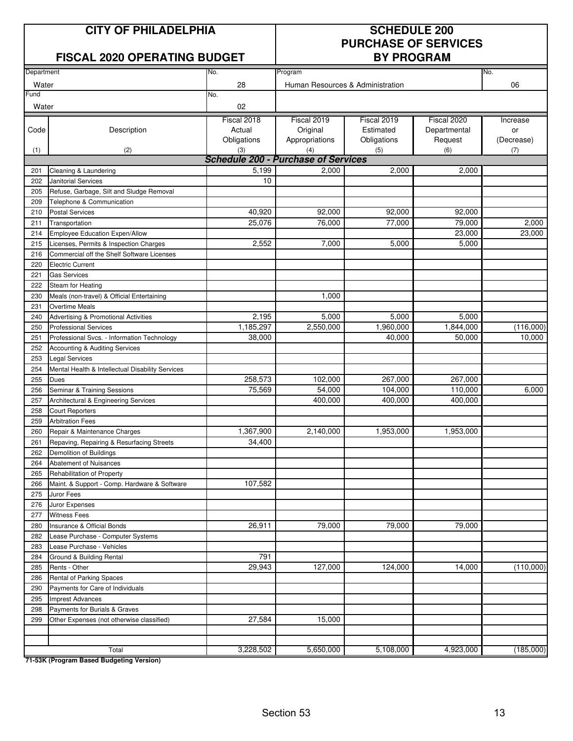### **CITY OF PHILADELPHIA SCHEDULE 200**

### **FISCAL 2020 OPERATING BUDGET**

# **PURCHASE OF SERVICES**

| Department |                                                  | No.                                        | Program                          |             |              | No.        |
|------------|--------------------------------------------------|--------------------------------------------|----------------------------------|-------------|--------------|------------|
| Water      |                                                  | 28                                         | Human Resources & Administration |             |              | 06         |
| Fund       |                                                  | No.                                        |                                  |             |              |            |
| Water      |                                                  | 02                                         |                                  |             |              |            |
|            |                                                  | Fiscal 2018                                | Fiscal 2019                      | Fiscal 2019 | Fiscal 2020  | Increase   |
| Code       | Description                                      | Actual                                     | Original                         | Estimated   | Departmental | or         |
|            |                                                  | Obligations                                | Appropriations                   | Obligations | Request      | (Decrease) |
| (1)        | (2)                                              | (3)                                        | (4)                              | (5)         | (6)          | (7)        |
|            |                                                  | <b>Schedule 200 - Purchase of Services</b> |                                  |             |              |            |
| 201        | Cleaning & Laundering                            | 5,199                                      | 2,000                            | 2,000       | 2,000        |            |
| 202        | Janitorial Services                              | 10                                         |                                  |             |              |            |
| 205        | Refuse, Garbage, Silt and Sludge Removal         |                                            |                                  |             |              |            |
| 209        | Telephone & Communication                        |                                            |                                  |             |              |            |
| 210        | <b>Postal Services</b>                           | 40,920                                     | 92,000                           | 92,000      | 92,000       |            |
| 211        | Transportation                                   | 25,076                                     | 76,000                           | 77,000      | 79,000       | 2,000      |
| 214        | Employee Education Expen/Allow                   |                                            |                                  |             | 23,000       | 23,000     |
| 215        | Licenses, Permits & Inspection Charges           | 2,552                                      | 7,000                            | 5,000       | 5,000        |            |
| 216        | Commercial off the Shelf Software Licenses       |                                            |                                  |             |              |            |
| 220        | <b>Electric Current</b>                          |                                            |                                  |             |              |            |
| 221        | <b>Gas Services</b>                              |                                            |                                  |             |              |            |
| 222        | Steam for Heating                                |                                            |                                  |             |              |            |
| 230        | Meals (non-travel) & Official Entertaining       |                                            | 1,000                            |             |              |            |
| 231        | <b>Overtime Meals</b>                            |                                            |                                  |             |              |            |
| 240        | Advertising & Promotional Activities             | 2,195                                      | 5,000                            | 5,000       | 5,000        |            |
| 250        | <b>Professional Services</b>                     | 1,185,297                                  | 2,550,000                        | 1,960,000   | 1,844,000    | (116,000)  |
| 251        | Professional Svcs. - Information Technology      | 38,000                                     |                                  | 40,000      | 50,000       | 10,000     |
| 252        | Accounting & Auditing Services                   |                                            |                                  |             |              |            |
| 253        | <b>Legal Services</b>                            |                                            |                                  |             |              |            |
| 254        | Mental Health & Intellectual Disability Services |                                            |                                  |             |              |            |
| 255        | <b>Dues</b>                                      | 258,573                                    | 102,000                          | 267,000     | 267,000      |            |
| 256        | Seminar & Training Sessions                      | 75,569                                     | 54,000                           | 104,000     | 110,000      | 6,000      |
| 257        | Architectural & Engineering Services             |                                            | 400,000                          | 400,000     | 400,000      |            |
| 258        | <b>Court Reporters</b>                           |                                            |                                  |             |              |            |
| 259        | <b>Arbitration Fees</b>                          |                                            |                                  |             |              |            |
| 260        | Repair & Maintenance Charges                     | 1,367,900                                  | 2,140,000                        | 1,953,000   | 1,953,000    |            |
| 261        | Repaving, Repairing & Resurfacing Streets        | 34,400                                     |                                  |             |              |            |
| 262        | Demolition of Buildings                          |                                            |                                  |             |              |            |
| 264        | Abatement of Nuisances                           |                                            |                                  |             |              |            |
| 265        | Rehabilitation of Property                       |                                            |                                  |             |              |            |
| 266        | Maint. & Support - Comp. Hardware & Software     | 107,582                                    |                                  |             |              |            |
| 275        | Juror Fees                                       |                                            |                                  |             |              |            |
| 276        | Juror Expenses                                   |                                            |                                  |             |              |            |
| 277        | <b>Witness Fees</b>                              |                                            |                                  |             |              |            |
| 280        | Insurance & Official Bonds                       | 26,911                                     | 79,000                           | 79,000      | 79,000       |            |
| 282        | Lease Purchase - Computer Systems                |                                            |                                  |             |              |            |
| 283        | Lease Purchase - Vehicles                        |                                            |                                  |             |              |            |
| 284        | Ground & Building Rental                         | 791                                        |                                  |             |              |            |
| 285        | Rents - Other                                    | 29,943                                     | 127,000                          | 124,000     | 14,000       | (110,000)  |
| 286        | Rental of Parking Spaces                         |                                            |                                  |             |              |            |
| 290        | Payments for Care of Individuals                 |                                            |                                  |             |              |            |
| 295        | <b>Imprest Advances</b>                          |                                            |                                  |             |              |            |
| 298        | Payments for Burials & Graves                    |                                            |                                  |             |              |            |
| 299        | Other Expenses (not otherwise classified)        | 27,584                                     | 15,000                           |             |              |            |
|            |                                                  |                                            |                                  |             |              |            |
|            |                                                  |                                            |                                  |             |              |            |
|            | Total                                            | 3,228,502                                  | 5,650,000                        | 5,108,000   | 4,923,000    | (185,000)  |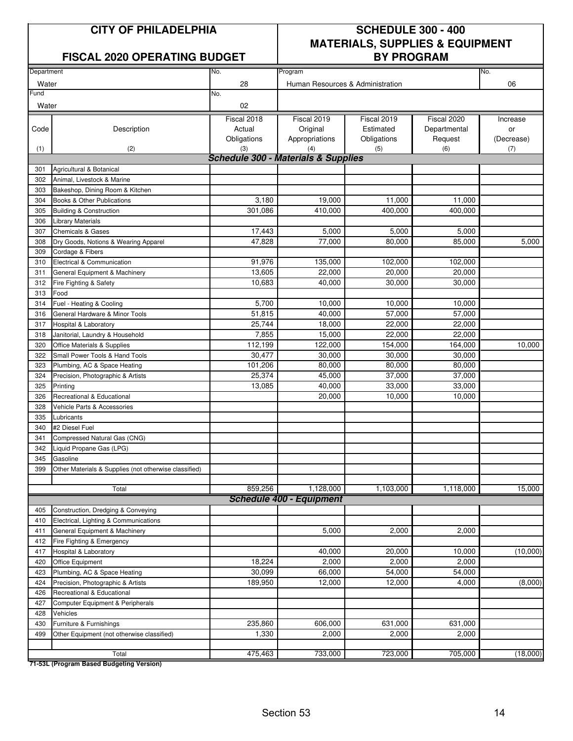### **FISCAL 2020 OPERATING BUDGET**

# **CITY OF PHILADELPHIA SCHEDULE 300 - 400 MATERIALS, SUPPLIES & EQUIPMENT**

| Department |                                                       | No.                                            | Program                          |             |              | No.        |
|------------|-------------------------------------------------------|------------------------------------------------|----------------------------------|-------------|--------------|------------|
| Water      |                                                       | 28                                             | Human Resources & Administration |             |              | 06         |
| Fund       |                                                       | No.                                            |                                  |             |              |            |
| Water      |                                                       | 02                                             |                                  |             |              |            |
|            |                                                       | Fiscal 2018                                    | Fiscal 2019                      | Fiscal 2019 | Fiscal 2020  | Increase   |
| Code       | Description                                           | Actual                                         | Original                         | Estimated   | Departmental | or         |
|            |                                                       | Obligations                                    | Appropriations                   | Obligations | Request      | (Decrease) |
| (1)        | (2)                                                   | (3)                                            | (4)                              | (5)         | (6)          | (7)        |
|            |                                                       | <b>Schedule 300 - Materials &amp; Supplies</b> |                                  |             |              |            |
| 301        | Agricultural & Botanical                              |                                                |                                  |             |              |            |
| 302        | Animal, Livestock & Marine                            |                                                |                                  |             |              |            |
| 303        | Bakeshop, Dining Room & Kitchen                       |                                                |                                  |             |              |            |
| 304        | Books & Other Publications                            | 3,180                                          | 19,000                           | 11,000      | 11,000       |            |
| 305        | <b>Building &amp; Construction</b>                    | 301,086                                        | 410,000                          | 400,000     | 400,000      |            |
| 306        | <b>Library Materials</b>                              |                                                |                                  |             |              |            |
| 307        | <b>Chemicals &amp; Gases</b>                          | 17,443                                         | 5,000                            | 5,000       | 5,000        |            |
| 308        | Dry Goods, Notions & Wearing Apparel                  | 47,828                                         | 77,000                           | 80,000      | 85,000       | 5,000      |
| 309        | Cordage & Fibers                                      |                                                |                                  |             |              |            |
| 310        | Electrical & Communication                            | 91,976                                         | 135,000                          | 102,000     | 102,000      |            |
| 311        | General Equipment & Machinery                         | 13,605                                         | 22.000                           | 20,000      | 20,000       |            |
| 312        | Fire Fighting & Safety                                | 10,683                                         | 40,000                           | 30.000      | 30,000       |            |
| 313        | Food                                                  |                                                |                                  |             |              |            |
| 314        | Fuel - Heating & Cooling                              | 5,700                                          | 10.000                           | 10,000      | 10,000       |            |
| 316        | General Hardware & Minor Tools                        | 51,815                                         | 40,000                           | 57,000      | 57,000       |            |
| 317        | Hospital & Laboratory                                 | 25,744                                         | 18,000                           | 22,000      | 22,000       |            |
| 318        | Janitorial, Laundry & Household                       | 7,855                                          | 15,000                           | 22,000      | 22,000       |            |
| 320        | Office Materials & Supplies                           | 112,199                                        | 122,000                          | 154,000     | 164,000      | 10,000     |
| 322        | Small Power Tools & Hand Tools                        | 30,477                                         | 30,000                           | 30,000      | 30,000       |            |
| 323        | Plumbing, AC & Space Heating                          | 101,206                                        | 80,000                           | 80,000      | 80,000       |            |
| 324        | Precision, Photographic & Artists                     | 25,374                                         | 45,000                           | 37,000      | 37,000       |            |
| 325        | Printing                                              | 13,085                                         | 40,000                           | 33,000      | 33,000       |            |
| 326        | Recreational & Educational                            |                                                | 20,000                           | 10,000      | 10,000       |            |
| 328        | Vehicle Parts & Accessories                           |                                                |                                  |             |              |            |
| 335        | Lubricants                                            |                                                |                                  |             |              |            |
| 340        | #2 Diesel Fuel                                        |                                                |                                  |             |              |            |
| 341        | Compressed Natural Gas (CNG)                          |                                                |                                  |             |              |            |
| 342        | Liquid Propane Gas (LPG)                              |                                                |                                  |             |              |            |
| 345        | Gasoline                                              |                                                |                                  |             |              |            |
| 399        | Other Materials & Supplies (not otherwise classified) |                                                |                                  |             |              |            |
|            | Total                                                 | 859,256                                        | 1,128,000                        | 1,103,000   | 1,118,000    | 15,000     |
|            |                                                       |                                                | <b>Schedule 400 - Equipment</b>  |             |              |            |
| 405        | Construction, Dredging & Conveying                    |                                                |                                  |             |              |            |
| 410        | Electrical, Lighting & Communications                 |                                                |                                  |             |              |            |
| 411        | General Equipment & Machinery                         |                                                | 5,000                            | 2,000       | 2,000        |            |
| 412        | Fire Fighting & Emergency                             |                                                |                                  |             |              |            |
| 417        | <b>Hospital &amp; Laboratory</b>                      |                                                | 40,000                           | 20,000      | 10,000       | (10,000)   |
| 420        | Office Equipment                                      | 18,224                                         | 2,000                            | 2,000       | 2,000        |            |
| 423        | Plumbing, AC & Space Heating                          | 30,099                                         | 66,000                           | 54,000      | 54,000       |            |
| 424        | Precision, Photographic & Artists                     | 189,950                                        | 12,000                           | 12,000      | 4,000        | (8,000)    |
| 426        | Recreational & Educational                            |                                                |                                  |             |              |            |
| 427        | Computer Equipment & Peripherals                      |                                                |                                  |             |              |            |
| 428        | Vehicles                                              |                                                |                                  |             |              |            |
| 430        | Furniture & Furnishings                               | 235,860                                        | 606,000                          | 631,000     | 631,000      |            |
| 499        | Other Equipment (not otherwise classified)            | 1,330                                          | 2,000                            | 2,000       | 2,000        |            |
|            |                                                       |                                                |                                  |             |              |            |
|            | Total                                                 | 475,463                                        | 733,000                          | 723,000     | 705,000      | (18,000)   |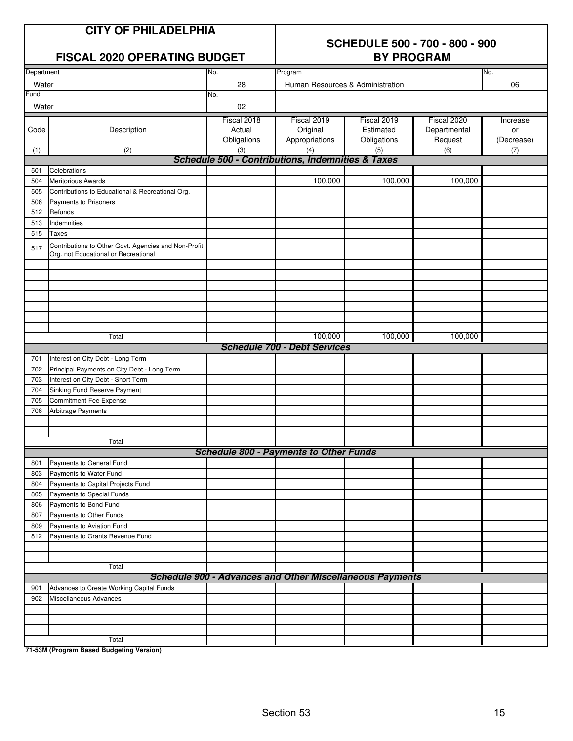| <b>CITY OF PHILADELPHIA</b><br><b>FISCAL 2020 OPERATING BUDGET</b> |                                                                                              |                                             | <b>SCHEDULE 500 - 700 - 800 - 900</b><br><b>BY PROGRAM</b>      |                                                |                                               |                                     |  |
|--------------------------------------------------------------------|----------------------------------------------------------------------------------------------|---------------------------------------------|-----------------------------------------------------------------|------------------------------------------------|-----------------------------------------------|-------------------------------------|--|
| Department                                                         |                                                                                              | No.                                         | Program                                                         |                                                |                                               | No.                                 |  |
| Water                                                              |                                                                                              | 28                                          | Human Resources & Administration                                |                                                |                                               | 06                                  |  |
| Fund                                                               |                                                                                              | No.                                         |                                                                 |                                                |                                               |                                     |  |
| Water                                                              |                                                                                              | 02                                          |                                                                 |                                                |                                               |                                     |  |
| Code<br>(1)                                                        | Description<br>(2)                                                                           | Fiscal 2018<br>Actual<br>Obligations<br>(3) | Fiscal 2019<br>Original<br>Appropriations<br>(4)                | Fiscal 2019<br>Estimated<br>Obligations<br>(5) | Fiscal 2020<br>Departmental<br>Request<br>(6) | Increase<br>or<br>(Decrease)<br>(7) |  |
|                                                                    |                                                                                              |                                             | <b>Schedule 500 - Contributions, Indemnities &amp; Taxes</b>    |                                                |                                               |                                     |  |
| 501                                                                | Celebrations                                                                                 |                                             |                                                                 |                                                |                                               |                                     |  |
| 504                                                                | <b>Meritorious Awards</b>                                                                    |                                             | 100,000                                                         | 100,000                                        | 100,000                                       |                                     |  |
| 505                                                                | Contributions to Educational & Recreational Org.                                             |                                             |                                                                 |                                                |                                               |                                     |  |
| 506                                                                | Payments to Prisoners                                                                        |                                             |                                                                 |                                                |                                               |                                     |  |
| 512                                                                | Refunds                                                                                      |                                             |                                                                 |                                                |                                               |                                     |  |
| 513                                                                | Indemnities                                                                                  |                                             |                                                                 |                                                |                                               |                                     |  |
| 515                                                                | <b>Taxes</b>                                                                                 |                                             |                                                                 |                                                |                                               |                                     |  |
| 517                                                                | Contributions to Other Govt. Agencies and Non-Profit<br>Org. not Educational or Recreational |                                             |                                                                 |                                                |                                               |                                     |  |
|                                                                    |                                                                                              |                                             |                                                                 |                                                |                                               |                                     |  |
|                                                                    | Total                                                                                        |                                             | 100,000                                                         | 100,000                                        | 100,000                                       |                                     |  |
|                                                                    |                                                                                              |                                             | <b>Schedule 700 - Debt Services</b>                             |                                                |                                               |                                     |  |
| 701                                                                | Interest on City Debt - Long Term                                                            |                                             |                                                                 |                                                |                                               |                                     |  |
| 702                                                                | Principal Payments on City Debt - Long Term                                                  |                                             |                                                                 |                                                |                                               |                                     |  |
| 703                                                                | Interest on City Debt - Short Term                                                           |                                             |                                                                 |                                                |                                               |                                     |  |
| 704                                                                | Sinking Fund Reserve Payment                                                                 |                                             |                                                                 |                                                |                                               |                                     |  |
| 705                                                                | <b>Commitment Fee Expense</b>                                                                |                                             |                                                                 |                                                |                                               |                                     |  |
| 706                                                                | Arbitrage Payments                                                                           |                                             |                                                                 |                                                |                                               |                                     |  |
|                                                                    | Total                                                                                        |                                             |                                                                 |                                                |                                               |                                     |  |
|                                                                    |                                                                                              |                                             | <b>Schedule 800 - Payments to Other Funds</b>                   |                                                |                                               |                                     |  |
| 801                                                                | Payments to General Fund                                                                     |                                             |                                                                 |                                                |                                               |                                     |  |
| 803                                                                | Payments to Water Fund                                                                       |                                             |                                                                 |                                                |                                               |                                     |  |
| 804                                                                | Payments to Capital Projects Fund                                                            |                                             |                                                                 |                                                |                                               |                                     |  |
| 805                                                                | Payments to Special Funds                                                                    |                                             |                                                                 |                                                |                                               |                                     |  |
| 806                                                                | Payments to Bond Fund                                                                        |                                             |                                                                 |                                                |                                               |                                     |  |
| 807                                                                | Payments to Other Funds<br>Payments to Aviation Fund                                         |                                             |                                                                 |                                                |                                               |                                     |  |
| 809<br>812                                                         | Payments to Grants Revenue Fund                                                              |                                             |                                                                 |                                                |                                               |                                     |  |
|                                                                    |                                                                                              |                                             |                                                                 |                                                |                                               |                                     |  |
|                                                                    | Total                                                                                        |                                             |                                                                 |                                                |                                               |                                     |  |
|                                                                    |                                                                                              |                                             | <b>Schedule 900 - Advances and Other Miscellaneous Payments</b> |                                                |                                               |                                     |  |
| 901                                                                | Advances to Create Working Capital Funds                                                     |                                             |                                                                 |                                                |                                               |                                     |  |
| 902                                                                | Miscellaneous Advances                                                                       |                                             |                                                                 |                                                |                                               |                                     |  |
|                                                                    |                                                                                              |                                             |                                                                 |                                                |                                               |                                     |  |
|                                                                    |                                                                                              |                                             |                                                                 |                                                |                                               |                                     |  |
|                                                                    |                                                                                              |                                             |                                                                 |                                                |                                               |                                     |  |
|                                                                    | Total                                                                                        |                                             |                                                                 |                                                |                                               |                                     |  |

**71-53M (Program Based Budgeting Version)**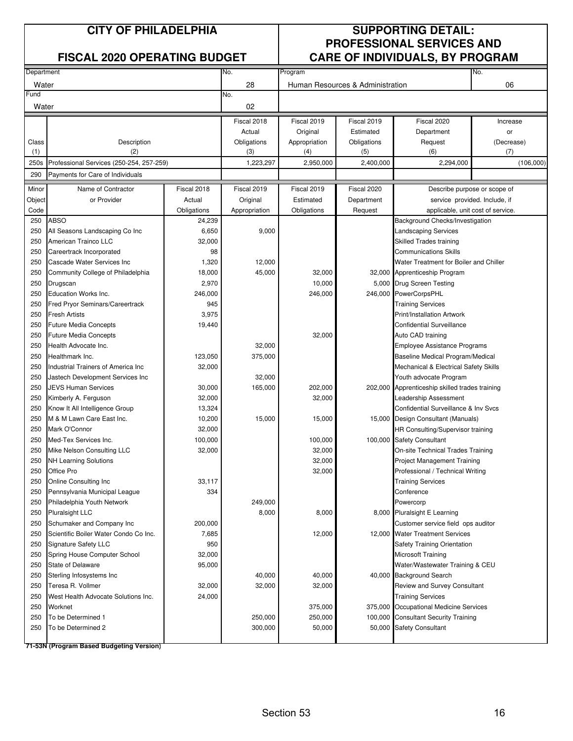| Department |                                                                |             | No.           | Program       |                                  |                                                                           | No.                           |  |
|------------|----------------------------------------------------------------|-------------|---------------|---------------|----------------------------------|---------------------------------------------------------------------------|-------------------------------|--|
| Water      |                                                                |             | 28            |               | Human Resources & Administration |                                                                           | 06                            |  |
| Fund       |                                                                |             | No.           |               |                                  |                                                                           |                               |  |
| Water      |                                                                |             | 02            |               |                                  |                                                                           |                               |  |
|            |                                                                |             | Fiscal 2018   | Fiscal 2019   | Fiscal 2019                      | Fiscal 2020                                                               | Increase                      |  |
|            |                                                                |             | Actual        | Original      | Estimated                        | Department                                                                | or                            |  |
| Class      | Description                                                    |             | Obligations   | Appropriation | Obligations                      | Request                                                                   | (Decrease)                    |  |
| (1)        | (2)                                                            |             | (3)           | (4)           | (5)                              | (6)                                                                       | (7)                           |  |
| 250s       | Professional Services (250-254, 257-259)                       |             | 1,223,297     | 2,950,000     | 2,400,000                        | 2,294,000                                                                 | (106,000)                     |  |
| 290        | Payments for Care of Individuals                               |             |               |               |                                  |                                                                           |                               |  |
| Minor      | Name of Contractor                                             | Fiscal 2018 | Fiscal 2019   | Fiscal 2019   | Fiscal 2020                      |                                                                           | Describe purpose or scope of  |  |
| Object     | or Provider                                                    | Actual      | Original      | Estimated     | Department                       |                                                                           | service provided. Include, if |  |
| Code       |                                                                | Obligations | Appropriation | Obligations   | Request                          | applicable, unit cost of service.                                         |                               |  |
| 250        | <b>ABSO</b>                                                    | 24,239      |               |               |                                  | Background Checks/Investigation                                           |                               |  |
| 250        | All Seasons Landscaping Co Inc                                 | 6,650       | 9,000         |               |                                  | Landscaping Services                                                      |                               |  |
| 250        | American Trainco LLC                                           | 32,000      |               |               |                                  | Skilled Trades training                                                   |                               |  |
| 250        | Careertrack Incorporated                                       | 98          |               |               |                                  | <b>Communications Skills</b>                                              |                               |  |
| 250        | Cascade Water Services Inc                                     | 1,320       | 12,000        |               |                                  | Water Treatment for Boiler and Chiller                                    |                               |  |
| 250        | Community College of Philadelphia                              | 18,000      | 45,000        | 32,000        |                                  | 32,000 Apprenticeship Program                                             |                               |  |
| 250        | Drugscan                                                       | 2,970       |               | 10,000        |                                  | 5,000 Drug Screen Testing                                                 |                               |  |
| 250        | Education Works Inc.                                           | 246,000     |               | 246,000       | 246,000                          | <b>PowerCorpsPHL</b>                                                      |                               |  |
| 250        | Fred Pryor Seminars/Careertrack                                | 945         |               |               |                                  | <b>Training Services</b>                                                  |                               |  |
| 250        | <b>Fresh Artists</b>                                           | 3,975       |               |               |                                  | Print/Installation Artwork                                                |                               |  |
| 250        | Future Media Concepts                                          | 19,440      |               |               |                                  | <b>Confidential Surveillance</b>                                          |                               |  |
| 250        | <b>Future Media Concepts</b>                                   |             |               | 32,000        |                                  | Auto CAD training                                                         |                               |  |
| 250        | Health Advocate Inc.                                           |             | 32,000        |               |                                  | Employee Assistance Programs                                              |                               |  |
| 250        | Healthmark Inc.                                                | 123,050     | 375,000       |               |                                  |                                                                           |                               |  |
|            | Industrial Trainers of America Inc                             | 32,000      |               |               |                                  | Baseline Medical Program/Medical<br>Mechanical & Electrical Safety Skills |                               |  |
| 250        |                                                                |             |               |               |                                  |                                                                           |                               |  |
| 250        | Jastech Development Services Inc<br><b>JEVS Human Services</b> |             | 32,000        |               |                                  | Youth advocate Program                                                    |                               |  |
| 250        |                                                                | 30,000      | 165,000       | 202,000       |                                  | 202,000 Apprenticeship skilled trades training                            |                               |  |
| 250        | Kimberly A. Ferguson                                           | 32,000      |               | 32,000        |                                  | Leadership Assessment                                                     |                               |  |
| 250        | Know It All Intelligence Group                                 | 13,324      |               |               |                                  | Confidential Surveillance & Inv Svcs                                      |                               |  |
| 250        | M & M Lawn Care East Inc.                                      | 10,200      | 15,000        | 15,000        | 15,000                           | Design Consultant (Manuals)                                               |                               |  |
| 250        | Mark O'Connor                                                  | 32,000      |               |               |                                  | HR Consulting/Supervisor training                                         |                               |  |
| 250        | Med-Tex Services Inc.                                          | 100,000     |               | 100,000       | 100,000                          | <b>Safety Consultant</b>                                                  |                               |  |
| 250        | Mike Nelson Consulting LLC                                     | 32,000      |               | 32,000        |                                  | On-site Technical Trades Training                                         |                               |  |
| 250        | <b>NH Learning Solutions</b>                                   |             |               | 32,000        |                                  | <b>Project Management Training</b>                                        |                               |  |
| 250        | Office Pro                                                     |             |               | 32,000        |                                  | Professional / Technical Writing                                          |                               |  |
| 250        | Online Consulting Inc                                          | 33,117      |               |               |                                  | <b>Training Services</b>                                                  |                               |  |
| 250        | Pennsylvania Municipal League                                  | 334         |               |               |                                  | Conference                                                                |                               |  |
| 250        | Philadelphia Youth Network                                     |             | 249,000       |               |                                  | Powercorp                                                                 |                               |  |
| 250        | <b>Pluralsight LLC</b>                                         |             | 8,000         | 8,000         |                                  | 8,000 Pluralsight E Learning                                              |                               |  |
| 250        | Schumaker and Company Inc                                      | 200,000     |               |               |                                  | Customer service field ops auditor                                        |                               |  |
| 250        | Scientific Boiler Water Condo Co Inc.                          | 7,685       |               | 12,000        |                                  | 12,000 Water Treatment Services                                           |                               |  |
| 250        | <b>Signature Safety LLC</b>                                    | 950         |               |               |                                  | Safety Training Orientation                                               |                               |  |
| 250        | Spring House Computer School                                   | 32,000      |               |               |                                  | Microsoft Training                                                        |                               |  |
| 250        | <b>State of Delaware</b>                                       | 95,000      |               |               |                                  | Water/Wastewater Training & CEU                                           |                               |  |
| 250        | Sterling Infosystems Inc                                       |             | 40,000        | 40,000        |                                  | 40,000 Background Search                                                  |                               |  |
| 250        | Teresa R. Vollmer                                              | 32,000      | 32,000        | 32,000        |                                  | Review and Survey Consultant                                              |                               |  |
| 250        | West Health Advocate Solutions Inc.                            | 24,000      |               |               |                                  | <b>Training Services</b>                                                  |                               |  |
| 250        | Worknet                                                        |             |               | 375,000       |                                  | 375,000 Occupational Medicine Services                                    |                               |  |
| 250        | To be Determined 1                                             |             | 250,000       | 250,000       | 100,000                          | <b>Consultant Security Training</b>                                       |                               |  |
| 250        | To be Determined 2                                             |             | 300,000       | 50,000        |                                  | 50,000 Safety Consultant                                                  |                               |  |
|            |                                                                |             |               |               |                                  |                                                                           |                               |  |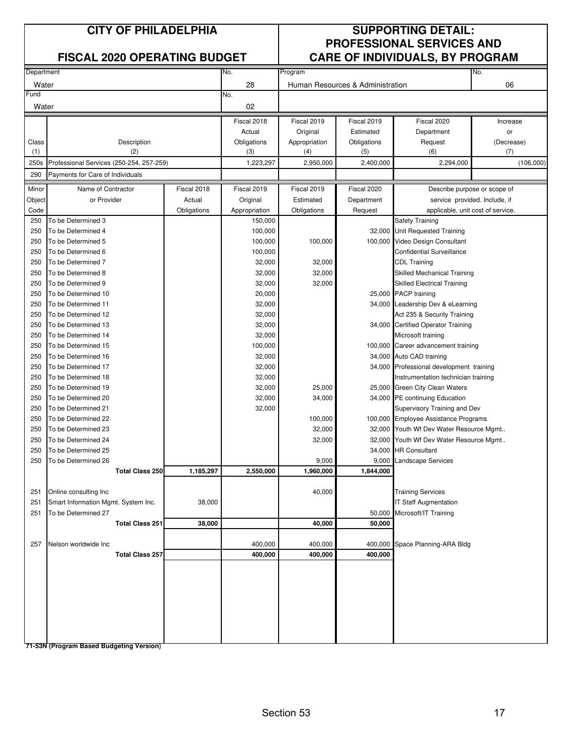| Department |                                          |             | No.           | Program       |                                  |                                          | No.                           |  |
|------------|------------------------------------------|-------------|---------------|---------------|----------------------------------|------------------------------------------|-------------------------------|--|
| Water      |                                          |             | 28            |               | Human Resources & Administration |                                          | 06                            |  |
| Fund       |                                          |             | No.           |               |                                  |                                          |                               |  |
| Water      |                                          |             | 02            |               |                                  |                                          |                               |  |
|            |                                          |             | Fiscal 2018   | Fiscal 2019   | Fiscal 2019                      | Fiscal 2020                              | Increase                      |  |
|            |                                          |             | Actual        | Original      | Estimated                        | Department                               | or                            |  |
| Class      | Description                              |             | Obligations   | Appropriation | Obligations                      | Request                                  | (Decrease)                    |  |
| (1)        | (2)                                      |             | (3)           | (4)           | (5)                              | (6)                                      | (7)                           |  |
| 250s       | Professional Services (250-254, 257-259) |             | 1,223,297     | 2,950,000     | 2,400,000                        | 2,294,000                                | (106,000)                     |  |
| 290        | Payments for Care of Individuals         |             |               |               |                                  |                                          |                               |  |
| Minor      | Name of Contractor                       | Fiscal 2018 | Fiscal 2019   | Fiscal 2019   | Fiscal 2020                      |                                          | Describe purpose or scope of  |  |
| Object     | or Provider                              | Actual      | Original      | Estimated     | Department                       |                                          | service provided. Include, if |  |
| Code       |                                          | Obligations | Appropriation | Obligations   | Request                          | applicable, unit cost of service.        |                               |  |
| 250        | To be Determined 3                       |             | 150,000       |               |                                  | <b>Safety Training</b>                   |                               |  |
| 250        | To be Determined 4                       |             | 100,000       |               |                                  | 32,000 Unit Requested Training           |                               |  |
| 250        | To be Determined 5                       |             | 100,000       | 100,000       |                                  | 100,000 Video Design Consultant          |                               |  |
| 250        | To be Determined 6                       |             | 100,000       |               |                                  | <b>Confidential Surveillance</b>         |                               |  |
| 250        | To be Determined 7                       |             | 32,000        | 32,000        |                                  | <b>CDL Training</b>                      |                               |  |
| 250        | To be Determined 8                       |             | 32,000        | 32,000        |                                  | <b>Skilled Mechanical Training</b>       |                               |  |
| 250        | To be Determined 9                       |             | 32,000        | 32,000        |                                  | <b>Skilled Electrical Training</b>       |                               |  |
| 250        | To be Determined 10                      |             | 20,000        |               |                                  | 25,000 PACP training                     |                               |  |
| 250        | To be Determined 11                      |             | 32,000        |               |                                  | 34,000 Leadership Dev & eLearning        |                               |  |
| 250        | To be Determined 12                      |             | 32,000        |               |                                  | Act 235 & Security Training              |                               |  |
| 250        | To be Determined 13                      |             | 32,000        |               |                                  | 34,000 Certified Operator Training       |                               |  |
| 250        | To be Determined 14                      |             | 32,000        |               |                                  | Microsoft training                       |                               |  |
| 250        | To be Determined 15                      |             | 100,000       |               |                                  | 100,000 Career advancement training      |                               |  |
| 250        | To be Determined 16                      |             | 32,000        |               |                                  | 34,000 Auto CAD training                 |                               |  |
| 250        | To be Determined 17                      |             | 32,000        |               |                                  | 34,000 Professional development training |                               |  |
| 250        | To be Determined 18                      |             | 32,000        |               |                                  | Instrumentation technician training      |                               |  |
| 250        | To be Determined 19                      |             | 32,000        | 25,000        |                                  | 25,000 Green City Clean Waters           |                               |  |
| 250        | To be Determined 20                      |             | 32,000        | 34,000        |                                  | 34,000 PE continuing Education           |                               |  |
| 250        | To be Determined 21                      |             | 32,000        |               |                                  | Supervisory Training and Dev             |                               |  |
| 250        | To be Determined 22                      |             |               | 100,000       |                                  | 100,000 Employee Assistance Programs     |                               |  |
| 250        | To be Determined 23                      |             |               | 32,000        |                                  | 32,000 Youth Wf Dev Water Resource Mgmt  |                               |  |
| 250        | To be Determined 24                      |             |               | 32,000        | 32,000                           | Youth Wf Dev Water Resource Mgmt         |                               |  |
| 250        | To be Determined 25                      |             |               |               | 34,000                           | <b>HR Consultant</b>                     |                               |  |
| 250        | To be Determined 26                      |             |               | 9,000         | 9,000                            | <b>Landscape Services</b>                |                               |  |
|            | <b>Total Class 250</b>                   | 1,185,297   | 2,550,000     | 1,960,000     | 1,844,000                        |                                          |                               |  |
|            |                                          |             |               |               |                                  |                                          |                               |  |
| 251        | Online consulting Inc                    |             |               | 40,000        |                                  | <b>Training Services</b>                 |                               |  |
| 251        | Smart Information Mgmt. System Inc.      | 38,000      |               |               |                                  | <b>IT Staff Augmentation</b>             |                               |  |
| 251        | To be Determined 27                      |             |               |               | 50,000                           | Microsoft/IT Training                    |                               |  |
|            | <b>Total Class 251</b>                   | 38,000      |               | 40,000        | 50,000                           |                                          |                               |  |
|            |                                          |             |               |               |                                  |                                          |                               |  |
| 257        | Nelson worldwide Inc.                    |             | 400,000       | 400,000       | 400,000                          | Space Planning-ARA Bldg                  |                               |  |
|            | <b>Total Class 257</b>                   |             | 400,000       | 400,000       | 400,000                          |                                          |                               |  |
|            |                                          |             |               |               |                                  |                                          |                               |  |
|            |                                          |             |               |               |                                  |                                          |                               |  |
|            |                                          |             |               |               |                                  |                                          |                               |  |
|            |                                          |             |               |               |                                  |                                          |                               |  |
|            |                                          |             |               |               |                                  |                                          |                               |  |
|            |                                          |             |               |               |                                  |                                          |                               |  |
|            |                                          |             |               |               |                                  |                                          |                               |  |
|            |                                          |             |               |               |                                  |                                          |                               |  |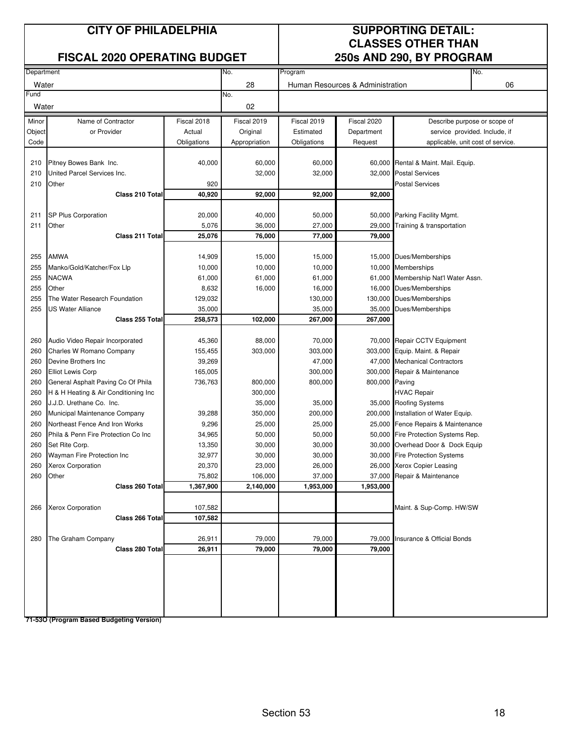### **FISCAL 2020 OPERATING BUDGET 250s AND 290, BY PROGRAM**

## **CITY OF PHILADELPHIA SUPPORTING DETAIL: CLASSES OTHER THAN**

| Department |                                      |             | No.           | Program     |                                  | No.                                  |
|------------|--------------------------------------|-------------|---------------|-------------|----------------------------------|--------------------------------------|
| Water      |                                      |             | 28            |             | Human Resources & Administration | 06                                   |
| Fund       |                                      |             | No.           |             |                                  |                                      |
| Water      |                                      |             | 02            |             |                                  |                                      |
| Minor      | Name of Contractor                   | Fiscal 2018 | Fiscal 2019   | Fiscal 2019 | Fiscal 2020                      | Describe purpose or scope of         |
| Object     | or Provider                          | Actual      | Original      | Estimated   | Department                       | service provided. Include, if        |
| Code       |                                      | Obligations | Appropriation | Obligations | Request                          | applicable, unit cost of service.    |
|            |                                      |             |               |             |                                  |                                      |
| 210        | Pitney Bowes Bank Inc.               | 40,000      | 60,000        | 60,000      |                                  | 60,000 Rental & Maint. Mail. Equip.  |
| 210        | United Parcel Services Inc.          |             | 32,000        | 32,000      |                                  | 32,000 Postal Services               |
| 210        | Other                                | 920         |               |             |                                  | <b>Postal Services</b>               |
|            | Class 210 Total                      | 40,920      | 92,000        | 92,000      | 92,000                           |                                      |
|            |                                      |             |               |             |                                  |                                      |
| 211        | SP Plus Corporation                  | 20,000      | 40,000        | 50,000      |                                  | 50,000 Parking Facility Mgmt.        |
| 211        | Other                                | 5,076       | 36,000        | 27,000      | 29,000                           | Training & transportation            |
|            | Class 211 Total                      | 25,076      | 76,000        | 77,000      | 79,000                           |                                      |
|            |                                      |             |               |             |                                  |                                      |
| 255        | <b>AMWA</b>                          | 14,909      | 15,000        | 15,000      |                                  | 15,000 Dues/Memberships              |
| 255        | Manko/Gold/Katcher/Fox Llp           | 10,000      | 10,000        | 10,000      |                                  | 10,000 Memberships                   |
| 255        | <b>NACWA</b>                         | 61,000      | 61,000        | 61,000      |                                  | 61,000 Membership Nat'l Water Assn.  |
| 255        | Other                                | 8,632       | 16,000        | 16,000      | 16,000                           | Dues/Memberships                     |
| 255        | The Water Research Foundation        | 129,032     |               | 130,000     | 130,000                          | Dues/Memberships                     |
| 255        | US Water Alliance                    | 35,000      |               | 35,000      | 35,000                           | Dues/Memberships                     |
|            | Class 255 Total                      | 258,573     | 102,000       | 267,000     | 267,000                          |                                      |
|            |                                      |             |               |             |                                  |                                      |
| 260        | Audio Video Repair Incorporated      | 45,360      | 88,000        | 70,000      |                                  | 70,000 Repair CCTV Equipment         |
| 260        | Charles W Romano Company             | 155,455     | 303,000       | 303,000     |                                  | 303,000 Equip. Maint. & Repair       |
| 260        | Devine Brothers Inc                  | 39,269      |               | 47,000      | 47,000                           | <b>Mechanical Contractors</b>        |
| 260        | <b>Elliot Lewis Corp</b>             | 165,005     |               | 300,000     | 300,000                          | Repair & Maintenance                 |
| 260        | General Asphalt Paving Co Of Phila   | 736,763     | 800,000       | 800,000     | 800,000 Paving                   |                                      |
| 260        | H & H Heating & Air Conditioning Inc |             | 300,000       |             |                                  | <b>HVAC Repair</b>                   |
| 260        | J.J.D. Urethane Co. Inc.             |             | 35,000        | 35,000      |                                  | 35,000 Roofing Systems               |
| 260        | Municipal Maintenance Company        | 39,288      | 350,000       | 200,000     |                                  | 200,000 Installation of Water Equip. |
| 260        | Northeast Fence And Iron Works       | 9,296       | 25,000        | 25,000      |                                  | 25,000 Fence Repairs & Maintenance   |
| 260        | Phila & Penn Fire Protection Co Inc  | 34,965      | 50,000        | 50,000      |                                  | 50,000 Fire Protection Systems Rep.  |
| 260        | Set Rite Corp.                       | 13,350      | 30,000        | 30,000      | 30,000                           | Overhead Door & Dock Equip           |
| 260        | Wayman Fire Protection Inc           | 32,977      | 30,000        | 30,000      |                                  | 30,000 Fire Protection Systems       |
| 260        | Xerox Corporation                    | 20,370      | 23,000        | 26,000      |                                  | 26,000 Xerox Copier Leasing          |
| 260        | Other                                | 75,802      | 106,000       | 37,000      |                                  | 37,000 Repair & Maintenance          |
|            | Class 260 Total                      | 1,367,900   | 2,140,000     | 1,953,000   | 1,953,000                        |                                      |
|            |                                      |             |               |             |                                  |                                      |
| 266        | <b>Xerox Corporation</b>             | 107,582     |               |             |                                  | Maint. & Sup-Comp. HW/SW             |
|            | Class 266 Total                      | 107,582     |               |             |                                  |                                      |
|            |                                      |             |               |             |                                  |                                      |
| 280        | The Graham Company                   | 26,911      | 79,000        | 79,000      | 79,000                           | Insurance & Official Bonds           |
|            | Class 280 Total                      | 26,911      | 79,000        | 79,000      | 79,000                           |                                      |
|            |                                      |             |               |             |                                  |                                      |
|            |                                      |             |               |             |                                  |                                      |
|            |                                      |             |               |             |                                  |                                      |
|            |                                      |             |               |             |                                  |                                      |
|            |                                      |             |               |             |                                  |                                      |
|            |                                      |             |               |             |                                  |                                      |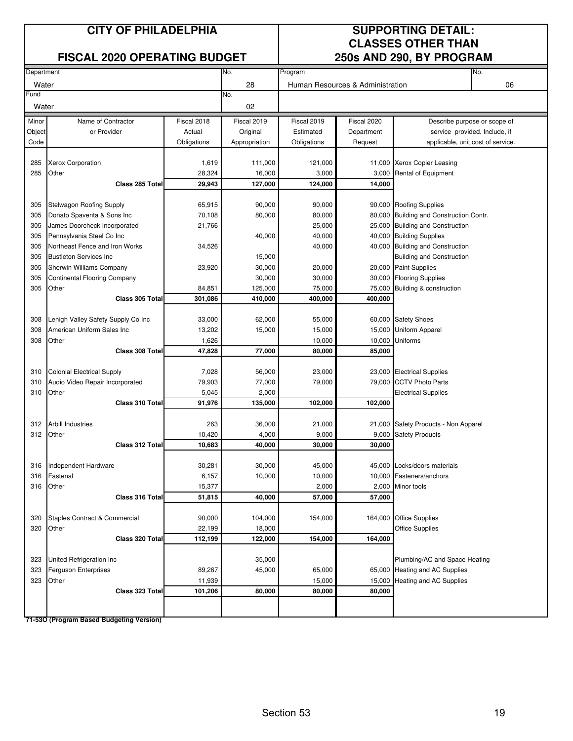### **CITY OF PHILADELPHIA SUPPORTING DETAIL:**

### **FISCAL 2020 OPERATING BUDGET**

# **CLASSES OTHER THAN<br>250s AND 290, BY PROGRAM**

| Department |                                     |             | No.           | Program     |                                  | No.                                     |
|------------|-------------------------------------|-------------|---------------|-------------|----------------------------------|-----------------------------------------|
|            |                                     |             |               |             |                                  |                                         |
| Water      |                                     |             | 28            |             | Human Resources & Administration | 06                                      |
| Fund       |                                     |             | No.           |             |                                  |                                         |
| Water      |                                     |             | 02            |             |                                  |                                         |
| Minor      | Name of Contractor                  | Fiscal 2018 | Fiscal 2019   | Fiscal 2019 | Fiscal 2020                      | Describe purpose or scope of            |
| Object     | or Provider                         | Actual      | Original      | Estimated   | Department                       | service provided. Include, if           |
| Code       |                                     | Obligations | Appropriation | Obligations | Request                          | applicable, unit cost of service.       |
|            |                                     |             |               |             |                                  |                                         |
| 285        | <b>Xerox Corporation</b>            | 1,619       | 111,000       | 121,000     |                                  | 11,000 Xerox Copier Leasing             |
| 285        | Other                               | 28,324      | 16,000        | 3,000       |                                  | 3,000 Rental of Equipment               |
|            | Class 285 Total                     | 29,943      | 127,000       | 124,000     | 14,000                           |                                         |
|            |                                     |             |               |             |                                  |                                         |
| 305        | <b>Stelwagon Roofing Supply</b>     | 65,915      | 90,000        | 90,000      |                                  | 90,000 Roofing Supplies                 |
| 305        | Donato Spaventa & Sons Inc          | 70,108      | 80,000        | 80,000      |                                  | 80,000 Building and Construction Contr. |
| 305        | James Doorcheck Incorporated        | 21,766      |               | 25,000      |                                  | 25,000 Building and Construction        |
| 305        | Pennsylvania Steel Co Inc           |             | 40,000        | 40,000      |                                  | 40,000 Building Supplies                |
| 305        | Northeast Fence and Iron Works      | 34,526      |               | 40,000      |                                  | 40,000 Building and Construction        |
| 305        | <b>Bustleton Services Inc.</b>      |             | 15,000        |             |                                  | <b>Building and Construction</b>        |
| 305        | Sherwin Williams Company            | 23,920      | 30,000        | 20,000      |                                  | 20,000 Paint Supplies                   |
| 305        | <b>Continental Flooring Company</b> |             | 30,000        | 30,000      |                                  | 30,000 Flooring Supplies                |
| 305        | Other                               | 84,851      | 125,000       | 75,000      | 75,000                           | Building & construction                 |
|            | Class 305 Total                     | 301,086     | 410,000       | 400,000     | 400,000                          |                                         |
|            |                                     |             |               |             |                                  |                                         |
| 308        | Lehigh Valley Safety Supply Co Inc  | 33,000      | 62,000        | 55,000      |                                  | 60,000 Safety Shoes                     |
| 308        | American Uniform Sales Inc          | 13,202      | 15,000        | 15,000      |                                  | 15,000 Uniform Apparel                  |
| 308        | Other                               | 1,626       |               | 10,000      |                                  | 10,000 Uniforms                         |
|            | Class 308 Total                     | 47,828      | 77,000        | 80,000      | 85,000                           |                                         |
|            |                                     |             |               |             |                                  |                                         |
| 310        | <b>Colonial Electrical Supply</b>   | 7,028       | 56,000        | 23,000      |                                  | 23,000 Electrical Supplies              |
| 310        | Audio Video Repair Incorporated     | 79,903      | 77,000        | 79,000      |                                  | 79,000 CCTV Photo Parts                 |
| 310        | Other                               | 5,045       | 2,000         |             |                                  | <b>Electrical Supplies</b>              |
|            | Class 310 Total                     | 91,976      | 135,000       | 102,000     | 102,000                          |                                         |
|            |                                     |             |               |             |                                  |                                         |
| 312        | <b>Arbill Industries</b>            | 263         | 36,000        | 21,000      |                                  | 21,000 Safety Products - Non Apparel    |
| 312        | Other                               | 10,420      | 4,000         | 9,000       | 9,000                            | <b>Safety Products</b>                  |
|            | Class 312 Total                     | 10,683      | 40,000        | 30,000      | 30,000                           |                                         |
| 316        | Independent Hardware                | 30,281      | 30,000        | 45,000      |                                  | 45,000 Locks/doors materials            |
| 316        | Fastenal                            | 6,157       | 10,000        | 10,000      |                                  | 10,000 Fasteners/anchors                |
| 316        | Other                               | 15,377      |               | 2,000       |                                  | 2,000 Minor tools                       |
|            | Class 316 Total                     | 51,815      | 40,000        | 57,000      | 57,000                           |                                         |
|            |                                     |             |               |             |                                  |                                         |
| 320        | Staples Contract & Commercial       | 90,000      | 104,000       | 154,000     |                                  | 164,000 Office Supplies                 |
| 320        | Other                               | 22,199      | 18,000        |             |                                  | <b>Office Supplies</b>                  |
|            | Class 320 Total                     | 112,199     | 122,000       | 154,000     | 164,000                          |                                         |
|            |                                     |             |               |             |                                  |                                         |
| 323        | United Refrigeration Inc            |             | 35,000        |             |                                  | Plumbing/AC and Space Heating           |
| 323        | Ferguson Enterprises                | 89,267      | 45,000        | 65,000      |                                  | 65,000 Heating and AC Supplies          |
| 323        | Other                               | 11,939      |               | 15,000      | 15,000                           | Heating and AC Supplies                 |
|            | Class 323 Total                     | 101,206     | 80,000        | 80,000      | 80,000                           |                                         |
|            |                                     |             |               |             |                                  |                                         |
|            |                                     |             |               |             |                                  |                                         |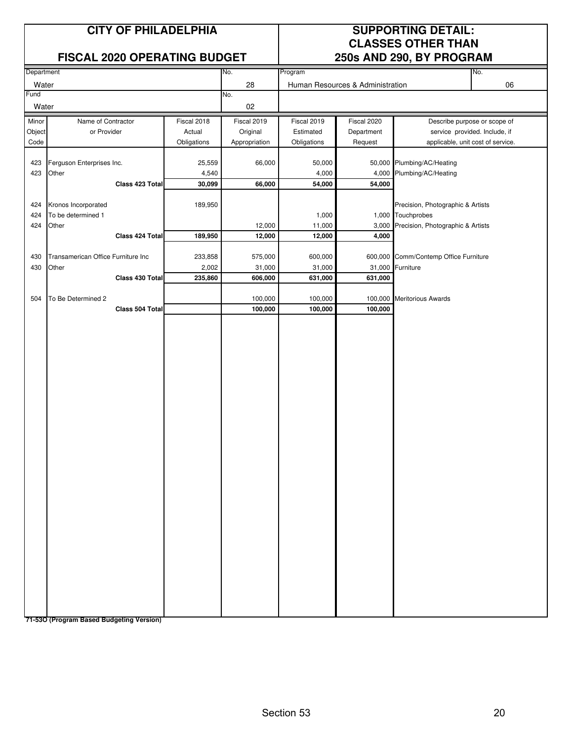### **FISCAL 2020 OPERATING BUDGET**

## **CITY OF PHILADELPHIA SUPPORTING DETAIL: CLASSES OTHER THAN**<br>250s AND 290, BY PROGRAM

|            |                                    |             |               |             |                                  | , , , , , <b>,</b>                    |                              |
|------------|------------------------------------|-------------|---------------|-------------|----------------------------------|---------------------------------------|------------------------------|
| Department |                                    |             | No.           | Program     |                                  |                                       | No.                          |
| Water      |                                    |             | 28            |             | Human Resources & Administration |                                       | 06                           |
| Fund       |                                    |             | No.           |             |                                  |                                       |                              |
| Water      |                                    |             | 02            |             |                                  |                                       |                              |
| Minor      | Name of Contractor                 | Fiscal 2018 | Fiscal 2019   | Fiscal 2019 | Fiscal 2020                      |                                       | Describe purpose or scope of |
| Object     | or Provider                        | Actual      | Original      | Estimated   | Department                       | service provided. Include, if         |                              |
| Code       |                                    | Obligations | Appropriation | Obligations | Request                          | applicable, unit cost of service.     |                              |
|            |                                    |             |               |             |                                  |                                       |                              |
| 423        | Ferguson Enterprises Inc.          | 25,559      | 66,000        | 50,000      |                                  | 50,000 Plumbing/AC/Heating            |                              |
|            |                                    |             |               |             |                                  |                                       |                              |
| 423        | Other                              | 4,540       |               | 4,000       | 4,000                            | Plumbing/AC/Heating                   |                              |
|            | Class 423 Total                    | 30,099      | 66,000        | 54,000      | 54,000                           |                                       |                              |
|            |                                    |             |               |             |                                  |                                       |                              |
| 424        | Kronos Incorporated                | 189,950     |               |             |                                  | Precision, Photographic & Artists     |                              |
| 424        | To be determined 1                 |             |               | 1,000       |                                  | 1,000 Touchprobes                     |                              |
| 424        | Other                              |             | 12,000        | 11,000      | 3,000                            | Precision, Photographic & Artists     |                              |
|            | Class 424 Total                    | 189,950     | 12,000        | 12,000      | 4,000                            |                                       |                              |
|            |                                    |             |               |             |                                  |                                       |                              |
| 430        | Transamerican Office Furniture Inc | 233,858     | 575,000       | 600,000     |                                  | 600,000 Comm/Contemp Office Furniture |                              |
| 430        | Other                              | 2,002       | 31,000        | 31,000      |                                  | 31,000 Furniture                      |                              |
|            |                                    |             |               |             |                                  |                                       |                              |
|            | Class 430 Total                    | 235,860     | 606,000       | 631,000     | 631,000                          |                                       |                              |
|            |                                    |             |               |             |                                  |                                       |                              |
| 504        | To Be Determined 2                 |             | 100,000       | 100,000     | 100,000                          | <b>Meritorious Awards</b>             |                              |
|            | Class 504 Total                    |             | 100,000       | 100,000     | 100,000                          |                                       |                              |
|            |                                    |             |               |             |                                  |                                       |                              |
|            |                                    |             |               |             |                                  |                                       |                              |
|            |                                    |             |               |             |                                  |                                       |                              |
|            |                                    |             |               |             |                                  |                                       |                              |
|            |                                    |             |               |             |                                  |                                       |                              |
|            |                                    |             |               |             |                                  |                                       |                              |
|            |                                    |             |               |             |                                  |                                       |                              |
|            |                                    |             |               |             |                                  |                                       |                              |
|            |                                    |             |               |             |                                  |                                       |                              |
|            |                                    |             |               |             |                                  |                                       |                              |
|            |                                    |             |               |             |                                  |                                       |                              |
|            |                                    |             |               |             |                                  |                                       |                              |
|            |                                    |             |               |             |                                  |                                       |                              |
|            |                                    |             |               |             |                                  |                                       |                              |
|            |                                    |             |               |             |                                  |                                       |                              |
|            |                                    |             |               |             |                                  |                                       |                              |
|            |                                    |             |               |             |                                  |                                       |                              |
|            |                                    |             |               |             |                                  |                                       |                              |
|            |                                    |             |               |             |                                  |                                       |                              |
|            |                                    |             |               |             |                                  |                                       |                              |
|            |                                    |             |               |             |                                  |                                       |                              |
|            |                                    |             |               |             |                                  |                                       |                              |
|            |                                    |             |               |             |                                  |                                       |                              |
|            |                                    |             |               |             |                                  |                                       |                              |
|            |                                    |             |               |             |                                  |                                       |                              |
|            |                                    |             |               |             |                                  |                                       |                              |
|            |                                    |             |               |             |                                  |                                       |                              |
|            |                                    |             |               |             |                                  |                                       |                              |
|            |                                    |             |               |             |                                  |                                       |                              |
|            |                                    |             |               |             |                                  |                                       |                              |
|            |                                    |             |               |             |                                  |                                       |                              |
|            |                                    |             |               |             |                                  |                                       |                              |
|            |                                    |             |               |             |                                  |                                       |                              |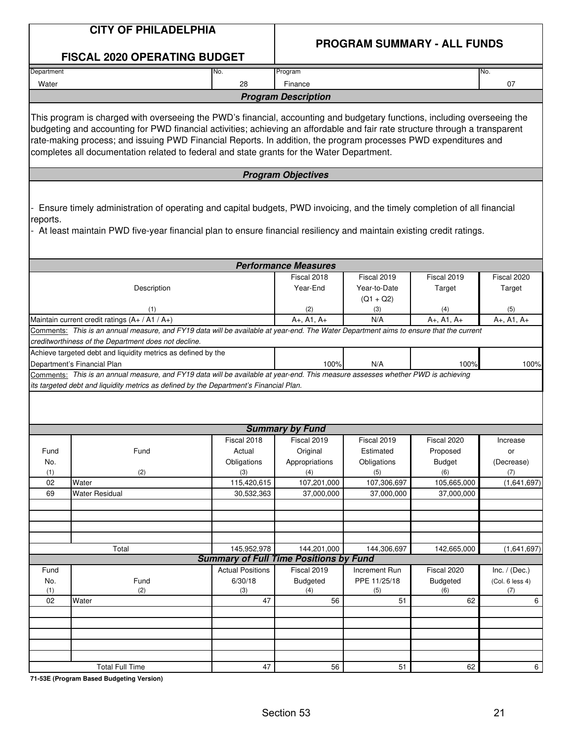|            | <b>CITY OF PHILADELPHIA</b>                                                                                                                                                                                                                                                                                                                  |                                               |                                       |                                    |                                    |                 |
|------------|----------------------------------------------------------------------------------------------------------------------------------------------------------------------------------------------------------------------------------------------------------------------------------------------------------------------------------------------|-----------------------------------------------|---------------------------------------|------------------------------------|------------------------------------|-----------------|
|            | <b>FISCAL 2020 OPERATING BUDGET</b>                                                                                                                                                                                                                                                                                                          |                                               |                                       | <b>PROGRAM SUMMARY - ALL FUNDS</b> |                                    |                 |
| Department |                                                                                                                                                                                                                                                                                                                                              | No.                                           | Program                               |                                    |                                    | No.             |
| Water      |                                                                                                                                                                                                                                                                                                                                              | 28                                            | Finance                               |                                    |                                    | 07              |
|            |                                                                                                                                                                                                                                                                                                                                              |                                               | <b>Program Description</b>            |                                    |                                    |                 |
|            | This program is charged with overseeing the PWD's financial, accounting and budgetary functions, including overseeing the                                                                                                                                                                                                                    |                                               |                                       |                                    |                                    |                 |
|            | budgeting and accounting for PWD financial activities; achieving an affordable and fair rate structure through a transparent<br>rate-making process; and issuing PWD Financial Reports. In addition, the program processes PWD expenditures and<br>completes all documentation related to federal and state grants for the Water Department. |                                               |                                       |                                    |                                    |                 |
|            |                                                                                                                                                                                                                                                                                                                                              |                                               | <b>Program Objectives</b>             |                                    |                                    |                 |
| reports.   | Ensure timely administration of operating and capital budgets, PWD invoicing, and the timely completion of all financial<br>At least maintain PWD five-year financial plan to ensure financial resiliency and maintain existing credit ratings.                                                                                              |                                               |                                       |                                    |                                    |                 |
|            |                                                                                                                                                                                                                                                                                                                                              |                                               | <b>Performance Measures</b>           |                                    |                                    |                 |
|            |                                                                                                                                                                                                                                                                                                                                              |                                               | Fiscal 2018                           | Fiscal 2019                        | Fiscal 2019                        | Fiscal 2020     |
|            | Description                                                                                                                                                                                                                                                                                                                                  |                                               | Year-End                              | Year-to-Date                       | Target                             | Target          |
|            | (1)                                                                                                                                                                                                                                                                                                                                          |                                               | (2)                                   | $(Q1 + Q2)$<br>(3)                 | (4)                                | (5)             |
|            | Maintain current credit ratings (A+ / A1 / A+)                                                                                                                                                                                                                                                                                               |                                               | $A+$ , A1, $A+$                       | N/A                                | $A_{+}$ , A <sub>1</sub> , $A_{+}$ | $A+, A1, A+$    |
|            | Comments: This is an annual measure, and FY19 data will be available at year-end. The Water Department aims to ensure that the current                                                                                                                                                                                                       |                                               |                                       |                                    |                                    |                 |
|            | creditworthiness of the Department does not decline.                                                                                                                                                                                                                                                                                         |                                               |                                       |                                    |                                    |                 |
|            | Achieve targeted debt and liquidity metrics as defined by the                                                                                                                                                                                                                                                                                |                                               |                                       |                                    |                                    |                 |
|            | Department's Financial Plan                                                                                                                                                                                                                                                                                                                  |                                               | 100%                                  | N/A                                | 100%                               | 100%            |
|            | Comments: This is an annual measure, and FY19 data will be available at year-end. This measure assesses whether PWD is achieving                                                                                                                                                                                                             |                                               |                                       |                                    |                                    |                 |
|            | its targeted debt and liquidity metrics as defined by the Department's Financial Plan.                                                                                                                                                                                                                                                       |                                               |                                       |                                    |                                    |                 |
|            |                                                                                                                                                                                                                                                                                                                                              |                                               |                                       |                                    |                                    |                 |
|            |                                                                                                                                                                                                                                                                                                                                              |                                               |                                       |                                    |                                    |                 |
|            |                                                                                                                                                                                                                                                                                                                                              | Fiscal 2018                                   | <b>Summary by Fund</b><br>Fiscal 2019 | Fiscal 2019                        | Fiscal 2020                        |                 |
| Fund       | Fund                                                                                                                                                                                                                                                                                                                                         | Actual                                        | Original                              | Estimated                          | Proposed                           | Increase<br>or  |
| No.        |                                                                                                                                                                                                                                                                                                                                              | Obligations                                   | Appropriations                        | Obligations                        | <b>Budget</b>                      | (Decrease)      |
| (1)        | (2)                                                                                                                                                                                                                                                                                                                                          | (3)                                           | (4)                                   | (5)                                | (6)                                | (7)             |
| 02         | Water                                                                                                                                                                                                                                                                                                                                        | 115,420,615                                   | 107,201,000                           | 107,306,697                        | 105,665,000                        | (1,641,697)     |
| 69         | <b>Water Residual</b>                                                                                                                                                                                                                                                                                                                        | 30,532,363                                    | 37,000,000                            | 37,000,000                         | 37,000,000                         |                 |
|            |                                                                                                                                                                                                                                                                                                                                              |                                               |                                       |                                    |                                    |                 |
|            |                                                                                                                                                                                                                                                                                                                                              |                                               |                                       |                                    |                                    |                 |
|            |                                                                                                                                                                                                                                                                                                                                              |                                               |                                       |                                    |                                    |                 |
|            | Total                                                                                                                                                                                                                                                                                                                                        | 145,952,978                                   | 144,201,000                           | 144,306,697                        | 142,665,000                        | (1,641,697)     |
|            |                                                                                                                                                                                                                                                                                                                                              | <b>Summary of Full Time Positions by Fund</b> |                                       |                                    |                                    |                 |
| Fund       |                                                                                                                                                                                                                                                                                                                                              | <b>Actual Positions</b>                       | Fiscal 2019                           | Increment Run                      | Fiscal 2020                        | Inc. $/$ (Dec.) |
| No.        | Fund                                                                                                                                                                                                                                                                                                                                         | 6/30/18                                       | Budgeted                              | PPE 11/25/18                       | <b>Budgeted</b>                    | (Col. 6 less 4) |
| (1)        | (2)                                                                                                                                                                                                                                                                                                                                          | (3)                                           | (4)                                   | (5)                                | (6)                                | (7)             |
| 02         | Water                                                                                                                                                                                                                                                                                                                                        | 47                                            | 56                                    | 51                                 | 62                                 | 6               |
|            |                                                                                                                                                                                                                                                                                                                                              |                                               |                                       |                                    |                                    |                 |
|            |                                                                                                                                                                                                                                                                                                                                              |                                               |                                       |                                    |                                    |                 |
|            |                                                                                                                                                                                                                                                                                                                                              |                                               |                                       |                                    |                                    |                 |
|            |                                                                                                                                                                                                                                                                                                                                              |                                               |                                       |                                    |                                    |                 |
|            | <b>Total Full Time</b>                                                                                                                                                                                                                                                                                                                       | $\overline{47}$                               | 56                                    | 51                                 | 62                                 | 6               |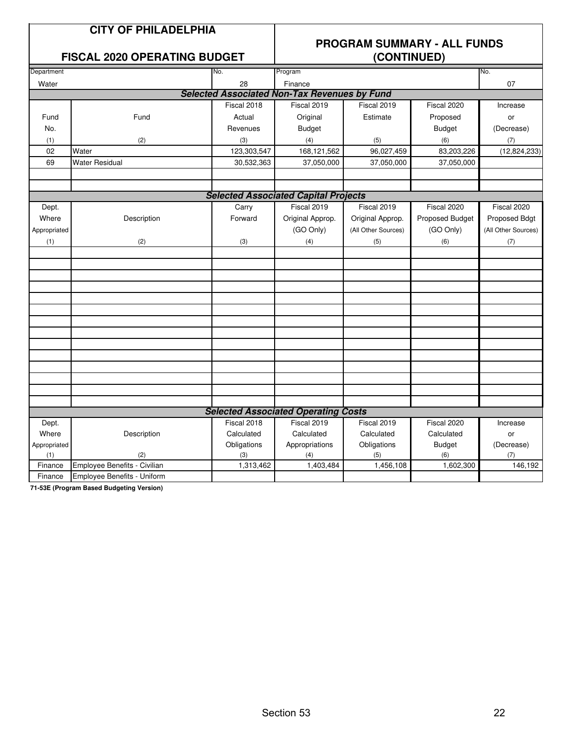### **CITY OF PHILADELPHIA**

### **FISCAL 2020 OPERATING BUDGET**

# **PROGRAM SUMMARY - ALL FUNDS**

| Department   |                              | No.         | Program                                             |                     |                 | No.                 |  |  |
|--------------|------------------------------|-------------|-----------------------------------------------------|---------------------|-----------------|---------------------|--|--|
| Water        |                              | 28          | Finance                                             |                     |                 | 07                  |  |  |
|              |                              |             | <b>Selected Associated Non-Tax Revenues by Fund</b> |                     |                 |                     |  |  |
|              |                              | Fiscal 2018 | Fiscal 2019                                         | Fiscal 2019         | Fiscal 2020     | Increase            |  |  |
| Fund         | Fund                         | Actual      | Original                                            | Estimate            | Proposed        | or                  |  |  |
| No.          |                              | Revenues    | <b>Budget</b>                                       |                     | <b>Budget</b>   | (Decrease)          |  |  |
| (1)          | (2)                          | (3)         | (4)                                                 | (5)                 | (6)             | (7)                 |  |  |
| 02           | Water                        | 123,303,547 | 168,121,562                                         | 96,027,459          | 83,203,226      | (12, 824, 233)      |  |  |
| 69           | <b>Water Residual</b>        | 30,532,363  | 37,050,000                                          | 37,050,000          | 37,050,000      |                     |  |  |
|              |                              |             |                                                     |                     |                 |                     |  |  |
|              |                              |             |                                                     |                     |                 |                     |  |  |
|              |                              |             | <b>Selected Associated Capital Projects</b>         |                     |                 |                     |  |  |
| Dept.        |                              | Carry       | Fiscal 2019                                         | Fiscal 2019         | Fiscal 2020     | Fiscal 2020         |  |  |
| Where        | Description                  | Forward     | Original Approp.                                    | Original Approp.    | Proposed Budget | Proposed Bdgt       |  |  |
| Appropriated |                              |             | (GO Only)                                           | (All Other Sources) | (GO Only)       | (All Other Sources) |  |  |
| (1)          | (2)                          | (3)         | (4)                                                 | (5)                 | (6)             | $\left( 7\right)$   |  |  |
|              |                              |             |                                                     |                     |                 |                     |  |  |
|              |                              |             |                                                     |                     |                 |                     |  |  |
|              |                              |             |                                                     |                     |                 |                     |  |  |
|              |                              |             |                                                     |                     |                 |                     |  |  |
|              |                              |             |                                                     |                     |                 |                     |  |  |
|              |                              |             |                                                     |                     |                 |                     |  |  |
|              |                              |             |                                                     |                     |                 |                     |  |  |
|              |                              |             |                                                     |                     |                 |                     |  |  |
|              |                              |             |                                                     |                     |                 |                     |  |  |
|              |                              |             |                                                     |                     |                 |                     |  |  |
|              |                              |             |                                                     |                     |                 |                     |  |  |
|              |                              |             |                                                     |                     |                 |                     |  |  |
|              |                              |             |                                                     |                     |                 |                     |  |  |
|              |                              |             |                                                     |                     |                 |                     |  |  |
|              |                              |             | <b>Selected Associated Operating Costs</b>          |                     |                 |                     |  |  |
| Dept.        |                              | Fiscal 2018 | Fiscal 2019                                         | Fiscal 2019         | Fiscal 2020     | Increase            |  |  |
| Where        | Description                  | Calculated  | Calculated                                          | Calculated          | Calculated      | or                  |  |  |
| Appropriated |                              | Obligations | Appropriations                                      | Obligations         | <b>Budget</b>   | (Decrease)          |  |  |
| (1)          | (2)                          | (3)         | (4)                                                 | (5)                 | (6)             | (7)                 |  |  |
| Finance      | Employee Benefits - Civilian | 1,313,462   | 1,403,484                                           | 1,456,108           | 1,602,300       | 146,192             |  |  |
| Finance      | Employee Benefits - Uniform  |             |                                                     |                     |                 |                     |  |  |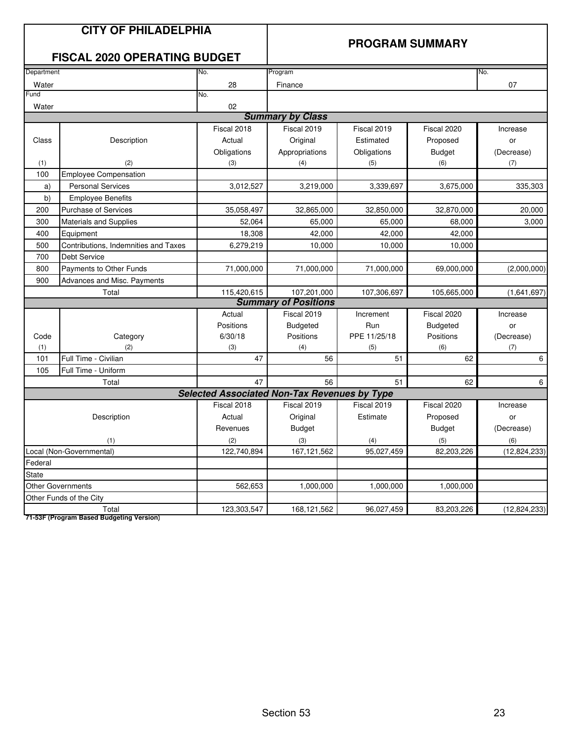|              | <b>CITY OF PHILADELPHIA</b><br><b>FISCAL 2020 OPERATING BUDGET</b> |                                                     |                             |              | <b>PROGRAM SUMMARY</b> |                |  |  |  |
|--------------|--------------------------------------------------------------------|-----------------------------------------------------|-----------------------------|--------------|------------------------|----------------|--|--|--|
| Department   |                                                                    | No.                                                 | Program                     |              |                        | No.            |  |  |  |
| Water        |                                                                    | 28                                                  | Finance                     |              |                        | 07             |  |  |  |
| Fund         |                                                                    | No.                                                 |                             |              |                        |                |  |  |  |
| Water        |                                                                    | 02                                                  |                             |              |                        |                |  |  |  |
|              |                                                                    |                                                     | <b>Summary by Class</b>     |              |                        |                |  |  |  |
|              |                                                                    | Fiscal 2018                                         | Fiscal 2019                 | Fiscal 2019  | Fiscal 2020            | Increase       |  |  |  |
| Class        | Description                                                        | Actual                                              | Original                    | Estimated    | Proposed               | or             |  |  |  |
|              |                                                                    | Obligations                                         | Appropriations              | Obligations  | <b>Budget</b>          | (Decrease)     |  |  |  |
| (1)          | (2)                                                                | (3)                                                 | (4)                         | (5)          | (6)                    | (7)            |  |  |  |
| 100          | <b>Employee Compensation</b>                                       |                                                     |                             |              |                        |                |  |  |  |
| a)           | <b>Personal Services</b>                                           | 3,012,527                                           | 3,219,000                   | 3,339,697    | 3,675,000              | 335,303        |  |  |  |
| b)           | <b>Employee Benefits</b>                                           |                                                     |                             |              |                        |                |  |  |  |
| 200          | <b>Purchase of Services</b>                                        | 35,058,497                                          | 32,865,000                  | 32,850,000   | 32,870,000             | 20,000         |  |  |  |
| 300          | Materials and Supplies                                             | 52,064                                              | 65,000                      | 65,000       | 68,000                 | 3,000          |  |  |  |
| 400          | Equipment                                                          | 18,308                                              | 42,000                      | 42,000       | 42,000                 |                |  |  |  |
| 500          | Contributions, Indemnities and Taxes                               | 6,279,219                                           | 10,000                      | 10,000       | 10,000                 |                |  |  |  |
| 700          | Debt Service                                                       |                                                     |                             |              |                        |                |  |  |  |
| 800          | Payments to Other Funds                                            | 71,000,000                                          | 71,000,000                  | 71,000,000   | 69,000,000             | (2,000,000)    |  |  |  |
| 900          | <b>Advances and Misc. Payments</b>                                 |                                                     |                             |              |                        |                |  |  |  |
|              | Total                                                              | 115,420,615                                         | 107,201,000                 | 107,306,697  | 105,665,000            | (1,641,697)    |  |  |  |
|              |                                                                    |                                                     | <b>Summary of Positions</b> |              |                        |                |  |  |  |
|              |                                                                    | Actual                                              | Fiscal 2019                 | Increment    | Fiscal 2020            | Increase       |  |  |  |
|              |                                                                    | Positions                                           | <b>Budgeted</b>             | Run          | <b>Budgeted</b>        | or             |  |  |  |
| Code         | Category                                                           | 6/30/18                                             | Positions                   | PPE 11/25/18 | Positions              | (Decrease)     |  |  |  |
| (1)          | (2)                                                                | (3)                                                 | (4)                         | (5)          | (6)                    | (7)            |  |  |  |
| 101          | Full Time - Civilian                                               | 47                                                  | 56                          | 51           | 62                     | 6              |  |  |  |
| 105          | Full Time - Uniform                                                |                                                     |                             |              |                        |                |  |  |  |
|              | Total                                                              | 47                                                  | 56                          | 51           | 62                     | 6              |  |  |  |
|              |                                                                    | <b>Selected Associated Non-Tax Revenues by Type</b> |                             |              |                        |                |  |  |  |
|              |                                                                    | Fiscal 2018                                         | Fiscal 2019                 | Fiscal 2019  | Fiscal 2020            | Increase       |  |  |  |
|              | Description                                                        | Actual                                              | Original                    | Estimate     | Proposed               | or             |  |  |  |
|              |                                                                    | Revenues                                            | <b>Budget</b>               |              | <b>Budget</b>          | (Decrease)     |  |  |  |
|              | (1)                                                                | (2)                                                 | (3)                         | (4)          |                        | (6)            |  |  |  |
|              | Local (Non-Governmental)                                           | 122,740,894                                         | 167, 121, 562               | 95,027,459   | 82,203,226             | (12,824,233)   |  |  |  |
| Federal      |                                                                    |                                                     |                             |              |                        |                |  |  |  |
| <b>State</b> |                                                                    |                                                     |                             |              |                        |                |  |  |  |
|              | <b>Other Governments</b>                                           | 562,653                                             | 1,000,000                   | 1,000,000    | 1,000,000              |                |  |  |  |
|              | Other Funds of the City                                            |                                                     |                             |              |                        |                |  |  |  |
|              | Total                                                              | 123,303,547                                         | 168,121,562                 | 96,027,459   | 83,203,226             | (12, 824, 233) |  |  |  |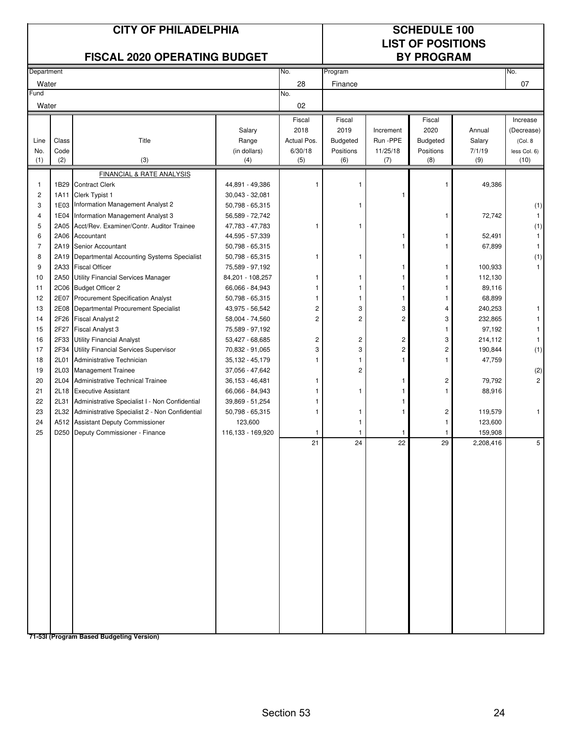|                |              | <b>CITY OF PHILADELPHIA</b><br><b>FISCAL 2020 OPERATING BUDGET</b> |                                    |                         |                         | <b>SCHEDULE 100</b><br><b>LIST OF POSITIONS</b><br><b>BY PROGRAM</b> |                         |                      |                       |
|----------------|--------------|--------------------------------------------------------------------|------------------------------------|-------------------------|-------------------------|----------------------------------------------------------------------|-------------------------|----------------------|-----------------------|
| Department     |              |                                                                    |                                    | No.                     | Program                 |                                                                      |                         |                      | No.                   |
| Water          |              |                                                                    |                                    | 28                      | Finance                 |                                                                      |                         |                      | 07                    |
| Fund           |              |                                                                    |                                    | No.                     |                         |                                                                      |                         |                      |                       |
| Water          |              |                                                                    |                                    | 02                      |                         |                                                                      |                         |                      |                       |
|                |              |                                                                    |                                    | Fiscal                  | Fiscal                  |                                                                      | Fiscal                  |                      | Increase              |
| Line           | Class        | Title                                                              | Salary<br>Range                    | 2018<br>Actual Pos.     | 2019<br><b>Budgeted</b> | Increment<br>Run -PPE                                                | 2020<br><b>Budgeted</b> | Annual<br>Salary     | (Decrease)<br>(Col. 8 |
| No.            | Code         |                                                                    | (in dollars)                       | 6/30/18                 | Positions               | 11/25/18                                                             | Positions               | 7/1/19               | less Col. 6)          |
| (1)            | (2)          | (3)                                                                | (4)                                | (5)                     | (6)                     | (7)                                                                  | (8)                     | (9)                  | (10)                  |
|                |              | <b>FINANCIAL &amp; RATE ANALYSIS</b>                               |                                    |                         |                         |                                                                      |                         |                      |                       |
| 1              | 1B29         | <b>Contract Clerk</b>                                              | 44,891 - 49,386                    |                         | 1                       |                                                                      | 1                       | 49,386               |                       |
| 2              | 1A11         | Clerk Typist 1                                                     | $30,043 - 32,081$                  |                         |                         | 1                                                                    |                         |                      |                       |
| 3              | 1E03         | Information Management Analyst 2                                   | 50,798 - 65,315                    |                         | 1                       |                                                                      |                         |                      | (1)                   |
| 4              | 1E04         | Information Management Analyst 3                                   | 56,589 - 72,742                    |                         |                         |                                                                      | 1                       | 72,742               | $\mathbf{1}$          |
| 5<br>6         | 2A05<br>2A06 | Acct/Rev. Examiner/Contr. Auditor Trainee<br>Accountant            | 47,783 - 47,783<br>44,595 - 57,339 |                         |                         |                                                                      |                         | 52,491               | (1)<br>1              |
| $\overline{7}$ | 2A19         | Senior Accountant                                                  | 50,798 - 65,315                    |                         |                         |                                                                      |                         | 67,899               | 1                     |
| 8              | 2A19         | Departmental Accounting Systems Specialist                         | 50,798 - 65,315                    |                         | 1                       |                                                                      |                         |                      | (1)                   |
| 9              | 2A33         | <b>Fiscal Officer</b>                                              | 75,589 - 97,192                    |                         |                         | 1                                                                    | 1                       | 100,933              | 1                     |
| 10             | 2A50         | <b>Utility Financial Services Manager</b>                          | 84,201 - 108,257                   |                         | 1                       | 1                                                                    | 1                       | 112,130              |                       |
| 11             | 2C06         | <b>Budget Officer 2</b>                                            | 66,066 - 84,943                    |                         | 1                       | 1                                                                    | 1                       | 89,116               |                       |
| 12             | 2E07         | <b>Procurement Specification Analyst</b>                           | 50,798 - 65,315                    |                         | 1                       | -1                                                                   |                         | 68,899               |                       |
| 13             | 2E08         | Departmental Procurement Specialist                                | 43,975 - 56,542                    | 2                       | 3                       | 3                                                                    | 4                       | 240,253              | 1                     |
| 14             | 2F26         | <b>Fiscal Analyst 2</b>                                            | 58,004 - 74,560                    | $\overline{c}$          | $\overline{\mathbf{c}}$ | 2                                                                    | 3                       | 232,865              |                       |
| 15<br>16       | 2F27<br>2F33 | <b>Fiscal Analyst 3</b><br><b>Utility Financial Analyst</b>        | 75,589 - 97,192<br>53,427 - 68,685 | $\overline{\mathbf{c}}$ | 2                       | 2                                                                    | 1<br>3                  | 97,192<br>214,112    | 1                     |
| 17             | 2F34         | Utility Financial Services Supervisor                              | 70,832 - 91,065                    | 3                       | 3                       | 2                                                                    | 2                       | 190,844              | (1)                   |
| 18             | 2L01         | Administrative Technician                                          | 35,132 - 45,179                    |                         | 1                       | 1                                                                    |                         | 47,759               |                       |
| 19             | 2L03         | <b>Management Trainee</b>                                          | 37,056 - 47,642                    |                         | $\overline{c}$          |                                                                      |                         |                      | (2)                   |
| 20             | 2L04         | <b>Administrative Technical Trainee</b>                            | $36,153 - 46,481$                  |                         |                         |                                                                      | 2                       | 79,792               | $\overline{c}$        |
| 21             | 2L18         | <b>Executive Assistant</b>                                         | 66,066 - 84,943                    |                         |                         |                                                                      | 1                       | 88,916               |                       |
| 22             | 2L31         | Administrative Specialist I - Non Confidential                     | 39,869 - 51,254                    |                         |                         | 1                                                                    |                         |                      |                       |
| 23             | 2L32         | Administrative Specialist 2 - Non Confidential                     | 50,798 - 65,315                    |                         | 1                       | 1                                                                    | $\overline{\mathbf{c}}$ | 119,579              | 1                     |
| 24             |              | A512 Assistant Deputy Commissioner                                 | 123,600                            |                         | 1                       |                                                                      |                         | 123,600              |                       |
| 25             |              | D250 Deputy Commissioner - Finance                                 | 116,133 - 169,920                  | 1<br>21                 | 1                       | 1                                                                    | 29                      | 159,908<br>2,208,416 |                       |
|                |              |                                                                    |                                    |                         | 24                      | 22                                                                   |                         |                      |                       |
|                |              |                                                                    |                                    |                         |                         |                                                                      |                         |                      |                       |
|                |              |                                                                    |                                    |                         |                         |                                                                      |                         |                      |                       |
|                |              |                                                                    |                                    |                         |                         |                                                                      |                         |                      |                       |
|                |              |                                                                    |                                    |                         |                         |                                                                      |                         |                      |                       |
|                |              |                                                                    |                                    |                         |                         |                                                                      |                         |                      |                       |
|                |              |                                                                    |                                    |                         |                         |                                                                      |                         |                      |                       |
|                |              |                                                                    |                                    |                         |                         |                                                                      |                         |                      |                       |
|                |              |                                                                    |                                    |                         |                         |                                                                      |                         |                      |                       |
|                |              |                                                                    |                                    |                         |                         |                                                                      |                         |                      |                       |
|                |              |                                                                    |                                    |                         |                         |                                                                      |                         |                      |                       |
|                |              |                                                                    |                                    |                         |                         |                                                                      |                         |                      |                       |
|                |              |                                                                    |                                    |                         |                         |                                                                      |                         |                      |                       |
|                |              |                                                                    |                                    |                         |                         |                                                                      |                         |                      |                       |
|                |              |                                                                    |                                    |                         |                         |                                                                      |                         |                      |                       |
|                |              |                                                                    |                                    |                         |                         |                                                                      |                         |                      |                       |
|                |              |                                                                    |                                    |                         |                         |                                                                      |                         |                      |                       |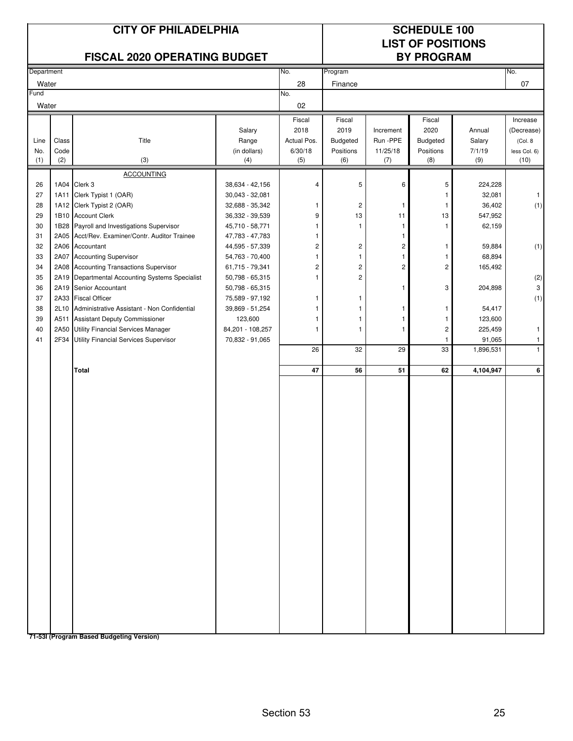|            | <b>CITY OF PHILADELPHIA</b><br><b>FISCAL 2020 OPERATING BUDGET</b> |                                                                              |                                    |                         |                         |                | <b>SCHEDULE 100</b><br><b>LIST OF POSITIONS</b><br><b>BY PROGRAM</b> |                   |                        |
|------------|--------------------------------------------------------------------|------------------------------------------------------------------------------|------------------------------------|-------------------------|-------------------------|----------------|----------------------------------------------------------------------|-------------------|------------------------|
| Department |                                                                    |                                                                              |                                    | No.                     | Program                 |                |                                                                      |                   | No.                    |
| Water      |                                                                    |                                                                              |                                    | 28                      | Finance                 |                |                                                                      |                   | 07                     |
| Fund       |                                                                    |                                                                              |                                    | No.<br>02               |                         |                |                                                                      |                   |                        |
| Water      |                                                                    |                                                                              |                                    |                         |                         |                |                                                                      |                   |                        |
|            |                                                                    |                                                                              | Salary                             | Fiscal<br>2018          | Fiscal<br>2019          | Increment      | Fiscal<br>2020                                                       | Annual            | Increase<br>(Decrease) |
| Line       | Class                                                              | Title                                                                        | Range                              | Actual Pos.             | Budgeted                | Run -PPE       | Budgeted                                                             | Salary            | (Col. 8                |
| No.        | Code                                                               |                                                                              | (in dollars)                       | 6/30/18                 | Positions               | 11/25/18       | Positions                                                            | 7/1/19            | less Col. 6)           |
| (1)        | (2)                                                                | (3)                                                                          | (4)                                | (5)                     | (6)                     | (7)            | (8)                                                                  | (9)               | (10)                   |
|            |                                                                    | <b>ACCOUNTING</b>                                                            |                                    |                         |                         |                |                                                                      |                   |                        |
| 26<br>27   | 1A04<br>1A11                                                       | Clerk 3<br>Clerk Typist 1 (OAR)                                              | 38,634 - 42,156<br>30,043 - 32,081 | 4                       | 5                       | 6              | 5<br>1                                                               | 224,228<br>32,081 | $\mathbf{1}$           |
| 28         |                                                                    | 1A12 Clerk Typist 2 (OAR)                                                    | 32,688 - 35,342                    | 1                       | 2                       | -1             | -1                                                                   | 36,402            | (1)                    |
| 29         |                                                                    | 1B10 Account Clerk                                                           | 36,332 - 39,539                    | 9                       | 13                      | 11             | 13                                                                   | 547,952           |                        |
| 30         | 1B28                                                               | Payroll and Investigations Supervisor                                        | 45,710 - 58,771                    | 1                       | 1                       | $\mathbf{1}$   | 1                                                                    | 62,159            |                        |
| 31         | 2A05                                                               | Acct/Rev. Examiner/Contr. Auditor Trainee                                    | 47,783 - 47,783                    | 1                       |                         | -1             |                                                                      |                   |                        |
| 32         | 2A06                                                               | Accountant                                                                   | 44,595 - 57,339                    | $\overline{\mathbf{c}}$ | 2                       | $\overline{c}$ | 1                                                                    | 59,884            | (1)                    |
| 33         |                                                                    | 2A07 Accounting Supervisor                                                   | 54,763 - 70,400                    | 1                       | $\mathbf{1}$            | $\mathbf{1}$   | 1                                                                    | 68,894            |                        |
| 34         |                                                                    | 2A08 Accounting Transactions Supervisor                                      | 61,715 - 79,341                    | $\overline{c}$          | $\overline{\mathbf{c}}$ | 2              | 2                                                                    | 165,492           |                        |
| 35         | 2A19                                                               | Departmental Accounting Systems Specialist                                   | 50,798 - 65,315                    | 1                       | $\overline{\mathbf{c}}$ |                |                                                                      |                   | (2)                    |
| 36         | 2A19                                                               | Senior Accountant                                                            | 50,798 - 65,315                    |                         |                         | 1              | 3                                                                    | 204,898           | 3                      |
| 37         | 2A33                                                               | <b>Fiscal Officer</b>                                                        | 75,589 - 97,192                    |                         | 1                       |                |                                                                      |                   | (1)                    |
| 38<br>39   | 2L10<br>A511                                                       | Administrative Assistant - Non Confidential<br>Assistant Deputy Commissioner | 39,869 - 51,254                    | 1                       | 1<br>1                  | 1<br>-1        | 1<br>-1                                                              | 54,417<br>123,600 |                        |
| 40         | 2A50                                                               | Utility Financial Services Manager                                           | 123,600<br>84,201 - 108,257        | 1                       | $\mathbf{1}$            | 1              | $\overline{\mathbf{c}}$                                              | 225,459           | $\mathbf{1}$           |
| 41         | 2F34                                                               | Utility Financial Services Supervisor                                        | 70,832 - 91,065                    |                         |                         |                | 1                                                                    | 91,065            | $\mathbf{1}$           |
|            |                                                                    |                                                                              |                                    | 26                      | 32                      | 29             | 33                                                                   | 1,896,531         | $\mathbf{1}$           |
|            |                                                                    | Total                                                                        |                                    | 47                      | 56                      | 51             | 62                                                                   | 4,104,947         | 6                      |
|            |                                                                    | 71-531 (Program Based Budgeting Version)                                     |                                    |                         |                         |                |                                                                      |                   |                        |

Section 53 25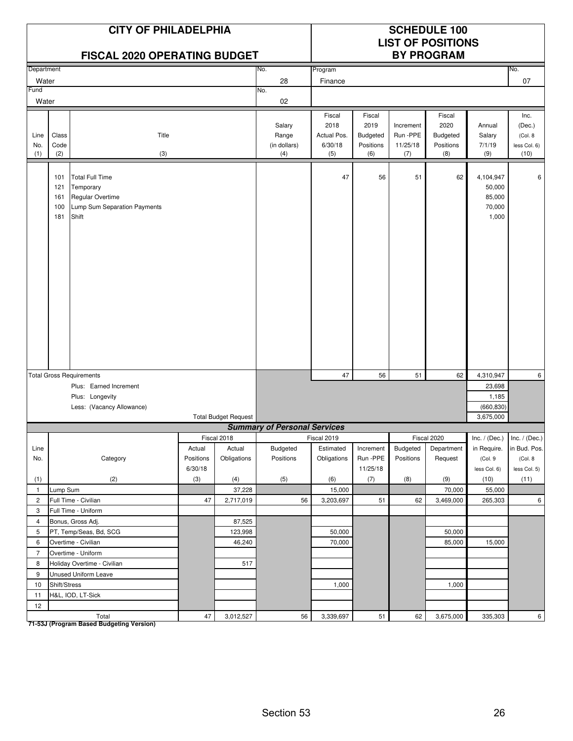|                    | <b>CITY OF PHILADELPHIA</b><br><b>FISCAL 2020 OPERATING BUDGET</b> |                                                                                                  |           |                             |                                        |                                                 | <b>SCHEDULE 100</b><br><b>LIST OF POSITIONS</b><br><b>BY PROGRAM</b> |                                         |                                                       |                                                  |                                                   |
|--------------------|--------------------------------------------------------------------|--------------------------------------------------------------------------------------------------|-----------|-----------------------------|----------------------------------------|-------------------------------------------------|----------------------------------------------------------------------|-----------------------------------------|-------------------------------------------------------|--------------------------------------------------|---------------------------------------------------|
| Department         |                                                                    |                                                                                                  |           |                             | No.                                    | Program                                         |                                                                      |                                         |                                                       |                                                  | No.                                               |
| Water              |                                                                    |                                                                                                  |           |                             | 28                                     | Finance                                         |                                                                      |                                         |                                                       |                                                  | 07                                                |
| Fund               |                                                                    |                                                                                                  |           |                             | No.                                    |                                                 |                                                                      |                                         |                                                       |                                                  |                                                   |
| Water              |                                                                    |                                                                                                  |           |                             | 02                                     |                                                 |                                                                      |                                         |                                                       |                                                  |                                                   |
| Line<br>No.<br>(1) | Class<br>Code<br>(2)                                               | Title<br>(3)                                                                                     |           |                             | Salary<br>Range<br>(in dollars)<br>(4) | Fiscal<br>2018<br>Actual Pos.<br>6/30/18<br>(5) | Fiscal<br>2019<br><b>Budgeted</b><br>Positions<br>(6)                | Increment<br>Run-PPE<br>11/25/18<br>(7) | Fiscal<br>2020<br><b>Budgeted</b><br>Positions<br>(8) | Annual<br>Salary<br>7/1/19<br>(9)                | Inc.<br>(Dec.)<br>(Col. 8<br>less Col. 6)<br>(10) |
|                    | 101<br>121<br>161<br>100<br>181                                    | <b>Total Full Time</b><br>Temporary<br>Regular Overtime<br>Lump Sum Separation Payments<br>Shift |           |                             |                                        | 47                                              | 56                                                                   | 51                                      | 62                                                    | 4,104,947<br>50,000<br>85,000<br>70,000<br>1,000 | 6                                                 |
|                    |                                                                    | <b>Total Gross Requirements</b>                                                                  |           |                             |                                        | 47                                              | 56                                                                   | 51                                      | 62                                                    | 4,310,947                                        | 6                                                 |
|                    |                                                                    | Plus: Earned Increment                                                                           |           |                             |                                        |                                                 |                                                                      |                                         |                                                       | 23,698                                           |                                                   |
|                    |                                                                    | Plus: Longevity                                                                                  |           |                             |                                        |                                                 |                                                                      |                                         |                                                       | 1,185                                            |                                                   |
|                    |                                                                    | Less: (Vacancy Allowance)                                                                        |           |                             |                                        |                                                 |                                                                      |                                         |                                                       | (660, 830)                                       |                                                   |
|                    |                                                                    |                                                                                                  |           | <b>Total Budget Request</b> |                                        |                                                 |                                                                      |                                         |                                                       | 3,675,000                                        |                                                   |
|                    |                                                                    |                                                                                                  |           |                             | <b>Summary of Personal Services</b>    |                                                 |                                                                      |                                         |                                                       |                                                  |                                                   |
|                    |                                                                    |                                                                                                  |           | Fiscal 2018                 |                                        | Fiscal 2019                                     |                                                                      |                                         | Fiscal 2020                                           |                                                  | $Inc. / (Dec.)$ Inc. $/ (Dec.)$                   |
| Line               |                                                                    |                                                                                                  | Actual    | Actual                      | Budgeted                               | Estimated                                       | Increment                                                            | Budgeted                                | Department                                            | in Require.                                      | in Bud. Pos.                                      |
| No.                |                                                                    | Category                                                                                         | Positions | Obligations                 | Positions                              | Obligations                                     | Run -PPE                                                             | Positions                               | Request                                               | (Col. 9                                          | (Col. 8                                           |
|                    |                                                                    |                                                                                                  | 6/30/18   |                             |                                        |                                                 | 11/25/18                                                             |                                         |                                                       | less Col. 6)                                     | less Col. 5)                                      |
| (1)                |                                                                    | (2)                                                                                              | (3)       | (4)                         | (5)                                    | (6)                                             | (7)                                                                  | (8)                                     | (9)                                                   | (10)                                             | (11)                                              |
| $\mathbf{1}$       | Lump Sum                                                           |                                                                                                  |           | 37,228                      |                                        | 15,000                                          |                                                                      |                                         | 70,000                                                | 55,000                                           |                                                   |
| $\overline{c}$     |                                                                    | Full Time - Civilian                                                                             | 47        | 2,717,019                   | 56                                     | 3,203,697                                       | 51                                                                   | 62                                      | 3,469,000                                             | 265,303                                          | 6                                                 |
| 3                  |                                                                    | Full Time - Uniform                                                                              |           |                             |                                        |                                                 |                                                                      |                                         |                                                       |                                                  |                                                   |
| $\overline{4}$     |                                                                    | Bonus, Gross Adj.                                                                                |           | 87,525                      |                                        |                                                 |                                                                      |                                         |                                                       |                                                  |                                                   |
| 5                  |                                                                    | PT, Temp/Seas, Bd, SCG                                                                           |           | 123,998                     |                                        | 50,000                                          |                                                                      |                                         | 50,000                                                |                                                  |                                                   |
| 6                  |                                                                    | Overtime - Civilian                                                                              |           | 46,240                      |                                        | 70,000                                          |                                                                      |                                         | 85,000                                                | 15,000                                           |                                                   |
| $\overline{7}$     |                                                                    | Overtime - Uniform                                                                               |           |                             |                                        |                                                 |                                                                      |                                         |                                                       |                                                  |                                                   |
| 8                  |                                                                    | Holiday Overtime - Civilian                                                                      |           | 517                         |                                        |                                                 |                                                                      |                                         |                                                       |                                                  |                                                   |
| 9                  |                                                                    | Unused Uniform Leave                                                                             |           |                             |                                        |                                                 |                                                                      |                                         |                                                       |                                                  |                                                   |
| 10                 | Shift/Stress                                                       |                                                                                                  |           |                             |                                        | 1,000                                           |                                                                      |                                         | 1,000                                                 |                                                  |                                                   |
| 11                 |                                                                    | H&L, IOD, LT-Sick                                                                                |           |                             |                                        |                                                 |                                                                      |                                         |                                                       |                                                  |                                                   |
| 12                 |                                                                    |                                                                                                  |           |                             |                                        |                                                 |                                                                      |                                         |                                                       |                                                  |                                                   |
|                    |                                                                    | Total                                                                                            | $47\,$    | 3,012,527                   | 56                                     | 3,339,697                                       | 51                                                                   | 62                                      | 3,675,000                                             | 335,303                                          | $6\phantom{.}$                                    |

Total<br>T1-53J (Program Based Budgeting Version)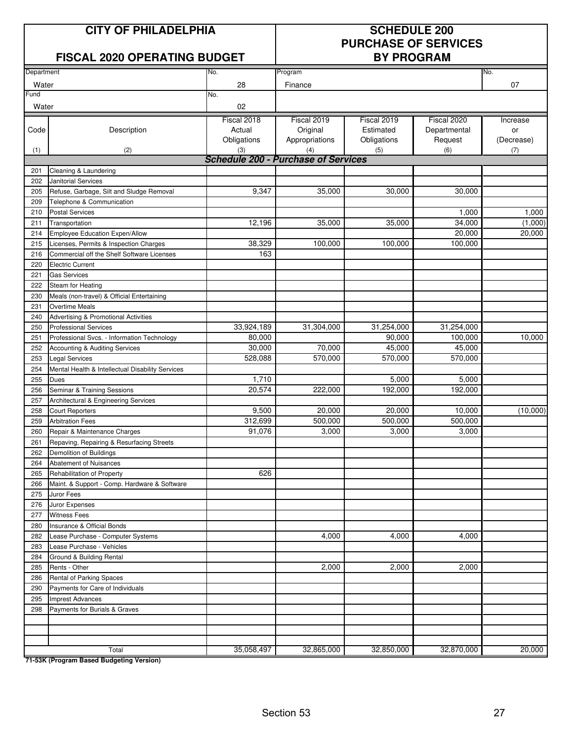### **CITY OF PHILADELPHIA SCHEDULE 200**

# **PURCHASE OF SERVICES**

### **FISCAL 2020 OPERATING BUDGET BY PROGRAM**

| Department |                                                  | No.                                        | Program        |             |              | No.              |
|------------|--------------------------------------------------|--------------------------------------------|----------------|-------------|--------------|------------------|
| Water      |                                                  | 28                                         | Finance        |             |              | 07               |
| Fund       |                                                  | No.                                        |                |             |              |                  |
| Water      |                                                  | 02                                         |                |             |              |                  |
|            |                                                  | Fiscal 2018                                | Fiscal 2019    | Fiscal 2019 | Fiscal 2020  |                  |
| Code       |                                                  | Actual                                     | Original       | Estimated   | Departmental | Increase         |
|            | Description                                      | Obligations                                | Appropriations | Obligations | Request      | or<br>(Decrease) |
| (1)        | (2)                                              | (3)                                        | (4)            | (5)         | (6)          | (7)              |
|            |                                                  | <b>Schedule 200 - Purchase of Services</b> |                |             |              |                  |
| 201        | Cleaning & Laundering                            |                                            |                |             |              |                  |
| 202        | <b>Janitorial Services</b>                       |                                            |                |             |              |                  |
| 205        | Refuse, Garbage, Silt and Sludge Removal         | 9,347                                      | 35,000         | 30,000      | 30,000       |                  |
| 209        | Telephone & Communication                        |                                            |                |             |              |                  |
| 210        | <b>Postal Services</b>                           |                                            |                |             | 1,000        | 1,000            |
|            |                                                  | 12,196                                     | 35,000         | 35,000      | 34,000       | (1,000)          |
| 211        | Transportation                                   |                                            |                |             |              |                  |
| 214        | Employee Education Expen/Allow                   |                                            |                |             | 20,000       | 20,000           |
| 215        | Licenses, Permits & Inspection Charges           | 38,329                                     | 100,000        | 100,000     | 100,000      |                  |
| 216        | Commercial off the Shelf Software Licenses       | 163                                        |                |             |              |                  |
| 220        | <b>Electric Current</b>                          |                                            |                |             |              |                  |
| 221        | <b>Gas Services</b>                              |                                            |                |             |              |                  |
| 222        | Steam for Heating                                |                                            |                |             |              |                  |
| 230        | Meals (non-travel) & Official Entertaining       |                                            |                |             |              |                  |
| 231        | <b>Overtime Meals</b>                            |                                            |                |             |              |                  |
| 240        | Advertising & Promotional Activities             |                                            |                |             |              |                  |
| 250        | <b>Professional Services</b>                     | 33,924,189                                 | 31,304,000     | 31,254,000  | 31,254,000   |                  |
| 251        | Professional Svcs. - Information Technology      | 80,000                                     |                | 90,000      | 100,000      | 10,000           |
| 252        | Accounting & Auditing Services                   | 30,000                                     | 70,000         | 45,000      | 45,000       |                  |
| 253        | <b>Legal Services</b>                            | 528,088                                    | 570,000        | 570,000     | 570,000      |                  |
| 254        | Mental Health & Intellectual Disability Services |                                            |                |             |              |                  |
| 255        | <b>Dues</b>                                      | 1,710                                      |                | 5,000       | 5,000        |                  |
| 256        | Seminar & Training Sessions                      | 20,574                                     | 222,000        | 192,000     | 192,000      |                  |
| 257        | Architectural & Engineering Services             |                                            |                |             |              |                  |
| 258        | <b>Court Reporters</b>                           | 9,500                                      | 20,000         | 20,000      | 10,000       | (10,000)         |
| 259        | <b>Arbitration Fees</b>                          | 312,699                                    | 500,000        | 500,000     | 500,000      |                  |
| 260        | Repair & Maintenance Charges                     | 91,076                                     | 3,000          | 3,000       | 3,000        |                  |
| 261        | Repaving, Repairing & Resurfacing Streets        |                                            |                |             |              |                  |
| 262        | Demolition of Buildings                          |                                            |                |             |              |                  |
| 264        | Abatement of Nuisances                           |                                            |                |             |              |                  |
| 265        | Rehabilitation of Property                       | 626                                        |                |             |              |                  |
| 266        | Maint. & Support - Comp. Hardware & Software     |                                            |                |             |              |                  |
| 275        | Juror Fees                                       |                                            |                |             |              |                  |
| 276        | Juror Expenses                                   |                                            |                |             |              |                  |
| 277        | <b>Witness Fees</b>                              |                                            |                |             |              |                  |
| 280        | Insurance & Official Bonds                       |                                            |                |             |              |                  |
| 282        | Lease Purchase - Computer Systems                |                                            | 4,000          | 4,000       | 4,000        |                  |
| 283        | Lease Purchase - Vehicles                        |                                            |                |             |              |                  |
| 284        | Ground & Building Rental                         |                                            |                |             |              |                  |
| 285        | Rents - Other                                    |                                            | 2,000          | 2,000       | 2,000        |                  |
| 286        | Rental of Parking Spaces                         |                                            |                |             |              |                  |
| 290        | Payments for Care of Individuals                 |                                            |                |             |              |                  |
| 295        | <b>Imprest Advances</b>                          |                                            |                |             |              |                  |
| 298        | Payments for Burials & Graves                    |                                            |                |             |              |                  |
|            |                                                  |                                            |                |             |              |                  |
|            |                                                  |                                            |                |             |              |                  |
|            |                                                  |                                            |                |             |              |                  |
|            | Total                                            | 35,058,497                                 | 32,865,000     | 32,850,000  | 32,870,000   | 20,000           |
|            | 71 E2K (Drogram Resed Pudgeting Version)         |                                            |                |             |              |                  |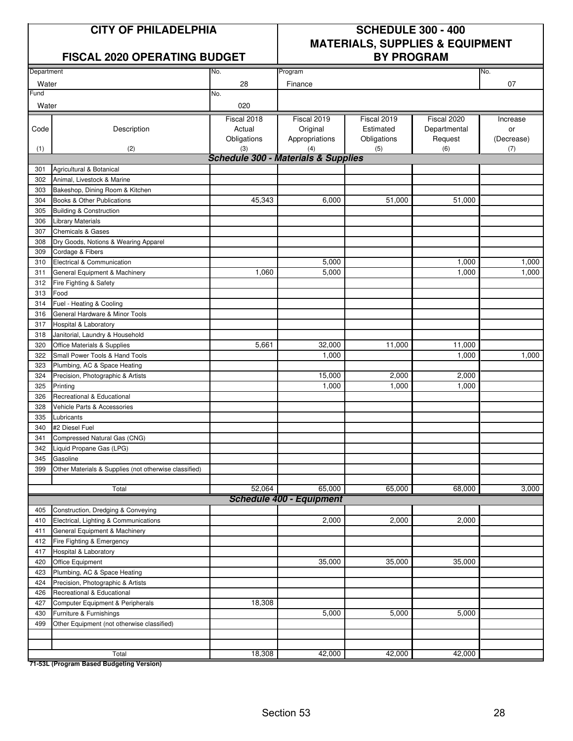### FISCAL 2020 OPERATING BUDGET | BY PROGRAM

# **CITY OF PHILADELPHIA SCHEDULE 300 - 400 MATERIALS, SUPPLIES & EQUIPMENT**

| Department |                                                                             | No.                                            | Program                         |             |              | No.        |
|------------|-----------------------------------------------------------------------------|------------------------------------------------|---------------------------------|-------------|--------------|------------|
| Water      |                                                                             | 28                                             | Finance                         |             |              | 07         |
| Fund       |                                                                             | No.                                            |                                 |             |              |            |
| Water      |                                                                             | 020                                            |                                 |             |              |            |
|            |                                                                             | Fiscal 2018                                    | Fiscal 2019                     | Fiscal 2019 | Fiscal 2020  | Increase   |
| Code       | Description                                                                 | Actual                                         | Original                        | Estimated   | Departmental | or         |
|            |                                                                             | Obligations                                    | Appropriations                  | Obligations | Request      | (Decrease) |
| (1)        | (2)                                                                         | (3)                                            | (4)                             | (5)         | (6)          | (7)        |
|            |                                                                             | <b>Schedule 300 - Materials &amp; Supplies</b> |                                 |             |              |            |
| 301        | Agricultural & Botanical                                                    |                                                |                                 |             |              |            |
| 302        | Animal, Livestock & Marine                                                  |                                                |                                 |             |              |            |
| 303        | Bakeshop, Dining Room & Kitchen                                             |                                                |                                 |             |              |            |
| 304        | Books & Other Publications                                                  | 45,343                                         | 6,000                           | 51,000      | 51,000       |            |
| 305        | <b>Building &amp; Construction</b>                                          |                                                |                                 |             |              |            |
| 306        | <b>Library Materials</b>                                                    |                                                |                                 |             |              |            |
| 307        | <b>Chemicals &amp; Gases</b>                                                |                                                |                                 |             |              |            |
| 308        | Dry Goods, Notions & Wearing Apparel                                        |                                                |                                 |             |              |            |
| 309        | Cordage & Fibers                                                            |                                                |                                 |             |              |            |
| 310        | Electrical & Communication                                                  |                                                | 5,000                           |             | 1,000        | 1,000      |
| 311        | General Equipment & Machinery                                               | 1,060                                          | 5,000                           |             | 1,000        | 1,000      |
| 312        | Fire Fighting & Safety                                                      |                                                |                                 |             |              |            |
| 313        | Food                                                                        |                                                |                                 |             |              |            |
| 314        | Fuel - Heating & Cooling                                                    |                                                |                                 |             |              |            |
| 316        | General Hardware & Minor Tools                                              |                                                |                                 |             |              |            |
| 317        | Hospital & Laboratory                                                       |                                                |                                 |             |              |            |
| 318        | Janitorial, Laundry & Household                                             |                                                |                                 |             |              |            |
| 320        | Office Materials & Supplies                                                 | 5,661                                          | 32,000                          | 11,000      | 11,000       |            |
| 322        | Small Power Tools & Hand Tools                                              |                                                | 1,000                           |             | 1,000        | 1,000      |
| 323        | Plumbing, AC & Space Heating                                                |                                                |                                 |             |              |            |
| 324        | Precision, Photographic & Artists                                           |                                                | 15,000                          | 2,000       | 2,000        |            |
| 325        | Printing                                                                    |                                                | 1,000                           | 1,000       | 1,000        |            |
| 326        | Recreational & Educational                                                  |                                                |                                 |             |              |            |
| 328        | Vehicle Parts & Accessories                                                 |                                                |                                 |             |              |            |
| 335        | Lubricants                                                                  |                                                |                                 |             |              |            |
| 340        | #2 Diesel Fuel                                                              |                                                |                                 |             |              |            |
| 341        | Compressed Natural Gas (CNG)                                                |                                                |                                 |             |              |            |
| 342        | Liquid Propane Gas (LPG)                                                    |                                                |                                 |             |              |            |
| 345        | Gasoline                                                                    |                                                |                                 |             |              |            |
| 399        | Other Materials & Supplies (not otherwise classified)                       |                                                |                                 |             |              |            |
|            |                                                                             | 52,064                                         | 65,000                          | 65,000      | 68,000       | 3,000      |
|            | Total                                                                       |                                                | <b>Schedule 400 - Equipment</b> |             |              |            |
|            |                                                                             |                                                |                                 |             |              |            |
| 405        | Construction, Dredging & Conveying<br>Electrical, Lighting & Communications |                                                | 2,000                           | 2,000       | 2,000        |            |
| 410        |                                                                             |                                                |                                 |             |              |            |
| 411<br>412 | General Equipment & Machinery                                               |                                                |                                 |             |              |            |
| 417        | Fire Fighting & Emergency<br>Hospital & Laboratory                          |                                                |                                 |             |              |            |
| 420        | Office Equipment                                                            |                                                | 35,000                          | 35,000      | 35,000       |            |
| 423        | Plumbing, AC & Space Heating                                                |                                                |                                 |             |              |            |
| 424        | Precision, Photographic & Artists                                           |                                                |                                 |             |              |            |
| 426        | Recreational & Educational                                                  |                                                |                                 |             |              |            |
| 427        | Computer Equipment & Peripherals                                            | 18,308                                         |                                 |             |              |            |
| 430        | Furniture & Furnishings                                                     |                                                | 5,000                           | 5,000       | 5,000        |            |
| 499        | Other Equipment (not otherwise classified)                                  |                                                |                                 |             |              |            |
|            |                                                                             |                                                |                                 |             |              |            |
|            |                                                                             |                                                |                                 |             |              |            |
|            | Total                                                                       | 18,308                                         | 42,000                          | 42,000      | 42,000       |            |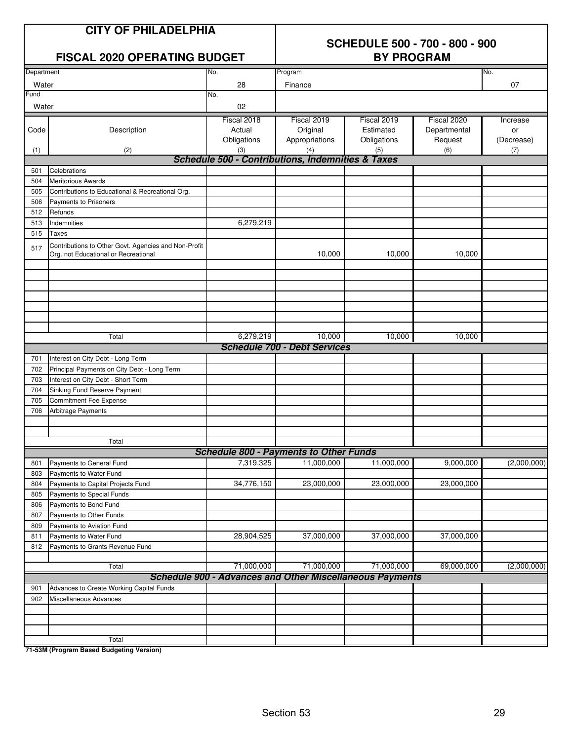|               | <b>CITY OF PHILADELPHIA</b><br><b>FISCAL 2020 OPERATING BUDGET</b>                           | <b>SCHEDULE 500 - 700 - 800 - 900</b><br><b>BY PROGRAM</b> |                                                                 |                                         |                                        |                              |  |
|---------------|----------------------------------------------------------------------------------------------|------------------------------------------------------------|-----------------------------------------------------------------|-----------------------------------------|----------------------------------------|------------------------------|--|
| Department    |                                                                                              | No.                                                        | Program                                                         |                                         |                                        | No.                          |  |
| Water         |                                                                                              | 28                                                         | Finance                                                         |                                         |                                        | 07                           |  |
| Fund<br>Water |                                                                                              | No.<br>02                                                  |                                                                 |                                         |                                        |                              |  |
| Code          | Description                                                                                  | Fiscal 2018<br>Actual<br>Obligations                       | Fiscal 2019<br>Original<br>Appropriations                       | Fiscal 2019<br>Estimated<br>Obligations | Fiscal 2020<br>Departmental<br>Request | Increase<br>or<br>(Decrease) |  |
| (1)           | (2)                                                                                          | (3)                                                        | (4)                                                             | (5)                                     | (6)                                    | (7)                          |  |
|               |                                                                                              |                                                            | Schedule 500 - Contributions, Indemnities & Taxes               |                                         |                                        |                              |  |
| 501<br>504    | Celebrations<br><b>Meritorious Awards</b>                                                    |                                                            |                                                                 |                                         |                                        |                              |  |
| 505           | Contributions to Educational & Recreational Org.                                             |                                                            |                                                                 |                                         |                                        |                              |  |
| 506           | Payments to Prisoners                                                                        |                                                            |                                                                 |                                         |                                        |                              |  |
| 512           | Refunds                                                                                      |                                                            |                                                                 |                                         |                                        |                              |  |
| 513           | Indemnities                                                                                  | 6,279,219                                                  |                                                                 |                                         |                                        |                              |  |
| 515           | <b>Taxes</b>                                                                                 |                                                            |                                                                 |                                         |                                        |                              |  |
| 517           | Contributions to Other Govt. Agencies and Non-Profit<br>Org. not Educational or Recreational |                                                            | 10,000                                                          | 10,000                                  | 10.000                                 |                              |  |
|               |                                                                                              |                                                            |                                                                 |                                         |                                        |                              |  |
|               | Total                                                                                        | 6,279,219                                                  | 10,000                                                          | 10,000                                  | 10,000                                 |                              |  |
|               |                                                                                              |                                                            | <b>Schedule 700 - Debt Services</b>                             |                                         |                                        |                              |  |
| 701           | Interest on City Debt - Long Term                                                            |                                                            |                                                                 |                                         |                                        |                              |  |
| 702           | Principal Payments on City Debt - Long Term                                                  |                                                            |                                                                 |                                         |                                        |                              |  |
| 703           | Interest on City Debt - Short Term                                                           |                                                            |                                                                 |                                         |                                        |                              |  |
| 704           | Sinking Fund Reserve Payment                                                                 |                                                            |                                                                 |                                         |                                        |                              |  |
| 705           | <b>Commitment Fee Expense</b>                                                                |                                                            |                                                                 |                                         |                                        |                              |  |
| 706           | Arbitrage Payments                                                                           |                                                            |                                                                 |                                         |                                        |                              |  |
|               | Total                                                                                        |                                                            |                                                                 |                                         |                                        |                              |  |
|               |                                                                                              |                                                            | <b>Schedule 800 - Payments to Other Funds</b>                   |                                         |                                        |                              |  |
| 801           | Payments to General Fund                                                                     | 7,319,325                                                  | 11,000,000                                                      | 11,000,000                              | 9,000,000                              | (2,000,000)                  |  |
| 803           | Payments to Water Fund                                                                       |                                                            |                                                                 |                                         |                                        |                              |  |
| 804           | Payments to Capital Projects Fund                                                            | 34,776,150                                                 | 23,000,000                                                      | 23,000,000                              | 23,000,000                             |                              |  |
| 805           | Payments to Special Funds                                                                    |                                                            |                                                                 |                                         |                                        |                              |  |
| 806           | Payments to Bond Fund                                                                        |                                                            |                                                                 |                                         |                                        |                              |  |
| 807           | Payments to Other Funds                                                                      |                                                            |                                                                 |                                         |                                        |                              |  |
| 809           | Payments to Aviation Fund                                                                    |                                                            |                                                                 |                                         |                                        |                              |  |
| 811           | Payments to Water Fund                                                                       | 28,904,525                                                 | 37,000,000                                                      | 37,000,000                              | 37,000,000                             |                              |  |
| 812           | Payments to Grants Revenue Fund                                                              |                                                            |                                                                 |                                         |                                        |                              |  |
|               | Total                                                                                        | 71,000,000                                                 | 71,000,000                                                      | 71,000,000                              | 69,000,000                             | (2,000,000)                  |  |
|               |                                                                                              |                                                            | <b>Schedule 900 - Advances and Other Miscellaneous Payments</b> |                                         |                                        |                              |  |
| 901           | Advances to Create Working Capital Funds                                                     |                                                            |                                                                 |                                         |                                        |                              |  |
| 902           | Miscellaneous Advances                                                                       |                                                            |                                                                 |                                         |                                        |                              |  |
|               |                                                                                              |                                                            |                                                                 |                                         |                                        |                              |  |
|               |                                                                                              |                                                            |                                                                 |                                         |                                        |                              |  |
|               |                                                                                              |                                                            |                                                                 |                                         |                                        |                              |  |

**71-53M (Program Based Budgeting Version)**

Total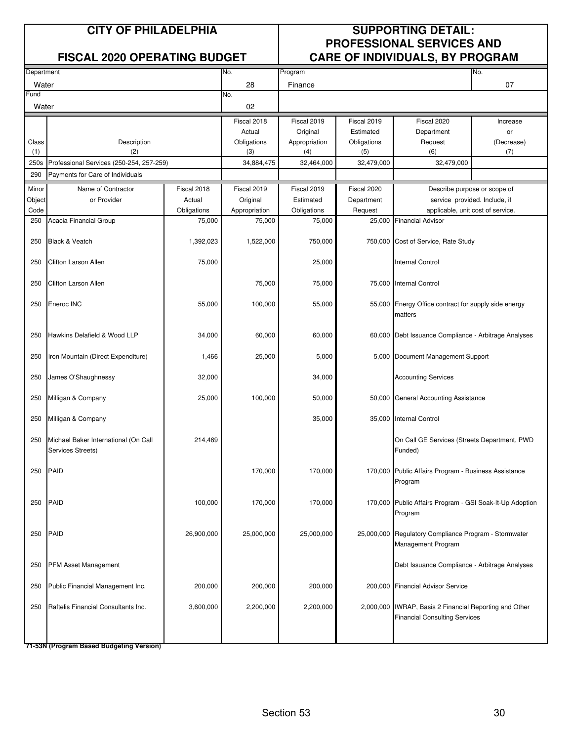| Department |                                          |             | No.           | Program       |             |                                                          | No.                           |  |  |
|------------|------------------------------------------|-------------|---------------|---------------|-------------|----------------------------------------------------------|-------------------------------|--|--|
| Water      |                                          |             | 28            | Finance       |             |                                                          | 07                            |  |  |
| Fund       |                                          |             | No.           |               |             |                                                          |                               |  |  |
| Water      |                                          |             | 02            |               |             |                                                          |                               |  |  |
|            |                                          |             | Fiscal 2018   | Fiscal 2019   | Fiscal 2019 | Fiscal 2020                                              | Increase                      |  |  |
|            |                                          |             | Actual        | Original      | Estimated   | Department                                               | or                            |  |  |
| Class      | Description                              |             | Obligations   | Appropriation | Obligations | Request                                                  | (Decrease)                    |  |  |
| (1)        | (2)                                      |             | (3)           | (4)           | (5)         | (6)                                                      | (7)                           |  |  |
| 250s       | Professional Services (250-254, 257-259) |             | 34,884,475    | 32,464,000    | 32,479,000  | 32,479,000                                               |                               |  |  |
| 290        | Payments for Care of Individuals         |             |               |               |             |                                                          |                               |  |  |
| Minor      | Name of Contractor                       | Fiscal 2018 | Fiscal 2019   | Fiscal 2019   | Fiscal 2020 | Describe purpose or scope of                             |                               |  |  |
| Object     | or Provider                              | Actual      | Original      | Estimated     | Department  |                                                          | service provided. Include, if |  |  |
| Code       |                                          | Obligations | Appropriation | Obligations   | Request     | applicable, unit cost of service.                        |                               |  |  |
| 250        | Acacia Financial Group                   | 75,000      | 75,000        | 75,000        | 25,000      | <b>Financial Advisor</b>                                 |                               |  |  |
|            |                                          |             |               |               |             |                                                          |                               |  |  |
| 250        | Black & Veatch                           | 1,392,023   | 1,522,000     | 750,000       |             | 750,000 Cost of Service, Rate Study                      |                               |  |  |
|            |                                          |             |               |               |             |                                                          |                               |  |  |
| 250        | Clifton Larson Allen                     | 75,000      |               | 25,000        |             | <b>Internal Control</b>                                  |                               |  |  |
|            |                                          |             |               |               |             |                                                          |                               |  |  |
| 250        | <b>Clifton Larson Allen</b>              |             | 75,000        | 75,000        |             | 75,000 Internal Control                                  |                               |  |  |
|            |                                          |             |               |               |             |                                                          |                               |  |  |
| 250        | Eneroc INC                               | 55,000      | 100,000       | 55,000        |             | 55,000 Energy Office contract for supply side energy     |                               |  |  |
|            |                                          |             |               |               |             | matters                                                  |                               |  |  |
|            |                                          |             |               |               |             |                                                          |                               |  |  |
| 250        | Hawkins Delafield & Wood LLP             | 34,000      | 60,000        | 60,000        |             | 60,000 Debt Issuance Compliance - Arbitrage Analyses     |                               |  |  |
|            |                                          |             |               |               |             |                                                          |                               |  |  |
| 250        | Iron Mountain (Direct Expenditure)       | 1,466       | 25,000        | 5,000         |             | 5,000 Document Management Support                        |                               |  |  |
| 250        | James O'Shaughnessy                      | 32,000      |               | 34,000        |             | <b>Accounting Services</b>                               |                               |  |  |
|            |                                          |             |               |               |             |                                                          |                               |  |  |
| 250        | Milligan & Company                       | 25,000      | 100,000       | 50,000        |             | 50,000 General Accounting Assistance                     |                               |  |  |
|            |                                          |             |               |               |             |                                                          |                               |  |  |
| 250        | Milligan & Company                       |             |               | 35,000        |             | 35,000 Internal Control                                  |                               |  |  |
|            |                                          |             |               |               |             |                                                          |                               |  |  |
| 250        | Michael Baker International (On Call     | 214,469     |               |               |             | On Call GE Services (Streets Department, PWD             |                               |  |  |
|            | Services Streets)                        |             |               |               |             | Funded)                                                  |                               |  |  |
|            |                                          |             |               |               |             |                                                          |                               |  |  |
| 250        | PAID                                     |             | 170,000       | 170,000       |             | 170,000 Public Affairs Program - Business Assistance     |                               |  |  |
|            |                                          |             |               |               |             | Program                                                  |                               |  |  |
|            |                                          |             |               |               |             |                                                          |                               |  |  |
| 250        | PAID                                     | 100,000     | 170,000       | 170,000       |             | 170,000 Public Affairs Program - GSI Soak-It-Up Adoption |                               |  |  |
|            |                                          |             |               |               |             | Program                                                  |                               |  |  |
|            |                                          |             |               |               |             |                                                          |                               |  |  |
| 250        | PAID                                     | 26,900,000  | 25,000,000    | 25,000,000    |             | 25,000,000 Regulatory Compliance Program - Stormwater    |                               |  |  |
|            |                                          |             |               |               |             | Management Program                                       |                               |  |  |
|            |                                          |             |               |               |             |                                                          |                               |  |  |
| 250        | PFM Asset Management                     |             |               |               |             | Debt Issuance Compliance - Arbitrage Analyses            |                               |  |  |
| 250        | Public Financial Management Inc.         | 200,000     | 200,000       | 200,000       |             | 200,000 Financial Advisor Service                        |                               |  |  |
|            |                                          |             |               |               |             |                                                          |                               |  |  |
| 250        | Raftelis Financial Consultants Inc.      | 3,600,000   | 2,200,000     | 2,200,000     |             | 2,000,000 IWRAP, Basis 2 Financial Reporting and Other   |                               |  |  |
|            |                                          |             |               |               |             | <b>Financial Consulting Services</b>                     |                               |  |  |
|            |                                          |             |               |               |             |                                                          |                               |  |  |
|            |                                          |             |               |               |             |                                                          |                               |  |  |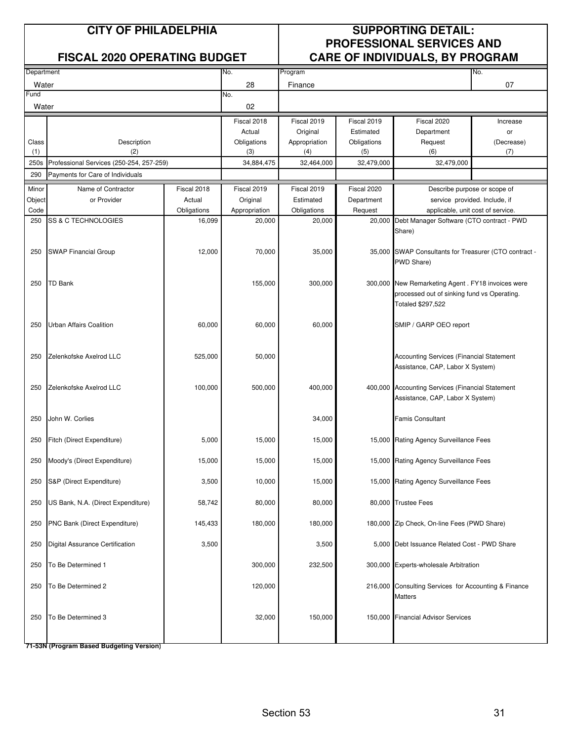| Department  |                                                 |                       | No.                     | Program               |                   |                                                                                | No.                                                |  |  |
|-------------|-------------------------------------------------|-----------------------|-------------------------|-----------------------|-------------------|--------------------------------------------------------------------------------|----------------------------------------------------|--|--|
| Water       |                                                 |                       | 28                      | Finance               |                   |                                                                                | 07                                                 |  |  |
| Fund        |                                                 |                       | No.                     |                       |                   |                                                                                |                                                    |  |  |
| Water       |                                                 |                       | 02                      |                       |                   |                                                                                |                                                    |  |  |
|             |                                                 |                       | Fiscal 2018             | Fiscal 2019           | Fiscal 2019       | Fiscal 2020                                                                    | Increase                                           |  |  |
|             |                                                 |                       | Actual                  | Original              | Estimated         | Department                                                                     | or                                                 |  |  |
| Class       | Description                                     |                       | Obligations             | Appropriation         | Obligations       | Request                                                                        | (Decrease)                                         |  |  |
| (1)         | (2)<br>Professional Services (250-254, 257-259) |                       | (3)                     | (4)                   | (5)               | (6)                                                                            | (7)                                                |  |  |
| 250s<br>290 | Payments for Care of Individuals                |                       | 34,884,475              | 32,464,000            | 32,479,000        | 32,479,000                                                                     |                                                    |  |  |
|             |                                                 |                       |                         |                       |                   |                                                                                |                                                    |  |  |
| Minor       | Name of Contractor                              | Fiscal 2018           | Fiscal 2019             | Fiscal 2019           | Fiscal 2020       | Describe purpose or scope of                                                   |                                                    |  |  |
| Object      | or Provider                                     | Actual                | Original                | Estimated             | Department        |                                                                                | service provided. Include, if                      |  |  |
| Code<br>250 | SS & C TECHNOLOGIES                             | Obligations<br>16,099 | Appropriation<br>20,000 | Obligations<br>20,000 | Request<br>20,000 | applicable, unit cost of service.<br>Debt Manager Software (CTO contract - PWD |                                                    |  |  |
|             |                                                 |                       |                         |                       |                   | Share)                                                                         |                                                    |  |  |
|             |                                                 |                       |                         |                       |                   |                                                                                |                                                    |  |  |
| 250         | <b>SWAP Financial Group</b>                     | 12,000                | 70,000                  | 35,000                |                   | 35,000 SWAP Consultants for Treasurer (CTO contract -                          |                                                    |  |  |
|             |                                                 |                       |                         |                       |                   | PWD Share)                                                                     |                                                    |  |  |
|             |                                                 |                       |                         |                       |                   |                                                                                |                                                    |  |  |
| 250         | TD Bank                                         |                       | 155,000                 | 300,000               |                   |                                                                                | 300,000 New Remarketing Agent . FY18 invoices were |  |  |
|             |                                                 |                       |                         |                       |                   | processed out of sinking fund vs Operating.                                    |                                                    |  |  |
|             |                                                 |                       |                         |                       |                   | Totaled \$297,522                                                              |                                                    |  |  |
| 250         | <b>Urban Affairs Coalition</b>                  | 60,000                | 60,000                  | 60,000                |                   | SMIP / GARP OEO report                                                         |                                                    |  |  |
|             |                                                 |                       |                         |                       |                   |                                                                                |                                                    |  |  |
|             |                                                 |                       |                         |                       |                   |                                                                                |                                                    |  |  |
| 250         | Zelenkofske Axelrod LLC                         | 525,000               | 50,000                  |                       |                   | Accounting Services (Financial Statement                                       |                                                    |  |  |
|             |                                                 |                       |                         |                       |                   | Assistance, CAP, Labor X System)                                               |                                                    |  |  |
|             |                                                 |                       |                         |                       |                   |                                                                                |                                                    |  |  |
| 250         | Zelenkofske Axelrod LLC                         | 100,000               | 500,000                 | 400,000               |                   | 400,000 Accounting Services (Financial Statement                               |                                                    |  |  |
|             |                                                 |                       |                         |                       |                   | Assistance, CAP, Labor X System)                                               |                                                    |  |  |
| 250         | John W. Corlies                                 |                       |                         | 34,000                |                   | <b>Famis Consultant</b>                                                        |                                                    |  |  |
|             |                                                 |                       |                         |                       |                   |                                                                                |                                                    |  |  |
| 250         | Fitch (Direct Expenditure)                      | 5,000                 | 15,000                  | 15,000                |                   | 15,000 Rating Agency Surveillance Fees                                         |                                                    |  |  |
|             |                                                 |                       |                         |                       |                   |                                                                                |                                                    |  |  |
| 250         | Moody's (Direct Expenditure)                    | 15,000                | 15,000                  | 15,000                |                   | 15,000 Rating Agency Surveillance Fees                                         |                                                    |  |  |
|             |                                                 |                       |                         |                       |                   |                                                                                |                                                    |  |  |
| 250         | S&P (Direct Expenditure)                        | 3,500                 | 10,000                  | 15,000                |                   | 15,000 Rating Agency Surveillance Fees                                         |                                                    |  |  |
|             |                                                 |                       |                         |                       |                   |                                                                                |                                                    |  |  |
| 250         | US Bank, N.A. (Direct Expenditure)              | 58,742                | 80,000                  | 80,000                |                   | 80,000 Trustee Fees                                                            |                                                    |  |  |
| 250         | PNC Bank (Direct Expenditure)                   | 145,433               | 180,000                 | 180,000               |                   | 180,000 Zip Check, On-line Fees (PWD Share)                                    |                                                    |  |  |
|             |                                                 |                       |                         |                       |                   |                                                                                |                                                    |  |  |
| 250         | Digital Assurance Certification                 | 3,500                 |                         | 3,500                 |                   | 5,000 Debt Issuance Related Cost - PWD Share                                   |                                                    |  |  |
|             |                                                 |                       |                         |                       |                   |                                                                                |                                                    |  |  |
| 250         | To Be Determined 1                              |                       | 300,000                 | 232,500               |                   | 300,000 Experts-wholesale Arbitration                                          |                                                    |  |  |
|             |                                                 |                       |                         |                       |                   |                                                                                |                                                    |  |  |
| 250         | To Be Determined 2                              |                       | 120,000                 |                       |                   | 216,000 Consulting Services for Accounting & Finance                           |                                                    |  |  |
|             |                                                 |                       |                         |                       |                   | Matters                                                                        |                                                    |  |  |
| 250         | To Be Determined 3                              |                       | 32,000                  | 150,000               |                   | 150,000 Financial Advisor Services                                             |                                                    |  |  |
|             |                                                 |                       |                         |                       |                   |                                                                                |                                                    |  |  |
|             |                                                 |                       |                         |                       |                   |                                                                                |                                                    |  |  |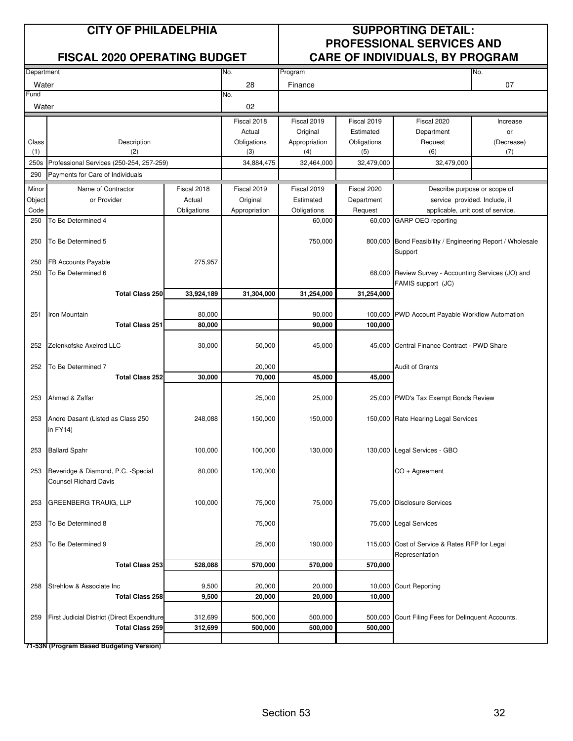| Department |                                                                    |             | No.           | Program          |             |                                                           | No.                           |
|------------|--------------------------------------------------------------------|-------------|---------------|------------------|-------------|-----------------------------------------------------------|-------------------------------|
| Water      |                                                                    |             | 28            | Finance          |             |                                                           | 07                            |
| Fund       |                                                                    |             | No.           |                  |             |                                                           |                               |
| Water      |                                                                    |             | 02            |                  |             |                                                           |                               |
|            |                                                                    |             | Fiscal 2018   | Fiscal 2019      | Fiscal 2019 | Fiscal 2020                                               | Increase                      |
|            |                                                                    |             | Actual        | Original         | Estimated   | Department                                                | or                            |
| Class      | Description                                                        |             | Obligations   | Appropriation    | Obligations | Request                                                   | (Decrease)                    |
| (1)        | (2)                                                                |             | (3)           | (4)              | (5)         | (6)                                                       | (7)                           |
| 250s       | Professional Services (250-254, 257-259)                           |             | 34,884,475    | 32,464,000       | 32,479,000  | 32,479,000                                                |                               |
| 290        | Payments for Care of Individuals                                   |             |               |                  |             |                                                           |                               |
| Minor      | Name of Contractor                                                 | Fiscal 2018 | Fiscal 2019   | Fiscal 2019      | Fiscal 2020 |                                                           | Describe purpose or scope of  |
| Object     | or Provider                                                        | Actual      | Original      | Estimated        | Department  |                                                           | service provided. Include, if |
| Code       |                                                                    | Obligations | Appropriation | Obligations      | Request     | applicable, unit cost of service.                         |                               |
| 250        | To Be Determined 4                                                 |             |               | 60,000           | 60,000      | <b>GARP OEO reporting</b>                                 |                               |
|            |                                                                    |             |               |                  |             |                                                           |                               |
| 250        | To Be Determined 5                                                 |             |               | 750,000          |             | 800,000 Bond Feasibility / Engineering Report / Wholesale |                               |
|            |                                                                    |             |               |                  |             | Support                                                   |                               |
| 250        | FB Accounts Payable                                                | 275,957     |               |                  |             |                                                           |                               |
| 250        | To Be Determined 6                                                 |             |               |                  |             | 68,000 Review Survey - Accounting Services (JO) and       |                               |
|            |                                                                    |             |               |                  |             | FAMIS support (JC)                                        |                               |
|            | <b>Total Class 250</b>                                             | 33,924,189  | 31,304,000    | 31,254,000       | 31,254,000  |                                                           |                               |
|            |                                                                    | 80,000      |               |                  |             |                                                           |                               |
| 251        | Iron Mountain<br><b>Total Class 251</b>                            | 80,000      |               | 90,000<br>90,000 | 100,000     | 100,000 PWD Account Payable Workflow Automation           |                               |
|            |                                                                    |             |               |                  |             |                                                           |                               |
| 252        | Zelenkofske Axelrod LLC                                            | 30,000      | 50,000        | 45,000           |             | 45,000 Central Finance Contract - PWD Share               |                               |
|            |                                                                    |             |               |                  |             |                                                           |                               |
| 252        | To Be Determined 7                                                 |             | 20,000        |                  |             | <b>Audit of Grants</b>                                    |                               |
|            | <b>Total Class 252</b>                                             | 30,000      | 70,000        | 45,000           | 45,000      |                                                           |                               |
|            |                                                                    |             |               |                  |             |                                                           |                               |
| 253        | Ahmad & Zaffar                                                     |             | 25,000        | 25,000           |             | 25,000 PWD's Tax Exempt Bonds Review                      |                               |
|            |                                                                    |             |               |                  |             |                                                           |                               |
| 253        | Andre Dasant (Listed as Class 250                                  | 248,088     | 150,000       | 150,000          |             | 150,000 Rate Hearing Legal Services                       |                               |
|            | in FY14)                                                           |             |               |                  |             |                                                           |                               |
|            |                                                                    |             |               |                  |             |                                                           |                               |
| 253        | <b>Ballard Spahr</b>                                               | 100,000     | 100,000       | 130,000          |             | 130,000 Legal Services - GBO                              |                               |
|            |                                                                    |             |               |                  |             |                                                           |                               |
| 253        | Beveridge & Diamond, P.C. -Special<br><b>Counsel Richard Davis</b> | 80,000      | 120,000       |                  |             | CO + Agreement                                            |                               |
|            |                                                                    |             |               |                  |             |                                                           |                               |
| 253        | <b>GREENBERG TRAUIG, LLP</b>                                       | 100,000     | 75,000        | 75,000           |             | 75,000 Disclosure Services                                |                               |
|            |                                                                    |             |               |                  |             |                                                           |                               |
| 253        | To Be Determined 8                                                 |             | 75,000        |                  |             | 75,000 Legal Services                                     |                               |
|            |                                                                    |             |               |                  |             |                                                           |                               |
| 253        | To Be Determined 9                                                 |             | 25,000        | 190,000          |             | 115,000 Cost of Service & Rates RFP for Legal             |                               |
|            |                                                                    |             |               |                  |             | Representation                                            |                               |
|            | <b>Total Class 253</b>                                             | 528,088     | 570,000       | 570,000          | 570,000     |                                                           |                               |
|            |                                                                    |             |               |                  |             |                                                           |                               |
| 258        | Strehlow & Associate Inc                                           | 9,500       | 20,000        | 20,000           | 10,000      | <b>Court Reporting</b>                                    |                               |
|            | <b>Total Class 258</b>                                             | 9,500       | 20,000        | 20,000           | 10,000      |                                                           |                               |
|            |                                                                    |             |               |                  |             |                                                           |                               |
| 259        | First Judicial District (Direct Expenditure                        | 312,699     | 500,000       | 500,000          | 500,000     | Court Filing Fees for Delinquent Accounts.                |                               |
|            | <b>Total Class 259</b>                                             | 312,699     | 500,000       | 500,000          | 500,000     |                                                           |                               |
|            |                                                                    |             |               |                  |             |                                                           |                               |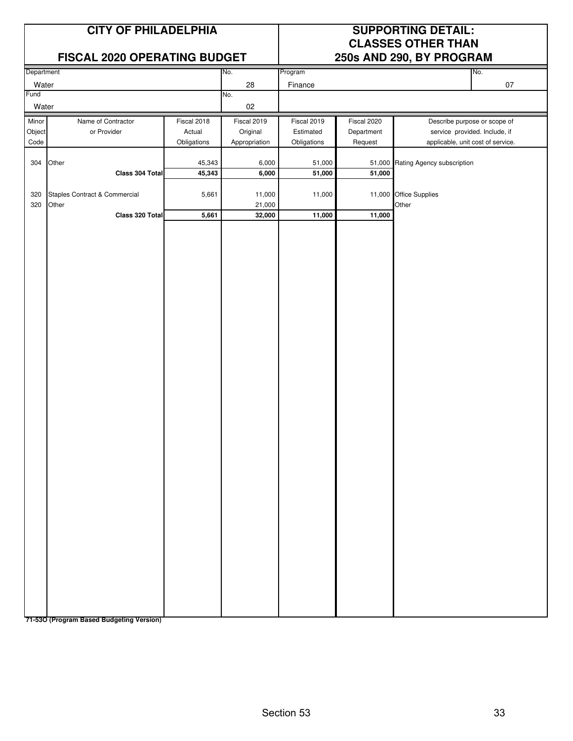### **FISCAL 2020 OPERATING BUDGET 250s AND 290, BY PROGRAM**

# **CITY OF PHILADELPHIA SUPPORTING DETAIL: CLASSES OTHER THAN**

| Department                                 |                               |             | No.           | Program     |             | No.                               |
|--------------------------------------------|-------------------------------|-------------|---------------|-------------|-------------|-----------------------------------|
| Water                                      |                               |             | 28            | Finance     |             | $07\,$                            |
| Fund                                       |                               |             | No.           |             |             |                                   |
| Water                                      |                               |             | $02\,$        |             |             |                                   |
| Minor<br>Name of Contractor<br>Fiscal 2018 |                               |             | Fiscal 2019   | Fiscal 2019 | Fiscal 2020 | Describe purpose or scope of      |
| Object                                     | or Provider                   | Actual      | Original      | Estimated   | Department  | service provided. Include, if     |
| Code                                       |                               |             |               |             |             |                                   |
|                                            |                               | Obligations | Appropriation | Obligations | Request     | applicable, unit cost of service. |
|                                            |                               |             |               |             |             |                                   |
| 304                                        | Other                         | 45,343      | 6,000         | 51,000      |             | 51,000 Rating Agency subscription |
|                                            | Class 304 Total               | 45,343      | 6,000         | 51,000      | 51,000      |                                   |
|                                            |                               |             |               |             |             |                                   |
| 320                                        | Staples Contract & Commercial | 5,661       | 11,000        | 11,000      |             | 11,000 Office Supplies            |
| 320                                        | Other                         |             | 21,000        |             |             | Other                             |
|                                            | Class 320 Total               | 5,661       | 32,000        | 11,000      | 11,000      |                                   |
|                                            |                               |             |               |             |             |                                   |
|                                            |                               |             |               |             |             |                                   |
|                                            |                               |             |               |             |             |                                   |
|                                            |                               |             |               |             |             |                                   |
|                                            |                               |             |               |             |             |                                   |
|                                            |                               |             |               |             |             |                                   |
|                                            |                               |             |               |             |             |                                   |
|                                            |                               |             |               |             |             |                                   |
|                                            |                               |             |               |             |             |                                   |
|                                            |                               |             |               |             |             |                                   |
|                                            |                               |             |               |             |             |                                   |
|                                            |                               |             |               |             |             |                                   |
|                                            |                               |             |               |             |             |                                   |
|                                            |                               |             |               |             |             |                                   |
|                                            |                               |             |               |             |             |                                   |
|                                            |                               |             |               |             |             |                                   |
|                                            |                               |             |               |             |             |                                   |
|                                            |                               |             |               |             |             |                                   |
|                                            |                               |             |               |             |             |                                   |
|                                            |                               |             |               |             |             |                                   |
|                                            |                               |             |               |             |             |                                   |
|                                            |                               |             |               |             |             |                                   |
|                                            |                               |             |               |             |             |                                   |
|                                            |                               |             |               |             |             |                                   |
|                                            |                               |             |               |             |             |                                   |
|                                            |                               |             |               |             |             |                                   |
|                                            |                               |             |               |             |             |                                   |
|                                            |                               |             |               |             |             |                                   |
|                                            |                               |             |               |             |             |                                   |
|                                            |                               |             |               |             |             |                                   |
|                                            |                               |             |               |             |             |                                   |
|                                            |                               |             |               |             |             |                                   |
|                                            |                               |             |               |             |             |                                   |
|                                            |                               |             |               |             |             |                                   |
|                                            |                               |             |               |             |             |                                   |
|                                            |                               |             |               |             |             |                                   |
|                                            |                               |             |               |             |             |                                   |
|                                            |                               |             |               |             |             |                                   |
|                                            |                               |             |               |             |             |                                   |
|                                            |                               |             |               |             |             |                                   |
|                                            |                               |             |               |             |             |                                   |
|                                            |                               |             |               |             |             |                                   |
|                                            |                               |             |               |             |             |                                   |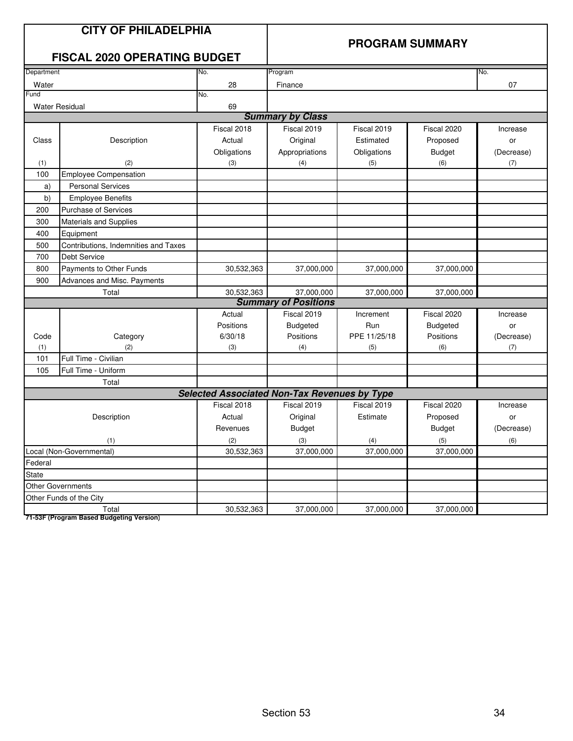|            | <b>CITY OF PHILADELPHIA</b><br><b>FISCAL 2020 OPERATING BUDGET</b><br>No. |                                                     | <b>PROGRAM SUMMARY</b>      |              |                 |            |  |
|------------|---------------------------------------------------------------------------|-----------------------------------------------------|-----------------------------|--------------|-----------------|------------|--|
| Department |                                                                           |                                                     | Program                     |              |                 | No.        |  |
| Water      |                                                                           | 28                                                  | Finance                     |              |                 | 07         |  |
| Fund       |                                                                           | No.                                                 |                             |              |                 |            |  |
|            | <b>Water Residual</b>                                                     | 69                                                  |                             |              |                 |            |  |
|            |                                                                           |                                                     | <b>Summary by Class</b>     |              |                 |            |  |
|            |                                                                           | Fiscal 2018                                         | Fiscal 2019                 | Fiscal 2019  | Fiscal 2020     | Increase   |  |
| Class      | Description                                                               | Actual                                              | Original                    | Estimated    | Proposed        | or         |  |
|            |                                                                           | Obligations                                         | Appropriations              | Obligations  | <b>Budget</b>   | (Decrease) |  |
| (1)        | (2)                                                                       | (3)                                                 | (4)                         | (5)          | (6)             | (7)        |  |
| 100        | <b>Employee Compensation</b>                                              |                                                     |                             |              |                 |            |  |
| a)         | <b>Personal Services</b>                                                  |                                                     |                             |              |                 |            |  |
| b)         | <b>Employee Benefits</b>                                                  |                                                     |                             |              |                 |            |  |
| 200        | <b>Purchase of Services</b>                                               |                                                     |                             |              |                 |            |  |
| 300        | Materials and Supplies                                                    |                                                     |                             |              |                 |            |  |
| 400        | Equipment                                                                 |                                                     |                             |              |                 |            |  |
| 500        | Contributions, Indemnities and Taxes                                      |                                                     |                             |              |                 |            |  |
| 700        | <b>Debt Service</b>                                                       |                                                     |                             |              |                 |            |  |
| 800        | Payments to Other Funds                                                   | 30,532,363                                          | 37,000,000                  | 37,000,000   | 37,000,000      |            |  |
| 900        | Advances and Misc. Payments                                               |                                                     |                             |              |                 |            |  |
|            | Total                                                                     | 30,532,363                                          | 37,000,000                  | 37,000,000   | 37,000,000      |            |  |
|            |                                                                           |                                                     | <b>Summary of Positions</b> |              |                 |            |  |
|            |                                                                           | Actual                                              | Fiscal 2019                 | Increment    | Fiscal 2020     | Increase   |  |
|            |                                                                           | Positions                                           | <b>Budgeted</b>             | Run          | <b>Budgeted</b> | or         |  |
| Code       | Category                                                                  | 6/30/18                                             | Positions                   | PPE 11/25/18 | Positions       | (Decrease) |  |
| (1)        | (2)                                                                       | (3)                                                 | (4)                         | (5)          | (6)             | (7)        |  |
| 101        | Full Time - Civilian                                                      |                                                     |                             |              |                 |            |  |
| 105        | Full Time - Uniform                                                       |                                                     |                             |              |                 |            |  |
|            | Total                                                                     |                                                     |                             |              |                 |            |  |
|            |                                                                           | <b>Selected Associated Non-Tax Revenues by Type</b> |                             |              |                 |            |  |
|            |                                                                           | Fiscal 2018                                         | Fiscal 2019                 | Fiscal 2019  | Fiscal 2020     | Increase   |  |
|            | Description                                                               | Actual                                              | Original                    | Estimate     | Proposed        | or         |  |
|            |                                                                           | Revenues                                            | <b>Budget</b>               |              | <b>Budget</b>   | (Decrease) |  |
|            | (1)                                                                       | (2)                                                 | (3)                         | (4)          | (5)             | (6)        |  |
|            | Local (Non-Governmental)                                                  | 30,532,363                                          | 37,000,000                  | 37,000,000   | 37,000,000      |            |  |
| Federal    |                                                                           |                                                     |                             |              |                 |            |  |
| State      |                                                                           |                                                     |                             |              |                 |            |  |
|            | <b>Other Governments</b>                                                  |                                                     |                             |              |                 |            |  |
|            | Other Funds of the City                                                   |                                                     |                             |              |                 |            |  |
|            | Total                                                                     | 30,532,363                                          | 37,000,000                  | 37,000,000   | 37,000,000      |            |  |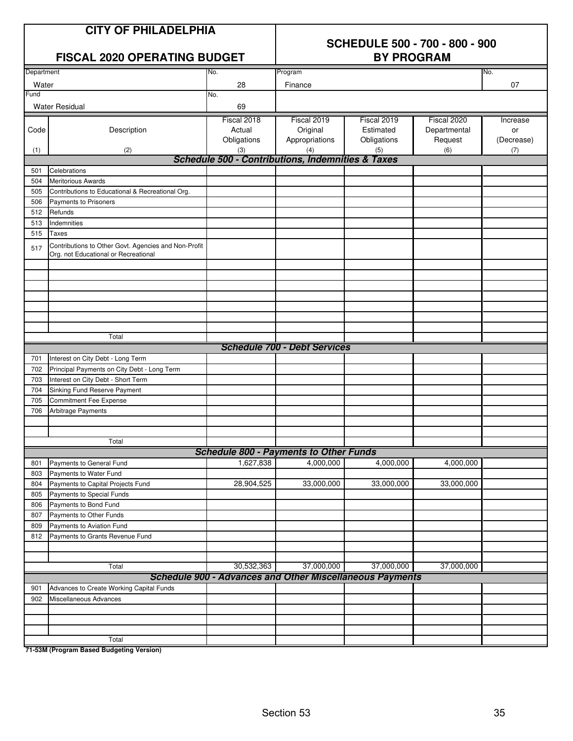|  | <b>CITY OF PHILADELPHIA</b> |  |
|--|-----------------------------|--|
|--|-----------------------------|--|

# **SCHEDULE 500 - 700 - 800 - 900**

|            | FISCAL 2020 OPERATING BUDGET                                                                 |                                                              | <b>BY PROGRAM</b>                   |                                                                 |              |            |  |
|------------|----------------------------------------------------------------------------------------------|--------------------------------------------------------------|-------------------------------------|-----------------------------------------------------------------|--------------|------------|--|
| Department |                                                                                              | No.                                                          | Program                             |                                                                 |              | No.        |  |
| Water      |                                                                                              | 28                                                           | Finance                             |                                                                 |              | 07         |  |
| Fund       |                                                                                              | No.                                                          |                                     |                                                                 |              |            |  |
|            | <b>Water Residual</b>                                                                        | 69                                                           |                                     |                                                                 |              |            |  |
|            |                                                                                              | Fiscal 2018                                                  | Fiscal 2019                         | Fiscal 2019                                                     | Fiscal 2020  | Increase   |  |
| Code       | Description                                                                                  | Actual                                                       | Original                            | Estimated                                                       | Departmental | or         |  |
|            |                                                                                              | Obligations                                                  | Appropriations                      | Obligations                                                     | Request      | (Decrease) |  |
| (1)        | (2)                                                                                          | (3)                                                          | (4)                                 | (5)                                                             | (6)          | (7)        |  |
|            |                                                                                              | <b>Schedule 500 - Contributions, Indemnities &amp; Taxes</b> |                                     |                                                                 |              |            |  |
| 501        | Celebrations                                                                                 |                                                              |                                     |                                                                 |              |            |  |
| 504        | <b>Meritorious Awards</b>                                                                    |                                                              |                                     |                                                                 |              |            |  |
| 505        | Contributions to Educational & Recreational Org.                                             |                                                              |                                     |                                                                 |              |            |  |
| 506        | <b>Payments to Prisoners</b>                                                                 |                                                              |                                     |                                                                 |              |            |  |
| 512        | Refunds                                                                                      |                                                              |                                     |                                                                 |              |            |  |
| 513        | Indemnities                                                                                  |                                                              |                                     |                                                                 |              |            |  |
| 515        | <b>Taxes</b>                                                                                 |                                                              |                                     |                                                                 |              |            |  |
| 517        | Contributions to Other Govt. Agencies and Non-Profit<br>Org. not Educational or Recreational |                                                              |                                     |                                                                 |              |            |  |
|            |                                                                                              |                                                              |                                     |                                                                 |              |            |  |
|            |                                                                                              |                                                              |                                     |                                                                 |              |            |  |
|            |                                                                                              |                                                              |                                     |                                                                 |              |            |  |
|            |                                                                                              |                                                              |                                     |                                                                 |              |            |  |
|            |                                                                                              |                                                              |                                     |                                                                 |              |            |  |
|            |                                                                                              |                                                              |                                     |                                                                 |              |            |  |
|            | Total                                                                                        |                                                              |                                     |                                                                 |              |            |  |
|            |                                                                                              |                                                              | <b>Schedule 700 - Debt Services</b> |                                                                 |              |            |  |
| 701        | Interest on City Debt - Long Term                                                            |                                                              |                                     |                                                                 |              |            |  |
| 702        | Principal Payments on City Debt - Long Term                                                  |                                                              |                                     |                                                                 |              |            |  |
| 703        | Interest on City Debt - Short Term                                                           |                                                              |                                     |                                                                 |              |            |  |
| 704        | Sinking Fund Reserve Payment                                                                 |                                                              |                                     |                                                                 |              |            |  |
| 705        | <b>Commitment Fee Expense</b>                                                                |                                                              |                                     |                                                                 |              |            |  |
| 706        | Arbitrage Payments                                                                           |                                                              |                                     |                                                                 |              |            |  |
|            |                                                                                              |                                                              |                                     |                                                                 |              |            |  |
|            |                                                                                              |                                                              |                                     |                                                                 |              |            |  |
|            | Total                                                                                        |                                                              |                                     |                                                                 |              |            |  |
|            |                                                                                              | <b>Schedule 800 - Payments to Other Funds</b>                |                                     |                                                                 |              |            |  |
| 801        | Payments to General Fund                                                                     | 1,627,838                                                    | 4,000,000                           | 4,000,000                                                       | 4,000,000    |            |  |
| 803        | Payments to Water Fund                                                                       |                                                              |                                     |                                                                 |              |            |  |
| 804        | Payments to Capital Projects Fund                                                            | 28,904,525                                                   | 33,000,000                          | 33,000,000                                                      | 33,000,000   |            |  |
| 805        | Payments to Special Funds                                                                    |                                                              |                                     |                                                                 |              |            |  |
| 806        | Payments to Bond Fund                                                                        |                                                              |                                     |                                                                 |              |            |  |
| 807        | Payments to Other Funds                                                                      |                                                              |                                     |                                                                 |              |            |  |
| 809        | Payments to Aviation Fund                                                                    |                                                              |                                     |                                                                 |              |            |  |
| 812        | Payments to Grants Revenue Fund                                                              |                                                              |                                     |                                                                 |              |            |  |
|            |                                                                                              |                                                              |                                     |                                                                 |              |            |  |
|            |                                                                                              |                                                              |                                     |                                                                 |              |            |  |
|            | Total                                                                                        | 30,532,363                                                   | 37,000,000                          | 37,000,000                                                      | 37,000,000   |            |  |
|            |                                                                                              |                                                              |                                     | <b>Schedule 900 - Advances and Other Miscellaneous Payments</b> |              |            |  |
| 901        | Advances to Create Working Capital Funds                                                     |                                                              |                                     |                                                                 |              |            |  |
| 902        | Miscellaneous Advances                                                                       |                                                              |                                     |                                                                 |              |            |  |
|            |                                                                                              |                                                              |                                     |                                                                 |              |            |  |
|            |                                                                                              |                                                              |                                     |                                                                 |              |            |  |
|            |                                                                                              |                                                              |                                     |                                                                 |              |            |  |
|            | Total                                                                                        |                                                              |                                     |                                                                 |              |            |  |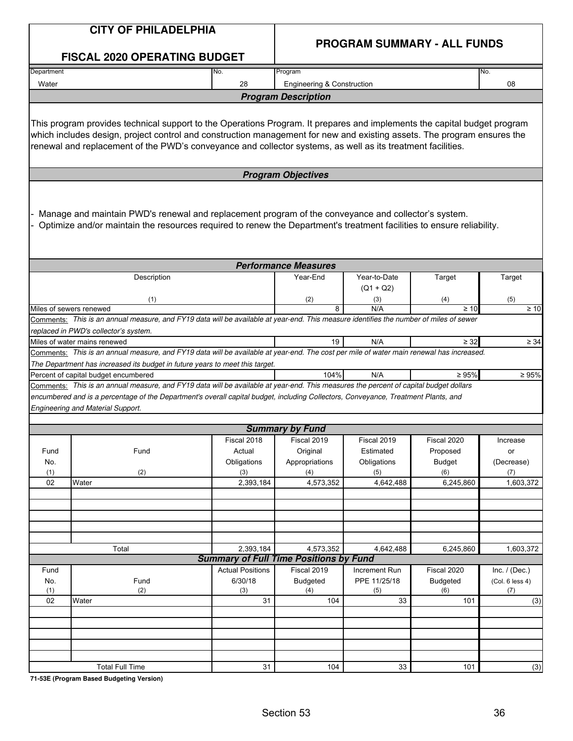|             | <b>CITY OF PHILADELPHIA</b>                                                                                                                                                                                                                                                                                                                                        |                         | <b>PROGRAM SUMMARY - ALL FUNDS</b>            |                             |                           |                  |  |  |
|-------------|--------------------------------------------------------------------------------------------------------------------------------------------------------------------------------------------------------------------------------------------------------------------------------------------------------------------------------------------------------------------|-------------------------|-----------------------------------------------|-----------------------------|---------------------------|------------------|--|--|
|             | <b>FISCAL 2020 OPERATING BUDGET</b>                                                                                                                                                                                                                                                                                                                                |                         |                                               |                             |                           |                  |  |  |
| Department  |                                                                                                                                                                                                                                                                                                                                                                    | No.                     | Program                                       |                             |                           | No.              |  |  |
| Water       |                                                                                                                                                                                                                                                                                                                                                                    | 28                      | <b>Engineering &amp; Construction</b>         |                             |                           | 08               |  |  |
|             |                                                                                                                                                                                                                                                                                                                                                                    |                         | <b>Program Description</b>                    |                             |                           |                  |  |  |
|             | This program provides technical support to the Operations Program. It prepares and implements the capital budget program<br>which includes design, project control and construction management for new and existing assets. The program ensures the<br>renewal and replacement of the PWD's conveyance and collector systems, as well as its treatment facilities. |                         |                                               |                             |                           |                  |  |  |
|             |                                                                                                                                                                                                                                                                                                                                                                    |                         | <b>Program Objectives</b>                     |                             |                           |                  |  |  |
|             | Manage and maintain PWD's renewal and replacement program of the conveyance and collector's system.<br>Optimize and/or maintain the resources required to renew the Department's treatment facilities to ensure reliability.                                                                                                                                       |                         |                                               |                             |                           |                  |  |  |
|             |                                                                                                                                                                                                                                                                                                                                                                    |                         | <b>Performance Measures</b>                   |                             |                           |                  |  |  |
|             | Description                                                                                                                                                                                                                                                                                                                                                        |                         | Year-End                                      | Year-to-Date<br>$(Q1 + Q2)$ | Target                    | Target           |  |  |
|             | (1)<br>Miles of sewers renewed                                                                                                                                                                                                                                                                                                                                     |                         | (2)<br>8                                      | (3)<br>N/A                  | (4)<br>$\geq 10$          | (5)<br>$\geq 10$ |  |  |
|             | Comments: This is an annual measure, and FY19 data will be available at year-end. This measure identifies the number of miles of sewer                                                                                                                                                                                                                             |                         |                                               |                             |                           |                  |  |  |
|             | replaced in PWD's collector's system.                                                                                                                                                                                                                                                                                                                              |                         |                                               |                             |                           |                  |  |  |
|             | Miles of water mains renewed                                                                                                                                                                                                                                                                                                                                       |                         | 19                                            | N/A                         | $\geq$ 32                 | $\geq 34$        |  |  |
|             | Comments: This is an annual measure, and FY19 data will be available at year-end. The cost per mile of water main renewal has increased.                                                                                                                                                                                                                           |                         |                                               |                             |                           |                  |  |  |
|             | The Department has increased its budget in future years to meet this target.<br>Percent of capital budget encumbered                                                                                                                                                                                                                                               |                         | 104%                                          | N/A                         | $\geq 95\%$               | $\geq 95\%$      |  |  |
|             | Comments: This is an annual measure, and FY19 data will be available at year-end. This measures the percent of capital budget dollars                                                                                                                                                                                                                              |                         |                                               |                             |                           |                  |  |  |
|             | encumbered and is a percentage of the Department's overall capital budget, including Collectors, Conveyance, Treatment Plants, and<br><b>Engineering and Material Support.</b>                                                                                                                                                                                     |                         |                                               |                             |                           |                  |  |  |
|             |                                                                                                                                                                                                                                                                                                                                                                    |                         |                                               |                             |                           |                  |  |  |
|             |                                                                                                                                                                                                                                                                                                                                                                    |                         | <b>Summary by Fund</b>                        |                             |                           |                  |  |  |
|             |                                                                                                                                                                                                                                                                                                                                                                    | Fiscal 2018             | Fiscal 2019                                   | Fiscal 2019                 | Fiscal 2020               | Increase         |  |  |
| Fund<br>No. | Fund                                                                                                                                                                                                                                                                                                                                                               | Actual<br>Obligations   | Original<br>Appropriations                    | Estimated<br>Obligations    | Proposed<br><b>Budget</b> | or<br>(Decrease) |  |  |
| (1)         | (2)                                                                                                                                                                                                                                                                                                                                                                | (3)                     | (4)                                           | (5)                         | (6)                       | (7)              |  |  |
| 02          | Water                                                                                                                                                                                                                                                                                                                                                              | 2,393,184               | 4,573,352                                     | 4,642,488                   | 6,245,860                 | 1,603,372        |  |  |
|             |                                                                                                                                                                                                                                                                                                                                                                    |                         |                                               |                             |                           |                  |  |  |
|             |                                                                                                                                                                                                                                                                                                                                                                    |                         |                                               |                             |                           |                  |  |  |
|             |                                                                                                                                                                                                                                                                                                                                                                    |                         |                                               |                             |                           |                  |  |  |
|             |                                                                                                                                                                                                                                                                                                                                                                    |                         |                                               |                             |                           |                  |  |  |
|             | Total                                                                                                                                                                                                                                                                                                                                                              | 2.393.184               | 4,573,352                                     | 4,642,488                   | 6,245,860                 | 1,603,372        |  |  |
|             |                                                                                                                                                                                                                                                                                                                                                                    |                         | <b>Summary of Full Time Positions by Fund</b> |                             |                           |                  |  |  |
| Fund        |                                                                                                                                                                                                                                                                                                                                                                    | <b>Actual Positions</b> | Fiscal 2019                                   | Increment Run               | Fiscal 2020               | Inc. $/$ (Dec.)  |  |  |
| No.         | Fund                                                                                                                                                                                                                                                                                                                                                               | 6/30/18                 | <b>Budgeted</b>                               | PPE 11/25/18                | <b>Budgeted</b>           | (Col. 6 less 4)  |  |  |
| (1)<br>02   | (2)<br>Water                                                                                                                                                                                                                                                                                                                                                       | (3)<br>31               | (4)<br>104                                    | (5)<br>33                   | (6)<br>101                | (7)<br>(3)       |  |  |
|             |                                                                                                                                                                                                                                                                                                                                                                    |                         |                                               |                             |                           |                  |  |  |
|             |                                                                                                                                                                                                                                                                                                                                                                    |                         |                                               |                             |                           |                  |  |  |
|             |                                                                                                                                                                                                                                                                                                                                                                    |                         |                                               |                             |                           |                  |  |  |
|             |                                                                                                                                                                                                                                                                                                                                                                    |                         |                                               |                             |                           |                  |  |  |
|             | <b>Total Full Time</b>                                                                                                                                                                                                                                                                                                                                             | 31                      | 104                                           | 33                          | 101                       | (3)              |  |  |
|             |                                                                                                                                                                                                                                                                                                                                                                    |                         |                                               |                             |                           |                  |  |  |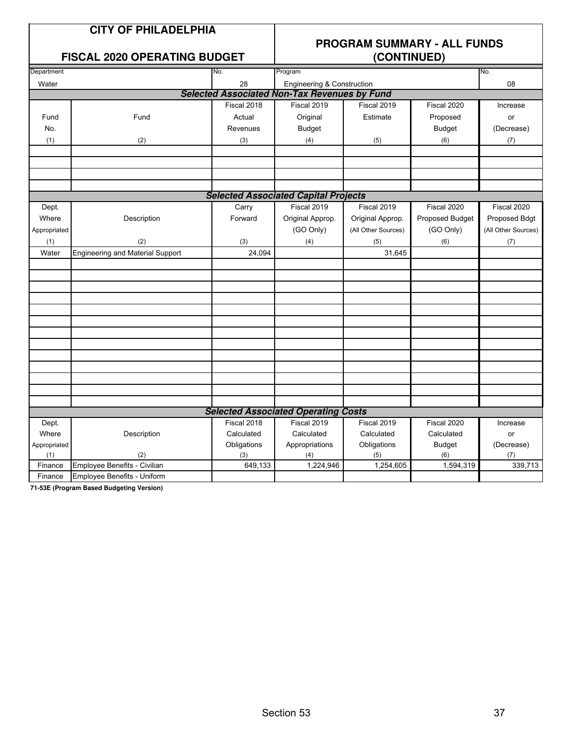## **FISCAL 2020 OPERATING BUDGET**

## **PROGRAM SUMMARY - ALL FUNDS**

|              | I ISOAL 2020 OF LITATING DODGET         |             | (001111102)                                         |                     |                 |                     |  |  |  |
|--------------|-----------------------------------------|-------------|-----------------------------------------------------|---------------------|-----------------|---------------------|--|--|--|
| Department   |                                         | No.         | Program                                             |                     |                 | No.                 |  |  |  |
| Water        |                                         | 28          | Engineering & Construction                          |                     |                 | 08                  |  |  |  |
|              |                                         |             | <b>Selected Associated Non-Tax Revenues by Fund</b> |                     |                 |                     |  |  |  |
|              |                                         | Fiscal 2018 | Fiscal 2019                                         | Fiscal 2019         | Fiscal 2020     | Increase            |  |  |  |
| Fund         | Fund                                    | Actual      | Original                                            | Estimate            | Proposed        | or                  |  |  |  |
| No.          |                                         | Revenues    | <b>Budget</b>                                       |                     | <b>Budget</b>   | (Decrease)          |  |  |  |
| (1)          | (2)                                     | (3)         | (4)                                                 | (5)                 | (6)             | $(7)$               |  |  |  |
|              |                                         |             |                                                     |                     |                 |                     |  |  |  |
|              |                                         |             |                                                     |                     |                 |                     |  |  |  |
|              |                                         |             |                                                     |                     |                 |                     |  |  |  |
|              |                                         |             |                                                     |                     |                 |                     |  |  |  |
|              |                                         |             | <b>Selected Associated Capital Projects</b>         |                     |                 |                     |  |  |  |
| Dept.        |                                         | Carry       | Fiscal 2019                                         | Fiscal 2019         | Fiscal 2020     | Fiscal 2020         |  |  |  |
| Where        | Description                             | Forward     | Original Approp.                                    | Original Approp.    | Proposed Budget | Proposed Bdgt       |  |  |  |
| Appropriated |                                         |             | (GO Only)                                           | (All Other Sources) | (GO Only)       | (All Other Sources) |  |  |  |
| (1)          | (2)                                     | (3)         | (4)                                                 | (5)                 | (6)             | (7)                 |  |  |  |
| Water        | <b>Engineering and Material Support</b> | 24,094      |                                                     | 31,645              |                 |                     |  |  |  |
|              |                                         |             |                                                     |                     |                 |                     |  |  |  |
|              |                                         |             |                                                     |                     |                 |                     |  |  |  |
|              |                                         |             |                                                     |                     |                 |                     |  |  |  |
|              |                                         |             |                                                     |                     |                 |                     |  |  |  |
|              |                                         |             |                                                     |                     |                 |                     |  |  |  |
|              |                                         |             |                                                     |                     |                 |                     |  |  |  |
|              |                                         |             |                                                     |                     |                 |                     |  |  |  |
|              |                                         |             |                                                     |                     |                 |                     |  |  |  |
|              |                                         |             |                                                     |                     |                 |                     |  |  |  |
|              |                                         |             |                                                     |                     |                 |                     |  |  |  |
|              |                                         |             |                                                     |                     |                 |                     |  |  |  |
|              |                                         |             |                                                     |                     |                 |                     |  |  |  |
|              |                                         |             |                                                     |                     |                 |                     |  |  |  |
|              |                                         |             | <b>Selected Associated Operating Costs</b>          |                     |                 |                     |  |  |  |
| Dept.        |                                         | Fiscal 2018 | Fiscal 2019                                         | Fiscal 2019         | Fiscal 2020     | Increase            |  |  |  |
| Where        | Description                             | Calculated  | Calculated                                          | Calculated          | Calculated      | or                  |  |  |  |
| Appropriated |                                         | Obligations | Appropriations                                      | Obligations         | <b>Budget</b>   | (Decrease)          |  |  |  |
| (1)          | (2)                                     | (3)         | (4)                                                 | (5)                 | (6)             | (7)                 |  |  |  |
| Finance      | Employee Benefits - Civilian            | 649,133     | 1,224,946                                           | 1,254,605           | 1,594,319       | 339,713             |  |  |  |
| Finance      | Employee Benefits - Uniform             |             |                                                     |                     |                 |                     |  |  |  |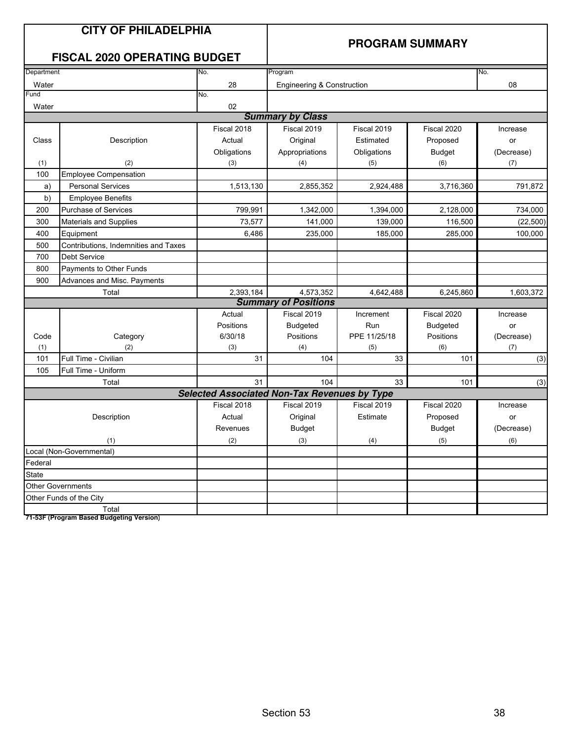|                          | <b>CITY OF PHILADELPHIA</b><br><b>FISCAL 2020 OPERATING BUDGET</b> |                                                     | <b>PROGRAM SUMMARY</b>      |              |                 |            |  |
|--------------------------|--------------------------------------------------------------------|-----------------------------------------------------|-----------------------------|--------------|-----------------|------------|--|
| Department               |                                                                    | No.                                                 | Program<br>No.              |              |                 |            |  |
| Water                    |                                                                    | 28                                                  | Engineering & Construction  |              |                 | 08         |  |
| Fund                     |                                                                    | No.                                                 |                             |              |                 |            |  |
| Water                    |                                                                    | 02                                                  |                             |              |                 |            |  |
|                          |                                                                    |                                                     | <b>Summary by Class</b>     |              |                 |            |  |
|                          |                                                                    | Fiscal 2018                                         | Fiscal 2019                 | Fiscal 2019  | Fiscal 2020     | Increase   |  |
| Class                    | Description                                                        | Actual                                              | Original                    | Estimated    | Proposed        | or         |  |
|                          |                                                                    | Obligations                                         | Appropriations              | Obligations  | <b>Budget</b>   | (Decrease) |  |
| (1)                      | (2)                                                                | (3)                                                 | (4)                         | (5)          | (6)             | (7)        |  |
| 100                      | <b>Employee Compensation</b>                                       |                                                     |                             |              |                 |            |  |
| a)                       | <b>Personal Services</b>                                           | 1,513,130                                           | 2,855,352                   | 2,924,488    | 3,716,360       | 791,872    |  |
| b)                       | <b>Employee Benefits</b>                                           |                                                     |                             |              |                 |            |  |
| 200                      | Purchase of Services                                               | 799,991                                             | 1,342,000                   | 1,394,000    | 2,128,000       | 734,000    |  |
| 300                      | <b>Materials and Supplies</b>                                      | 73,577                                              | 141,000                     | 139,000      | 116,500         | (22, 500)  |  |
| 400                      | Equipment                                                          | 6,486                                               | 235,000                     | 185,000      | 285,000         | 100,000    |  |
| 500                      | Contributions, Indemnities and Taxes                               |                                                     |                             |              |                 |            |  |
| 700                      | <b>Debt Service</b>                                                |                                                     |                             |              |                 |            |  |
| 800                      | Payments to Other Funds                                            |                                                     |                             |              |                 |            |  |
| 900                      | Advances and Misc. Payments                                        |                                                     |                             |              |                 |            |  |
|                          | Total                                                              | 2,393,184                                           | 4,573,352                   | 4,642,488    | 6,245,860       | 1,603,372  |  |
|                          |                                                                    |                                                     | <b>Summary of Positions</b> |              |                 |            |  |
|                          |                                                                    | Actual                                              | Fiscal 2019                 | Increment    | Fiscal 2020     | Increase   |  |
|                          |                                                                    | Positions                                           | <b>Budgeted</b>             | Run          | <b>Budgeted</b> | or         |  |
| Code                     | Category                                                           | 6/30/18                                             | Positions                   | PPE 11/25/18 | Positions       | (Decrease) |  |
| (1)                      | (2)                                                                | (3)                                                 | (4)                         | (5)          | (6)             | (7)        |  |
| 101                      | Full Time - Civilian                                               | 31                                                  | 104                         | 33           | 101             | (3)        |  |
| 105                      | Full Time - Uniform                                                |                                                     |                             |              |                 |            |  |
|                          | Total                                                              | 31                                                  | 104                         | 33           | 101             | (3)        |  |
|                          |                                                                    | <b>Selected Associated Non-Tax Revenues by Type</b> |                             |              |                 |            |  |
|                          |                                                                    | Fiscal 2018                                         | Fiscal 2019                 | Fiscal 2019  | Fiscal 2020     | Increase   |  |
|                          | Description                                                        | Actual                                              | Original                    | Estimate     | Proposed        | or         |  |
|                          |                                                                    | Revenues                                            | <b>Budget</b>               |              | <b>Budget</b>   | (Decrease) |  |
|                          | (1)                                                                | (2)                                                 | (3)                         | (4)          | (5)             | (6)        |  |
|                          | Local (Non-Governmental)                                           |                                                     |                             |              |                 |            |  |
| Federal                  |                                                                    |                                                     |                             |              |                 |            |  |
| <b>State</b>             |                                                                    |                                                     |                             |              |                 |            |  |
| <b>Other Governments</b> |                                                                    |                                                     |                             |              |                 |            |  |
|                          | Other Funds of the City                                            |                                                     |                             |              |                 |            |  |
|                          | Total<br>71-53F (Program Based Budgeting Version)                  |                                                     |                             |              |                 |            |  |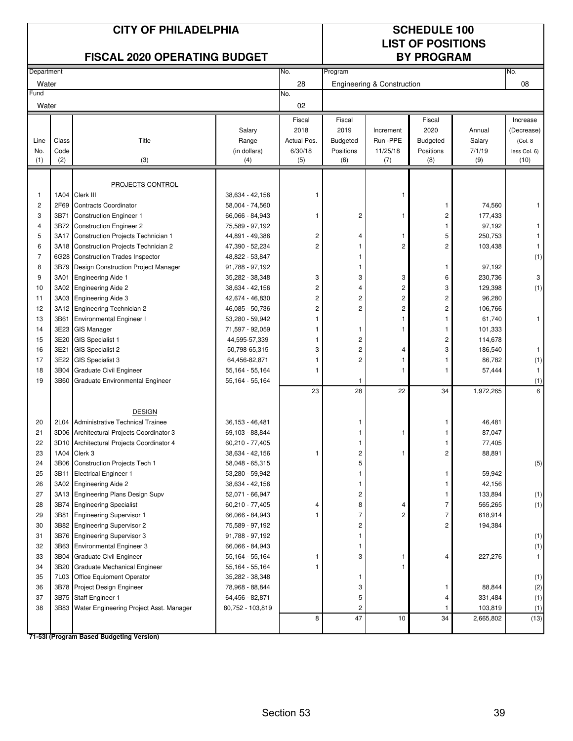|                | <b>CITY OF PHILADELPHIA</b><br><b>FISCAL 2020 OPERATING BUDGET</b> |                                                                      |                                      |                |                         | <b>SCHEDULE 100</b><br><b>LIST OF POSITIONS</b><br><b>BY PROGRAM</b> |                         |                   |              |
|----------------|--------------------------------------------------------------------|----------------------------------------------------------------------|--------------------------------------|----------------|-------------------------|----------------------------------------------------------------------|-------------------------|-------------------|--------------|
| Department     |                                                                    |                                                                      |                                      | No.            | Program                 |                                                                      |                         |                   | No.          |
| Water          |                                                                    |                                                                      |                                      | 28             |                         | Engineering & Construction                                           |                         |                   | 08           |
| Fund           |                                                                    |                                                                      |                                      | No.            |                         |                                                                      |                         |                   |              |
| Water          |                                                                    |                                                                      |                                      | 02             |                         |                                                                      |                         |                   |              |
|                |                                                                    |                                                                      |                                      | Fiscal         | Fiscal                  |                                                                      | Fiscal                  |                   | Increase     |
|                |                                                                    |                                                                      | Salary                               | 2018           | 2019                    | Increment                                                            | 2020                    | Annual            | (Decrease)   |
| Line           | Class                                                              | Title                                                                | Range                                | Actual Pos.    | <b>Budgeted</b>         | Run -PPE                                                             | <b>Budgeted</b>         | Salary            | (Col. 8      |
| No.            | Code                                                               |                                                                      | (in dollars)                         | 6/30/18        | Positions               | 11/25/18                                                             | Positions               | 7/1/19            | less Col. 6) |
| (1)            | (2)                                                                | (3)                                                                  | (4)                                  | (5)            | (6)                     | (7)                                                                  | (8)                     | (9)               | (10)         |
|                |                                                                    |                                                                      |                                      |                |                         |                                                                      |                         |                   |              |
|                |                                                                    | <b>PROJECTS CONTROL</b>                                              |                                      |                |                         |                                                                      |                         |                   |              |
| 1              | 1A04                                                               | Clerk III                                                            | 38,634 - 42,156                      |                |                         | 1                                                                    |                         |                   |              |
| $\overline{c}$ | 2F69                                                               | <b>Contracts Coordinator</b>                                         | 58,004 - 74,560                      |                |                         | 1                                                                    | 1                       | 74,560            | 1            |
| 3              | 3B71                                                               | <b>Construction Engineer 1</b>                                       | 66,066 - 84,943                      | 1              | 2                       |                                                                      | 2                       | 177,433           |              |
| 4<br>5         | 3B72<br>3A17                                                       | <b>Construction Engineer 2</b><br>Construction Projects Technician 1 | 75,589 - 97,192<br>44,891 - 49,386   | $\overline{c}$ | 4                       | 1                                                                    | 1<br>5                  | 97,192<br>250,753 |              |
| 6              | 3A18                                                               | Construction Projects Technician 2                                   | 47,390 - 52,234                      | 2              | 1                       | $\overline{c}$                                                       | 2                       | 103,438           |              |
| $\overline{7}$ | 6G28                                                               | <b>Construction Trades Inspector</b>                                 | 48,822 - 53,847                      |                | 1                       |                                                                      |                         |                   | (1)          |
| 8              | 3B79                                                               | Design Construction Project Manager                                  | 91,788 - 97,192                      |                | 1                       |                                                                      | 1                       | 97,192            |              |
| 9              | 3A01                                                               | <b>Engineering Aide 1</b>                                            | 35,282 - 38,348                      | 3              | 3                       | 3                                                                    | 6                       | 230,736           | 3            |
| 10             | 3A02                                                               | <b>Engineering Aide 2</b>                                            | 38,634 - 42,156                      | 2              | 4                       | 2                                                                    | 3                       | 129,398           | (1)          |
| 11             | 3A03                                                               | <b>Engineering Aide 3</b>                                            | 42,674 - 46,830                      | $\overline{c}$ | $\overline{\mathbf{c}}$ | 2                                                                    | 2                       | 96,280            |              |
| 12             | 3A12                                                               | <b>Engineering Technician 2</b>                                      | 46,085 - 50,736                      | $\overline{c}$ | $\overline{c}$          | $\overline{c}$                                                       | 2                       | 106,766           |              |
| 13             | 3B61                                                               | <b>Environmental Engineer I</b>                                      | 53,280 - 59,942                      |                |                         | 1                                                                    | 1                       | 61,740            | 1            |
| 14             | 3E23                                                               | <b>GIS Manager</b>                                                   | 71,597 - 92,059                      |                | 1                       | 1                                                                    | 1                       | 101,333           |              |
| 15             | 3E20                                                               | <b>GIS Specialist 1</b>                                              | 44,595-57,339                        | 1              | $\overline{c}$          |                                                                      | $\overline{\mathbf{c}}$ | 114,678           |              |
| 16             | 3E21                                                               | <b>GIS Specialist 2</b>                                              | 50,798-65,315                        | 3              | $\overline{c}$          | 4                                                                    | 3                       | 186,540           |              |
| 17             | 3E22                                                               | <b>GIS Specialist 3</b>                                              | 64,456-82,871                        |                | $\overline{c}$          | 1                                                                    | 1                       | 86,782            | (1)          |
| 18             | 3B04                                                               | <b>Graduate Civil Engineer</b>                                       | 55,164 - 55,164                      | 1              |                         | 1                                                                    | 1                       | 57,444            | $\mathbf{1}$ |
| 19             | 3B60                                                               | Graduate Environmental Engineer                                      | 55,164 - 55,164                      |                | 1                       |                                                                      |                         |                   | (1)          |
|                |                                                                    |                                                                      |                                      | 23             | 28                      | 22                                                                   | 34                      | 1,972,265         | 6            |
|                |                                                                    |                                                                      |                                      |                |                         |                                                                      |                         |                   |              |
|                |                                                                    | <b>DESIGN</b>                                                        |                                      |                |                         |                                                                      |                         |                   |              |
| 20<br>21       | 2L04                                                               | Administrative Technical Trainee                                     | $36,153 - 46,481$<br>69,103 - 88,844 |                | 1                       |                                                                      |                         | 46,481            |              |
| 22             |                                                                    | 3D06 Architectural Projects Coordinator 3                            |                                      |                |                         | 1                                                                    |                         | 87,047            |              |
| 23             | 1A04                                                               | 3D10 Architectural Projects Coordinator 4<br>Clerk 3                 | 60,210 - 77,405<br>38,634 - 42,156   |                | 1<br>2                  | 1                                                                    | 1<br>2                  | 77,405<br>88,891  |              |
| 24             | 3B06                                                               | <b>Construction Projects Tech 1</b>                                  | 58,048 - 65,315                      |                | 5                       |                                                                      |                         |                   | (5)          |
| 25             | 3B11                                                               | <b>Electrical Engineer 1</b>                                         | 53,280 - 59,942                      |                | 1                       |                                                                      | 1                       | 59,942            |              |
| 26             |                                                                    | 3A02 Engineering Aide 2                                              | 38,634 - 42,156                      |                | 1                       |                                                                      | 1                       | 42,156            |              |
| 27             |                                                                    | 3A13 Engineering Plans Design Supv                                   | 52,071 - 66,947                      |                | 2                       |                                                                      | 1                       | 133,894           | (1)          |
| 28             |                                                                    | 3B74 Engineering Specialist                                          | 60,210 - 77,405                      | 4              | 8                       | 4                                                                    | $\overline{7}$          | 565,265           | (1)          |
| 29             | 3B81                                                               | <b>Engineering Supervisor 1</b>                                      | 66,066 - 84,943                      |                | 7                       | 2                                                                    | $\overline{7}$          | 618,914           |              |
| 30             |                                                                    | 3B82 Engineering Supervisor 2                                        | 75,589 - 97,192                      |                | 2                       |                                                                      | 2                       | 194,384           |              |
| 31             |                                                                    | 3B76 Engineering Supervisor 3                                        | 91,788 - 97,192                      |                | 1                       |                                                                      |                         |                   | (1)          |
| 32             |                                                                    | 3B63 Environmental Engineer 3                                        | 66,066 - 84,943                      |                | 1                       |                                                                      |                         |                   | (1)          |
| 33             |                                                                    | 3B04 Graduate Civil Engineer                                         | 55,164 - 55,164                      |                | 3                       | 1                                                                    | 4                       | 227,276           | $\mathbf{1}$ |
| 34             | 3B20                                                               | Graduate Mechanical Engineer                                         | 55,164 - 55,164                      |                |                         | 1                                                                    |                         |                   |              |
| 35             | 7L03                                                               | Office Equipment Operator                                            | 35,282 - 38,348                      |                | 1                       |                                                                      |                         |                   | (1)          |
| 36             | 3B78                                                               | Project Design Engineer                                              | 78,968 - 88,844                      |                | 3                       |                                                                      | 1                       | 88,844            | (2)          |
| 37             |                                                                    | 3B75 Staff Engineer 1                                                | 64,456 - 82,871                      |                | 5                       |                                                                      | 4                       | 331,484           | (1)          |
| 38             |                                                                    | 3B83 Water Engineering Project Asst. Manager                         | 80,752 - 103,819                     |                | 2                       |                                                                      | -1                      | 103,819           | (1)          |
|                |                                                                    |                                                                      |                                      | 8              | 47                      | 10                                                                   | 34                      | 2,665,802         | (13)         |
|                |                                                                    | 71-53I (Program Based Budgeting Version)                             |                                      |                |                         |                                                                      |                         |                   |              |

Section 53 39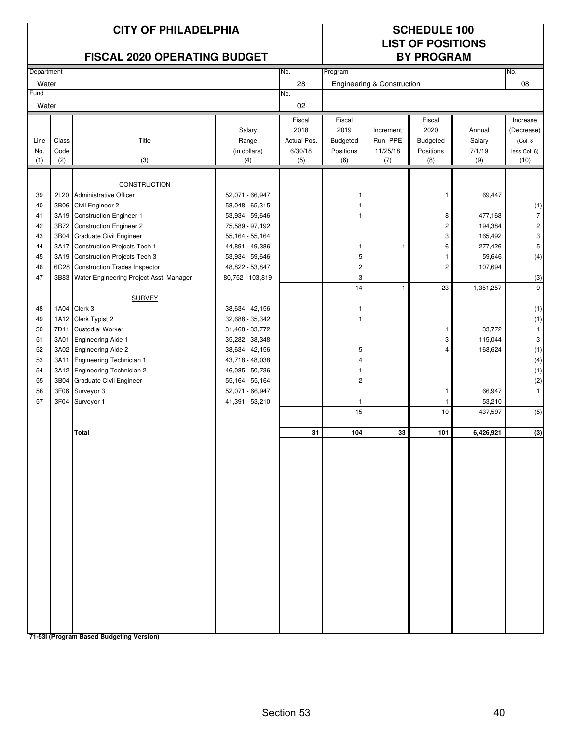|               | <b>CITY OF PHILADELPHIA</b><br><b>FISCAL 2020 OPERATING BUDGET</b> |                                                                  |                                    |                |                                       | <b>SCHEDULE 100</b><br><b>LIST OF POSITIONS</b><br><b>BY PROGRAM</b> |                 |                    |                         |  |
|---------------|--------------------------------------------------------------------|------------------------------------------------------------------|------------------------------------|----------------|---------------------------------------|----------------------------------------------------------------------|-----------------|--------------------|-------------------------|--|
| Department    |                                                                    |                                                                  |                                    | No.            | Program                               |                                                                      |                 |                    | No.                     |  |
| Water         |                                                                    |                                                                  |                                    | 28             | <b>Engineering &amp; Construction</b> |                                                                      |                 |                    | 08                      |  |
| Fund<br>Water |                                                                    |                                                                  |                                    | No.<br>02      |                                       |                                                                      |                 |                    |                         |  |
|               |                                                                    |                                                                  | Salary                             | Fiscal<br>2018 | Fiscal<br>2019                        | Increment                                                            | Fiscal<br>2020  | Annual             | Increase<br>(Decrease)  |  |
| Line          | Class                                                              | Title                                                            | Range                              | Actual Pos.    | Budgeted                              | Run -PPE                                                             | Budgeted        | Salary             | (Col. 8                 |  |
| No.           | Code                                                               |                                                                  | (in dollars)                       | 6/30/18        | Positions                             | 11/25/18                                                             | Positions       | 7/1/19             | less Col. 6)            |  |
| (1)           | (2)                                                                | (3)                                                              | (4)                                | (5)            | (6)                                   | (7)                                                                  | (8)             | (9)                | (10)                    |  |
|               |                                                                    |                                                                  |                                    |                |                                       |                                                                      |                 |                    |                         |  |
|               |                                                                    | <b>CONSTRUCTION</b>                                              |                                    |                |                                       |                                                                      |                 |                    |                         |  |
| 39            | 2L20                                                               | <b>Administrative Officer</b>                                    | 52,071 - 66,947                    |                | 1                                     |                                                                      | 1               | 69,447             |                         |  |
| 40            | 3B06                                                               | Civil Engineer 2                                                 | 58,048 - 65,315                    |                | 1<br>1                                |                                                                      |                 |                    | (1)<br>$\overline{7}$   |  |
| 41<br>42      | 3A19<br>3B72                                                       | <b>Construction Engineer 1</b><br><b>Construction Engineer 2</b> | 53,934 - 59,646<br>75,589 - 97,192 |                |                                       |                                                                      | 8<br>$\sqrt{2}$ | 477,168<br>194,384 | $\overline{\mathbf{c}}$ |  |
| 43            | 3B04                                                               | Graduate Civil Engineer                                          | 55,164 - 55,164                    |                |                                       |                                                                      | 3               | 165,492            | 3                       |  |
| 44            | 3A17                                                               | Construction Projects Tech 1                                     | 44,891 - 49,386                    |                | 1                                     | -1                                                                   | 6               | 277,426            | $\mathbf 5$             |  |
| 45            | 3A19                                                               | <b>Construction Projects Tech 3</b>                              | 53,934 - 59,646                    |                | 5                                     |                                                                      | $\mathbf{1}$    | 59,646             | (4)                     |  |
| 46            |                                                                    | 6G28 Construction Trades Inspector                               | 48,822 - 53,847                    |                | $\overline{\mathbf{c}}$               |                                                                      | $\sqrt{2}$      | 107,694            |                         |  |
| 47            |                                                                    | 3B83 Water Engineering Project Asst. Manager                     | 80,752 - 103,819                   |                | 3                                     |                                                                      |                 |                    | (3)                     |  |
|               |                                                                    |                                                                  |                                    |                | 14                                    | $\overline{1}$                                                       | 23              | 1,351,257          | 9                       |  |
|               |                                                                    | <b>SURVEY</b>                                                    |                                    |                |                                       |                                                                      |                 |                    |                         |  |
| 48            |                                                                    | 1A04 Clerk 3                                                     | 38,634 - 42,156                    |                | 1                                     |                                                                      |                 |                    | (1)                     |  |
| 49            |                                                                    | 1A12 Clerk Typist 2                                              | 32,688 - 35,342                    |                | 1                                     |                                                                      |                 |                    | (1)                     |  |
| 50            | 7D11                                                               | <b>Custodial Worker</b>                                          | 31,468 - 33,772                    |                |                                       |                                                                      | $\mathbf{1}$    | 33,772             | $\mathbf{1}$            |  |
| 51            | 3A01                                                               | <b>Engineering Aide 1</b>                                        | 35,282 - 38,348                    |                |                                       |                                                                      | 3               | 115,044            | 3                       |  |
| 52            |                                                                    | 3A02 Engineering Aide 2                                          | 38,634 - 42,156                    |                | 5                                     |                                                                      | 4               | 168,624            | (1)                     |  |
| 53            | 3A11                                                               | <b>Engineering Technician 1</b>                                  | 43,718 - 48,038                    |                | 4                                     |                                                                      |                 |                    | (4)                     |  |
| 54<br>55      |                                                                    | 3A12 Engineering Technician 2<br>3B04 Graduate Civil Engineer    | 46,085 - 50,736<br>55,164 - 55,164 |                | 1<br>$\overline{\mathbf{c}}$          |                                                                      |                 |                    | (1)<br>(2)              |  |
| 56            |                                                                    | 3F06 Surveyor 3                                                  | 52,071 - 66,947                    |                |                                       |                                                                      | $\mathbf{1}$    | 66,947             | $\mathbf{1}$            |  |
| 57            | 3F04                                                               | Surveyor 1                                                       | 41,391 - 53,210                    |                | 1                                     |                                                                      | $\mathbf{1}$    | 53,210             |                         |  |
|               |                                                                    |                                                                  |                                    |                | 15                                    |                                                                      | 10              | 437,597            | (5)                     |  |
|               |                                                                    | Total                                                            |                                    | 31             | 104                                   | 33                                                                   | 101             | 6,426,921          | (3)                     |  |
|               |                                                                    |                                                                  |                                    |                |                                       |                                                                      |                 |                    |                         |  |
|               |                                                                    |                                                                  |                                    |                |                                       |                                                                      |                 |                    |                         |  |
|               |                                                                    |                                                                  |                                    |                |                                       |                                                                      |                 |                    |                         |  |
|               |                                                                    |                                                                  |                                    |                |                                       |                                                                      |                 |                    |                         |  |
|               |                                                                    |                                                                  |                                    |                |                                       |                                                                      |                 |                    |                         |  |
|               |                                                                    |                                                                  |                                    |                |                                       |                                                                      |                 |                    |                         |  |
|               |                                                                    |                                                                  |                                    |                |                                       |                                                                      |                 |                    |                         |  |
|               |                                                                    |                                                                  |                                    |                |                                       |                                                                      |                 |                    |                         |  |
|               |                                                                    |                                                                  |                                    |                |                                       |                                                                      |                 |                    |                         |  |
|               |                                                                    |                                                                  |                                    |                |                                       |                                                                      |                 |                    |                         |  |
|               |                                                                    |                                                                  |                                    |                |                                       |                                                                      |                 |                    |                         |  |
|               |                                                                    |                                                                  |                                    |                |                                       |                                                                      |                 |                    |                         |  |
|               |                                                                    |                                                                  |                                    |                |                                       |                                                                      |                 |                    |                         |  |
|               |                                                                    |                                                                  |                                    |                |                                       |                                                                      |                 |                    |                         |  |
|               |                                                                    |                                                                  |                                    |                |                                       |                                                                      |                 |                    |                         |  |
|               |                                                                    |                                                                  |                                    |                |                                       |                                                                      |                 |                    |                         |  |
|               |                                                                    |                                                                  |                                    |                |                                       |                                                                      |                 |                    |                         |  |
|               |                                                                    |                                                                  |                                    |                |                                       |                                                                      |                 |                    |                         |  |
|               |                                                                    | 71-53I (Program Based Budgeting Version)                         |                                    |                |                                       |                                                                      |                 |                    |                         |  |

Section 53 40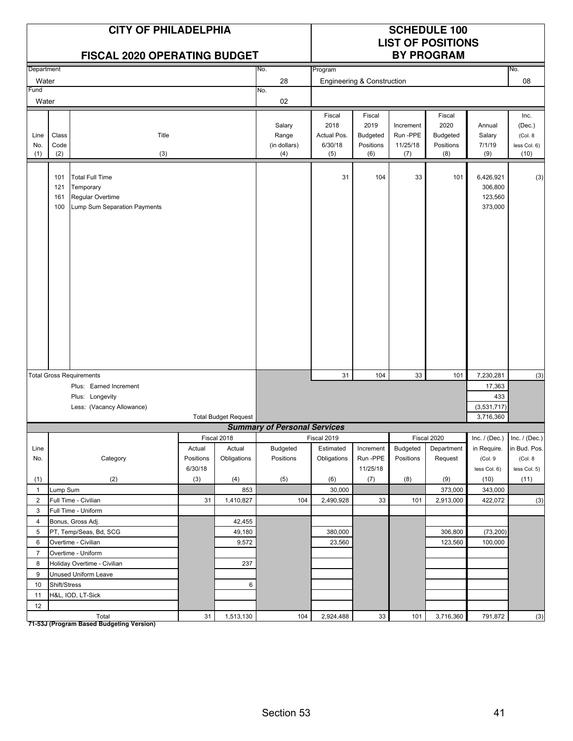|                                | <b>CITY OF PHILADELPHIA</b><br><b>FISCAL 2020 OPERATING BUDGET</b> |                                                                                         |           |                             |                                        |                                                 | <b>SCHEDULE 100</b><br><b>LIST OF POSITIONS</b><br><b>BY PROGRAM</b> |                                         |                                                |                                            |                                                   |
|--------------------------------|--------------------------------------------------------------------|-----------------------------------------------------------------------------------------|-----------|-----------------------------|----------------------------------------|-------------------------------------------------|----------------------------------------------------------------------|-----------------------------------------|------------------------------------------------|--------------------------------------------|---------------------------------------------------|
| Department                     |                                                                    |                                                                                         |           |                             | No.                                    | Program                                         |                                                                      |                                         |                                                |                                            | No.                                               |
| Water                          |                                                                    |                                                                                         |           |                             | 28                                     | Engineering & Construction                      |                                                                      |                                         |                                                | 08                                         |                                                   |
| Fund                           |                                                                    |                                                                                         |           |                             | No.                                    |                                                 |                                                                      |                                         |                                                |                                            |                                                   |
| Water                          |                                                                    |                                                                                         |           |                             | 02                                     |                                                 |                                                                      |                                         |                                                |                                            |                                                   |
| Line<br>No.<br>(1)             | Class<br>Code<br>(2)                                               | Title<br>(3)                                                                            |           |                             | Salary<br>Range<br>(in dollars)<br>(4) | Fiscal<br>2018<br>Actual Pos.<br>6/30/18<br>(5) | Fiscal<br>2019<br>Budgeted<br>Positions<br>(6)                       | Increment<br>Run-PPE<br>11/25/18<br>(7) | Fiscal<br>2020<br>Budgeted<br>Positions<br>(8) | Annual<br>Salary<br>7/1/19<br>(9)          | Inc.<br>(Dec.)<br>(Col. 8<br>less Col. 6)<br>(10) |
|                                | 101<br>121<br>161<br>100                                           | <b>Total Full Time</b><br>Temporary<br>Regular Overtime<br>Lump Sum Separation Payments |           |                             |                                        | 31                                              | 104                                                                  | 33                                      | 101                                            | 6,426,921<br>306,800<br>123,560<br>373,000 | (3)                                               |
|                                |                                                                    | <b>Total Gross Requirements</b>                                                         |           |                             |                                        | 31                                              | 104                                                                  | 33                                      | 101                                            | 7,230,281                                  |                                                   |
|                                |                                                                    | Plus: Earned Increment                                                                  |           |                             |                                        |                                                 |                                                                      |                                         |                                                | 17,363                                     | (3)                                               |
|                                |                                                                    | Plus: Longevity                                                                         |           |                             |                                        |                                                 |                                                                      |                                         |                                                | 433                                        |                                                   |
|                                |                                                                    | Less: (Vacancy Allowance)                                                               |           |                             |                                        | (3,531,717)                                     |                                                                      |                                         |                                                |                                            |                                                   |
|                                |                                                                    |                                                                                         |           | <b>Total Budget Request</b> | 3,716,360                              |                                                 |                                                                      |                                         |                                                |                                            |                                                   |
|                                |                                                                    |                                                                                         |           |                             | <b>Summary of Personal Services</b>    |                                                 |                                                                      |                                         |                                                |                                            |                                                   |
|                                |                                                                    |                                                                                         |           | Fiscal 2018                 |                                        | Fiscal 2019                                     |                                                                      |                                         | Fiscal 2020                                    | Inc. $/$ (Dec.) Inc. $/$ (Dec.)            |                                                   |
| Line                           |                                                                    |                                                                                         | Actual    | Actual                      | Budgeted                               | Estimated                                       | Increment                                                            | Budgeted                                | Department                                     | in Require.                                | in Bud. Pos.                                      |
| No.                            |                                                                    | Category                                                                                | Positions | Obligations                 | Positions                              | Obligations                                     | Run-PPE                                                              | Positions                               | Request                                        | (Col. 9                                    | (Col. 8                                           |
|                                |                                                                    |                                                                                         | 6/30/18   |                             |                                        |                                                 | 11/25/18                                                             |                                         |                                                | less Col. 6)                               | less Col. 5)                                      |
| (1)                            |                                                                    | (2)                                                                                     | (3)       | (4)                         | (5)                                    | (6)                                             | (7)                                                                  | (8)                                     | (9)                                            | (10)                                       | (11)                                              |
| $\mathbf{1}$<br>$\overline{2}$ | Lump Sum                                                           | Full Time - Civilian                                                                    | 31        | 853<br>1,410,827            | 104                                    | 30,000<br>2,490,928                             | 33                                                                   | 101                                     | 373,000<br>2,913,000                           | 343,000<br>422,072                         |                                                   |
| 3                              |                                                                    | Full Time - Uniform                                                                     |           |                             |                                        |                                                 |                                                                      |                                         |                                                |                                            | (3)                                               |
| 4                              |                                                                    | Bonus, Gross Adj.                                                                       |           | 42,455                      |                                        |                                                 |                                                                      |                                         |                                                |                                            |                                                   |
| 5                              |                                                                    | PT, Temp/Seas, Bd, SCG                                                                  |           | 49,180                      |                                        | 380,000                                         |                                                                      |                                         | 306,800                                        | (73, 200)                                  |                                                   |
| 6                              |                                                                    | Overtime - Civilian                                                                     |           | 9,572                       |                                        | 23,560                                          |                                                                      |                                         | 123,560                                        | 100,000                                    |                                                   |
| $\overline{7}$                 |                                                                    | Overtime - Uniform                                                                      |           |                             |                                        |                                                 |                                                                      |                                         |                                                |                                            |                                                   |
| 8                              |                                                                    | Holiday Overtime - Civilian                                                             |           | 237                         |                                        |                                                 |                                                                      |                                         |                                                |                                            |                                                   |
| 9                              |                                                                    | Unused Uniform Leave                                                                    |           |                             |                                        |                                                 |                                                                      |                                         |                                                |                                            |                                                   |
| 10                             | Shift/Stress                                                       |                                                                                         |           | 6                           |                                        |                                                 |                                                                      |                                         |                                                |                                            |                                                   |
| 11                             |                                                                    | H&L, IOD, LT-Sick                                                                       |           |                             |                                        |                                                 |                                                                      |                                         |                                                |                                            |                                                   |
| 12                             |                                                                    |                                                                                         |           |                             |                                        |                                                 |                                                                      |                                         |                                                |                                            |                                                   |
|                                |                                                                    | Total                                                                                   | 31        | 1,513,130                   | 104                                    | 2,924,488                                       | $33\,$                                                               | 101                                     | 3,716,360                                      | 791,872                                    | (3)                                               |

Total<br>T1-53J (Program Based Budgeting Version)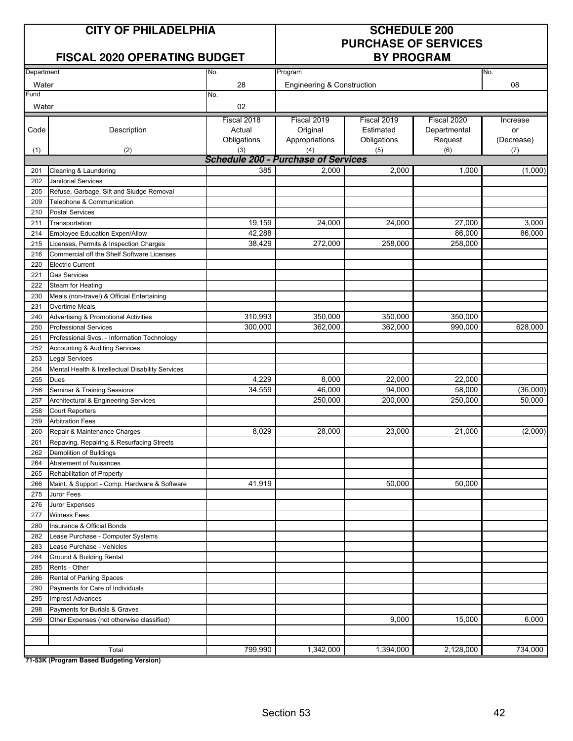## **CITY OF PHILADELPHIA SCHEDULE 200**

### **FISCAL 2020 OPERATING BUDGET**

# **PURCHASE OF SERVICES**

| Department |                                                  | No.                                        | Program                               |             |              | No.        |  |  |
|------------|--------------------------------------------------|--------------------------------------------|---------------------------------------|-------------|--------------|------------|--|--|
| Water      |                                                  | 28                                         | <b>Engineering &amp; Construction</b> |             |              | 08         |  |  |
| Fund       |                                                  | No.                                        |                                       |             |              |            |  |  |
| Water      |                                                  | 02                                         |                                       |             |              |            |  |  |
|            |                                                  | Fiscal 2018                                | Fiscal 2019                           | Fiscal 2019 | Fiscal 2020  | Increase   |  |  |
| Code       | Description                                      | Actual                                     | Original                              | Estimated   | Departmental | or         |  |  |
|            |                                                  | Obligations                                | Appropriations                        | Obligations | Request      | (Decrease) |  |  |
| (1)        | (2)                                              | (3)                                        | (4)                                   | (5)         | (6)          | (7)        |  |  |
|            |                                                  | <b>Schedule 200 - Purchase of Services</b> |                                       |             |              |            |  |  |
| 201        | Cleaning & Laundering                            | 385                                        | 2,000                                 | 2,000       | 1,000        | (1,000)    |  |  |
| 202        | Janitorial Services                              |                                            |                                       |             |              |            |  |  |
| 205        | Refuse, Garbage, Silt and Sludge Removal         |                                            |                                       |             |              |            |  |  |
| 209        | Telephone & Communication                        |                                            |                                       |             |              |            |  |  |
| 210        | <b>Postal Services</b>                           |                                            |                                       |             |              |            |  |  |
| 211        | Transportation                                   | 19,159                                     | 24,000                                | 24,000      | 27,000       | 3,000      |  |  |
| 214        | <b>Employee Education Expen/Allow</b>            | 42,288                                     |                                       |             | 86,000       | 86,000     |  |  |
| 215        | Licenses, Permits & Inspection Charges           | 38,429                                     | 272,000                               | 258,000     | 258,000      |            |  |  |
| 216        | Commercial off the Shelf Software Licenses       |                                            |                                       |             |              |            |  |  |
| 220        | <b>Electric Current</b>                          |                                            |                                       |             |              |            |  |  |
| 221        | <b>Gas Services</b>                              |                                            |                                       |             |              |            |  |  |
| 222        | Steam for Heating                                |                                            |                                       |             |              |            |  |  |
| 230        | Meals (non-travel) & Official Entertaining       |                                            |                                       |             |              |            |  |  |
| 231        | Overtime Meals                                   |                                            |                                       |             |              |            |  |  |
| 240        | <b>Advertising &amp; Promotional Activities</b>  | 310,993                                    | 350,000                               | 350,000     | 350,000      |            |  |  |
| 250        | <b>Professional Services</b>                     | 300,000                                    | 362,000                               | 362,000     | 990,000      | 628,000    |  |  |
| 251        | Professional Svcs. - Information Technology      |                                            |                                       |             |              |            |  |  |
| 252        | <b>Accounting &amp; Auditing Services</b>        |                                            |                                       |             |              |            |  |  |
| 253        | <b>Legal Services</b>                            |                                            |                                       |             |              |            |  |  |
| 254        | Mental Health & Intellectual Disability Services |                                            |                                       |             |              |            |  |  |
| 255        | <b>Dues</b>                                      | 4,229                                      | 8,000                                 | 22,000      | 22,000       |            |  |  |
| 256        | Seminar & Training Sessions                      | 34,559                                     | 46,000                                | 94,000      | 58,000       | (36,000)   |  |  |
| 257        | Architectural & Engineering Services             |                                            | 250,000                               | 200,000     | 250,000      | 50,000     |  |  |
| 258        | <b>Court Reporters</b>                           |                                            |                                       |             |              |            |  |  |
| 259        | <b>Arbitration Fees</b>                          |                                            |                                       |             |              |            |  |  |
| 260        | Repair & Maintenance Charges                     | 8,029                                      | 28.000                                | 23,000      | 21,000       | (2,000)    |  |  |
| 261        | Repaving, Repairing & Resurfacing Streets        |                                            |                                       |             |              |            |  |  |
| 262        | Demolition of Buildings                          |                                            |                                       |             |              |            |  |  |
| 264        | <b>Abatement of Nuisances</b>                    |                                            |                                       |             |              |            |  |  |
| 265        | Rehabilitation of Property                       |                                            |                                       |             |              |            |  |  |
| 266        | Maint. & Support - Comp. Hardware & Software     | 41,919                                     |                                       | 50,000      | 50,000       |            |  |  |
| 275        | Juror Fees                                       |                                            |                                       |             |              |            |  |  |
| 276        | Juror Expenses                                   |                                            |                                       |             |              |            |  |  |
| 277        | <b>Witness Fees</b>                              |                                            |                                       |             |              |            |  |  |
| 280        | Insurance & Official Bonds                       |                                            |                                       |             |              |            |  |  |
| 282        | Lease Purchase - Computer Systems                |                                            |                                       |             |              |            |  |  |
| 283        | Lease Purchase - Vehicles                        |                                            |                                       |             |              |            |  |  |
| 284        | Ground & Building Rental                         |                                            |                                       |             |              |            |  |  |
| 285        | Rents - Other                                    |                                            |                                       |             |              |            |  |  |
| 286        | Rental of Parking Spaces                         |                                            |                                       |             |              |            |  |  |
| 290        | Payments for Care of Individuals                 |                                            |                                       |             |              |            |  |  |
| 295        | <b>Imprest Advances</b>                          |                                            |                                       |             |              |            |  |  |
| 298        | Payments for Burials & Graves                    |                                            |                                       |             |              |            |  |  |
| 299        | Other Expenses (not otherwise classified)        |                                            |                                       | 9,000       | 15,000       | 6,000      |  |  |
|            |                                                  |                                            |                                       |             |              |            |  |  |
|            |                                                  |                                            |                                       |             |              |            |  |  |
|            | Total                                            | 799,990                                    | 1,342,000                             | 1,394,000   | 2,128,000    | 734,000    |  |  |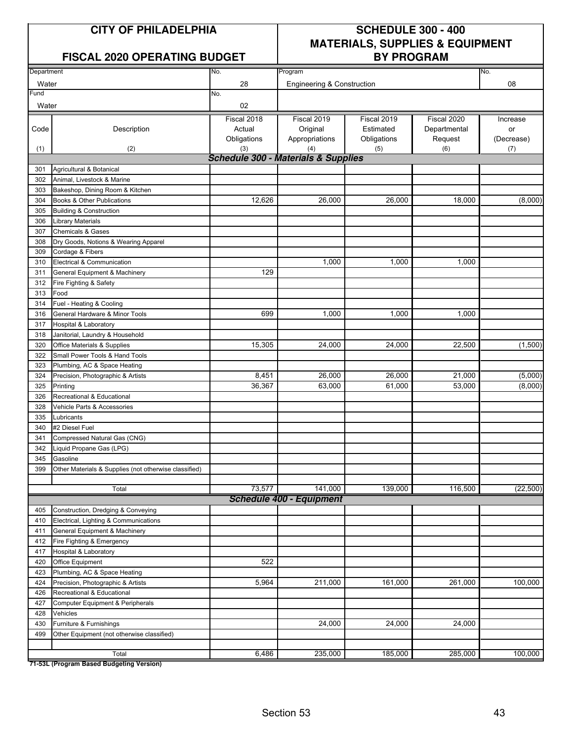#### **FISCAL 2020 OPERATING BUDGET**

## **CITY OF PHILADELPHIA SCHEDULE 300 - 400 MATERIALS, SUPPLIES & EQUIPMENT**

| Department |                                                          | No.                                            | Program                               |             |              | No.        |  |  |
|------------|----------------------------------------------------------|------------------------------------------------|---------------------------------------|-------------|--------------|------------|--|--|
| Water      |                                                          | 28                                             | <b>Engineering &amp; Construction</b> |             |              | 08         |  |  |
| Fund       |                                                          | No.                                            |                                       |             |              |            |  |  |
| Water      |                                                          | 02                                             |                                       |             |              |            |  |  |
|            |                                                          | Fiscal 2018                                    | Fiscal 2019                           | Fiscal 2019 | Fiscal 2020  | Increase   |  |  |
| Code       | Description                                              | Actual                                         | Original                              | Estimated   | Departmental | or         |  |  |
|            |                                                          | Obligations                                    | Appropriations                        | Obligations | Request      | (Decrease) |  |  |
| (1)        | (2)                                                      | (3)                                            | (4)                                   | (5)         | (6)          | (7)        |  |  |
|            |                                                          | <b>Schedule 300 - Materials &amp; Supplies</b> |                                       |             |              |            |  |  |
| 301        | Agricultural & Botanical                                 |                                                |                                       |             |              |            |  |  |
| 302        | Animal, Livestock & Marine                               |                                                |                                       |             |              |            |  |  |
| 303        | Bakeshop, Dining Room & Kitchen                          |                                                |                                       |             |              |            |  |  |
| 304        | Books & Other Publications                               | 12,626                                         | 26,000                                | 26,000      | 18,000       | (8,000)    |  |  |
| 305        | <b>Building &amp; Construction</b>                       |                                                |                                       |             |              |            |  |  |
| 306        | <b>Library Materials</b>                                 |                                                |                                       |             |              |            |  |  |
| 307        | <b>Chemicals &amp; Gases</b>                             |                                                |                                       |             |              |            |  |  |
| 308        | Dry Goods, Notions & Wearing Apparel                     |                                                |                                       |             |              |            |  |  |
| 309        | Cordage & Fibers                                         |                                                |                                       |             |              |            |  |  |
| 310        | Electrical & Communication                               |                                                | 1,000                                 | 1,000       | 1,000        |            |  |  |
| 311        | General Equipment & Machinery                            | 129                                            |                                       |             |              |            |  |  |
| 312        | Fire Fighting & Safety                                   |                                                |                                       |             |              |            |  |  |
| 313        | Food                                                     |                                                |                                       |             |              |            |  |  |
| 314        | Fuel - Heating & Cooling                                 |                                                |                                       |             |              |            |  |  |
| 316        | General Hardware & Minor Tools                           | 699                                            | 1,000                                 | 1,000       | 1,000        |            |  |  |
| 317        | <b>Hospital &amp; Laboratory</b>                         |                                                |                                       |             |              |            |  |  |
| 318        | Janitorial, Laundry & Household                          |                                                |                                       |             |              |            |  |  |
| 320        | Office Materials & Supplies                              | 15,305                                         | 24,000                                | 24,000      | 22,500       | (1,500)    |  |  |
| 322        | Small Power Tools & Hand Tools                           |                                                |                                       |             |              |            |  |  |
| 323        | Plumbing, AC & Space Heating                             |                                                |                                       |             |              |            |  |  |
| 324        | Precision, Photographic & Artists                        | 8,451                                          | 26,000                                | 26,000      | 21,000       | (5,000)    |  |  |
| 325        | Printing                                                 | 36,367                                         | 63,000                                | 61,000      | 53,000       | (8,000)    |  |  |
| 326        | Recreational & Educational                               |                                                |                                       |             |              |            |  |  |
| 328        | Vehicle Parts & Accessories                              |                                                |                                       |             |              |            |  |  |
| 335        | Lubricants                                               |                                                |                                       |             |              |            |  |  |
| 340        | #2 Diesel Fuel                                           |                                                |                                       |             |              |            |  |  |
| 341<br>342 | Compressed Natural Gas (CNG)<br>Liquid Propane Gas (LPG) |                                                |                                       |             |              |            |  |  |
| 345        | Gasoline                                                 |                                                |                                       |             |              |            |  |  |
| 399        | Other Materials & Supplies (not otherwise classified)    |                                                |                                       |             |              |            |  |  |
|            |                                                          |                                                |                                       |             |              |            |  |  |
|            | Total                                                    | 73,577                                         | 141,000                               | 139,000     | 116,500      | (22, 500)  |  |  |
|            |                                                          |                                                | <b>Schedule 400 - Equipment</b>       |             |              |            |  |  |
| 405        | Construction, Dredging & Conveying                       |                                                |                                       |             |              |            |  |  |
| 410        | Electrical, Lighting & Communications                    |                                                |                                       |             |              |            |  |  |
| 411        | General Equipment & Machinery                            |                                                |                                       |             |              |            |  |  |
| 412        | Fire Fighting & Emergency                                |                                                |                                       |             |              |            |  |  |
| 417        | <b>Hospital &amp; Laboratory</b>                         |                                                |                                       |             |              |            |  |  |
| 420        | Office Equipment                                         | 522                                            |                                       |             |              |            |  |  |
| 423        | Plumbing, AC & Space Heating                             |                                                |                                       |             |              |            |  |  |
| 424        | Precision, Photographic & Artists                        | 5,964                                          | 211,000                               | 161,000     | 261,000      | 100,000    |  |  |
| 426        | Recreational & Educational                               |                                                |                                       |             |              |            |  |  |
| 427        | Computer Equipment & Peripherals                         |                                                |                                       |             |              |            |  |  |
| 428        | Vehicles                                                 |                                                |                                       |             |              |            |  |  |
| 430        | Furniture & Furnishings                                  |                                                | 24,000                                | 24,000      | 24,000       |            |  |  |
| 499        | Other Equipment (not otherwise classified)               |                                                |                                       |             |              |            |  |  |
|            |                                                          |                                                |                                       |             |              |            |  |  |
|            | Total                                                    | 6,486                                          | 235,000                               | 185,000     | 285,000      | 100,000    |  |  |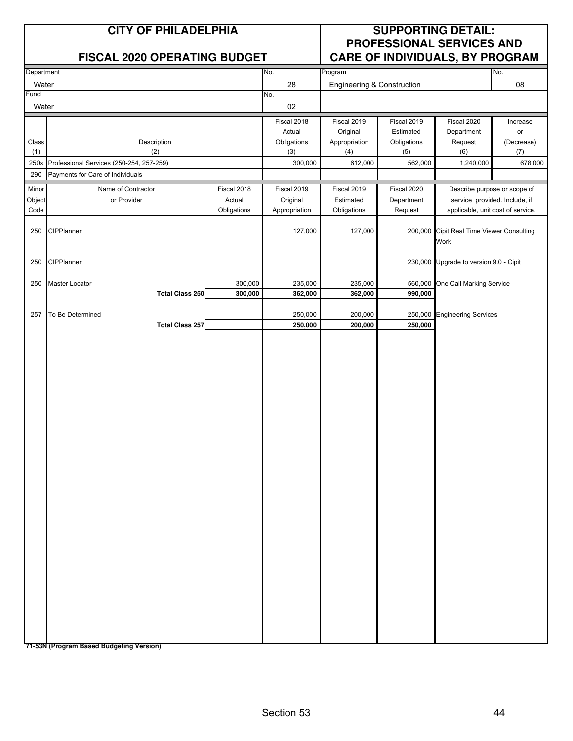|             | <b>CITY OF PHILADELPHIA</b><br><b>FISCAL 2020 OPERATING BUDGET</b> |             | <b>SUPPORTING DETAIL:</b><br><b>PROFESSIONAL SERVICES AND</b><br>CARE OF INDIVIDUALS, BY PROGRAM |                                       |                |                                                   |                |
|-------------|--------------------------------------------------------------------|-------------|--------------------------------------------------------------------------------------------------|---------------------------------------|----------------|---------------------------------------------------|----------------|
| Department  |                                                                    |             | No.                                                                                              | Program                               |                |                                                   | No.            |
| Water       |                                                                    |             | 28                                                                                               | <b>Engineering &amp; Construction</b> |                |                                                   | 08             |
| Fund        |                                                                    |             | No.                                                                                              |                                       |                |                                                   |                |
| Water       |                                                                    |             | 02                                                                                               |                                       |                |                                                   |                |
|             |                                                                    |             | Fiscal 2018                                                                                      | Fiscal 2019                           | Fiscal 2019    | Fiscal 2020                                       | Increase       |
|             |                                                                    |             | Actual                                                                                           | Original                              | Estimated      | Department                                        | or             |
| Class       | Description                                                        |             | Obligations                                                                                      | Appropriation                         | Obligations    | Request                                           | (Decrease)     |
| (1)<br>250s | (2)<br>Professional Services (250-254, 257-259)                    |             | (3)<br>300,000                                                                                   | (4)<br>612,000                        | (5)<br>562,000 | (6)<br>1,240,000                                  | (7)<br>678,000 |
| 290         | Payments for Care of Individuals                                   |             |                                                                                                  |                                       |                |                                                   |                |
| Minor       | Name of Contractor                                                 | Fiscal 2018 | Fiscal 2019                                                                                      | Fiscal 2019                           | Fiscal 2020    | Describe purpose or scope of                      |                |
| Object      | or Provider                                                        | Actual      | Original                                                                                         | Estimated                             | Department     | service provided. Include, if                     |                |
| Code        |                                                                    | Obligations | Appropriation                                                                                    | Obligations                           | Request        | applicable, unit cost of service.                 |                |
| 250         | CIPPlanner                                                         |             | 127,000                                                                                          | 127,000                               |                | 200,000 Cipit Real Time Viewer Consulting<br>Work |                |
| 250         | CIPPlanner                                                         |             |                                                                                                  |                                       |                | 230,000 Upgrade to version 9.0 - Cipit            |                |
| 250         | Master Locator                                                     | 300,000     | 235,000                                                                                          | 235,000                               |                | 560,000 One Call Marking Service                  |                |
|             | <b>Total Class 250</b>                                             | 300,000     | 362,000                                                                                          | 362,000                               | 990,000        |                                                   |                |
| 257         | To Be Determined                                                   |             | 250,000                                                                                          | 200,000                               | 250,000        | <b>Engineering Services</b>                       |                |
|             | <b>Total Class 257</b>                                             |             | 250,000                                                                                          | 200,000                               | 250,000        |                                                   |                |
|             |                                                                    |             |                                                                                                  |                                       |                |                                                   |                |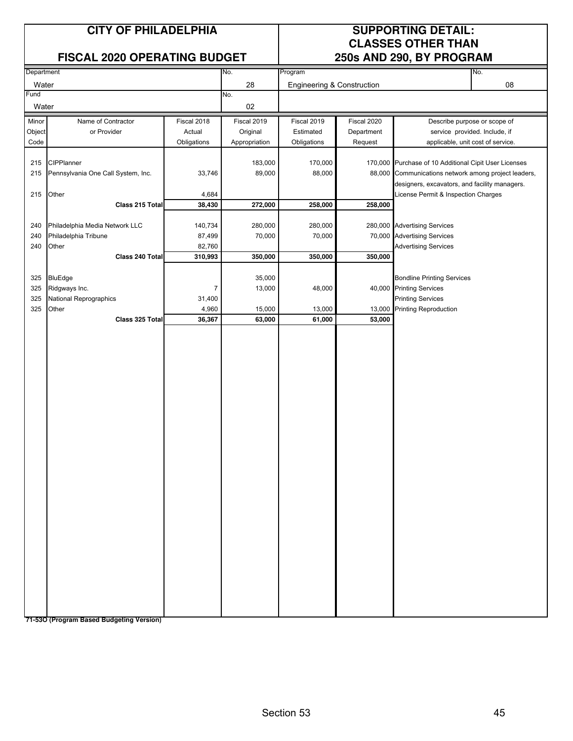#### **FISCAL 2020 OPERATING BUDGET 250s AND 290, BY PROGRAM**

## **CITY OF PHILADELPHIA SUPPORTING DETAIL: CLASSES OTHER THAN**

|            | <b>FIJUAL ZUZU UPENATIINU DUDUET</b> |                |               | 2005 AND 290, DT PRUGRAM   |             |                                                       |     |
|------------|--------------------------------------|----------------|---------------|----------------------------|-------------|-------------------------------------------------------|-----|
| Department |                                      |                | No.           | Program                    |             |                                                       | No. |
| Water      |                                      |                | 28            | Engineering & Construction |             |                                                       | 08  |
| Fund       |                                      |                | No.           |                            |             |                                                       |     |
| Water      |                                      |                | 02            |                            |             |                                                       |     |
|            |                                      |                |               |                            |             |                                                       |     |
| Minor      | Name of Contractor                   | Fiscal 2018    | Fiscal 2019   | Fiscal 2019                | Fiscal 2020 | Describe purpose or scope of                          |     |
| Object     | or Provider                          | Actual         | Original      | Estimated                  | Department  | service provided. Include, if                         |     |
| Code       |                                      | Obligations    | Appropriation | Obligations                | Request     | applicable, unit cost of service.                     |     |
|            |                                      |                |               |                            |             |                                                       |     |
| 215        | CIPPlanner                           |                | 183,000       | 170,000                    |             | 170,000 Purchase of 10 Additional Cipit User Licenses |     |
| 215        | Pennsylvania One Call System, Inc.   | 33,746         | 89,000        | 88,000                     |             | 88,000 Communications network among project leaders,  |     |
|            |                                      |                |               |                            |             | designers, excavators, and facility managers.         |     |
| 215        | Other                                | 4,684          |               |                            |             | License Permit & Inspection Charges                   |     |
|            | Class 215 Total                      | 38,430         | 272,000       | 258,000                    | 258,000     |                                                       |     |
|            |                                      |                |               |                            |             |                                                       |     |
| 240        | Philadelphia Media Network LLC       | 140,734        | 280,000       | 280,000                    |             | 280,000 Advertising Services                          |     |
| 240        | Philadelphia Tribune                 | 87,499         | 70,000        | 70,000                     |             | 70,000 Advertising Services                           |     |
| 240        | Other                                | 82,760         |               |                            |             | <b>Advertising Services</b>                           |     |
|            | Class 240 Total                      | 310,993        | 350,000       | 350,000                    | 350,000     |                                                       |     |
|            |                                      |                |               |                            |             |                                                       |     |
| 325        | <b>BluEdge</b>                       |                | 35,000        |                            |             | <b>Bondline Printing Services</b>                     |     |
| 325        | Ridgways Inc.                        | $\overline{7}$ | 13,000        | 48,000                     |             | 40,000 Printing Services                              |     |
| 325        | National Reprographics               | 31,400         |               |                            |             | <b>Printing Services</b>                              |     |
| 325        | Other                                | 4,960          | 15,000        | 13,000                     | 13,000      | <b>Printing Reproduction</b>                          |     |
|            | Class 325 Total                      | 36,367         | 63,000        | 61,000                     | 53,000      |                                                       |     |
|            |                                      |                |               |                            |             |                                                       |     |
|            |                                      |                |               |                            |             |                                                       |     |
|            |                                      |                |               |                            |             |                                                       |     |
|            |                                      |                |               |                            |             |                                                       |     |
|            |                                      |                |               |                            |             |                                                       |     |
|            |                                      |                |               |                            |             |                                                       |     |
|            |                                      |                |               |                            |             |                                                       |     |
|            |                                      |                |               |                            |             |                                                       |     |
|            |                                      |                |               |                            |             |                                                       |     |
|            |                                      |                |               |                            |             |                                                       |     |
|            |                                      |                |               |                            |             |                                                       |     |
|            |                                      |                |               |                            |             |                                                       |     |
|            |                                      |                |               |                            |             |                                                       |     |
|            |                                      |                |               |                            |             |                                                       |     |
|            |                                      |                |               |                            |             |                                                       |     |
|            |                                      |                |               |                            |             |                                                       |     |
|            |                                      |                |               |                            |             |                                                       |     |
|            |                                      |                |               |                            |             |                                                       |     |
|            |                                      |                |               |                            |             |                                                       |     |
|            |                                      |                |               |                            |             |                                                       |     |
|            |                                      |                |               |                            |             |                                                       |     |
|            |                                      |                |               |                            |             |                                                       |     |
|            |                                      |                |               |                            |             |                                                       |     |
|            |                                      |                |               |                            |             |                                                       |     |
|            |                                      |                |               |                            |             |                                                       |     |
|            |                                      |                |               |                            |             |                                                       |     |
|            |                                      |                |               |                            |             |                                                       |     |
|            |                                      |                |               |                            |             |                                                       |     |
|            |                                      |                |               |                            |             |                                                       |     |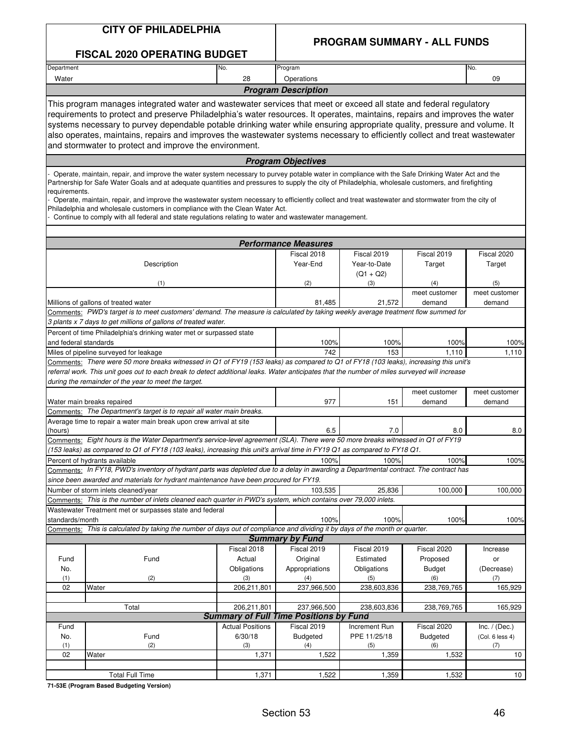| <b>CITY OF PHILADELPHIA</b> |
|-----------------------------|
|-----------------------------|

**FISCAL 2020 OPERATING BUDGET**

#### **PROGRAM SUMMARY - ALL FUNDS**

| Department                                                                                                                                                                                                                                                                                                                                                                                                                                                                                                                                                                                                                                                               |                                                                                                                                                                                                                                                               | No.                     | Program                                       |                                                   |                              | No.                          |  |  |  |
|--------------------------------------------------------------------------------------------------------------------------------------------------------------------------------------------------------------------------------------------------------------------------------------------------------------------------------------------------------------------------------------------------------------------------------------------------------------------------------------------------------------------------------------------------------------------------------------------------------------------------------------------------------------------------|---------------------------------------------------------------------------------------------------------------------------------------------------------------------------------------------------------------------------------------------------------------|-------------------------|-----------------------------------------------|---------------------------------------------------|------------------------------|------------------------------|--|--|--|
| Water                                                                                                                                                                                                                                                                                                                                                                                                                                                                                                                                                                                                                                                                    |                                                                                                                                                                                                                                                               | 28                      | Operations                                    |                                                   |                              | 09                           |  |  |  |
|                                                                                                                                                                                                                                                                                                                                                                                                                                                                                                                                                                                                                                                                          |                                                                                                                                                                                                                                                               |                         | <b>Program Description</b>                    |                                                   |                              |                              |  |  |  |
| This program manages integrated water and wastewater services that meet or exceed all state and federal regulatory<br>requirements to protect and preserve Philadelphia's water resources. It operates, maintains, repairs and improves the water<br>systems necessary to purvey dependable potable drinking water while ensuring appropriate quality, pressure and volume. It<br>also operates, maintains, repairs and improves the wastewater systems necessary to efficiently collect and treat wastewater<br>and stormwater to protect and improve the environment.                                                                                                  |                                                                                                                                                                                                                                                               |                         |                                               |                                                   |                              |                              |  |  |  |
|                                                                                                                                                                                                                                                                                                                                                                                                                                                                                                                                                                                                                                                                          |                                                                                                                                                                                                                                                               |                         | <b>Program Objectives</b>                     |                                                   |                              |                              |  |  |  |
| Operate, maintain, repair, and improve the water system necessary to purvey potable water in compliance with the Safe Drinking Water Act and the<br>Partnership for Safe Water Goals and at adequate quantities and pressures to supply the city of Philadelphia, wholesale customers, and firefighting<br>requirements.<br>Operate, maintain, repair, and improve the wastewater system necessary to efficiently collect and treat wastewater and stormwater from the city of<br>Philadelphia and wholesale customers in compliance with the Clean Water Act.<br>Continue to comply with all federal and state regulations relating to water and wastewater management. |                                                                                                                                                                                                                                                               |                         |                                               |                                                   |                              |                              |  |  |  |
|                                                                                                                                                                                                                                                                                                                                                                                                                                                                                                                                                                                                                                                                          |                                                                                                                                                                                                                                                               |                         | <b>Performance Measures</b>                   |                                                   |                              |                              |  |  |  |
|                                                                                                                                                                                                                                                                                                                                                                                                                                                                                                                                                                                                                                                                          | Description<br>(1)                                                                                                                                                                                                                                            |                         | Fiscal 2018<br>Year-End<br>(2)                | Fiscal 2019<br>Year-to-Date<br>$(Q1 + Q2)$<br>(3) | Fiscal 2019<br>Target<br>(4) | Fiscal 2020<br>Target<br>(5) |  |  |  |
|                                                                                                                                                                                                                                                                                                                                                                                                                                                                                                                                                                                                                                                                          |                                                                                                                                                                                                                                                               |                         |                                               |                                                   | meet customer                | meet customer                |  |  |  |
|                                                                                                                                                                                                                                                                                                                                                                                                                                                                                                                                                                                                                                                                          | Millions of gallons of treated water                                                                                                                                                                                                                          |                         | 81,485                                        | 21,572                                            | demand                       | demand                       |  |  |  |
|                                                                                                                                                                                                                                                                                                                                                                                                                                                                                                                                                                                                                                                                          | Comments: PWD's target is to meet customers' demand. The measure is calculated by taking weekly average treatment flow summed for<br>3 plants x 7 days to get millions of gallons of treated water.                                                           |                         |                                               |                                                   |                              |                              |  |  |  |
| and federal standards                                                                                                                                                                                                                                                                                                                                                                                                                                                                                                                                                                                                                                                    | Percent of time Philadelphia's drinking water met or surpassed state                                                                                                                                                                                          |                         | 100%                                          | 100%                                              | 100%                         | 100%                         |  |  |  |
|                                                                                                                                                                                                                                                                                                                                                                                                                                                                                                                                                                                                                                                                          | Miles of pipeline surveyed for leakage                                                                                                                                                                                                                        |                         | 742                                           | 153                                               | 1,110                        | 1,110                        |  |  |  |
|                                                                                                                                                                                                                                                                                                                                                                                                                                                                                                                                                                                                                                                                          |                                                                                                                                                                                                                                                               |                         |                                               |                                                   |                              |                              |  |  |  |
| Comments: There were 50 more breaks witnessed in Q1 of FY19 (153 leaks) as compared to Q1 of FY18 (103 leaks), increasing this unit's<br>referral work. This unit goes out to each break to detect additional leaks. Water anticipates that the number of miles surveyed will increase<br>during the remainder of the year to meet the target.                                                                                                                                                                                                                                                                                                                           |                                                                                                                                                                                                                                                               |                         |                                               |                                                   |                              |                              |  |  |  |
|                                                                                                                                                                                                                                                                                                                                                                                                                                                                                                                                                                                                                                                                          |                                                                                                                                                                                                                                                               |                         |                                               |                                                   | meet customer                | meet customer                |  |  |  |
|                                                                                                                                                                                                                                                                                                                                                                                                                                                                                                                                                                                                                                                                          | Water main breaks repaired                                                                                                                                                                                                                                    |                         | 977                                           | 151                                               | demand                       | demand                       |  |  |  |
|                                                                                                                                                                                                                                                                                                                                                                                                                                                                                                                                                                                                                                                                          | Comments: The Department's target is to repair all water main breaks.                                                                                                                                                                                         |                         |                                               |                                                   |                              |                              |  |  |  |
|                                                                                                                                                                                                                                                                                                                                                                                                                                                                                                                                                                                                                                                                          | Average time to repair a water main break upon crew arrival at site                                                                                                                                                                                           |                         |                                               |                                                   |                              |                              |  |  |  |
| (hours)                                                                                                                                                                                                                                                                                                                                                                                                                                                                                                                                                                                                                                                                  |                                                                                                                                                                                                                                                               |                         | 6.5                                           | 7.0                                               | 8.0                          | 8.0                          |  |  |  |
|                                                                                                                                                                                                                                                                                                                                                                                                                                                                                                                                                                                                                                                                          | Comments: Eight hours is the Water Department's service-level agreement (SLA). There were 50 more breaks witnessed in Q1 of FY19<br>(153 leaks) as compared to Q1 of FY18 (103 leaks), increasing this unit's arrival time in FY19 Q1 as compared to FY18 Q1. |                         |                                               |                                                   |                              |                              |  |  |  |
|                                                                                                                                                                                                                                                                                                                                                                                                                                                                                                                                                                                                                                                                          | Percent of hydrants available<br>Comments: In FY18, PWD's inventory of hydrant parts was depleted due to a delay in awarding a Departmental contract. The contract has                                                                                        |                         | 100%                                          | 100%                                              | 100%                         | 100%                         |  |  |  |
|                                                                                                                                                                                                                                                                                                                                                                                                                                                                                                                                                                                                                                                                          | since been awarded and materials for hydrant maintenance have been procured for FY19.                                                                                                                                                                         |                         |                                               |                                                   |                              |                              |  |  |  |
|                                                                                                                                                                                                                                                                                                                                                                                                                                                                                                                                                                                                                                                                          | Number of storm inlets cleaned/year                                                                                                                                                                                                                           |                         | 103,535                                       | 25,836                                            | 100,000                      | 100,000                      |  |  |  |
|                                                                                                                                                                                                                                                                                                                                                                                                                                                                                                                                                                                                                                                                          | Comments: This is the number of inlets cleaned each quarter in PWD's system, which contains over 79,000 inlets.                                                                                                                                               |                         |                                               |                                                   |                              |                              |  |  |  |
|                                                                                                                                                                                                                                                                                                                                                                                                                                                                                                                                                                                                                                                                          | Wastewater Treatment met or surpasses state and federal                                                                                                                                                                                                       |                         |                                               |                                                   |                              |                              |  |  |  |
| standards/month                                                                                                                                                                                                                                                                                                                                                                                                                                                                                                                                                                                                                                                          |                                                                                                                                                                                                                                                               |                         | 100%                                          | 100%                                              | 100%                         | 100%                         |  |  |  |
|                                                                                                                                                                                                                                                                                                                                                                                                                                                                                                                                                                                                                                                                          | Comments: This is calculated by taking the number of days out of compliance and dividing it by days of the month or quarter.                                                                                                                                  |                         |                                               |                                                   |                              |                              |  |  |  |
|                                                                                                                                                                                                                                                                                                                                                                                                                                                                                                                                                                                                                                                                          |                                                                                                                                                                                                                                                               |                         | <b>Summary by Fund</b>                        |                                                   |                              |                              |  |  |  |
|                                                                                                                                                                                                                                                                                                                                                                                                                                                                                                                                                                                                                                                                          |                                                                                                                                                                                                                                                               | Fiscal 2018             | Fiscal 2019                                   | Fiscal 2019                                       | Fiscal 2020                  | Increase                     |  |  |  |
| Fund                                                                                                                                                                                                                                                                                                                                                                                                                                                                                                                                                                                                                                                                     | Fund                                                                                                                                                                                                                                                          | Actual                  | Original                                      | Estimated                                         | Proposed                     | or                           |  |  |  |
| No.                                                                                                                                                                                                                                                                                                                                                                                                                                                                                                                                                                                                                                                                      |                                                                                                                                                                                                                                                               | Obligations             | Appropriations                                | Obligations                                       | <b>Budget</b>                | (Decrease)                   |  |  |  |
| (1)<br>02                                                                                                                                                                                                                                                                                                                                                                                                                                                                                                                                                                                                                                                                | (2)<br>Water                                                                                                                                                                                                                                                  | (3)<br>206,211,801      | (4)<br>237,966,500                            | (5)<br>238,603,836                                | (6)<br>238,769,765           | (7)<br>165,929               |  |  |  |
|                                                                                                                                                                                                                                                                                                                                                                                                                                                                                                                                                                                                                                                                          |                                                                                                                                                                                                                                                               |                         |                                               |                                                   |                              |                              |  |  |  |
|                                                                                                                                                                                                                                                                                                                                                                                                                                                                                                                                                                                                                                                                          | Total                                                                                                                                                                                                                                                         | 206,211,801             | 237,966,500                                   | 238,603,836                                       | 238,769,765                  | 165,929                      |  |  |  |
|                                                                                                                                                                                                                                                                                                                                                                                                                                                                                                                                                                                                                                                                          |                                                                                                                                                                                                                                                               |                         | <b>Summary of Full Time Positions by Fund</b> |                                                   |                              |                              |  |  |  |
| Fund                                                                                                                                                                                                                                                                                                                                                                                                                                                                                                                                                                                                                                                                     |                                                                                                                                                                                                                                                               | <b>Actual Positions</b> | Fiscal 2019                                   | Increment Run                                     | Fiscal 2020                  | Inc. $/$ (Dec.)              |  |  |  |
| No.                                                                                                                                                                                                                                                                                                                                                                                                                                                                                                                                                                                                                                                                      | Fund                                                                                                                                                                                                                                                          | 6/30/18                 | Budgeted                                      | PPE 11/25/18                                      | Budgeted                     | (Col. 6 less 4)              |  |  |  |
| (1)                                                                                                                                                                                                                                                                                                                                                                                                                                                                                                                                                                                                                                                                      | (2)                                                                                                                                                                                                                                                           | (3)                     | (4)                                           | (5)                                               | (6)                          | (7)                          |  |  |  |
| 02                                                                                                                                                                                                                                                                                                                                                                                                                                                                                                                                                                                                                                                                       | Water                                                                                                                                                                                                                                                         | 1,371                   | 1,522                                         | 1,359                                             | 1,532                        | 10                           |  |  |  |
|                                                                                                                                                                                                                                                                                                                                                                                                                                                                                                                                                                                                                                                                          | <b>Total Full Time</b>                                                                                                                                                                                                                                        | 1,371                   | 1,522                                         | 1,359                                             | 1,532                        | 10                           |  |  |  |
|                                                                                                                                                                                                                                                                                                                                                                                                                                                                                                                                                                                                                                                                          |                                                                                                                                                                                                                                                               |                         |                                               |                                                   |                              |                              |  |  |  |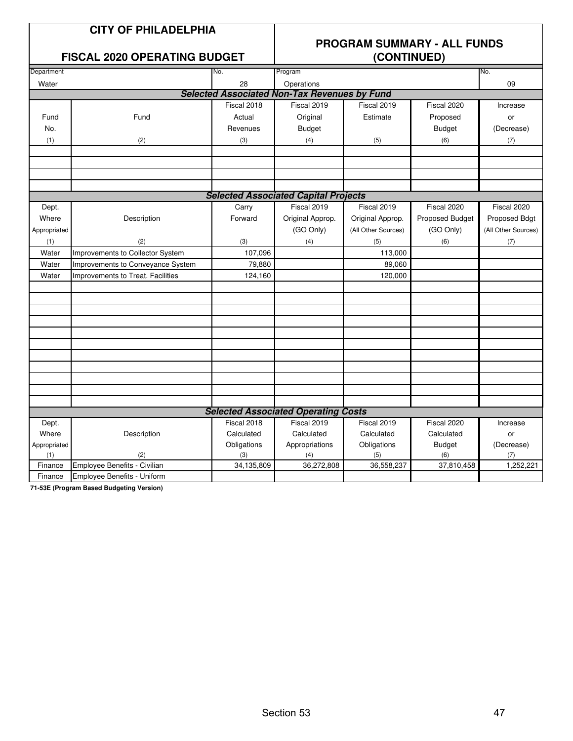## **CITY OF PHILADELPHIA**

#### **FISCAL 2020 OPERATING BUDGET**

## **PROGRAM SUMMARY - ALL FUNDS**

| \~~''''''''' |                                   |             |                                                     |                     |                 |                     |
|--------------|-----------------------------------|-------------|-----------------------------------------------------|---------------------|-----------------|---------------------|
| Department   |                                   | No.         | Program                                             |                     |                 | No.                 |
| Water        |                                   | 28          | Operations                                          |                     |                 | 09                  |
|              |                                   |             | <b>Selected Associated Non-Tax Revenues by Fund</b> |                     |                 |                     |
|              |                                   | Fiscal 2018 | Fiscal 2019                                         | Fiscal 2019         | Fiscal 2020     | Increase            |
| Fund         | Fund                              | Actual      | Original                                            | Estimate            | Proposed        | or                  |
| No.          |                                   | Revenues    | <b>Budget</b>                                       |                     | <b>Budget</b>   | (Decrease)          |
| (1)          | (2)                               | (3)         | (4)                                                 | (5)                 | (6)             | (7)                 |
|              |                                   |             |                                                     |                     |                 |                     |
|              |                                   |             |                                                     |                     |                 |                     |
|              |                                   |             |                                                     |                     |                 |                     |
|              |                                   |             |                                                     |                     |                 |                     |
|              |                                   |             | <b>Selected Associated Capital Projects</b>         |                     |                 |                     |
| Dept.        |                                   | Carry       | Fiscal 2019                                         | Fiscal 2019         | Fiscal 2020     | Fiscal 2020         |
| Where        | Description                       | Forward     | Original Approp.                                    | Original Approp.    | Proposed Budget | Proposed Bdgt       |
| Appropriated |                                   |             | (GO Only)                                           | (All Other Sources) | (GO Only)       | (All Other Sources) |
| (1)          | (2)                               | (3)         | (4)                                                 | (5)                 | (6)             | (7)                 |
| Water        | Improvements to Collector System  | 107,096     |                                                     | 113,000             |                 |                     |
| Water        | Improvements to Conveyance System | 79,880      |                                                     | 89,060              |                 |                     |
| Water        | Improvements to Treat. Facilities | 124,160     |                                                     | 120,000             |                 |                     |
|              |                                   |             |                                                     |                     |                 |                     |
|              |                                   |             |                                                     |                     |                 |                     |
|              |                                   |             |                                                     |                     |                 |                     |
|              |                                   |             |                                                     |                     |                 |                     |
|              |                                   |             |                                                     |                     |                 |                     |
|              |                                   |             |                                                     |                     |                 |                     |
|              |                                   |             |                                                     |                     |                 |                     |
|              |                                   |             |                                                     |                     |                 |                     |
|              |                                   |             |                                                     |                     |                 |                     |
|              |                                   |             |                                                     |                     |                 |                     |
|              |                                   |             |                                                     |                     |                 |                     |
|              |                                   |             | <b>Selected Associated Operating Costs</b>          |                     |                 |                     |
| Dept.        |                                   | Fiscal 2018 | Fiscal 2019                                         | Fiscal 2019         | Fiscal 2020     | Increase            |
| Where        | Description                       | Calculated  | Calculated                                          | Calculated          | Calculated      | or                  |
| Appropriated |                                   | Obligations | Appropriations                                      | Obligations         | <b>Budget</b>   | (Decrease)          |
| (1)          | (2)                               | (3)         | (4)                                                 | (5)                 | (6)             | (7)                 |
| Finance      | Employee Benefits - Civilian      | 34,135,809  | 36,272,808                                          | 36,558,237          | 37,810,458      | 1,252,221           |
| Finance      | Employee Benefits - Uniform       |             |                                                     |                     |                 |                     |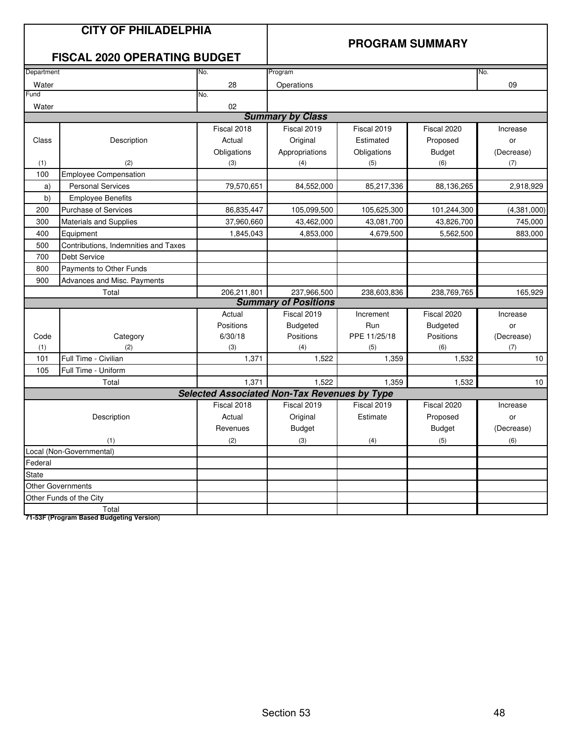|              | <b>CITY OF PHILADELPHIA</b><br><b>FISCAL 2020 OPERATING BUDGET</b> |                                                     |                             |              | <b>PROGRAM SUMMARY</b> |             |
|--------------|--------------------------------------------------------------------|-----------------------------------------------------|-----------------------------|--------------|------------------------|-------------|
| Department   |                                                                    | No.                                                 | Program                     |              |                        | No.         |
| Water        |                                                                    | 28                                                  | Operations                  |              |                        | 09          |
| Fund         |                                                                    | No.                                                 |                             |              |                        |             |
| Water        |                                                                    | 02                                                  |                             |              |                        |             |
|              |                                                                    |                                                     | <b>Summary by Class</b>     |              |                        |             |
|              |                                                                    | Fiscal 2018                                         | Fiscal 2019                 | Fiscal 2019  | Fiscal 2020            | Increase    |
| Class        | Description                                                        | Actual                                              | Original                    | Estimated    | Proposed               | or          |
|              |                                                                    | Obligations                                         | Appropriations              | Obligations  | <b>Budget</b>          | (Decrease)  |
| (1)          | (2)                                                                | (3)                                                 | (4)                         | (5)          | (6)                    | (7)         |
| 100          | <b>Employee Compensation</b>                                       |                                                     |                             |              |                        |             |
| a)           | <b>Personal Services</b>                                           | 79,570,651                                          | 84,552,000                  | 85,217,336   | 88,136,265             | 2,918,929   |
| b)           | <b>Employee Benefits</b>                                           |                                                     |                             |              |                        |             |
| 200          | <b>Purchase of Services</b>                                        | 86,835,447                                          | 105,099,500                 | 105,625,300  | 101,244,300            | (4,381,000) |
| 300          | <b>Materials and Supplies</b>                                      | 37,960,660                                          | 43,462,000                  | 43,081,700   | 43,826,700             | 745,000     |
| 400          | Equipment                                                          | 1,845,043                                           | 4,853,000                   | 4,679,500    | 5,562,500              | 883,000     |
| 500          | Contributions, Indemnities and Taxes                               |                                                     |                             |              |                        |             |
| 700          | Debt Service                                                       |                                                     |                             |              |                        |             |
| 800          | Payments to Other Funds                                            |                                                     |                             |              |                        |             |
| 900          | Advances and Misc. Payments                                        |                                                     |                             |              |                        |             |
|              | Total                                                              | 206,211,801                                         | 237,966,500                 | 238,603,836  | 238,769,765            | 165,929     |
|              |                                                                    |                                                     | <b>Summary of Positions</b> |              |                        |             |
|              |                                                                    | Actual                                              | Fiscal 2019                 | Increment    | Fiscal 2020            | Increase    |
|              |                                                                    | Positions                                           | <b>Budgeted</b>             | Run          | <b>Budgeted</b>        | or          |
| Code         | Category                                                           | 6/30/18                                             | Positions                   | PPE 11/25/18 | Positions              | (Decrease)  |
| (1)          | (2)                                                                | (3)                                                 | (4)                         | (5)          | (6)                    | (7)         |
| 101          | Full Time - Civilian                                               | 1,371                                               | 1,522                       | 1,359        | 1,532                  | 10          |
| 105          | Full Time - Uniform                                                |                                                     |                             |              |                        |             |
|              | Total                                                              | 1,371                                               | 1,522                       | 1,359        | 1,532                  | 10          |
|              |                                                                    | <b>Selected Associated Non-Tax Revenues by Type</b> |                             |              |                        |             |
|              |                                                                    | Fiscal 2018                                         | Fiscal 2019                 | Fiscal 2019  | Fiscal 2020            | Increase    |
|              | Description                                                        | Actual                                              | Original                    | Estimate     | Proposed               | or          |
|              |                                                                    | Revenues                                            | <b>Budget</b>               |              | <b>Budget</b>          | (Decrease)  |
|              | (1)                                                                | (2)                                                 | (3)                         | (4)          | (5)                    | (6)         |
|              | Local (Non-Governmental)                                           |                                                     |                             |              |                        |             |
| Federal      |                                                                    |                                                     |                             |              |                        |             |
| <b>State</b> |                                                                    |                                                     |                             |              |                        |             |
|              | <b>Other Governments</b>                                           |                                                     |                             |              |                        |             |
|              | Other Funds of the City                                            |                                                     |                             |              |                        |             |
|              | Total                                                              |                                                     |                             |              |                        |             |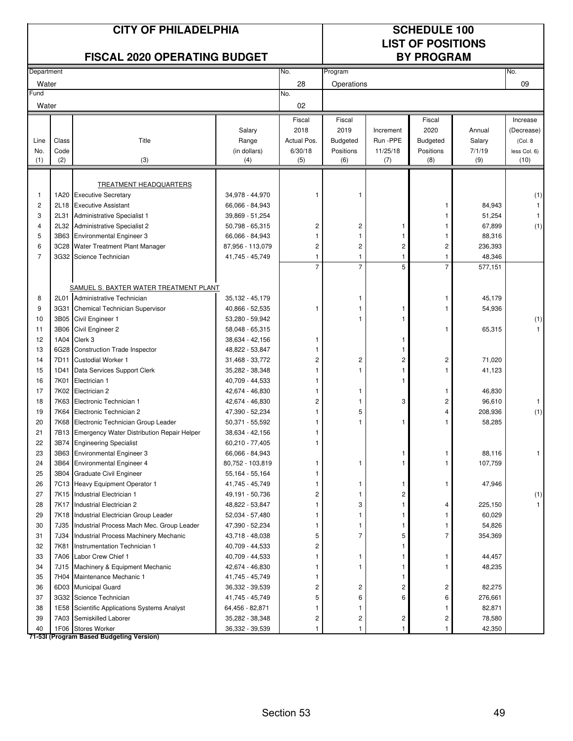|            |              | <b>CITY OF PHILADELPHIA</b><br><b>FISCAL 2020 OPERATING BUDGET</b> |                                    |                              | <b>SCHEDULE 100</b><br><b>LIST OF POSITIONS</b><br><b>BY PROGRAM</b> |                         |                         |                  |              |
|------------|--------------|--------------------------------------------------------------------|------------------------------------|------------------------------|----------------------------------------------------------------------|-------------------------|-------------------------|------------------|--------------|
| Department |              |                                                                    |                                    | No.                          | Program                                                              |                         |                         |                  | No.          |
| Water      |              |                                                                    |                                    | 28                           | Operations                                                           |                         |                         |                  | 09           |
| Fund       |              |                                                                    |                                    | No.                          |                                                                      |                         |                         |                  |              |
| Water      |              |                                                                    |                                    | 02                           |                                                                      |                         |                         |                  |              |
|            |              |                                                                    |                                    | Fiscal                       | Fiscal                                                               |                         | Fiscal                  |                  | Increase     |
|            |              |                                                                    | Salary                             | 2018                         | 2019                                                                 | Increment               | 2020                    | Annual           | (Decrease)   |
| Line       | Class        | Title                                                              | Range                              | Actual Pos.                  | <b>Budgeted</b>                                                      | Run -PPE                | <b>Budgeted</b>         | Salary           | (Col. 8)     |
| No.        | Code         |                                                                    | (in dollars)                       | 6/30/18                      | Positions                                                            | 11/25/18                | Positions               | 7/1/19           | less Col. 6) |
| (1)        | (2)          | (3)                                                                | (4)                                | (5)                          | (6)                                                                  | (7)                     | (8)                     | (9)              | (10)         |
|            |              |                                                                    |                                    |                              |                                                                      |                         |                         |                  |              |
|            |              | TREATMENT HEADQUARTERS                                             |                                    |                              |                                                                      |                         |                         |                  |              |
| 1          | 1A20         | <b>Executive Secretary</b><br><b>Executive Assistant</b>           | 34,978 - 44,970                    | 1                            |                                                                      |                         | 1                       |                  | (1)          |
| 2<br>3     | 2L18<br>2L31 | Administrative Specialist 1                                        | 66,066 - 84,943<br>39,869 - 51,254 |                              |                                                                      |                         |                         | 84,943<br>51,254 | $\mathbf{1}$ |
| 4          | 2L32         | Administrative Specialist 2                                        | 50,798 - 65,315                    | $\overline{c}$               | 2                                                                    | -1                      |                         | 67,899           | (1)          |
| 5          | 3B63         | <b>Environmental Engineer 3</b>                                    | 66,066 - 84,943                    | 1                            | $\mathbf{1}$                                                         | 1                       |                         | 88,316           |              |
| 6          | 3C28         | Water Treatment Plant Manager                                      | 87,956 - 113,079                   | $\overline{c}$               | $\overline{c}$                                                       | $\overline{c}$          | 2                       | 236,393          |              |
| 7          | 3G32         | Science Technician                                                 | 41,745 - 45,749                    | $\mathbf{1}$                 | $\mathbf{1}$                                                         | $\mathbf{1}$            | 1                       | 48,346           |              |
|            |              |                                                                    |                                    | $\overline{7}$               | $\overline{7}$                                                       | 5                       | $\overline{7}$          | 577,151          |              |
|            |              |                                                                    |                                    |                              |                                                                      |                         |                         |                  |              |
|            |              | SAMUEL S. BAXTER WATER TREATMENT PLANT                             |                                    |                              |                                                                      |                         |                         |                  |              |
| 8          | 2L01         | Administrative Technician                                          | 35,132 - 45,179                    |                              |                                                                      |                         | 1                       | 45,179           |              |
| 9          | 3G31         | Chemical Technician Supervisor                                     | 40,866 - 52,535                    | 1                            |                                                                      |                         | 1                       | 54,936           |              |
| 10         | 3B05         | Civil Engineer 1                                                   | 53,280 - 59,942                    |                              |                                                                      |                         |                         |                  | (1)          |
| 11         | 3B06         | Civil Engineer 2                                                   | 58,048 - 65,315                    |                              |                                                                      |                         | 1                       | 65,315           |              |
| 12         | 1A04         | Clerk 3                                                            | 38,634 - 42,156                    | 1                            |                                                                      |                         |                         |                  |              |
| 13         | 6G28         | <b>Construction Trade Inspector</b>                                | 48,822 - 53,847                    | 1                            |                                                                      | 1                       |                         |                  |              |
| 14         | 7D11         | <b>Custodial Worker 1</b>                                          | 31,468 - 33,772                    | $\overline{c}$               | 2                                                                    | $\overline{\mathbf{c}}$ | $\overline{\mathbf{c}}$ | 71,020           |              |
| 15         | 1D41         | Data Services Support Clerk                                        | 35,282 - 38,348                    |                              |                                                                      |                         |                         | 41,123           |              |
| 16         | 7K01         | Electrician 1                                                      | 40,709 - 44,533                    | 1                            |                                                                      |                         |                         |                  |              |
| 17         | 7K02         | Electrician 2                                                      | 42,674 - 46,830                    | 1                            |                                                                      |                         | 1                       | 46,830           |              |
| 18         | 7K63         | Electronic Technician 1                                            | 42,674 - 46,830                    | $\overline{c}$               |                                                                      | 3                       | $\overline{c}$          | 96,610           |              |
| 19         | 7K64         | Electronic Technician 2                                            | 47,390 - 52,234                    | 1                            | 5                                                                    |                         | 4                       | 208,936          | (1)          |
| 20         | 7K68         | Electronic Technician Group Leader                                 | 50,371 - 55,592                    | 1                            |                                                                      | -1                      |                         | 58,285           |              |
| 21         | 7B13         | Emergency Water Distribution Repair Helper                         | 38,634 - 42,156                    | 1                            |                                                                      |                         |                         |                  |              |
| 22         |              | 3B74 Engineering Specialist                                        | 60,210 - 77,405                    |                              |                                                                      |                         |                         |                  |              |
| 23         |              | 3B63 Environmental Engineer 3                                      | 66,066 - 84,943                    |                              |                                                                      |                         | 1                       | 88,116           | 1            |
| 24         |              | 3B64 Environmental Engineer 4                                      | 80,752 - 103,819                   | 1                            | 1                                                                    | 1                       | 1                       | 107,759          |              |
| 25         |              | 3B04 Graduate Civil Engineer                                       | 55,164 - 55,164                    | $\mathbf{1}$                 |                                                                      |                         |                         |                  |              |
| 26         |              | 7C13 Heavy Equipment Operator 1                                    | 41,745 - 45,749                    | 1                            | 1                                                                    | -1                      | $\mathbf{1}$            | 47,946           |              |
| 27         |              | 7K15 Industrial Electrician 1                                      | 49,191 - 50,736                    | $\overline{\mathbf{c}}$      | 1                                                                    | $\overline{\mathbf{c}}$ |                         |                  | (1)          |
| 28         | 7K17         | Industrial Electrician 2                                           | 48,822 - 53,847                    | 1                            | 3                                                                    | 1                       | 4                       | 225,150          |              |
| 29         |              | 7K18 Industrial Electrician Group Leader                           | 52,034 - 57,480                    | 1                            | 1                                                                    | 1                       |                         | 60,029           |              |
| 30         |              | 7J35 Industrial Process Mach Mec. Group Leader                     | 47,390 - 52,234                    | 1                            | 1<br>$\overline{7}$                                                  | $\mathbf{1}$            | 1                       | 54,826           |              |
| 31<br>32   | 7J34<br>7K81 | Industrial Process Machinery Mechanic                              | 43,718 - 48,038                    | 5<br>$\overline{\mathbf{c}}$ |                                                                      | 5<br>1                  | 7                       | 354,369          |              |
| 33         |              | Instrumentation Technician 1<br>7A06 Labor Crew Chief 1            | 40,709 - 44,533<br>40,709 - 44,533 | 1                            | 1                                                                    | 1                       | 1                       | 44,457           |              |
| 34         | 7J15         | Machinery & Equipment Mechanic                                     | 42,674 - 46,830                    | 1                            | 1                                                                    | 1                       | 1                       | 48,235           |              |
| 35         |              | 7H04 Maintenance Mechanic 1                                        | 41,745 - 45,749                    | 1                            |                                                                      | $\mathbf{1}$            |                         |                  |              |
| 36         |              | 6D03 Municipal Guard                                               | 36,332 - 39,539                    | 2                            | 2                                                                    | $\overline{c}$          | 2                       | 82,275           |              |
| 37         |              | 3G32 Science Technician                                            | 41,745 - 45,749                    | 5                            | 6                                                                    | 6                       | 6                       | 276,661          |              |
| 38         |              | 1E58 Scientific Applications Systems Analyst                       | 64,456 - 82,871                    | 1                            | 1                                                                    |                         | 1                       | 82,871           |              |
| 39         | 7A03         | Semiskilled Laborer                                                | 35,282 - 38,348                    | 2                            | 2                                                                    | 2                       | 2                       | 78,580           |              |
| 40         |              | 1F06 Stores Worker                                                 | 36,332 - 39,539                    | 1                            | $\mathbf{1}$                                                         | 1                       |                         | 42,350           |              |
|            |              | 71-53I (Program Based Budgeting Version)                           |                                    |                              |                                                                      |                         |                         |                  |              |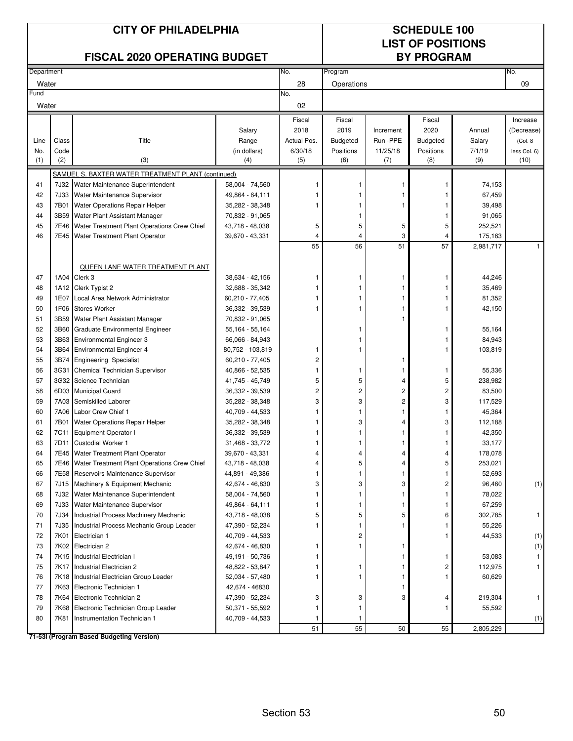|            |       | <b>CITY OF PHILADELPHIA</b><br><b>FISCAL 2020 OPERATING BUDGET</b> |                  |                | <b>SCHEDULE 100</b><br><b>LIST OF POSITIONS</b><br><b>BY PROGRAM</b> |           |                 |           |                        |
|------------|-------|--------------------------------------------------------------------|------------------|----------------|----------------------------------------------------------------------|-----------|-----------------|-----------|------------------------|
| Department |       |                                                                    |                  | No.            | Program                                                              |           |                 |           | No.                    |
| Water      |       |                                                                    |                  | 28             | Operations                                                           |           |                 |           | 09                     |
| Fund       |       |                                                                    |                  | No.<br>02      |                                                                      |           |                 |           |                        |
| Water      |       |                                                                    |                  |                |                                                                      |           |                 |           |                        |
|            |       |                                                                    | Salary           | Fiscal<br>2018 | Fiscal<br>2019                                                       | Increment | Fiscal<br>2020  | Annual    | Increase               |
| Line       | Class | Title                                                              | Range            | Actual Pos.    | <b>Budgeted</b>                                                      | Run -PPE  | <b>Budgeted</b> | Salary    | (Decrease)<br>(Col. 8) |
| No.        | Code  |                                                                    | (in dollars)     | 6/30/18        | Positions                                                            | 11/25/18  | Positions       | 7/1/19    | less Col. 6)           |
| (1)        | (2)   | (3)                                                                | (4)              | (5)            | (6)                                                                  | (7)       | (8)             | (9)       | (10)                   |
|            |       | SAMUEL S. BAXTER WATER TREATMENT PLANT (continued)                 |                  |                |                                                                      |           |                 |           |                        |
| 41         |       | 7J32 Water Maintenance Superintendent                              | 58,004 - 74,560  |                | 1                                                                    |           |                 | 74,153    |                        |
| 42         | 7J33  | Water Maintenance Supervisor                                       | 49,864 - 64,111  |                |                                                                      |           |                 | 67,459    |                        |
| 43         | 7B01  | Water Operations Repair Helper                                     | 35,282 - 38,348  | 1              | 1                                                                    | 1         | 1               | 39,498    |                        |
| 44         | 3B59  | Water Plant Assistant Manager                                      | 70,832 - 91,065  |                | 1                                                                    |           | 1               | 91,065    |                        |
| 45         | 7E46  | Water Treatment Plant Operations Crew Chief                        | 43,718 - 48,038  | 5              | 5                                                                    | 5         | 5               | 252,521   |                        |
| 46         | 7E45  | Water Treatment Plant Operator                                     | 39,670 - 43,331  | 4              | $\overline{\mathbf{4}}$                                              | 3         | 4               | 175,163   |                        |
|            |       |                                                                    |                  | 55             | 56                                                                   | 51        | 57              | 2,981,717 |                        |
|            |       |                                                                    |                  |                |                                                                      |           |                 |           |                        |
|            |       | QUEEN LANE WATER TREATMENT PLANT                                   |                  |                |                                                                      |           |                 |           |                        |
| 47         |       | 1A04 Clerk 3                                                       | 38,634 - 42,156  | 1              | 1                                                                    | 1         | 1               | 44,246    |                        |
| 48         |       | 1A12 Clerk Typist 2                                                | 32,688 - 35,342  |                | $\mathbf{1}$                                                         |           | 1               | 35,469    |                        |
| 49         | 1E07  | Local Area Network Administrator                                   | 60,210 - 77,405  |                | $\mathbf{1}$                                                         |           |                 | 81,352    |                        |
| 50         | 1F06  | <b>Stores Worker</b>                                               | 36,332 - 39,539  |                | 1                                                                    |           |                 | 42,150    |                        |
| 51         | 3B59  | Water Plant Assistant Manager                                      | 70,832 - 91,065  |                |                                                                      |           |                 |           |                        |
| 52         | 3B60  | Graduate Environmental Engineer                                    | 55,164 - 55,164  |                | 1                                                                    |           | 1               | 55,164    |                        |
| 53         | 3B63  | <b>Environmental Engineer 3</b>                                    | 66,066 - 84,943  |                | 1                                                                    |           | 1               | 84,943    |                        |
| 54         | 3B64  | <b>Environmental Engineer 4</b>                                    | 80,752 - 103,819 | 1              | 1                                                                    |           | 1               | 103,819   |                        |
| 55         | 3B74  | <b>Engineering Specialist</b>                                      | 60,210 - 77,405  | $\overline{c}$ |                                                                      |           |                 |           |                        |
| 56         | 3G31  | Chemical Technician Supervisor                                     | 40,866 - 52,535  | 1              | 1                                                                    | 1         | 1               | 55,336    |                        |
| 57         |       | 3G32 Science Technician                                            | 41,745 - 45,749  | 5              | 5                                                                    | 4         | 5               | 238,982   |                        |
| 58         |       | 6D03 Municipal Guard                                               | 36,332 - 39,539  | $\overline{c}$ | $\overline{c}$                                                       | 2         | 2               | 83,500    |                        |
| 59         | 7A03  | Semiskilled Laborer                                                | 35,282 - 38,348  | 3              | 3                                                                    | 2         | 3               | 117,529   |                        |
| 60         | 7A06  | Labor Crew Chief 1                                                 | 40,709 - 44,533  |                | 1                                                                    |           | 1               | 45,364    |                        |
| 61         | 7B01  | Water Operations Repair Helper                                     | 35,282 - 38,348  |                | 3                                                                    |           | 3               | 112,188   |                        |
| 62         |       | 7C11 Equipment Operator I                                          | 36,332 - 39,539  | 1              | 1                                                                    |           |                 | 42,350    |                        |
| 63         |       | 7D11 Custodial Worker 1                                            | 31,468 - 33,772  |                |                                                                      |           |                 | 33,177    |                        |
| 64         |       | 7E45 Water Treatment Plant Operator                                | 39,670 - 43,331  | 4              | 4                                                                    | 4         | 4               | 178,078   |                        |
| 65         |       | 7E46 Water Treatment Plant Operations Crew Chief                   | 43,718 - 48,038  | 4              | 5                                                                    | 4         | 5               | 253,021   |                        |
| 66         |       | 7E58 Reservoirs Maintenance Supervisor                             | 44,891 - 49,386  | 1              | $\mathbf{1}$                                                         | 1         | 1               | 52,693    |                        |
| 67         |       | 7J15 Machinery & Equipment Mechanic                                | 42,674 - 46,830  | 3              | 3                                                                    | 3         | 2               | 96,460    | (1)                    |
| 68         | 7J32  | Water Maintenance Superintendent                                   | 58,004 - 74,560  |                | 1                                                                    |           | 1               | 78,022    |                        |
| 69         |       | 7J33 Water Maintenance Supervisor                                  | 49,864 - 64,111  |                | 1                                                                    |           | 1               | 67,259    |                        |
| 70         | 7J34  | Industrial Process Machinery Mechanic                              | 43,718 - 48,038  | 5              | 5                                                                    | 5         | 6               | 302,785   |                        |
| 71         | 7J35  | Industrial Process Mechanic Group Leader                           | 47,390 - 52,234  | 1              | 1                                                                    |           | 1               | 55,226    |                        |
| 72         | 7K01  | Electrician 1                                                      | 40,709 - 44,533  |                | 2                                                                    |           | 1               | 44,533    | (1)                    |
| 73         |       | 7K02 Electrician 2                                                 | 42,674 - 46,830  | 1              | $\mathbf{1}$                                                         | 1         |                 |           | (1)                    |
| 74         | 7K15  | Industrial Electrician I                                           | 49,191 - 50,736  |                |                                                                      |           | 1               | 53,083    |                        |
| 75         | 7K17  | Industrial Electrician 2                                           | 48,822 - 53,847  |                | 1                                                                    |           | 2               | 112,975   |                        |
| 76         |       | 7K18 Industrial Electrician Group Leader                           | 52,034 - 57,480  | 1              | 1                                                                    | 1         | 1               | 60,629    |                        |
| 77         |       | 7K63 Electronic Technician 1                                       | 42,674 - 46830   |                |                                                                      |           |                 |           |                        |
| 78         |       | 7K64 Electronic Technician 2                                       | 47,390 - 52,234  | 3              | 3                                                                    | 3         | 4               | 219,304   |                        |
| 79         | 7K68  | Electronic Technician Group Leader                                 | 50,371 - 55,592  |                | 1                                                                    |           | 1               | 55,592    |                        |
| 80         | 7K81  | Instrumentation Technician 1                                       | 40,709 - 44,533  |                | 1                                                                    |           |                 |           | (1)                    |
|            |       | 71-53I (Program Based Budgeting Version)                           |                  | 51             | 55                                                                   | 50        | 55              | 2,805,229 |                        |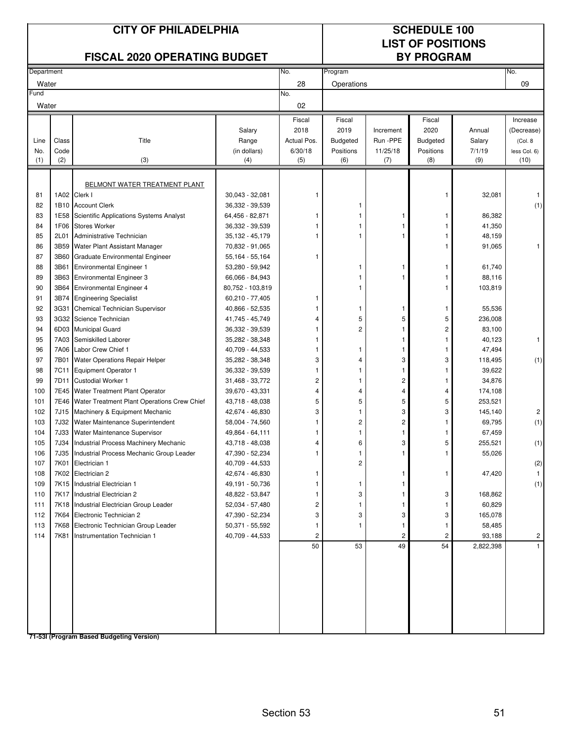|            |       | <b>CITY OF PHILADELPHIA</b><br><b>FISCAL 2020 OPERATING BUDGET</b> |                                    |             | <b>SCHEDULE 100</b><br><b>LIST OF POSITIONS</b><br><b>BY PROGRAM</b> |                         |                         |           |                |
|------------|-------|--------------------------------------------------------------------|------------------------------------|-------------|----------------------------------------------------------------------|-------------------------|-------------------------|-----------|----------------|
| Department |       |                                                                    |                                    | No.         | Program                                                              |                         |                         |           | No.            |
| Water      |       |                                                                    |                                    | 28          | Operations                                                           |                         |                         |           | 09             |
| Fund       |       |                                                                    |                                    | No.         |                                                                      |                         |                         |           |                |
| Water      |       |                                                                    |                                    | 02          |                                                                      |                         |                         |           |                |
|            |       |                                                                    |                                    | Fiscal      | Fiscal                                                               |                         | Fiscal                  |           | Increase       |
|            |       |                                                                    | Salary                             | 2018        | 2019                                                                 | Increment               | 2020                    | Annual    | (Decrease)     |
| Line       | Class | Title                                                              | Range                              | Actual Pos. | <b>Budgeted</b>                                                      | Run -PPE                | <b>Budgeted</b>         | Salary    | (Col. 8)       |
| No.        | Code  |                                                                    | (in dollars)                       | 6/30/18     | Positions                                                            | 11/25/18                | Positions               | 7/1/19    | less Col. 6)   |
| (1)        | (2)   | (3)                                                                | (4)                                | (5)         | (6)                                                                  | (7)                     | (8)                     | (9)       | (10)           |
|            |       |                                                                    |                                    |             |                                                                      |                         |                         |           |                |
|            |       | <b>BELMONT WATER TREATMENT PLANT</b><br>1A02 Clerk I               |                                    |             |                                                                      |                         |                         |           |                |
| 81         |       |                                                                    | $30,043 - 32,081$                  | 1           |                                                                      |                         | 1                       | 32,081    | -1             |
| 82<br>83   | 1E58  | 1B10 Account Clerk<br>Scientific Applications Systems Analyst      | 36,332 - 39,539                    | 1           | 1<br>1                                                               |                         | 1                       | 86,382    | (1)            |
| 84         | 1F06  | <b>Stores Worker</b>                                               | 64,456 - 82,871                    | 1           | 1                                                                    | -1                      | 1                       |           |                |
| 85         | 2L01  | Administrative Technician                                          | 36,332 - 39,539                    | 1           | 1                                                                    |                         |                         | 41,350    |                |
| 86         | 3B59  | Water Plant Assistant Manager                                      | 35,132 - 45,179                    |             |                                                                      |                         |                         | 48,159    | 1              |
| 87         | 3B60  | Graduate Environmental Engineer                                    | 70,832 - 91,065                    | 1           |                                                                      |                         |                         | 91,065    |                |
| 88         | 3B61  | <b>Environmental Engineer 1</b>                                    | 55,164 - 55,164<br>53,280 - 59,942 |             | 1                                                                    |                         | 1                       | 61,740    |                |
| 89         | 3B63  | <b>Environmental Engineer 3</b>                                    | 66,066 - 84,943                    |             | 1                                                                    |                         | 1                       | 88,116    |                |
| 90         | 3B64  | <b>Environmental Engineer 4</b>                                    | 80,752 - 103,819                   |             | 1                                                                    |                         | 1                       | 103,819   |                |
| 91         | 3B74  | <b>Engineering Specialist</b>                                      | 60,210 - 77,405                    | 1           |                                                                      |                         |                         |           |                |
| 92         | 3G31  | Chemical Technician Supervisor                                     | 40,866 - 52,535                    |             | 1                                                                    |                         | 1                       | 55,536    |                |
| 93         | 3G32  | Science Technician                                                 | 41,745 - 45,749                    | 4           | 5                                                                    | 5                       | 5                       | 236,008   |                |
| 94         | 6D03  | <b>Municipal Guard</b>                                             | 36,332 - 39,539                    | 1           | 2                                                                    | 1                       | $\overline{\mathbf{c}}$ | 83,100    |                |
| 95         | 7A03  | Semiskilled Laborer                                                | 35,282 - 38,348                    | 1           |                                                                      | -1                      | 1                       | 40,123    | 1              |
| 96         | 7A06  | Labor Crew Chief 1                                                 | 40,709 - 44,533                    | 1           | 1                                                                    | -1                      | 1                       | 47,494    |                |
| 97         | 7B01  | Water Operations Repair Helper                                     | 35,282 - 38,348                    | 3           | 4                                                                    | 3                       | 3                       | 118,495   | (1)            |
| 98         | 7C11  | <b>Equipment Operator 1</b>                                        | 36,332 - 39,539                    | 1           | 1                                                                    | 1                       | 1                       | 39,622    |                |
| 99         | 7D11  | <b>Custodial Worker 1</b>                                          | 31,468 - 33,772                    | 2           | 1                                                                    | $\mathbf 2$             | 1                       | 34,876    |                |
| 100        | 7E45  | Water Treatment Plant Operator                                     | 39,670 - 43,331                    | 4           | 4                                                                    | $\overline{4}$          | 4                       | 174,108   |                |
| 101        |       | 7E46 Water Treatment Plant Operations Crew Chief                   | 43,718 - 48,038                    | 5           | 5                                                                    | 5                       | 5                       | 253,521   |                |
| 102        | 7J15  | Machinery & Equipment Mechanic                                     | 42,674 - 46,830                    | 3           | 1                                                                    | 3                       | 3                       | 145,140   | $\overline{c}$ |
| 103        | 7J32  | Water Maintenance Superintendent                                   | 58,004 - 74,560                    | 1           | 2                                                                    | $\overline{c}$          |                         | 69,795    | (1)            |
| 104        | 7J33  | Water Maintenance Supervisor                                       | 49,864 - 64,111                    | 1           | 1                                                                    | $\overline{1}$          |                         | 67,459    |                |
| 105        |       | 7J34 Industrial Process Machinery Mechanic                         | 43,718 - 48,038                    | 4           | 6                                                                    | 3                       | 5                       | 255,521   | (1)            |
| 106        |       | 7J35 Industrial Process Mechanic Group Leader                      | 47,390 - 52,234                    | 1           | 1                                                                    |                         |                         | 55,026    |                |
| 107        |       | 7K01 Electrician 1                                                 | 40,709 - 44,533                    |             | 2                                                                    |                         |                         |           | (2)            |
| 108        |       | 7K02 Electrician 2                                                 | 42,674 - 46,830                    | 1           |                                                                      | 1                       | 1                       | 47,420    |                |
| 109        |       | 7K15 Industrial Electrician 1                                      | 49,191 - 50,736                    |             | 1                                                                    | 1                       |                         |           | (1)            |
| 110        |       | 7K17 Industrial Electrician 2                                      | 48,822 - 53,847                    |             | 3                                                                    |                         | 3                       | 168,862   |                |
| 111        |       | 7K18 Industrial Electrician Group Leader                           | 52,034 - 57,480                    | 2           |                                                                      |                         | 1                       | 60,829    |                |
| 112        |       | 7K64 Electronic Technician 2                                       | 47,390 - 52,234                    | 3           | 3                                                                    | 3                       | 3                       | 165,078   |                |
| 113        |       | 7K68 Electronic Technician Group Leader                            | 50,371 - 55,592                    | 1           | 1                                                                    | $\mathbf{1}$            | $\mathbf{1}$            | 58,485    |                |
| 114        |       | 7K81 Instrumentation Technician 1                                  | 40,709 - 44,533                    | 2           |                                                                      | $\overline{\mathbf{c}}$ | 2                       | 93,188    | 2              |
|            |       |                                                                    |                                    | 50          | 53                                                                   | 49                      | 54                      | 2,822,398 |                |
|            |       |                                                                    |                                    |             |                                                                      |                         |                         |           |                |
|            |       | 71-53I (Program Based Budgeting Version)                           |                                    |             |                                                                      |                         |                         |           |                |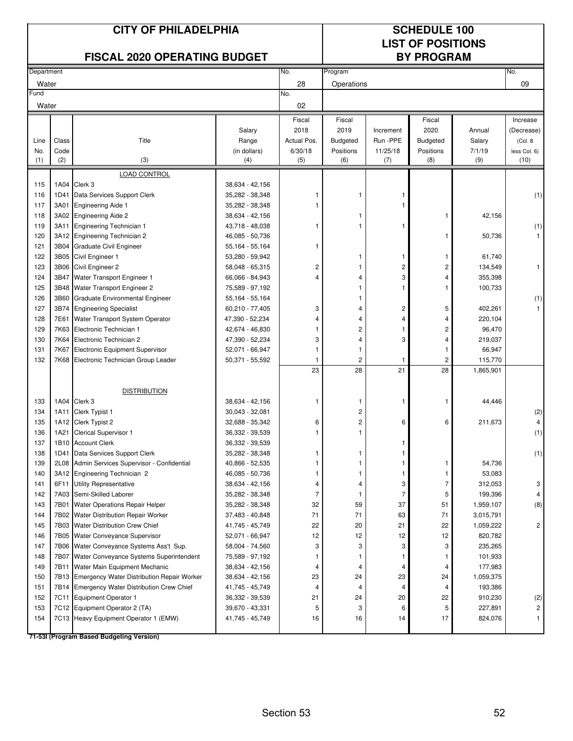|            |              | <b>CITY OF PHILADELPHIA</b><br><b>FISCAL 2020 OPERATING BUDGET</b>   |                                    |                | <b>SCHEDULE 100</b><br><b>LIST OF POSITIONS</b><br><b>BY PROGRAM</b> |                    |                 |                  |                         |
|------------|--------------|----------------------------------------------------------------------|------------------------------------|----------------|----------------------------------------------------------------------|--------------------|-----------------|------------------|-------------------------|
| Department |              |                                                                      |                                    | No.            | Program                                                              |                    |                 |                  | No.                     |
| Water      |              |                                                                      |                                    | 28             | Operations                                                           |                    |                 |                  | 09                      |
| Fund       |              |                                                                      |                                    | No.            |                                                                      |                    |                 |                  |                         |
| Water      |              |                                                                      |                                    | 02             |                                                                      |                    |                 |                  |                         |
|            |              |                                                                      |                                    | Fiscal         | Fiscal                                                               |                    | Fiscal          |                  | Increase                |
|            |              |                                                                      | Salary                             | 2018           | 2019                                                                 | Increment          | 2020            | Annual           | (Decrease)              |
| Line       | Class        | Title                                                                | Range                              | Actual Pos.    | <b>Budgeted</b>                                                      | Run -PPE           | <b>Budgeted</b> | Salary           | (Col. 8                 |
| No.        | Code         |                                                                      | (in dollars)                       | 6/30/18        | Positions                                                            | 11/25/18           | Positions       | 7/1/19           | less Col. 6)            |
| (1)        | (2)          | (3)                                                                  | (4)                                | (5)            | (6)                                                                  | (7)                | (8)             | (9)              | (10)                    |
|            |              | LOAD CONTROL                                                         |                                    |                |                                                                      |                    |                 |                  |                         |
| 115        | 1A04         | Clerk 3                                                              | 38,634 - 42,156                    |                |                                                                      |                    |                 |                  |                         |
| 116        | 1D41         | Data Services Support Clerk                                          | 35,282 - 38,348                    | 1              | 1                                                                    |                    |                 |                  | (1)                     |
| 117        | 3A01         | <b>Engineering Aide 1</b>                                            | 35,282 - 38,348                    | 1              |                                                                      |                    |                 |                  |                         |
| 118        |              | 3A02 Engineering Aide 2                                              | 38,634 - 42,156                    | 1              | 1<br>1                                                               |                    | 1               | 42,156           |                         |
| 119<br>120 | 3A11<br>3A12 | <b>Engineering Technician 1</b>                                      | 43,718 - 48,038                    |                |                                                                      |                    | 1               |                  | (1)                     |
| 121        | 3B04         | <b>Engineering Technician 2</b><br><b>Graduate Civil Engineer</b>    | 46,085 - 50,736<br>55,164 - 55,164 | 1              |                                                                      |                    |                 | 50,736           |                         |
| 122        | 3B05         | Civil Engineer 1                                                     | 53,280 - 59,942                    |                | 1                                                                    | 1                  | 1               | 61,740           |                         |
| 123        |              | 3B06 Civil Engineer 2                                                | 58,048 - 65,315                    | 2              | 1                                                                    | 2                  | 2               | 134,549          | $\mathbf{1}$            |
| 124        | 3B47         | Water Transport Engineer 1                                           | 66,066 - 84,943                    | 4              | 4                                                                    | 3                  | 4               | 355,398          |                         |
| 125        | 3B48         | Water Transport Engineer 2                                           | 75,589 - 97,192                    |                | 1                                                                    | 1                  | 1               | 100,733          |                         |
| 126        | 3B60         | <b>Graduate Environmental Engineer</b>                               | 55,164 - 55,164                    |                | 1                                                                    |                    |                 |                  | (1)                     |
| 127        | 3B74         | <b>Engineering Specialist</b>                                        | 60,210 - 77,405                    | 3              | 4                                                                    | 2                  | 5               | 402,261          |                         |
| 128        | 7E61         | Water Transport System Operator                                      | 47,390 - 52,234                    | 4              | 4                                                                    | 4                  | 4               | 220,104          |                         |
| 129        | 7K63         | Electronic Technician 1                                              | 42,674 - 46,830                    | 1              | 2                                                                    | $\mathbf{1}$       | 2               | 96,470           |                         |
| 130        | 7K64         | Electronic Technician 2                                              | 47,390 - 52,234                    | 3              | 4                                                                    | 3                  | 4               | 219,037          |                         |
| 131        | 7K67         | Electronic Equipment Supervisor                                      | 52,071 - 66,947                    | 1              | 1                                                                    |                    | 1               | 66,947           |                         |
| 132        | 7K68         | Electronic Technician Group Leader                                   | 50,371 - 55,592                    | 1              | 2                                                                    | -1                 | $\overline{c}$  | 115,770          |                         |
|            |              |                                                                      |                                    | 23             | 28                                                                   | 21                 | 28              | 1,865,901        |                         |
|            |              |                                                                      |                                    |                |                                                                      |                    |                 |                  |                         |
|            |              | <b>DISTRIBUTION</b>                                                  |                                    |                |                                                                      |                    |                 |                  |                         |
| 133        |              | 1A04 Clerk 3                                                         | 38.634 - 42.156                    | 1              | 1                                                                    | 1                  | 1               | 44,446           |                         |
| 134        | 1A11         | Clerk Typist 1                                                       | 30,043 - 32,081                    |                | 2                                                                    |                    |                 |                  | (2)                     |
| 135        | 1A12         | Clerk Typist 2                                                       | 32,688 - 35,342                    | 6              | $\overline{\mathbf{c}}$                                              | 6                  | 6               | 211.673          | 4                       |
| 136        | 1A21         | <b>Clerical Supervisor 1</b>                                         | 36,332 - 39,539                    | 1              | 1                                                                    |                    |                 |                  | (1)                     |
| 137        | 1B10         | <b>Account Clerk</b>                                                 | 36,332 - 39,539                    |                |                                                                      |                    |                 |                  |                         |
| 138        | 1D41         | Data Services Support Clerk                                          | 35,282 - 38,348                    | 1              | 1<br>1                                                               | -1                 |                 |                  | (1)                     |
| 139<br>140 | 2L08<br>3A12 | Admin Services Supervisor - Confidential<br>Engineering Technician 2 | 40,866 - 52,535<br>46,085 - 50,736 | 1<br>1         | 1                                                                    | -1<br>$\mathbf{1}$ | 1<br>1          | 54,736<br>53,083 |                         |
| 141        | 6F11         | <b>Utility Representative</b>                                        | 38,634 - 42,156                    | 4              | 4                                                                    | 3                  | $\overline{7}$  | 312,053          | 3                       |
| 142        | 7A03         | Semi-Skilled Laborer                                                 | 35,282 - 38,348                    | $\overline{7}$ | 1                                                                    | $\overline{7}$     | 5               | 199,396          |                         |
| 143        | 7B01         | Water Operations Repair Helper                                       | 35,282 - 38,348                    | 32             | 59                                                                   | 37                 | 51              | 1,959,107        | (8)                     |
| 144        | 7B02         | Water Distribution Repair Worker                                     | 37,483 - 40,848                    | 71             | 71                                                                   | 63                 | 71              | 3,015,791        |                         |
| 145        | 7B03         | Water Distribution Crew Chief                                        | 41,745 - 45,749                    | 22             | 20                                                                   | 21                 | 22              | 1,059,222        | $\overline{\mathbf{c}}$ |
| 146        | 7B05         | Water Conveyance Supervisor                                          | 52,071 - 66,947                    | 12             | 12                                                                   | 12                 | 12              | 820,782          |                         |
| 147        |              | 7B06 Water Conveyance Systems Ass't Sup.                             | 58,004 - 74,560                    | 3              | 3                                                                    | 3                  | 3               | 235,265          |                         |
| 148        | 7B07         | Water Conveyance Systems Superintendent                              | 75,589 - 97,192                    | 1              | 1                                                                    | -1                 | 1               | 101,933          |                         |
| 149        | 7B11         | Water Main Equipment Mechanic                                        | 38,634 - 42,156                    | 4              | 4                                                                    | 4                  | 4               | 177,983          |                         |
| 150        | 7B13         | <b>Emergency Water Distribution Repair Worker</b>                    | 38,634 - 42,156                    | 23             | 24                                                                   | 23                 | 24              | 1,059,375        |                         |
| 151        |              | 7B14 Emergency Water Distribution Crew Chief                         | 41,745 - 45,749                    | 4              | 4                                                                    | $\overline{4}$     | 4               | 193,386          |                         |
| 152        | 7C11         | <b>Equipment Operator 1</b>                                          | 36,332 - 39,539                    | 21             | 24                                                                   | 20                 | 22              | 910,230          | (2)                     |
| 153        |              | 7C12 Equipment Operator 2 (TA)                                       | 39,670 - 43,331                    | 5              | 3                                                                    | 6                  | 5               | 227,891          | 2                       |
| 154        |              | 7C13 Heavy Equipment Operator 1 (EMW)                                | 41,745 - 45,749                    | 16             | 16                                                                   | 14                 | 17              | 824,076          |                         |
|            |              | 71-53I (Program Based Budgeting Version)                             |                                    |                |                                                                      |                    |                 |                  |                         |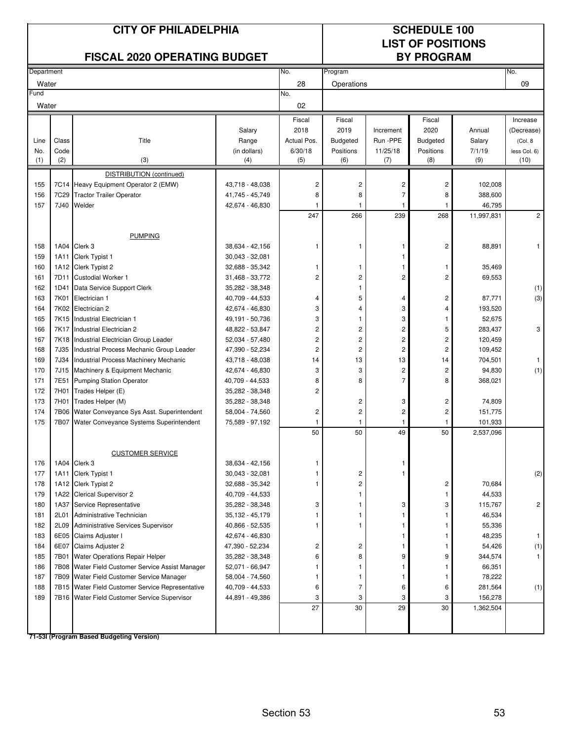|            |                  | <b>CITY OF PHILADELPHIA</b><br><b>FISCAL 2020 OPERATING BUDGET</b> |                                    |                |                                |                         | <b>SCHEDULE 100</b><br><b>LIST OF POSITIONS</b><br><b>BY PROGRAM</b> |                      |                      |  |
|------------|------------------|--------------------------------------------------------------------|------------------------------------|----------------|--------------------------------|-------------------------|----------------------------------------------------------------------|----------------------|----------------------|--|
| Department |                  |                                                                    |                                    | No.            | Program                        |                         |                                                                      |                      | No.                  |  |
| Water      |                  |                                                                    |                                    | 28             | Operations                     |                         |                                                                      |                      | 09                   |  |
| Fund       |                  |                                                                    |                                    | No.            |                                |                         |                                                                      |                      |                      |  |
| Water      |                  |                                                                    |                                    | 02             |                                |                         |                                                                      |                      |                      |  |
|            |                  |                                                                    |                                    | Fiscal         | Fiscal                         |                         | Fiscal                                                               |                      | Increase             |  |
|            |                  |                                                                    | Salary                             | 2018           | 2019                           | Increment               | 2020                                                                 | Annual               | (Decrease)           |  |
| Line       | Class            | Title                                                              | Range                              | Actual Pos.    | <b>Budgeted</b>                | Run -PPE                | <b>Budgeted</b>                                                      | Salary               | (Col. 8              |  |
| No.<br>(1) | Code<br>(2)      | (3)                                                                | (in dollars)<br>(4)                | 6/30/18<br>(5) | Positions<br>(6)               | 11/25/18<br>(7)         | Positions<br>(8)                                                     | 7/1/19<br>(9)        | less Col. 6)<br>(10) |  |
|            |                  | DISTRIBUTION (continued)                                           |                                    |                |                                |                         |                                                                      |                      |                      |  |
| 155        | 7C14             | Heavy Equipment Operator 2 (EMW)                                   | 43,718 - 48,038                    | 2              | 2                              | 2                       | 2                                                                    | 102,008              |                      |  |
| 156        | 7C <sub>29</sub> | <b>Tractor Trailer Operator</b>                                    | 41,745 - 45,749                    | 8              | 8                              | $\overline{7}$          | 8                                                                    | 388,600              |                      |  |
| 157        | 7J40             | Welder                                                             | 42,674 - 46,830                    | 1              | -1                             | $\mathbf{1}$            |                                                                      | 46,795               |                      |  |
|            |                  |                                                                    |                                    | 247            | 266                            | 239                     | 268                                                                  | 11,997,831           | $\overline{c}$       |  |
|            |                  |                                                                    |                                    |                |                                |                         |                                                                      |                      |                      |  |
|            |                  | <b>PUMPING</b>                                                     |                                    |                |                                |                         |                                                                      |                      |                      |  |
| 158        | 1A04             | Clerk 3                                                            | 38,634 - 42,156                    |                |                                |                         | 2                                                                    | 88,891               | 1                    |  |
| 159        | 1A11             | Clerk Typist 1                                                     | 30,043 - 32,081                    |                |                                | 1                       |                                                                      |                      |                      |  |
| 160        |                  | 1A12 Clerk Typist 2                                                | 32,688 - 35,342                    | 1              | 1                              | 1                       | -1                                                                   | 35,469               |                      |  |
| 161<br>162 | 7D11<br>1D41     | <b>Custodial Worker 1</b>                                          | 31,468 - 33,772                    | 2              | $\overline{c}$<br>$\mathbf{1}$ | 2                       | $\overline{c}$                                                       | 69,553               |                      |  |
| 163        | 7K01             | Data Service Support Clerk<br>Electrician 1                        | 35,282 - 38,348<br>40,709 - 44,533 | 4              | 5                              | $\overline{4}$          | 2                                                                    | 87,771               | (1)<br>(3)           |  |
| 164        | 7K02             | Electrician 2                                                      | 42,674 - 46,830                    | 3              | 4                              | 3                       | 4                                                                    | 193,520              |                      |  |
| 165        | 7K15             | Industrial Electrician 1                                           | 49,191 - 50,736                    | 3              | 1                              | 3                       |                                                                      | 52,675               |                      |  |
| 166        | 7K17             | Industrial Electrician 2                                           | 48,822 - 53,847                    | 2              | $\overline{\mathbf{c}}$        | $\overline{\mathbf{c}}$ | 5                                                                    | 283,437              | 3                    |  |
| 167        | 7K18             | Industrial Electrician Group Leader                                | 52,034 - 57,480                    | $\overline{c}$ | $\overline{c}$                 | $\overline{c}$          | $\sqrt{2}$                                                           | 120,459              |                      |  |
| 168        | 7J35             | Industrial Process Mechanic Group Leader                           | 47,390 - 52,234                    | 2              | $\overline{c}$                 | $\overline{c}$          | $\overline{c}$                                                       | 109,452              |                      |  |
| 169        | 7J34             | Industrial Process Machinery Mechanic                              | 43,718 - 48,038                    | 14             | 13                             | 13                      | 14                                                                   | 704,501              | $\mathbf{1}$         |  |
| 170        | 7J15             | Machinery & Equipment Mechanic                                     | 42,674 - 46,830                    | 3              | 3                              | $\overline{c}$          | $\overline{c}$                                                       | 94,830               | (1)                  |  |
| 171        | 7E51             | <b>Pumping Station Operator</b>                                    | 40,709 - 44,533                    | 8              | 8                              | $\overline{7}$          | 8                                                                    | 368,021              |                      |  |
| 172        | 7H01             | Trades Helper (E)                                                  | 35,282 - 38,348                    | 2              |                                |                         |                                                                      |                      |                      |  |
| 173        | 7H01             | Trades Helper (M)                                                  | 35,282 - 38,348                    |                | $\overline{c}$                 | 3                       | 2                                                                    | 74,809               |                      |  |
| 174<br>175 | 7B06<br>7B07     | Water Conveyance Sys Asst. Superintendent                          | 58,004 - 74,560                    | 2<br>1         | $\overline{\mathbf{c}}$<br>1   | 2                       | 2                                                                    | 151,775              |                      |  |
|            |                  | Water Conveyance Systems Superintendent                            | 75,589 - 97,192                    | 50             | 50                             | 1<br>49                 | 50                                                                   | 101,933<br>2,537,096 |                      |  |
|            |                  |                                                                    |                                    |                |                                |                         |                                                                      |                      |                      |  |
|            |                  | <b>CUSTOMER SERVICE</b>                                            |                                    |                |                                |                         |                                                                      |                      |                      |  |
| 176        |                  | 1A04 Clerk 3                                                       | 38,634 - 42,156                    | 1              |                                | 1                       |                                                                      |                      |                      |  |
| 177        | 1A11             | Clerk Typist 1                                                     | 30,043 - 32,081                    | 1              | 2                              | 1                       |                                                                      |                      | (2)                  |  |
| 178        |                  | 1A12 Clerk Typist 2                                                | 32,688 - 35,342                    | 1              | $\overline{\mathbf{c}}$        |                         | $\overline{\mathbf{c}}$                                              | 70,684               |                      |  |
| 179        |                  | 1A22 Clerical Supervisor 2                                         | 40,709 - 44,533                    |                | $\mathbf{1}$                   |                         | 1                                                                    | 44,533               |                      |  |
| 180        | 1A37             | Service Representative                                             | 35,282 - 38,348                    | 3              | 1                              | 3                       | 3                                                                    | 115,767              | $\overline{c}$       |  |
| 181<br>182 | 2L01<br>2L09     | Administrative Technician<br>Administrative Services Supervisor    | 35,132 - 45,179                    | 1              | 1<br>1                         | 1                       | 1                                                                    | 46,534<br>55,336     |                      |  |
| 183        | 6E05             | Claims Adjuster I                                                  | 40,866 - 52,535<br>42,674 - 46,830 |                |                                | 1                       | 1                                                                    | 48,235               | 1                    |  |
| 184        | 6E07             | Claims Adjuster 2                                                  | 47,390 - 52,234                    | 2              | $\overline{\mathbf{c}}$        | 1                       |                                                                      | 54,426               | (1)                  |  |
| 185        | 7B01             | Water Operations Repair Helper                                     | 35,282 - 38,348                    | 6              | 8                              | 9                       | 9                                                                    | 344,574              | 1                    |  |
| 186        | 7B08             | Water Field Customer Service Assist Manager                        | 52,071 - 66,947                    | 1              | $\mathbf{1}$                   | 1                       |                                                                      | 66,351               |                      |  |
| 187        | 7B09             | Water Field Customer Service Manager                               | 58,004 - 74,560                    | 1              | 1                              | -1                      | 1                                                                    | 78,222               |                      |  |
| 188        |                  | 7B15 Water Field Customer Service Representative                   | 40,709 - 44,533                    | 6              | $\overline{7}$                 | 6                       | 6                                                                    | 281,564              | (1)                  |  |
| 189        |                  | 7B16 Water Field Customer Service Supervisor                       | 44,891 - 49,386                    | 3              | 3                              | 3                       | 3                                                                    | 156,278              |                      |  |
|            |                  |                                                                    |                                    | 27             | 30                             | 29                      | 30                                                                   | 1,362,504            |                      |  |
|            |                  |                                                                    |                                    |                |                                |                         |                                                                      |                      |                      |  |
|            |                  | 71-53I (Program Based Budgeting Version)                           |                                    |                |                                |                         |                                                                      |                      |                      |  |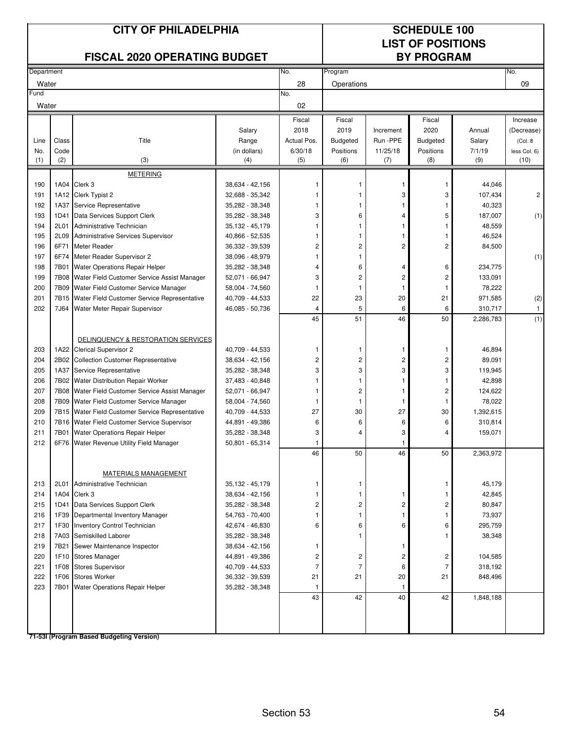|            |              | <b>CITY OF PHILADELPHIA</b><br><b>FISCAL 2020 OPERATING BUDGET</b> |                                    |                         | <b>SCHEDULE 100</b><br><b>LIST OF POSITIONS</b><br><b>BY PROGRAM</b> |                |                 |                  |                |
|------------|--------------|--------------------------------------------------------------------|------------------------------------|-------------------------|----------------------------------------------------------------------|----------------|-----------------|------------------|----------------|
| Department |              |                                                                    |                                    | No.                     | Program                                                              |                |                 |                  | No.            |
| Water      |              |                                                                    |                                    | 28                      | Operations                                                           |                |                 |                  | 09             |
| Fund       |              |                                                                    |                                    | No.                     |                                                                      |                |                 |                  |                |
| Water      |              |                                                                    |                                    | 02                      |                                                                      |                |                 |                  |                |
|            |              |                                                                    |                                    | Fiscal                  | Fiscal                                                               |                | Fiscal          |                  | Increase       |
|            |              |                                                                    | Salary                             | 2018                    | 2019                                                                 | Increment      | 2020            | Annual           | (Decrease)     |
| Line       | Class        | Title                                                              | Range                              | Actual Pos.             | <b>Budgeted</b>                                                      | Run -PPE       | <b>Budgeted</b> | Salary           | (Col. 8        |
| No.        | Code         |                                                                    | (in dollars)                       | 6/30/18                 | Positions                                                            | 11/25/18       | Positions       | 7/1/19           | less Col. 6)   |
| (1)        | (2)          | (3)                                                                | (4)                                | (5)                     | (6)                                                                  | (7)            | (8)             | (9)              | (10)           |
|            |              | <b>METERING</b>                                                    |                                    |                         |                                                                      |                |                 |                  |                |
| 190        | 1A04         | Clerk 3                                                            | 38,634 - 42,156                    |                         |                                                                      |                | 1               | 44,046           |                |
| 191        |              | 1A12 Clerk Typist 2                                                | 32,688 - 35,342                    | 1                       |                                                                      | 3              | 3               | 107,434          | $\overline{c}$ |
| 192        |              | 1A37 Service Representative                                        | 35,282 - 38,348                    | 1                       | 1                                                                    | 1              | 1               | 40,323           |                |
| 193        | 1D41         | Data Services Support Clerk                                        | 35,282 - 38,348                    | 3                       | 6                                                                    | 4              | 5               | 187,007          | (1)            |
| 194<br>195 | 2L01<br>2L09 | Administrative Technician<br>Administrative Services Supervisor    | 35,132 - 45,179<br>40,866 - 52,535 | 1<br>1                  | 1<br>1                                                               | 1<br>1         | 1               | 48,559<br>46,524 |                |
| 196        | 6F71         | <b>Meter Reader</b>                                                | 36,332 - 39,539                    | $\overline{c}$          | 2                                                                    | $\overline{c}$ | 2               | 84,500           |                |
| 197        | 6F74         | Meter Reader Supervisor 2                                          | 38,096 - 48,979                    | 1                       | 1                                                                    |                |                 |                  | (1)            |
| 198        | 7B01         | Water Operations Repair Helper                                     | 35,282 - 38,348                    | $\overline{4}$          | 6                                                                    | 4              | 6               | 234,775          |                |
| 199        | 7B08         | Water Field Customer Service Assist Manager                        | 52,071 - 66,947                    | 3                       | $\overline{c}$                                                       | 2              | 2               | 133,091          |                |
| 200        | 7B09         | Water Field Customer Service Manager                               | 58,004 - 74,560                    | -1                      | $\mathbf{1}$                                                         | 1              | -1              | 78,222           |                |
| 201        | 7B15         | Water Field Customer Service Representative                        | 40,709 - 44,533                    | 22                      | 23                                                                   | 20             | 21              | 971,585          | (2)            |
| 202        | 7J64         | Water Meter Repair Supervisor                                      | 46,085 - 50,736                    | $\overline{4}$          | 5                                                                    | 6              | 6               | 310,717          | $\mathbf{1}$   |
|            |              |                                                                    |                                    | 45                      | 51                                                                   | 46             | 50              | 2,286,783        | (1)            |
| 203        | 1A22         | DELINQUENCY & RESTORATION SERVICES<br><b>Clerical Supervisor 2</b> | 40,709 - 44,533                    | 1                       | 1                                                                    | 1              | 1               | 46,894           |                |
| 204        | 2B02         | <b>Collection Customer Representative</b>                          | 38,634 - 42,156                    | $\overline{c}$          | 2                                                                    | 2              | 2               | 89,091           |                |
| 205        | 1A37         | Service Representative                                             | 35,282 - 38,348                    | 3                       | 3                                                                    | 3              | 3               | 119,945          |                |
| 206        | 7B02         | <b>Water Distribution Repair Worker</b>                            | 37,483 - 40,848                    | 1                       | 1                                                                    | 1              | 1               | 42,898           |                |
| 207        | 7B08         | Water Field Customer Service Assist Manager                        | 52,071 - 66,947                    | 1                       | $\overline{\mathbf{c}}$                                              | 1              | 2               | 124,622          |                |
| 208        | 7B09         | Water Field Customer Service Manager                               | 58,004 - 74,560                    | 1                       | $\mathbf{1}$                                                         | 1              | 1               | 78,022           |                |
| 209        | 7B15         | Water Field Customer Service Representative                        | 40,709 - 44,533                    | 27                      | 30                                                                   | 27             | 30              | 1,392,615        |                |
| 210        | 7B16         | Water Field Customer Service Supervisor                            | 44,891 - 49,386                    | 6                       | 6                                                                    | 6              | 6               | 310,814          |                |
| 211        | 7B01         | Water Operations Repair Helper                                     | 35,282 - 38,348                    | 3                       | 4                                                                    | 3              | 4               | 159,071          |                |
| 212        |              | 6F76 Water Revenue Utility Field Manager                           | 50,801 - 65,314                    | 1<br>46                 | 50                                                                   | 1<br>46        | 50              | 2,363,972        |                |
|            |              |                                                                    |                                    |                         |                                                                      |                |                 |                  |                |
|            |              | MATERIALS MANAGEMENT                                               |                                    |                         |                                                                      |                |                 |                  |                |
| 213        | 2L01         | Administrative Technician                                          | 35,132 - 45,179                    | 1                       | 1                                                                    |                | 1               | 45,179           |                |
| 214        | 1A04         | Clerk 3                                                            | 38,634 - 42,156                    | 1                       | 1                                                                    | 1              | 1               | 42,845           |                |
| 215        | 1D41         | Data Services Support Clerk                                        | 35,282 - 38,348                    | 2                       | 2                                                                    | 2              | 2               | 80,847           |                |
| 216        | 1F39         | Departmental Inventory Manager                                     | 54,763 - 70,400                    | 1                       | 1                                                                    | 1              | 1               | 73,937           |                |
| 217        | 1F30         | Inventory Control Technician                                       | 42,674 - 46,830                    | 6                       | 6                                                                    | 6              | 6               | 295,759          |                |
| 218        |              | 7A03 Semiskilled Laborer                                           | 35,282 - 38,348                    |                         | 1                                                                    |                | 1               | 38,348           |                |
| 219        | 7B21         | Sewer Maintenance Inspector                                        | 38,634 - 42,156                    | 1                       |                                                                      | 1              |                 |                  |                |
| 220        | 1F10         | <b>Stores Manager</b>                                              | 44,891 - 49,386                    | $\overline{\mathbf{c}}$ | $\overline{\mathbf{c}}$                                              | 2              | 2               | 104,585          |                |
| 221        | 1F08         | <b>Stores Supervisor</b>                                           | 40,709 - 44,533                    | 7                       | $\overline{7}$                                                       | 6              | $\overline{7}$  | 318,192          |                |
| 222        | 1F06         | <b>Stores Worker</b>                                               | 36,332 - 39,539                    | 21                      | 21                                                                   | 20             | 21              | 848,496          |                |
| 223        | 7B01         | Water Operations Repair Helper                                     | 35,282 - 38,348                    | -1<br>43                | 42                                                                   | 1              |                 |                  |                |
|            |              |                                                                    |                                    |                         |                                                                      | 40             | 42              | 1,848,188        |                |
|            |              |                                                                    |                                    |                         |                                                                      |                |                 |                  |                |
|            |              |                                                                    |                                    |                         |                                                                      |                |                 |                  |                |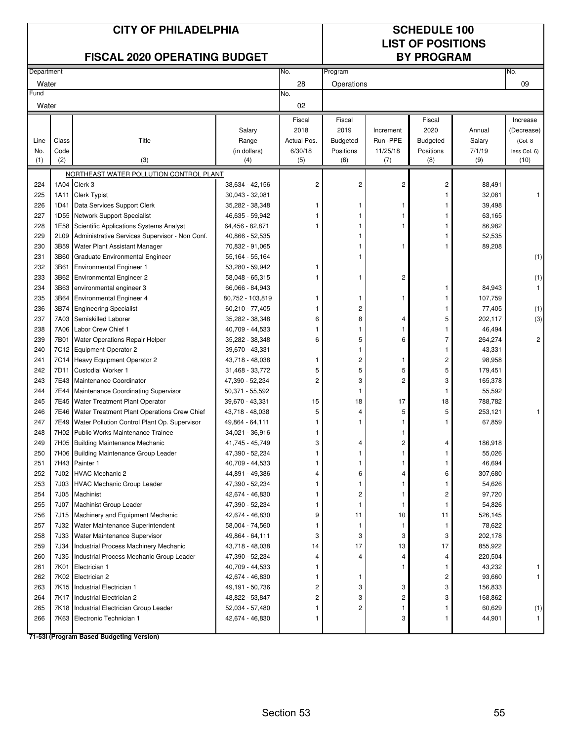|            |              | <b>CITY OF PHILADELPHIA</b><br><b>FISCAL 2020 OPERATING BUDGET</b>                |                                    |                | <b>SCHEDULE 100</b><br><b>LIST OF POSITIONS</b><br><b>BY PROGRAM</b> |              |                 |                    |                |
|------------|--------------|-----------------------------------------------------------------------------------|------------------------------------|----------------|----------------------------------------------------------------------|--------------|-----------------|--------------------|----------------|
| Department |              |                                                                                   |                                    | No.            | Program                                                              |              |                 |                    | No.            |
| Water      |              |                                                                                   |                                    | 28             | Operations                                                           |              |                 |                    | 09             |
| Fund       |              |                                                                                   |                                    | No.            |                                                                      |              |                 |                    |                |
| Water      |              |                                                                                   |                                    | 02             |                                                                      |              |                 |                    |                |
|            |              |                                                                                   |                                    | Fiscal         | Fiscal                                                               |              | Fiscal          |                    | Increase       |
|            |              |                                                                                   | Salary                             | 2018           | 2019                                                                 | Increment    | 2020            | Annual             | (Decrease)     |
| Line       | Class        | Title                                                                             | Range                              | Actual Pos.    | <b>Budgeted</b>                                                      | Run -PPE     | <b>Budgeted</b> | Salary             | (Col. 8)       |
| No.        | Code         |                                                                                   | (in dollars)                       | 6/30/18        | Positions                                                            | 11/25/18     | Positions       | 7/1/19             | less Col. 6)   |
| (1)        | (2)          | (3)                                                                               | (4)                                | (5)            | (6)                                                                  | (7)          | (8)             | (9)                | (10)           |
|            |              | NORTHEAST WATER POLLUTION CONTROL PLANT                                           |                                    |                |                                                                      |              |                 |                    |                |
| 224        |              | 1A04 Clerk 3                                                                      | 38,634 - 42,156                    | $\overline{2}$ | 2                                                                    | 2            | 2               | 88,491             |                |
| 225        | 1A11         | <b>Clerk Typist</b>                                                               | 30,043 - 32,081                    |                |                                                                      |              | 1               | 32,081             |                |
| 226        |              | 1D41 Data Services Support Clerk                                                  | 35,282 - 38,348                    | 1              | 1                                                                    | 1            |                 | 39,498             |                |
| 227        |              | 1D55 Network Support Specialist                                                   | 46,635 - 59,942                    |                |                                                                      |              |                 | 63,165             |                |
| 228        | 1E58         | <b>Scientific Applications Systems Analyst</b>                                    | 64,456 - 82,871                    | 1              | 1                                                                    | 1            |                 | 86,982             |                |
| 229<br>230 | 2L09<br>3B59 | Administrative Services Supervisor - Non Conf.                                    | 40,866 - 52,535                    |                |                                                                      |              |                 | 52,535<br>89,208   |                |
| 231        | 3B60         | Water Plant Assistant Manager<br>Graduate Environmental Engineer                  | 70,832 - 91,065<br>55,164 - 55,164 |                |                                                                      |              |                 |                    |                |
| 232        | 3B61         | <b>Environmental Engineer 1</b>                                                   | 53,280 - 59,942                    | 1              |                                                                      |              |                 |                    | (1)            |
| 233        |              | 3B62 Environmental Engineer 2                                                     | 58,048 - 65,315                    |                | 1                                                                    | 2            |                 |                    | (1)            |
| 234        |              | 3B63 environmental engineer 3                                                     | 66,066 - 84,943                    |                |                                                                      |              | 1               | 84,943             | $\mathbf{1}$   |
| 235        | 3B64         | <b>Environmental Engineer 4</b>                                                   | 80,752 - 103,819                   | 1              | 1                                                                    | 1            | 1               | 107,759            |                |
| 236        | 3B74         | <b>Engineering Specialist</b>                                                     | 60,210 - 77,405                    |                | $\overline{c}$                                                       |              | 1               | 77,405             | (1)            |
| 237        | 7A03         | Semiskilled Laborer                                                               | 35,282 - 38,348                    | 6              | 8                                                                    | 4            | 5               | 202,117            | (3)            |
| 238        |              | 7A06 Labor Crew Chief 1                                                           | 40,709 - 44,533                    | 1              | 1                                                                    | 1            | 1               | 46,494             |                |
| 239        | 7B01         | Water Operations Repair Helper                                                    | 35,282 - 38,348                    | 6              | 5                                                                    | 6            | 7               | 264,274            | $\overline{2}$ |
| 240        |              | 7C12 Equipment Operator 2                                                         | 39,670 - 43,331                    |                | 1                                                                    |              | 1               | 43,331             |                |
| 241        |              | 7C14 Heavy Equipment Operator 2                                                   | 43,718 - 48,038                    | 1              | 2                                                                    | 1            | 2               | 98,958             |                |
| 242        | 7D11         | <b>Custodial Worker 1</b>                                                         | 31,468 - 33,772                    | 5              | 5                                                                    | 5            | 5               | 179,451            |                |
| 243        | 7E43         | Maintenance Coordinator                                                           | 47,390 - 52,234                    | 2              | 3                                                                    | 2            | 3               | 165,378            |                |
| 244        |              | 7E44 Maintenance Coordinating Supervisor                                          | 50,371 - 55,592                    |                | 1                                                                    |              | 1               | 55,592             |                |
| 245        |              | 7E45 Water Treatment Plant Operator                                               | 39,670 - 43,331                    | 15             | 18                                                                   | 17           | 18              | 788,782            |                |
| 246        |              | 7E46 Water Treatment Plant Operations Crew Chief                                  | 43,718 - 48,038                    | 5              | 4                                                                    | 5            | 5               | 253,121            |                |
| 247        |              | 7E49 Water Pollution Control Plant Op. Supervisor                                 | 49,864 - 64,111                    | 1              | 1                                                                    |              |                 | 67,859             |                |
| 248        |              | 7H02 Public Works Maintenance Trainee                                             | 34,021 - 36,916                    | 1              |                                                                      |              |                 |                    |                |
| 249        |              | 7H05 Building Maintenance Mechanic                                                | 41,745 - 45,749                    | 3              | 4                                                                    | 2            | 4               | 186,918            |                |
| 250        |              | 7H06 Building Maintenance Group Leader                                            | 47,390 - 52,234                    | 1              | 1                                                                    | 1            |                 | 55,026             |                |
| 251        |              | 7H43 Painter 1                                                                    | 40,709 - 44,533                    | 1              | 1                                                                    | 1            | 1               | 46,694             |                |
| 252        |              | 7J02 HVAC Mechanic 2                                                              | 44,891 - 49,386                    | 4              | 6                                                                    | 4            | 6               | 307,680            |                |
| 253        |              | 7J03 HVAC Mechanic Group Leader                                                   | 47,390 - 52,234                    | 1              | 1                                                                    | $\mathbf{1}$ | 1               | 54,626             |                |
| 254        | 7J05         | Machinist                                                                         | 42,674 - 46,830                    |                | $\overline{c}$                                                       | 1            | 2               | 97,720             |                |
| 255        | 7J07         | Machinist Group Leader                                                            | 47,390 - 52,234                    |                | 1                                                                    | 1            | $\mathbf{1}$    | 54,826             |                |
| 256        | 7J15         | Machinery and Equipment Mechanic                                                  | 42,674 - 46,830                    | 9              | 11                                                                   | 10           | 11              | 526,145            |                |
| 257        | 7J32<br>7J33 | Water Maintenance Superintendent                                                  | 58,004 - 74,560                    | 1              | 1                                                                    | 1            | $\mathbf{1}$    | 78,622             |                |
| 258<br>259 | 7J34         | Water Maintenance Supervisor                                                      | 49,864 - 64,111                    | 3<br>14        | 3<br>17                                                              | 3            | 3<br>17         | 202,178            |                |
| 260        | 7J35         | Industrial Process Machinery Mechanic<br>Industrial Process Mechanic Group Leader | 43,718 - 48,038<br>47,390 - 52,234 | 4              | 4                                                                    | 13<br>4      | 4               | 855,922<br>220,504 |                |
| 261        | 7K01         | Electrician 1                                                                     | 40,709 - 44,533                    |                |                                                                      | 1            | 1               | 43,232             |                |
| 262        |              | 7K02 Electrician 2                                                                | 42,674 - 46,830                    | 1              | 1                                                                    |              | 2               | 93,660             |                |
| 263        |              | 7K15 Industrial Electrician 1                                                     | 49,191 - 50,736                    | 2              | 3                                                                    | 3            | 3               | 156,833            |                |
| 264        |              | 7K17 Industrial Electrician 2                                                     | 48,822 - 53,847                    | 2              | 3                                                                    | 2            | 3               | 168,862            |                |
| 265        |              | 7K18 Industrial Electrician Group Leader                                          | 52,034 - 57,480                    | 1              | 2                                                                    | 1            | 1               | 60,629             | (1)            |
| 266        |              | 7K63 Electronic Technician 1                                                      | 42,674 - 46,830                    | 1              |                                                                      | 3            | 1               | 44,901             |                |
|            |              |                                                                                   |                                    |                |                                                                      |              |                 |                    |                |
|            |              | 71-53I (Program Based Budgeting Version)                                          |                                    |                |                                                                      |              |                 |                    |                |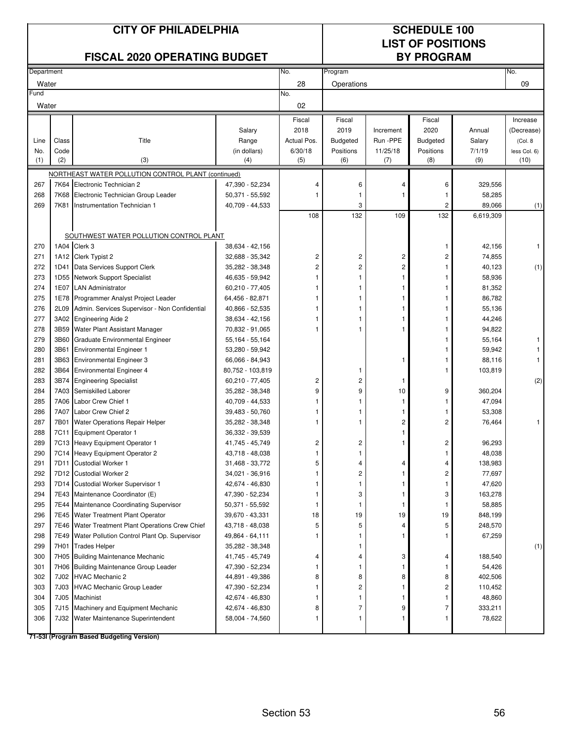|            |       | <b>CITY OF PHILADELPHIA</b><br><b>FISCAL 2020 OPERATING BUDGET</b> |                                    |                | <b>SCHEDULE 100</b><br><b>LIST OF POSITIONS</b><br><b>BY PROGRAM</b> |                |                 |                   |              |
|------------|-------|--------------------------------------------------------------------|------------------------------------|----------------|----------------------------------------------------------------------|----------------|-----------------|-------------------|--------------|
| Department |       |                                                                    |                                    | No.            | Program                                                              |                |                 |                   | No.          |
| Water      |       |                                                                    |                                    | 28             | Operations                                                           |                |                 |                   | 09           |
| =und       |       |                                                                    |                                    | No.            |                                                                      |                |                 |                   |              |
| Water      |       |                                                                    |                                    | 02             |                                                                      |                |                 |                   |              |
|            |       |                                                                    |                                    | Fiscal         | Fiscal                                                               |                | Fiscal          |                   | Increase     |
|            |       |                                                                    | Salary                             | 2018           | 2019                                                                 | Increment      | 2020            | Annual            | (Decrease)   |
| Line       | Class | Title                                                              | Range                              | Actual Pos.    | <b>Budgeted</b>                                                      | Run -PPE       | <b>Budgeted</b> | Salary            | (Col. 8)     |
| No.        | Code  |                                                                    | (in dollars)                       | 6/30/18        | Positions                                                            | 11/25/18       | Positions       | 7/1/19            | less Col. 6) |
| (1)        | (2)   | (3)                                                                | (4)                                | (5)            | (6)                                                                  | (7)            | (8)             | (9)               | (10)         |
|            |       | NORTHEAST WATER POLLUTION CONTROL PLANT (continued)                |                                    |                |                                                                      |                |                 |                   |              |
| 267        |       | 7K64 Electronic Technician 2                                       | 47,390 - 52,234                    | 4              | 6                                                                    | 4              | 6               | 329,556           |              |
| 268        | 7K68  | Electronic Technician Group Leader                                 | 50,371 - 55,592                    | 1              | 1                                                                    |                | 1               | 58,285            |              |
| 269        | 7K81  | Instrumentation Technician 1                                       | 40,709 - 44,533                    |                | 3                                                                    |                | 2               | 89,066            | (1)          |
|            |       |                                                                    |                                    | 108            | 132                                                                  | 109            | 132             | 6,619,309         |              |
|            |       | SOUTHWEST WATER POLLUTION CONTROL PLANT                            |                                    |                |                                                                      |                |                 |                   |              |
| 270        |       | 1A04 Clerk 3                                                       | 38,634 - 42,156                    |                |                                                                      |                | 1               | 42,156            | 1            |
| 271        |       | 1A12 Clerk Typist 2                                                | 32,688 - 35,342                    | 2              | 2                                                                    | 2              | 2               | 74,855            |              |
| 272        |       | 1D41 Data Services Support Clerk                                   | 35,282 - 38,348                    | $\overline{c}$ | 2                                                                    | $\overline{2}$ |                 | 40,123            | (1)          |
| 273        |       | 1D55 Network Support Specialist                                    | 46,635 - 59,942                    |                |                                                                      | 1              |                 | 58,936            |              |
| 274        |       | 1E07 LAN Administrator                                             | 60,210 - 77,405                    |                |                                                                      | 1              |                 | 81,352            |              |
| 275        |       | 1E78 Programmer Analyst Project Leader                             | 64,456 - 82,871                    |                |                                                                      |                |                 | 86,782            |              |
| 276        | 2L09  | Admin. Services Supervisor - Non Confidential                      | 40,866 - 52,535                    |                |                                                                      | 1              |                 | 55,136            |              |
| 277        |       | 3A02 Engineering Aide 2                                            | 38,634 - 42,156                    |                |                                                                      |                |                 | 44,246            |              |
| 278        |       | 3B59 Water Plant Assistant Manager                                 | 70,832 - 91,065                    |                |                                                                      |                |                 | 94,822            |              |
| 279        | 3B60  | Graduate Environmental Engineer                                    | 55,164 - 55,164                    |                |                                                                      |                |                 | 55,164            |              |
| 280        | 3B61  | <b>Environmental Engineer 1</b>                                    | 53,280 - 59,942                    |                |                                                                      |                |                 | 59,942            |              |
| 281        | 3B63  | <b>Environmental Engineer 3</b>                                    | 66,066 - 84,943                    |                |                                                                      |                |                 | 88,116            |              |
| 282        | 3B64  | <b>Environmental Engineer 4</b>                                    | 80,752 - 103,819                   |                | 1                                                                    |                |                 | 103,819           |              |
| 283        |       | 3B74 Engineering Specialist                                        | 60,210 - 77,405                    | 2              | 2                                                                    | 1              |                 |                   | (2)          |
| 284        |       | 7A03 Semiskilled Laborer                                           | 35,282 - 38,348                    | 9              | 9                                                                    | 10             | 9               | 360,204           |              |
| 285        |       | 7A06 Labor Crew Chief 1                                            | 40,709 - 44,533                    |                | 1                                                                    | 1              | 1               | 47,094            |              |
| 286        | 7A07  | Labor Crew Chief 2                                                 | 39,483 - 50,760                    | 1              |                                                                      | 1              |                 | 53,308            |              |
| 287        | 7B01  | Water Operations Repair Helper                                     | 35,282 - 38,348                    |                |                                                                      | 2              | 2               | 76,464            |              |
| 288        |       | 7C11 Equipment Operator 1                                          | 36,332 - 39,539                    |                |                                                                      | 1              |                 |                   |              |
| 289        |       | 7C13 Heavy Equipment Operator 1                                    | 41,745 - 45,749                    | 2              | 2                                                                    |                | 2               | 96,293            |              |
| 290        |       | 7C14 Heavy Equipment Operator 2                                    | 43,718 - 48,038                    | 1              | 1                                                                    |                | 1               | 48,038            |              |
| 291<br>292 |       | 7D11 Custodial Worker 1<br>7D12 Custodial Worker 2                 | 31,468 - 33,772                    | 5              | 4<br>2                                                               | 4<br>1         | 4               | 138,983<br>77,697 |              |
| 293        |       | 7D14 Custodial Worker Supervisor 1                                 | 34,021 - 36,916<br>42,674 - 46,830 |                | 1                                                                    | 1              | 2<br>1          | 47,620            |              |
| 294        |       | 7E43 Maintenance Coordinator (E)                                   | 47,390 - 52,234                    |                | 3                                                                    | 1              | 3               | 163,278           |              |
| 295        |       | 7E44 Maintenance Coordinating Supervisor                           | 50,371 - 55,592                    |                | 1                                                                    | 1              | $\mathbf{1}$    | 58,885            |              |
| 296        |       | 7E45 Water Treatment Plant Operator                                | 39,670 - 43,331                    | 18             | 19                                                                   | 19             | 19              | 848,199           |              |
| 297        |       | 7E46 Water Treatment Plant Operations Crew Chief                   | 43,718 - 48,038                    | 5              | 5                                                                    | 4              | 5               | 248,570           |              |
| 298        | 7E49  | Water Pollution Control Plant Op. Supervisor                       | 49,864 - 64,111                    |                | 1                                                                    | 1              |                 | 67,259            |              |
| 299        | 7H01  | <b>Trades Helper</b>                                               | 35,282 - 38,348                    |                | 1                                                                    |                |                 |                   | (1)          |
| 300        | 7H05  | <b>Building Maintenance Mechanic</b>                               | 41,745 - 45,749                    | 4              | 4                                                                    | 3              | 4               | 188,540           |              |
| 301        |       | 7H06 Building Maintenance Group Leader                             | 47,390 - 52,234                    | 1              | 1                                                                    | 1              | 1               | 54,426            |              |
| 302        |       | 7J02 HVAC Mechanic 2                                               | 44,891 - 49,386                    | 8              | 8                                                                    | 8              | 8               | 402,506           |              |
| 303        | 7J03  | <b>HVAC Mechanic Group Leader</b>                                  | 47,390 - 52,234                    |                | 2                                                                    | 1              | 2               | 110,452           |              |
| 304        | 7J05  | Machinist                                                          | 42,674 - 46,830                    | 1              | 1                                                                    | 1              | 1               | 48,860            |              |
| 305        | 7J15  | Machinery and Equipment Mechanic                                   | 42,674 - 46,830                    | 8              | 7                                                                    | 9              | 7               | 333,211           |              |
| 306        | 7J32  | Water Maintenance Superintendent                                   | 58,004 - 74,560                    |                | 1                                                                    | 1              |                 | 78,622            |              |
|            |       | 71-53I (Program Based Budgeting Version)                           |                                    |                |                                                                      |                |                 |                   |              |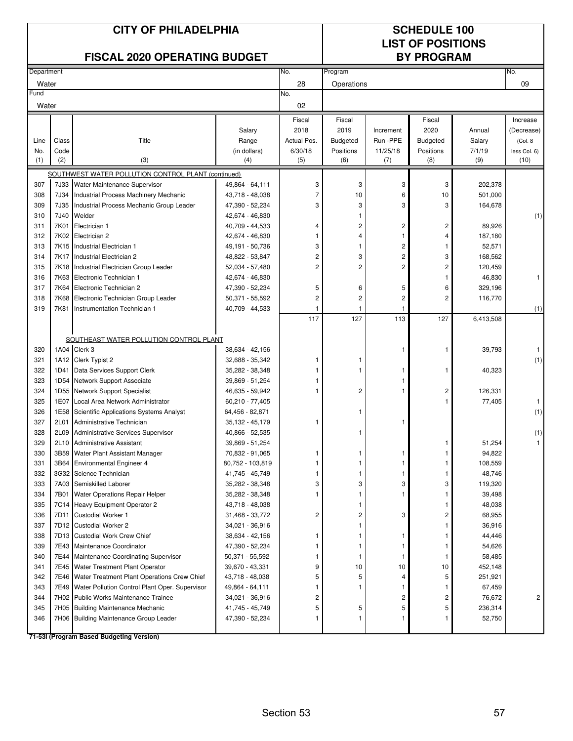|            |              | <b>CITY OF PHILADELPHIA</b><br><b>FISCAL 2020 OPERATING BUDGET</b> |                                     |                | <b>SCHEDULE 100</b><br><b>LIST OF POSITIONS</b><br><b>BY PROGRAM</b> |           |                 |                   |                |
|------------|--------------|--------------------------------------------------------------------|-------------------------------------|----------------|----------------------------------------------------------------------|-----------|-----------------|-------------------|----------------|
| Department |              |                                                                    |                                     | No.            | Program                                                              |           |                 |                   | No.            |
| Water      |              |                                                                    |                                     | 28             | Operations                                                           |           |                 |                   | 09             |
| Fund       |              |                                                                    |                                     | No.            |                                                                      |           |                 |                   |                |
| Water      |              |                                                                    |                                     | 02             |                                                                      |           |                 |                   |                |
|            |              |                                                                    |                                     | Fiscal         | Fiscal                                                               |           | Fiscal          |                   | Increase       |
|            |              |                                                                    | Salary                              | 2018           | 2019                                                                 | Increment | 2020            | Annual            | (Decrease)     |
| Line       | Class        | Title                                                              | Range                               | Actual Pos.    | <b>Budgeted</b>                                                      | Run -PPE  | <b>Budgeted</b> | Salary            | (Col. 8)       |
| No.        | Code         |                                                                    | (in dollars)                        | 6/30/18        | Positions                                                            | 11/25/18  | Positions       | 7/1/19            | less Col. 6)   |
| (1)        | (2)          | (3)                                                                | (4)                                 | (5)            | (6)                                                                  | (7)       | (8)             | (9)               | (10)           |
|            |              | SOUTHWEST WATER POLLUTION CONTROL PLANT (continued)                |                                     |                |                                                                      |           |                 |                   |                |
| 307        | 7J33         | Water Maintenance Supervisor                                       | 49,864 - 64,111                     | 3              | 3                                                                    | 3         | 3               | 202,378           |                |
| 308        | 7J34         | Industrial Process Machinery Mechanic                              | 43,718 - 48,038                     | 7              | 10                                                                   | 6         | 10              | 501,000           |                |
| 309        | 7J35         | Industrial Process Mechanic Group Leader                           | 47,390 - 52,234                     | 3              | 3<br>1                                                               | 3         | 3               | 164,678           |                |
| 310        | 7J40         | Welder<br>Electrician 1                                            | 42,674 - 46,830                     |                | 2                                                                    |           |                 |                   | (1)            |
| 311<br>312 | 7K01<br>7K02 | Electrician 2                                                      | 40,709 - 44,533<br>42,674 - 46,830  | 4<br>1         | 4                                                                    | 2<br>1    | 2<br>4          | 89,926<br>187,180 |                |
| 313        | 7K15         | Industrial Electrician 1                                           | 49,191 - 50,736                     | 3              | 1                                                                    | 2         |                 | 52,571            |                |
| 314        | 7K17         | Industrial Electrician 2                                           | 48,822 - 53,847                     | 2              | 3                                                                    | 2         | 3               | 168,562           |                |
| 315        | 7K18         | Industrial Electrician Group Leader                                | 52,034 - 57,480                     | $\overline{2}$ | $\overline{2}$                                                       | 2         | $\overline{c}$  | 120,459           |                |
| 316        | 7K63         | Electronic Technician 1                                            | 42,674 - 46,830                     |                |                                                                      |           | 1               | 46,830            | $\mathbf{1}$   |
| 317        |              | 7K64 Electronic Technician 2                                       | 47,390 - 52,234                     | 5              | 6                                                                    | 5         | 6               | 329,196           |                |
| 318        | 7K68         | Electronic Technician Group Leader                                 | 50,371 - 55,592                     | 2              | $\overline{c}$                                                       | 2         | $\overline{2}$  | 116,770           |                |
| 319        | 7K81         | Instrumentation Technician 1                                       | 40,709 - 44,533                     |                | 1                                                                    | 1         |                 |                   | (1)            |
|            |              |                                                                    |                                     | 117            | 127                                                                  | 113       | 127             | 6,413,508         |                |
|            |              |                                                                    |                                     |                |                                                                      |           |                 |                   |                |
|            |              | SOUTHEAST WATER POLLUTION CONTROL PLANT                            |                                     |                |                                                                      |           |                 |                   |                |
| 320        |              | 1A04 Clerk 3                                                       | 38,634 - 42,156                     |                |                                                                      | 1         | 1               | 39,793            | 1              |
| 321        |              | 1A12 Clerk Typist 2                                                | 32,688 - 35,342                     | 1              |                                                                      |           |                 |                   | (1)            |
| 322        | 1D41         | Data Services Support Clerk                                        | 35,282 - 38,348                     |                |                                                                      | 1         | 1               | 40,323            |                |
| 323        | 1D54         | Network Support Associate                                          | 39,869 - 51,254                     |                |                                                                      |           |                 |                   |                |
| 324        | 1D55         | Network Support Specialist                                         | 46,635 - 59,942                     |                | 2                                                                    |           | 2               | 126,331           |                |
| 325        | 1E07         | Local Area Network Administrator                                   | 60,210 - 77,405                     |                |                                                                      |           | 1               | 77,405            | 1              |
| 326        | 1E58         | Scientific Applications Systems Analyst                            | 64,456 - 82,871                     |                |                                                                      |           |                 |                   | (1)            |
| 327        | 2L01         | Administrative Technician                                          | 35,132 - 45,179                     | 1              |                                                                      |           |                 |                   |                |
| 328        | 2L09         | Administrative Services Supervisor                                 | 40,866 - 52,535                     |                | 1                                                                    |           |                 |                   | (1)            |
| 329        | 2L10         | <b>Administrative Assistant</b>                                    | 39,869 - 51,254                     |                |                                                                      |           |                 | 51,254            |                |
| 330<br>331 | 3B59         | Water Plant Assistant Manager                                      | 70,832 - 91,065                     | 1<br>1         | 1<br>1                                                               | 1<br>-1   | 1               | 94,822<br>108,559 |                |
| 332        |              | 3B64 Environmental Engineer 4<br>3G32 Science Technician           | 80,752 - 103,819<br>41,745 - 45,749 | 1              | 1                                                                    | 1         | 1               | 48,746            |                |
| 333        |              | 7A03 Semiskilled Laborer                                           | 35,282 - 38,348                     | 3              | 3                                                                    | 3         | 3               | 119,320           |                |
| 334        | 7B01         | Water Operations Repair Helper                                     | 35,282 - 38,348                     | 1              | 1                                                                    | 1         | 1               | 39,498            |                |
| 335        |              | 7C14 Heavy Equipment Operator 2                                    | 43,718 - 48,038                     |                | 1                                                                    |           | 1               | 48,038            |                |
| 336        | 7D11         | <b>Custodial Worker 1</b>                                          | 31,468 - 33,772                     | 2              | 2                                                                    | 3         | 2               | 68,955            |                |
| 337        |              | 7D12 Custodial Worker 2                                            | 34,021 - 36,916                     |                | 1                                                                    |           |                 | 36,916            |                |
| 338        |              | 7D13 Custodial Work Crew Chief                                     | 38,634 - 42,156                     | 1              | 1                                                                    | 1         |                 | 44,446            |                |
| 339        |              | 7E43 Maintenance Coordinator                                       | 47,390 - 52,234                     |                | 1                                                                    | -1        | 1               | 54,626            |                |
| 340        |              | 7E44 Maintenance Coordinating Supervisor                           | 50,371 - 55,592                     | 1              | 1                                                                    | -1        | 1               | 58,485            |                |
| 341        | 7E45         | Water Treatment Plant Operator                                     | 39,670 - 43,331                     | 9              | 10                                                                   | 10        | 10              | 452,148           |                |
| 342        | 7E46         | Water Treatment Plant Operations Crew Chief                        | 43,718 - 48,038                     | 5              | 5                                                                    | 4         | 5               | 251,921           |                |
| 343        | 7E49         | Water Pollution Control Plant Oper. Supervisor                     | 49,864 - 64,111                     | 1              | 1                                                                    | -1        | 1               | 67,459            |                |
| 344        |              | 7H02 Public Works Maintenance Trainee                              | 34,021 - 36,916                     | 2              |                                                                      | 2         | 2               | 76,672            | $\overline{c}$ |
| 345        |              | 7H05 Building Maintenance Mechanic                                 | 41,745 - 45,749                     | 5              | 5                                                                    | 5         | 5               | 236,314           |                |
| 346        |              | 7H06 Building Maintenance Group Leader                             | 47,390 - 52,234                     | 1              | 1                                                                    | 1         | 1               | 52,750            |                |
|            |              | 71-53I (Program Based Budgeting Version)                           |                                     |                |                                                                      |           |                 |                   |                |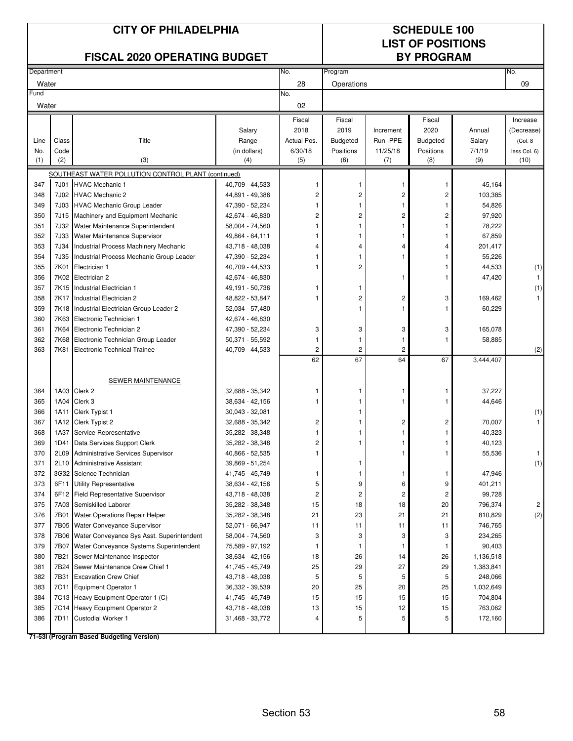|            |       | <b>CITY OF PHILADELPHIA</b><br><b>FISCAL 2020 OPERATING BUDGET</b> |                 |                | <b>SCHEDULE 100</b><br><b>LIST OF POSITIONS</b><br><b>BY PROGRAM</b> |           |                 |           |              |
|------------|-------|--------------------------------------------------------------------|-----------------|----------------|----------------------------------------------------------------------|-----------|-----------------|-----------|--------------|
| Department |       |                                                                    |                 | No.            | Program                                                              |           |                 |           | No.          |
| Water      |       |                                                                    |                 | 28             | Operations                                                           |           |                 |           | 09           |
| Fund       |       |                                                                    |                 | No.            |                                                                      |           |                 |           |              |
| Water      |       |                                                                    |                 | 02             |                                                                      |           |                 |           |              |
|            |       |                                                                    |                 | Fiscal         | Fiscal                                                               |           | Fiscal          |           | Increase     |
|            |       |                                                                    | Salary          | 2018           | 2019                                                                 | Increment | 2020            | Annual    | (Decrease)   |
| Line       | Class | Title                                                              | Range           | Actual Pos.    | <b>Budgeted</b>                                                      | Run -PPE  | <b>Budgeted</b> | Salary    | (Col. 8)     |
| No.        | Code  |                                                                    | (in dollars)    | 6/30/18        | Positions                                                            | 11/25/18  | Positions       | 7/1/19    | less Col. 6) |
| (1)        | (2)   | (3)                                                                | (4)             | (5)            | (6)                                                                  | (7)       | (8)             | (9)       | (10)         |
|            |       | SOUTHEAST WATER POLLUTION CONTROL PLANT (continued)                |                 |                |                                                                      |           |                 |           |              |
| 347        | 7J01  | <b>HVAC Mechanic 1</b>                                             | 40,709 - 44,533 |                | 1                                                                    | 1         | 1               | 45,164    |              |
| 348        | 7J02  | <b>HVAC Mechanic 2</b>                                             | 44,891 - 49,386 | 2              | 2                                                                    | 2         | 2               | 103,385   |              |
| 349        | 7J03  | <b>HVAC Mechanic Group Leader</b>                                  | 47,390 - 52,234 |                | 1                                                                    | 1         |                 | 54,826    |              |
| 350        | 7J15  | Machinery and Equipment Mechanic                                   | 42,674 - 46,830 | 2              | 2                                                                    | 2         | 2               | 97,920    |              |
| 351        | 7J32  | Water Maintenance Superintendent                                   | 58,004 - 74,560 |                | 1                                                                    | 1         | 1               | 78,222    |              |
| 352        | 7J33  | Water Maintenance Supervisor                                       | 49,864 - 64,111 |                | 1                                                                    |           |                 | 67,859    |              |
| 353        | 7J34  | Industrial Process Machinery Mechanic                              | 43,718 - 48,038 | 4              | 4                                                                    | 4         | 4               | 201,417   |              |
| 354        | 7J35  | Industrial Process Mechanic Group Leader                           | 47,390 - 52,234 |                | 1                                                                    | 1         | 1               | 55,226    |              |
| 355        | 7K01  | Electrician 1                                                      | 40,709 - 44,533 |                | 2                                                                    |           | 1               | 44,533    | (1)          |
| 356        |       | 7K02 Electrician 2                                                 | 42,674 - 46,830 |                |                                                                      | 1         | 1               | 47,420    | $\mathbf{1}$ |
| 357        | 7K15  | Industrial Electrician 1                                           | 49,191 - 50,736 |                | 1                                                                    |           |                 |           | (1)          |
| 358        | 7K17  | Industrial Electrician 2                                           | 48,822 - 53,847 |                | 2                                                                    | 2         | 3               | 169,462   |              |
| 359        | 7K18  | Industrial Electrician Group Leader 2                              | 52,034 - 57,480 |                | 1                                                                    | 1         | 1               | 60,229    |              |
| 360        | 7K63  | Electronic Technician 1                                            | 42,674 - 46,830 |                |                                                                      |           |                 |           |              |
| 361        |       | 7K64 Electronic Technician 2                                       | 47,390 - 52,234 | 3              | 3                                                                    | 3         | 3               | 165,078   |              |
| 362        | 7K68  | Electronic Technician Group Leader                                 | 50,371 - 55,592 |                | 1                                                                    | 1         | 1               | 58,885    |              |
| 363        | 7K81  | <b>Electronic Technical Trainee</b>                                | 40,709 - 44,533 | $\overline{2}$ | $\overline{c}$                                                       | 2         |                 |           | (2)          |
|            |       |                                                                    |                 | 62             | 67                                                                   | 64        | 67              | 3,444,407 |              |
|            |       | SEWER MAINTENANCE                                                  |                 |                |                                                                      |           |                 |           |              |
| 364        |       | 1A03 Clerk 2                                                       | 32,688 - 35,342 |                | 1                                                                    | ĵ         | 1               | 37,227    |              |
| 365        | 1A04  | Clerk 3                                                            | 38,634 - 42,156 |                | 1                                                                    | 1         | 1               | 44,646    |              |
| 366        | 1A11  | Clerk Typist 1                                                     | 30,043 - 32,081 |                | 1                                                                    |           |                 |           | (1)          |
| 367        | 1A12  | Clerk Typist 2                                                     | 32,688 - 35,342 | 2              | 1                                                                    | 2         | 2               | 70,007    |              |
| 368        | 1A37  | Service Representative                                             | 35,282 - 38,348 | 1              | 1                                                                    | 1         | 1               | 40,323    |              |
| 369        | 1D41  | Data Services Support Clerk                                        | 35,282 - 38,348 | 2              |                                                                      |           |                 | 40,123    |              |
| 370        | 2L09  | Administrative Services Supervisor                                 | 40,866 - 52,535 | 1              |                                                                      | 1         | 1               | 55,536    | 1.           |
| 371        | 2L10  | <b>Administrative Assistant</b>                                    | 39,869 - 51,254 |                | 1                                                                    |           |                 |           | (1)          |
| 372        |       | 3G32 Science Technician                                            | 41,745 - 45,749 | 1              | 1                                                                    | 1         | 1               | 47,946    |              |
| 373        | 6F11  | Utility Representative                                             | 38,634 - 42,156 | 5              | 9                                                                    | 6         | 9               | 401,211   |              |
| 374        | 6F12  | <b>Field Representative Supervisor</b>                             | 43,718 - 48,038 | 2              | 2                                                                    | 2         | 2               | 99,728    |              |
| 375        |       | 7A03 Semiskilled Laborer                                           | 35,282 - 38,348 | 15             | 18                                                                   | 18        | 20              | 796,374   | 2            |
| 376        | 7B01  | Water Operations Repair Helper                                     | 35,282 - 38,348 | 21             | 23                                                                   | 21        | 21              | 810,829   | (2)          |
| 377        |       | 7B05 Water Conveyance Supervisor                                   | 52,071 - 66,947 | 11             | 11                                                                   | 11        | 11              | 746,765   |              |
| 378        | 7B06  | Water Conveyance Sys Asst. Superintendent                          | 58,004 - 74,560 | 3              | 3                                                                    | 3         | 3               | 234,265   |              |
| 379        | 7B07  | Water Conveyance Systems Superintendent                            | 75,589 - 97,192 |                | 1                                                                    | 1         | 1               | 90,403    |              |
| 380        | 7B21  | Sewer Maintenance Inspector                                        | 38,634 - 42,156 | 18             | 26                                                                   | 14        | 26              | 1,136,518 |              |
| 381        | 7B24  | Sewer Maintenance Crew Chief 1                                     | 41,745 - 45,749 | 25             | 29                                                                   | 27        | 29              | 1,383,841 |              |
| 382        | 7B31  | <b>Excavation Crew Chief</b>                                       | 43,718 - 48,038 | 5              | 5                                                                    | 5         | 5               | 248,066   |              |
| 383        |       | 7C11 Equipment Operator 1                                          | 36,332 - 39,539 | 20             | 25                                                                   | 20        | 25              | 1,032,649 |              |
| 384        |       | 7C13 Heavy Equipment Operator 1 (C)                                | 41,745 - 45,749 | 15             | 15                                                                   | 15        | 15              | 704,804   |              |
| 385        |       | 7C14 Heavy Equipment Operator 2                                    | 43,718 - 48,038 | 13             | 15                                                                   | 12        | 15              | 763,062   |              |
| 386        | 7D11  | <b>Custodial Worker 1</b>                                          | 31,468 - 33,772 |                | 5                                                                    | 5         | 5               | 172,160   |              |
|            |       | 71-53I (Program Based Budgeting Version)                           |                 |                |                                                                      |           |                 |           |              |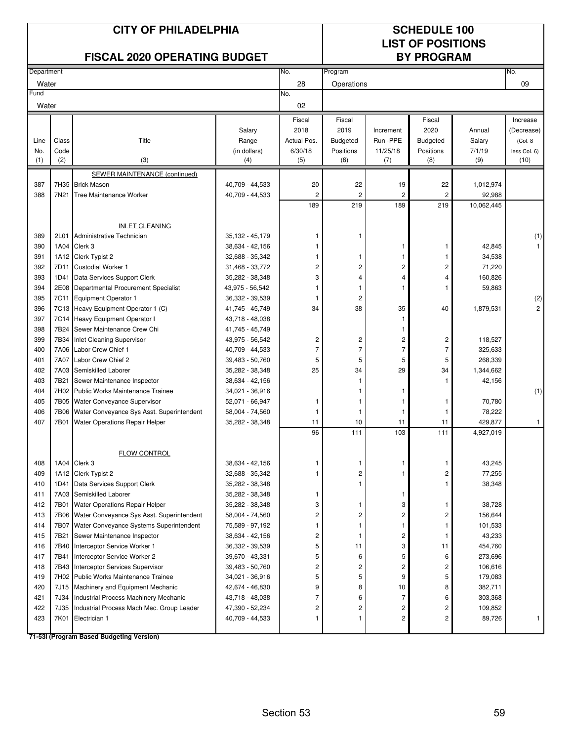|            |              | <b>CITY OF PHILADELPHIA</b><br><b>FISCAL 2020 OPERATING BUDGET</b>     |                                    | <b>SCHEDULE 100</b><br><b>LIST OF POSITIONS</b><br><b>BY PROGRAM</b> |                         |                                         |                         |                      |                |
|------------|--------------|------------------------------------------------------------------------|------------------------------------|----------------------------------------------------------------------|-------------------------|-----------------------------------------|-------------------------|----------------------|----------------|
| Department |              |                                                                        |                                    | No.                                                                  | Program                 |                                         |                         |                      | No.            |
| Water      |              |                                                                        |                                    | 28                                                                   | Operations              |                                         |                         |                      | 09             |
| Fund       |              |                                                                        |                                    | No.                                                                  |                         |                                         |                         |                      |                |
| Water      |              |                                                                        |                                    | 02                                                                   |                         |                                         |                         |                      |                |
|            |              |                                                                        |                                    | Fiscal                                                               | Fiscal                  |                                         | Fiscal                  |                      | Increase       |
|            |              |                                                                        | Salary                             | 2018                                                                 | 2019                    | Increment                               | 2020                    | Annual               | (Decrease)     |
| Line       | Class        | Title                                                                  | Range                              | Actual Pos.                                                          | <b>Budgeted</b>         | Run -PPE                                | <b>Budgeted</b>         | Salary               | (Col. 8        |
| No.        | Code         |                                                                        | (in dollars)                       | 6/30/18                                                              | Positions               | 11/25/18                                | Positions               | 7/1/19               | less Col. 6)   |
| (1)        | (2)          | (3)                                                                    | (4)                                | (5)                                                                  | (6)                     | (7)                                     | (8)                     | (9)                  | (10)           |
|            |              | SEWER MAINTENANCE (continued)                                          |                                    |                                                                      |                         |                                         |                         |                      |                |
| 387<br>388 | 7N21         | 7H35 Brick Mason                                                       | 40,709 - 44,533                    | 20<br>$\overline{2}$                                                 | 22<br>$\overline{2}$    | 19<br>$\overline{2}$                    | 22<br>$\overline{c}$    | 1,012,974            |                |
|            |              | Tree Maintenance Worker                                                | 40,709 - 44,533                    | 189                                                                  | 219                     | 189                                     | 219                     | 92,988<br>10,062,445 |                |
|            |              |                                                                        |                                    |                                                                      |                         |                                         |                         |                      |                |
|            |              | <b>INLET CLEANING</b>                                                  |                                    |                                                                      |                         |                                         |                         |                      |                |
| 389        | 2L01         | Administrative Technician                                              | 35,132 - 45,179                    |                                                                      |                         |                                         |                         |                      | (1)            |
| 390        | 1A04         | Clerk 3                                                                | 38,634 - 42,156                    | 1                                                                    |                         | 1                                       | 1                       | 42,845               |                |
| 391        |              | 1A12 Clerk Typist 2                                                    | 32,688 - 35,342                    | 1                                                                    | 1                       | -1                                      | 1                       | 34,538               |                |
| 392        | 7D11         | <b>Custodial Worker 1</b>                                              | 31,468 - 33,772                    | 2                                                                    | 2                       | 2                                       | 2                       | 71,220               |                |
| 393        | 1D41         | Data Services Support Clerk                                            | 35,282 - 38,348                    | 3                                                                    | 4                       | 4                                       | 4                       | 160,826              |                |
| 394        | 2E08         | Departmental Procurement Specialist                                    | 43,975 - 56,542                    | 1                                                                    | $\mathbf{1}$            | 1                                       | 1                       | 59,863               |                |
| 395        | 7C11         | Equipment Operator 1                                                   | 36,332 - 39,539                    | 1                                                                    | $\overline{c}$          |                                         |                         |                      | (2)            |
| 396        |              | 7C13 Heavy Equipment Operator 1 (C)                                    | 41,745 - 45,749                    | 34                                                                   | 38                      | 35                                      | 40                      | 1,879,531            | $\overline{2}$ |
| 397        |              | 7C14 Heavy Equipment Operator I                                        | 43,718 - 48,038                    |                                                                      |                         | $\mathbf{1}$                            |                         |                      |                |
| 398        | 7B24         | Sewer Maintenance Crew Chi                                             | 41,745 - 45,749                    |                                                                      |                         | 1                                       |                         |                      |                |
| 399        | 7B34         | <b>Inlet Cleaning Supervisor</b>                                       | 43,975 - 56,542                    | $\overline{c}$                                                       | 2                       | 2                                       | 2                       | 118,527              |                |
| 400        | 7A06         | Labor Crew Chief 1                                                     | 40.709 - 44,533                    | $\overline{7}$                                                       | $\overline{7}$          | $\overline{7}$                          | 7                       | 325,633              |                |
| 401        | 7A07         | Labor Crew Chief 2                                                     | 39,483 - 50,760                    | 5                                                                    | 5                       | 5                                       | 5                       | 268,339              |                |
| 402<br>403 | 7A03<br>7B21 | Semiskilled Laborer<br>Sewer Maintenance Inspector                     | 35,282 - 38,348<br>38,634 - 42,156 | 25                                                                   | 34<br>1                 | 29                                      | 34<br>1                 | 1,344,662<br>42,156  |                |
| 404        | 7H02         | Public Works Maintenance Trainee                                       | 34,021 - 36,916                    |                                                                      | 1                       | -1                                      |                         |                      | (1)            |
| 405        | 7B05         | Water Conveyance Supervisor                                            | 52,071 - 66,947                    | 1                                                                    | 1                       | -1                                      | 1                       | 70,780               |                |
| 406        | 7B06         | Water Conveyance Sys Asst. Superintendent                              | 58,004 - 74,560                    | 1                                                                    | 1                       | 1                                       | 1                       | 78,222               |                |
| 407        | 7B01         | Water Operations Repair Helper                                         | 35,282 - 38,348                    | 11                                                                   | 10                      | 11                                      | 11                      | 429,877              | $\mathbf{1}$   |
|            |              |                                                                        |                                    | 96                                                                   | 111                     | 103                                     | 111                     | 4,927,019            |                |
|            |              |                                                                        |                                    |                                                                      |                         |                                         |                         |                      |                |
|            |              | <b>FLOW CONTROL</b>                                                    |                                    |                                                                      |                         |                                         |                         |                      |                |
| 408        |              | 1A04 Clerk 3                                                           | 38,634 - 42,156                    | 1                                                                    | 1                       | 1                                       | 1                       | 43,245               |                |
| 409        |              | 1A12 Clerk Typist 2                                                    | 32,688 - 35,342                    | 1                                                                    | $\overline{\mathbf{c}}$ | 1                                       | $\overline{\mathbf{c}}$ | 77,255               |                |
| 410        | 1D41         | Data Services Support Clerk                                            | 35,282 - 38,348                    |                                                                      | 1                       |                                         | 1                       | 38,348               |                |
| 411        | 7A03         | Semiskilled Laborer                                                    | 35,282 - 38,348                    | 1                                                                    |                         | 1                                       |                         |                      |                |
| 412        | 7B01         | Water Operations Repair Helper                                         | 35,282 - 38,348                    | 3                                                                    | 1                       | 3                                       | 1                       | 38,728               |                |
| 413        | 7B07         | 7B06 Water Conveyance Sys Asst. Superintendent                         | 58,004 - 74,560                    | 2<br>1                                                               | 2<br>1                  | 2                                       | 2                       | 156,644              |                |
| 414<br>415 | 7B21         | Water Conveyance Systems Superintendent<br>Sewer Maintenance Inspector | 75,589 - 97,192<br>38,634 - 42,156 | 2                                                                    | 1                       | $\mathbf{1}$<br>$\overline{\mathbf{c}}$ | 1<br>-1                 | 101,533<br>43,233    |                |
| 416        | 7B40         | Interceptor Service Worker 1                                           | 36,332 - 39,539                    | 5                                                                    | 11                      | 3                                       | 11                      | 454,760              |                |
| 417        | 7B41         | Interceptor Service Worker 2                                           | 39,670 - 43,331                    | 5                                                                    | 6                       | 5                                       | 6                       | 273,696              |                |
| 418        | 7B43         | Interceptor Services Supervisor                                        | 39,483 - 50,760                    | 2                                                                    | $\overline{\mathbf{c}}$ | $\overline{c}$                          | 2                       | 106,616              |                |
| 419        |              | 7H02 Public Works Maintenance Trainee                                  | 34,021 - 36,916                    | 5                                                                    | 5                       | 9                                       | 5                       | 179,083              |                |
| 420        | 7J15         | Machinery and Equipment Mechanic                                       | 42,674 - 46,830                    | 9                                                                    | 8                       | 10                                      | 8                       | 382,711              |                |
| 421        | 7J34         | Industrial Process Machinery Mechanic                                  | 43,718 - 48,038                    | 7                                                                    | 6                       | $\overline{7}$                          | 6                       | 303,368              |                |
| 422        | 7J35         | Industrial Process Mach Mec. Group Leader                              | 47,390 - 52,234                    | 2                                                                    | 2                       | $\overline{c}$                          | 2                       | 109,852              |                |
| 423        | 7K01         | Electrician 1                                                          | 40,709 - 44,533                    | 1                                                                    | 1                       | 2                                       | 2                       | 89,726               |                |
|            |              | 71-53I (Program Based Budgeting Version)                               |                                    |                                                                      |                         |                                         |                         |                      |                |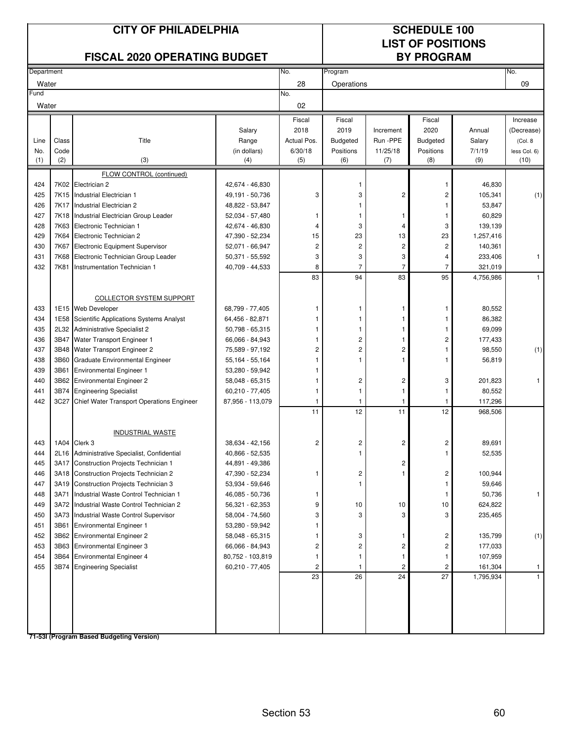|               |              | <b>CITY OF PHILADELPHIA</b><br><b>FISCAL 2020 OPERATING BUDGET</b>          |                                    | <b>SCHEDULE 100</b><br><b>LIST OF POSITIONS</b><br><b>BY PROGRAM</b> |                                  |                |                         |                  |              |
|---------------|--------------|-----------------------------------------------------------------------------|------------------------------------|----------------------------------------------------------------------|----------------------------------|----------------|-------------------------|------------------|--------------|
| Department    |              |                                                                             |                                    | No.                                                                  | Program                          |                |                         |                  | No.          |
| Water         |              |                                                                             |                                    | 28                                                                   | Operations                       |                |                         |                  | 09           |
| Fund<br>Water |              |                                                                             |                                    | No.<br>02                                                            |                                  |                |                         |                  |              |
|               |              |                                                                             |                                    | Fiscal                                                               | Fiscal                           |                | Fiscal                  |                  | Increase     |
|               |              |                                                                             | Salary                             | 2018                                                                 | 2019                             | Increment      | 2020                    | Annual           | (Decrease)   |
| Line          | Class        | Title                                                                       | Range                              | Actual Pos.                                                          | <b>Budgeted</b>                  | Run -PPE       | <b>Budgeted</b>         | Salary           | (Col. 8)     |
| No.           | Code         |                                                                             | (in dollars)                       | 6/30/18                                                              | Positions                        | 11/25/18       | Positions               | 7/1/19           | less Col. 6) |
| (1)           | (2)          | (3)                                                                         | (4)                                | (5)                                                                  | (6)                              | (7)            | (8)                     | (9)              | (10)         |
|               |              | FLOW CONTROL (continued)                                                    |                                    |                                                                      |                                  |                |                         |                  |              |
| 424           |              | 7K02 Electrician 2                                                          | 42,674 - 46,830                    |                                                                      | 1                                |                | 1                       | 46,830           |              |
| 425           |              | 7K15 Industrial Electrician 1                                               | 49,191 - 50,736                    | 3                                                                    | 3                                | 2              | 2                       | 105,341          | (1)          |
| 426<br>427    | 7K17         | Industrial Electrician 2                                                    | 48,822 - 53,847                    | 1                                                                    | 1<br>1                           | -1             | 1<br>1                  | 53,847<br>60,829 |              |
| 428           | 7K63         | 7K18 Industrial Electrician Group Leader<br>Electronic Technician 1         | 52,034 - 57,480<br>42,674 - 46,830 | 4                                                                    | 3                                | 4              | 3                       | 139,139          |              |
| 429           | 7K64         | Electronic Technician 2                                                     | 47,390 - 52,234                    | 15                                                                   | 23                               | 13             | 23                      | 1,257,416        |              |
| 430           | 7K67         | Electronic Equipment Supervisor                                             | 52,071 - 66,947                    | $\overline{c}$                                                       | 2                                | $\overline{c}$ | 2                       | 140,361          |              |
| 431           | 7K68         | Electronic Technician Group Leader                                          | 50,371 - 55,592                    | 3                                                                    | 3                                | 3              | 4                       | 233,406          | $\mathbf{1}$ |
| 432           | 7K81         | Instrumentation Technician 1                                                | 40,709 - 44,533                    | 8                                                                    | $\overline{7}$                   | $\overline{7}$ | 7                       | 321,019          |              |
|               |              |                                                                             |                                    | 83                                                                   | 94                               | 83             | 95                      | 4,756,986        | $\mathbf{1}$ |
|               |              |                                                                             |                                    |                                                                      |                                  |                |                         |                  |              |
|               |              | <b>COLLECTOR SYSTEM SUPPORT</b>                                             |                                    |                                                                      |                                  |                |                         |                  |              |
| 433           |              | 1E15 Web Developer                                                          | 68,799 - 77,405                    |                                                                      | 1                                | 1              | 1                       | 80,552           |              |
| 434           | 1E58         | Scientific Applications Systems Analyst                                     | 64,456 - 82,871                    | 1                                                                    | 1                                | 1              | 1                       | 86,382           |              |
| 435           | 2L32         | Administrative Specialist 2                                                 | 50,798 - 65,315                    |                                                                      | 1                                |                | 1                       | 69,099           |              |
| 436           | 3B47         | Water Transport Engineer 1                                                  | 66,066 - 84,943                    | 1<br>$\overline{2}$                                                  | $\overline{c}$<br>$\overline{c}$ | 1              | $\overline{c}$          | 177,433          |              |
| 437<br>438    | 3B48<br>3B60 | Water Transport Engineer 2<br><b>Graduate Environmental Engineer</b>        | 75,589 - 97,192<br>55,164 - 55,164 |                                                                      | $\mathbf{1}$                     | 2              | 1                       | 98,550<br>56,819 | (1)          |
| 439           | 3B61         | <b>Environmental Engineer 1</b>                                             | 53,280 - 59,942                    |                                                                      |                                  |                |                         |                  |              |
| 440           |              | 3B62 Environmental Engineer 2                                               | 58,048 - 65,315                    | 1                                                                    | 2                                | 2              | 3                       | 201,823          | 1            |
| 441           | 3B74         | <b>Engineering Specialist</b>                                               | 60,210 - 77,405                    | 1                                                                    | $\mathbf{1}$                     | 1              | 1                       | 80,552           |              |
| 442           | 3C27         | Chief Water Transport Operations Engineer                                   | 87,956 - 113,079                   | 1                                                                    | 1                                | -1             | 1                       | 117,296          |              |
|               |              |                                                                             |                                    | 11                                                                   | 12                               | 11             | 12                      | 968,506          |              |
|               |              |                                                                             |                                    |                                                                      |                                  |                |                         |                  |              |
|               |              | <b>INDUSTRIAL WASTE</b>                                                     |                                    |                                                                      |                                  |                |                         |                  |              |
| 443           |              | 1A04 Clerk 3                                                                | 38,634 - 42,156                    | $\mathbf{z}$                                                         | $\mathbf{z}$                     | 2              | 2                       | 89,691           |              |
| 444           |              | 2L16 Administrative Specialist, Confidential                                | 40,866 - 52,535                    |                                                                      | 1                                |                | 1                       | 52,535           |              |
| 445           | 3A17         | Construction Projects Technician 1                                          | 44,891 - 49,386                    |                                                                      |                                  | 2              |                         |                  |              |
| 446           |              | 3A18 Construction Projects Technician 2                                     | 47,390 - 52,234                    | 1                                                                    | 2                                | 1              | 2                       | 100,944          |              |
| 447<br>448    | 3A19<br>3A71 | Construction Projects Technician 3<br>Industrial Waste Control Technician 1 | 53,934 - 59,646<br>46,085 - 50,736 | 1                                                                    | 1                                |                | 1<br>1                  | 59,646<br>50,736 | 1            |
| 449           |              | 3A72 Industrial Waste Control Technician 2                                  | 56,321 - 62,353                    | 9                                                                    | $10$                             | 10             | 10                      | 624,822          |              |
| 450           |              | 3A73 Industrial Waste Control Supervisor                                    | 58,004 - 74,560                    | 3                                                                    | 3                                | 3              | 3                       | 235,465          |              |
| 451           |              | 3B61 Environmental Engineer 1                                               | 53,280 - 59,942                    |                                                                      |                                  |                |                         |                  |              |
| 452           |              | 3B62 Environmental Engineer 2                                               | 58,048 - 65,315                    | 1                                                                    | 3                                | $\mathbf{1}$   | 2                       | 135,799          | (1)          |
| 453           | 3B63         | <b>Environmental Engineer 3</b>                                             | 66,066 - 84,943                    | 2                                                                    | $\overline{c}$                   | 2              | $\overline{\mathbf{c}}$ | 177,033          |              |
| 454           | 3B64         | <b>Environmental Engineer 4</b>                                             | 80,752 - 103,819                   |                                                                      | 1                                | 1              | 1                       | 107,959          |              |
| 455           |              | 3B74 Engineering Specialist                                                 | 60,210 - 77,405                    | 2                                                                    | 1                                | $\overline{c}$ | 2                       | 161,304          | 1            |
|               |              |                                                                             |                                    | 23                                                                   | 26                               | 24             | 27                      | 1,795,934        |              |
|               |              |                                                                             |                                    |                                                                      |                                  |                |                         |                  |              |
|               |              |                                                                             |                                    |                                                                      |                                  |                |                         |                  |              |
|               |              |                                                                             |                                    |                                                                      |                                  |                |                         |                  |              |
|               |              |                                                                             |                                    |                                                                      |                                  |                |                         |                  |              |
|               |              | 71-53I (Program Based Budgeting Version)                                    |                                    |                                                                      |                                  |                |                         |                  |              |

Section 53 60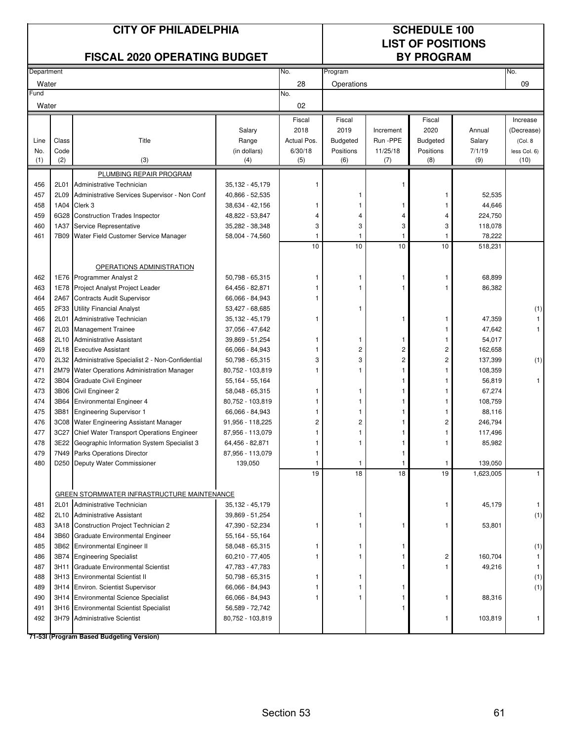|               |              | <b>CITY OF PHILADELPHIA</b>                                                   | <b>SCHEDULE 100</b><br><b>LIST OF POSITIONS</b> |                |                  |                 |                   |                   |                      |
|---------------|--------------|-------------------------------------------------------------------------------|-------------------------------------------------|----------------|------------------|-----------------|-------------------|-------------------|----------------------|
|               |              | <b>FISCAL 2020 OPERATING BUDGET</b>                                           |                                                 |                |                  |                 | <b>BY PROGRAM</b> |                   |                      |
| Department    |              |                                                                               |                                                 | No.            | Program          |                 |                   |                   | No.                  |
| Water         |              |                                                                               |                                                 | 28             | Operations       |                 |                   |                   | 09                   |
| Fund<br>Water |              |                                                                               |                                                 | No.<br>02      |                  |                 |                   |                   |                      |
|               |              |                                                                               |                                                 | Fiscal         | Fiscal           |                 | Fiscal            |                   | Increase             |
|               |              |                                                                               | Salary                                          | 2018           | 2019             | Increment       | 2020              | Annual            | (Decrease)           |
| Line          | Class        | Title                                                                         | Range                                           | Actual Pos.    | <b>Budgeted</b>  | Run -PPE        | <b>Budgeted</b>   | Salary            | (Col. 8)             |
| No.<br>(1)    | Code<br>(2)  | (3)                                                                           | (in dollars)<br>(4)                             | 6/30/18<br>(5) | Positions<br>(6) | 11/25/18<br>(7) | Positions<br>(8)  | 7/1/19<br>(9)     | less Col. 6)<br>(10) |
|               |              |                                                                               |                                                 |                |                  |                 |                   |                   |                      |
| 456           | 2L01         | PLUMBING REPAIR PROGRAM<br>Administrative Technician                          | 35,132 - 45,179                                 | 1              |                  | 1               |                   |                   |                      |
| 457           | 2L09         | Administrative Services Supervisor - Non Conf                                 | 40,866 - 52,535                                 |                |                  |                 | 1                 | 52,535            |                      |
| 458           |              | 1A04 Clerk 3                                                                  | 38,634 - 42,156                                 |                |                  | 1               |                   | 44,646            |                      |
| 459           |              | 6G28 Construction Trades Inspector                                            | 48,822 - 53,847                                 |                | $\overline{4}$   | 4               | 4                 | 224,750           |                      |
| 460           | 1A37         | Service Representative                                                        | 35,282 - 38,348                                 | 3              | 3                | 3               | 3                 | 118,078           |                      |
| 461           | 7B09         | Water Field Customer Service Manager                                          | 58,004 - 74,560                                 |                | 1                | 1               |                   | 78,222            |                      |
|               |              |                                                                               |                                                 | 10             | 10               | 10              | 10                | 518,231           |                      |
|               |              |                                                                               |                                                 |                |                  |                 |                   |                   |                      |
|               |              | OPERATIONS ADMINISTRATION                                                     |                                                 |                |                  |                 |                   |                   |                      |
| 462           |              | 1E76 Programmer Analyst 2                                                     | 50,798 - 65,315                                 |                | 1                | 1               | 1                 | 68,899            |                      |
| 463           | 1E78         | Project Analyst Project Leader                                                | 64,456 - 82,871                                 |                | $\mathbf{1}$     |                 |                   | 86,382            |                      |
| 464           | 2A67         | <b>Contracts Audit Supervisor</b>                                             | 66,066 - 84,943                                 |                |                  |                 |                   |                   |                      |
| 465           | 2F33         | <b>Utility Financial Analyst</b>                                              | 53,427 - 68,685                                 |                | 1                |                 |                   |                   | (1)                  |
| 466           | 2L01         | Administrative Technician                                                     | 35,132 - 45,179                                 | 1              |                  | 1               | 1                 | 47,359            |                      |
| 467<br>468    | 2L03         | <b>Management Trainee</b>                                                     | 37,056 - 47,642                                 |                | 1                |                 | 1                 | 47,642            | $\mathbf{1}$         |
| 469           | 2L10<br>2L18 | <b>Administrative Assistant</b><br><b>Executive Assistant</b>                 | 39,869 - 51,254<br>66,066 - 84,943              | 1              | $\overline{c}$   | 1<br>2          | 2                 | 54,017<br>162,658 |                      |
| 470           | 2L32         | Administrative Specialist 2 - Non-Confidential                                | 50,798 - 65,315                                 | 3              | 3                | 2               | 2                 | 137,399           | (1)                  |
| 471           |              | 2M79 Water Operations Administration Manager                                  | 80,752 - 103,819                                |                |                  |                 |                   | 108,359           |                      |
| 472           |              | 3B04 Graduate Civil Engineer                                                  | 55,164 - 55,164                                 |                |                  |                 | 1                 | 56,819            | $\mathbf{1}$         |
| 473           |              | 3B06 Civil Engineer 2                                                         | 58,048 - 65,315                                 |                |                  |                 |                   | 67,274            |                      |
| 474           |              | 3B64 Environmental Engineer 4                                                 | 80,752 - 103,819                                |                |                  |                 | 1                 | 108,759           |                      |
| 475           | 3B81         | <b>Engineering Supervisor 1</b>                                               | 66,066 - 84,943                                 |                |                  |                 |                   | 88,116            |                      |
| 476           | 3C08         | Water Engineering Assistant Manager                                           | 91,956 - 118,225                                | 2              | 2                |                 | 2                 | 246,794           |                      |
| 477           |              | 3C27 Chief Water Transport Operations Engineer                                | 87,956 - 113,079                                | 1              | 1                |                 |                   | 117,496           |                      |
| 478           |              | 3E22 Geographic Information System Specialist 3                               | 64,456 - 82,871                                 |                |                  |                 |                   | 85,982            |                      |
| 479           |              | 7N49 Parks Operations Director                                                | 87,956 - 113,079                                |                |                  |                 |                   |                   |                      |
| 480           |              | D250 Deputy Water Commissioner                                                | 139,050                                         | 1              | 1                | 1               | $\mathbf{1}$      | 139,050           |                      |
|               |              |                                                                               |                                                 | 19             | 18               | 18              | 19                | 1,623,005         | $\mathbf{1}$         |
|               |              |                                                                               |                                                 |                |                  |                 |                   |                   |                      |
| 481           |              | GREEN STORMWATER INFRASTRUCTURE MAINTENANCE<br>2L01 Administrative Technician | 35,132 - 45,179                                 |                |                  |                 | 1                 | 45,179            | $\mathbf{1}$         |
| 482           |              | 2L10 Administrative Assistant                                                 | 39,869 - 51,254                                 |                | 1                |                 |                   |                   | (1)                  |
| 483           |              | 3A18 Construction Project Technician 2                                        | 47,390 - 52,234                                 | 1              | 1                | 1               | 1                 | 53,801            |                      |
| 484           | 3B60         | Graduate Environmental Engineer                                               | 55,164 - 55,164                                 |                |                  |                 |                   |                   |                      |
| 485           |              | 3B62 Environmental Engineer II                                                | 58,048 - 65,315                                 |                | 1                |                 |                   |                   | (1)                  |
| 486           |              | 3B74 Engineering Specialist                                                   | 60,210 - 77,405                                 |                | 1                |                 | 2                 | 160,704           |                      |
| 487           | 3H11         | <b>Graduate Environmental Scientist</b>                                       | 47,783 - 47,783                                 |                |                  |                 | 1                 | 49,216            | -1                   |
| 488           |              | 3H13 Environmental Scientist II                                               | 50,798 - 65,315                                 |                | 1                |                 |                   |                   | (1)                  |
| 489           |              | 3H14 Environ. Scientist Supervisor                                            | 66,066 - 84,943                                 |                | 1                |                 |                   |                   | (1)                  |
| 490           |              | 3H14 Environmental Science Specialist                                         | 66,066 - 84,943                                 |                | 1                |                 | 1                 | 88,316            |                      |
| 491           |              | 3H16 Environmental Scientist Specialist                                       | 56,589 - 72,742                                 |                |                  | 1               |                   |                   |                      |
| 492           |              | 3H79 Administrative Scientist                                                 | 80,752 - 103,819                                |                |                  |                 | 1                 | 103,819           | $\mathbf{1}$         |
|               |              | 71-53I (Program Based Budgeting Version)                                      |                                                 |                |                  |                 |                   |                   |                      |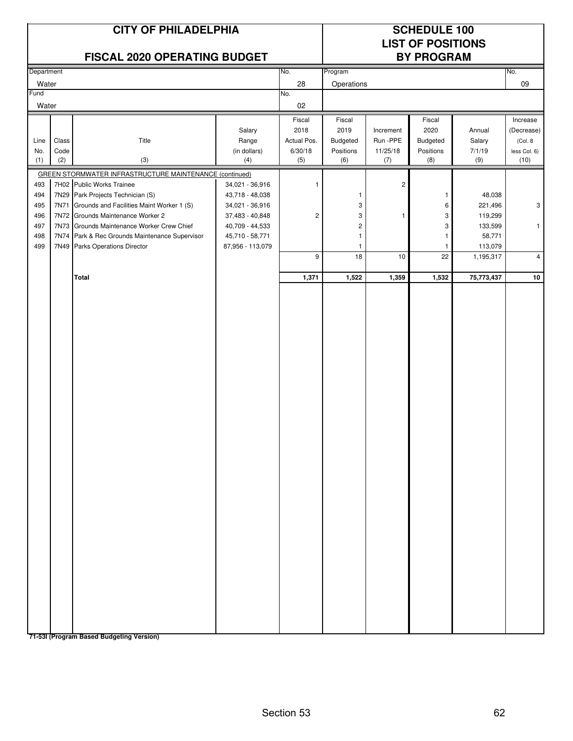|                            | <b>CITY OF PHILADELPHIA</b><br><b>FISCAL 2020 OPERATING BUDGET</b>                 |                                    |                     |                              | <b>SCHEDULE 100</b><br><b>LIST OF POSITIONS</b><br><b>BY PROGRAM</b> |                   |                   |                        |
|----------------------------|------------------------------------------------------------------------------------|------------------------------------|---------------------|------------------------------|----------------------------------------------------------------------|-------------------|-------------------|------------------------|
| Department                 |                                                                                    |                                    | No.                 | Program                      |                                                                      |                   |                   | No.                    |
| Water                      |                                                                                    |                                    | 28                  | Operations                   |                                                                      |                   |                   | 09                     |
| Fund                       |                                                                                    |                                    | No.                 |                              |                                                                      |                   |                   |                        |
| Water                      |                                                                                    |                                    | 02                  |                              |                                                                      |                   |                   |                        |
|                            |                                                                                    |                                    | Fiscal              | Fiscal                       |                                                                      | Fiscal            |                   | Increase               |
| Class<br>Line              | Title                                                                              | Salary<br>Range                    | 2018<br>Actual Pos. | 2019<br>Budgeted             | Increment<br>Run -PPE                                                | 2020<br>Budgeted  | Annual<br>Salary  | (Decrease)<br>(Col. 8) |
| Code<br>No.                |                                                                                    | (in dollars)                       | 6/30/18             | Positions                    | 11/25/18                                                             | Positions         | 7/1/19            | less Col. 6)           |
| (1)<br>(2)                 | (3)                                                                                | (4)                                | (5)                 | (6)                          | (7)                                                                  | (8)               | (9)               | (10)                   |
|                            | GREEN STORMWATER INFRASTRUCTURE MAINTENANCE (continued)                            |                                    |                     |                              |                                                                      |                   |                   |                        |
| 493                        | 7H02 Public Works Trainee                                                          | 34,021 - 36,916                    | 1                   |                              | $\overline{c}$                                                       |                   |                   |                        |
| 494                        | 7N29 Park Projects Technician (S)                                                  | 43,718 - 48,038                    |                     | 1                            |                                                                      | $\mathbf{1}$      | 48,038            |                        |
| 7N71<br>495                | Grounds and Facilities Maint Worker 1 (S)                                          | 34,021 - 36,916                    |                     | 3                            |                                                                      | 6                 | 221,496           | 3                      |
| 496                        | 7N72 Grounds Maintenance Worker 2                                                  | 37,483 - 40,848                    | $\overline{c}$      | 3                            | 1                                                                    | 3                 | 119,299           |                        |
| 497<br>7N73<br>498<br>7N74 | Grounds Maintenance Worker Crew Chief<br>Park & Rec Grounds Maintenance Supervisor | 40,709 - 44,533<br>45,710 - 58,771 |                     | $\overline{\mathbf{c}}$<br>1 |                                                                      | 3<br>$\mathbf{1}$ | 133,599<br>58,771 | $\mathbf{1}$           |
| 499                        | 7N49 Parks Operations Director                                                     | 87,956 - 113,079                   |                     | 1                            |                                                                      | $\mathbf{1}$      | 113,079           |                        |
|                            |                                                                                    |                                    | 9                   | 18                           | 10                                                                   | 22                | 1,195,317         | $\overline{4}$         |
|                            |                                                                                    |                                    |                     |                              |                                                                      |                   |                   |                        |
|                            | <b>Total</b>                                                                       |                                    | 1,371               | 1,522                        | 1,359                                                                | 1,532             | 75,773,437        | 10                     |
|                            | 71-53I (Program Based Budgeting Version)                                           |                                    |                     |                              |                                                                      |                   |                   |                        |

Section 53 62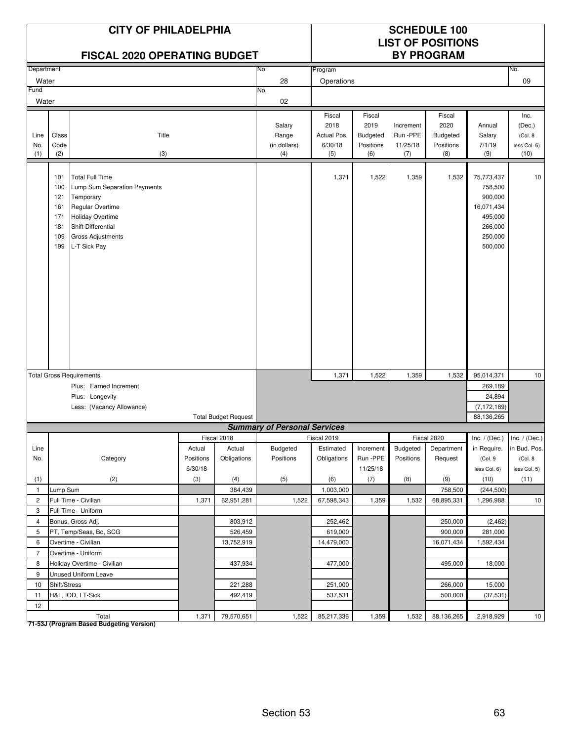|                    |                                                      | <b>CITY OF PHILADELPHIA</b><br><b>FISCAL 2020 OPERATING BUDGET</b>                                                                                                                          |           |                             |                                        |                                                 |                                                       |                                          | <b>SCHEDULE 100</b><br><b>LIST OF POSITIONS</b><br><b>BY PROGRAM</b> |                                                                                            |                                                   |
|--------------------|------------------------------------------------------|---------------------------------------------------------------------------------------------------------------------------------------------------------------------------------------------|-----------|-----------------------------|----------------------------------------|-------------------------------------------------|-------------------------------------------------------|------------------------------------------|----------------------------------------------------------------------|--------------------------------------------------------------------------------------------|---------------------------------------------------|
| Department         |                                                      |                                                                                                                                                                                             |           |                             | No.                                    | Program                                         |                                                       |                                          |                                                                      |                                                                                            | No.                                               |
| Water              |                                                      |                                                                                                                                                                                             |           |                             | 28                                     | Operations                                      |                                                       |                                          |                                                                      |                                                                                            | 09                                                |
| Fund               |                                                      |                                                                                                                                                                                             |           |                             | No.                                    |                                                 |                                                       |                                          |                                                                      |                                                                                            |                                                   |
| Water              |                                                      |                                                                                                                                                                                             |           |                             | 02                                     |                                                 |                                                       |                                          |                                                                      |                                                                                            |                                                   |
| Line<br>No.<br>(1) | Class<br>Code<br>(2)                                 | Title<br>(3)                                                                                                                                                                                |           |                             | Salary<br>Range<br>(in dollars)<br>(4) | Fiscal<br>2018<br>Actual Pos.<br>6/30/18<br>(5) | Fiscal<br>2019<br><b>Budgeted</b><br>Positions<br>(6) | Increment<br>Run -PPE<br>11/25/18<br>(7) | Fiscal<br>2020<br><b>Budgeted</b><br>Positions<br>(8)                | Annual<br>Salary<br>7/1/19<br>(9)                                                          | Inc.<br>(Dec.)<br>(Col. 8<br>less Col. 6)<br>(10) |
|                    | 101<br>100<br>121<br>161<br>171<br>181<br>109<br>199 | <b>Total Full Time</b><br>Lump Sum Separation Payments<br>Temporary<br><b>Regular Overtime</b><br><b>Holiday Overtime</b><br>Shift Differential<br><b>Gross Adjustments</b><br>L-T Sick Pay |           |                             |                                        | 1,371                                           | 1,522                                                 | 1,359                                    | 1,532                                                                | 75,773,437<br>758,500<br>900,000<br>16,071,434<br>495,000<br>266,000<br>250,000<br>500,000 | 10                                                |
|                    |                                                      | <b>Total Gross Requirements</b>                                                                                                                                                             |           |                             |                                        | 1,371                                           | 1,522                                                 | 1,359                                    | 1,532                                                                | 95,014,371                                                                                 | 10                                                |
|                    |                                                      | Plus: Earned Increment                                                                                                                                                                      |           |                             |                                        |                                                 |                                                       |                                          |                                                                      | 269,189                                                                                    |                                                   |
|                    |                                                      | Plus: Longevity                                                                                                                                                                             |           |                             |                                        |                                                 |                                                       |                                          |                                                                      | 24,894                                                                                     |                                                   |
|                    |                                                      | Less: (Vacancy Allowance)                                                                                                                                                                   |           |                             |                                        |                                                 |                                                       |                                          |                                                                      | (7, 172, 189)                                                                              |                                                   |
|                    |                                                      |                                                                                                                                                                                             |           | <b>Total Budget Request</b> |                                        |                                                 |                                                       |                                          |                                                                      | 88.136.265                                                                                 |                                                   |
|                    |                                                      |                                                                                                                                                                                             |           |                             | <b>Summary of Personal Services</b>    |                                                 |                                                       |                                          |                                                                      |                                                                                            |                                                   |
|                    |                                                      |                                                                                                                                                                                             |           | Fiscal 2018                 |                                        | Fiscal 2019                                     |                                                       |                                          | Fiscal 2020                                                          | $Inc. / (Dec.)$ Inc. $/ (Dec.)$                                                            |                                                   |
| Line               |                                                      |                                                                                                                                                                                             | Actual    | Actual                      | Budgeted                               | Estimated                                       | Increment                                             | Budgeted                                 | Department                                                           | in Require.                                                                                | in Bud. Pos.                                      |
| No.                |                                                      | Category                                                                                                                                                                                    | Positions | Obligations                 | Positions                              | Obligations                                     | Run -PPE                                              | Positions                                | Request                                                              | (Col.9                                                                                     | (Col. 8                                           |
|                    |                                                      |                                                                                                                                                                                             | 6/30/18   |                             |                                        |                                                 | 11/25/18                                              |                                          |                                                                      | less Col. 6)                                                                               | less Col. 5)                                      |
| (1)                |                                                      | (2)                                                                                                                                                                                         | (3)       | (4)                         | (5)                                    | (6)                                             | (7)                                                   | (8)                                      | (9)                                                                  | (10)                                                                                       | (11)                                              |
| $\mathbf{1}$       | Lump Sum                                             |                                                                                                                                                                                             |           | 384,439                     |                                        | 1,003,000                                       |                                                       |                                          | 758,500                                                              | (244, 500)                                                                                 |                                                   |
| $\overline{2}$     |                                                      | Full Time - Civilian                                                                                                                                                                        | 1,371     | 62,951,281                  | 1,522                                  | 67,598,343                                      | 1,359                                                 | 1,532                                    | 68,895,331                                                           | 1,296,988                                                                                  | 10                                                |
| 3                  |                                                      | Full Time - Uniform                                                                                                                                                                         |           |                             |                                        |                                                 |                                                       |                                          |                                                                      |                                                                                            |                                                   |
| 4                  |                                                      | Bonus, Gross Adj.                                                                                                                                                                           |           | 803,912                     |                                        | 252,462                                         |                                                       |                                          | 250,000                                                              | (2, 462)                                                                                   |                                                   |
| 5                  |                                                      | PT, Temp/Seas, Bd, SCG                                                                                                                                                                      |           | 526,459                     |                                        | 619,000                                         |                                                       |                                          | 900,000                                                              | 281,000                                                                                    |                                                   |
| 6                  |                                                      | Overtime - Civilian                                                                                                                                                                         |           | 13,752,919                  |                                        | 14,479,000                                      |                                                       |                                          | 16,071,434                                                           | 1,592,434                                                                                  |                                                   |
| $\overline{7}$     |                                                      | Overtime - Uniform                                                                                                                                                                          |           |                             |                                        |                                                 |                                                       |                                          |                                                                      |                                                                                            |                                                   |
| 8                  |                                                      | Holiday Overtime - Civilian                                                                                                                                                                 |           | 437,934                     |                                        | 477,000                                         |                                                       |                                          | 495,000                                                              | 18,000                                                                                     |                                                   |
| 9                  |                                                      | Unused Uniform Leave                                                                                                                                                                        |           |                             |                                        |                                                 |                                                       |                                          |                                                                      |                                                                                            |                                                   |
| 10                 | Shift/Stress                                         |                                                                                                                                                                                             |           | 221,288                     |                                        | 251,000                                         |                                                       |                                          | 266,000                                                              | 15,000                                                                                     |                                                   |
| 11                 |                                                      | H&L, IOD, LT-Sick                                                                                                                                                                           |           | 492,419                     |                                        | 537,531                                         |                                                       |                                          | 500,000                                                              | (37, 531)                                                                                  |                                                   |
| 12                 |                                                      |                                                                                                                                                                                             |           | 79,570,651                  |                                        | 85,217,336                                      |                                                       | 1,532                                    |                                                                      |                                                                                            | 10                                                |
|                    |                                                      | Total                                                                                                                                                                                       | 1,371     |                             | 1,522                                  |                                                 | 1,359                                                 |                                          | 88,136,265                                                           | 2,918,929                                                                                  |                                                   |

Total<br>T1-53J (Program Based Budgeting Version)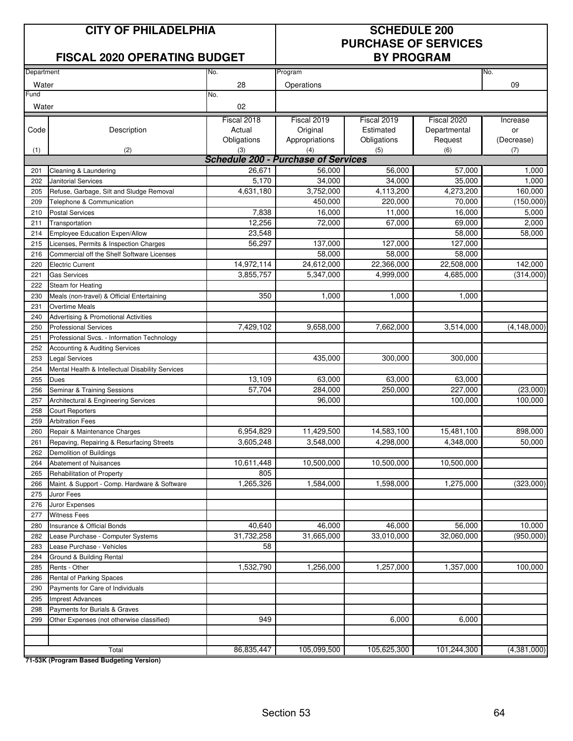### **CITY OF PHILADELPHIA SCHEDULE 200**

### **FISCAL 2020 OPERATING BUDGET BY PROGRAM**

# **PURCHASE OF SERVICES**

| Department |                                                  | No.                                               | Program           |             |              |               |  |  |  |
|------------|--------------------------------------------------|---------------------------------------------------|-------------------|-------------|--------------|---------------|--|--|--|
| Water      |                                                  | 28                                                | Operations        |             |              | No.<br>09     |  |  |  |
| Fund       |                                                  | No.                                               |                   |             |              |               |  |  |  |
| Water      |                                                  | 02                                                |                   |             |              |               |  |  |  |
|            |                                                  |                                                   |                   |             |              |               |  |  |  |
|            |                                                  | Fiscal 2018                                       | Fiscal 2019       | Fiscal 2019 | Fiscal 2020  | Increase      |  |  |  |
| Code       | Description                                      | Actual                                            | Original          | Estimated   | Departmental | or            |  |  |  |
|            |                                                  | Obligations                                       | Appropriations    | Obligations | Request      | (Decrease)    |  |  |  |
| (1)        | (2)                                              | (3)<br><b>Schedule 200 - Purchase of Services</b> | (4)               | (5)         | (6)          | (7)           |  |  |  |
|            |                                                  | 26,671                                            | 56,000            | 56,000      | 57,000       | 1,000         |  |  |  |
| 201        | Cleaning & Laundering                            | 5,170                                             | 34,000            | 34,000      | 35,000       | 1,000         |  |  |  |
| 202<br>205 | <b>Janitorial Services</b>                       | 4,631,180                                         | 3,752,000         | 4,113,200   | 4,273,200    | 160,000       |  |  |  |
|            | Refuse, Garbage, Silt and Sludge Removal         |                                                   |                   |             |              |               |  |  |  |
| 209        | Telephone & Communication                        | 7,838                                             | 450,000<br>16,000 | 220,000     | 70,000       | (150,000)     |  |  |  |
| 210        | <b>Postal Services</b>                           |                                                   |                   | 11,000      | 16,000       | 5,000         |  |  |  |
| 211        | Transportation                                   | 12,256                                            | 72,000            | 67,000      | 69,000       | 2,000         |  |  |  |
| 214        | Employee Education Expen/Allow                   | 23,548                                            |                   |             | 58,000       | 58,000        |  |  |  |
| 215        | Licenses, Permits & Inspection Charges           | 56,297                                            | 137,000           | 127,000     | 127,000      |               |  |  |  |
| 216        | Commercial off the Shelf Software Licenses       |                                                   | 58,000            | 58,000      | 58,000       |               |  |  |  |
| 220        | <b>Electric Current</b>                          | 14,972,114                                        | 24,612,000        | 22,366,000  | 22,508,000   | 142,000       |  |  |  |
| 221        | <b>Gas Services</b>                              | 3,855,757                                         | 5,347,000         | 4,999,000   | 4,685,000    | (314,000)     |  |  |  |
| 222        | Steam for Heating                                |                                                   |                   |             |              |               |  |  |  |
| 230        | Meals (non-travel) & Official Entertaining       | 350                                               | 1,000             | 1,000       | 1,000        |               |  |  |  |
| 231        | <b>Overtime Meals</b>                            |                                                   |                   |             |              |               |  |  |  |
| 240        | <b>Advertising &amp; Promotional Activities</b>  |                                                   |                   |             |              |               |  |  |  |
| 250        | <b>Professional Services</b>                     | 7,429,102                                         | 9,658,000         | 7,662,000   | 3,514,000    | (4, 148, 000) |  |  |  |
| 251        | Professional Svcs. - Information Technology      |                                                   |                   |             |              |               |  |  |  |
| 252        | <b>Accounting &amp; Auditing Services</b>        |                                                   |                   |             |              |               |  |  |  |
| 253        | <b>Legal Services</b>                            |                                                   | 435,000           | 300,000     | 300,000      |               |  |  |  |
| 254        | Mental Health & Intellectual Disability Services |                                                   |                   |             |              |               |  |  |  |
| 255        | Dues                                             | 13,109                                            | 63,000            | 63,000      | 63,000       |               |  |  |  |
| 256        | Seminar & Training Sessions                      | 57,704                                            | 284,000           | 250,000     | 227,000      | (23,000)      |  |  |  |
| 257        | Architectural & Engineering Services             |                                                   | 96,000            |             | 100,000      | 100,000       |  |  |  |
| 258        | <b>Court Reporters</b>                           |                                                   |                   |             |              |               |  |  |  |
| 259        | <b>Arbitration Fees</b>                          |                                                   |                   |             |              |               |  |  |  |
| 260        | Repair & Maintenance Charges                     | 6,954,829                                         | 11,429,500        | 14,583,100  | 15,481,100   | 898,000       |  |  |  |
| 261        | Repaving, Repairing & Resurfacing Streets        | 3,605,248                                         | 3,548,000         | 4,298,000   | 4,348,000    | 50,000        |  |  |  |
| 262        | Demolition of Buildings                          |                                                   |                   |             |              |               |  |  |  |
| 264        | <b>Abatement of Nuisances</b>                    | 10,611,448                                        | 10,500,000        | 10,500,000  | 10,500,000   |               |  |  |  |
| 265        | Rehabilitation of Property                       | 805                                               |                   |             |              |               |  |  |  |
| 266        | Maint. & Support - Comp. Hardware & Software     | 1,265,326                                         | 1,584,000         | 1,598,000   | 1,275,000    | (323,000)     |  |  |  |
| 275        | Juror Fees                                       |                                                   |                   |             |              |               |  |  |  |
| 276        | Juror Expenses                                   |                                                   |                   |             |              |               |  |  |  |
| 277        | <b>Witness Fees</b>                              |                                                   |                   |             |              |               |  |  |  |
| 280        | Insurance & Official Bonds                       | 40,640                                            | 46,000            | 46,000      | 56,000       | 10,000        |  |  |  |
| 282        | Lease Purchase - Computer Systems                | 31,732,258                                        | 31,665,000        | 33,010,000  | 32,060,000   | (950,000)     |  |  |  |
| 283        | Lease Purchase - Vehicles                        | 58                                                |                   |             |              |               |  |  |  |
| 284        | Ground & Building Rental                         |                                                   |                   |             |              |               |  |  |  |
| 285        | Rents - Other                                    | 1,532,790                                         | 1,256,000         | 1,257,000   | 1,357,000    | 100,000       |  |  |  |
| 286        | Rental of Parking Spaces                         |                                                   |                   |             |              |               |  |  |  |
| 290        | Payments for Care of Individuals                 |                                                   |                   |             |              |               |  |  |  |
| 295        | <b>Imprest Advances</b>                          |                                                   |                   |             |              |               |  |  |  |
| 298        | Payments for Burials & Graves                    |                                                   |                   |             |              |               |  |  |  |
| 299        | Other Expenses (not otherwise classified)        | 949                                               |                   | 6,000       | 6,000        |               |  |  |  |
|            |                                                  |                                                   |                   |             |              |               |  |  |  |
|            |                                                  |                                                   |                   |             |              |               |  |  |  |
|            | Total                                            | 86,835,447                                        | 105,099,500       | 105,625,300 | 101,244,300  | (4,381,000)   |  |  |  |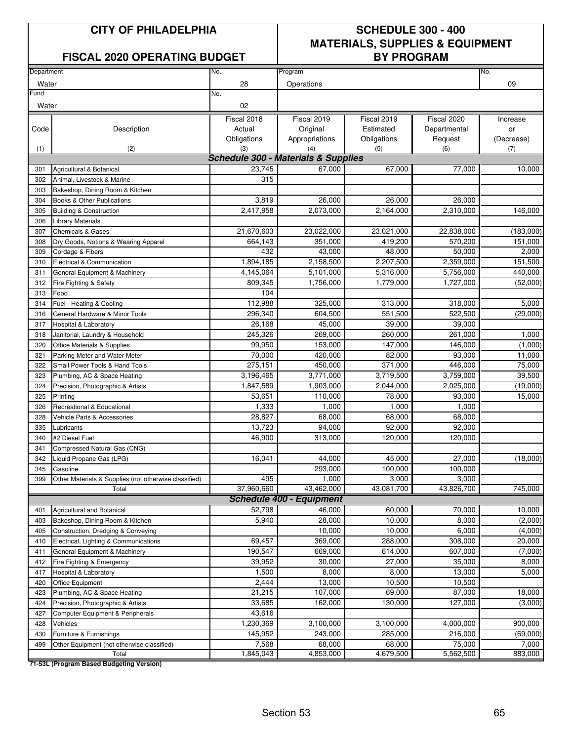#### **FISCAL 2020 OPERATING BUDGET**

## **CITY OF PHILADELPHIA SCHEDULE 300 - 400 MATERIALS, SUPPLIES & EQUIPMENT**

| Department |                                                       | No.                                 | Program                         |             |              | No.        |  |  |  |
|------------|-------------------------------------------------------|-------------------------------------|---------------------------------|-------------|--------------|------------|--|--|--|
| Water      |                                                       | 28                                  | Operations                      |             |              | 09         |  |  |  |
| Fund       |                                                       | No.                                 |                                 |             |              |            |  |  |  |
| Water      |                                                       | 02                                  |                                 |             |              |            |  |  |  |
|            |                                                       | Fiscal 2018                         | Fiscal 2019                     | Fiscal 2019 | Fiscal 2020  | Increase   |  |  |  |
| Code       | Description                                           | Actual                              | Original                        | Estimated   | Departmental | or         |  |  |  |
|            |                                                       | Obligations                         | Appropriations                  | Obligations | Request      | (Decrease) |  |  |  |
| (1)        | (2)                                                   | (3)                                 | (4)                             | (5)         | (6)          | (7)        |  |  |  |
|            |                                                       | Schedule 300 - Materials & Supplies |                                 |             |              |            |  |  |  |
| 301        | Agricultural & Botanical                              | 23,745                              | 67,000                          | 67,000      | 77,000       | 10,000     |  |  |  |
| 302        | Animal, Livestock & Marine                            | 315                                 |                                 |             |              |            |  |  |  |
| 303        | Bakeshop, Dining Room & Kitchen                       |                                     |                                 |             |              |            |  |  |  |
| 304        | Books & Other Publications                            | 3,819                               | 26,000                          | 26,000      | 26,000       |            |  |  |  |
| 305        | <b>Building &amp; Construction</b>                    | 2,417,958                           | 2,073,000                       | 2,164,000   | 2,310,000    | 146,000    |  |  |  |
| 306        | <b>Library Materials</b>                              |                                     |                                 |             |              |            |  |  |  |
| 307        | <b>Chemicals &amp; Gases</b>                          | 21,670,603                          | 23,022,000                      | 23,021,000  | 22,838,000   | (183,000)  |  |  |  |
| 308        | Dry Goods, Notions & Wearing Apparel                  | 664,143                             | 351,000                         | 419,200     | 570,200      | 151,000    |  |  |  |
| 309        | Cordage & Fibers                                      | 432                                 | 43,000                          | 48,000      | 50,000       | 2,000      |  |  |  |
| 310        | Electrical & Communication                            | 1,894,185                           | 2,158,500                       | 2,207,500   | 2,359,000    | 151,500    |  |  |  |
| 311        | General Equipment & Machinery                         | 4,145,064                           | 5,101,000                       | 5,316,000   | 5,756,000    | 440,000    |  |  |  |
| 312        | Fire Fighting & Safety                                | 809,345                             | 1,756,000                       | 1,779,000   | 1,727,000    | (52,000)   |  |  |  |
| 313        | Food                                                  | 104                                 |                                 |             |              |            |  |  |  |
| 314        | Fuel - Heating & Cooling                              | 112,988                             | 325,000                         | 313,000     | 318,000      | 5,000      |  |  |  |
| 316        | General Hardware & Minor Tools                        | 296,340                             | 604,500                         | 551,500     | 522,500      | (29,000)   |  |  |  |
| 317        | Hospital & Laboratory                                 | 26,168                              | 45,000                          | 39,000      | 39,000       |            |  |  |  |
| 318        | Janitorial, Laundry & Household                       | 245,326                             | 269,000                         | 260,000     | 261,000      | 1,000      |  |  |  |
| 320        | Office Materials & Supplies                           | 99,950                              | 153,000                         | 147,000     | 146,000      | (1,000)    |  |  |  |
| 321        | Parking Meter and Water Meter                         | 70,000                              | 420,000                         | 82,000      | 93,000       | 11,000     |  |  |  |
| 322        | Small Power Tools & Hand Tools                        | 275,151                             | 450,000                         | 371,000     | 446,000      | 75,000     |  |  |  |
| 323        | Plumbing, AC & Space Heating                          | 3,196,465                           | 3,771,000                       | 3,719,500   | 3,759,000    | 39,500     |  |  |  |
| 324        | Precision, Photographic & Artists                     | 1,847,589                           | 1,903,000                       | 2,044,000   | 2,025,000    | (19,000)   |  |  |  |
| 325        | Printing                                              | 53,651                              | 110,000                         | 78,000      | 93,000       | 15,000     |  |  |  |
| 326        | Recreational & Educational                            | 1,333                               | 1,000                           | 1,000       | 1,000        |            |  |  |  |
| 328        | Vehicle Parts & Accessories                           | 28,827                              | 68,000                          | 68,000      | 68,000       |            |  |  |  |
| 335        | Lubricants                                            | 13,723                              | 94,000                          | 92,000      | 92,000       |            |  |  |  |
| 340        | #2 Diesel Fuel                                        | 46,900                              | 313,000                         | 120,000     | 120,000      |            |  |  |  |
| 341        | Compressed Natural Gas (CNG)                          |                                     |                                 |             |              |            |  |  |  |
| 342        | Liquid Propane Gas (LPG)                              | 16,041                              | 44,000                          | 45,000      | 27,000       | (18,000)   |  |  |  |
| 345        | Gasoline                                              |                                     | 293,000                         | 100,000     | 100,000      |            |  |  |  |
| 399        | Other Materials & Supplies (not otherwise classified) | 495                                 | 1,000                           | 3,000       | 3,000        |            |  |  |  |
|            | Total                                                 | 37,960,660                          | 43,462,000                      | 43,081,700  | 43,826,700   | 745,000    |  |  |  |
|            |                                                       |                                     | <b>Schedule 400 - Equipment</b> |             |              |            |  |  |  |
| 401        | Agricultural and Botanical                            | 52,798                              | 46,000                          | 60,000      | 70,000       | 10,000     |  |  |  |
| 403        | Bakeshop, Dining Room & Kitchen                       | 5,940                               | 28,000                          | 10,000      | 8,000        | (2,000)    |  |  |  |
| 405        | Construction, Dredging & Conveying                    |                                     | 10,000                          | 10,000      | 6,000        | (4,000)    |  |  |  |
| 410        | Electrical, Lighting & Communications                 | 69,457                              | 369,000                         | 288,000     | 308,000      | 20,000     |  |  |  |
| 411        | General Equipment & Machinery                         | 190,547                             | 669,000                         | 614,000     | 607,000      | (7,000)    |  |  |  |
| 412        | Fire Fighting & Emergency                             | 39,952                              | 30,000                          | 27,000      | 35,000       | 8,000      |  |  |  |
| 417        | Hospital & Laboratory                                 | 1,500                               | 8,000                           | 8,000       | 13,000       | 5,000      |  |  |  |
| 420        | Office Equipment                                      | 2,444                               | 13,000                          | 10,500      | 10,500       |            |  |  |  |
| 423        | Plumbing, AC & Space Heating                          | 21,215                              | 107,000                         | 69,000      | 87,000       | 18,000     |  |  |  |
| 424        | Precision, Photographic & Artists                     | 33,685                              | 162,000                         | 130,000     | 127,000      | (3,000)    |  |  |  |
| 427        | Computer Equipment & Peripherals                      | 43,616                              |                                 |             |              |            |  |  |  |
| 428        | Vehicles                                              | 1,230,369                           | 3,100,000                       | 3,100,000   | 4,000,000    | 900,000    |  |  |  |
| 430        | Furniture & Furnishings                               | 145,952                             | 243,000                         | 285,000     | 216,000      | (69,000)   |  |  |  |
| 499        | Other Equipment (not otherwise classified)            | 7,568                               | 68,000                          | 68,000      | 75,000       | 7,000      |  |  |  |
|            | Total                                                 | 1,845,043                           | 4,853,000                       | 4,679,500   | 5,562,500    | 883,000    |  |  |  |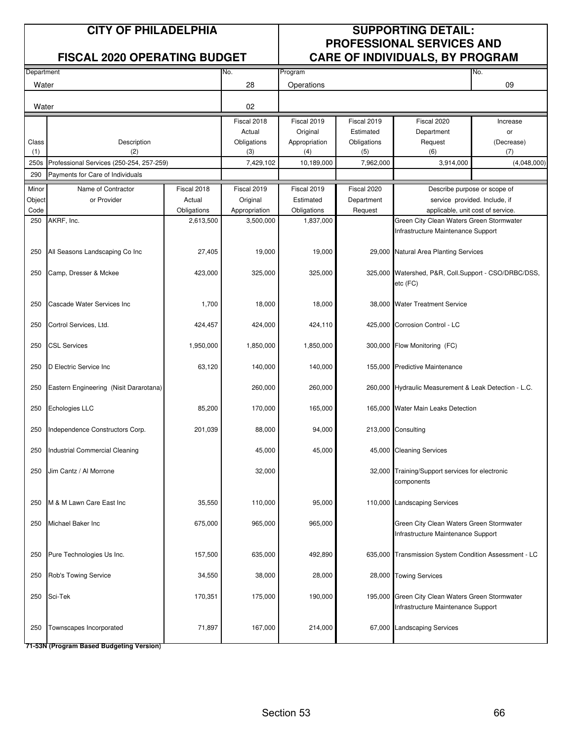#### **CITY OF PHILADELPHIA SUPPORTING DETAIL: PROFESSIONAL SERVICES AND FISCAL 2020 OPERATING BUDGET CARE OF INDIVIDUALS, BY PROGRAM**

| Department |                                          |             | No.           | Program       |             |                                                       | No.                           |
|------------|------------------------------------------|-------------|---------------|---------------|-------------|-------------------------------------------------------|-------------------------------|
| Water      |                                          |             | 28            | Operations    |             |                                                       | 09                            |
|            |                                          |             |               |               |             |                                                       |                               |
| Water      |                                          |             | 02            |               |             |                                                       |                               |
|            |                                          |             | Fiscal 2018   | Fiscal 2019   | Fiscal 2019 | Fiscal 2020                                           | Increase                      |
|            |                                          |             | Actual        | Original      | Estimated   | Department                                            | or                            |
| Class      | Description                              |             | Obligations   | Appropriation | Obligations | Request                                               | (Decrease)                    |
| (1)        | (2)                                      |             | (3)           | (4)           | (5)         | (6)                                                   | (7)                           |
| 250s       | Professional Services (250-254, 257-259) |             | 7,429,102     | 10,189,000    | 7,962,000   | 3,914,000                                             | (4,048,000)                   |
| 290        | Payments for Care of Individuals         |             |               |               |             |                                                       |                               |
| Minor      | Name of Contractor                       | Fiscal 2018 | Fiscal 2019   | Fiscal 2019   | Fiscal 2020 | Describe purpose or scope of                          |                               |
| Object     | or Provider                              | Actual      | Original      | Estimated     | Department  |                                                       | service provided. Include, if |
| Code       |                                          | Obligations | Appropriation | Obligations   | Request     | applicable, unit cost of service.                     |                               |
| 250        | AKRF, Inc.                               | 2,613,500   | 3,500,000     | 1,837,000     |             | Green City Clean Waters Green Stormwater              |                               |
|            |                                          |             |               |               |             | Infrastructure Maintenance Support                    |                               |
|            |                                          |             |               |               |             |                                                       |                               |
| 250        | All Seasons Landscaping Co Inc           | 27,405      | 19,000        | 19,000        |             | 29,000 Natural Area Planting Services                 |                               |
|            |                                          |             |               |               |             |                                                       |                               |
| 250        | Camp, Dresser & Mckee                    | 423,000     | 325,000       | 325,000       |             | 325,000 Watershed, P&R, Coll.Support - CSO/DRBC/DSS,  |                               |
|            |                                          |             |               |               |             | etc (FC)                                              |                               |
|            |                                          |             |               |               |             |                                                       |                               |
| 250        | Cascade Water Services Inc               | 1,700       | 18,000        | 18,000        |             | 38,000 Water Treatment Service                        |                               |
|            |                                          |             |               | 424,110       |             |                                                       |                               |
| 250        | Cortrol Services, Ltd.                   | 424,457     | 424,000       |               |             | 425,000 Corrosion Control - LC                        |                               |
| 250        | <b>CSL Services</b>                      | 1,950,000   | 1,850,000     | 1,850,000     |             | 300,000 Flow Monitoring (FC)                          |                               |
|            |                                          |             |               |               |             |                                                       |                               |
| 250        | D Electric Service Inc                   | 63,120      | 140,000       | 140,000       |             | 155,000 Predictive Maintenance                        |                               |
|            |                                          |             |               |               |             |                                                       |                               |
| 250        | Eastern Engineering (Nisit Dararotana)   |             | 260,000       | 260,000       |             | 260,000 Hydraulic Measurement & Leak Detection - L.C. |                               |
|            |                                          |             |               |               |             |                                                       |                               |
| 250        | Echologies LLC                           | 85,200      | 170,000       | 165,000       |             | 165,000 Water Main Leaks Detection                    |                               |
|            |                                          |             |               |               |             |                                                       |                               |
| 250        | Independence Constructors Corp.          | 201,039     | 88,000        | 94,000        |             | 213,000 Consulting                                    |                               |
|            |                                          |             |               |               |             |                                                       |                               |
| 250        | Industrial Commercial Cleaning           |             | 45,000        | 45,000        |             | 45,000 Cleaning Services                              |                               |
|            |                                          |             |               |               |             |                                                       |                               |
| 250        | Jim Cantz / Al Morrone                   |             | 32,000        |               |             | 32,000 Training/Support services for electronic       |                               |
|            |                                          |             |               |               |             | components                                            |                               |
|            | M & M Lawn Care East Inc                 |             |               |               |             |                                                       |                               |
| 250        |                                          | 35,550      | 110,000       | 95,000        |             | 110,000 Landscaping Services                          |                               |
| 250        | Michael Baker Inc                        | 675,000     | 965,000       | 965,000       |             | Green City Clean Waters Green Stormwater              |                               |
|            |                                          |             |               |               |             | Infrastructure Maintenance Support                    |                               |
|            |                                          |             |               |               |             |                                                       |                               |
| 250        | Pure Technologies Us Inc.                | 157,500     | 635,000       | 492,890       |             | 635,000 Transmission System Condition Assessment - LC |                               |
|            |                                          |             |               |               |             |                                                       |                               |
| 250        | Rob's Towing Service                     | 34,550      | 38,000        | 28,000        |             | 28,000 Towing Services                                |                               |
|            |                                          |             |               |               |             |                                                       |                               |
| 250        | Sci-Tek                                  | 170,351     | 175,000       | 190,000       |             | 195,000 Green City Clean Waters Green Stormwater      |                               |
|            |                                          |             |               |               |             | Infrastructure Maintenance Support                    |                               |
|            |                                          |             |               |               |             |                                                       |                               |
| 250        | Townscapes Incorporated                  | 71,897      | 167,000       | 214,000       |             | 67,000 Landscaping Services                           |                               |
|            |                                          |             |               |               |             |                                                       |                               |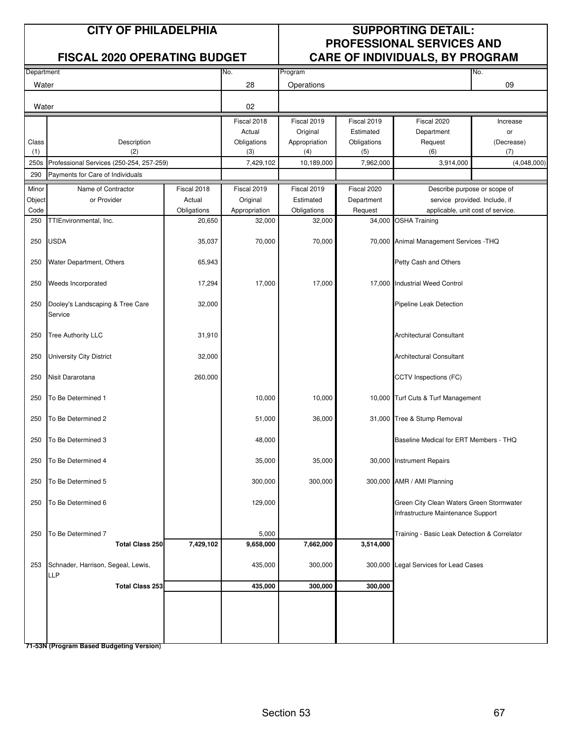#### **CITY OF PHILADELPHIA SUPPORTING DETAIL: PROFESSIONAL SERVICES AND FISCAL 2020 OPERATING BUDGET CARE OF INDIVIDUALS, BY PROGRAM**

|            |                                                  |             |               |               |             | . .                                                                            |             |
|------------|--------------------------------------------------|-------------|---------------|---------------|-------------|--------------------------------------------------------------------------------|-------------|
| Department |                                                  |             | No.           | Program       |             |                                                                                | No.         |
| Water      |                                                  |             | 28            | Operations    |             |                                                                                | 09          |
| Water      |                                                  |             | 02            |               |             |                                                                                |             |
|            |                                                  |             | Fiscal 2018   | Fiscal 2019   | Fiscal 2019 | Fiscal 2020                                                                    | Increase    |
|            |                                                  |             | Actual        | Original      | Estimated   | Department                                                                     | or          |
| Class      | Description                                      |             | Obligations   | Appropriation | Obligations | Request                                                                        | (Decrease)  |
| (1)        | (2)                                              |             | (3)           | (4)           | (5)         | (6)                                                                            | (7)         |
| 250s       | Professional Services (250-254, 257-259)         |             | 7,429,102     | 10,189,000    | 7,962,000   | 3,914,000                                                                      | (4,048,000) |
| 290        | Payments for Care of Individuals                 |             |               |               |             |                                                                                |             |
| Minor      | Name of Contractor                               | Fiscal 2018 | Fiscal 2019   | Fiscal 2019   | Fiscal 2020 | Describe purpose or scope of                                                   |             |
| Object     | or Provider                                      | Actual      | Original      | Estimated     | Department  | service provided. Include, if                                                  |             |
| Code       |                                                  | Obligations | Appropriation | Obligations   | Request     | applicable, unit cost of service.                                              |             |
| 250        | TTIEnvironmental, Inc.                           | 20,650      | 32,000        | 32,000        | 34,000      | <b>OSHA Training</b>                                                           |             |
| 250        | <b>USDA</b>                                      | 35,037      | 70,000        | 70,000        |             | 70,000 Animal Management Services - THQ                                        |             |
| 250        | Water Department, Others                         | 65,943      |               |               |             | Petty Cash and Others                                                          |             |
| 250        | Weeds Incorporated                               | 17,294      | 17,000        | 17,000        |             | 17,000 Industrial Weed Control                                                 |             |
| 250        | Dooley's Landscaping & Tree Care<br>Service      | 32,000      |               |               |             | Pipeline Leak Detection                                                        |             |
| 250        | <b>Tree Authority LLC</b>                        | 31,910      |               |               |             | <b>Architectural Consultant</b>                                                |             |
| 250        | University City District                         | 32,000      |               |               |             | <b>Architectural Consultant</b>                                                |             |
| 250        | Nisit Dararotana                                 | 260,000     |               |               |             | CCTV Inspections (FC)                                                          |             |
| 250        | To Be Determined 1                               |             | 10,000        | 10,000        |             | 10,000 Turf Cuts & Turf Management                                             |             |
| 250        | To Be Determined 2                               |             | 51,000        | 36,000        |             | 31,000 Tree & Stump Removal                                                    |             |
| 250        | To Be Determined 3                               |             | 48,000        |               |             | Baseline Medical for ERT Members - THQ                                         |             |
| 250        | To Be Determined 4                               |             | 35,000        | 35,000        |             | 30,000 Instrument Repairs                                                      |             |
| 250        | To Be Determined 5                               |             | 300,000       | 300,000       |             | 300,000 AMR / AMI Planning                                                     |             |
| 250        | To Be Determined 6                               |             | 129,000       |               |             | Green City Clean Waters Green Stormwater<br>Infrastructure Maintenance Support |             |
| 250        | To Be Determined 7                               |             | 5,000         |               |             | Training - Basic Leak Detection & Correlator                                   |             |
|            | <b>Total Class 250</b>                           | 7,429,102   | 9,658,000     | 7,662,000     | 3,514,000   |                                                                                |             |
| 253        | Schnader, Harrison, Segeal, Lewis,<br><b>LLP</b> |             | 435,000       | 300,000       |             | 300,000 Legal Services for Lead Cases                                          |             |
|            | <b>Total Class 253</b>                           |             | 435,000       | 300,000       | 300,000     |                                                                                |             |
|            |                                                  |             |               |               |             |                                                                                |             |
|            |                                                  |             |               |               |             |                                                                                |             |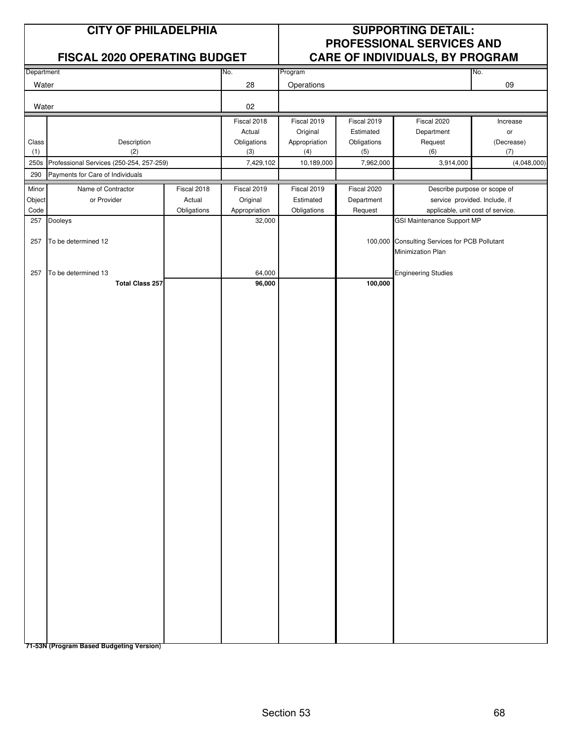#### **CITY OF PHILADELPHIA SUPPORTING DETAIL: PROFESSIONAL SERVICES AND FISCAL 2020 OPERATING BUDGET CARE OF INDIVIDUALS, BY PROGRAM**

|            | THOUGH EVEY OF ERRITHING DODGET          |             |               |               |             | S                                             |                               |
|------------|------------------------------------------|-------------|---------------|---------------|-------------|-----------------------------------------------|-------------------------------|
| Department |                                          |             | No.           | Program       |             |                                               | No.                           |
| Water      |                                          |             | 28            | Operations    |             |                                               | $09\,$                        |
|            |                                          |             |               |               |             |                                               |                               |
| Water      |                                          |             | 02            |               |             |                                               |                               |
|            |                                          |             | Fiscal 2018   | Fiscal 2019   | Fiscal 2019 | Fiscal 2020                                   | Increase                      |
|            |                                          |             | Actual        | Original      | Estimated   | Department                                    | $\mathsf{or}\,$               |
| Class      | Description                              |             | Obligations   | Appropriation | Obligations | Request                                       | (Decrease)                    |
| (1)        | (2)                                      |             | (3)           | (4)           | (5)         | (6)                                           | (7)                           |
| 250s       | Professional Services (250-254, 257-259) |             | 7,429,102     | 10,189,000    | 7,962,000   | 3,914,000                                     | (4,048,000)                   |
| 290        | Payments for Care of Individuals         |             |               |               |             |                                               |                               |
| Minor      | Name of Contractor                       | Fiscal 2018 | Fiscal 2019   | Fiscal 2019   | Fiscal 2020 |                                               | Describe purpose or scope of  |
| Object     | or Provider                              | Actual      | Original      | Estimated     | Department  |                                               | service provided. Include, if |
| Code       |                                          | Obligations | Appropriation | Obligations   | Request     | applicable, unit cost of service.             |                               |
| 257        | Dooleys                                  |             | 32,000        |               |             | GSI Maintenance Support MP                    |                               |
|            |                                          |             |               |               |             |                                               |                               |
| 257        | To be determined 12                      |             |               |               |             | 100,000 Consulting Services for PCB Pollutant |                               |
|            |                                          |             |               |               |             | Minimization Plan                             |                               |
| 257        | To be determined 13                      |             | 64,000        |               |             | <b>Engineering Studies</b>                    |                               |
|            | <b>Total Class 257</b>                   |             | 96,000        |               | 100,000     |                                               |                               |
|            |                                          |             |               |               |             |                                               |                               |
|            |                                          |             |               |               |             |                                               |                               |
|            |                                          |             |               |               |             |                                               |                               |
|            |                                          |             |               |               |             |                                               |                               |
|            |                                          |             |               |               |             |                                               |                               |
|            |                                          |             |               |               |             |                                               |                               |
|            |                                          |             |               |               |             |                                               |                               |
|            |                                          |             |               |               |             |                                               |                               |
|            |                                          |             |               |               |             |                                               |                               |
|            |                                          |             |               |               |             |                                               |                               |
|            |                                          |             |               |               |             |                                               |                               |
|            |                                          |             |               |               |             |                                               |                               |
|            |                                          |             |               |               |             |                                               |                               |
|            |                                          |             |               |               |             |                                               |                               |
|            |                                          |             |               |               |             |                                               |                               |
|            |                                          |             |               |               |             |                                               |                               |
|            |                                          |             |               |               |             |                                               |                               |
|            |                                          |             |               |               |             |                                               |                               |
|            |                                          |             |               |               |             |                                               |                               |
|            |                                          |             |               |               |             |                                               |                               |
|            |                                          |             |               |               |             |                                               |                               |
|            |                                          |             |               |               |             |                                               |                               |
|            |                                          |             |               |               |             |                                               |                               |
|            |                                          |             |               |               |             |                                               |                               |
|            |                                          |             |               |               |             |                                               |                               |
|            |                                          |             |               |               |             |                                               |                               |
|            |                                          |             |               |               |             |                                               |                               |
|            |                                          |             |               |               |             |                                               |                               |
|            |                                          |             |               |               |             |                                               |                               |
|            |                                          |             |               |               |             |                                               |                               |
|            |                                          |             |               |               |             |                                               |                               |
|            |                                          |             |               |               |             |                                               |                               |
|            |                                          |             |               |               |             |                                               |                               |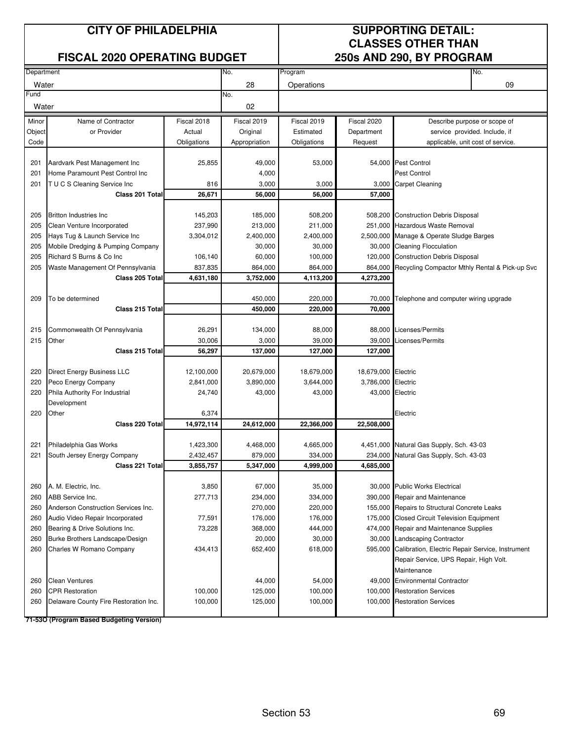#### **FISCAL 2020 OPERATING BUDGET**

# **CLASSES OTHER THAN**<br>250s AND 290. BY PROGRAM

| Department |                                       |             | No.           | Program     |                     | No.                                                      |
|------------|---------------------------------------|-------------|---------------|-------------|---------------------|----------------------------------------------------------|
| Water      |                                       |             | 28            | Operations  |                     | 09                                                       |
| Fund       |                                       |             | No.           |             |                     |                                                          |
| Water      |                                       |             | 02            |             |                     |                                                          |
| Minor      | Name of Contractor                    | Fiscal 2018 | Fiscal 2019   | Fiscal 2019 | Fiscal 2020         | Describe purpose or scope of                             |
| Object     | or Provider                           | Actual      | Original      | Estimated   | Department          | service provided. Include, if                            |
| Code       |                                       | Obligations | Appropriation | Obligations | Request             | applicable, unit cost of service.                        |
|            |                                       |             |               |             |                     |                                                          |
| 201        | Aardvark Pest Management Inc          | 25,855      | 49,000        | 53,000      |                     | 54,000 Pest Control                                      |
| 201        | Home Paramount Pest Control Inc       |             | 4,000         |             |                     | <b>Pest Control</b>                                      |
| 201        | T U C S Cleaning Service Inc          | 816         | 3,000         | 3,000       |                     | 3,000 Carpet Cleaning                                    |
|            | Class 201 Total                       | 26,671      | 56,000        | 56,000      | 57,000              |                                                          |
|            |                                       |             |               |             |                     |                                                          |
| 205        | <b>Britton Industries Inc.</b>        | 145,203     | 185,000       | 508,200     |                     | 508,200 Construction Debris Disposal                     |
| 205        | Clean Venture Incorporated            | 237,990     | 213,000       | 211,000     |                     | 251,000 Hazardous Waste Removal                          |
| 205        | Hays Tug & Launch Service Inc         | 3,304,012   | 2,400,000     | 2,400,000   |                     | 2,500,000 Manage & Operate Sludge Barges                 |
| 205        | Mobile Dredging & Pumping Company     |             | 30,000        | 30,000      |                     | 30,000 Cleaning Flocculation                             |
| 205        | Richard S Burns & Co Inc              | 106,140     | 60,000        | 100,000     |                     | 120,000 Construction Debris Disposal                     |
| 205        | Waste Management Of Pennsylvania      | 837,835     | 864,000       | 864,000     |                     | 864,000 Recycling Compactor Mthly Rental & Pick-up Svc   |
|            | Class 205 Total                       | 4,631,180   | 3,752,000     | 4,113,200   | 4,273,200           |                                                          |
|            |                                       |             |               |             |                     |                                                          |
| 209        | To be determined                      |             | 450,000       | 220,000     | 70,000              | Telephone and computer wiring upgrade                    |
|            | Class 215 Total                       |             | 450,000       | 220,000     | 70,000              |                                                          |
|            |                                       |             |               |             |                     |                                                          |
| 215        | Commonwealth Of Pennsylvania          | 26,291      | 134,000       | 88,000      |                     | 88,000 Licenses/Permits                                  |
| 215        | Other                                 | 30,006      | 3,000         | 39,000      | 39,000              | Licenses/Permits                                         |
|            | <b>Class 215 Totall</b>               | 56,297      | 137,000       | 127,000     | 127,000             |                                                          |
|            |                                       |             |               |             |                     |                                                          |
| 220        | Direct Energy Business LLC            | 12,100,000  | 20,679,000    | 18,679,000  | 18,679,000 Electric |                                                          |
| 220        | Peco Energy Company                   | 2,841,000   | 3,890,000     | 3,644,000   | 3,786,000 Electric  |                                                          |
| 220        | Phila Authority For Industrial        | 24,740      | 43,000        | 43,000      | 43,000 Electric     |                                                          |
|            | Development                           |             |               |             |                     |                                                          |
| 220        | Other                                 | 6,374       |               |             |                     | Electric                                                 |
|            | Class 220 Total                       | 14,972,114  | 24,612,000    | 22,366,000  | 22,508,000          |                                                          |
| 221        | Philadelphia Gas Works                | 1,423,300   | 4,468,000     | 4,665,000   |                     | 4,451,000 Natural Gas Supply, Sch. 43-03                 |
| 221        | South Jersey Energy Company           | 2,432,457   | 879,000       | 334,000     | 234,000             | Natural Gas Supply, Sch. 43-03                           |
|            | Class 221 Total                       | 3,855,757   | 5,347,000     | 4,999,000   | 4,685,000           |                                                          |
|            |                                       |             |               |             |                     |                                                          |
| 260        | A. M. Electric, Inc.                  | 3,850       | 67,000        | 35,000      |                     | 30,000 Public Works Electrical                           |
| 260        | ABB Service Inc.                      | 277,713     | 234,000       | 334,000     |                     | 390,000 Repair and Maintenance                           |
| 260        | Anderson Construction Services Inc.   |             | 270,000       | 220,000     |                     | 155,000 Repairs to Structural Concrete Leaks             |
| 260        | Audio Video Repair Incorporated       | 77,591      | 176,000       | 176,000     |                     | 175,000 Closed Circuit Television Equipment              |
| 260        | Bearing & Drive Solutions Inc.        | 73,228      | 368,000       | 444,000     |                     | 474,000 Repair and Maintenance Supplies                  |
| 260        | Burke Brothers Landscape/Design       |             | 20,000        | 30,000      |                     | 30,000 Landscaping Contractor                            |
| 260        | Charles W Romano Company              | 434,413     | 652,400       | 618,000     |                     | 595,000 Calibration, Electric Repair Service, Instrument |
|            |                                       |             |               |             |                     | Repair Service, UPS Repair, High Volt.                   |
|            |                                       |             |               |             |                     | Maintenance                                              |
| 260        | <b>Clean Ventures</b>                 |             | 44,000        | 54,000      |                     | 49,000 Environmental Contractor                          |
| 260        | <b>CPR Restoration</b>                | 100,000     | 125,000       | 100,000     |                     | 100,000 Restoration Services                             |
| 260        | Delaware County Fire Restoration Inc. | 100,000     | 125,000       | 100,000     |                     | 100,000 Restoration Services                             |
|            |                                       |             |               |             |                     |                                                          |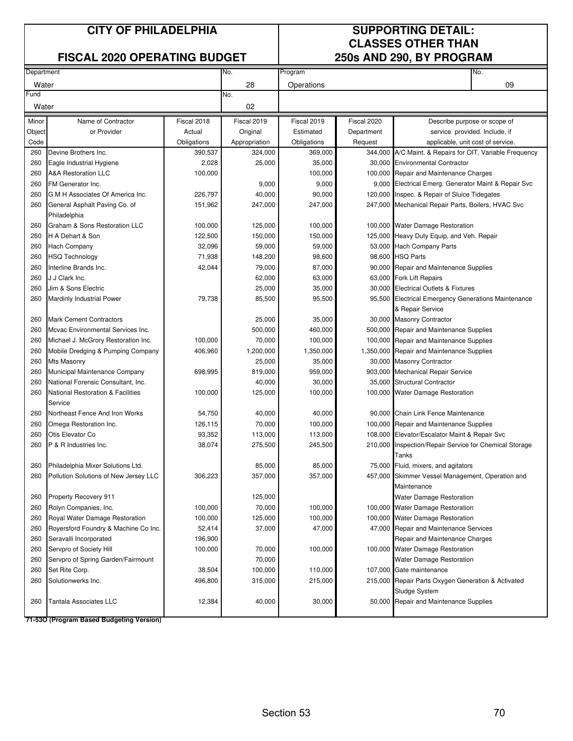#### **FISCAL 2020 OPERATING BUDGET**

# **CLASSES OTHER THAN**

| Department |                                                                            |             | No.           | Program     |             | No.                                                      |
|------------|----------------------------------------------------------------------------|-------------|---------------|-------------|-------------|----------------------------------------------------------|
| Water      |                                                                            |             | 28            | Operations  |             | 09                                                       |
| Fund       |                                                                            |             | No.           |             |             |                                                          |
| Water      |                                                                            |             | 02            |             |             |                                                          |
| Minor      | Name of Contractor                                                         | Fiscal 2018 | Fiscal 2019   | Fiscal 2019 | Fiscal 2020 | Describe purpose or scope of                             |
| Object     | or Provider                                                                | Actual      | Original      | Estimated   | Department  | service provided. Include, if                            |
| Code       |                                                                            | Obligations | Appropriation | Obligations | Request     | applicable, unit cost of service.                        |
| 260        | Devine Brothers Inc.                                                       | 390,537     | 324,000       | 369,000     |             | 344,000 A/C Maint. & Repairs for OIT, Variable Frequency |
| 260        | Eagle Industrial Hygiene                                                   | 2,028       | 25,000        | 35,000      |             | 30,000 Environmental Contractor                          |
| 260        | <b>A&amp;A Restoration LLC</b>                                             | 100,000     |               | 100,000     |             | 100,000 Repair and Maintenance Charges                   |
| 260        | FM Generator Inc.                                                          |             | 9,000         | 9,000       |             | 9,000 Electrical Emerg. Generator Maint & Repair Svc     |
| 260        | G M H Associates Of America Inc.                                           | 226,797     | 40,000        | 90,000      |             | 120,000 Inspec. & Repair of Sluice Tidegates             |
| 260        | General Asphalt Paving Co. of                                              | 151,962     | 247,000       | 247,000     |             | 247,000 Mechanical Repair Parts, Boilers, HVAC Svc       |
|            | Philadelphia                                                               |             |               |             |             |                                                          |
| 260        | Graham & Sons Restoration LLC                                              | 100,000     | 125,000       | 100,000     |             | 100,000 Water Damage Restoration                         |
| 260        | H A Dehart & Son                                                           | 122,500     | 150,000       | 150,000     |             | 125,000 Heavy Duty Equip. and Veh. Repair                |
| 260        | <b>Hach Company</b>                                                        | 32,096      | 59,000        | 59,000      |             | 53,000 Hach Company Parts                                |
| 260        | <b>HSQ Technology</b>                                                      | 71,938      | 148,200       | 98,600      |             | 98,600 HSQ Parts                                         |
| 260        | Interline Brands Inc.                                                      | 42,044      | 79,000        | 87,000      |             | 90,000 Repair and Maintenance Supplies                   |
| 260        | J J Clark Inc.                                                             |             | 62,000        | 63,000      |             | 63,000 Fork Lift Repairs                                 |
| 260        | Jim & Sons Electric                                                        |             | 25,000        | 35,000      |             | 30,000 Electrical Outlets & Fixtures                     |
| 260        | Mardinly Industrial Power                                                  | 79,738      | 85,500        | 95,500      |             | 95,500 Electrical Emergency Generations Maintenance      |
|            |                                                                            |             |               |             |             | & Repair Service                                         |
| 260        | <b>Mark Cement Contractors</b>                                             |             | 25,000        | 35,000      |             | 30,000 Masonry Contractor                                |
| 260        | Mcvac Environmental Services Inc.                                          |             | 500,000       | 460,000     |             | 500,000 Repair and Maintenance Supplies                  |
| 260        | Michael J. McGrory Restoration Inc.                                        | 100,000     | 70,000        | 100,000     |             | 100,000 Repair and Maintenance Supplies                  |
| 260        | Mobile Dredging & Pumping Company                                          | 406,960     | 1,200,000     | 1,350,000   |             | 1,350,000 Repair and Maintenance Supplies                |
| 260        | <b>Mts Masonry</b>                                                         |             | 25,000        | 35,000      |             | 30,000 Masonry Contractor                                |
| 260        | Municipal Maintenance Company                                              | 698,995     | 819,000       | 959,000     |             | 903,000 Mechanical Repair Service                        |
| 260        | National Forensic Consultant, Inc.                                         |             | 40,000        | 30,000      |             | 35,000 Structural Contractor                             |
| 260        | <b>National Restoration &amp; Facilities</b><br>Service                    | 100,000     | 125,000       | 100,000     |             | 100,000 Water Damage Restoration                         |
| 260        | Northeast Fence And Iron Works                                             | 54,750      | 40,000        | 40,000      |             | 90,000 Chain Link Fence Maintenance                      |
| 260        | Omega Restoration Inc.                                                     | 126,115     | 70,000        | 100,000     |             | 100,000 Repair and Maintenance Supplies                  |
| 260        | Otis Elevator Co                                                           | 93,352      | 113,000       | 113,000     |             | 108,000 Elevator/Escalator Maint & Repair Svc            |
| 260        | P & R Industries Inc.                                                      | 38,074      | 275,500       | 245,500     |             | 210,000 Inspection/Repair Service for Chemical Storage   |
|            |                                                                            |             |               |             |             | Tanks                                                    |
| 260        | Philadelphia Mixer Solutions Ltd.<br>Pollution Solutions of New Jersey LLC |             | 85,000        | 85,000      |             | 75,000 Fluid, mixers, and agitators                      |
| 260        |                                                                            | 306,223     | 357,000       | 357,000     |             | 457,000 Skimmer Vessel Management, Operation and         |
|            |                                                                            |             |               |             |             | Maintenance                                              |
| 260        | Property Recovery 911                                                      |             | 125,000       |             |             | <b>Water Damage Restoration</b>                          |
| 260        | Rolyn Companies, Inc.                                                      | 100,000     | 70,000        | 100,000     |             | 100,000 Water Damage Restoration                         |
| 260        | Royal Water Damage Restoration                                             | 100,000     | 125,000       | 100,000     |             | 100,000 Water Damage Restoration                         |
| 260        | Royersford Foundry & Machine Co Inc.                                       | 52,414      | 37,000        | 47,000      |             | 47,000 Repair and Maintenance Services                   |
| 260        | Seravalli Incorporated                                                     | 196,900     |               |             |             | Repair and Maintenance Charges                           |
| 260        | Servpro of Society Hill                                                    | 100,000     | 70,000        | 100,000     |             | 100,000 Water Damage Restoration                         |
| 260        | Servpro of Spring Garden/Fairmount                                         |             | 70,000        |             |             | Water Damage Restoration                                 |
| 260        | Set Rite Corp.                                                             | 38,504      | 100,000       | 110,000     |             | 107,000 Gate maintenance                                 |
|            |                                                                            |             |               |             |             | Sludge System                                            |
| 260        | Tantala Associates LLC                                                     | 12,384      | 40,000        | 30,000      |             | 50,000 Repair and Maintenance Supplies                   |
| 260        | Solutionwerks Inc.                                                         | 496,800     | 315,000       | 215,000     |             | 215,000 Repair Parts Oxygen Generation & Activated       |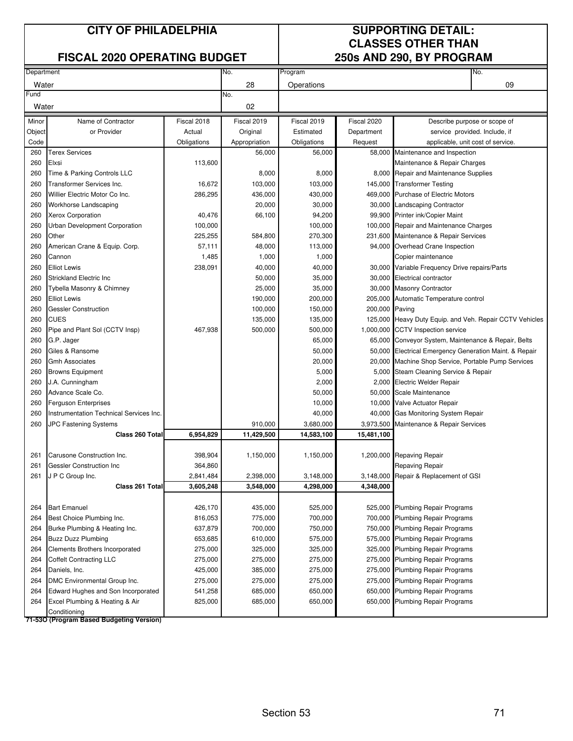#### **FISCAL 2020 OPERATING BUDGET 250s AND 290, BY PROGRAM**

# **CLASSES OTHER THAN**

| Department<br>No.<br>Program                                                                                                                              | No.                                                    |
|-----------------------------------------------------------------------------------------------------------------------------------------------------------|--------------------------------------------------------|
| 28<br>Water<br>Operations                                                                                                                                 | 09                                                     |
| Fund<br>No.                                                                                                                                               |                                                        |
| Water<br>02                                                                                                                                               |                                                        |
| Fiscal 2020<br>Name of Contractor<br>Fiscal 2018<br>Fiscal 2019<br>Fiscal 2019<br>Minor                                                                   | Describe purpose or scope of                           |
| or Provider<br>Actual<br>Original<br>Estimated<br>Department<br>Object                                                                                    | service provided. Include, if                          |
| Code<br>Obligations<br>Obligations<br>Appropriation<br>Request                                                                                            | applicable, unit cost of service.                      |
| 260<br><b>Terex Services</b><br>56,000<br>56,000<br>58,000 Maintenance and Inspection                                                                     |                                                        |
| 113,600<br>260<br>Elxsi                                                                                                                                   | Maintenance & Repair Charges                           |
| 8,000<br>8,000<br>260<br>Time & Parking Controls LLC                                                                                                      | 8,000 Repair and Maintenance Supplies                  |
| 103,000<br>260<br><b>Transformer Services Inc.</b><br>16,672<br>103,000<br>145,000 Transformer Testing                                                    |                                                        |
| Willier Electric Motor Co Inc.<br>286,295<br>260<br>436,000<br>430,000<br>469,000 Purchase of Electric Motors                                             |                                                        |
| 20,000<br>260<br>Workhorse Landscaping<br>30,000<br>30,000 Landscaping Contractor                                                                         |                                                        |
| <b>Xerox Corporation</b><br>66,100<br>94,200<br>99,900 Printer ink/Copier Maint<br>260<br>40,476                                                          |                                                        |
| 260<br>Urban Development Corporation<br>100,000<br>100,000<br>100,000 Repair and Maintenance Charges                                                      |                                                        |
| 260<br>Other<br>225,255<br>584,800<br>270,300<br>231,600 Maintenance & Repair Services                                                                    |                                                        |
| American Crane & Equip. Corp.<br>57,111<br>48,000<br>113,000<br>260<br>94,000 Overhead Crane Inspection                                                   |                                                        |
| 1,485<br>260<br>Cannon<br>1,000<br>1,000<br>Copier maintenance                                                                                            |                                                        |
| <b>Elliot Lewis</b><br>238,091<br>40,000<br>40,000<br>260                                                                                                 | 30,000 Variable Frequency Drive repairs/Parts          |
| <b>Strickland Electric Inc</b><br>50,000<br>35,000<br>260<br>30,000 Electrical contractor                                                                 |                                                        |
| 260<br>25,000<br>35,000<br>Tybella Masonry & Chimney<br>30,000 Masonry Contractor                                                                         |                                                        |
| <b>Elliot Lewis</b><br>190,000<br>260<br>200,000<br>205,000 Automatic Temperature control                                                                 |                                                        |
| <b>Gessler Construction</b><br>100,000<br>150,000<br>200,000<br>260<br>Paving                                                                             |                                                        |
| <b>CUES</b><br>135,000<br>135,000<br>260<br>125,000                                                                                                       | Heavy Duty Equip. and Veh. Repair CCTV Vehicles        |
| 467,938<br>500,000<br>260<br>Pipe and Plant Sol (CCTV Insp)<br>500,000<br>1,000,000 CCTV Inspection service                                               |                                                        |
| G.P. Jager<br>65,000<br>260                                                                                                                               | 65,000 Conveyor System, Maintenance & Repair, Belts    |
| 50,000<br>260<br>Giles & Ransome                                                                                                                          | 50,000 Electrical Emergency Generation Maint. & Repair |
| 20,000<br>260<br><b>Gmh Associates</b>                                                                                                                    | 20,000 Machine Shop Service, Portable Pump Services    |
| 260<br><b>Browns Equipment</b><br>5,000                                                                                                                   | 5,000 Steam Cleaning Service & Repair                  |
| 2,000<br>260<br>J.A. Cunningham<br>2,000 Electric Welder Repair                                                                                           |                                                        |
| Advance Scale Co.<br>50,000<br>50,000 Scale Maintenance<br>260                                                                                            |                                                        |
| 10,000<br>260<br>Ferguson Enterprises<br>10,000 Valve Actuator Repair                                                                                     |                                                        |
| Instrumentation Technical Services Inc.<br>260<br>40,000<br>40,000                                                                                        | <b>Gas Monitoring System Repair</b>                    |
| 910,000<br>3,680,000<br>260<br><b>JPC Fastening Systems</b><br>3,973,500                                                                                  | Maintenance & Repair Services                          |
| 6,954,829<br>11,429,500<br>14,583,100<br>15,481,100<br>Class 260 Total                                                                                    |                                                        |
|                                                                                                                                                           |                                                        |
| Carusone Construction Inc.<br>398,904<br>261<br>1,150,000<br>1,150,000<br>1,200,000 Repaving Repair                                                       |                                                        |
| 261<br><b>Gessler Construction Inc</b><br>364,860<br>Repaving Repair                                                                                      |                                                        |
| J P C Group Inc.<br>261<br>2,841,484<br>2,398,000<br>3,148,000<br>3,148,000 Repair & Replacement of GSI                                                   |                                                        |
| Class 261 Total<br>3,605,248<br>3,548,000<br>4,298,000<br>4,348,000                                                                                       |                                                        |
| <b>Bart Emanuel</b><br>435,000<br>525,000<br>264<br>426,170<br>525,000 Plumbing Repair Programs                                                           |                                                        |
| Best Choice Plumbing Inc.<br>816,053<br>775,000<br>700,000<br>264<br>700,000 Plumbing Repair Programs                                                     |                                                        |
| 637,879<br>700,000<br>750,000<br>750,000 Plumbing Repair Programs<br>264<br>Burke Plumbing & Heating Inc.                                                 |                                                        |
| 575,000<br>264<br><b>Buzz Duzz Plumbing</b><br>653,685<br>610,000<br>575,000 Plumbing Repair Programs                                                     |                                                        |
| Clements Brothers Incorporated<br>275,000<br>325,000<br>325,000<br>264<br>325,000                                                                         | <b>Plumbing Repair Programs</b>                        |
|                                                                                                                                                           |                                                        |
| 264<br><b>Coffelt Contracting LLC</b><br>275,000<br>275,000<br>275,000<br>275,000 Plumbing Repair Programs                                                |                                                        |
| Daniels, Inc.<br>425,000<br>275,000<br>275,000 Plumbing Repair Programs<br>264<br>385,000                                                                 |                                                        |
| DMC Environmental Group Inc.<br>275,000<br>275,000<br>275,000 Plumbing Repair Programs<br>264<br>275,000<br>Edward Hughes and Son Incorporated<br>650,000 |                                                        |
| 541,258<br>685,000<br>650,000<br>264<br>825,000<br>685,000<br>650,000<br>264                                                                              | <b>Plumbing Repair Programs</b>                        |
| Excel Plumbing & Heating & Air<br>650,000                                                                                                                 | Plumbing Repair Programs                               |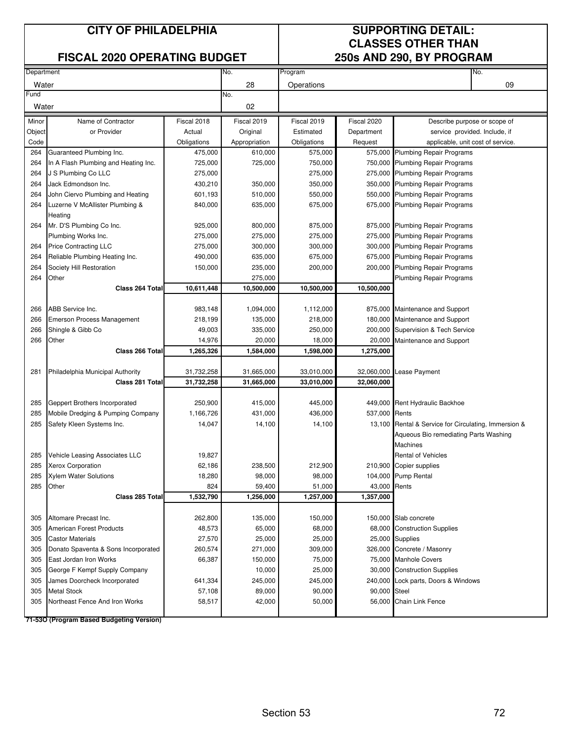#### **FISCAL 2020 OPERATING BUDGET 250s AND 290, BY PROGRAM**

# **CLASSES OTHER THAN**

| Department |                                      |             | No.           | Program     |               | No.                                                  |
|------------|--------------------------------------|-------------|---------------|-------------|---------------|------------------------------------------------------|
| Water      |                                      |             | 28            | Operations  |               | 09                                                   |
| Fund       |                                      |             | No.           |             |               |                                                      |
| Water      |                                      | 02          |               |             |               |                                                      |
| Minor      | Name of Contractor                   | Fiscal 2018 | Fiscal 2019   | Fiscal 2019 | Fiscal 2020   | Describe purpose or scope of                         |
| Object     | or Provider                          | Actual      | Original      | Estimated   | Department    | service provided. Include, if                        |
| Code       |                                      | Obligations | Appropriation | Obligations | Request       | applicable, unit cost of service.                    |
| 264        | Guaranteed Plumbing Inc.             | 475,000     | 610,000       | 575,000     |               | 575,000 Plumbing Repair Programs                     |
| 264        | In A Flash Plumbing and Heating Inc. | 725,000     | 725,000       | 750,000     |               | 750,000 Plumbing Repair Programs                     |
| 264        | J S Plumbing Co LLC                  | 275,000     |               | 275,000     |               | 275,000 Plumbing Repair Programs                     |
| 264        | Jack Edmondson Inc.                  | 430,210     | 350,000       | 350,000     |               | 350,000 Plumbing Repair Programs                     |
| 264        | John Ciervo Plumbing and Heating     | 601,193     | 510,000       | 550,000     |               | 550,000 Plumbing Repair Programs                     |
| 264        | Luzerne V McAllister Plumbing &      | 840,000     | 635,000       | 675,000     |               | 675,000 Plumbing Repair Programs                     |
|            | Heating                              |             |               |             |               |                                                      |
| 264        | Mr. D'S Plumbing Co Inc.             | 925,000     | 800,000       | 875,000     |               | 875,000 Plumbing Repair Programs                     |
|            | Plumbing Works Inc.                  | 275,000     | 275,000       | 275,000     |               | 275,000 Plumbing Repair Programs                     |
| 264        | <b>Price Contracting LLC</b>         | 275,000     | 300,000       | 300,000     |               | 300,000 Plumbing Repair Programs                     |
| 264        | Reliable Plumbing Heating Inc.       | 490,000     | 635,000       | 675,000     |               | 675,000 Plumbing Repair Programs                     |
| 264        | Society Hill Restoration             | 150,000     | 235,000       | 200,000     |               | 200,000 Plumbing Repair Programs                     |
| 264        | Other                                |             | 275,000       |             |               | <b>Plumbing Repair Programs</b>                      |
|            | Class 264 Total                      | 10,611,448  | 10,500,000    | 10,500,000  | 10,500,000    |                                                      |
|            |                                      |             |               |             |               |                                                      |
| 266        | <b>ABB Service Inc.</b>              | 983,148     | 1,094,000     | 1,112,000   |               | 875,000 Maintenance and Support                      |
| 266        | Emerson Process Management           | 218,199     | 135,000       | 218,000     |               | 180,000 Maintenance and Support                      |
| 266        | Shingle & Gibb Co                    | 49,003      | 335,000       | 250,000     |               | 200,000 Supervision & Tech Service                   |
| 266        | Other                                | 14,976      | 20,000        | 18,000      | 20,000        | Maintenance and Support                              |
|            | Class 266 Total                      | 1,265,326   | 1,584,000     | 1,598,000   | 1,275,000     |                                                      |
|            |                                      |             |               |             |               |                                                      |
| 281        | Philadelphia Municipal Authority     | 31,732,258  | 31,665,000    | 33,010,000  | 32,060,000    | <b>Lease Payment</b>                                 |
|            | Class 281 Total                      | 31,732,258  | 31,665,000    | 33,010,000  | 32,060,000    |                                                      |
|            |                                      |             |               |             |               |                                                      |
| 285        | Geppert Brothers Incorporated        | 250,900     | 415,000       | 445,000     |               | 449,000 Rent Hydraulic Backhoe                       |
| 285        | Mobile Dredging & Pumping Company    | 1,166,726   | 431,000       | 436,000     | 537,000 Rents |                                                      |
| 285        | Safety Kleen Systems Inc.            | 14,047      | 14,100        | 14,100      |               | 13,100 Rental & Service for Circulating, Immersion & |
|            |                                      |             |               |             |               | Aqueous Bio remediating Parts Washing                |
|            |                                      |             |               |             |               | <b>Machines</b>                                      |
| 285        | Vehicle Leasing Associates LLC       | 19,827      |               |             |               | <b>Rental of Vehicles</b>                            |
| 285        | <b>Xerox Corporation</b>             | 62,186      | 238,500       | 212,900     |               | 210,900 Copier supplies                              |
| 285        | <b>Xylem Water Solutions</b>         | 18,280      | 98,000        | 98,000      |               | 104,000 Pump Rental                                  |
| 285        | Other                                | 824         | 59,400        | 51,000      | 43,000 Rents  |                                                      |
|            | Class 285 Total                      | 1,532,790   | 1,256,000     | 1,257,000   | 1,357,000     |                                                      |
|            |                                      |             |               |             |               |                                                      |
| 305        | Altomare Precast Inc.                | 262,800     | 135,000       | 150,000     |               | 150,000 Slab concrete                                |
| 305        | American Forest Products             | 48,573      | 65,000        | 68,000      |               | 68,000 Construction Supplies                         |
| 305        | <b>Castor Materials</b>              | 27,570      | 25,000        | 25,000      |               | 25,000 Supplies                                      |
| 305        | Donato Spaventa & Sons Incorporated  | 260,574     | 271,000       | 309,000     |               | 326,000 Concrete / Masonry                           |
| 305        | East Jordan Iron Works               | 66,387      | 150,000       | 75,000      |               | 75,000 Manhole Covers                                |
| 305        | George F Kempf Supply Company        |             | 10,000        | 25,000      |               | 30,000 Construction Supplies                         |
| 305        | James Doorcheck Incorporated         | 641,334     | 245,000       | 245,000     |               | 240,000 Lock parts, Doors & Windows                  |
| 305        | <b>Metal Stock</b>                   | 57,108      | 89,000        | 90,000      | 90,000 Steel  |                                                      |
| 305        | Northeast Fence And Iron Works       | 58,517      | 42,000        | 50,000      |               | 56,000 Chain Link Fence                              |
|            |                                      |             |               |             |               |                                                      |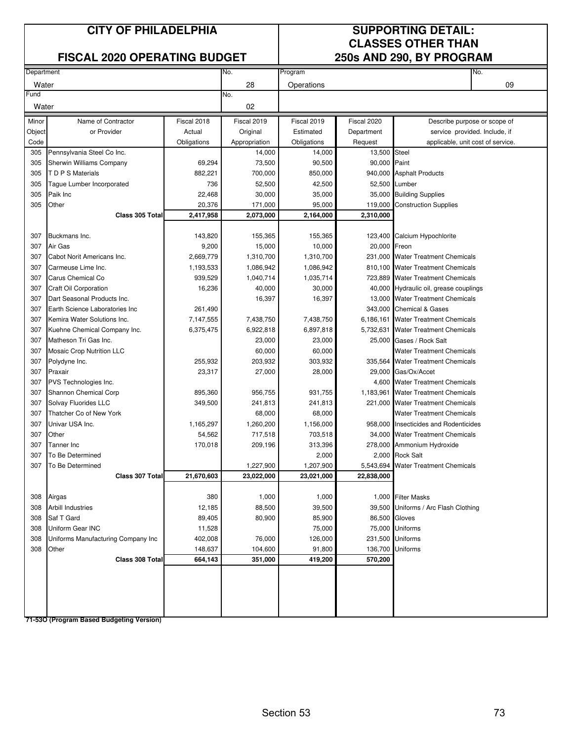### **FISCAL 2020 OPERATING BUDGET**

# **CLASSES OTHER THAN<br>250s AND 290, BY PROGRAM**

| Department |                                    |             | No.           | Program     | No.           |                                        |
|------------|------------------------------------|-------------|---------------|-------------|---------------|----------------------------------------|
| Water      |                                    |             | 28            | Operations  |               | 09                                     |
| Fund       |                                    |             | No.           |             |               |                                        |
| Water      |                                    |             | 02            |             |               |                                        |
| Minor      | Name of Contractor                 | Fiscal 2018 | Fiscal 2019   | Fiscal 2019 | Fiscal 2020   | Describe purpose or scope of           |
| Object     | or Provider                        | Actual      | Original      | Estimated   | Department    | service provided. Include, if          |
| Code       |                                    | Obligations | Appropriation | Obligations | Request       | applicable, unit cost of service.      |
| 305        | Pennsylvania Steel Co Inc.         |             | 14,000        | 14,000      | 13,500 Steel  |                                        |
| 305        | Sherwin Williams Company           | 69,294      | 73,500        | 90,500      | 90,000 Paint  |                                        |
| 305        | T D P S Materials                  | 882,221     | 700,000       | 850,000     |               | 940,000 Asphalt Products               |
| 305        | Tague Lumber Incorporated          | 736         | 52,500        | 42,500      |               | 52,500 Lumber                          |
| 305        | Paik Inc                           | 22,468      | 30,000        | 35,000      |               | 35,000 Building Supplies               |
| 305        | Other                              | 20,376      | 171,000       | 95,000      | 119,000       | <b>Construction Supplies</b>           |
|            | Class 305 Total                    | 2,417,958   | 2,073,000     | 2,164,000   | 2,310,000     |                                        |
|            |                                    |             |               |             |               |                                        |
| 307        | Buckmans Inc.                      | 143,820     | 155,365       | 155,365     |               | 123,400 Calcium Hypochlorite           |
| 307        | Air Gas                            | 9,200       | 15,000        | 10,000      | 20,000 Freon  |                                        |
| 307        | Cabot Norit Americans Inc.         | 2,669,779   | 1,310,700     | 1,310,700   |               | 231,000 Water Treatment Chemicals      |
| 307        | Carmeuse Lime Inc.                 | 1,193,533   | 1,086,942     | 1,086,942   |               | 810,100 Water Treatment Chemicals      |
| 307        | Carus Chemical Co                  | 939,529     | 1,040,714     | 1,035,714   |               | 723,889 Water Treatment Chemicals      |
| 307        | <b>Craft Oil Corporation</b>       | 16,236      | 40,000        | 30,000      |               | 40,000 Hydraulic oil, grease couplings |
| 307        | Dart Seasonal Products Inc.        |             | 16,397        | 16,397      |               | 13,000 Water Treatment Chemicals       |
| 307        | Earth Science Laboratories Inc.    | 261,490     |               |             |               | 343,000 Chemical & Gases               |
| 307        | Kemira Water Solutions Inc.        | 7,147,555   | 7,438,750     | 7,438,750   | 6,186,161     | <b>Water Treatment Chemicals</b>       |
| 307        | Kuehne Chemical Company Inc.       | 6,375,475   | 6,922,818     | 6,897,818   | 5,732,631     | <b>Water Treatment Chemicals</b>       |
| 307        | Matheson Tri Gas Inc.              |             | 23,000        | 23,000      |               | 25,000 Gases / Rock Salt               |
| 307        | <b>Mosaic Crop Nutrition LLC</b>   |             | 60,000        | 60,000      |               | <b>Water Treatment Chemicals</b>       |
| 307        | Polydyne Inc.                      | 255,932     | 203,932       | 303,932     |               | 335,564 Water Treatment Chemicals      |
| 307        | Praxair                            | 23,317      | 27,000        | 28,000      |               | 29,000 Gas/Ox/Accet                    |
| 307        | PVS Technologies Inc.              |             |               |             |               | 4,600 Water Treatment Chemicals        |
| 307        | Shannon Chemical Corp              | 895,360     | 956,755       | 931,755     | 1,183,961     | <b>Water Treatment Chemicals</b>       |
| 307        | Solvay Fluorides LLC               | 349,500     | 241,813       | 241,813     |               | 221,000 Water Treatment Chemicals      |
| 307        | Thatcher Co of New York            |             | 68,000        | 68,000      |               | <b>Water Treatment Chemicals</b>       |
| 307        | Univar USA Inc.                    | 1,165,297   | 1,260,200     | 1,156,000   |               | 958,000 Insecticides and Rodenticides  |
| 307        | Other                              | 54,562      | 717,518       | 703,518     |               | 34,000 Water Treatment Chemicals       |
| 307        | Tanner Inc                         | 170,018     | 209,196       | 313,396     |               | 278,000 Ammonium Hydroxide             |
| 307        | To Be Determined                   |             |               | 2,000       |               | 2,000 Rock Salt                        |
| 307        | To Be Determined                   |             | 1,227,900     | 1,207,900   | 5,543,694     | <b>Water Treatment Chemicals</b>       |
|            | Class 307 Total                    | 21,670,603  | 23,022,000    | 23,021,000  | 22,838,000    |                                        |
|            |                                    |             |               |             |               |                                        |
| 308        | Airgas                             | 380         | 1,000         | 1,000       |               | 1,000 Filter Masks                     |
| 308        | <b>Arbill Industries</b>           | 12,185      | 88,500        | 39,500      |               | 39,500 Uniforms / Arc Flash Clothing   |
| 308        | Saf T Gard                         | 89,405      | 80,900        | 85,900      | 86,500 Gloves |                                        |
| 308        | Uniform Gear INC                   | 11,528      |               | 75,000      |               | 75,000 Uniforms                        |
| 308        | Uniforms Manufacturing Company Inc | 402,008     | 76,000        | 126,000     |               | 231,500 Uniforms                       |
| 308        | Other                              | 148,637     | 104,600       | 91,800      | 136,700       | <b>Uniforms</b>                        |
|            | Class 308 Total                    | 664,143     | 351,000       | 419,200     | 570,200       |                                        |
|            |                                    |             |               |             |               |                                        |
|            |                                    |             |               |             |               |                                        |
|            |                                    |             |               |             |               |                                        |
|            |                                    |             |               |             |               |                                        |
|            |                                    |             |               |             |               |                                        |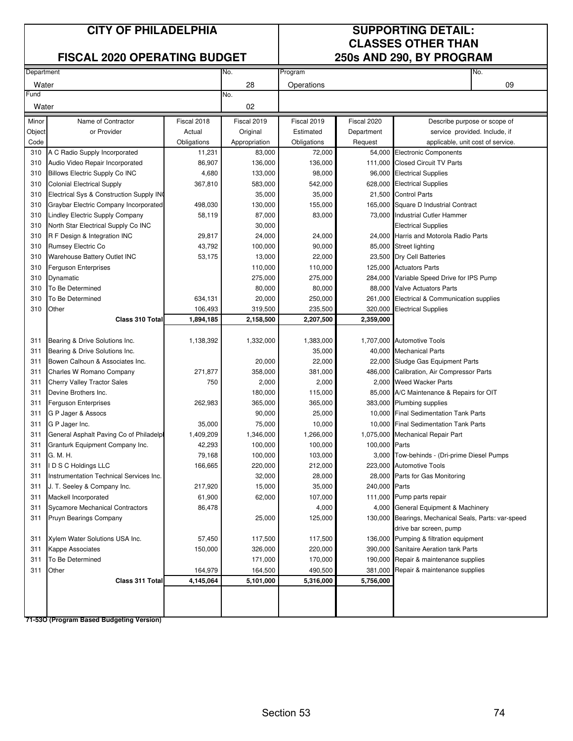### **FISCAL 2020 OPERATING BUDGET 250s AND 290, BY PROGRAM**

# **CLASSES OTHER THAN**

| Department |                                          |             | No.           | Program     |               | No.                                                  |
|------------|------------------------------------------|-------------|---------------|-------------|---------------|------------------------------------------------------|
| Water      |                                          |             | 28            | Operations  |               | 09                                                   |
| Fund       |                                          |             | No.           |             |               |                                                      |
| Water      |                                          |             | 02            |             |               |                                                      |
| Minor      | Name of Contractor                       | Fiscal 2018 | Fiscal 2019   | Fiscal 2019 | Fiscal 2020   | Describe purpose or scope of                         |
| Object     | or Provider                              | Actual      | Original      | Estimated   | Department    | service provided. Include, if                        |
| Code       |                                          | Obligations | Appropriation | Obligations | Request       | applicable, unit cost of service.                    |
| 310        | A C Radio Supply Incorporated            | 11,231      | 83,000        | 72,000      |               | 54,000 Electronic Components                         |
| 310        | Audio Video Repair Incorporated          | 86,907      | 136,000       | 136,000     |               | 111,000 Closed Circuit TV Parts                      |
| 310        | <b>Billows Electric Supply Co INC</b>    | 4,680       | 133,000       | 98,000      | 96,000        | <b>Electrical Supplies</b>                           |
| 310        | <b>Colonial Electrical Supply</b>        | 367,810     | 583,000       | 542,000     |               | 628,000 Electrical Supplies                          |
| 310        | Electrical Sys & Construction Supply ING |             | 35,000        | 35,000      |               | 21,500 Control Parts                                 |
| 310        | Graybar Electric Company Incorporated    | 498,030     | 130,000       | 155,000     |               | 165,000 Square D Industrial Contract                 |
| 310        | Lindley Electric Supply Company          | 58,119      | 87,000        | 83,000      |               | 73,000 Industrial Cutler Hammer                      |
| 310        | North Star Electrical Supply Co INC      |             | 30,000        |             |               | <b>Electrical Supplies</b>                           |
| 310        | R F Design & Integration INC             | 29,817      | 24,000        | 24,000      |               | 24,000 Harris and Motorola Radio Parts               |
| 310        | Rumsey Electric Co                       | 43,792      | 100,000       | 90,000      |               | 85,000 Street lighting                               |
| 310        | Warehouse Battery Outlet INC             | 53,175      | 13,000        | 22,000      |               | 23,500 Dry Cell Batteries                            |
| 310        | <b>Ferguson Enterprises</b>              |             | 110,000       | 110,000     |               | 125,000 Actuators Parts                              |
| 310        | Dynamatic                                |             | 275,000       | 275,000     |               | 284,000 Variable Speed Drive for IPS Pump            |
| 310        | To Be Determined                         |             | 80,000        | 80,000      |               | 88,000 Valve Actuators Parts                         |
| 310        | To Be Determined                         | 634,131     | 20,000        | 250,000     |               | 261,000 Electrical & Communication supplies          |
| 310        | Other                                    | 106,493     | 319,500       | 235,500     | 320,000       | <b>Electrical Supplies</b>                           |
|            | Class 310 Total                          | 1,894,185   | 2,158,500     | 2,207,500   | 2,359,000     |                                                      |
|            |                                          |             |               |             |               |                                                      |
| 311        | Bearing & Drive Solutions Inc.           | 1,138,392   | 1,332,000     | 1,383,000   |               | 1,707,000 Automotive Tools                           |
| 311        | Bearing & Drive Solutions Inc.           |             |               | 35,000      |               | 40,000 Mechanical Parts                              |
| 311        | Bowen Calhoun & Associates Inc.          |             | 20,000        | 22,000      |               | 22,000 Sludge Gas Equipment Parts                    |
| 311        | Charles W Romano Company                 | 271,877     | 358,000       | 381,000     |               | 486,000 Calibration, Air Compressor Parts            |
| 311        | <b>Cherry Valley Tractor Sales</b>       | 750         | 2,000         | 2,000       |               | 2,000 Weed Wacker Parts                              |
| 311        | Devine Brothers Inc.                     |             | 180,000       | 115,000     |               | 85,000 A/C Maintenance & Repairs for OIT             |
| 311        | <b>Ferguson Enterprises</b>              | 262,983     | 365,000       | 365,000     |               | 383,000 Plumbing supplies                            |
| 311        | G P Jager & Assocs                       |             | 90,000        | 25,000      |               | 10,000 Final Sedimentation Tank Parts                |
| 311        | G P Jager Inc.                           | 35,000      | 75,000        | 10,000      |               | 10,000 Final Sedimentation Tank Parts                |
| 311        | General Asphalt Paving Co of Philadelpl  | 1,409,209   | 1,346,000     | 1,266,000   |               | 1,075,000 Mechanical Repair Part                     |
| 311        | Granturk Equipment Company Inc.          | 42,293      | 100,000       | 100,000     | 100,000 Parts |                                                      |
| 311        | G. M. H.                                 | 79,168      | 100,000       | 103,000     |               | 3,000 Tow-behinds - (Dri-prime Diesel Pumps          |
| 311        | IDSC Holdings LLC                        | 166,665     | 220,000       | 212,000     |               | 223,000 Automotive Tools                             |
| 311        | Instrumentation Technical Services Inc.  |             | 32,000        | 28,000      |               | 28,000 Parts for Gas Monitoring                      |
| 311        | J. T. Seeley & Company Inc.              | 217,920     | 15,000        | 35,000      | 240,000 Parts |                                                      |
| 311        | Mackell Incorporated                     | 61,900      | 62,000        | 107,000     |               | 111,000 Pump parts repair                            |
| 311        | <b>Sycamore Mechanical Contractors</b>   | 86,478      |               | 4,000       |               | 4,000 General Equipment & Machinery                  |
| 311        | Pruyn Bearings Company                   |             | 25,000        | 125,000     |               | 130,000 Bearings, Mechanical Seals, Parts: var-speed |
|            |                                          |             |               |             |               | drive bar screen, pump                               |
| 311        | Xylem Water Solutions USA Inc.           | 57,450      | 117,500       | 117,500     |               | 136,000 Pumping & filtration equipment               |
| 311        | Kappe Associates                         | 150,000     | 326,000       | 220,000     |               | 390,000 Sanitaire Aeration tank Parts                |
| 311        | To Be Determined                         |             | 171,000       | 170,000     |               | 190,000 Repair & maintenance supplies                |
| 311        | Other                                    | 164,979     | 164,500       | 490,500     |               | 381,000 Repair & maintenance supplies                |
|            | Class 311 Total                          | 4,145,064   | 5,101,000     | 5,316,000   | 5,756,000     |                                                      |
|            |                                          |             |               |             |               |                                                      |
|            |                                          |             |               |             |               |                                                      |
|            |                                          |             |               |             |               |                                                      |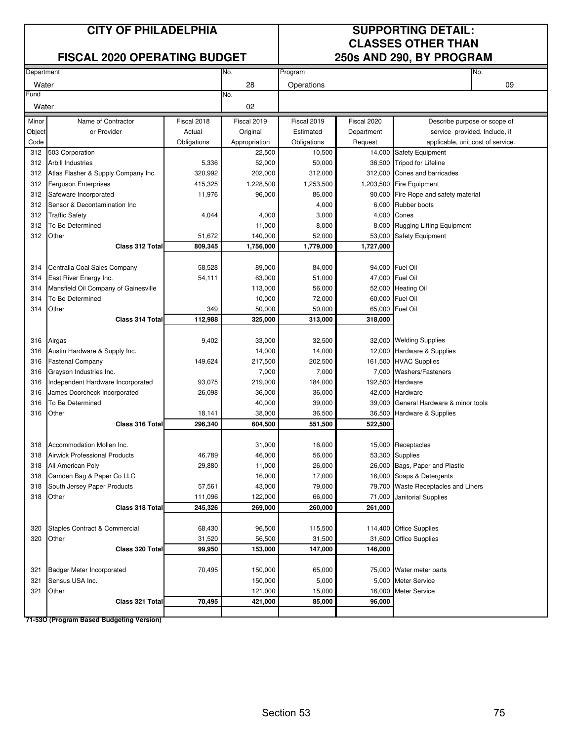### **FISCAL 2020 OPERATING BUDGET**

# **CLASSES OTHER THAN<br>250s AND 290, BY PROGRAM**

| Department |                                      |             | No.           | Program     |             | No.                                  |  |  |
|------------|--------------------------------------|-------------|---------------|-------------|-------------|--------------------------------------|--|--|
| Water      |                                      |             | 28            | Operations  |             | 09                                   |  |  |
| Fund       |                                      |             | No.           |             |             |                                      |  |  |
| Water      |                                      |             | 02            |             |             |                                      |  |  |
| Minor      | Name of Contractor                   | Fiscal 2018 | Fiscal 2019   | Fiscal 2019 | Fiscal 2020 | Describe purpose or scope of         |  |  |
| Object     | or Provider                          | Actual      | Original      | Estimated   | Department  | service provided. Include, if        |  |  |
| Code       |                                      | Obligations | Appropriation | Obligations | Request     | applicable, unit cost of service.    |  |  |
| 312        | 503 Corporation                      |             | 22,500        | 10,500      |             | 14,000 Safety Equipment              |  |  |
| 312        | <b>Arbill Industries</b>             | 5,336       | 52,000        | 50,000      | 36,500      | <b>Tripod for Lifeline</b>           |  |  |
| 312        | Atlas Flasher & Supply Company Inc.  | 320,992     | 202,000       | 312,000     | 312,000     | Cones and barricades                 |  |  |
| 312        | <b>Ferguson Enterprises</b>          | 415,325     | 1,228,500     | 1,253,500   |             | 1,203,500 Fire Equipment             |  |  |
| 312        | Safeware Incorporated                | 11,976      | 96,000        | 86,000      |             | 90,000 Fire Rope and safety material |  |  |
| 312        | Sensor & Decontamination Inc         |             |               | 4,000       |             | 6,000 Rubber boots                   |  |  |
| 312        | <b>Traffic Safety</b>                | 4,044       | 4,000         | 3,000       |             | 4,000 Cones                          |  |  |
| 312        | To Be Determined                     |             | 11,000        | 8,000       |             | 8,000 Rugging Lifting Equipment      |  |  |
| 312        | Other                                | 51,672      | 140,000       | 52,000      | 53,000      | <b>Safety Equipment</b>              |  |  |
|            | Class 312 Total                      | 809,345     | 1,756,000     | 1,779,000   | 1,727,000   |                                      |  |  |
|            |                                      |             |               |             |             |                                      |  |  |
| 314        | Centralia Coal Sales Company         | 58,528      | 89,000        | 84,000      |             | 94,000 Fuel Oil                      |  |  |
| 314        | East River Energy Inc.               | 54,111      | 63,000        | 51,000      |             | 47,000 Fuel Oil                      |  |  |
| 314        | Mansfield Oil Company of Gainesville |             | 113,000       | 56,000      |             | 52,000 Heating Oil                   |  |  |
| 314        | To Be Determined                     |             | 10,000        | 72,000      |             | 60,000 Fuel Oil                      |  |  |
| 314        | Other                                | 349         | 50,000        | 50,000      | 65,000      | <b>Fuel Oil</b>                      |  |  |
|            | Class 314 Total                      | 112,988     | 325,000       | 313,000     | 318,000     |                                      |  |  |
|            |                                      |             |               |             |             |                                      |  |  |
| 316        | Airgas                               | 9,402       | 33,000        | 32,500      |             | 32,000 Welding Supplies              |  |  |
| 316        | Austin Hardware & Supply Inc.        |             | 14,000        | 14,000      |             | 12,000 Hardware & Supplies           |  |  |
| 316        | <b>Fastenal Company</b>              | 149,624     | 217,500       | 202,500     |             | 161,500 HVAC Supplies                |  |  |
| 316        | Grayson Industries Inc.              |             | 7,000         | 7,000       |             | 7,000 Washers/Fasteners              |  |  |
| 316        | Independent Hardware Incorporated    | 93,075      | 219,000       | 184,000     |             | 192,500 Hardware                     |  |  |
| 316        | James Doorcheck Incorporated         | 26,098      | 36,000        | 36,000      | 42,000      | Hardware                             |  |  |
| 316        | To Be Determined                     |             | 40,000        | 39,000      | 39,000      | General Hardware & minor tools       |  |  |
| 316        | Other                                | 18,141      | 38,000        | 36,500      | 36,500      | Hardware & Supplies                  |  |  |
|            | <b>Class 316 Total</b>               | 296,340     | 604,500       | 551,500     | 522,500     |                                      |  |  |
|            |                                      |             |               |             |             |                                      |  |  |
| 318        | Accommodation Mollen Inc.            |             | 31,000        | 16,000      |             | 15,000 Receptacles                   |  |  |
| 318        | <b>Airwick Professional Products</b> | 46,789      | 46,000        | 56,000      |             | 53,300 Supplies                      |  |  |
| 318        | All American Poly                    | 29,880      | 11,000        | 26,000      |             | 26,000 Bags, Paper and Plastic       |  |  |
| 318        | Camden Bag & Paper Co LLC            |             | 16,000        | 17,000      |             | 16,000 Soaps & Detergents            |  |  |
| 318        | South Jersey Paper Products          | 57,561      | 43,000        | 79,000      |             | 79,700 Waste Receptacles and Liners  |  |  |
| 318        | Other                                | 111,096     | 122,000       | 66,000      |             | 71,000 Janitorial Supplies           |  |  |
|            | Class 318 Total                      | 245,326     | 269,000       | 260,000     | 261,000     |                                      |  |  |
|            |                                      |             |               |             |             |                                      |  |  |
| 320        | Staples Contract & Commercial        | 68,430      | 96,500        | 115,500     |             | 114,400 Office Supplies              |  |  |
| 320        | Other                                | 31,520      | 56,500        | 31,500      | 31,600      | <b>Office Supplies</b>               |  |  |
|            | Class 320 Total                      | 99,950      | 153,000       | 147,000     | 146,000     |                                      |  |  |
|            |                                      |             |               |             |             |                                      |  |  |
| 321        | <b>Badger Meter Incorporated</b>     | 70,495      | 150,000       | 65,000      |             | 75,000 Water meter parts             |  |  |
| 321        | Sensus USA Inc.                      |             | 150,000       | 5,000       |             | 5,000 Meter Service                  |  |  |
| 321        | Other                                |             | 121,000       | 15,000      |             | 16,000 Meter Service                 |  |  |
|            | Class 321 Total                      | 70,495      | 421,000       | 85,000      | 96,000      |                                      |  |  |
|            |                                      |             |               |             |             |                                      |  |  |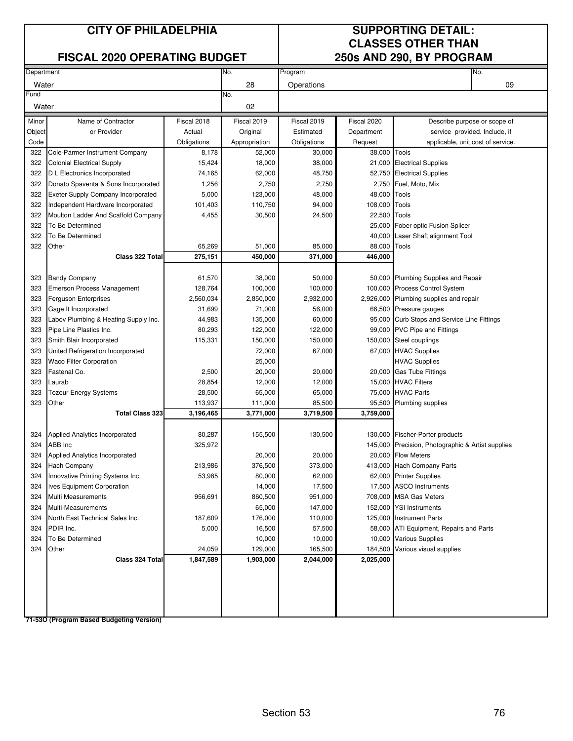### **FISCAL 2020 OPERATING BUDGET**

# **CLASSES OTHER THAN<br>250s AND 290, BY PROGRAM**

| Department |                                           |             | No.<br>Program |             |               | No.                                               |
|------------|-------------------------------------------|-------------|----------------|-------------|---------------|---------------------------------------------------|
| Water      |                                           |             | 28             | Operations  |               | 09                                                |
| Fund       |                                           |             | No.            |             |               |                                                   |
| Water      |                                           |             | 02             |             |               |                                                   |
| Minor      | Name of Contractor                        | Fiscal 2018 | Fiscal 2019    | Fiscal 2019 | Fiscal 2020   | Describe purpose or scope of                      |
| Object     | or Provider                               | Actual      | Original       | Estimated   | Department    | service provided. Include, if                     |
| Code       |                                           | Obligations | Appropriation  | Obligations | Request       | applicable, unit cost of service.                 |
| 322        | Cole-Parmer Instrument Company            | 8,178       | 52,000         | 30,000      | 38,000 Tools  |                                                   |
| 322        | <b>Colonial Electrical Supply</b>         | 15,424      | 18,000         | 38,000      |               | 21,000 Electrical Supplies                        |
| 322        | D L Electronics Incorporated              | 74,165      | 62,000         | 48,750      |               | 52,750 Electrical Supplies                        |
| 322        | Donato Spaventa & Sons Incorporated       | 1,256       | 2,750          | 2,750       |               | 2,750 Fuel, Moto, Mix                             |
| 322        | <b>Exeter Supply Company Incorporated</b> | 5,000       | 123,000        | 48,000      | 48,000 Tools  |                                                   |
| 322        | Independent Hardware Incorporated         | 101,403     | 110,750        | 94,000      | 108,000 Tools |                                                   |
| 322        | Moulton Ladder And Scaffold Company       | 4,455       | 30,500         | 24,500      | 22,500 Tools  |                                                   |
| 322        | To Be Determined                          |             |                |             |               | 25,000 Fober optic Fusion Splicer                 |
| 322        | To Be Determined                          |             |                |             |               | 40,000 Laser Shaft alignment Tool                 |
| 322        | Other                                     | 65,269      | 51,000         | 85,000      | 88,000        | Tools                                             |
|            | Class 322 Total                           | 275,151     | 450,000        | 371,000     | 446,000       |                                                   |
|            |                                           |             |                |             |               |                                                   |
| 323        | <b>Bandy Company</b>                      | 61,570      | 38,000         | 50,000      |               | 50,000 Plumbing Supplies and Repair               |
| 323        | <b>Emerson Process Management</b>         | 128,764     | 100,000        | 100,000     |               | 100,000 Process Control System                    |
| 323        | <b>Ferguson Enterprises</b>               | 2,560,034   | 2,850,000      | 2,932,000   |               | 2,926,000 Plumbing supplies and repair            |
| 323        | Gage It Incorporated                      | 31,699      | 71,000         | 56,000      |               | 66,500 Pressure gauges                            |
| 323        | Labov Plumbing & Heating Supply Inc.      | 44,983      | 135,000        | 60,000      |               | 95,000 Curb Stops and Service Line Fittings       |
| 323        | Pipe Line Plastics Inc.                   | 80,293      | 122,000        | 122,000     |               | 99,000 PVC Pipe and Fittings                      |
| 323        | Smith Blair Incorporated                  | 115,331     | 150,000        | 150,000     |               | 150,000 Steel couplings                           |
| 323        | United Refrigeration Incorporated         |             | 72,000         | 67,000      |               | 67,000 HVAC Supplies                              |
| 323        | <b>Waco Filter Corporation</b>            |             | 25,000         |             |               | <b>HVAC Supplies</b>                              |
| 323        | Fastenal Co.                              | 2,500       | 20,000         | 20,000      |               | 20,000 Gas Tube Fittings                          |
| 323        | Laurab                                    | 28,854      | 12,000         | 12,000      |               | 15,000 HVAC Filters                               |
| 323        | Tozour Energy Systems                     | 28,500      | 65,000         | 65,000      |               | 75,000 HVAC Parts                                 |
| 323        | Other                                     | 113,937     | 111,000        | 85,500      | 95,500        | Plumbing supplies                                 |
|            | <b>Total Class 323</b>                    | 3,196,465   | 3,771,000      | 3,719,500   | 3,759,000     |                                                   |
| 324        | Applied Analytics Incorporated            | 80,287      | 155,500        | 130,500     |               | 130,000 Fischer-Porter products                   |
| 324        | ABB Inc                                   | 325,972     |                |             |               | 145,000 Precision, Photographic & Artist supplies |
| 324        | Applied Analytics Incorporated            |             | 20,000         | 20,000      |               | 20,000 Flow Meters                                |
| 324        | <b>Hach Company</b>                       | 213,986     | 376,500        | 373,000     |               | 413,000 Hach Company Parts                        |
| 324        | Innovative Printing Systems Inc.          | 53,985      | 80,000         | 62,000      |               | 62,000 Printer Supplies                           |
| 324        | <b>Ives Equipment Corporation</b>         |             | 14,000         | 17,500      |               | 17,500 ASCO Instruments                           |
| 324        | <b>Multi Measurements</b>                 | 956,691     | 860,500        | 951,000     |               | 708,000 MSA Gas Meters                            |
| 324        | Multi-Measurements                        |             | 65,000         | 147,000     |               | 152,000 YSI Instruments                           |
| 324        | North East Technical Sales Inc.           | 187,609     | 176,000        | 110,000     |               | 125,000 Instrument Parts                          |
| 324        | PDIR Inc.                                 | 5,000       | 16,500         | 57,500      |               | 58,000 ATI Equipment, Repairs and Parts           |
| 324        | To Be Determined                          |             | 10,000         | 10,000      |               | 10,000 Various Supplies                           |
| 324        | Other                                     | 24,059      | 129,000        | 165,500     |               | 184,500 Various visual supplies                   |
|            | Class 324 Total                           | 1,847,589   | 1,903,000      | 2,044,000   | 2,025,000     |                                                   |
|            |                                           |             |                |             |               |                                                   |
|            |                                           |             |                |             |               |                                                   |
|            |                                           |             |                |             |               |                                                   |
|            |                                           |             |                |             |               |                                                   |
|            |                                           |             |                |             |               |                                                   |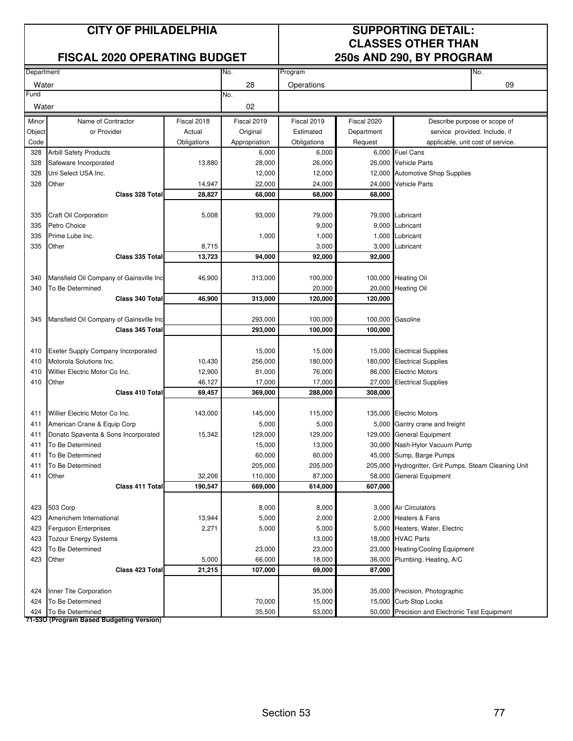### **FISCAL 2020 OPERATING BUDGET 250s AND 290, BY PROGRAM**

## **CITY OF PHILADELPHIA SUPPORTING DETAIL: CLASSES OTHER THAN**

| Department |                                         |             | No.           | Program     |             | No.                                                   |
|------------|-----------------------------------------|-------------|---------------|-------------|-------------|-------------------------------------------------------|
| Water      |                                         |             | 28            | Operations  |             | 09                                                    |
| Fund       |                                         |             | No.           |             |             |                                                       |
| Water      |                                         |             | 02            |             |             |                                                       |
| Minor      | Name of Contractor                      | Fiscal 2018 | Fiscal 2019   | Fiscal 2019 | Fiscal 2020 | Describe purpose or scope of                          |
| Object     | or Provider                             | Actual      | Original      | Estimated   | Department  | service provided. Include, if                         |
| Code       |                                         | Obligations | Appropriation | Obligations | Request     | applicable, unit cost of service.                     |
| 328        | <b>Arbill Safety Products</b>           |             | 6,000         | 6,000       |             | 6,000 Fuel Cans                                       |
| 328        | Safeware Incorporated                   | 13,880      | 28,000        | 26,000      |             | 26,000 Vehicle Parts                                  |
| 328        | Uni Select USA Inc.                     |             | 12,000        | 12,000      |             | 12,000 Automotive Shop Supplies                       |
| 328        | Other                                   | 14,947      | 22,000        | 24,000      | 24,000      | <b>Vehicle Parts</b>                                  |
|            | Class 328 Total                         | 28,827      | 68,000        | 68,000      | 68,000      |                                                       |
|            |                                         |             |               |             |             |                                                       |
| 335        | Craft Oil Corporation                   | 5,008       | 93,000        | 79,000      |             | 79,000 Lubricant                                      |
| 335        | Petro Choice                            |             |               | 9,000       |             | 9,000 Lubricant                                       |
| 335        | Prime Lube Inc.                         |             | 1,000         | 1,000       |             | 1,000 Lubricant                                       |
| 335        | Other                                   | 8,715       |               | 3,000       |             | 3,000 Lubricant                                       |
|            | Class 335 Total                         | 13,723      | 94,000        | 92,000      | 92,000      |                                                       |
|            |                                         |             |               |             |             |                                                       |
| 340        | Mansfield Oil Company of Gainsville Inc | 46,900      | 313,000       | 100,000     |             | 100,000 Heating Oil                                   |
| 340        | To Be Determined                        |             |               | 20,000      | 20,000      | <b>Heating Oil</b>                                    |
|            | Class 340 Total                         | 46,900      | 313,000       | 120,000     | 120,000     |                                                       |
|            |                                         |             |               |             |             |                                                       |
| 345        | Mansfield Oil Company of Gainsville Inc |             | 293,000       | 100,000     |             | 100,000 Gasoline                                      |
|            | Class 345 Total                         |             | 293,000       | 100,000     | 100,000     |                                                       |
|            |                                         |             |               |             |             |                                                       |
| 410        | Exeter Supply Company Incorporated      |             | 15,000        | 15,000      |             | 15,000 Electrical Supplies                            |
| 410        | Motorola Solutions Inc.                 | 10,430      | 256,000       | 180,000     |             | 180,000 Electrical Supplies                           |
| 410        | Willier Electric Motor Co Inc.          | 12,900      | 81,000        | 76,000      |             | 86,000 Electric Motors                                |
| 410        | Other                                   | 46,127      | 17,000        | 17,000      | 27,000      | <b>Electrical Supplies</b>                            |
|            | Class 410 Total                         | 69,457      | 369,000       | 288,000     | 308,000     |                                                       |
|            |                                         |             |               |             |             |                                                       |
| 411        | Willier Electric Motor Co Inc.          | 143,000     | 145,000       | 115,000     |             | 135,000 Electric Motors                               |
| 411        | American Crane & Equip Corp             |             | 5,000         | 5,000       |             | 5,000 Gantry crane and freight                        |
| 411        | Donato Spaventa & Sons Incorporated     | 15,342      | 129,000       | 129,000     |             | 129,000 General Equipment                             |
| 411        | To Be Determined                        |             | 15,000        | 13,000      |             | 30,000 Nash-Hylor Vacuum Pump                         |
| 411        | To Be Determined                        |             | 60,000        | 60,000      |             | 45,000 Sump, Barge Pumps                              |
| 411        | To Be Determined                        |             | 205,000       | 205,000     |             | 205,000 Hydrogritter, Grit Pumps, Steam Cleaning Unit |
| 411        | Other                                   | 32,206      | 110,000       | 87,000      |             | 58,000 General Equipment                              |
|            | Class 411 Total                         | 190,547     | 669,000       | 614,000     | 607,000     |                                                       |
|            |                                         |             |               |             |             |                                                       |
| 423        | 503 Corp                                |             | 8,000         | 8,000       |             | 3,000 Air Circulators                                 |
| 423        | Americhem International                 | 13,944      | 5,000         | 2,000       |             | 2,000 Heaters & Fans                                  |
| 423        | <b>Ferguson Enterprises</b>             | 2,271       | 5,000         | 5,000       |             | 5,000 Heaters, Water, Electric                        |
| 423        | <b>Tozour Energy Systems</b>            |             |               | 13,000      |             | 18,000 HVAC Parts                                     |
| 423        | To Be Determined                        |             | 23,000        | 23,000      |             | 23,000 Heating/Cooling Equipment                      |
| 423        | Other                                   | 5,000       | 66,000        | 18,000      |             | 36,000 Plumbing, Heating, A/C                         |
|            | Class 423 Total                         | 21,215      | 107,000       | 69,000      | 87,000      |                                                       |
|            |                                         |             |               |             |             |                                                       |
| 424        | Inner Tite Corporation                  |             |               | 35,000      |             | 35,000 Precision, Photographic                        |
| 424        | To Be Determined                        |             | 70,000        | 15,000      |             | 15,000 Curb Stop Locks                                |
| 424        | To Be Determined                        |             | 35,500        | 53,000      |             | 50,000 Precision and Electronic Test Equipment        |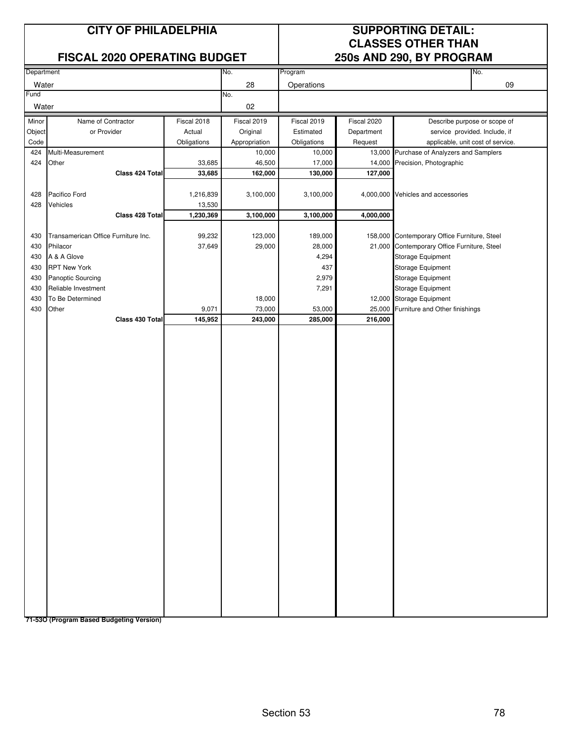### **FISCAL 2020 OPERATING BUDGET**

## **CITY OF PHILADELPHIA SUPPORTING DETAIL: CLASSES OTHER THAN**<br>250s AND 290, BY PROGRAM

|            | $\mathbf{v}$                        | <b>FIIMINA RAD</b> |               |             |             | $\sim$                                       |                               |
|------------|-------------------------------------|--------------------|---------------|-------------|-------------|----------------------------------------------|-------------------------------|
| Department |                                     |                    | No.           | Program     |             |                                              | No.                           |
|            |                                     |                    |               |             |             |                                              | 09                            |
| Water      |                                     |                    | 28            | Operations  |             |                                              |                               |
| Fund       |                                     |                    | No.           |             |             |                                              |                               |
| Water      |                                     |                    | 02            |             |             |                                              |                               |
| Minor      | Name of Contractor                  | Fiscal 2018        | Fiscal 2019   | Fiscal 2019 | Fiscal 2020 |                                              | Describe purpose or scope of  |
|            | or Provider                         | Actual             | Original      | Estimated   | Department  |                                              | service provided. Include, if |
| Object     |                                     |                    |               |             |             |                                              |                               |
| Code       |                                     | Obligations        | Appropriation | Obligations | Request     | applicable, unit cost of service.            |                               |
| 424        | Multi-Measurement                   |                    | 10,000        | 10,000      |             | 13,000 Purchase of Analyzers and Samplers    |                               |
| 424        | Other                               | 33,685             | 46,500        | 17,000      | 14,000      | Precision, Photographic                      |                               |
|            | Class 424 Total                     | 33,685             | 162,000       | 130,000     | 127,000     |                                              |                               |
|            |                                     |                    |               |             |             |                                              |                               |
| 428        | Pacifico Ford                       | 1,216,839          | 3,100,000     | 3,100,000   |             | 4,000,000 Vehicles and accessories           |                               |
| 428        | Vehicles                            | 13,530             |               |             |             |                                              |                               |
|            | Class 428 Total                     | 1,230,369          | 3,100,000     | 3,100,000   | 4,000,000   |                                              |                               |
|            |                                     |                    |               |             |             |                                              |                               |
|            |                                     |                    |               |             |             |                                              |                               |
| 430        | Transamerican Office Furniture Inc. | 99,232             | 123,000       | 189,000     |             | 158,000 Contemporary Office Furniture, Steel |                               |
| 430        | Philacor                            | 37,649             | 29,000        | 28,000      |             | 21,000 Contemporary Office Furniture, Steel  |                               |
| 430        | A & A Glove                         |                    |               | 4,294       |             | Storage Equipment                            |                               |
| 430        | <b>RPT New York</b>                 |                    |               | 437         |             | Storage Equipment                            |                               |
| 430        | Panoptic Sourcing                   |                    |               | 2,979       |             | Storage Equipment                            |                               |
| 430        | Reliable Investment                 |                    |               | 7,291       |             | Storage Equipment                            |                               |
| 430        | To Be Determined                    |                    | 18,000        |             |             | 12,000 Storage Equipment                     |                               |
| 430        | Other                               | 9,071              | 73,000        | 53,000      | 25,000      | Furniture and Other finishings               |                               |
|            | Class 430 Total                     | 145,952            | 243,000       | 285,000     | 216,000     |                                              |                               |
|            |                                     |                    |               |             |             |                                              |                               |
|            |                                     |                    |               |             |             |                                              |                               |
|            |                                     |                    |               |             |             |                                              |                               |
|            |                                     |                    |               |             |             |                                              |                               |
|            |                                     |                    |               |             |             |                                              |                               |
|            |                                     |                    |               |             |             |                                              |                               |
|            |                                     |                    |               |             |             |                                              |                               |
|            |                                     |                    |               |             |             |                                              |                               |
|            |                                     |                    |               |             |             |                                              |                               |
|            |                                     |                    |               |             |             |                                              |                               |
|            |                                     |                    |               |             |             |                                              |                               |
|            |                                     |                    |               |             |             |                                              |                               |
|            |                                     |                    |               |             |             |                                              |                               |
|            |                                     |                    |               |             |             |                                              |                               |
|            |                                     |                    |               |             |             |                                              |                               |
|            |                                     |                    |               |             |             |                                              |                               |
|            |                                     |                    |               |             |             |                                              |                               |
|            |                                     |                    |               |             |             |                                              |                               |
|            |                                     |                    |               |             |             |                                              |                               |
|            |                                     |                    |               |             |             |                                              |                               |
|            |                                     |                    |               |             |             |                                              |                               |
|            |                                     |                    |               |             |             |                                              |                               |
|            |                                     |                    |               |             |             |                                              |                               |
|            |                                     |                    |               |             |             |                                              |                               |
|            |                                     |                    |               |             |             |                                              |                               |
|            |                                     |                    |               |             |             |                                              |                               |
|            |                                     |                    |               |             |             |                                              |                               |
|            |                                     |                    |               |             |             |                                              |                               |
|            |                                     |                    |               |             |             |                                              |                               |
|            |                                     |                    |               |             |             |                                              |                               |
|            |                                     |                    |               |             |             |                                              |                               |
|            |                                     |                    |               |             |             |                                              |                               |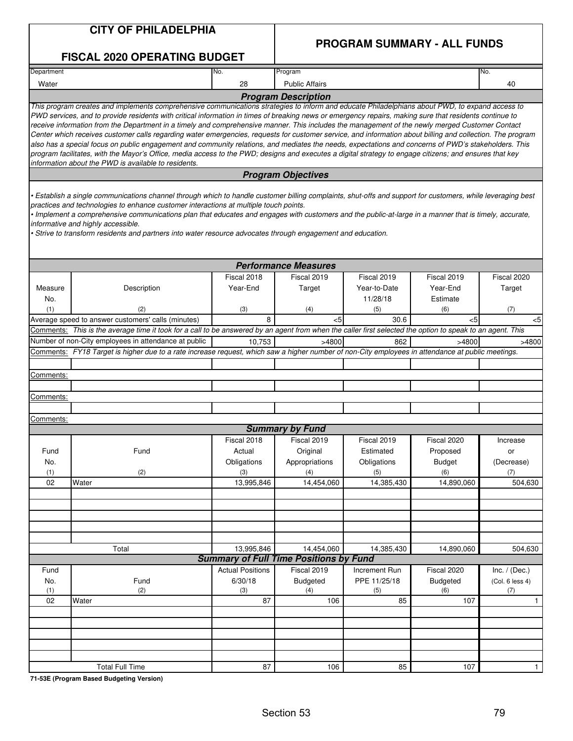| <b>CITY OF PHILADELPHIA</b>         |  |
|-------------------------------------|--|
| <b>FISCAL 2020 OPERATING BUDGET</b> |  |

### **PROGRAM SUMMARY - ALL FUNDS**

| Department |                                                                                                                                                             | No.                     | Program                                       |               |                 | No.             |
|------------|-------------------------------------------------------------------------------------------------------------------------------------------------------------|-------------------------|-----------------------------------------------|---------------|-----------------|-----------------|
| Water      |                                                                                                                                                             | 28                      | <b>Public Affairs</b>                         |               |                 | 40              |
|            |                                                                                                                                                             |                         | <b>Program Description</b>                    |               |                 |                 |
|            | This program creates and implements comprehensive communications strategies to inform and educate Philadelphians about PWD, to expand access to             |                         |                                               |               |                 |                 |
|            | PWD services, and to provide residents with critical information in times of breaking news or emergency repairs, making sure that residents continue to     |                         |                                               |               |                 |                 |
|            | receive information from the Department in a timely and comprehensive manner. This includes the management of the newly merged Customer Contact             |                         |                                               |               |                 |                 |
|            | Center which receives customer calls regarding water emergencies, requests for customer service, and information about billing and collection. The program  |                         |                                               |               |                 |                 |
|            | also has a special focus on public engagement and community relations, and mediates the needs, expectations and concerns of PWD's stakeholders. This        |                         |                                               |               |                 |                 |
|            | program facilitates, with the Mayor's Office, media access to the PWD; designs and executes a digital strategy to engage citizens; and ensures that key     |                         |                                               |               |                 |                 |
|            | information about the PWD is available to residents.                                                                                                        |                         |                                               |               |                 |                 |
|            |                                                                                                                                                             |                         | <b>Program Objectives</b>                     |               |                 |                 |
|            |                                                                                                                                                             |                         |                                               |               |                 |                 |
|            | • Establish a single communications channel through which to handle customer billing complaints, shut-offs and support for customers, while leveraging best |                         |                                               |               |                 |                 |
|            | practices and technologies to enhance customer interactions at multiple touch points.                                                                       |                         |                                               |               |                 |                 |
|            | • Implement a comprehensive communications plan that educates and engages with customers and the public-at-large in a manner that is timely, accurate,      |                         |                                               |               |                 |                 |
|            | informative and highly accessible.                                                                                                                          |                         |                                               |               |                 |                 |
|            | · Strive to transform residents and partners into water resource advocates through engagement and education.                                                |                         |                                               |               |                 |                 |
|            |                                                                                                                                                             |                         |                                               |               |                 |                 |
|            |                                                                                                                                                             |                         |                                               |               |                 |                 |
|            |                                                                                                                                                             |                         | <b>Performance Measures</b>                   |               |                 |                 |
|            |                                                                                                                                                             | Fiscal 2018             | Fiscal 2019                                   | Fiscal 2019   | Fiscal 2019     | Fiscal 2020     |
| Measure    | Description                                                                                                                                                 | Year-End                | Target                                        | Year-to-Date  | Year-End        | Target          |
|            |                                                                                                                                                             |                         |                                               | 11/28/18      |                 |                 |
| No.        |                                                                                                                                                             |                         |                                               |               | Estimate        |                 |
| (1)        | (2)                                                                                                                                                         | (3)                     | (4)                                           | (5)           | (6)             | (7)             |
|            | Average speed to answer customers' calls (minutes)                                                                                                          | 8                       | <5                                            | 30.6          | <5              | <5              |
|            | Comments: This is the average time it took for a call to be answered by an agent from when the caller first selected the option to speak to an agent. This  |                         |                                               |               |                 |                 |
|            | Number of non-City employees in attendance at public                                                                                                        | 10,753                  | >4800                                         | 862           | >4800           | >4800           |
|            | Comments: FY18 Target is higher due to a rate increase request, which saw a higher number of non-City employees in attendance at public meetings.           |                         |                                               |               |                 |                 |
|            |                                                                                                                                                             |                         |                                               |               |                 |                 |
|            |                                                                                                                                                             |                         |                                               |               |                 |                 |
| Comments:  |                                                                                                                                                             |                         |                                               |               |                 |                 |
|            |                                                                                                                                                             |                         |                                               |               |                 |                 |
| Comments:  |                                                                                                                                                             |                         |                                               |               |                 |                 |
|            |                                                                                                                                                             |                         |                                               |               |                 |                 |
| Comments:  |                                                                                                                                                             |                         |                                               |               |                 |                 |
|            |                                                                                                                                                             |                         | <b>Summary by Fund</b>                        |               |                 |                 |
|            |                                                                                                                                                             | Fiscal 2018             | Fiscal 2019                                   | Fiscal 2019   | Fiscal 2020     | Increase        |
| Fund       | Fund                                                                                                                                                        | Actual                  | Original                                      | Estimated     | Proposed        | or              |
|            |                                                                                                                                                             |                         |                                               |               |                 |                 |
| No.        |                                                                                                                                                             | Obligations             | Appropriations                                | Obligations   | <b>Budget</b>   | (Decrease)      |
| (1)        | (2)                                                                                                                                                         | (3)                     | (4)                                           | (5)           | (6)             | (7)             |
| 02         | Water                                                                                                                                                       | 13,995,846              | 14,454,060                                    | 14,385,430    | 14,890,060      | 504,630         |
|            |                                                                                                                                                             |                         |                                               |               |                 |                 |
|            |                                                                                                                                                             |                         |                                               |               |                 |                 |
|            |                                                                                                                                                             |                         |                                               |               |                 |                 |
|            |                                                                                                                                                             |                         |                                               |               |                 |                 |
|            |                                                                                                                                                             |                         |                                               |               |                 |                 |
|            |                                                                                                                                                             |                         |                                               |               |                 |                 |
|            | Total                                                                                                                                                       | 13,995,846              | 14,454,060                                    | 14,385,430    | 14,890,060      | 504,630         |
|            |                                                                                                                                                             |                         | <b>Summary of Full Time Positions by Fund</b> |               |                 |                 |
| Fund       |                                                                                                                                                             | <b>Actual Positions</b> | Fiscal 2019                                   | Increment Run | Fiscal 2020     | Inc. $/$ (Dec.) |
| No.        | Fund                                                                                                                                                        | 6/30/18                 | <b>Budgeted</b>                               | PPE 11/25/18  | <b>Budgeted</b> | (Col. 6 less 4) |
| (1)        | (2)                                                                                                                                                         | (3)                     | (4)                                           | (5)           | (6)             | (7)             |
| 02         | Water                                                                                                                                                       | 87                      | 106                                           | 85            | 107             | $\mathbf{1}$    |
|            |                                                                                                                                                             |                         |                                               |               |                 |                 |
|            |                                                                                                                                                             |                         |                                               |               |                 |                 |
|            |                                                                                                                                                             |                         |                                               |               |                 |                 |
|            |                                                                                                                                                             |                         |                                               |               |                 |                 |
|            |                                                                                                                                                             |                         |                                               |               |                 |                 |
|            |                                                                                                                                                             |                         |                                               |               |                 |                 |
|            |                                                                                                                                                             |                         |                                               |               |                 |                 |
|            | <b>Total Full Time</b>                                                                                                                                      | 87                      | 106                                           | 85            | 107             | $\mathbf{1}$    |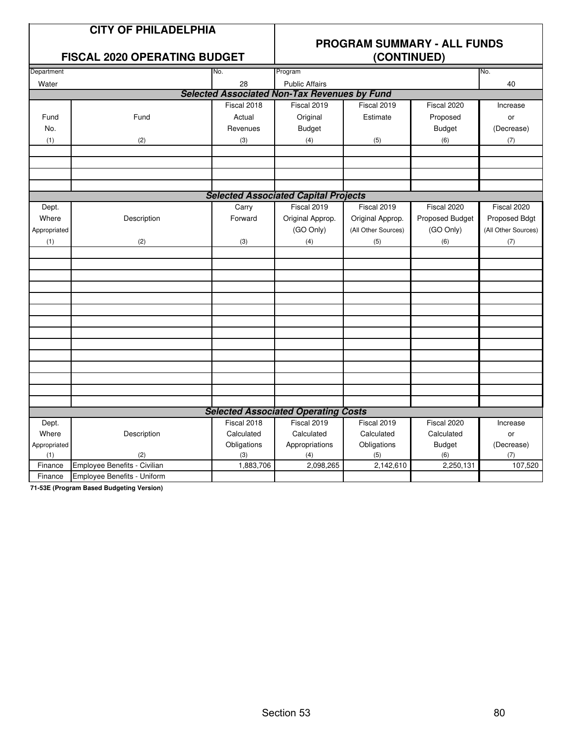| <b>CITY OF PHILADELPHIA</b> |
|-----------------------------|
|-----------------------------|

### **FISCAL 2020 OPFRATING BUDGET**

# **PROGRAM SUMMARY - ALL FUNDS**

|                     | ו וטטאב בטבט טו בונא ווויט טטטש |                    | $\sqrt{201111102}$                                  |                                                |                           |                     |  |  |
|---------------------|---------------------------------|--------------------|-----------------------------------------------------|------------------------------------------------|---------------------------|---------------------|--|--|
| Department          |                                 | No.                | Program                                             |                                                |                           | No.                 |  |  |
| Water               |                                 | 28                 | <b>Public Affairs</b>                               |                                                |                           | 40                  |  |  |
|                     |                                 |                    | <b>Selected Associated Non-Tax Revenues by Fund</b> |                                                |                           |                     |  |  |
|                     |                                 | Fiscal 2018        | Fiscal 2019                                         | Fiscal 2019                                    | Fiscal 2020               | Increase            |  |  |
| Fund                | Fund                            | Actual             | Original                                            | Estimate                                       | Proposed                  | or                  |  |  |
| No.                 |                                 | Revenues           | <b>Budget</b>                                       |                                                | <b>Budget</b>             | (Decrease)          |  |  |
| (1)                 | (2)                             | (3)                | (4)                                                 | (5)                                            | (6)                       | (7)                 |  |  |
|                     |                                 |                    |                                                     |                                                |                           |                     |  |  |
|                     |                                 |                    |                                                     |                                                |                           |                     |  |  |
|                     |                                 |                    |                                                     |                                                |                           |                     |  |  |
|                     |                                 |                    |                                                     |                                                |                           |                     |  |  |
|                     |                                 |                    | <b>Selected Associated Capital Projects</b>         |                                                |                           |                     |  |  |
| Dept.               |                                 | Carry              | Fiscal 2019                                         | Fiscal 2019                                    | Fiscal 2020               | Fiscal 2020         |  |  |
| Where               | Description                     | Forward            | Original Approp.                                    | Original Approp.                               | Proposed Budget           | Proposed Bdgt       |  |  |
| Appropriated        |                                 |                    | (GO Only)                                           | (All Other Sources)                            | (GO Only)                 | (All Other Sources) |  |  |
| (1)                 | (2)                             | (3)                | (4)                                                 | (5)                                            | (6)                       | (7)                 |  |  |
|                     |                                 |                    |                                                     |                                                |                           |                     |  |  |
|                     |                                 |                    |                                                     |                                                |                           |                     |  |  |
|                     |                                 |                    |                                                     |                                                |                           |                     |  |  |
|                     |                                 |                    |                                                     |                                                |                           |                     |  |  |
|                     |                                 |                    |                                                     |                                                |                           |                     |  |  |
|                     |                                 |                    |                                                     |                                                |                           |                     |  |  |
|                     |                                 |                    |                                                     |                                                |                           |                     |  |  |
|                     |                                 |                    |                                                     |                                                |                           |                     |  |  |
|                     |                                 |                    |                                                     |                                                |                           |                     |  |  |
|                     |                                 |                    |                                                     |                                                |                           |                     |  |  |
|                     |                                 |                    |                                                     |                                                |                           |                     |  |  |
|                     |                                 |                    |                                                     |                                                |                           |                     |  |  |
|                     |                                 |                    |                                                     |                                                |                           |                     |  |  |
|                     |                                 |                    | <b>Selected Associated Operating Costs</b>          |                                                |                           |                     |  |  |
|                     |                                 |                    |                                                     |                                                |                           |                     |  |  |
| Dept.               |                                 | Fiscal 2018        | Fiscal 2019                                         | $\overline{\text{F}}$ iscal 2019<br>Calculated | Fiscal 2020<br>Calculated | Increase            |  |  |
| Where               | Description                     | Calculated         | Calculated                                          |                                                |                           | or                  |  |  |
| Appropriated<br>(1) | (2)                             | Obligations<br>(3) | Appropriations<br>(4)                               | Obligations<br>(5)                             | <b>Budget</b><br>(6)      | (Decrease)<br>(7)   |  |  |
| Finance             | Employee Benefits - Civilian    | 1,883,706          | 2,098,265                                           | 2,142,610                                      | 2,250,131                 | 107,520             |  |  |
| Finance             | Employee Benefits - Uniform     |                    |                                                     |                                                |                           |                     |  |  |
|                     |                                 |                    |                                                     |                                                |                           |                     |  |  |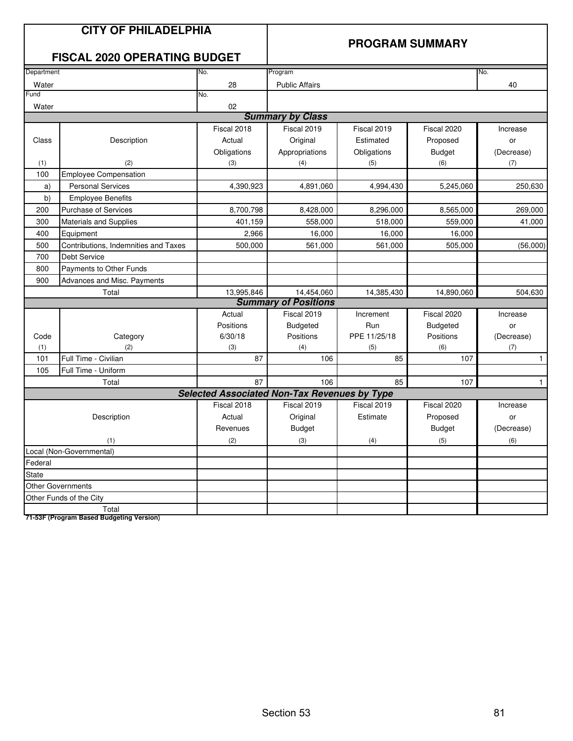|                                    | <b>CITY OF PHILADELPHIA</b><br><b>FISCAL 2020 OPERATING BUDGET</b> |                                                     |                             | <b>PROGRAM SUMMARY</b> |                 |              |
|------------------------------------|--------------------------------------------------------------------|-----------------------------------------------------|-----------------------------|------------------------|-----------------|--------------|
| Department                         |                                                                    | No.                                                 | Program                     |                        |                 | No.          |
| Water                              |                                                                    | 28                                                  | <b>Public Affairs</b>       |                        |                 | 40           |
| Fund                               |                                                                    | No.                                                 |                             |                        |                 |              |
| Water                              |                                                                    | 02                                                  |                             |                        |                 |              |
|                                    |                                                                    |                                                     | <b>Summary by Class</b>     |                        |                 |              |
|                                    |                                                                    | Fiscal 2018                                         | Fiscal 2019                 | Fiscal 2019            | Fiscal 2020     | Increase     |
| Class                              | Description                                                        | Actual                                              | Original                    | Estimated              | Proposed        | or           |
|                                    |                                                                    | Obligations                                         | Appropriations              | Obligations            | <b>Budget</b>   | (Decrease)   |
| (1)                                | (2)                                                                | (3)                                                 | (4)                         | (5)                    | (6)             | (7)          |
| 100                                | <b>Employee Compensation</b>                                       |                                                     |                             |                        |                 |              |
| a)                                 | <b>Personal Services</b>                                           | 4,390,923                                           | 4,891,060                   | 4,994,430              | 5,245,060       | 250,630      |
| b)                                 | <b>Employee Benefits</b>                                           |                                                     |                             |                        |                 |              |
| <b>Purchase of Services</b><br>200 |                                                                    | 8,700,798                                           | 8,428,000                   | 8,296,000              | 8,565,000       | 269,000      |
| 300                                | Materials and Supplies                                             | 401,159                                             | 558,000                     | 518,000                | 559,000         | 41,000       |
| 400<br>Equipment                   |                                                                    | 2,966                                               | 16,000                      | 16.000                 | 16,000          |              |
| 500                                | Contributions, Indemnities and Taxes                               | 500,000                                             | 561,000                     | 561,000                | 505,000         | (56,000)     |
| 700<br>Debt Service                |                                                                    |                                                     |                             |                        |                 |              |
| 800                                | Payments to Other Funds                                            |                                                     |                             |                        |                 |              |
| 900                                | Advances and Misc. Payments                                        |                                                     |                             |                        |                 |              |
|                                    | Total                                                              | 13,995,846                                          | 14,454,060                  | 14,385,430             | 14,890,060      | 504,630      |
|                                    |                                                                    |                                                     | <b>Summary of Positions</b> |                        |                 |              |
|                                    |                                                                    | Actual                                              | Fiscal 2019                 | Increment              | Fiscal 2020     | Increase     |
|                                    |                                                                    | Positions                                           | <b>Budgeted</b>             | Run                    | <b>Budgeted</b> | or           |
| Code                               | Category                                                           | 6/30/18                                             | Positions                   | PPE 11/25/18           | Positions       | (Decrease)   |
| (1)                                | (2)                                                                | (3)                                                 | (4)                         | (5)                    | (6)             | (7)          |
| 101                                | Full Time - Civilian                                               | 87                                                  | 106                         | 85                     | 107             | $\mathbf{1}$ |
| 105                                | Full Time - Uniform                                                |                                                     |                             |                        |                 |              |
|                                    | Total                                                              | 87                                                  | 106                         | 85                     | 107             | $\mathbf{1}$ |
|                                    |                                                                    | <b>Selected Associated Non-Tax Revenues by Type</b> |                             |                        |                 |              |
|                                    |                                                                    | Fiscal 2018                                         | Fiscal 2019                 | Fiscal 2019            | Fiscal 2020     | Increase     |
|                                    | Description                                                        | Actual                                              | Original                    | Estimate               | Proposed        | or           |
|                                    |                                                                    | Revenues                                            | <b>Budget</b>               |                        | <b>Budget</b>   | (Decrease)   |
|                                    | (1)                                                                | (2)                                                 | (3)                         | (4)                    | (5)             | (6)          |
|                                    | Local (Non-Governmental)                                           |                                                     |                             |                        |                 |              |
| Federal                            |                                                                    |                                                     |                             |                        |                 |              |
| <b>State</b>                       |                                                                    |                                                     |                             |                        |                 |              |
|                                    | Other Governments                                                  |                                                     |                             |                        |                 |              |
|                                    | Other Funds of the City                                            |                                                     |                             |                        |                 |              |
| ------                             | Total                                                              |                                                     |                             |                        |                 |              |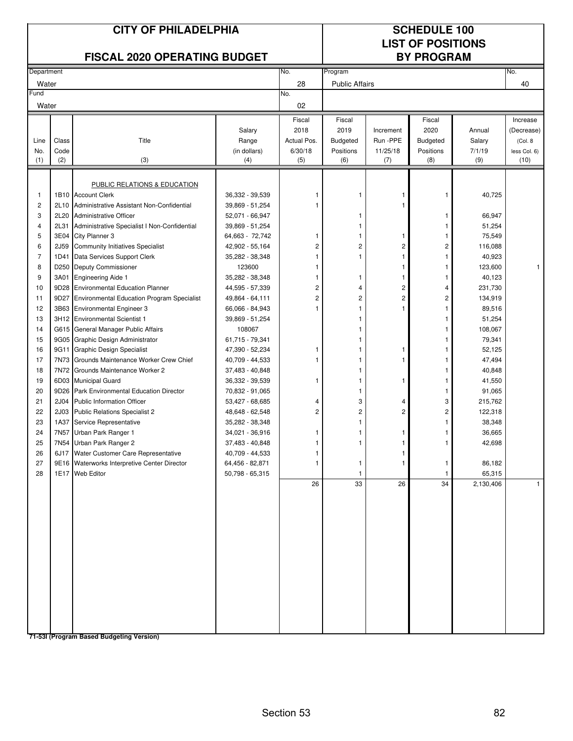| <b>CITY OF PHILADELPHIA</b><br><b>FISCAL 2020 OPERATING BUDGET</b> |                  |                                                                           |                                    |                     |                       |                 | <b>SCHEDULE 100</b><br><b>LIST OF POSITIONS</b><br><b>BY PROGRAM</b> |                    |                      |
|--------------------------------------------------------------------|------------------|---------------------------------------------------------------------------|------------------------------------|---------------------|-----------------------|-----------------|----------------------------------------------------------------------|--------------------|----------------------|
| Department                                                         |                  |                                                                           |                                    | No.                 | Program               |                 |                                                                      |                    | No.                  |
| Water                                                              |                  |                                                                           |                                    | 28                  | <b>Public Affairs</b> |                 |                                                                      |                    | 40                   |
| Fund<br>Water                                                      |                  |                                                                           |                                    | No.<br>02           |                       |                 |                                                                      |                    |                      |
|                                                                    |                  |                                                                           |                                    | Fiscal              | Fiscal                |                 | Fiscal                                                               |                    | Increase             |
|                                                                    |                  |                                                                           | Salary                             | 2018                | 2019                  | Increment       | 2020                                                                 | Annual             | (Decrease)           |
| Line                                                               | Class            | Title                                                                     | Range                              | Actual Pos.         | Budgeted              | Run -PPE        | <b>Budgeted</b>                                                      | Salary             | (Col. 8)             |
| No.<br>(1)                                                         | Code<br>(2)      | (3)                                                                       | (in dollars)<br>(4)                | 6/30/18<br>(5)      | Positions<br>(6)      | 11/25/18<br>(7) | Positions<br>(8)                                                     | 7/1/19<br>(9)      | less Col. 6)<br>(10) |
|                                                                    |                  |                                                                           |                                    |                     |                       |                 |                                                                      |                    |                      |
|                                                                    |                  |                                                                           |                                    |                     |                       |                 |                                                                      |                    |                      |
| 1                                                                  |                  | PUBLIC RELATIONS & EDUCATION<br>1B10 Account Clerk                        | 36,332 - 39,539                    |                     |                       |                 | 1                                                                    | 40,725             |                      |
| 2                                                                  | 2L10             | Administrative Assistant Non-Confidential                                 | 39,869 - 51,254                    |                     |                       |                 |                                                                      |                    |                      |
| 3                                                                  | 2L20             | <b>Administrative Officer</b>                                             | 52,071 - 66,947                    |                     | 1                     |                 | 1                                                                    | 66,947             |                      |
| 4                                                                  | 2L31             | Administrative Specialist I Non-Confidential                              | 39,869 - 51,254                    |                     | 1                     |                 | 1                                                                    | 51,254             |                      |
| 5                                                                  | 3E04             | City Planner 3                                                            | 64,663 - 72,742                    | 1                   | 1                     |                 |                                                                      | 75,549             |                      |
| 6                                                                  | 2J59             | <b>Community Initiatives Specialist</b>                                   | 42,902 - 55,164                    | $\overline{c}$      | 2                     | $\overline{c}$  | 2                                                                    | 116,088            |                      |
| $\overline{7}$                                                     | 1D41             | Data Services Support Clerk                                               | 35,282 - 38,348                    | 1                   | 1                     | 1               | -1                                                                   | 40,923             |                      |
| 8                                                                  | D250             | Deputy Commissioner                                                       | 123600                             | 1                   |                       | 1               | 1                                                                    | 123,600            | 1                    |
| 9                                                                  | 3A01             | <b>Engineering Aide 1</b>                                                 | 35,282 - 38,348                    | 1                   | 1                     | 1               | 1                                                                    | 40,123             |                      |
| 10                                                                 | 9D28             | <b>Environmental Education Planner</b>                                    | 44,595 - 57,339                    | $\overline{c}$      | 4                     | 2               | 4                                                                    | 231,730            |                      |
| 11                                                                 | 9D27             | <b>Environmental Education Program Specialist</b>                         | 49,864 - 64,111                    | $\overline{c}$      | $\overline{c}$        | $\overline{2}$  | 2                                                                    | 134,919            |                      |
| 12                                                                 | 3B63             | <b>Environmental Engineer 3</b>                                           | 66,066 - 84,943                    | 1                   | 1                     |                 |                                                                      | 89,516             |                      |
| 13                                                                 |                  | 3H12 Environmental Scientist 1                                            | 39,869 - 51,254                    |                     |                       |                 |                                                                      | 51,254             |                      |
| 14                                                                 |                  | G615 General Manager Public Affairs                                       | 108067                             |                     |                       |                 |                                                                      | 108,067            |                      |
| 15                                                                 |                  | 9G05 Graphic Design Administrator                                         | 61,715 - 79,341                    |                     |                       |                 |                                                                      | 79,341             |                      |
| 16                                                                 | 9G11             | <b>Graphic Design Specialist</b>                                          | 47,390 - 52,234                    | 1                   |                       |                 |                                                                      | 52,125             |                      |
| 17                                                                 | 7N73             | Grounds Maintenance Worker Crew Chief                                     | 40,709 - 44,533                    |                     |                       |                 |                                                                      | 47,494             |                      |
| 18                                                                 | 7N72             | Grounds Maintenance Worker 2                                              | 37,483 - 40,848                    |                     | 1                     |                 |                                                                      | 40,848             |                      |
| 19                                                                 |                  | 6D03 Municipal Guard                                                      | 36,332 - 39,539                    | 1                   | 1                     | 1               | 1                                                                    | 41,550             |                      |
| 20                                                                 | 9D26             | Park Environmental Education Director                                     | 70,832 - 91,065                    |                     | 1                     |                 | 1                                                                    | 91,065             |                      |
| 21<br>22                                                           | 2J04             | <b>Public Information Officer</b><br><b>Public Relations Specialist 2</b> | 53,427 - 68,685                    | 4<br>$\overline{c}$ | 3<br>2                | 4<br>2          | 3<br>$\overline{c}$                                                  | 215,762<br>122,318 |                      |
| 23                                                                 | 2J03<br>1A37     | Service Representative                                                    | 48,648 - 62,548<br>35,282 - 38,348 |                     | 1                     |                 |                                                                      | 38,348             |                      |
| 24                                                                 | 7N <sub>57</sub> | Urban Park Ranger 1                                                       | 34,021 - 36,916                    | 1                   | 1                     | 1               |                                                                      | 36,665             |                      |
| 25                                                                 |                  | 7N54 Urban Park Ranger 2                                                  | 37,483 - 40,848                    |                     |                       |                 |                                                                      | 42,698             |                      |
| 26                                                                 |                  | 6J17 Water Customer Care Representative                                   | 40,709 - 44,533                    | 1                   |                       |                 |                                                                      |                    |                      |
| 27                                                                 |                  | 9E16 Waterworks Interpretive Center Director                              | 64,456 - 82,871                    |                     | 1                     | 1               | $\mathbf{1}$                                                         | 86,182             |                      |
| 28                                                                 |                  | 1E17 Web Editor                                                           | 50,798 - 65,315                    |                     | $\mathbf{1}$          |                 | $\mathbf{1}$                                                         | 65,315             |                      |
|                                                                    |                  |                                                                           |                                    | 26                  | 33                    | 26              | 34                                                                   | 2,130,406          | $\mathbf{1}$         |
|                                                                    |                  |                                                                           |                                    |                     |                       |                 |                                                                      |                    |                      |
|                                                                    |                  |                                                                           |                                    |                     |                       |                 |                                                                      |                    |                      |
|                                                                    |                  |                                                                           |                                    |                     |                       |                 |                                                                      |                    |                      |
|                                                                    |                  |                                                                           |                                    |                     |                       |                 |                                                                      |                    |                      |
|                                                                    |                  |                                                                           |                                    |                     |                       |                 |                                                                      |                    |                      |
|                                                                    |                  |                                                                           |                                    |                     |                       |                 |                                                                      |                    |                      |
|                                                                    |                  |                                                                           |                                    |                     |                       |                 |                                                                      |                    |                      |
|                                                                    |                  |                                                                           |                                    |                     |                       |                 |                                                                      |                    |                      |
|                                                                    |                  |                                                                           |                                    |                     |                       |                 |                                                                      |                    |                      |
|                                                                    |                  |                                                                           |                                    |                     |                       |                 |                                                                      |                    |                      |
|                                                                    |                  |                                                                           |                                    |                     |                       |                 |                                                                      |                    |                      |
|                                                                    |                  |                                                                           |                                    |                     |                       |                 |                                                                      |                    |                      |
|                                                                    |                  |                                                                           |                                    |                     |                       |                 |                                                                      |                    |                      |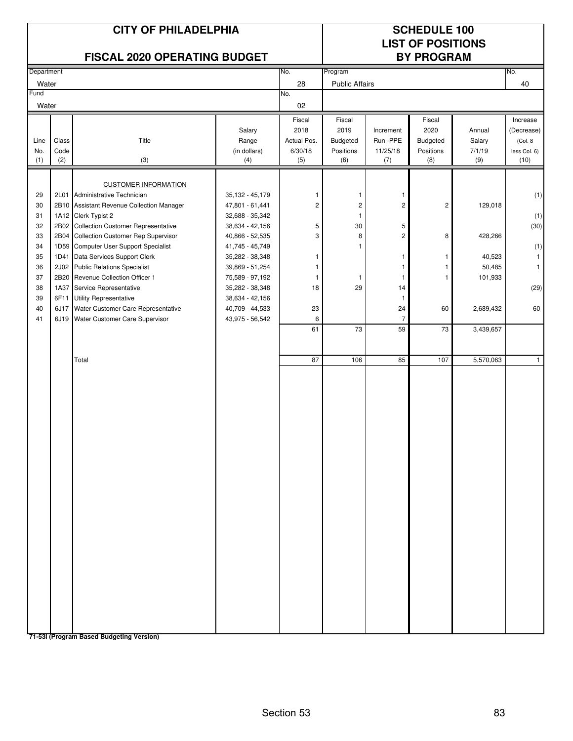|                                                                            |                                                                                              | <b>CITY OF PHILADELPHIA</b><br>FISCAL 2020 OPERATING BUDGET                                                                                                                                                                                                                                                                                                                                                                                                                                            |                                                                                                                                                                                                                                                     |                                                                           | <b>SCHEDULE 100</b><br><b>LIST OF POSITIONS</b><br><b>BY PROGRAM</b>                 |                                                                                                                                 |                                                                  |                                                                                          |                                                                                         |
|----------------------------------------------------------------------------|----------------------------------------------------------------------------------------------|--------------------------------------------------------------------------------------------------------------------------------------------------------------------------------------------------------------------------------------------------------------------------------------------------------------------------------------------------------------------------------------------------------------------------------------------------------------------------------------------------------|-----------------------------------------------------------------------------------------------------------------------------------------------------------------------------------------------------------------------------------------------------|---------------------------------------------------------------------------|--------------------------------------------------------------------------------------|---------------------------------------------------------------------------------------------------------------------------------|------------------------------------------------------------------|------------------------------------------------------------------------------------------|-----------------------------------------------------------------------------------------|
| Department                                                                 |                                                                                              |                                                                                                                                                                                                                                                                                                                                                                                                                                                                                                        |                                                                                                                                                                                                                                                     | No.                                                                       | Program                                                                              |                                                                                                                                 |                                                                  |                                                                                          | No.                                                                                     |
| Water                                                                      |                                                                                              |                                                                                                                                                                                                                                                                                                                                                                                                                                                                                                        |                                                                                                                                                                                                                                                     | 28                                                                        | <b>Public Affairs</b>                                                                |                                                                                                                                 |                                                                  |                                                                                          | 40                                                                                      |
| Fund<br>Water                                                              |                                                                                              |                                                                                                                                                                                                                                                                                                                                                                                                                                                                                                        |                                                                                                                                                                                                                                                     | No.<br>02                                                                 |                                                                                      |                                                                                                                                 |                                                                  |                                                                                          |                                                                                         |
| Line<br>No.<br>(1)                                                         | Class<br>Code<br>(2)                                                                         | Title<br>(3)                                                                                                                                                                                                                                                                                                                                                                                                                                                                                           | Salary<br>Range<br>(in dollars)<br>(4)                                                                                                                                                                                                              | Fiscal<br>2018<br>Actual Pos.<br>6/30/18<br>(5)                           | Fiscal<br>2019<br>Budgeted<br>Positions<br>(6)                                       | Increment<br>Run -PPE<br>11/25/18<br>(7)                                                                                        | Fiscal<br>2020<br>Budgeted<br>Positions<br>(8)                   | Annual<br>Salary<br>7/1/19<br>(9)                                                        | Increase<br>(Decrease)<br>(Col. 8<br>less Col. 6)<br>(10)                               |
| 29<br>30<br>31<br>32<br>33<br>34<br>35<br>36<br>37<br>38<br>39<br>40<br>41 | 2L01<br>2B10<br>2B02<br>2B04<br>1D59<br>1D41<br>2J02<br>2B20<br>1A37<br>6F11<br>6J17<br>6J19 | <b>CUSTOMER INFORMATION</b><br>Administrative Technician<br><b>Assistant Revenue Collection Manager</b><br>1A12 Clerk Typist 2<br><b>Collection Customer Representative</b><br>Collection Customer Rep Supervisor<br>Computer User Support Specialist<br>Data Services Support Clerk<br><b>Public Relations Specialist</b><br>Revenue Collection Officer 1<br>Service Representative<br><b>Utility Representative</b><br>Water Customer Care Representative<br>Water Customer Care Supervisor<br>Total | 35,132 - 45,179<br>47,801 - 61,441<br>32,688 - 35,342<br>38,634 - 42,156<br>40,866 - 52,535<br>41,745 - 45,749<br>35,282 - 38,348<br>39,869 - 51,254<br>75,589 - 97,192<br>35,282 - 38,348<br>38,634 - 42,156<br>40,709 - 44,533<br>43,975 - 56,542 | 1<br>$\overline{c}$<br>5<br>3<br>1<br>1<br>1<br>18<br>23<br>6<br>61<br>87 | 1<br>$\mathbf 2$<br>$\mathbf{1}$<br>30<br>8<br>$\mathbf{1}$<br>-1<br>29<br>73<br>106 | 1<br>$\overline{c}$<br>5<br>$\overline{c}$<br>-1<br>1<br>$\mathbf{1}$<br>14<br>$\mathbf{1}$<br>24<br>$\overline{7}$<br>59<br>85 | $\overline{c}$<br>8<br>1<br>$\mathbf{1}$<br>1<br>60<br>73<br>107 | 129,018<br>428,266<br>40,523<br>50,485<br>101,933<br>2,689,432<br>3,439,657<br>5,570,063 | (1)<br>(1)<br>(30)<br>(1)<br>$\mathbf{1}$<br>$\mathbf{1}$<br>(29)<br>60<br>$\mathbf{1}$ |
|                                                                            |                                                                                              |                                                                                                                                                                                                                                                                                                                                                                                                                                                                                                        |                                                                                                                                                                                                                                                     |                                                                           |                                                                                      |                                                                                                                                 |                                                                  |                                                                                          |                                                                                         |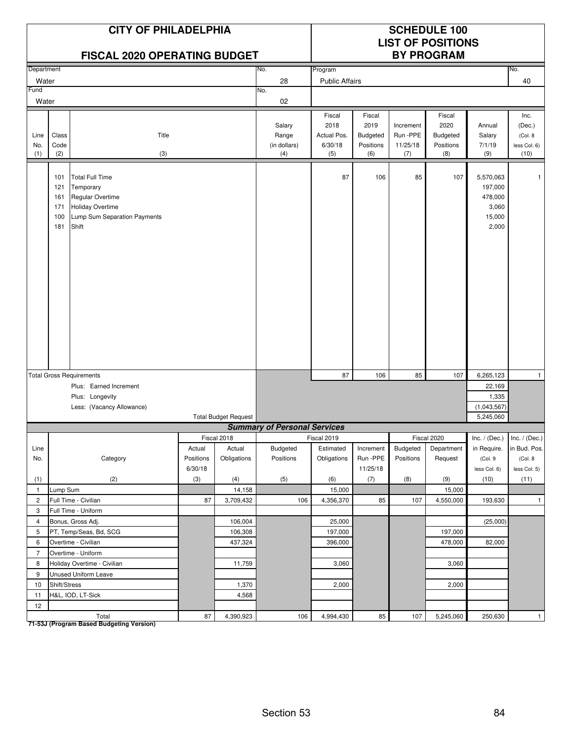|                    |                                        | <b>CITY OF PHILADELPHIA</b><br><b>FISCAL 2020 OPERATING BUDGET</b>                                                          |                     |                             |                                        | <b>SCHEDULE 100</b><br><b>LIST OF POSITIONS</b><br><b>BY PROGRAM</b> |                                                |                                          |                                                |                                                             |                                                   |
|--------------------|----------------------------------------|-----------------------------------------------------------------------------------------------------------------------------|---------------------|-----------------------------|----------------------------------------|----------------------------------------------------------------------|------------------------------------------------|------------------------------------------|------------------------------------------------|-------------------------------------------------------------|---------------------------------------------------|
| Department         |                                        |                                                                                                                             |                     |                             | No.                                    | Program                                                              |                                                |                                          |                                                |                                                             | No.                                               |
| Water              |                                        |                                                                                                                             |                     |                             | 28                                     | <b>Public Affairs</b>                                                |                                                |                                          |                                                |                                                             | 40                                                |
| Fund               |                                        |                                                                                                                             |                     |                             | No.                                    |                                                                      |                                                |                                          |                                                |                                                             |                                                   |
| Water              |                                        |                                                                                                                             |                     |                             | 02                                     |                                                                      |                                                |                                          |                                                |                                                             |                                                   |
| Line<br>No.<br>(1) | Class<br>Code<br>(2)                   | Title<br>(3)                                                                                                                |                     |                             | Salary<br>Range<br>(in dollars)<br>(4) | Fiscal<br>2018<br>Actual Pos.<br>6/30/18<br>(5)                      | Fiscal<br>2019<br>Budgeted<br>Positions<br>(6) | Increment<br>Run -PPE<br>11/25/18<br>(7) | Fiscal<br>2020<br>Budgeted<br>Positions<br>(8) | Annual<br>Salary<br>7/1/19<br>(9)                           | Inc.<br>(Dec.)<br>(Col. 8<br>less Col. 6)<br>(10) |
|                    | 101<br>121<br>161<br>171<br>100<br>181 | <b>Total Full Time</b><br>Temporary<br>Regular Overtime<br><b>Holiday Overtime</b><br>Lump Sum Separation Payments<br>Shift |                     |                             |                                        | 87                                                                   | 106                                            | 85                                       | 107                                            | 5,570,063<br>197,000<br>478,000<br>3,060<br>15,000<br>2,000 | 1                                                 |
|                    |                                        | <b>Total Gross Requirements</b>                                                                                             |                     |                             |                                        | 87                                                                   | 106                                            | 85                                       | 107                                            | 6,265,123                                                   | $\mathbf{1}$                                      |
|                    |                                        | Plus: Earned Increment                                                                                                      |                     |                             |                                        |                                                                      |                                                |                                          |                                                | 22,169                                                      |                                                   |
|                    |                                        | Plus: Longevity                                                                                                             |                     |                             |                                        |                                                                      |                                                |                                          |                                                | 1,335                                                       |                                                   |
|                    |                                        | Less: (Vacancy Allowance)                                                                                                   |                     |                             |                                        |                                                                      |                                                |                                          |                                                | (1,043,567)                                                 |                                                   |
|                    |                                        |                                                                                                                             |                     | <b>Total Budget Request</b> |                                        |                                                                      |                                                |                                          |                                                | 5,245,060                                                   |                                                   |
|                    |                                        |                                                                                                                             |                     |                             | <b>Summary of Personal Services</b>    |                                                                      |                                                |                                          |                                                |                                                             |                                                   |
|                    |                                        |                                                                                                                             |                     | Fiscal 2018                 |                                        | Fiscal 2019                                                          |                                                |                                          | Fiscal 2020                                    | Inc. / (Dec.) Inc. / (Dec.)                                 |                                                   |
| Line<br>No.        |                                        | Category                                                                                                                    | Actual<br>Positions | Actual<br>Obligations       | Budgeted<br>Positions                  | Estimated<br>Obligations                                             | Increment<br>Run -PPE                          | Budgeted<br>Positions                    | Department<br>Request                          | in Require.                                                 | in Bud. Pos.<br>(Col. 8                           |
|                    |                                        |                                                                                                                             | 6/30/18             |                             |                                        |                                                                      | 11/25/18                                       |                                          |                                                | (Col.9<br>less Col. 6)                                      | less Col. 5)                                      |
| (1)                |                                        | (2)                                                                                                                         | (3)                 | (4)                         | (5)                                    | (6)                                                                  | (7)                                            | (8)                                      | (9)                                            | (10)                                                        | (11)                                              |
| $\mathbf{1}$       | Lump Sum                               |                                                                                                                             |                     | 14,158                      |                                        | 15,000                                                               |                                                |                                          | 15,000                                         |                                                             |                                                   |
| $\overline{2}$     |                                        | Full Time - Civilian                                                                                                        | 87                  | 3,709,432                   | 106                                    | 4,356,370                                                            | 85                                             | 107                                      | 4,550,000                                      | 193,630                                                     | $\mathbf{1}$                                      |
| 3                  |                                        | Full Time - Uniform                                                                                                         |                     |                             |                                        |                                                                      |                                                |                                          |                                                |                                                             |                                                   |
| $\overline{4}$     |                                        | Bonus, Gross Adj.                                                                                                           |                     | 106,004                     |                                        | 25,000                                                               |                                                |                                          |                                                | (25,000)                                                    |                                                   |
| 5                  |                                        | PT, Temp/Seas, Bd, SCG                                                                                                      |                     | 106,308                     |                                        | 197,000                                                              |                                                |                                          | 197,000                                        |                                                             |                                                   |
| 6                  |                                        | Overtime - Civilian                                                                                                         |                     | 437,324                     |                                        | 396,000                                                              |                                                |                                          | 478,000                                        | 82,000                                                      |                                                   |
| $\overline{7}$     |                                        | Overtime - Uniform                                                                                                          |                     |                             |                                        |                                                                      |                                                |                                          |                                                |                                                             |                                                   |
| 8                  |                                        | Holiday Overtime - Civilian                                                                                                 |                     | 11,759                      |                                        | 3,060                                                                |                                                |                                          | 3,060                                          |                                                             |                                                   |
| 9                  |                                        | <b>Unused Uniform Leave</b>                                                                                                 |                     |                             |                                        |                                                                      |                                                |                                          |                                                |                                                             |                                                   |
| 10                 | Shift/Stress                           |                                                                                                                             |                     | 1,370                       |                                        | 2,000                                                                |                                                |                                          | 2,000                                          |                                                             |                                                   |
| 11                 |                                        | H&L, IOD, LT-Sick                                                                                                           |                     | 4,568                       |                                        |                                                                      |                                                |                                          |                                                |                                                             |                                                   |
| 12                 |                                        |                                                                                                                             |                     |                             |                                        |                                                                      |                                                |                                          |                                                |                                                             |                                                   |
|                    |                                        | Total                                                                                                                       | 87                  | 4,390,923                   | 106                                    | 4,994,430                                                            | 85                                             | 107                                      | 5,245,060                                      | 250,630                                                     | $\mathbf{1}$                                      |

Total<br>T1-53J (Program Based Budgeting Version)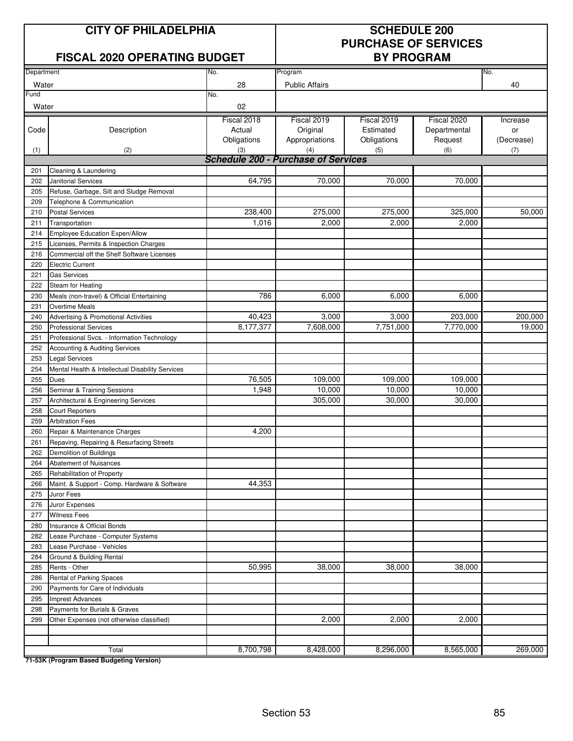### **CITY OF PHILADELPHIA SCHEDULE 200**

| SUNEDULE ZUU                |
|-----------------------------|
| <b>PURCHASE OF SERVICES</b> |
| <b>BY PROGRAM</b>           |

|            | FISCAL 2020 OPERATING BUDGET                                             |                                            | <b>BY PROGRAM</b>     |             |              |            |  |  |
|------------|--------------------------------------------------------------------------|--------------------------------------------|-----------------------|-------------|--------------|------------|--|--|
| Department |                                                                          | No.                                        | Program               |             |              | No.        |  |  |
| Water      |                                                                          | 28                                         | <b>Public Affairs</b> |             |              | 40         |  |  |
| Fund       |                                                                          | No.                                        |                       |             |              |            |  |  |
| Water      |                                                                          | 02                                         |                       |             |              |            |  |  |
|            |                                                                          | Fiscal 2018                                | Fiscal 2019           | Fiscal 2019 | Fiscal 2020  | Increase   |  |  |
| Code       | Description                                                              | Actual                                     | Original              | Estimated   | Departmental | or         |  |  |
|            |                                                                          | Obligations                                | Appropriations        | Obligations | Request      | (Decrease) |  |  |
| (1)        | (2)                                                                      | (3)                                        | (4)                   | (5)         | (6)          | (7)        |  |  |
|            |                                                                          | <b>Schedule 200 - Purchase of Services</b> |                       |             |              |            |  |  |
| 201        | Cleaning & Laundering                                                    |                                            |                       |             |              |            |  |  |
| 202        | Janitorial Services                                                      | 64,795                                     | 70,000                | 70,000      | 70,000       |            |  |  |
| 205        | Refuse, Garbage, Silt and Sludge Removal                                 |                                            |                       |             |              |            |  |  |
| 209        | Telephone & Communication                                                |                                            |                       |             |              |            |  |  |
| 210        | <b>Postal Services</b>                                                   | 238,400                                    | 275,000               | 275,000     | 325,000      | 50,000     |  |  |
| 211        | Transportation                                                           | 1,016                                      | 2,000                 | 2,000       | 2,000        |            |  |  |
| 214        | Employee Education Expen/Allow<br>Licenses, Permits & Inspection Charges |                                            |                       |             |              |            |  |  |
| 215<br>216 | Commercial off the Shelf Software Licenses                               |                                            |                       |             |              |            |  |  |
| 220        | <b>Electric Current</b>                                                  |                                            |                       |             |              |            |  |  |
| 221        | <b>Gas Services</b>                                                      |                                            |                       |             |              |            |  |  |
| 222        | Steam for Heating                                                        |                                            |                       |             |              |            |  |  |
| 230        | Meals (non-travel) & Official Entertaining                               | 786                                        | 6,000                 | 6,000       | 6,000        |            |  |  |
| 231        | <b>Overtime Meals</b>                                                    |                                            |                       |             |              |            |  |  |
| 240        | Advertising & Promotional Activities                                     | 40,423                                     | 3,000                 | 3,000       | 203,000      | 200,000    |  |  |
| 250        | <b>Professional Services</b>                                             | 8,177,377                                  | 7,608,000             | 7,751,000   | 7,770,000    | 19,000     |  |  |
| 251        | Professional Svcs. - Information Technology                              |                                            |                       |             |              |            |  |  |
| 252        | Accounting & Auditing Services                                           |                                            |                       |             |              |            |  |  |
| 253        | <b>Legal Services</b>                                                    |                                            |                       |             |              |            |  |  |
| 254        | Mental Health & Intellectual Disability Services                         |                                            |                       |             |              |            |  |  |
| 255        | Dues                                                                     | 76,505                                     | 109,000               | 109,000     | 109,000      |            |  |  |
| 256        | Seminar & Training Sessions                                              | 1,948                                      | 10,000                | 10,000      | 10,000       |            |  |  |
| 257        | Architectural & Engineering Services                                     |                                            | 305,000               | 30,000      | 30,000       |            |  |  |
| 258        | <b>Court Reporters</b>                                                   |                                            |                       |             |              |            |  |  |
| 259        | <b>Arbitration Fees</b>                                                  |                                            |                       |             |              |            |  |  |
| 260        | Repair & Maintenance Charges                                             | 4,200                                      |                       |             |              |            |  |  |
| 261        | Repaving, Repairing & Resurfacing Streets                                |                                            |                       |             |              |            |  |  |
| 262        | Demolition of Buildings                                                  |                                            |                       |             |              |            |  |  |
| 264        | Abatement of Nuisances                                                   |                                            |                       |             |              |            |  |  |
| 265        | Rehabilitation of Property                                               |                                            |                       |             |              |            |  |  |
| 266        | Maint. & Support - Comp. Hardware & Software                             | 44,353                                     |                       |             |              |            |  |  |
| 275        | Juror Fees                                                               |                                            |                       |             |              |            |  |  |
| 276        | Juror Expenses                                                           |                                            |                       |             |              |            |  |  |
| 277        | <b>Witness Fees</b>                                                      |                                            |                       |             |              |            |  |  |
| 280        | Insurance & Official Bonds                                               |                                            |                       |             |              |            |  |  |
| 282        | Lease Purchase - Computer Systems                                        |                                            |                       |             |              |            |  |  |
| 283        | Lease Purchase - Vehicles                                                |                                            |                       |             |              |            |  |  |
| 284        | Ground & Building Rental                                                 | 50,995                                     | 38,000                | 38,000      | 38,000       |            |  |  |
| 285<br>286 | Rents - Other<br><b>Rental of Parking Spaces</b>                         |                                            |                       |             |              |            |  |  |
| 290        | Payments for Care of Individuals                                         |                                            |                       |             |              |            |  |  |
| 295        | <b>Imprest Advances</b>                                                  |                                            |                       |             |              |            |  |  |
| 298        | Payments for Burials & Graves                                            |                                            |                       |             |              |            |  |  |
| 299        | Other Expenses (not otherwise classified)                                |                                            | 2,000                 | 2,000       | 2,000        |            |  |  |
|            |                                                                          |                                            |                       |             |              |            |  |  |
|            |                                                                          |                                            |                       |             |              |            |  |  |
|            | Total                                                                    | 8,700,798                                  | 8,428,000             | 8,296,000   | 8,565,000    | 269,000    |  |  |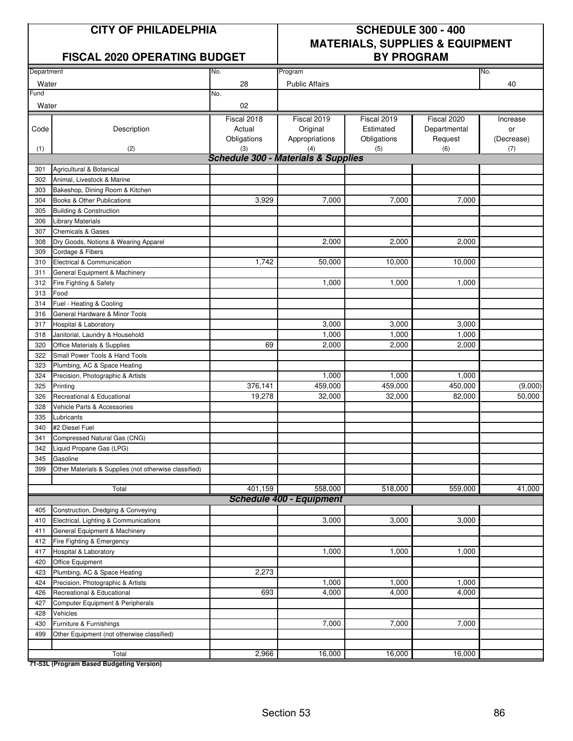### FISCAL 2020 OPERATING BUDGET | BY PROGRAM

## **CITY OF PHILADELPHIA SCHEDULE 300 - 400 MATERIALS, SUPPLIES & EQUIPMENT**

| Department |                                                       | No.                                                   | Program                         |             |              | No.        |
|------------|-------------------------------------------------------|-------------------------------------------------------|---------------------------------|-------------|--------------|------------|
| Water      |                                                       | 28                                                    | <b>Public Affairs</b>           |             |              | 40         |
| Fund       |                                                       | No.                                                   |                                 |             |              |            |
| Water      |                                                       | 02                                                    |                                 |             |              |            |
|            |                                                       | Fiscal 2018                                           | Fiscal 2019                     | Fiscal 2019 | Fiscal 2020  |            |
|            |                                                       | Actual                                                |                                 | Estimated   |              | Increase   |
| Code       | Description                                           |                                                       | Original                        |             | Departmental | or         |
|            |                                                       | Obligations                                           | Appropriations                  | Obligations | Request      | (Decrease) |
| (1)        | (2)                                                   | (3)<br><b>Schedule 300 - Materials &amp; Supplies</b> | (4)                             | (5)         | (6)          | (7)        |
| 301        | Agricultural & Botanical                              |                                                       |                                 |             |              |            |
| 302        | Animal, Livestock & Marine                            |                                                       |                                 |             |              |            |
| 303        | Bakeshop, Dining Room & Kitchen                       |                                                       |                                 |             |              |            |
| 304        | Books & Other Publications                            | 3,929                                                 | 7,000                           | 7,000       | 7,000        |            |
| 305        |                                                       |                                                       |                                 |             |              |            |
|            | <b>Building &amp; Construction</b>                    |                                                       |                                 |             |              |            |
| 306        | <b>Library Materials</b>                              |                                                       |                                 |             |              |            |
| 307        | <b>Chemicals &amp; Gases</b>                          |                                                       |                                 |             |              |            |
| 308        | Dry Goods, Notions & Wearing Apparel                  |                                                       | 2,000                           | 2,000       | 2,000        |            |
| 309        | Cordage & Fibers                                      |                                                       |                                 |             |              |            |
| 310        | Electrical & Communication                            | 1,742                                                 | 50,000                          | 10,000      | 10,000       |            |
| 311        | General Equipment & Machinery                         |                                                       |                                 |             |              |            |
| 312        | Fire Fighting & Safety                                |                                                       | 1,000                           | 1,000       | 1,000        |            |
| 313        | Food                                                  |                                                       |                                 |             |              |            |
| 314        | Fuel - Heating & Cooling                              |                                                       |                                 |             |              |            |
| 316        | General Hardware & Minor Tools                        |                                                       |                                 |             |              |            |
| 317        | Hospital & Laboratory                                 |                                                       | 3,000                           | 3,000       | 3,000        |            |
| 318        | Janitorial, Laundry & Household                       |                                                       | 1,000                           | 1,000       | 1,000        |            |
| 320        | Office Materials & Supplies                           | 69                                                    | 2,000                           | 2,000       | 2,000        |            |
| 322        | Small Power Tools & Hand Tools                        |                                                       |                                 |             |              |            |
| 323        | Plumbing, AC & Space Heating                          |                                                       |                                 |             |              |            |
| 324        | Precision, Photographic & Artists                     |                                                       | 1,000                           | 1,000       | 1,000        |            |
| 325        | Printing                                              | 376,141                                               | 459,000                         | 459,000     | 450,000      | (9,000)    |
| 326        | Recreational & Educational                            | 19,278                                                | 32,000                          | 32,000      | 82,000       | 50,000     |
| 328        | Vehicle Parts & Accessories                           |                                                       |                                 |             |              |            |
| 335        | Lubricants                                            |                                                       |                                 |             |              |            |
| 340        | #2 Diesel Fuel                                        |                                                       |                                 |             |              |            |
| 341        | Compressed Natural Gas (CNG)                          |                                                       |                                 |             |              |            |
| 342        | Liquid Propane Gas (LPG)                              |                                                       |                                 |             |              |            |
| 345        | Gasoline                                              |                                                       |                                 |             |              |            |
| 399        | Other Materials & Supplies (not otherwise classified) |                                                       |                                 |             |              |            |
|            |                                                       |                                                       |                                 |             |              |            |
|            | Total                                                 | 401,159                                               | 558,000                         | 518,000     | 559,000      | 41,000     |
|            |                                                       |                                                       | <b>Schedule 400 - Equipment</b> |             |              |            |
| 405        | Construction, Dredging & Conveying                    |                                                       |                                 |             |              |            |
| 410        | Electrical, Lighting & Communications                 |                                                       | 3,000                           | 3,000       | 3,000        |            |
| 411        | General Equipment & Machinery                         |                                                       |                                 |             |              |            |
| 412        | Fire Fighting & Emergency                             |                                                       |                                 |             |              |            |
| 417        | Hospital & Laboratory                                 |                                                       | 1,000                           | 1,000       | 1,000        |            |
| 420        | Office Equipment                                      |                                                       |                                 |             |              |            |
| 423        | Plumbing, AC & Space Heating                          | 2,273                                                 |                                 |             |              |            |
| 424        | Precision, Photographic & Artists                     |                                                       | 1,000                           | 1,000       | 1,000        |            |
| 426        | Recreational & Educational                            | 693                                                   | 4,000                           | 4,000       | 4,000        |            |
| 427        | Computer Equipment & Peripherals                      |                                                       |                                 |             |              |            |
| 428        | Vehicles                                              |                                                       |                                 |             |              |            |
| 430        | Furniture & Furnishings                               |                                                       | 7,000                           | 7,000       | 7,000        |            |
| 499        | Other Equipment (not otherwise classified)            |                                                       |                                 |             |              |            |
|            |                                                       |                                                       |                                 |             |              |            |
|            | Total                                                 | 2,966                                                 | 16,000                          | 16,000      | 16,000       |            |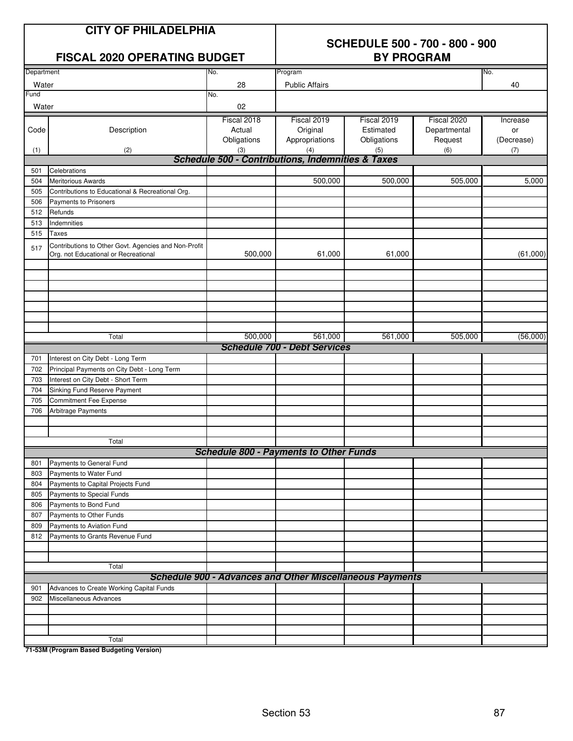|               | <b>CITY OF PHILADELPHIA</b><br><b>FISCAL 2020 OPERATING BUDGET</b>                           |                                      | <b>SCHEDULE 500 - 700 - 800 - 900</b><br><b>BY PROGRAM</b>      |                                         |                                        |                              |  |
|---------------|----------------------------------------------------------------------------------------------|--------------------------------------|-----------------------------------------------------------------|-----------------------------------------|----------------------------------------|------------------------------|--|
| Department    |                                                                                              | No.                                  | Program                                                         |                                         |                                        | No.                          |  |
| Water<br>Fund |                                                                                              | 28<br>No.                            | <b>Public Affairs</b>                                           |                                         |                                        | 40                           |  |
| Water         |                                                                                              | 02                                   |                                                                 |                                         |                                        |                              |  |
| Code          | Description                                                                                  | Fiscal 2018<br>Actual<br>Obligations | Fiscal 2019<br>Original<br>Appropriations                       | Fiscal 2019<br>Estimated<br>Obligations | Fiscal 2020<br>Departmental<br>Request | Increase<br>or<br>(Decrease) |  |
| (1)           | (2)                                                                                          | (3)                                  | (4)                                                             | (5)                                     | (6)                                    | (7)                          |  |
|               |                                                                                              |                                      | <b>Schedule 500 - Contributions, Indemnities &amp; Taxes</b>    |                                         |                                        |                              |  |
| 501           | Celebrations                                                                                 |                                      |                                                                 |                                         |                                        |                              |  |
| 504           | <b>Meritorious Awards</b>                                                                    |                                      | 500,000                                                         | 500,000                                 | 505,000                                | 5,000                        |  |
| 505           | Contributions to Educational & Recreational Org.                                             |                                      |                                                                 |                                         |                                        |                              |  |
| 506<br>512    | Payments to Prisoners<br>Refunds                                                             |                                      |                                                                 |                                         |                                        |                              |  |
| 513           | Indemnities                                                                                  |                                      |                                                                 |                                         |                                        |                              |  |
| 515           | <b>Taxes</b>                                                                                 |                                      |                                                                 |                                         |                                        |                              |  |
| 517           | Contributions to Other Govt. Agencies and Non-Profit<br>Org. not Educational or Recreational | 500,000                              | 61,000                                                          | 61,000                                  |                                        | (61,000)                     |  |
|               |                                                                                              |                                      |                                                                 |                                         |                                        |                              |  |
|               | Total                                                                                        | 500,000                              | 561,000<br><b>Schedule 700 - Debt Services</b>                  | 561,000                                 | 505,000                                | (56,000)                     |  |
| 701           | Interest on City Debt - Long Term                                                            |                                      |                                                                 |                                         |                                        |                              |  |
| 702           | Principal Payments on City Debt - Long Term                                                  |                                      |                                                                 |                                         |                                        |                              |  |
| 703           | Interest on City Debt - Short Term                                                           |                                      |                                                                 |                                         |                                        |                              |  |
| 704           | Sinking Fund Reserve Payment                                                                 |                                      |                                                                 |                                         |                                        |                              |  |
| 705           | <b>Commitment Fee Expense</b>                                                                |                                      |                                                                 |                                         |                                        |                              |  |
| 706           | <b>Arbitrage Payments</b>                                                                    |                                      |                                                                 |                                         |                                        |                              |  |
|               | Total                                                                                        |                                      |                                                                 |                                         |                                        |                              |  |
|               |                                                                                              |                                      | <b>Schedule 800 - Payments to Other Funds</b>                   |                                         |                                        |                              |  |
| 801<br>803    | Payments to General Fund<br>Payments to Water Fund                                           |                                      |                                                                 |                                         |                                        |                              |  |
| 804           | Payments to Capital Projects Fund                                                            |                                      |                                                                 |                                         |                                        |                              |  |
| 805           | Payments to Special Funds                                                                    |                                      |                                                                 |                                         |                                        |                              |  |
| 806           | Payments to Bond Fund                                                                        |                                      |                                                                 |                                         |                                        |                              |  |
| 807           | Payments to Other Funds                                                                      |                                      |                                                                 |                                         |                                        |                              |  |
| 809           | Payments to Aviation Fund                                                                    |                                      |                                                                 |                                         |                                        |                              |  |
| 812           | Payments to Grants Revenue Fund                                                              |                                      |                                                                 |                                         |                                        |                              |  |
|               | Total                                                                                        |                                      |                                                                 |                                         |                                        |                              |  |
|               |                                                                                              |                                      | <b>Schedule 900 - Advances and Other Miscellaneous Payments</b> |                                         |                                        |                              |  |
| 901           | Advances to Create Working Capital Funds                                                     |                                      |                                                                 |                                         |                                        |                              |  |
| 902           | Miscellaneous Advances                                                                       |                                      |                                                                 |                                         |                                        |                              |  |
|               |                                                                                              |                                      |                                                                 |                                         |                                        |                              |  |
|               |                                                                                              |                                      |                                                                 |                                         |                                        |                              |  |
|               |                                                                                              |                                      |                                                                 |                                         |                                        |                              |  |
|               | Total                                                                                        |                                      |                                                                 |                                         |                                        |                              |  |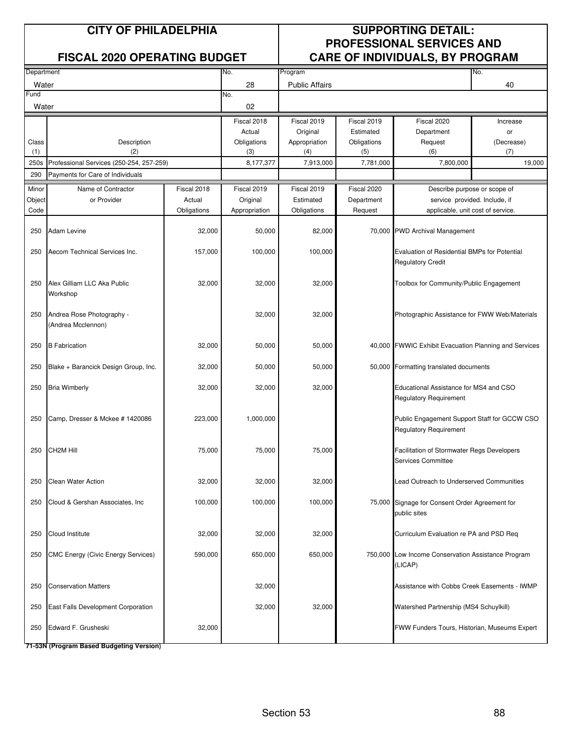|               |                                                 |             |               |                       | , טשמטשוזוטיוט וט |                                                                                 |            |  |
|---------------|-------------------------------------------------|-------------|---------------|-----------------------|-------------------|---------------------------------------------------------------------------------|------------|--|
| Department    |                                                 |             | No.           | Program               |                   |                                                                                 | No.        |  |
| Water         |                                                 |             | 28            | <b>Public Affairs</b> |                   |                                                                                 | 40         |  |
| Fund<br>Water |                                                 |             | No.<br>02     |                       |                   |                                                                                 |            |  |
|               |                                                 |             | Fiscal 2018   | Fiscal 2019           | Fiscal 2019       | Fiscal 2020                                                                     | Increase   |  |
|               |                                                 |             | Actual        | Original              | Estimated         | Department                                                                      | or         |  |
| Class         | Description                                     |             | Obligations   | Appropriation         | Obligations       | Request                                                                         | (Decrease) |  |
| (1)           | (2)                                             |             | (3)           | (4)                   | (5)               | (6)                                                                             | (7)        |  |
| 250s          | Professional Services (250-254, 257-259)        |             | 8,177,377     | 7,913,000             | 7,781,000         | 7,800,000                                                                       | 19,000     |  |
| 290           | Payments for Care of Individuals                |             |               |                       |                   |                                                                                 |            |  |
| Minor         | Name of Contractor                              | Fiscal 2018 | Fiscal 2019   | Fiscal 2019           | Fiscal 2020       | Describe purpose or scope of                                                    |            |  |
| Object        | or Provider                                     | Actual      | Original      | Estimated             | Department        | service provided. Include, if                                                   |            |  |
| Code          |                                                 | Obligations | Appropriation | Obligations           | Request           | applicable, unit cost of service.                                               |            |  |
| 250           | <b>Adam Levine</b>                              | 32,000      | 50,000        | 82,000                | 70,000            | <b>PWD Archival Management</b>                                                  |            |  |
| 250           | Aecom Technical Services Inc.                   | 157,000     | 100,000       | 100,000               |                   | <b>Evaluation of Residential BMPs for Potential</b><br><b>Regulatory Credit</b> |            |  |
| 250           | Alex Gilliam LLC Aka Public<br>Workshop         | 32,000      | 32,000        | 32,000                |                   | Toolbox for Community/Public Engagement                                         |            |  |
| 250           | Andrea Rose Photography -<br>(Andrea Mcclennon) |             | 32,000        | 32,000                |                   | Photographic Assistance for FWW Web/Materials                                   |            |  |
| 250           | <b>B</b> Fabrication                            | 32,000      | 50,000        | 50,000                | 40,000            | FWWIC Exhibit Evacuation Planning and Services                                  |            |  |
| 250           | Blake + Barancick Design Group, Inc.            | 32,000      | 50,000        | 50,000                | 50,000            | Formatting translated documents                                                 |            |  |
| 250           | <b>Bria Wimberly</b>                            | 32,000      | 32,000        | 32,000                |                   | Educational Assistance for MS4 and CSO<br>Regulatory Requirement                |            |  |
| 250           | Camp, Dresser & Mckee # 1420086                 | 223,000     | 1,000,000     |                       |                   | Public Engagement Support Staff for GCCW CSO<br><b>Regulatory Requirement</b>   |            |  |
| 250           | CH2M Hill                                       | 75,000      | 75,000        | 75,000                |                   | Facilitation of Stormwater Regs Developers<br>Services Committee                |            |  |
| 250           | Clean Water Action                              | 32,000      | 32,000        | 32,000                |                   | ead Outreach to Underserved Communities                                         |            |  |
| 250           | Cloud & Gershan Associates, Inc.                | 100,000     | 100,000       | 100,000               |                   | 75,000 Signage for Consent Order Agreement for<br>public sites                  |            |  |
| 250           | Cloud Institute                                 | 32,000      | 32,000        | 32,000                |                   | Curriculum Evaluation re PA and PSD Req                                         |            |  |
| 250           | <b>CMC Energy (Civic Energy Services)</b>       | 590,000     | 650,000       | 650,000               |                   | 750,000 Low Income Conservation Assistance Program<br>(LICAP)                   |            |  |
| 250           | <b>Conservation Matters</b>                     |             | 32,000        |                       |                   | Assistance with Cobbs Creek Easements - IWMP                                    |            |  |
| 250           | East Falls Development Corporation              |             | 32,000        | 32,000                |                   | Watershed Partnership (MS4 Schuylkill)                                          |            |  |
| 250           | Edward F. Grusheski                             | 32,000      |               |                       |                   | FWW Funders Tours, Historian, Museums Expert                                    |            |  |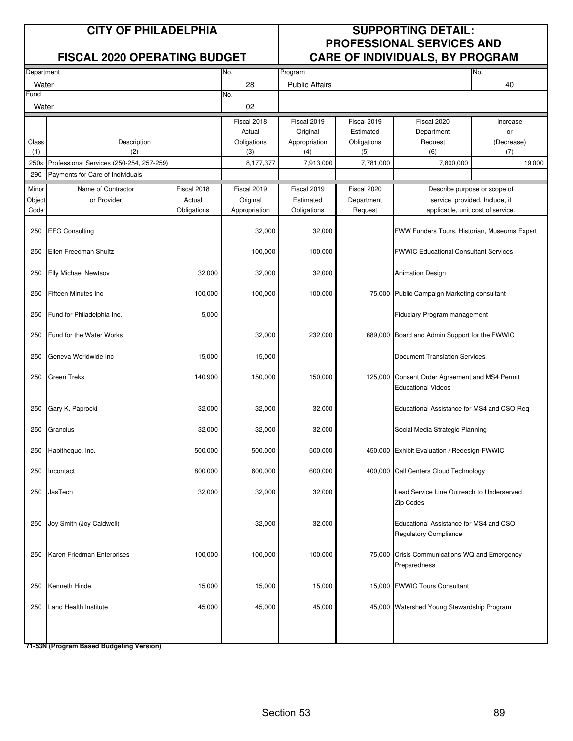| Department |                                          |             | No.           | Program               |             |                                                                        | No.                          |  |
|------------|------------------------------------------|-------------|---------------|-----------------------|-------------|------------------------------------------------------------------------|------------------------------|--|
| Water      |                                          |             | 28            | <b>Public Affairs</b> |             |                                                                        | 40                           |  |
| Fund       |                                          |             | No.           |                       |             |                                                                        |                              |  |
| Water      |                                          |             | 02            |                       |             |                                                                        |                              |  |
|            |                                          |             | Fiscal 2018   | Fiscal 2019           | Fiscal 2019 | Fiscal 2020                                                            | Increase                     |  |
|            |                                          |             | Actual        | Original              | Estimated   | Department                                                             | or                           |  |
| Class      | Description                              |             | Obligations   | Appropriation         | Obligations | Request                                                                | (Decrease)                   |  |
| (1)        | (2)                                      |             | (3)           | (4)                   | (5)         | (6)                                                                    | (7)                          |  |
| 250s       | Professional Services (250-254, 257-259) |             | 8,177,377     | 7,913,000             | 7,781,000   | 7,800,000                                                              | 19,000                       |  |
| 290        | Payments for Care of Individuals         |             |               |                       |             |                                                                        |                              |  |
| Minor      | Name of Contractor                       | Fiscal 2018 | Fiscal 2019   | Fiscal 2019           | Fiscal 2020 |                                                                        | Describe purpose or scope of |  |
| Object     | or Provider                              | Actual      | Original      | Estimated             | Department  | service provided. Include, if                                          |                              |  |
| Code       |                                          | Obligations | Appropriation | Obligations           | Request     | applicable, unit cost of service.                                      |                              |  |
|            |                                          |             |               |                       |             |                                                                        |                              |  |
| 250        | <b>EFG Consulting</b>                    |             | 32,000        | 32,000                |             | FWW Funders Tours, Historian, Museums Expert                           |                              |  |
| 250        | Ellen Freedman Shultz                    |             | 100,000       | 100,000               |             | <b>FWWIC Educational Consultant Services</b>                           |                              |  |
| 250        | <b>Elly Michael Newtsov</b>              | 32,000      | 32,000        | 32,000                |             | <b>Animation Design</b>                                                |                              |  |
| 250        | <b>Fifteen Minutes Inc</b>               | 100,000     | 100,000       | 100,000               |             | 75,000 Public Campaign Marketing consultant                            |                              |  |
| 250        | Fund for Philadelphia Inc.               | 5,000       |               |                       |             | Fiduciary Program management                                           |                              |  |
| 250        | Fund for the Water Works                 |             | 32,000        | 232,000               |             | 689,000 Board and Admin Support for the FWWIC                          |                              |  |
| 250        | Geneva Worldwide Inc                     | 15,000      | 15,000        |                       |             | <b>Document Translation Services</b>                                   |                              |  |
| 250        | Green Treks                              | 140,900     | 150,000       | 150,000               |             | 125,000 Consent Order Agreement and MS4 Permit<br>Educational Videos   |                              |  |
| 250        | Gary K. Paprocki                         | 32,000      | 32,000        | 32,000                |             | Educational Assistance for MS4 and CSO Req                             |                              |  |
| 250        | Grancius                                 | 32,000      | 32,000        | 32,000                |             | Social Media Strategic Planning                                        |                              |  |
| 250        | Habitheque, Inc.                         | 500,000     | 500,000       | 500,000               |             | 450,000 Exhibit Evaluation / Redesign-FWWIC                            |                              |  |
| 250        | Incontact                                | 800,000     | 600,000       | 600,000               |             | 400,000 Call Centers Cloud Technology                                  |                              |  |
| 250        | <b>JasTech</b>                           | 32,000      | 32,000        | 32,000                |             | Lead Service Line Outreach to Underserved<br>Zip Codes                 |                              |  |
| 250        | Joy Smith (Joy Caldwell)                 |             | 32,000        | 32,000                |             | Educational Assistance for MS4 and CSO<br><b>Regulatory Compliance</b> |                              |  |
| 250        | Karen Friedman Enterprises               | 100,000     | 100,000       | 100,000               |             | 75,000 Crisis Communications WQ and Emergency<br>Preparedness          |                              |  |
| 250        | Kenneth Hinde                            | 15,000      | 15,000        | 15,000                |             | 15,000 FWWIC Tours Consultant                                          |                              |  |
| 250        | Land Health Institute                    | 45,000      | 45,000        | 45,000                |             | 45,000 Watershed Young Stewardship Program                             |                              |  |
|            |                                          |             |               |                       |             |                                                                        |                              |  |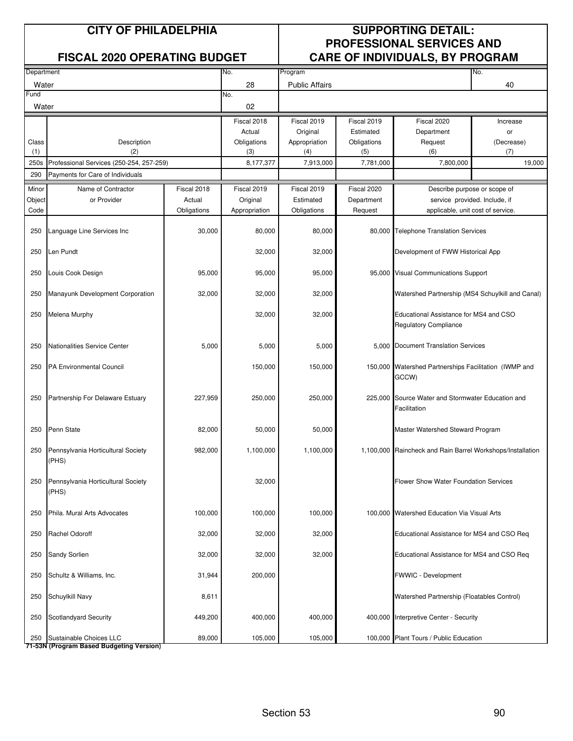|            |                                             |             |               |                       |             | . .                                                                    |            |  |
|------------|---------------------------------------------|-------------|---------------|-----------------------|-------------|------------------------------------------------------------------------|------------|--|
| Department |                                             |             | No.           | Program               |             |                                                                        | No.        |  |
| Water      |                                             |             | 28            | <b>Public Affairs</b> |             |                                                                        | 40         |  |
| Fund       |                                             |             | No.           |                       |             |                                                                        |            |  |
| Water      |                                             |             | 02            |                       |             |                                                                        |            |  |
|            |                                             |             | Fiscal 2018   | Fiscal 2019           | Fiscal 2019 | Fiscal 2020                                                            | Increase   |  |
|            |                                             |             | Actual        | Original              | Estimated   | Department                                                             | or         |  |
| Class      | Description                                 |             | Obligations   | Appropriation         | Obligations | Request                                                                | (Decrease) |  |
| (1)        | (2)                                         |             | (3)           | (4)                   | (5)         | (6)                                                                    | (7)        |  |
| 250s       | Professional Services (250-254, 257-259)    |             | 8,177,377     | 7,913,000             | 7,781,000   | 7,800,000                                                              | 19.000     |  |
| 290        | Payments for Care of Individuals            |             |               |                       |             |                                                                        |            |  |
| Minor      | Name of Contractor                          | Fiscal 2018 | Fiscal 2019   | Fiscal 2019           | Fiscal 2020 | Describe purpose or scope of                                           |            |  |
|            | or Provider                                 | Actual      | Original      | Estimated             | Department  | service provided. Include, if                                          |            |  |
| Object     |                                             |             |               |                       |             |                                                                        |            |  |
| Code       |                                             | Obligations | Appropriation | Obligations           | Request     | applicable, unit cost of service.                                      |            |  |
| 250        | Language Line Services Inc                  | 30,000      | 80,000        | 80,000                |             | 80,000 Telephone Translation Services                                  |            |  |
| 250        | Len Pundt                                   |             | 32,000        | 32,000                |             | Development of FWW Historical App                                      |            |  |
| 250        | Louis Cook Design                           | 95,000      | 95,000        | 95,000                |             | 95,000 Visual Communications Support                                   |            |  |
| 250        | Manayunk Development Corporation            | 32,000      | 32,000        | 32,000                |             | Watershed Partnership (MS4 Schuylkill and Canal)                       |            |  |
| 250        | Melena Murphy                               |             | 32,000        | 32,000                |             | Educational Assistance for MS4 and CSO<br><b>Regulatory Compliance</b> |            |  |
| 250        | Nationalities Service Center                | 5,000       | 5,000         | 5,000                 |             | 5,000 Document Translation Services                                    |            |  |
| 250        | <b>PA Environmental Council</b>             |             | 150,000       | 150,000               |             | 150,000 Watershed Partnerships Facilitation (IWMP and<br>GCCW)         |            |  |
| 250        | Partnership For Delaware Estuary            | 227,959     | 250,000       | 250,000               |             | 225,000 Source Water and Stormwater Education and<br>Facilitation      |            |  |
| 250        | Penn State                                  | 82,000      | 50,000        | 50,000                |             | Master Watershed Steward Program                                       |            |  |
| 250        | Pennsylvania Horticultural Society<br>(PHS) | 982,000     | 1,100,000     | 1,100,000             |             | 1,100,000 Raincheck and Rain Barrel Workshops/Installation             |            |  |
| 250        | Pennsylvania Horticultural Society<br>(PHS) |             | 32,000        |                       |             | Hower Show Water Foundation Services                                   |            |  |
| 250        | Phila. Mural Arts Advocates                 | 100,000     | 100,000       | 100,000               |             | 100,000 Watershed Education Via Visual Arts                            |            |  |
| 250        | Rachel Odoroff                              | 32,000      | 32,000        | 32,000                |             | Educational Assistance for MS4 and CSO Req                             |            |  |
| 250        | Sandy Sorlien                               | 32,000      | 32,000        | 32,000                |             | Educational Assistance for MS4 and CSO Req                             |            |  |
| 250        | Schultz & Williams, Inc.                    | 31,944      | 200,000       |                       |             | FWWIC - Development                                                    |            |  |
| 250        | Schuylkill Navy                             | 8,611       |               |                       |             | Watershed Partnership (Floatables Control)                             |            |  |
| 250        | Scotlandyard Security                       | 449,200     | 400,000       | 400,000               |             | 400,000 Interpretive Center - Security                                 |            |  |
| 250        | Sustainable Choices LLC                     | 89,000      | 105,000       | 105,000               |             | 100,000 Plant Tours / Public Education                                 |            |  |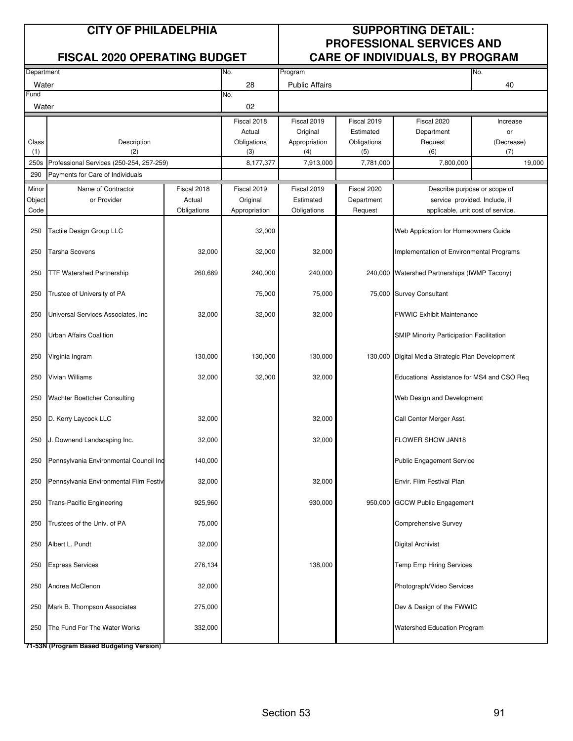| Department |                                          |             | No.           | Program               |             |                                                  | No.        |  |
|------------|------------------------------------------|-------------|---------------|-----------------------|-------------|--------------------------------------------------|------------|--|
| Water      |                                          |             | 28            | <b>Public Affairs</b> |             |                                                  | 40         |  |
| Fund       |                                          |             | No.           |                       |             |                                                  |            |  |
| Water      |                                          |             | 02            |                       |             |                                                  |            |  |
|            |                                          |             | Fiscal 2018   | Fiscal 2019           | Fiscal 2019 | Fiscal 2020                                      | Increase   |  |
|            |                                          |             | Actual        | Original              | Estimated   | Department                                       | or         |  |
| Class      | Description                              |             | Obligations   | Appropriation         | Obligations | Request                                          | (Decrease) |  |
| (1)        | (2)                                      |             | (3)           | (4)                   | (5)         | (6)                                              | (7)        |  |
| 250s       | Professional Services (250-254, 257-259) |             | 8,177,377     | 7,913,000             | 7,781,000   | 7,800,000                                        | 19,000     |  |
| 290        | Payments for Care of Individuals         |             |               |                       |             |                                                  |            |  |
| Minor      | Name of Contractor                       | Fiscal 2018 | Fiscal 2019   | Fiscal 2019           | Fiscal 2020 | Describe purpose or scope of                     |            |  |
| Object     | or Provider                              | Actual      | Original      | Estimated             | Department  | service provided. Include, if                    |            |  |
| Code       |                                          | Obligations | Appropriation | Obligations           | Request     | applicable, unit cost of service.                |            |  |
| 250        | Tactile Design Group LLC                 |             | 32,000        |                       |             | Web Application for Homeowners Guide             |            |  |
| 250        | <b>Tarsha Scovens</b>                    | 32,000      | 32,000        | 32,000                |             | Implementation of Environmental Programs         |            |  |
| 250        | <b>TTF Watershed Partnership</b>         | 260,669     | 240,000       | 240,000               |             | 240,000 Watershed Partnerships (IWMP Tacony)     |            |  |
| 250        | Trustee of University of PA              |             | 75,000        | 75,000                |             | 75,000 Survey Consultant                         |            |  |
| 250        | Universal Services Associates, Inc       | 32,000      | 32,000        | 32,000                |             | WWIC Exhibit Maintenance                         |            |  |
| 250        | Urban Affairs Coalition                  |             |               |                       |             | <b>SMIP Minority Participation Facilitation</b>  |            |  |
| 250        | Virginia Ingram                          | 130,000     | 130,000       | 130,000               |             | 130,000 Digital Media Strategic Plan Development |            |  |
| 250        | Vivian Williams                          | 32,000      | 32,000        | 32,000                |             | Educational Assistance for MS4 and CSO Req       |            |  |
| 250        | Wachter Boettcher Consulting             |             |               |                       |             | Web Design and Development                       |            |  |
| 250        | D. Kerry Laycock LLC                     | 32,000      |               | 32,000                |             | Call Center Merger Asst.                         |            |  |
| 250        | J. Downend Landscaping Inc.              | 32,000      |               | 32,000                |             | FLOWER SHOW JAN18                                |            |  |
| 250        | Pennsylvania Environmental Council Ind   | 140,000     |               |                       |             | <b>Public Engagement Service</b>                 |            |  |
| 250        | Pennsylvania Environmental Film Festiv   | 32,000      |               | 32,000                |             | Envir. Film Festival Plan                        |            |  |
| 250        | <b>Trans-Pacific Engineering</b>         | 925,960     |               | 930,000               |             | 950,000 GCCW Public Engagement                   |            |  |
| 250        | Trustees of the Univ. of PA              | 75,000      |               |                       |             | <b>Comprehensive Survey</b>                      |            |  |
| 250        | Albert L. Pundt                          | 32,000      |               |                       |             | <b>Digital Archivist</b>                         |            |  |
| 250        | <b>Express Services</b>                  | 276,134     |               | 138,000               |             | <b>Temp Emp Hiring Services</b>                  |            |  |
| 250        | Andrea McClenon                          | 32,000      |               |                       |             | Photograph/Video Services                        |            |  |
| 250        | Mark B. Thompson Associates              | 275,000     |               |                       |             | Dev & Design of the FWWIC                        |            |  |
| 250        | The Fund For The Water Works             | 332,000     |               |                       |             | Watershed Education Program                      |            |  |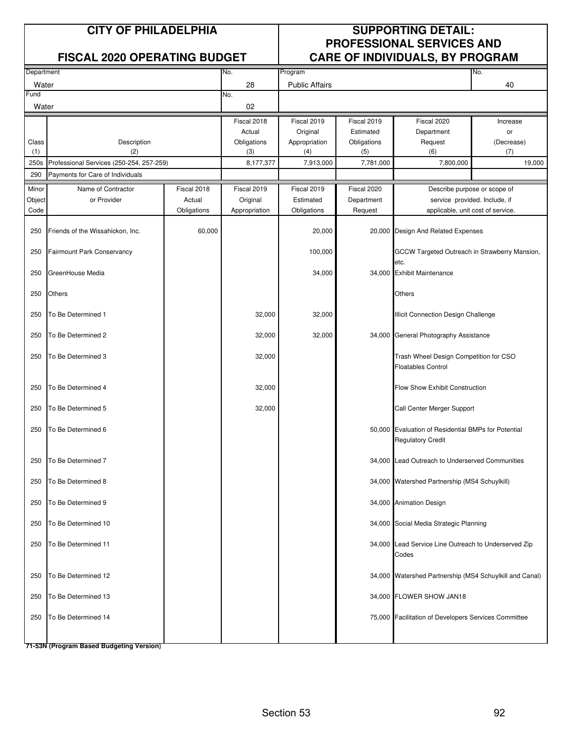|            |                                          |             |               |                       |             | . .                                                                             |            |
|------------|------------------------------------------|-------------|---------------|-----------------------|-------------|---------------------------------------------------------------------------------|------------|
| Department |                                          |             | No.           | Program               |             |                                                                                 | No.        |
| Water      |                                          |             | 28            | <b>Public Affairs</b> |             |                                                                                 | 40         |
| Fund       |                                          |             | No.           |                       |             |                                                                                 |            |
| Water      |                                          |             | 02            |                       |             |                                                                                 |            |
|            |                                          |             | Fiscal 2018   | Fiscal 2019           | Fiscal 2019 | Fiscal 2020                                                                     | Increase   |
|            |                                          |             | Actual        | Original              | Estimated   | Department                                                                      | or         |
| Class      | Description                              |             | Obligations   | Appropriation         | Obligations | Request                                                                         | (Decrease) |
| (1)        | (2)                                      |             | (3)           | (4)                   | (5)         | (6)                                                                             | (7)        |
| 250s       | Professional Services (250-254, 257-259) |             | 8,177,377     | 7,913,000             | 7,781,000   | 7,800,000                                                                       | 19,000     |
| 290        | Payments for Care of Individuals         |             |               |                       |             |                                                                                 |            |
|            |                                          |             |               |                       |             |                                                                                 |            |
| Minor      | Name of Contractor                       | Fiscal 2018 | Fiscal 2019   | Fiscal 2019           | Fiscal 2020 | Describe purpose or scope of                                                    |            |
| Object     | or Provider                              | Actual      | Original      | Estimated             | Department  | service provided. Include, if                                                   |            |
| Code       |                                          | Obligations | Appropriation | Obligations           | Request     | applicable, unit cost of service.                                               |            |
| 250        | Friends of the Wissahickon, Inc.         | 60,000      |               | 20,000                | 20,000      | Design And Related Expenses                                                     |            |
| 250        | <b>Fairmount Park Conservancy</b>        |             |               | 100,000               |             | GCCW Targeted Outreach in Strawberry Mansion,                                   |            |
| 250        | GreenHouse Media                         |             |               | 34,000                |             | etc.<br>34,000 Exhibit Maintenance                                              |            |
| 250        | Others                                   |             |               |                       |             | Others                                                                          |            |
| 250        | To Be Determined 1                       |             | 32,000        | 32,000                |             | Illicit Connection Design Challenge                                             |            |
| 250        | To Be Determined 2                       |             | 32,000        | 32,000                |             | 34,000 General Photography Assistance                                           |            |
| 250        | To Be Determined 3                       |             | 32,000        |                       |             | Trash Wheel Design Competition for CSO<br><b>Floatables Control</b>             |            |
| 250        | To Be Determined 4                       |             | 32,000        |                       |             | Flow Show Exhibit Construction                                                  |            |
| 250        | To Be Determined 5                       |             | 32,000        |                       |             | Call Center Merger Support                                                      |            |
| 250        | To Be Determined 6                       |             |               |                       |             | 50,000 Evaluation of Residential BMPs for Potential<br><b>Regulatory Credit</b> |            |
| 250        | To Be Determined 7                       |             |               |                       |             | 34,000 Lead Outreach to Underserved Communities                                 |            |
| 250        | To Be Determined 8                       |             |               |                       |             | 34,000 Watershed Partnership (MS4 Schuylkill)                                   |            |
| 250        | To Be Determined 9                       |             |               |                       |             | 34,000 Animation Design                                                         |            |
| 250        | To Be Determined 10                      |             |               |                       |             | 34,000 Social Media Strategic Planning                                          |            |
| 250        | To Be Determined 11                      |             |               |                       |             | 34,000 Lead Service Line Outreach to Underserved Zip<br>Codes                   |            |
| 250        | To Be Determined 12                      |             |               |                       |             | 34,000 Watershed Partnership (MS4 Schuylkill and Canal)                         |            |
| 250        | To Be Determined 13                      |             |               |                       |             | 34,000 FLOWER SHOW JAN18                                                        |            |
| 250        | To Be Determined 14                      |             |               |                       |             | 75,000 Facilitation of Developers Services Committee                            |            |
|            |                                          |             |               |                       |             |                                                                                 |            |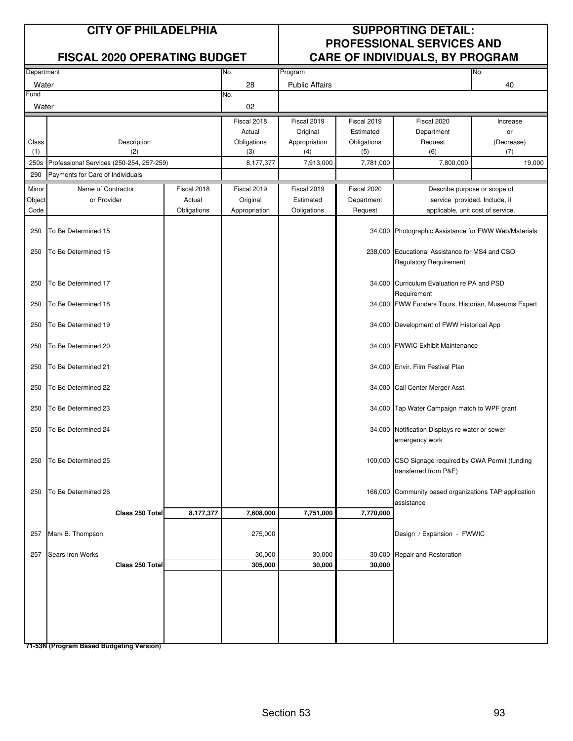| Department |                                          |             | No.           | Program               |             |                                                                                 | No.                           |  |
|------------|------------------------------------------|-------------|---------------|-----------------------|-------------|---------------------------------------------------------------------------------|-------------------------------|--|
| Water      |                                          |             | 28            | <b>Public Affairs</b> |             |                                                                                 | 40                            |  |
| Fund       |                                          |             | No.           |                       |             |                                                                                 |                               |  |
| Water      |                                          |             | 02            |                       |             |                                                                                 |                               |  |
|            |                                          |             | Fiscal 2018   | Fiscal 2019           | Fiscal 2019 | Fiscal 2020                                                                     | Increase                      |  |
|            |                                          |             | Actual        | Original              | Estimated   | Department                                                                      | or                            |  |
| Class      | Description                              |             | Obligations   | Appropriation         | Obligations | Request                                                                         | (Decrease)                    |  |
| (1)        | (2)                                      |             | (3)           | (4)                   | (5)         | (6)                                                                             | (7)                           |  |
| 250s       | Professional Services (250-254, 257-259) |             | 8,177,377     | 7,913,000             | 7,781,000   | 7,800,000                                                                       | 19,000                        |  |
| 290        | Payments for Care of Individuals         |             |               |                       |             |                                                                                 |                               |  |
| Minor      | Name of Contractor                       | Fiscal 2018 | Fiscal 2019   | Fiscal 2019           | Fiscal 2020 |                                                                                 | Describe purpose or scope of  |  |
| Object     | or Provider                              | Actual      | Original      | Estimated             | Department  |                                                                                 | service provided. Include, if |  |
| Code       |                                          | Obligations | Appropriation | Obligations           | Request     | applicable, unit cost of service.                                               |                               |  |
|            |                                          |             |               |                       |             |                                                                                 |                               |  |
| 250        | To Be Determined 15                      |             |               |                       |             | 34,000 Photographic Assistance for FWW Web/Materials                            |                               |  |
| 250        | To Be Determined 16                      |             |               |                       |             | 238,000 Educational Assistance for MS4 and CSO<br><b>Regulatory Requirement</b> |                               |  |
| 250        | To Be Determined 17                      |             |               |                       |             | 34,000 Curriculum Evaluation re PA and PSD<br>Requirement                       |                               |  |
| 250        | To Be Determined 18                      |             |               |                       |             | 34,000 FWW Funders Tours, Historian, Museums Expert                             |                               |  |
| 250        | To Be Determined 19                      |             |               |                       |             | 34,000 Development of FWW Historical App                                        |                               |  |
| 250        | To Be Determined 20                      |             |               |                       |             | 34,000 FWWIC Exhibit Maintenance                                                |                               |  |
| 250        | To Be Determined 21                      |             |               |                       |             | 34,000 Envir. Film Festival Plan                                                |                               |  |
| 250        | To Be Determined 22                      |             |               |                       |             | 34,000 Call Center Merger Asst.                                                 |                               |  |
| 250        | To Be Determined 23                      |             |               |                       |             | 34,000 Tap Water Campaign match to WPF grant                                    |                               |  |
| 250        | To Be Determined 24                      |             |               |                       |             | 34,000 Notification Displays re water or sewer<br>emergency work                |                               |  |
| 250        | To Be Determined 25                      |             |               |                       |             | 100,000 CSO Signage required by CWA Permit (funding<br>transferred from P&E)    |                               |  |
| 250        | To Be Determined 26                      |             |               |                       |             | 166,000 Community based organizations TAP application<br>assistance             |                               |  |
|            | Class 250 Total                          | 8,177,377   | 7,608,000     | 7,751,000             | 7,770,000   |                                                                                 |                               |  |
| 257        | Mark B. Thompson                         |             | 275,000       |                       |             | Design / Expansion - FWWIC                                                      |                               |  |
| 257        | Sears Iron Works                         |             | 30,000        | 30,000                |             | 30,000 Repair and Restoration                                                   |                               |  |
|            | Class 250 Total                          |             | 305,000       | 30,000                | 30,000      |                                                                                 |                               |  |
|            |                                          |             |               |                       |             |                                                                                 |                               |  |
|            |                                          |             |               |                       |             |                                                                                 |                               |  |
|            |                                          |             |               |                       |             |                                                                                 |                               |  |
|            |                                          |             |               |                       |             |                                                                                 |                               |  |
|            |                                          |             |               |                       |             |                                                                                 |                               |  |
|            |                                          |             |               |                       |             |                                                                                 |                               |  |
|            |                                          |             |               |                       |             |                                                                                 |                               |  |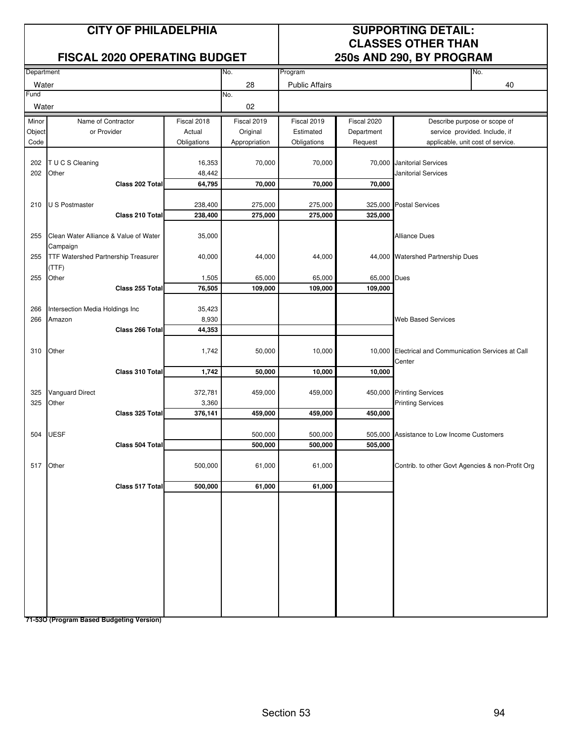### **FISCAL 2020 OPERATING BUDGET**

## **CITY OF PHILADELPHIA SUPPORTING DETAIL: CLASSES OTHER THAN**<br>250s AND 290, BY PROGRAM

|            |                                                   |                  |               |                       |             | , , , , ,                                                      |                              |  |
|------------|---------------------------------------------------|------------------|---------------|-----------------------|-------------|----------------------------------------------------------------|------------------------------|--|
| Department |                                                   |                  | No.           | Program               |             |                                                                | No.                          |  |
| Water      |                                                   |                  | 28            | <b>Public Affairs</b> |             |                                                                | 40                           |  |
| Fund       |                                                   |                  | No.           |                       |             |                                                                |                              |  |
| Water      |                                                   |                  | 02            |                       |             |                                                                |                              |  |
| Minor      | Name of Contractor                                | Fiscal 2018      | Fiscal 2019   | Fiscal 2019           | Fiscal 2020 |                                                                | Describe purpose or scope of |  |
| Object     | or Provider                                       | Actual           | Original      | Estimated             | Department  | service provided. Include, if                                  |                              |  |
| Code       |                                                   | Obligations      | Appropriation | Obligations           | Request     | applicable, unit cost of service.                              |                              |  |
| 202        | T U C S Cleaning                                  | 16,353           | 70,000        | 70,000                | 70,000      | Janitorial Services                                            |                              |  |
| 202        | Other                                             | 48,442           |               |                       |             | <b>Janitorial Services</b>                                     |                              |  |
|            | Class 202 Total                                   | 64,795           | 70,000        | 70,000                | 70,000      |                                                                |                              |  |
|            |                                                   |                  |               |                       |             |                                                                |                              |  |
| 210        | U S Postmaster                                    | 238,400          | 275,000       | 275,000               | 325,000     | <b>Postal Services</b>                                         |                              |  |
|            | Class 210 Total                                   | 238,400          | 275,000       | 275,000               | 325,000     |                                                                |                              |  |
| 255        | Clean Water Alliance & Value of Water<br>Campaign | 35,000           |               |                       |             | <b>Alliance Dues</b>                                           |                              |  |
| 255        | <b>TTF Watershed Partnership Treasurer</b>        | 40,000           | 44,000        | 44,000                |             | 44,000 Watershed Partnership Dues                              |                              |  |
|            | (TTF)                                             |                  |               |                       |             |                                                                |                              |  |
| 255        | Other                                             | 1,505            | 65,000        | 65,000                | 65,000 Dues |                                                                |                              |  |
|            | Class 255 Total                                   | 76,505           | 109,000       | 109,000               | 109,000     |                                                                |                              |  |
|            |                                                   |                  |               |                       |             |                                                                |                              |  |
| 266        | Intersection Media Holdings Inc                   | 35,423           |               |                       |             |                                                                |                              |  |
| 266        | Amazon<br>Class 266 Total                         | 8,930<br>44,353  |               |                       |             | <b>Web Based Services</b>                                      |                              |  |
|            |                                                   |                  |               |                       |             |                                                                |                              |  |
| 310        | Other                                             | 1,742            | 50,000        | 10,000                |             | 10,000 Electrical and Communication Services at Call<br>Center |                              |  |
|            | Class 310 Total                                   | 1,742            | 50,000        | 10,000                | 10,000      |                                                                |                              |  |
|            |                                                   |                  |               |                       |             |                                                                |                              |  |
| 325        | <b>Vanguard Direct</b>                            | 372,781          | 459,000       | 459,000               |             | 450,000 Printing Services                                      |                              |  |
| 325        | Other<br>Class 325 Total                          | 3,360<br>376,141 | 459,000       | 459,000               | 450,000     | <b>Printing Services</b>                                       |                              |  |
|            |                                                   |                  |               |                       |             |                                                                |                              |  |
| 504        | <b>UESF</b>                                       |                  | 500,000       | 500,000               | 505,000     | Assistance to Low Income Customers                             |                              |  |
|            | Class 504 Total                                   |                  | 500,000       | 500,000               | 505,000     |                                                                |                              |  |
|            |                                                   |                  |               |                       |             |                                                                |                              |  |
| 517        | Other                                             | 500,000          | 61,000        | 61,000                |             | Contrib. to other Govt Agencies & non-Profit Org               |                              |  |
|            |                                                   |                  |               |                       |             |                                                                |                              |  |
|            | Class 517 Total                                   | 500,000          | 61,000        | 61,000                |             |                                                                |                              |  |
|            |                                                   |                  |               |                       |             |                                                                |                              |  |
|            |                                                   |                  |               |                       |             |                                                                |                              |  |
|            |                                                   |                  |               |                       |             |                                                                |                              |  |
|            |                                                   |                  |               |                       |             |                                                                |                              |  |
|            |                                                   |                  |               |                       |             |                                                                |                              |  |
|            |                                                   |                  |               |                       |             |                                                                |                              |  |
|            |                                                   |                  |               |                       |             |                                                                |                              |  |
|            |                                                   |                  |               |                       |             |                                                                |                              |  |
|            |                                                   |                  |               |                       |             |                                                                |                              |  |
|            |                                                   |                  |               |                       |             |                                                                |                              |  |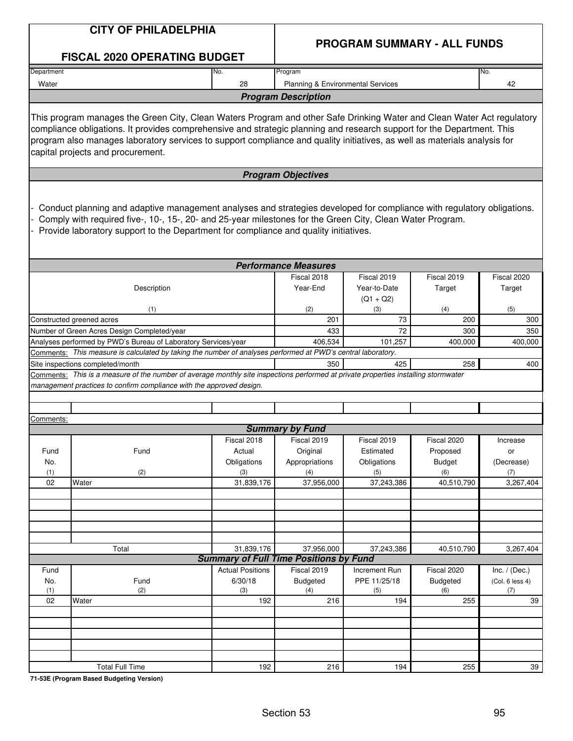|                           | <b>CITY OF PHILADELPHIA</b>                                                                                                                                                                                                                                                                                                                                                                                        |                         | <b>PROGRAM SUMMARY - ALL FUNDS</b>                              |                     |                        |                        |  |  |  |
|---------------------------|--------------------------------------------------------------------------------------------------------------------------------------------------------------------------------------------------------------------------------------------------------------------------------------------------------------------------------------------------------------------------------------------------------------------|-------------------------|-----------------------------------------------------------------|---------------------|------------------------|------------------------|--|--|--|
|                           | <b>FISCAL 2020 OPERATING BUDGET</b>                                                                                                                                                                                                                                                                                                                                                                                |                         |                                                                 |                     |                        |                        |  |  |  |
| Department                |                                                                                                                                                                                                                                                                                                                                                                                                                    | No.                     | Program                                                         |                     |                        | No.                    |  |  |  |
| Water                     |                                                                                                                                                                                                                                                                                                                                                                                                                    | 28                      | Planning & Environmental Services<br><b>Program Description</b> |                     |                        | 42                     |  |  |  |
|                           |                                                                                                                                                                                                                                                                                                                                                                                                                    |                         |                                                                 |                     |                        |                        |  |  |  |
|                           | This program manages the Green City, Clean Waters Program and other Safe Drinking Water and Clean Water Act regulatory<br>compliance obligations. It provides comprehensive and strategic planning and research support for the Department. This<br>program also manages laboratory services to support compliance and quality initiatives, as well as materials analysis for<br>capital projects and procurement. |                         |                                                                 |                     |                        |                        |  |  |  |
|                           |                                                                                                                                                                                                                                                                                                                                                                                                                    |                         | <b>Program Objectives</b>                                       |                     |                        |                        |  |  |  |
|                           | Conduct planning and adaptive management analyses and strategies developed for compliance with regulatory obligations.<br>Comply with required five-, 10-, 15-, 20- and 25-year milestones for the Green City, Clean Water Program.<br>Provide laboratory support to the Department for compliance and quality initiatives.                                                                                        |                         |                                                                 |                     |                        |                        |  |  |  |
|                           |                                                                                                                                                                                                                                                                                                                                                                                                                    |                         | <b>Performance Measures</b>                                     |                     |                        |                        |  |  |  |
|                           |                                                                                                                                                                                                                                                                                                                                                                                                                    |                         | Fiscal 2018                                                     | Fiscal 2019         | Fiscal 2019            | Fiscal 2020            |  |  |  |
|                           | Description                                                                                                                                                                                                                                                                                                                                                                                                        |                         | Year-End                                                        | Year-to-Date        | Target                 | Target                 |  |  |  |
|                           | (1)                                                                                                                                                                                                                                                                                                                                                                                                                |                         | (2)                                                             | $(Q1 + Q2)$<br>(3)  | (4)                    | (5)                    |  |  |  |
|                           | Constructed greened acres                                                                                                                                                                                                                                                                                                                                                                                          |                         | 201                                                             | 73                  | 200                    | 300                    |  |  |  |
|                           | Number of Green Acres Design Completed/year                                                                                                                                                                                                                                                                                                                                                                        |                         | 433                                                             | 72                  | 300                    | 350                    |  |  |  |
|                           | Analyses performed by PWD's Bureau of Laboratory Services/year<br>Comments: This measure is calculated by taking the number of analyses performed at PWD's central laboratory.                                                                                                                                                                                                                                     |                         | 406,534                                                         | 101,257             | 400,000                | 400,000                |  |  |  |
|                           | Site inspections completed/month                                                                                                                                                                                                                                                                                                                                                                                   |                         | 350                                                             | 425                 | 258                    | 400                    |  |  |  |
|                           | Comments: This is a measure of the number of average monthly site inspections performed at private properties installing stormwater                                                                                                                                                                                                                                                                                |                         |                                                                 |                     |                        |                        |  |  |  |
|                           | management practices to confirm compliance with the approved design.                                                                                                                                                                                                                                                                                                                                               |                         |                                                                 |                     |                        |                        |  |  |  |
|                           |                                                                                                                                                                                                                                                                                                                                                                                                                    |                         |                                                                 |                     |                        |                        |  |  |  |
|                           |                                                                                                                                                                                                                                                                                                                                                                                                                    |                         |                                                                 |                     |                        |                        |  |  |  |
| <u>Comments:</u>          |                                                                                                                                                                                                                                                                                                                                                                                                                    |                         | <b>Summary by Fund</b>                                          |                     |                        |                        |  |  |  |
|                           |                                                                                                                                                                                                                                                                                                                                                                                                                    | Fiscal 2018             | Fiscal 2019                                                     | Fiscal 2019         | Fiscal 2020            | Increase               |  |  |  |
| Fund                      | Fund                                                                                                                                                                                                                                                                                                                                                                                                               | Actual                  | Original                                                        | Estimated           | Proposed               | or                     |  |  |  |
| No.                       |                                                                                                                                                                                                                                                                                                                                                                                                                    | Obligations             | Appropriations                                                  | Obligations         | <b>Budget</b>          | (Decrease)             |  |  |  |
| (1)                       | (2)                                                                                                                                                                                                                                                                                                                                                                                                                | (3)                     | (4)                                                             | (5)                 | (6)                    | (7)                    |  |  |  |
| 02                        | Water                                                                                                                                                                                                                                                                                                                                                                                                              | 31,839,176              | 37,956,000                                                      | 37,243,386          | 40,510,790             | 3,267,404              |  |  |  |
|                           |                                                                                                                                                                                                                                                                                                                                                                                                                    |                         |                                                                 |                     |                        |                        |  |  |  |
|                           |                                                                                                                                                                                                                                                                                                                                                                                                                    |                         |                                                                 |                     |                        |                        |  |  |  |
|                           |                                                                                                                                                                                                                                                                                                                                                                                                                    |                         |                                                                 |                     |                        |                        |  |  |  |
|                           |                                                                                                                                                                                                                                                                                                                                                                                                                    |                         |                                                                 |                     |                        |                        |  |  |  |
|                           | Total                                                                                                                                                                                                                                                                                                                                                                                                              | 31,839,176              | 37,956,000                                                      | 37,243,386          | 40,510,790             | 3,267,404              |  |  |  |
|                           |                                                                                                                                                                                                                                                                                                                                                                                                                    |                         | <b>Summary of Full Time Positions by Fund</b>                   |                     |                        |                        |  |  |  |
| Fund                      |                                                                                                                                                                                                                                                                                                                                                                                                                    | <b>Actual Positions</b> | Fiscal 2019                                                     | Increment Run       | Fiscal 2020            | Inc. $/$ (Dec.)        |  |  |  |
| Fund<br>No.<br>(2)<br>(1) |                                                                                                                                                                                                                                                                                                                                                                                                                    | 6/30/18<br>(3)          | <b>Budgeted</b><br>(4)                                          | PPE 11/25/18<br>(5) | <b>Budgeted</b><br>(6) | (Col. 6 less 4)<br>(7) |  |  |  |
| 02                        | Water                                                                                                                                                                                                                                                                                                                                                                                                              | 192                     | 216                                                             | 194                 | 255                    | 39                     |  |  |  |
|                           |                                                                                                                                                                                                                                                                                                                                                                                                                    |                         |                                                                 |                     |                        |                        |  |  |  |
|                           |                                                                                                                                                                                                                                                                                                                                                                                                                    |                         |                                                                 |                     |                        |                        |  |  |  |
|                           |                                                                                                                                                                                                                                                                                                                                                                                                                    |                         |                                                                 |                     |                        |                        |  |  |  |
|                           |                                                                                                                                                                                                                                                                                                                                                                                                                    |                         |                                                                 |                     |                        |                        |  |  |  |
|                           |                                                                                                                                                                                                                                                                                                                                                                                                                    |                         |                                                                 |                     |                        |                        |  |  |  |
|                           | <b>Total Full Time</b>                                                                                                                                                                                                                                                                                                                                                                                             | 192                     | 216                                                             | 194                 | 255                    | 39                     |  |  |  |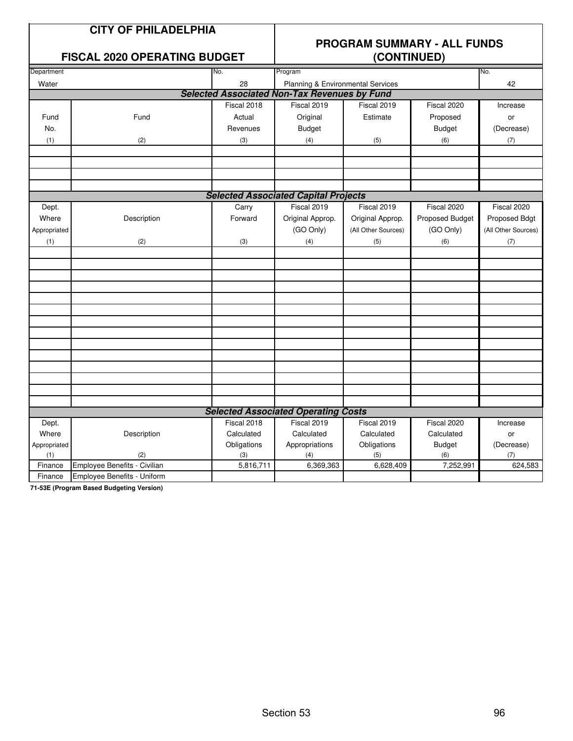|--|

### **FISCAL 2020 OPFRATING BUDGET**

# **PROGRAM SUMMARY - ALL FUNDS**

|              | I ISOAL 2020 OF LITATING BOBGLT |             |                                                     | (001111102)         |                 |                     |
|--------------|---------------------------------|-------------|-----------------------------------------------------|---------------------|-----------------|---------------------|
| Department   |                                 | No.         | Program                                             |                     |                 | No.                 |
| Water        |                                 | 28          | Planning & Environmental Services                   |                     |                 | 42                  |
|              |                                 |             | <b>Selected Associated Non-Tax Revenues by Fund</b> |                     |                 |                     |
|              |                                 | Fiscal 2018 | Fiscal 2019                                         | Fiscal 2019         | Fiscal 2020     | Increase            |
| Fund         | Fund                            | Actual      | Original                                            | Estimate            | Proposed        | or                  |
| No.          |                                 | Revenues    | <b>Budget</b>                                       |                     | <b>Budget</b>   | (Decrease)          |
| (1)          | (2)                             | (3)         | (4)                                                 | (5)                 | (6)             | (7)                 |
|              |                                 |             |                                                     |                     |                 |                     |
|              |                                 |             |                                                     |                     |                 |                     |
|              |                                 |             |                                                     |                     |                 |                     |
|              |                                 |             |                                                     |                     |                 |                     |
|              |                                 |             | <b>Selected Associated Capital Projects</b>         |                     |                 |                     |
| Dept.        |                                 | Carry       | Fiscal 2019                                         | Fiscal 2019         | Fiscal 2020     | Fiscal 2020         |
| Where        | Description                     | Forward     | Original Approp.                                    | Original Approp.    | Proposed Budget | Proposed Bdgt       |
| Appropriated |                                 |             | (GO Only)                                           | (All Other Sources) | (GO Only)       | (All Other Sources) |
| (1)          | (2)                             | (3)         | (4)                                                 | (5)                 | (6)             | (7)                 |
|              |                                 |             |                                                     |                     |                 |                     |
|              |                                 |             |                                                     |                     |                 |                     |
|              |                                 |             |                                                     |                     |                 |                     |
|              |                                 |             |                                                     |                     |                 |                     |
|              |                                 |             |                                                     |                     |                 |                     |
|              |                                 |             |                                                     |                     |                 |                     |
|              |                                 |             |                                                     |                     |                 |                     |
|              |                                 |             |                                                     |                     |                 |                     |
|              |                                 |             |                                                     |                     |                 |                     |
|              |                                 |             |                                                     |                     |                 |                     |
|              |                                 |             |                                                     |                     |                 |                     |
|              |                                 |             |                                                     |                     |                 |                     |
|              |                                 |             |                                                     |                     |                 |                     |
|              |                                 |             | <b>Selected Associated Operating Costs</b>          |                     |                 |                     |
| Dept.        |                                 | Fiscal 2018 | Fiscal 2019                                         | Fiscal 2019         | Fiscal 2020     | Increase            |
| Where        | Description                     | Calculated  | Calculated                                          | Calculated          | Calculated      | or                  |
| Appropriated |                                 | Obligations | Appropriations                                      | Obligations         | <b>Budget</b>   | (Decrease)          |
| (1)          | (2)                             | (3)         | (4)                                                 | (5)                 | (6)             | (7)                 |
| Finance      | Employee Benefits - Civilian    | 5,816,711   | 6,369,363                                           | 6,628,409           | 7,252,991       | 624,583             |
| Finance      | Employee Benefits - Uniform     |             |                                                     |                     |                 |                     |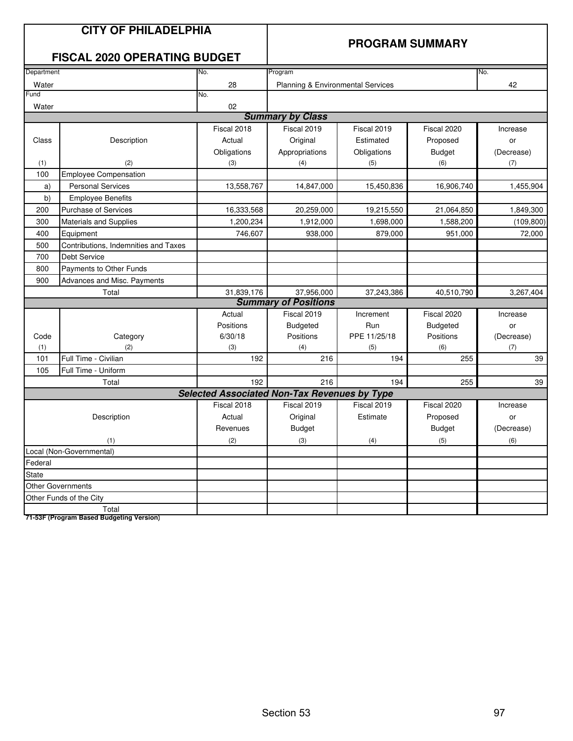|              | <b>CITY OF PHILADELPHIA</b><br><b>FISCAL 2020 OPERATING BUDGET</b> |                                                     |                                   | <b>PROGRAM SUMMARY</b> |               |            |
|--------------|--------------------------------------------------------------------|-----------------------------------------------------|-----------------------------------|------------------------|---------------|------------|
| Department   |                                                                    | No.                                                 | Program                           |                        |               | No.        |
| Water        |                                                                    | 28                                                  | Planning & Environmental Services |                        |               | 42         |
| Fund         |                                                                    | No.                                                 |                                   |                        |               |            |
| Water        |                                                                    | 02                                                  |                                   |                        |               |            |
|              |                                                                    |                                                     | <b>Summary by Class</b>           |                        |               |            |
|              |                                                                    | Fiscal 2018                                         | Fiscal 2019                       | Fiscal 2019            | Fiscal 2020   | Increase   |
| Class        | Description                                                        | Actual                                              | Original                          | Estimated              | Proposed      | or         |
|              |                                                                    | Obligations                                         | Appropriations                    | Obligations            | <b>Budget</b> | (Decrease) |
| (1)          | (2)                                                                | (3)                                                 | (4)                               | (5)                    | (6)           | (7)        |
| 100          | <b>Employee Compensation</b>                                       |                                                     |                                   |                        |               |            |
| a)           | <b>Personal Services</b>                                           | 13,558,767                                          | 14,847,000                        | 15,450,836             | 16,906,740    | 1,455,904  |
| b)           | <b>Employee Benefits</b>                                           |                                                     |                                   |                        |               |            |
| 200          | <b>Purchase of Services</b>                                        | 16,333,568                                          | 20,259,000                        | 19,215,550             | 21,064,850    | 1,849,300  |
| 300          | <b>Materials and Supplies</b>                                      | 1,200,234                                           | 1,912,000                         | 1,698,000              | 1,588,200     | (109, 800) |
| 400          | Equipment                                                          | 746,607                                             | 938,000                           | 879,000                | 951,000       | 72,000     |
| 500          | Contributions, Indemnities and Taxes                               |                                                     |                                   |                        |               |            |
| 700          | <b>Debt Service</b>                                                |                                                     |                                   |                        |               |            |
| 800          | Payments to Other Funds                                            |                                                     |                                   |                        |               |            |
| 900          | Advances and Misc. Payments                                        |                                                     |                                   |                        |               |            |
|              | Total                                                              | 31,839,176                                          | 37,956,000                        | 37,243,386             | 40,510,790    | 3,267,404  |
|              |                                                                    |                                                     | <b>Summary of Positions</b>       |                        |               |            |
|              |                                                                    | Actual                                              | Fiscal 2019                       | Increment              | Fiscal 2020   | Increase   |
|              |                                                                    | Positions                                           | <b>Budgeted</b>                   | Run                    | Budgeted      | or         |
| Code         | Category                                                           | 6/30/18                                             | Positions                         | PPE 11/25/18           | Positions     | (Decrease) |
| (1)<br>101   | (2)<br>Full Time - Civilian                                        | (3)<br>192                                          | (4)<br>216                        | (5)<br>194             | (6)<br>255    | (7)<br>39  |
| 105          | Full Time - Uniform                                                |                                                     |                                   |                        |               |            |
|              | Total                                                              | 192                                                 | 216                               | 194                    | 255           | 39         |
|              |                                                                    | <b>Selected Associated Non-Tax Revenues by Type</b> |                                   |                        |               |            |
|              |                                                                    | Fiscal 2018                                         | Fiscal 2019                       | Fiscal 2019            | Fiscal 2020   | Increase   |
|              | Description                                                        | Actual                                              | Original                          | Estimate               | Proposed      | or         |
|              |                                                                    | Revenues                                            | Budget                            |                        | <b>Budget</b> | (Decrease) |
|              | (1)                                                                | (2)                                                 | (3)                               | (4)                    | (5)           | (6)        |
|              | Local (Non-Governmental)                                           |                                                     |                                   |                        |               |            |
| Federal      |                                                                    |                                                     |                                   |                        |               |            |
| <b>State</b> |                                                                    |                                                     |                                   |                        |               |            |
|              | <b>Other Governments</b>                                           |                                                     |                                   |                        |               |            |
|              | Other Funds of the City                                            |                                                     |                                   |                        |               |            |
|              | Total                                                              |                                                     |                                   |                        |               |            |
|              | 71-53F (Program Based Budgeting Version)                           |                                                     |                                   |                        |               |            |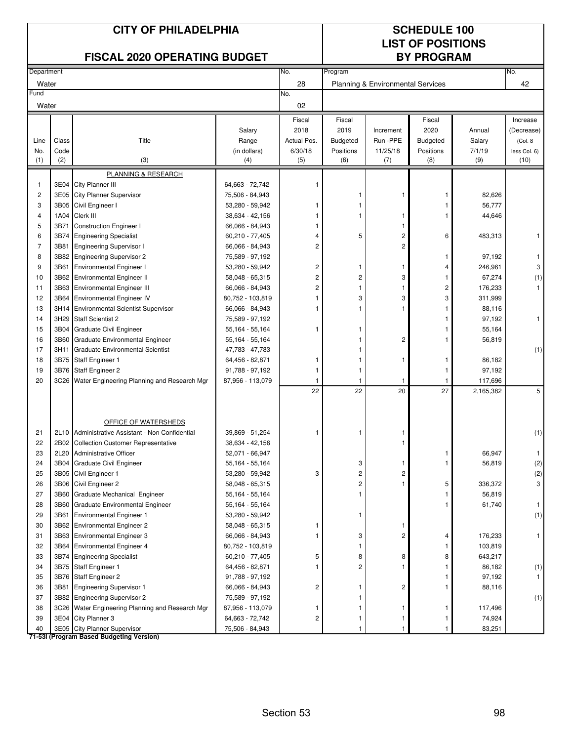|                         | <b>CITY OF PHILADELPHIA</b><br><b>FISCAL 2020 OPERATING BUDGET</b> |                                                                          |                                    |                |                         |                                   | <b>SCHEDULE 100</b><br><b>LIST OF POSITIONS</b><br><b>BY PROGRAM</b> |           |                   |
|-------------------------|--------------------------------------------------------------------|--------------------------------------------------------------------------|------------------------------------|----------------|-------------------------|-----------------------------------|----------------------------------------------------------------------|-----------|-------------------|
| Department              |                                                                    |                                                                          |                                    | No.            | Program                 |                                   |                                                                      |           | No.               |
| Water                   |                                                                    |                                                                          |                                    | 28             |                         | Planning & Environmental Services |                                                                      |           | 42                |
| Fund                    |                                                                    |                                                                          |                                    | No.            |                         |                                   |                                                                      |           |                   |
| Water                   |                                                                    |                                                                          |                                    | 02             |                         |                                   |                                                                      |           |                   |
|                         |                                                                    |                                                                          |                                    | Fiscal         | Fiscal                  |                                   | Fiscal                                                               |           | Increase          |
|                         |                                                                    |                                                                          | Salary                             | 2018           | 2019                    | Increment                         | 2020                                                                 | Annual    | (Decrease)        |
| Line                    | Class                                                              | Title                                                                    | Range                              | Actual Pos.    | <b>Budgeted</b>         | Run -PPE                          | <b>Budgeted</b>                                                      | Salary    | (Col. 8)          |
| No.                     | Code                                                               |                                                                          | (in dollars)                       | 6/30/18        | Positions               | 11/25/18                          | Positions                                                            | 7/1/19    | less Col. 6)      |
| (1)                     | (2)                                                                | (3)                                                                      | (4)                                | (5)            | (6)                     | (7)                               | (8)                                                                  | (9)       | (10)              |
|                         |                                                                    | PLANNING & RESEARCH                                                      |                                    |                |                         |                                   |                                                                      |           |                   |
| 1                       | 3E04                                                               | City Planner III                                                         | 64,663 - 72,742                    |                |                         |                                   |                                                                      |           |                   |
| $\overline{\mathbf{c}}$ | 3E05                                                               | <b>City Planner Supervisor</b>                                           | 75,506 - 84,943                    |                | 1                       | 1                                 | 1                                                                    | 82,626    |                   |
| 3                       | 3B05                                                               | Civil Engineer I                                                         | 53,280 - 59,942                    |                | 1<br>$\mathbf{1}$       |                                   | 1                                                                    | 56,777    |                   |
| 4                       | 1A04                                                               | Clerk III                                                                | 38,634 - 42,156                    |                |                         | 1                                 | 1                                                                    | 44,646    |                   |
| 5<br>6                  | 3B71<br>3B74                                                       | <b>Construction Engineer I</b><br><b>Engineering Specialist</b>          | 66,066 - 84,943<br>60,210 - 77,405 | $\overline{4}$ | 5                       | 1<br>2                            | 6                                                                    | 483,313   | 1                 |
| $\overline{7}$          | 3B81                                                               | <b>Engineering Supervisor I</b>                                          | 66,066 - 84,943                    | $\overline{c}$ |                         | 2                                 |                                                                      |           |                   |
| 8                       | 3B82                                                               | <b>Engineering Supervisor 2</b>                                          | 75,589 - 97,192                    |                |                         |                                   | 1                                                                    | 97,192    |                   |
| 9                       | 3B61                                                               | <b>Environmental Engineer I</b>                                          | 53,280 - 59,942                    | 2              | 1                       | 1                                 | 4                                                                    | 246,961   | 3                 |
| 10                      | 3B62                                                               | <b>Environmental Engineer II</b>                                         | 58,048 - 65,315                    | $\overline{c}$ | $\overline{c}$          | 3                                 | 1                                                                    | 67,274    | (1)               |
| 11                      | 3B63                                                               | <b>Environmental Engineer III</b>                                        | 66,066 - 84,943                    | 2              | $\mathbf{1}$            | 1                                 | 2                                                                    | 176,233   | $\mathbf{1}$      |
| 12                      | 3B64                                                               | <b>Environmental Engineer IV</b>                                         | 80,752 - 103,819                   |                | 3                       | 3                                 | 3                                                                    | 311,999   |                   |
| 13                      | 3H14                                                               | <b>Environmental Scientist Supervisor</b>                                | 66,066 - 84,943                    |                | 1                       | 1                                 | 1                                                                    | 88,116    |                   |
| 14                      | 3H29                                                               | <b>Staff Scientist 2</b>                                                 | 75,589 - 97,192                    |                |                         |                                   | 1                                                                    | 97,192    | $\mathbf{1}$      |
| 15                      | 3B04                                                               | Graduate Civil Engineer                                                  | 55,164 - 55,164                    |                | 1                       |                                   |                                                                      | 55,164    |                   |
| 16                      | 3B60                                                               | Graduate Environmental Engineer                                          | 55,164 - 55,164                    |                | 1                       | 2                                 | 1                                                                    | 56,819    |                   |
| 17                      | 3H11                                                               | <b>Graduate Environmental Scientist</b>                                  | 47,783 - 47,783                    |                | 1                       |                                   |                                                                      |           | (1)               |
| 18                      | 3B75                                                               | <b>Staff Engineer 1</b>                                                  | 64,456 - 82,871                    |                | 1                       | 1                                 | 1                                                                    | 86,182    |                   |
| 19                      | 3B76                                                               | Staff Engineer 2                                                         | 91,788 - 97,192                    | 1              | 1                       |                                   | 1                                                                    | 97,192    |                   |
| 20                      | 3C26                                                               | Water Engineering Planning and Research Mgr                              | 87,956 - 113,079                   |                | $\mathbf{1}$            | 1                                 | 1                                                                    | 117,696   |                   |
|                         |                                                                    |                                                                          |                                    | 22             | 22                      | 20                                | 27                                                                   | 2,165,382 | 5                 |
|                         |                                                                    |                                                                          |                                    |                |                         |                                   |                                                                      |           |                   |
| 21                      |                                                                    | OFFICE OF WATERSHEDS<br>2L10 Administrative Assistant - Non Confidential | 39,869 - 51,254                    | 1              | 1                       | 1                                 |                                                                      |           | (1)               |
| 22                      | 2B02                                                               | <b>Collection Customer Representative</b>                                | 38,634 - 42,156                    |                |                         | 1                                 |                                                                      |           |                   |
| 23                      | 2L20                                                               | <b>Administrative Officer</b>                                            | 52,071 - 66,947                    |                |                         |                                   | 1                                                                    | 66,947    | -1                |
| 24                      | 3B04                                                               | Graduate Civil Engineer                                                  | 55,164 - 55,164                    |                | 3                       | 1                                 | 1                                                                    | 56,819    | (2)               |
| 25                      |                                                                    | 3B05 Civil Engineer 1                                                    | 53,280 - 59,942                    | 3              | $\overline{\mathbf{c}}$ | 2                                 |                                                                      |           | $\left( 2\right)$ |
| 26                      | 3B06                                                               | Civil Engineer 2                                                         | 58,048 - 65,315                    |                | 2                       | 1                                 | 5                                                                    | 336,372   | 3                 |
| 27                      | 3B60                                                               | Graduate Mechanical Engineer                                             | 55,164 - 55,164                    |                | 1                       |                                   | 1                                                                    | 56,819    |                   |
| 28                      | 3B60                                                               | Graduate Environmental Engineer                                          | 55,164 - 55,164                    |                |                         |                                   | 1                                                                    | 61,740    | $\mathbf{1}$      |
| 29                      | 3B61                                                               | <b>Environmental Engineer 1</b>                                          | 53,280 - 59,942                    |                | 1                       |                                   |                                                                      |           | (1)               |
| 30                      |                                                                    | 3B62 Environmental Engineer 2                                            | 58,048 - 65,315                    |                |                         | 1                                 |                                                                      |           |                   |
| 31                      |                                                                    | 3B63 Environmental Engineer 3                                            | 66,066 - 84,943                    | 1              | 3                       | 2                                 | 4                                                                    | 176,233   | 1                 |
| 32                      | 3B64                                                               | <b>Environmental Engineer 4</b>                                          | 80,752 - 103,819                   |                | 1                       |                                   | 1                                                                    | 103,819   |                   |
| 33                      | 3B74                                                               | <b>Engineering Specialist</b>                                            | 60,210 - 77,405                    | 5              | 8                       | 8                                 | 8                                                                    | 643,217   |                   |
| 34                      | 3B75                                                               | <b>Staff Engineer 1</b>                                                  | 64,456 - 82,871                    |                | $\overline{c}$          | 1                                 | 1                                                                    | 86,182    | (1)               |
| 35                      | 3B76                                                               | Staff Engineer 2                                                         | 91,788 - 97,192                    |                |                         |                                   | 1                                                                    | 97,192    |                   |
| 36                      | 3B81                                                               | <b>Engineering Supervisor 1</b>                                          | 66,066 - 84,943                    | 2              | 1                       | 2                                 | 1                                                                    | 88,116    |                   |
| 37                      |                                                                    | 3B82 Engineering Supervisor 2                                            | 75,589 - 97,192                    |                | 1                       |                                   |                                                                      |           | (1)               |
| 38                      |                                                                    | 3C26 Water Engineering Planning and Research Mgr                         | 87,956 - 113,079                   | 1              | 1                       | 1                                 | 1                                                                    | 117,496   |                   |
| 39                      | 3E04                                                               | City Planner 3                                                           | 64,663 - 72,742                    | 2              | 1                       | 1                                 | 1                                                                    | 74,924    |                   |
| 40                      |                                                                    | 3E05 City Planner Supervisor<br>71-53I (Program Based Budgeting Version) | 75,506 - 84,943                    |                | 1                       | 1                                 | 1                                                                    | 83,251    |                   |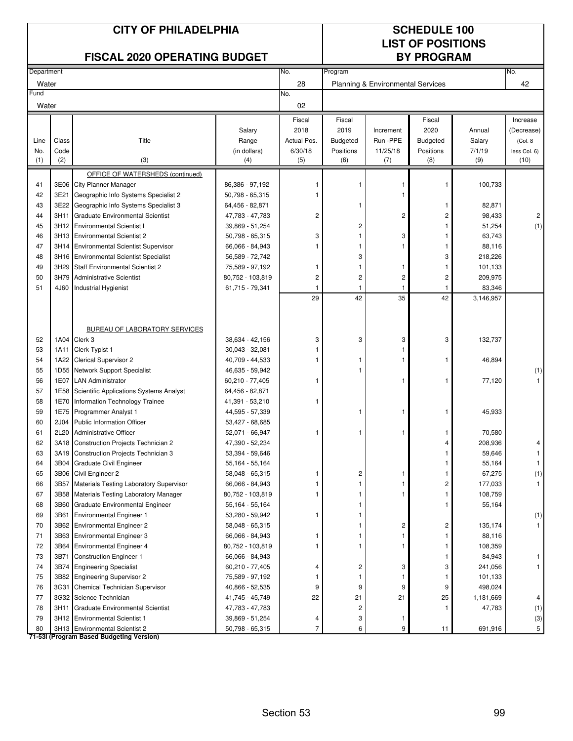| Department<br>No.<br>Program<br>No.<br>28<br>42<br>Water<br>Planning & Environmental Services<br>Fund<br>No.<br>02<br>Water<br>Fiscal<br>Fiscal<br>Fiscal<br>2018<br>2019<br>2020<br>Salary<br>Increment<br>Annual<br>Class<br>Title<br>Actual Pos.<br>Run -PPE<br>Line<br>Range<br><b>Budgeted</b><br><b>Budgeted</b><br>Salary<br>(Col. 8)<br>Code<br>(in dollars)<br>6/30/18<br>11/25/18<br>Positions<br>7/1/19<br>No.<br>Positions<br>(2)<br>(3)<br>(9)<br>(1)<br>(5)<br>(6)<br>(8)<br>(10)<br>(4)<br>(7)<br>OFFICE OF WATERSHEDS (continued)<br>100,733<br>41<br>3E06<br><b>City Planner Manager</b><br>86,386 - 97,192<br>1<br>1<br>1<br>3E21<br>Geographic Info Systems Specialist 2<br>42<br>50,798 - 65,315<br>3E22<br>Geographic Info Systems Specialist 3<br>82,871<br>43<br>64,456 - 82,871<br>1<br>$\overline{c}$<br>2<br>98,433<br>44<br>3H11<br><b>Graduate Environmental Scientist</b><br>47,783 - 47,783<br>2<br>3H12 Environmental Scientist I<br>$\overline{c}$<br>51,254<br>45<br>39,869 - 51,254<br>63,743<br>3<br>3<br>46<br>3H13 Environmental Scientist 2<br>50,798 - 65,315<br>1<br>88,116<br>47<br>3H14<br><b>Environmental Scientist Supervisor</b><br>66,066 - 84,943<br>1<br>1<br>3H16 Environmental Scientist Specialist<br>3<br>3<br>218,226<br>48<br>56,589 - 72,742<br>3H29<br>49<br><b>Staff Environmental Scientist 2</b><br>75,589 - 97,192<br>101,133<br>1<br>1<br>1<br>50<br>3H79<br><b>Administrative Scientist</b><br>80,752 - 103,819<br>$\overline{c}$<br>$\overline{c}$<br>$\overline{c}$<br>$\overline{c}$<br>209,975<br>83,346<br>51<br>4J60<br>61,715 - 79,341<br><b>Industrial Hygienist</b><br>1<br>1<br>-1<br>42<br>35<br>42<br>29<br>3,146,957<br>BUREAU OF LABORATORY SERVICES<br>1A04 Clerk 3<br>3<br>3<br>3<br>132,737<br>52<br>38,634 - 42,156<br>3<br>Clerk Typist 1<br>53<br>1A11<br>$30,043 - 32,081$<br>54<br>1A22 Clerical Supervisor 2<br>40,709 - 44,533<br>46,894<br>1<br>1<br>1<br>1<br>55<br>1D55 Network Support Specialist<br>46,635 - 59,942<br>1<br>1E07<br><b>LAN Administrator</b><br>56<br>60,210 - 77,405<br>77,120<br>1<br>1<br>1<br>1E58 Scientific Applications Systems Analyst<br>57<br>64,456 - 82,871<br>58<br>1E70<br>Information Technology Trainee<br>41,391 - 53,210<br>1<br>45,933<br>59<br>1E75 Programmer Analyst 1<br>44,595 - 57,339<br>1<br>1<br>60<br>2J04<br>Public Information Officer<br>53,427 - 68,685<br>61<br>2L20 Administrative Officer<br>52,071 - 66,947<br>70,580<br>1<br>1<br>1<br>3A18 Construction Projects Technician 2<br>47,390 - 52,234<br>208,936<br>62<br>4<br>3A19 Construction Projects Technician 3<br>59,646<br>63<br>53,394 - 59,646<br>3B04 Graduate Civil Engineer<br>55,164<br>64<br>55,164 - 55,164<br>2<br>65<br>3B06 Civil Engineer 2<br>58,048 - 65,315<br>67,275<br>1<br>1<br>66<br>3B57 Materials Testing Laboratory Supervisor<br>2<br>177,033<br>66,066 - 84,943<br>1<br>1<br>108,759<br>67<br>3B58 Materials Testing Laboratory Manager<br>80,752 - 103,819<br>1<br>1<br>1<br>55,164<br>68<br>3B60 Graduate Environmental Engineer<br>55,164 - 55,164<br>1<br>1<br>3B61<br>69<br><b>Environmental Engineer 1</b><br>53,280 - 59,942<br>1<br>1<br>2<br>$\overline{c}$<br>70<br>3B62 Environmental Engineer 2<br>135,174<br>58,048 - 65,315<br>1<br>71<br>3B63 Environmental Engineer 3<br>66,066 - 84,943<br>1<br>88,116<br>1<br>1<br>72<br>3B64 Environmental Engineer 4<br>108,359<br>80,752 - 103,819<br>1<br>1<br>1<br>1<br>73<br>3B71<br><b>Construction Engineer 1</b><br>66,066 - 84,943<br>84,943<br>1<br>$\overline{c}$<br>3<br>241,056<br>74<br>3B74 Engineering Specialist<br>60,210 - 77,405<br>3<br>4<br>75<br>3B82 Engineering Supervisor 2<br>75,589 - 97,192<br>101,133<br>1<br>1<br>1<br>1<br>76<br>3G31<br>Chemical Technician Supervisor<br>9<br>9<br>9<br>9<br>498,024<br>40,866 - 52,535<br>77<br>3G32 Science Technician<br>22<br>21<br>21<br>25<br>41,745 - 45,749<br>1,181,669<br>$\overline{c}$<br>47,783<br>78<br>3H11 Graduate Environmental Scientist<br>47,783 - 47,783<br>-1<br>3<br>79<br>3H12 Environmental Scientist 1<br>39,869 - 51,254<br>4<br>1<br>3H13 Environmental Scientist 2 |    | <b>CITY OF PHILADELPHIA</b><br><b>FISCAL 2020 OPERATING BUDGET</b> |  |                 |   |   | <b>SCHEDULE 100</b><br><b>LIST OF POSITIONS</b><br><b>BY PROGRAM</b> |    |         |                       |  |  |
|------------------------------------------------------------------------------------------------------------------------------------------------------------------------------------------------------------------------------------------------------------------------------------------------------------------------------------------------------------------------------------------------------------------------------------------------------------------------------------------------------------------------------------------------------------------------------------------------------------------------------------------------------------------------------------------------------------------------------------------------------------------------------------------------------------------------------------------------------------------------------------------------------------------------------------------------------------------------------------------------------------------------------------------------------------------------------------------------------------------------------------------------------------------------------------------------------------------------------------------------------------------------------------------------------------------------------------------------------------------------------------------------------------------------------------------------------------------------------------------------------------------------------------------------------------------------------------------------------------------------------------------------------------------------------------------------------------------------------------------------------------------------------------------------------------------------------------------------------------------------------------------------------------------------------------------------------------------------------------------------------------------------------------------------------------------------------------------------------------------------------------------------------------------------------------------------------------------------------------------------------------------------------------------------------------------------------------------------------------------------------------------------------------------------------------------------------------------------------------------------------------------------------------------------------------------------------------------------------------------------------------------------------------------------------------------------------------------------------------------------------------------------------------------------------------------------------------------------------------------------------------------------------------------------------------------------------------------------------------------------------------------------------------------------------------------------------------------------------------------------------------------------------------------------------------------------------------------------------------------------------------------------------------------------------------------------------------------------------------------------------------------------------------------------------------------------------------------------------------------------------------------------------------------------------------------------------------------------------------------------------------------------------------------------------------------------------------------------------------------------------------------------------------------------------------------------------------------------------------------------------------------------------------------------------------------------------------------------------------------------------------------------------------------------------------------------------------------------------------------------------------------------------|----|--------------------------------------------------------------------|--|-----------------|---|---|----------------------------------------------------------------------|----|---------|-----------------------|--|--|
|                                                                                                                                                                                                                                                                                                                                                                                                                                                                                                                                                                                                                                                                                                                                                                                                                                                                                                                                                                                                                                                                                                                                                                                                                                                                                                                                                                                                                                                                                                                                                                                                                                                                                                                                                                                                                                                                                                                                                                                                                                                                                                                                                                                                                                                                                                                                                                                                                                                                                                                                                                                                                                                                                                                                                                                                                                                                                                                                                                                                                                                                                                                                                                                                                                                                                                                                                                                                                                                                                                                                                                                                                                                                                                                                                                                                                                                                                                                                                                                                                                                                                                                                                      |    |                                                                    |  |                 |   |   |                                                                      |    |         |                       |  |  |
|                                                                                                                                                                                                                                                                                                                                                                                                                                                                                                                                                                                                                                                                                                                                                                                                                                                                                                                                                                                                                                                                                                                                                                                                                                                                                                                                                                                                                                                                                                                                                                                                                                                                                                                                                                                                                                                                                                                                                                                                                                                                                                                                                                                                                                                                                                                                                                                                                                                                                                                                                                                                                                                                                                                                                                                                                                                                                                                                                                                                                                                                                                                                                                                                                                                                                                                                                                                                                                                                                                                                                                                                                                                                                                                                                                                                                                                                                                                                                                                                                                                                                                                                                      |    |                                                                    |  |                 |   |   |                                                                      |    |         |                       |  |  |
|                                                                                                                                                                                                                                                                                                                                                                                                                                                                                                                                                                                                                                                                                                                                                                                                                                                                                                                                                                                                                                                                                                                                                                                                                                                                                                                                                                                                                                                                                                                                                                                                                                                                                                                                                                                                                                                                                                                                                                                                                                                                                                                                                                                                                                                                                                                                                                                                                                                                                                                                                                                                                                                                                                                                                                                                                                                                                                                                                                                                                                                                                                                                                                                                                                                                                                                                                                                                                                                                                                                                                                                                                                                                                                                                                                                                                                                                                                                                                                                                                                                                                                                                                      |    |                                                                    |  |                 |   |   |                                                                      |    |         |                       |  |  |
|                                                                                                                                                                                                                                                                                                                                                                                                                                                                                                                                                                                                                                                                                                                                                                                                                                                                                                                                                                                                                                                                                                                                                                                                                                                                                                                                                                                                                                                                                                                                                                                                                                                                                                                                                                                                                                                                                                                                                                                                                                                                                                                                                                                                                                                                                                                                                                                                                                                                                                                                                                                                                                                                                                                                                                                                                                                                                                                                                                                                                                                                                                                                                                                                                                                                                                                                                                                                                                                                                                                                                                                                                                                                                                                                                                                                                                                                                                                                                                                                                                                                                                                                                      |    |                                                                    |  |                 |   |   |                                                                      |    |         | Increase              |  |  |
|                                                                                                                                                                                                                                                                                                                                                                                                                                                                                                                                                                                                                                                                                                                                                                                                                                                                                                                                                                                                                                                                                                                                                                                                                                                                                                                                                                                                                                                                                                                                                                                                                                                                                                                                                                                                                                                                                                                                                                                                                                                                                                                                                                                                                                                                                                                                                                                                                                                                                                                                                                                                                                                                                                                                                                                                                                                                                                                                                                                                                                                                                                                                                                                                                                                                                                                                                                                                                                                                                                                                                                                                                                                                                                                                                                                                                                                                                                                                                                                                                                                                                                                                                      |    |                                                                    |  |                 |   |   |                                                                      |    |         | (Decrease)            |  |  |
|                                                                                                                                                                                                                                                                                                                                                                                                                                                                                                                                                                                                                                                                                                                                                                                                                                                                                                                                                                                                                                                                                                                                                                                                                                                                                                                                                                                                                                                                                                                                                                                                                                                                                                                                                                                                                                                                                                                                                                                                                                                                                                                                                                                                                                                                                                                                                                                                                                                                                                                                                                                                                                                                                                                                                                                                                                                                                                                                                                                                                                                                                                                                                                                                                                                                                                                                                                                                                                                                                                                                                                                                                                                                                                                                                                                                                                                                                                                                                                                                                                                                                                                                                      |    |                                                                    |  |                 |   |   |                                                                      |    |         |                       |  |  |
|                                                                                                                                                                                                                                                                                                                                                                                                                                                                                                                                                                                                                                                                                                                                                                                                                                                                                                                                                                                                                                                                                                                                                                                                                                                                                                                                                                                                                                                                                                                                                                                                                                                                                                                                                                                                                                                                                                                                                                                                                                                                                                                                                                                                                                                                                                                                                                                                                                                                                                                                                                                                                                                                                                                                                                                                                                                                                                                                                                                                                                                                                                                                                                                                                                                                                                                                                                                                                                                                                                                                                                                                                                                                                                                                                                                                                                                                                                                                                                                                                                                                                                                                                      |    |                                                                    |  |                 |   |   |                                                                      |    |         | less Col. 6)          |  |  |
|                                                                                                                                                                                                                                                                                                                                                                                                                                                                                                                                                                                                                                                                                                                                                                                                                                                                                                                                                                                                                                                                                                                                                                                                                                                                                                                                                                                                                                                                                                                                                                                                                                                                                                                                                                                                                                                                                                                                                                                                                                                                                                                                                                                                                                                                                                                                                                                                                                                                                                                                                                                                                                                                                                                                                                                                                                                                                                                                                                                                                                                                                                                                                                                                                                                                                                                                                                                                                                                                                                                                                                                                                                                                                                                                                                                                                                                                                                                                                                                                                                                                                                                                                      |    |                                                                    |  |                 |   |   |                                                                      |    |         |                       |  |  |
|                                                                                                                                                                                                                                                                                                                                                                                                                                                                                                                                                                                                                                                                                                                                                                                                                                                                                                                                                                                                                                                                                                                                                                                                                                                                                                                                                                                                                                                                                                                                                                                                                                                                                                                                                                                                                                                                                                                                                                                                                                                                                                                                                                                                                                                                                                                                                                                                                                                                                                                                                                                                                                                                                                                                                                                                                                                                                                                                                                                                                                                                                                                                                                                                                                                                                                                                                                                                                                                                                                                                                                                                                                                                                                                                                                                                                                                                                                                                                                                                                                                                                                                                                      |    |                                                                    |  |                 |   |   |                                                                      |    |         |                       |  |  |
|                                                                                                                                                                                                                                                                                                                                                                                                                                                                                                                                                                                                                                                                                                                                                                                                                                                                                                                                                                                                                                                                                                                                                                                                                                                                                                                                                                                                                                                                                                                                                                                                                                                                                                                                                                                                                                                                                                                                                                                                                                                                                                                                                                                                                                                                                                                                                                                                                                                                                                                                                                                                                                                                                                                                                                                                                                                                                                                                                                                                                                                                                                                                                                                                                                                                                                                                                                                                                                                                                                                                                                                                                                                                                                                                                                                                                                                                                                                                                                                                                                                                                                                                                      |    |                                                                    |  |                 |   |   |                                                                      |    |         |                       |  |  |
|                                                                                                                                                                                                                                                                                                                                                                                                                                                                                                                                                                                                                                                                                                                                                                                                                                                                                                                                                                                                                                                                                                                                                                                                                                                                                                                                                                                                                                                                                                                                                                                                                                                                                                                                                                                                                                                                                                                                                                                                                                                                                                                                                                                                                                                                                                                                                                                                                                                                                                                                                                                                                                                                                                                                                                                                                                                                                                                                                                                                                                                                                                                                                                                                                                                                                                                                                                                                                                                                                                                                                                                                                                                                                                                                                                                                                                                                                                                                                                                                                                                                                                                                                      |    |                                                                    |  |                 |   |   |                                                                      |    |         |                       |  |  |
|                                                                                                                                                                                                                                                                                                                                                                                                                                                                                                                                                                                                                                                                                                                                                                                                                                                                                                                                                                                                                                                                                                                                                                                                                                                                                                                                                                                                                                                                                                                                                                                                                                                                                                                                                                                                                                                                                                                                                                                                                                                                                                                                                                                                                                                                                                                                                                                                                                                                                                                                                                                                                                                                                                                                                                                                                                                                                                                                                                                                                                                                                                                                                                                                                                                                                                                                                                                                                                                                                                                                                                                                                                                                                                                                                                                                                                                                                                                                                                                                                                                                                                                                                      |    |                                                                    |  |                 |   |   |                                                                      |    |         |                       |  |  |
|                                                                                                                                                                                                                                                                                                                                                                                                                                                                                                                                                                                                                                                                                                                                                                                                                                                                                                                                                                                                                                                                                                                                                                                                                                                                                                                                                                                                                                                                                                                                                                                                                                                                                                                                                                                                                                                                                                                                                                                                                                                                                                                                                                                                                                                                                                                                                                                                                                                                                                                                                                                                                                                                                                                                                                                                                                                                                                                                                                                                                                                                                                                                                                                                                                                                                                                                                                                                                                                                                                                                                                                                                                                                                                                                                                                                                                                                                                                                                                                                                                                                                                                                                      |    |                                                                    |  |                 |   |   |                                                                      |    |         | $\overline{c}$        |  |  |
|                                                                                                                                                                                                                                                                                                                                                                                                                                                                                                                                                                                                                                                                                                                                                                                                                                                                                                                                                                                                                                                                                                                                                                                                                                                                                                                                                                                                                                                                                                                                                                                                                                                                                                                                                                                                                                                                                                                                                                                                                                                                                                                                                                                                                                                                                                                                                                                                                                                                                                                                                                                                                                                                                                                                                                                                                                                                                                                                                                                                                                                                                                                                                                                                                                                                                                                                                                                                                                                                                                                                                                                                                                                                                                                                                                                                                                                                                                                                                                                                                                                                                                                                                      |    |                                                                    |  |                 |   |   |                                                                      |    |         | (1)                   |  |  |
|                                                                                                                                                                                                                                                                                                                                                                                                                                                                                                                                                                                                                                                                                                                                                                                                                                                                                                                                                                                                                                                                                                                                                                                                                                                                                                                                                                                                                                                                                                                                                                                                                                                                                                                                                                                                                                                                                                                                                                                                                                                                                                                                                                                                                                                                                                                                                                                                                                                                                                                                                                                                                                                                                                                                                                                                                                                                                                                                                                                                                                                                                                                                                                                                                                                                                                                                                                                                                                                                                                                                                                                                                                                                                                                                                                                                                                                                                                                                                                                                                                                                                                                                                      |    |                                                                    |  |                 |   |   |                                                                      |    |         |                       |  |  |
|                                                                                                                                                                                                                                                                                                                                                                                                                                                                                                                                                                                                                                                                                                                                                                                                                                                                                                                                                                                                                                                                                                                                                                                                                                                                                                                                                                                                                                                                                                                                                                                                                                                                                                                                                                                                                                                                                                                                                                                                                                                                                                                                                                                                                                                                                                                                                                                                                                                                                                                                                                                                                                                                                                                                                                                                                                                                                                                                                                                                                                                                                                                                                                                                                                                                                                                                                                                                                                                                                                                                                                                                                                                                                                                                                                                                                                                                                                                                                                                                                                                                                                                                                      |    |                                                                    |  |                 |   |   |                                                                      |    |         |                       |  |  |
|                                                                                                                                                                                                                                                                                                                                                                                                                                                                                                                                                                                                                                                                                                                                                                                                                                                                                                                                                                                                                                                                                                                                                                                                                                                                                                                                                                                                                                                                                                                                                                                                                                                                                                                                                                                                                                                                                                                                                                                                                                                                                                                                                                                                                                                                                                                                                                                                                                                                                                                                                                                                                                                                                                                                                                                                                                                                                                                                                                                                                                                                                                                                                                                                                                                                                                                                                                                                                                                                                                                                                                                                                                                                                                                                                                                                                                                                                                                                                                                                                                                                                                                                                      |    |                                                                    |  |                 |   |   |                                                                      |    |         |                       |  |  |
|                                                                                                                                                                                                                                                                                                                                                                                                                                                                                                                                                                                                                                                                                                                                                                                                                                                                                                                                                                                                                                                                                                                                                                                                                                                                                                                                                                                                                                                                                                                                                                                                                                                                                                                                                                                                                                                                                                                                                                                                                                                                                                                                                                                                                                                                                                                                                                                                                                                                                                                                                                                                                                                                                                                                                                                                                                                                                                                                                                                                                                                                                                                                                                                                                                                                                                                                                                                                                                                                                                                                                                                                                                                                                                                                                                                                                                                                                                                                                                                                                                                                                                                                                      |    |                                                                    |  |                 |   |   |                                                                      |    |         |                       |  |  |
|                                                                                                                                                                                                                                                                                                                                                                                                                                                                                                                                                                                                                                                                                                                                                                                                                                                                                                                                                                                                                                                                                                                                                                                                                                                                                                                                                                                                                                                                                                                                                                                                                                                                                                                                                                                                                                                                                                                                                                                                                                                                                                                                                                                                                                                                                                                                                                                                                                                                                                                                                                                                                                                                                                                                                                                                                                                                                                                                                                                                                                                                                                                                                                                                                                                                                                                                                                                                                                                                                                                                                                                                                                                                                                                                                                                                                                                                                                                                                                                                                                                                                                                                                      |    |                                                                    |  |                 |   |   |                                                                      |    |         |                       |  |  |
|                                                                                                                                                                                                                                                                                                                                                                                                                                                                                                                                                                                                                                                                                                                                                                                                                                                                                                                                                                                                                                                                                                                                                                                                                                                                                                                                                                                                                                                                                                                                                                                                                                                                                                                                                                                                                                                                                                                                                                                                                                                                                                                                                                                                                                                                                                                                                                                                                                                                                                                                                                                                                                                                                                                                                                                                                                                                                                                                                                                                                                                                                                                                                                                                                                                                                                                                                                                                                                                                                                                                                                                                                                                                                                                                                                                                                                                                                                                                                                                                                                                                                                                                                      |    |                                                                    |  |                 |   |   |                                                                      |    |         |                       |  |  |
|                                                                                                                                                                                                                                                                                                                                                                                                                                                                                                                                                                                                                                                                                                                                                                                                                                                                                                                                                                                                                                                                                                                                                                                                                                                                                                                                                                                                                                                                                                                                                                                                                                                                                                                                                                                                                                                                                                                                                                                                                                                                                                                                                                                                                                                                                                                                                                                                                                                                                                                                                                                                                                                                                                                                                                                                                                                                                                                                                                                                                                                                                                                                                                                                                                                                                                                                                                                                                                                                                                                                                                                                                                                                                                                                                                                                                                                                                                                                                                                                                                                                                                                                                      |    |                                                                    |  |                 |   |   |                                                                      |    |         |                       |  |  |
|                                                                                                                                                                                                                                                                                                                                                                                                                                                                                                                                                                                                                                                                                                                                                                                                                                                                                                                                                                                                                                                                                                                                                                                                                                                                                                                                                                                                                                                                                                                                                                                                                                                                                                                                                                                                                                                                                                                                                                                                                                                                                                                                                                                                                                                                                                                                                                                                                                                                                                                                                                                                                                                                                                                                                                                                                                                                                                                                                                                                                                                                                                                                                                                                                                                                                                                                                                                                                                                                                                                                                                                                                                                                                                                                                                                                                                                                                                                                                                                                                                                                                                                                                      |    |                                                                    |  |                 |   |   |                                                                      |    |         |                       |  |  |
|                                                                                                                                                                                                                                                                                                                                                                                                                                                                                                                                                                                                                                                                                                                                                                                                                                                                                                                                                                                                                                                                                                                                                                                                                                                                                                                                                                                                                                                                                                                                                                                                                                                                                                                                                                                                                                                                                                                                                                                                                                                                                                                                                                                                                                                                                                                                                                                                                                                                                                                                                                                                                                                                                                                                                                                                                                                                                                                                                                                                                                                                                                                                                                                                                                                                                                                                                                                                                                                                                                                                                                                                                                                                                                                                                                                                                                                                                                                                                                                                                                                                                                                                                      |    |                                                                    |  |                 |   |   |                                                                      |    |         |                       |  |  |
|                                                                                                                                                                                                                                                                                                                                                                                                                                                                                                                                                                                                                                                                                                                                                                                                                                                                                                                                                                                                                                                                                                                                                                                                                                                                                                                                                                                                                                                                                                                                                                                                                                                                                                                                                                                                                                                                                                                                                                                                                                                                                                                                                                                                                                                                                                                                                                                                                                                                                                                                                                                                                                                                                                                                                                                                                                                                                                                                                                                                                                                                                                                                                                                                                                                                                                                                                                                                                                                                                                                                                                                                                                                                                                                                                                                                                                                                                                                                                                                                                                                                                                                                                      |    |                                                                    |  |                 |   |   |                                                                      |    |         | (1)                   |  |  |
|                                                                                                                                                                                                                                                                                                                                                                                                                                                                                                                                                                                                                                                                                                                                                                                                                                                                                                                                                                                                                                                                                                                                                                                                                                                                                                                                                                                                                                                                                                                                                                                                                                                                                                                                                                                                                                                                                                                                                                                                                                                                                                                                                                                                                                                                                                                                                                                                                                                                                                                                                                                                                                                                                                                                                                                                                                                                                                                                                                                                                                                                                                                                                                                                                                                                                                                                                                                                                                                                                                                                                                                                                                                                                                                                                                                                                                                                                                                                                                                                                                                                                                                                                      |    |                                                                    |  |                 |   |   |                                                                      |    |         |                       |  |  |
|                                                                                                                                                                                                                                                                                                                                                                                                                                                                                                                                                                                                                                                                                                                                                                                                                                                                                                                                                                                                                                                                                                                                                                                                                                                                                                                                                                                                                                                                                                                                                                                                                                                                                                                                                                                                                                                                                                                                                                                                                                                                                                                                                                                                                                                                                                                                                                                                                                                                                                                                                                                                                                                                                                                                                                                                                                                                                                                                                                                                                                                                                                                                                                                                                                                                                                                                                                                                                                                                                                                                                                                                                                                                                                                                                                                                                                                                                                                                                                                                                                                                                                                                                      |    |                                                                    |  |                 |   |   |                                                                      |    |         |                       |  |  |
|                                                                                                                                                                                                                                                                                                                                                                                                                                                                                                                                                                                                                                                                                                                                                                                                                                                                                                                                                                                                                                                                                                                                                                                                                                                                                                                                                                                                                                                                                                                                                                                                                                                                                                                                                                                                                                                                                                                                                                                                                                                                                                                                                                                                                                                                                                                                                                                                                                                                                                                                                                                                                                                                                                                                                                                                                                                                                                                                                                                                                                                                                                                                                                                                                                                                                                                                                                                                                                                                                                                                                                                                                                                                                                                                                                                                                                                                                                                                                                                                                                                                                                                                                      |    |                                                                    |  |                 |   |   |                                                                      |    |         |                       |  |  |
|                                                                                                                                                                                                                                                                                                                                                                                                                                                                                                                                                                                                                                                                                                                                                                                                                                                                                                                                                                                                                                                                                                                                                                                                                                                                                                                                                                                                                                                                                                                                                                                                                                                                                                                                                                                                                                                                                                                                                                                                                                                                                                                                                                                                                                                                                                                                                                                                                                                                                                                                                                                                                                                                                                                                                                                                                                                                                                                                                                                                                                                                                                                                                                                                                                                                                                                                                                                                                                                                                                                                                                                                                                                                                                                                                                                                                                                                                                                                                                                                                                                                                                                                                      |    |                                                                    |  |                 |   |   |                                                                      |    |         |                       |  |  |
|                                                                                                                                                                                                                                                                                                                                                                                                                                                                                                                                                                                                                                                                                                                                                                                                                                                                                                                                                                                                                                                                                                                                                                                                                                                                                                                                                                                                                                                                                                                                                                                                                                                                                                                                                                                                                                                                                                                                                                                                                                                                                                                                                                                                                                                                                                                                                                                                                                                                                                                                                                                                                                                                                                                                                                                                                                                                                                                                                                                                                                                                                                                                                                                                                                                                                                                                                                                                                                                                                                                                                                                                                                                                                                                                                                                                                                                                                                                                                                                                                                                                                                                                                      |    |                                                                    |  |                 |   |   |                                                                      |    |         |                       |  |  |
|                                                                                                                                                                                                                                                                                                                                                                                                                                                                                                                                                                                                                                                                                                                                                                                                                                                                                                                                                                                                                                                                                                                                                                                                                                                                                                                                                                                                                                                                                                                                                                                                                                                                                                                                                                                                                                                                                                                                                                                                                                                                                                                                                                                                                                                                                                                                                                                                                                                                                                                                                                                                                                                                                                                                                                                                                                                                                                                                                                                                                                                                                                                                                                                                                                                                                                                                                                                                                                                                                                                                                                                                                                                                                                                                                                                                                                                                                                                                                                                                                                                                                                                                                      |    |                                                                    |  |                 |   |   |                                                                      |    |         |                       |  |  |
|                                                                                                                                                                                                                                                                                                                                                                                                                                                                                                                                                                                                                                                                                                                                                                                                                                                                                                                                                                                                                                                                                                                                                                                                                                                                                                                                                                                                                                                                                                                                                                                                                                                                                                                                                                                                                                                                                                                                                                                                                                                                                                                                                                                                                                                                                                                                                                                                                                                                                                                                                                                                                                                                                                                                                                                                                                                                                                                                                                                                                                                                                                                                                                                                                                                                                                                                                                                                                                                                                                                                                                                                                                                                                                                                                                                                                                                                                                                                                                                                                                                                                                                                                      |    |                                                                    |  |                 |   |   |                                                                      |    |         |                       |  |  |
|                                                                                                                                                                                                                                                                                                                                                                                                                                                                                                                                                                                                                                                                                                                                                                                                                                                                                                                                                                                                                                                                                                                                                                                                                                                                                                                                                                                                                                                                                                                                                                                                                                                                                                                                                                                                                                                                                                                                                                                                                                                                                                                                                                                                                                                                                                                                                                                                                                                                                                                                                                                                                                                                                                                                                                                                                                                                                                                                                                                                                                                                                                                                                                                                                                                                                                                                                                                                                                                                                                                                                                                                                                                                                                                                                                                                                                                                                                                                                                                                                                                                                                                                                      |    |                                                                    |  |                 |   |   |                                                                      |    |         |                       |  |  |
|                                                                                                                                                                                                                                                                                                                                                                                                                                                                                                                                                                                                                                                                                                                                                                                                                                                                                                                                                                                                                                                                                                                                                                                                                                                                                                                                                                                                                                                                                                                                                                                                                                                                                                                                                                                                                                                                                                                                                                                                                                                                                                                                                                                                                                                                                                                                                                                                                                                                                                                                                                                                                                                                                                                                                                                                                                                                                                                                                                                                                                                                                                                                                                                                                                                                                                                                                                                                                                                                                                                                                                                                                                                                                                                                                                                                                                                                                                                                                                                                                                                                                                                                                      |    |                                                                    |  |                 |   |   |                                                                      |    |         | (1)                   |  |  |
|                                                                                                                                                                                                                                                                                                                                                                                                                                                                                                                                                                                                                                                                                                                                                                                                                                                                                                                                                                                                                                                                                                                                                                                                                                                                                                                                                                                                                                                                                                                                                                                                                                                                                                                                                                                                                                                                                                                                                                                                                                                                                                                                                                                                                                                                                                                                                                                                                                                                                                                                                                                                                                                                                                                                                                                                                                                                                                                                                                                                                                                                                                                                                                                                                                                                                                                                                                                                                                                                                                                                                                                                                                                                                                                                                                                                                                                                                                                                                                                                                                                                                                                                                      |    |                                                                    |  |                 |   |   |                                                                      |    |         |                       |  |  |
|                                                                                                                                                                                                                                                                                                                                                                                                                                                                                                                                                                                                                                                                                                                                                                                                                                                                                                                                                                                                                                                                                                                                                                                                                                                                                                                                                                                                                                                                                                                                                                                                                                                                                                                                                                                                                                                                                                                                                                                                                                                                                                                                                                                                                                                                                                                                                                                                                                                                                                                                                                                                                                                                                                                                                                                                                                                                                                                                                                                                                                                                                                                                                                                                                                                                                                                                                                                                                                                                                                                                                                                                                                                                                                                                                                                                                                                                                                                                                                                                                                                                                                                                                      |    |                                                                    |  |                 |   |   |                                                                      |    |         |                       |  |  |
|                                                                                                                                                                                                                                                                                                                                                                                                                                                                                                                                                                                                                                                                                                                                                                                                                                                                                                                                                                                                                                                                                                                                                                                                                                                                                                                                                                                                                                                                                                                                                                                                                                                                                                                                                                                                                                                                                                                                                                                                                                                                                                                                                                                                                                                                                                                                                                                                                                                                                                                                                                                                                                                                                                                                                                                                                                                                                                                                                                                                                                                                                                                                                                                                                                                                                                                                                                                                                                                                                                                                                                                                                                                                                                                                                                                                                                                                                                                                                                                                                                                                                                                                                      |    |                                                                    |  |                 |   |   |                                                                      |    |         |                       |  |  |
|                                                                                                                                                                                                                                                                                                                                                                                                                                                                                                                                                                                                                                                                                                                                                                                                                                                                                                                                                                                                                                                                                                                                                                                                                                                                                                                                                                                                                                                                                                                                                                                                                                                                                                                                                                                                                                                                                                                                                                                                                                                                                                                                                                                                                                                                                                                                                                                                                                                                                                                                                                                                                                                                                                                                                                                                                                                                                                                                                                                                                                                                                                                                                                                                                                                                                                                                                                                                                                                                                                                                                                                                                                                                                                                                                                                                                                                                                                                                                                                                                                                                                                                                                      |    |                                                                    |  |                 |   |   |                                                                      |    |         | (1)                   |  |  |
|                                                                                                                                                                                                                                                                                                                                                                                                                                                                                                                                                                                                                                                                                                                                                                                                                                                                                                                                                                                                                                                                                                                                                                                                                                                                                                                                                                                                                                                                                                                                                                                                                                                                                                                                                                                                                                                                                                                                                                                                                                                                                                                                                                                                                                                                                                                                                                                                                                                                                                                                                                                                                                                                                                                                                                                                                                                                                                                                                                                                                                                                                                                                                                                                                                                                                                                                                                                                                                                                                                                                                                                                                                                                                                                                                                                                                                                                                                                                                                                                                                                                                                                                                      |    |                                                                    |  |                 |   |   |                                                                      |    |         |                       |  |  |
|                                                                                                                                                                                                                                                                                                                                                                                                                                                                                                                                                                                                                                                                                                                                                                                                                                                                                                                                                                                                                                                                                                                                                                                                                                                                                                                                                                                                                                                                                                                                                                                                                                                                                                                                                                                                                                                                                                                                                                                                                                                                                                                                                                                                                                                                                                                                                                                                                                                                                                                                                                                                                                                                                                                                                                                                                                                                                                                                                                                                                                                                                                                                                                                                                                                                                                                                                                                                                                                                                                                                                                                                                                                                                                                                                                                                                                                                                                                                                                                                                                                                                                                                                      |    |                                                                    |  |                 |   |   |                                                                      |    |         |                       |  |  |
|                                                                                                                                                                                                                                                                                                                                                                                                                                                                                                                                                                                                                                                                                                                                                                                                                                                                                                                                                                                                                                                                                                                                                                                                                                                                                                                                                                                                                                                                                                                                                                                                                                                                                                                                                                                                                                                                                                                                                                                                                                                                                                                                                                                                                                                                                                                                                                                                                                                                                                                                                                                                                                                                                                                                                                                                                                                                                                                                                                                                                                                                                                                                                                                                                                                                                                                                                                                                                                                                                                                                                                                                                                                                                                                                                                                                                                                                                                                                                                                                                                                                                                                                                      |    |                                                                    |  |                 |   |   |                                                                      |    |         |                       |  |  |
|                                                                                                                                                                                                                                                                                                                                                                                                                                                                                                                                                                                                                                                                                                                                                                                                                                                                                                                                                                                                                                                                                                                                                                                                                                                                                                                                                                                                                                                                                                                                                                                                                                                                                                                                                                                                                                                                                                                                                                                                                                                                                                                                                                                                                                                                                                                                                                                                                                                                                                                                                                                                                                                                                                                                                                                                                                                                                                                                                                                                                                                                                                                                                                                                                                                                                                                                                                                                                                                                                                                                                                                                                                                                                                                                                                                                                                                                                                                                                                                                                                                                                                                                                      |    |                                                                    |  |                 |   |   |                                                                      |    |         |                       |  |  |
|                                                                                                                                                                                                                                                                                                                                                                                                                                                                                                                                                                                                                                                                                                                                                                                                                                                                                                                                                                                                                                                                                                                                                                                                                                                                                                                                                                                                                                                                                                                                                                                                                                                                                                                                                                                                                                                                                                                                                                                                                                                                                                                                                                                                                                                                                                                                                                                                                                                                                                                                                                                                                                                                                                                                                                                                                                                                                                                                                                                                                                                                                                                                                                                                                                                                                                                                                                                                                                                                                                                                                                                                                                                                                                                                                                                                                                                                                                                                                                                                                                                                                                                                                      |    |                                                                    |  |                 |   |   |                                                                      |    |         |                       |  |  |
|                                                                                                                                                                                                                                                                                                                                                                                                                                                                                                                                                                                                                                                                                                                                                                                                                                                                                                                                                                                                                                                                                                                                                                                                                                                                                                                                                                                                                                                                                                                                                                                                                                                                                                                                                                                                                                                                                                                                                                                                                                                                                                                                                                                                                                                                                                                                                                                                                                                                                                                                                                                                                                                                                                                                                                                                                                                                                                                                                                                                                                                                                                                                                                                                                                                                                                                                                                                                                                                                                                                                                                                                                                                                                                                                                                                                                                                                                                                                                                                                                                                                                                                                                      |    |                                                                    |  |                 |   |   |                                                                      |    |         |                       |  |  |
|                                                                                                                                                                                                                                                                                                                                                                                                                                                                                                                                                                                                                                                                                                                                                                                                                                                                                                                                                                                                                                                                                                                                                                                                                                                                                                                                                                                                                                                                                                                                                                                                                                                                                                                                                                                                                                                                                                                                                                                                                                                                                                                                                                                                                                                                                                                                                                                                                                                                                                                                                                                                                                                                                                                                                                                                                                                                                                                                                                                                                                                                                                                                                                                                                                                                                                                                                                                                                                                                                                                                                                                                                                                                                                                                                                                                                                                                                                                                                                                                                                                                                                                                                      |    |                                                                    |  |                 |   |   |                                                                      |    |         |                       |  |  |
|                                                                                                                                                                                                                                                                                                                                                                                                                                                                                                                                                                                                                                                                                                                                                                                                                                                                                                                                                                                                                                                                                                                                                                                                                                                                                                                                                                                                                                                                                                                                                                                                                                                                                                                                                                                                                                                                                                                                                                                                                                                                                                                                                                                                                                                                                                                                                                                                                                                                                                                                                                                                                                                                                                                                                                                                                                                                                                                                                                                                                                                                                                                                                                                                                                                                                                                                                                                                                                                                                                                                                                                                                                                                                                                                                                                                                                                                                                                                                                                                                                                                                                                                                      |    |                                                                    |  |                 |   |   |                                                                      |    |         |                       |  |  |
|                                                                                                                                                                                                                                                                                                                                                                                                                                                                                                                                                                                                                                                                                                                                                                                                                                                                                                                                                                                                                                                                                                                                                                                                                                                                                                                                                                                                                                                                                                                                                                                                                                                                                                                                                                                                                                                                                                                                                                                                                                                                                                                                                                                                                                                                                                                                                                                                                                                                                                                                                                                                                                                                                                                                                                                                                                                                                                                                                                                                                                                                                                                                                                                                                                                                                                                                                                                                                                                                                                                                                                                                                                                                                                                                                                                                                                                                                                                                                                                                                                                                                                                                                      |    |                                                                    |  |                 |   |   |                                                                      |    |         | (1)                   |  |  |
|                                                                                                                                                                                                                                                                                                                                                                                                                                                                                                                                                                                                                                                                                                                                                                                                                                                                                                                                                                                                                                                                                                                                                                                                                                                                                                                                                                                                                                                                                                                                                                                                                                                                                                                                                                                                                                                                                                                                                                                                                                                                                                                                                                                                                                                                                                                                                                                                                                                                                                                                                                                                                                                                                                                                                                                                                                                                                                                                                                                                                                                                                                                                                                                                                                                                                                                                                                                                                                                                                                                                                                                                                                                                                                                                                                                                                                                                                                                                                                                                                                                                                                                                                      | 80 |                                                                    |  | 50,798 - 65,315 | 7 | 6 | 9                                                                    | 11 | 691,916 | (3)<br>5 <sub>5</sub> |  |  |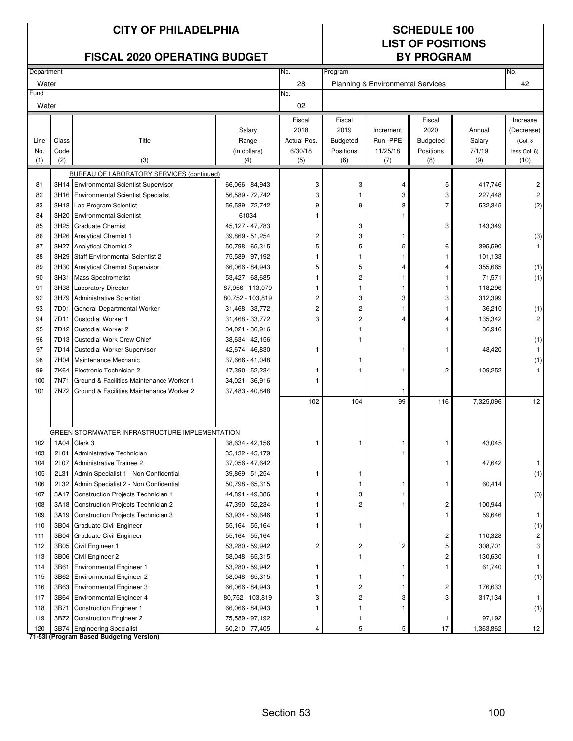|            |              | <b>CITY OF PHILADELPHIA</b><br><b>FISCAL 2020 OPERATING BUDGET</b>                   |                                    | <b>SCHEDULE 100</b><br><b>LIST OF POSITIONS</b><br><b>BY PROGRAM</b> |                         |                                              |                  |               |                      |
|------------|--------------|--------------------------------------------------------------------------------------|------------------------------------|----------------------------------------------------------------------|-------------------------|----------------------------------------------|------------------|---------------|----------------------|
| Department |              |                                                                                      |                                    | No.                                                                  | Program                 |                                              |                  |               | No.                  |
| Water      |              |                                                                                      |                                    | 28                                                                   |                         | <b>Planning &amp; Environmental Services</b> |                  |               | 42                   |
| Fund       |              |                                                                                      |                                    | No.                                                                  |                         |                                              |                  |               |                      |
| Water      |              |                                                                                      |                                    | 02                                                                   |                         |                                              |                  |               |                      |
|            |              |                                                                                      |                                    | Fiscal                                                               | Fiscal                  |                                              | Fiscal           |               | Increase             |
|            |              |                                                                                      | Salary                             | 2018                                                                 | 2019                    | Increment                                    | 2020             | Annual        | (Decrease)           |
| Line       | Class        | Title                                                                                | Range                              | Actual Pos.                                                          | <b>Budgeted</b>         | Run -PPE                                     | <b>Budgeted</b>  | Salary        | (Col. 8              |
| No.<br>(1) | Code<br>(2)  | (3)                                                                                  | (in dollars)<br>(4)                | 6/30/18<br>(5)                                                       | Positions<br>(6)        | 11/25/18<br>(7)                              | Positions<br>(8) | 7/1/19<br>(9) | less Col. 6)<br>(10) |
|            |              |                                                                                      |                                    |                                                                      |                         |                                              |                  |               |                      |
| 81         |              | BUREAU OF LABORATORY SERVICES (continued)<br>3H14 Environmental Scientist Supervisor | 66,066 - 84,943                    | 3                                                                    | 3                       | 4                                            | 5                | 417,746       | 2                    |
| 82         |              | 3H16 Environmental Scientist Specialist                                              | 56,589 - 72,742                    | 3                                                                    | 1                       | 3                                            | 3                | 227,448       | $\overline{c}$       |
| 83         |              | 3H18 Lab Program Scientist                                                           | 56,589 - 72,742                    | 9                                                                    | 9                       | 8                                            | 7                | 532,345       | (2)                  |
| 84         | 3H20         | <b>Environmental Scientist</b>                                                       | 61034                              | 1                                                                    |                         |                                              |                  |               |                      |
| 85         | 3H25         | <b>Graduate Chemist</b>                                                              | 45,127 - 47,783                    |                                                                      | 3                       |                                              | 3                | 143,349       |                      |
| 86         | 3H26         | <b>Analytical Chemist 1</b>                                                          | 39,869 - 51,254                    | 2                                                                    | 3                       | 1                                            |                  |               | (3)                  |
| 87         | 3H27         | <b>Analytical Chemist 2</b>                                                          | 50,798 - 65,315                    | 5                                                                    | 5                       | 5                                            | 6                | 395,590       | 1                    |
| 88         | 3H29         | <b>Staff Environmental Scientist 2</b>                                               | 75,589 - 97,192                    | 1                                                                    | 1                       | 1                                            |                  | 101,133       |                      |
| 89         | 3H30         | Analytical Chemist Supervisor                                                        | 66,066 - 84,943                    | 5                                                                    | 5                       | 4                                            | 4                | 355,665       | (1)                  |
| 90         | 3H31         | <b>Mass Spectrometist</b>                                                            | 53,427 - 68,685                    | 1                                                                    | 2                       | 1                                            | 1                | 71,571        | (1)                  |
| 91         | 3H38         | <b>Laboratory Director</b>                                                           | 87,956 - 113,079                   | 1                                                                    | 1                       | 1                                            | 1                | 118,296       |                      |
| 92         | 3H79         | <b>Administrative Scientist</b>                                                      | 80,752 - 103,819                   | 2                                                                    | 3                       | 3                                            | 3                | 312,399       |                      |
| 93         | 7D01         | General Departmental Worker                                                          | 31,468 - 33,772                    | $\overline{c}$                                                       | 2                       | 1                                            |                  | 36,210        | (1)                  |
| 94         | 7D11         | <b>Custodial Worker 1</b>                                                            | 31,468 - 33,772                    | 3                                                                    | 2                       | 4                                            | 4                | 135,342       | 2                    |
| 95         |              | 7D12 Custodial Worker 2                                                              | 34,021 - 36,916                    |                                                                      | 1                       |                                              |                  | 36,916        |                      |
| 96         |              | 7D13 Custodial Work Crew Chief                                                       | 38,634 - 42,156                    |                                                                      | 1                       |                                              |                  |               | (1)                  |
| 97         | 7D14         | <b>Custodial Worker Supervisor</b>                                                   | 42,674 - 46,830                    | 1                                                                    |                         |                                              | 1                | 48,420        | 1                    |
| 98         | 7H04         | Maintenance Mechanic                                                                 | 37,666 - 41,048                    |                                                                      | 1                       |                                              |                  |               | (1)                  |
| 99         | 7K64         | Electronic Technician 2                                                              | 47,390 - 52,234                    | 1                                                                    | 1                       | 1                                            | 2                | 109,252       | 1                    |
| 100        | 7N71         | Ground & Facilities Maintenance Worker 1                                             | 34,021 - 36,916                    |                                                                      |                         |                                              |                  |               |                      |
| 101        | 7N72         | Ground & Facilities Maintenance Worker 2                                             | 37,483 - 40,848                    |                                                                      |                         | 1                                            |                  |               |                      |
|            |              |                                                                                      |                                    | 102                                                                  | 104                     | 99                                           | 116              | 7,325,096     | 12                   |
|            |              |                                                                                      |                                    |                                                                      |                         |                                              |                  |               |                      |
|            |              | GREEN STORMWATER INFRASTRUCTURE IMPLEMENTATION                                       |                                    |                                                                      |                         |                                              |                  |               |                      |
| 102        | 1A04         | Clerk 3                                                                              | 38,634 - 42,156                    | ı                                                                    | 1                       |                                              |                  | 43,045        |                      |
| 103        | 2L01         | Administrative Technician                                                            | 35,132 - 45,179                    |                                                                      |                         |                                              |                  |               |                      |
| 104<br>105 | 2L07<br>2L31 | Administrative Trainee 2                                                             | 37,056 - 47,642                    |                                                                      | 1                       |                                              | 1                | 47,642        | $\mathbf{1}$         |
| 106        | 2L32         | Admin Specialist 1 - Non Confidential<br>Admin Specialist 2 - Non Confidential       | 39,869 - 51,254<br>50,798 - 65,315 | 1                                                                    | 1                       | 1                                            | 1                | 60,414        | (1)                  |
| 107        | 3A17         | Construction Projects Technician 1                                                   | 44,891 - 49,386                    | 1                                                                    | 3                       | 1                                            |                  |               | (3)                  |
| 108        | 3A18         | Construction Projects Technician 2                                                   | 47,390 - 52,234                    |                                                                      | 2                       | 1                                            | 2                | 100,944       |                      |
| 109        | 3A19         | Construction Projects Technician 3                                                   | 53,934 - 59,646                    | 1                                                                    |                         |                                              | 1                | 59,646        | $\mathbf{1}$         |
| 110        | 3B04         | Graduate Civil Engineer                                                              | 55,164 - 55,164                    | 1                                                                    | 1                       |                                              |                  |               | (1)                  |
| 111        | 3B04         | <b>Graduate Civil Engineer</b>                                                       | 55,164 - 55,164                    |                                                                      |                         |                                              | 2                | 110,328       | 2                    |
| 112        | 3B05         | Civil Engineer 1                                                                     | 53,280 - 59,942                    | 2                                                                    | $\overline{\mathbf{c}}$ | 2                                            | 5                | 308,701       | 3                    |
| 113        | 3B06         | Civil Engineer 2                                                                     | 58,048 - 65,315                    |                                                                      | 1                       |                                              | 2                | 130,630       | 1                    |
| 114        | 3B61         | <b>Environmental Engineer 1</b>                                                      | 53,280 - 59,942                    | 1                                                                    |                         | 1                                            | 1                | 61,740        | 1                    |
| 115        | 3B62         | <b>Environmental Engineer 2</b>                                                      | 58,048 - 65,315                    | 1                                                                    | 1                       | $\mathbf{1}$                                 |                  |               | (1)                  |
| 116        | 3B63         | <b>Environmental Engineer 3</b>                                                      | 66,066 - 84,943                    | 1                                                                    | $\overline{\mathbf{c}}$ | 1                                            | 2                | 176,633       |                      |
| 117        | 3B64         | <b>Environmental Engineer 4</b>                                                      | 80,752 - 103,819                   | 3                                                                    | 2                       | 3                                            | 3                | 317,134       | 1                    |
| 118        | 3B71         | <b>Construction Engineer 1</b>                                                       | 66,066 - 84,943                    | 1                                                                    | 1                       | 1                                            |                  |               | (1)                  |
| 119        | 3B72         | <b>Construction Engineer 2</b>                                                       | 75,589 - 97,192                    |                                                                      | 1                       |                                              | 1                | 97,192        |                      |
| 120        | 3B74         | <b>Engineering Specialist</b><br>71-53I (Program Based Budgeting Version)            | 60,210 - 77,405                    | 4                                                                    | 5                       | 5                                            | 17               | 1,363,862     | 12                   |

Section 53 100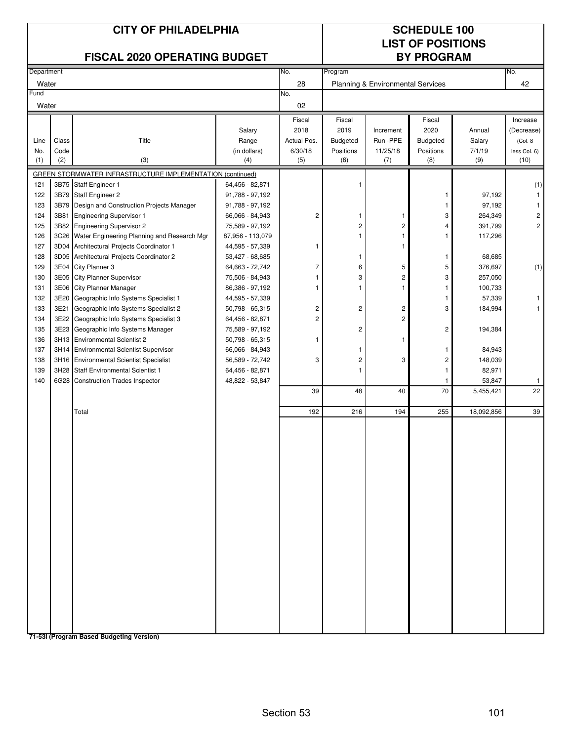|               | <b>CITY OF PHILADELPHIA</b><br><b>FISCAL 2020 OPERATING BUDGET</b> |                                                                                |                                     |                               |                            | <b>SCHEDULE 100</b><br><b>LIST OF POSITIONS</b><br><b>BY PROGRAM</b> |                                   |                  |                                   |  |
|---------------|--------------------------------------------------------------------|--------------------------------------------------------------------------------|-------------------------------------|-------------------------------|----------------------------|----------------------------------------------------------------------|-----------------------------------|------------------|-----------------------------------|--|
| Department    |                                                                    |                                                                                |                                     | No.                           | Program                    |                                                                      |                                   |                  | No.                               |  |
| Water         |                                                                    |                                                                                |                                     | 28                            |                            | Planning & Environmental Services                                    |                                   |                  | 42                                |  |
| Fund<br>Water |                                                                    |                                                                                |                                     | No.<br>02                     |                            |                                                                      |                                   |                  |                                   |  |
| Line          | Class                                                              | Title                                                                          | Salary<br>Range                     | Fiscal<br>2018<br>Actual Pos. | Fiscal<br>2019<br>Budgeted | Increment<br>Run -PPE                                                | Fiscal<br>2020<br><b>Budgeted</b> | Annual<br>Salary | Increase<br>(Decrease)<br>(Col. 8 |  |
| No.           | Code                                                               |                                                                                | (in dollars)                        | 6/30/18                       | Positions                  | 11/25/18                                                             | Positions                         | 7/1/19           | less Col. 6)                      |  |
| (1)           | (2)                                                                | (3)                                                                            | (4)                                 | (5)                           | (6)                        | (7)                                                                  | (8)                               | (9)              | (10)                              |  |
|               |                                                                    | GREEN STORMWATER INFRASTRUCTURE IMPLEMENTATION (continued)                     |                                     |                               |                            |                                                                      |                                   |                  |                                   |  |
| 121           | 3B75                                                               | Staff Engineer 1                                                               | 64,456 - 82,871                     |                               |                            |                                                                      |                                   |                  | (1)                               |  |
| 122           | 3B79                                                               | <b>Staff Engineer 2</b>                                                        | 91,788 - 97,192                     |                               |                            |                                                                      | -1                                | 97,192           | $\mathbf{1}$                      |  |
| 123           | 3B79                                                               | Design and Construction Projects Manager                                       | 91,788 - 97,192                     |                               |                            |                                                                      | $\mathbf{1}$                      | 97,192           | 1                                 |  |
| 124           | 3B81                                                               | <b>Engineering Supervisor 1</b>                                                | 66,066 - 84,943                     | $\overline{c}$                | 1                          | -1                                                                   | 3                                 | 264,349          | 2                                 |  |
| 125           | 3B82<br>3C26                                                       | <b>Engineering Supervisor 2</b><br>Water Engineering Planning and Research Mgr | 75,589 - 97,192                     |                               | 2                          | $\sqrt{2}$<br>$\mathbf{1}$                                           | 4                                 | 391,799          | $\overline{c}$                    |  |
| 126<br>127    | 3D04                                                               | Architectural Projects Coordinator 1                                           | 87,956 - 113,079<br>44,595 - 57,339 | 1                             |                            | $\mathbf{1}$                                                         | 1                                 | 117,296          |                                   |  |
| 128           | 3D05                                                               | Architectural Projects Coordinator 2                                           | 53,427 - 68,685                     |                               | 1                          |                                                                      | -1                                | 68,685           |                                   |  |
| 129           |                                                                    | 3E04 City Planner 3                                                            | 64,663 - 72,742                     | $\overline{7}$                | 6                          | 5                                                                    | 5                                 | 376,697          | (1)                               |  |
| 130           | 3E05                                                               | <b>City Planner Supervisor</b>                                                 | 75,506 - 84,943                     | 1                             | 3                          | $\mathbf{2}$                                                         | 3                                 | 257,050          |                                   |  |
| 131           |                                                                    | 3E06 City Planner Manager                                                      | 86,386 - 97,192                     | 1                             | 1                          | $\mathbf{1}$                                                         | $\mathbf{1}$                      | 100,733          |                                   |  |
| 132           | 3E20                                                               | Geographic Info Systems Specialist 1                                           | 44,595 - 57,339                     |                               |                            |                                                                      | $\mathbf{1}$                      | 57,339           | 1                                 |  |
| 133           | 3E21                                                               | Geographic Info Systems Specialist 2                                           | 50,798 - 65,315                     | 2                             | $\overline{c}$             | $\overline{c}$                                                       | 3                                 | 184,994          |                                   |  |
| 134           | 3E22                                                               | Geographic Info Systems Specialist 3                                           | 64,456 - 82,871                     | $\overline{c}$                |                            | $\overline{c}$                                                       |                                   |                  |                                   |  |
| 135           | 3E23                                                               | Geographic Info Systems Manager                                                | 75,589 - 97,192                     |                               | 2                          |                                                                      | $\overline{c}$                    | 194,384          |                                   |  |
| 136           |                                                                    | 3H13 Environmental Scientist 2                                                 | 50,798 - 65,315                     | 1                             |                            | $\mathbf{1}$                                                         |                                   |                  |                                   |  |
| 137           |                                                                    | 3H14 Environmental Scientist Supervisor                                        | 66,066 - 84,943                     |                               | 1                          |                                                                      | $\mathbf{1}$                      | 84,943           |                                   |  |
| 138           |                                                                    | 3H16 Environmental Scientist Specialist                                        | 56,589 - 72,742                     | 3                             | 2                          | 3                                                                    | $\overline{\mathbf{c}}$           | 148,039          |                                   |  |
| 139           | 3H28                                                               | Staff Environmental Scientist 1                                                | 64,456 - 82,871                     |                               | 1                          |                                                                      | 1                                 | 82,971           |                                   |  |
| 140           | 6G28                                                               | <b>Construction Trades Inspector</b>                                           | 48,822 - 53,847                     |                               |                            |                                                                      | -1                                | 53,847           | 1                                 |  |
|               |                                                                    |                                                                                |                                     | 39                            | 48                         | 40                                                                   | 70                                | 5,455,421        | 22                                |  |
|               |                                                                    | Total                                                                          |                                     | 192                           | 216                        | 194                                                                  | 255                               | 18,092,856       | 39                                |  |
|               |                                                                    |                                                                                |                                     |                               |                            |                                                                      |                                   |                  |                                   |  |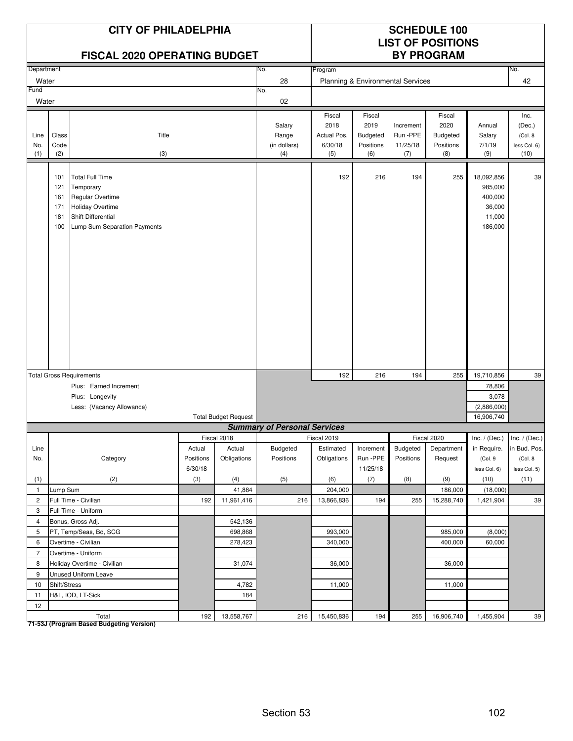|                    |                                        | <b>CITY OF PHILADELPHIA</b><br><b>FISCAL 2020 OPERATING BUDGET</b>                                                                                     |           | <b>SCHEDULE 100</b><br><b>LIST OF POSITIONS</b><br><b>BY PROGRAM</b> |                                        |                                                 |                                                       |                                          |                                                       |                                                                 |                                                   |
|--------------------|----------------------------------------|--------------------------------------------------------------------------------------------------------------------------------------------------------|-----------|----------------------------------------------------------------------|----------------------------------------|-------------------------------------------------|-------------------------------------------------------|------------------------------------------|-------------------------------------------------------|-----------------------------------------------------------------|---------------------------------------------------|
| Department         |                                        |                                                                                                                                                        |           |                                                                      | No.                                    | Program                                         |                                                       |                                          |                                                       |                                                                 | No.                                               |
| Water              |                                        |                                                                                                                                                        |           |                                                                      | 28                                     |                                                 |                                                       | Planning & Environmental Services        |                                                       |                                                                 | 42                                                |
| Fund               |                                        |                                                                                                                                                        |           |                                                                      | No.                                    |                                                 |                                                       |                                          |                                                       |                                                                 |                                                   |
| Water              |                                        |                                                                                                                                                        |           |                                                                      | 02                                     |                                                 |                                                       |                                          |                                                       |                                                                 |                                                   |
| Line<br>No.<br>(1) | Class<br>Code<br>(2)                   | Title<br>(3)                                                                                                                                           |           |                                                                      | Salary<br>Range<br>(in dollars)<br>(4) | Fiscal<br>2018<br>Actual Pos.<br>6/30/18<br>(5) | Fiscal<br>2019<br><b>Budgeted</b><br>Positions<br>(6) | Increment<br>Run -PPE<br>11/25/18<br>(7) | Fiscal<br>2020<br><b>Budgeted</b><br>Positions<br>(8) | Annual<br>Salary<br>7/1/19<br>(9)                               | Inc.<br>(Dec.)<br>(Col. 8<br>less Col. 6)<br>(10) |
|                    | 101<br>121<br>161<br>171<br>181<br>100 | <b>Total Full Time</b><br>Temporary<br><b>Regular Overtime</b><br><b>Holiday Overtime</b><br><b>Shift Differential</b><br>Lump Sum Separation Payments |           |                                                                      |                                        | 192                                             | 216                                                   | 194                                      | 255                                                   | 18,092,856<br>985,000<br>400,000<br>36,000<br>11,000<br>186,000 | 39                                                |
|                    |                                        |                                                                                                                                                        |           |                                                                      |                                        | 192                                             | 216                                                   | 194                                      | 255                                                   |                                                                 | 39                                                |
|                    |                                        | <b>Total Gross Requirements</b><br>Plus: Earned Increment                                                                                              |           |                                                                      |                                        |                                                 |                                                       |                                          |                                                       | 19,710,856                                                      |                                                   |
|                    |                                        |                                                                                                                                                        |           |                                                                      |                                        |                                                 |                                                       |                                          |                                                       | 78,806<br>3,078                                                 |                                                   |
|                    |                                        | Plus: Longevity<br>Less: (Vacancy Allowance)                                                                                                           |           |                                                                      |                                        |                                                 |                                                       |                                          |                                                       | (2,886,000)                                                     |                                                   |
|                    |                                        |                                                                                                                                                        |           | <b>Total Budget Request</b>                                          |                                        |                                                 |                                                       |                                          |                                                       | 16,906,740                                                      |                                                   |
|                    |                                        |                                                                                                                                                        |           |                                                                      | <b>Summary of Personal Services</b>    |                                                 |                                                       |                                          |                                                       |                                                                 |                                                   |
|                    |                                        |                                                                                                                                                        |           | Fiscal 2018                                                          |                                        | Fiscal 2019                                     |                                                       |                                          | Fiscal 2020                                           | Inc. / (Dec.) Inc. / (Dec.)                                     |                                                   |
| Line               |                                        |                                                                                                                                                        | Actual    | Actual                                                               | Budgeted                               | Estimated                                       | Increment                                             | Budgeted                                 | Department                                            | in Require.                                                     | in Bud. Pos.                                      |
| No.                |                                        | Category                                                                                                                                               | Positions | Obligations                                                          | Positions                              | Obligations                                     | Run -PPE                                              | Positions                                | Request                                               | (Col. 9                                                         | (Col. 8                                           |
|                    |                                        |                                                                                                                                                        | 6/30/18   |                                                                      |                                        |                                                 | 11/25/18                                              |                                          |                                                       | less Col. 6)                                                    | less Col. 5)                                      |
| (1)                |                                        | (2)                                                                                                                                                    | (3)       | (4)                                                                  | (5)                                    | (6)                                             | (7)                                                   | (8)                                      | (9)                                                   | (10)                                                            | (11)                                              |
| $\mathbf{1}$       | Lump Sum                               |                                                                                                                                                        |           | 41,884                                                               |                                        | 204,000                                         |                                                       |                                          | 186,000                                               | (18,000)                                                        |                                                   |
| $\overline{2}$     |                                        | Full Time - Civilian                                                                                                                                   | 192       | 11,961,416                                                           | 216                                    | 13,866,836                                      | 194                                                   | 255                                      | 15,288,740                                            | 1,421,904                                                       | 39                                                |
| 3                  |                                        | Full Time - Uniform                                                                                                                                    |           |                                                                      |                                        |                                                 |                                                       |                                          |                                                       |                                                                 |                                                   |
| $\overline{4}$     |                                        | Bonus, Gross Adj.                                                                                                                                      |           | 542,136                                                              |                                        |                                                 |                                                       |                                          |                                                       |                                                                 |                                                   |
| 5                  |                                        | PT, Temp/Seas, Bd, SCG                                                                                                                                 |           | 698,868                                                              |                                        | 993,000                                         |                                                       |                                          | 985,000                                               | (8,000)                                                         |                                                   |
| 6                  |                                        | Overtime - Civilian                                                                                                                                    |           | 278,423                                                              |                                        | 340,000                                         |                                                       |                                          | 400,000                                               | 60,000                                                          |                                                   |
| $\overline{7}$     |                                        | Overtime - Uniform                                                                                                                                     |           |                                                                      |                                        |                                                 |                                                       |                                          |                                                       |                                                                 |                                                   |
| 8                  |                                        | Holiday Overtime - Civilian                                                                                                                            |           | 31,074                                                               |                                        | 36,000                                          |                                                       |                                          | 36,000                                                |                                                                 |                                                   |
| 9                  |                                        | Unused Uniform Leave                                                                                                                                   |           |                                                                      |                                        |                                                 |                                                       |                                          |                                                       |                                                                 |                                                   |
| 10                 | Shift/Stress                           |                                                                                                                                                        |           | 4,782                                                                |                                        | 11,000                                          |                                                       |                                          | 11,000                                                |                                                                 |                                                   |
| 11                 |                                        | H&L, IOD, LT-Sick                                                                                                                                      |           | 184                                                                  |                                        |                                                 |                                                       |                                          |                                                       |                                                                 |                                                   |
| 12                 |                                        | Total                                                                                                                                                  | 192       | 13,558,767                                                           |                                        | 216 15,450,836                                  | 194                                                   |                                          | 255 16,906,740                                        | 1,455,904                                                       | 39                                                |

Total<br>T1-53J (Program Based Budgeting Version)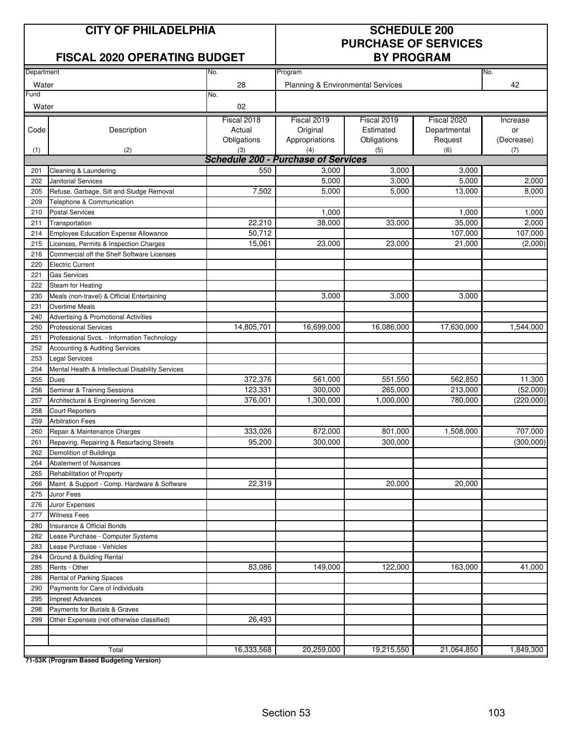### **CITY OF PHILADELPHIA SCHEDULE 200**

### **FISCAL 2020 OPERATING BUDGET BY PROGRAM**

# **PURCHASE OF SERVICES**

| Department |                                                   | No.                                        | Program                           |             |                     | No.        |  |  |  |
|------------|---------------------------------------------------|--------------------------------------------|-----------------------------------|-------------|---------------------|------------|--|--|--|
| Water      |                                                   | 28                                         | Planning & Environmental Services |             |                     | 42         |  |  |  |
| Fund       |                                                   | No.                                        |                                   |             |                     |            |  |  |  |
| Water      |                                                   | 02                                         |                                   |             |                     |            |  |  |  |
|            |                                                   | Fiscal 2018                                | Fiscal 2019                       | Fiscal 2019 | Fiscal 2020         | Increase   |  |  |  |
| Code       | Description                                       | Actual                                     | Original                          | Estimated   | Departmental        | or         |  |  |  |
|            |                                                   | Obligations                                | Appropriations                    | Obligations | Request             | (Decrease) |  |  |  |
| (1)        | (2)                                               | (3)                                        | (4)                               | (5)         | (6)                 | (7)        |  |  |  |
|            |                                                   | <b>Schedule 200 - Purchase of Services</b> |                                   |             |                     |            |  |  |  |
| 201        | Cleaning & Laundering                             | 550                                        | 3,000                             | 3,000       | 3,000               |            |  |  |  |
| 202        | Janitorial Services                               |                                            | 5,000                             | 3,000       | 5,000               | 2,000      |  |  |  |
| 205        | Refuse, Garbage, Silt and Sludge Removal          | 7,502                                      | 5,000                             | 5,000       | $\overline{13,000}$ | 8,000      |  |  |  |
| 209        | Telephone & Communication                         |                                            |                                   |             |                     |            |  |  |  |
| 210        | <b>Postal Services</b>                            |                                            | 1,000                             |             | 1,000               | 1,000      |  |  |  |
| 211        | Transportation                                    | 22,210                                     | 38,000                            | 33,000      | 35,000              | 2,000      |  |  |  |
| 214        | <b>Employee Education Expense Allowance</b>       | 50,712                                     |                                   |             | 107,000             | 107,000    |  |  |  |
| 215        | Licenses, Permits & Inspection Charges            | 15,061                                     | 23,000                            | 23,000      | 21,000              | (2,000)    |  |  |  |
| 216        | Commercial off the Shelf Software Licenses        |                                            |                                   |             |                     |            |  |  |  |
| 220        | <b>Electric Current</b>                           |                                            |                                   |             |                     |            |  |  |  |
| 221        | <b>Gas Services</b>                               |                                            |                                   |             |                     |            |  |  |  |
| 222        | Steam for Heating                                 |                                            |                                   |             |                     |            |  |  |  |
| 230        | Meals (non-travel) & Official Entertaining        |                                            | 3,000                             | 3,000       | 3,000               |            |  |  |  |
| 231        | <b>Overtime Meals</b>                             |                                            |                                   |             |                     |            |  |  |  |
| 240        | Advertising & Promotional Activities              |                                            |                                   |             |                     |            |  |  |  |
| 250        | <b>Professional Services</b>                      | 14,805,701                                 | 16,699,000                        | 16,086,000  | 17,630,000          | 1,544,000  |  |  |  |
| 251        | Professional Svcs. - Information Technology       |                                            |                                   |             |                     |            |  |  |  |
| 252        | Accounting & Auditing Services                    |                                            |                                   |             |                     |            |  |  |  |
| 253        | <b>Legal Services</b>                             |                                            |                                   |             |                     |            |  |  |  |
| 254        | Mental Health & Intellectual Disability Services  |                                            |                                   |             |                     |            |  |  |  |
| 255        | Dues                                              | 372,376                                    | 561,000                           | 551,550     | 562,850             | 11,300     |  |  |  |
| 256        | Seminar & Training Sessions                       | 123,331                                    | 300,000                           | 265,000     | 213,000             | (52,000)   |  |  |  |
| 257        | Architectural & Engineering Services              | 376,001                                    | 1,300,000                         | 1,000,000   | 780,000             | (220,000)  |  |  |  |
| 258        | <b>Court Reporters</b>                            |                                            |                                   |             |                     |            |  |  |  |
| 259        | <b>Arbitration Fees</b>                           |                                            |                                   |             |                     |            |  |  |  |
| 260        | Repair & Maintenance Charges                      | 333,026                                    | 872,000                           | 801,000     | 1,508,000           | 707,000    |  |  |  |
|            | Repaving, Repairing & Resurfacing Streets         | 95,200                                     | 300,000                           | 300,000     |                     | (300,000)  |  |  |  |
| 261        | Demolition of Buildings                           |                                            |                                   |             |                     |            |  |  |  |
| 262<br>264 | Abatement of Nuisances                            |                                            |                                   |             |                     |            |  |  |  |
|            |                                                   |                                            |                                   |             |                     |            |  |  |  |
| 265        | Rehabilitation of Property                        |                                            |                                   |             |                     |            |  |  |  |
| 266        | Maint. & Support - Comp. Hardware & Software      | 22,319                                     |                                   | 20,000      | 20,000              |            |  |  |  |
| 275        | Juror Fees                                        |                                            |                                   |             |                     |            |  |  |  |
| 276        | Juror Expenses                                    |                                            |                                   |             |                     |            |  |  |  |
| 277        | <b>Witness Fees</b><br>Insurance & Official Bonds |                                            |                                   |             |                     |            |  |  |  |
| 280        |                                                   |                                            |                                   |             |                     |            |  |  |  |
| 282        | Lease Purchase - Computer Systems                 |                                            |                                   |             |                     |            |  |  |  |
| 283        | Lease Purchase - Vehicles                         |                                            |                                   |             |                     |            |  |  |  |
| 284        | Ground & Building Rental                          |                                            |                                   |             |                     |            |  |  |  |
| 285        | Rents - Other                                     | 83,086                                     | 149,000                           | 122,000     | 163,000             | 41,000     |  |  |  |
| 286        | Rental of Parking Spaces                          |                                            |                                   |             |                     |            |  |  |  |
| 290        | Payments for Care of Individuals                  |                                            |                                   |             |                     |            |  |  |  |
| 295        | <b>Imprest Advances</b>                           |                                            |                                   |             |                     |            |  |  |  |
| 298        | Payments for Burials & Graves                     |                                            |                                   |             |                     |            |  |  |  |
| 299        | Other Expenses (not otherwise classified)         | 26,493                                     |                                   |             |                     |            |  |  |  |
|            |                                                   |                                            |                                   |             |                     |            |  |  |  |
|            |                                                   |                                            |                                   |             |                     |            |  |  |  |
|            | Total                                             | 16,333,568                                 | 20,259,000                        | 19,215,550  | 21,064,850          | 1,849,300  |  |  |  |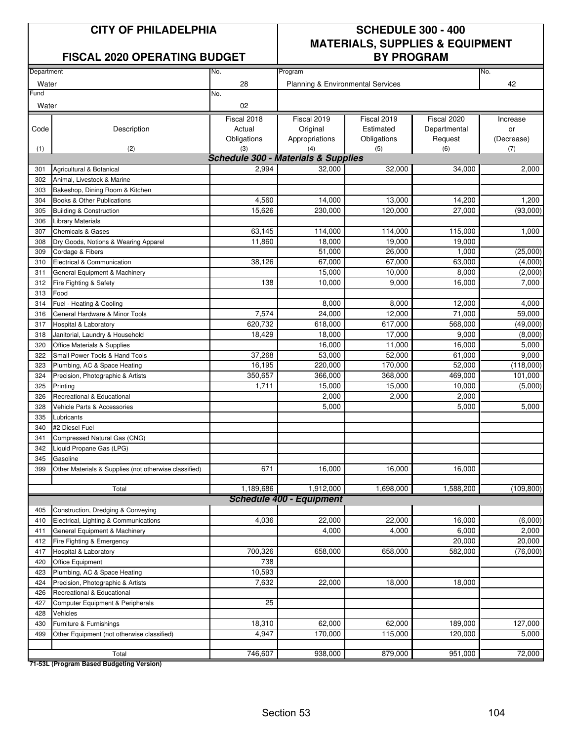### **FISCAL 2020 OPERATING BUDGET BY PROGRAM**

## **CITY OF PHILADELPHIA SCHEDULE 300 - 400 MATERIALS, SUPPLIES & EQUIPMENT**

| Department |                                                       | No.                                            | Program                           |             |              | No.        |  |  |  |
|------------|-------------------------------------------------------|------------------------------------------------|-----------------------------------|-------------|--------------|------------|--|--|--|
| Water      |                                                       | 28                                             | Planning & Environmental Services |             |              | 42         |  |  |  |
| Fund       |                                                       | No.                                            |                                   |             |              |            |  |  |  |
| Water      |                                                       | 02                                             |                                   |             |              |            |  |  |  |
|            |                                                       |                                                |                                   |             |              |            |  |  |  |
|            |                                                       | Fiscal 2018                                    | Fiscal 2019                       | Fiscal 2019 | Fiscal 2020  | Increase   |  |  |  |
| Code       | Description                                           | Actual                                         | Original                          | Estimated   | Departmental | or         |  |  |  |
|            |                                                       | Obligations                                    | Appropriations                    | Obligations | Request      | (Decrease) |  |  |  |
| (1)        | (2)                                                   | (3)                                            | (4)                               | (5)         | (6)          | (7)        |  |  |  |
|            |                                                       | <b>Schedule 300 - Materials &amp; Supplies</b> |                                   |             |              |            |  |  |  |
| 301        | Agricultural & Botanical                              | 2,994                                          | 32,000                            | 32,000      | 34,000       | 2,000      |  |  |  |
| 302        | Animal, Livestock & Marine                            |                                                |                                   |             |              |            |  |  |  |
| 303        | Bakeshop, Dining Room & Kitchen                       |                                                |                                   |             |              |            |  |  |  |
| 304        | Books & Other Publications                            | 4,560                                          | 14,000                            | 13,000      | 14,200       | 1,200      |  |  |  |
| 305        | <b>Building &amp; Construction</b>                    | 15,626                                         | 230,000                           | 120,000     | 27,000       | (93,000)   |  |  |  |
| 306        | <b>Library Materials</b>                              |                                                |                                   |             |              |            |  |  |  |
| 307        | <b>Chemicals &amp; Gases</b>                          | 63,145                                         | 114,000                           | 114,000     | 115,000      | 1,000      |  |  |  |
| 308        | Dry Goods, Notions & Wearing Apparel                  | 11,860                                         | 18,000                            | 19,000      | 19,000       |            |  |  |  |
| 309        | Cordage & Fibers                                      |                                                | 51,000                            | 26,000      | 1,000        | (25,000)   |  |  |  |
| 310        | Electrical & Communication                            | 38,126                                         | 67,000                            | 67,000      | 63,000       | (4,000)    |  |  |  |
| 311        | General Equipment & Machinery                         |                                                | 15.000                            | 10,000      | 8,000        | (2,000)    |  |  |  |
| 312        | Fire Fighting & Safety                                | 138                                            | 10,000                            | 9,000       | 16,000       | 7,000      |  |  |  |
| 313        | Food                                                  |                                                |                                   |             |              |            |  |  |  |
| 314        | Fuel - Heating & Cooling                              |                                                | 8,000                             | 8,000       | 12,000       | 4,000      |  |  |  |
| 316        | General Hardware & Minor Tools                        | 7,574                                          | 24,000                            | 12,000      | 71,000       | 59,000     |  |  |  |
| 317        | Hospital & Laboratory                                 | 620,732                                        | 618,000                           | 617,000     | 568,000      | (49,000)   |  |  |  |
| 318        | Janitorial, Laundry & Household                       | 18,429                                         | 18,000                            | 17,000      | 9,000        | (8,000)    |  |  |  |
| 320        | Office Materials & Supplies                           |                                                | 16,000                            | 11,000      | 16,000       | 5,000      |  |  |  |
| 322        | Small Power Tools & Hand Tools                        | 37,268                                         | 53,000                            | 52,000      | 61,000       | 9,000      |  |  |  |
|            | Plumbing, AC & Space Heating                          | 16,195                                         | 220,000                           | 170,000     | 52,000       | (118,000)  |  |  |  |
| 323        |                                                       |                                                |                                   |             | 469,000      |            |  |  |  |
| 324        | Precision, Photographic & Artists                     | 350,657                                        | 366,000                           | 368,000     |              | 101,000    |  |  |  |
| 325        | Printing                                              | 1,711                                          | 15,000                            | 15,000      | 10,000       | (5,000)    |  |  |  |
| 326        | Recreational & Educational                            |                                                | 2,000                             | 2,000       | 2,000        |            |  |  |  |
| 328        | Vehicle Parts & Accessories                           |                                                | 5,000                             |             | 5,000        | 5,000      |  |  |  |
| 335        | Lubricants                                            |                                                |                                   |             |              |            |  |  |  |
| 340        | #2 Diesel Fuel                                        |                                                |                                   |             |              |            |  |  |  |
| 341        | Compressed Natural Gas (CNG)                          |                                                |                                   |             |              |            |  |  |  |
| 342        | Liquid Propane Gas (LPG)                              |                                                |                                   |             |              |            |  |  |  |
| 345        | Gasoline                                              |                                                |                                   |             |              |            |  |  |  |
| 399        | Other Materials & Supplies (not otherwise classified) | 671                                            | 16,000                            | 16,000      | 16,000       |            |  |  |  |
|            |                                                       |                                                |                                   |             |              |            |  |  |  |
|            | Total                                                 | 1,189,686                                      | 1,912,000                         | 1,698,000   | 1,588,200    | (109, 800) |  |  |  |
|            |                                                       |                                                | <b>Schedule 400 - Equipment</b>   |             |              |            |  |  |  |
| 405        | Construction, Dredging & Conveying                    |                                                |                                   |             |              |            |  |  |  |
| 410        | Electrical, Lighting & Communications                 | 4,036                                          | 22,000                            | 22,000      | 16,000       | (6,000)    |  |  |  |
| 411        | General Equipment & Machinery                         |                                                | 4,000                             | 4,000       | 6,000        | 2,000      |  |  |  |
| 412        | Fire Fighting & Emergency                             |                                                |                                   |             | 20,000       | 20,000     |  |  |  |
| 417        | Hospital & Laboratory                                 | 700,326                                        | 658,000                           | 658,000     | 582,000      | (76,000)   |  |  |  |
| 420        | Office Equipment                                      | 738                                            |                                   |             |              |            |  |  |  |
| 423        | Plumbing, AC & Space Heating                          | 10,593                                         |                                   |             |              |            |  |  |  |
| 424        | Precision, Photographic & Artists                     | 7,632                                          | 22.000                            | 18,000      | 18,000       |            |  |  |  |
| 426        | Recreational & Educational                            |                                                |                                   |             |              |            |  |  |  |
| 427        | Computer Equipment & Peripherals                      | 25                                             |                                   |             |              |            |  |  |  |
| 428        | Vehicles                                              |                                                |                                   |             |              |            |  |  |  |
| 430        | Furniture & Furnishings                               | 18,310                                         | 62,000                            | 62,000      | 189,000      | 127,000    |  |  |  |
| 499        | Other Equipment (not otherwise classified)            | 4,947                                          | 170,000                           | 115,000     | 120,000      | 5,000      |  |  |  |
|            |                                                       |                                                |                                   |             |              |            |  |  |  |
|            | Total                                                 | 746,607                                        | 938,000                           | 879,000     | 951,000      | 72,000     |  |  |  |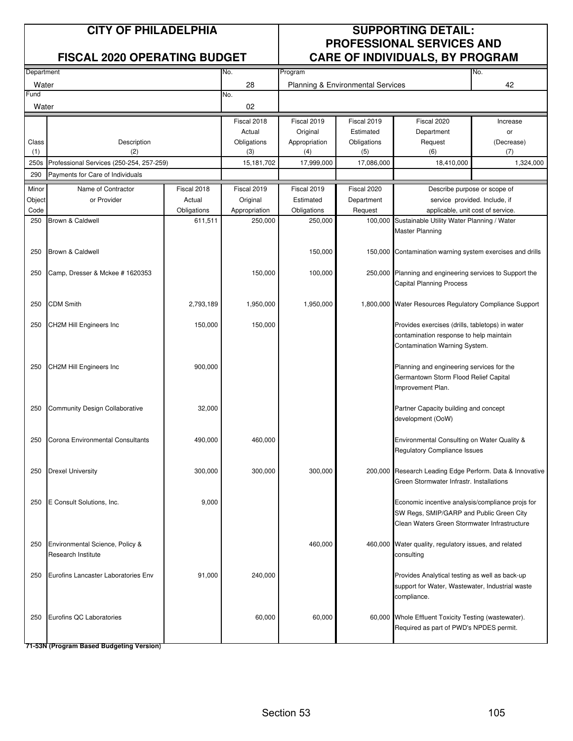| Department    |                                          |             | No.           | Program                                 |             |                                                                                                 | No.                           |  |
|---------------|------------------------------------------|-------------|---------------|-----------------------------------------|-------------|-------------------------------------------------------------------------------------------------|-------------------------------|--|
| Water<br>Fund |                                          |             | 28<br>No.     | 42<br>Planning & Environmental Services |             |                                                                                                 |                               |  |
| Water         |                                          |             | 02            |                                         |             |                                                                                                 |                               |  |
|               |                                          |             | Fiscal 2018   | Fiscal 2019                             | Fiscal 2019 | Fiscal 2020                                                                                     | Increase                      |  |
|               |                                          |             | Actual        | Original                                | Estimated   | Department                                                                                      | or                            |  |
| Class         | Description                              |             | Obligations   | Appropriation                           | Obligations | Request                                                                                         | (Decrease)                    |  |
| (1)           | (2)                                      |             | (3)           | (4)                                     | (5)         | (6)                                                                                             | (7)                           |  |
| 250s          | Professional Services (250-254, 257-259) |             | 15,181,702    | 17,999,000                              | 17,086,000  | 18,410,000                                                                                      | 1,324,000                     |  |
| 290           | Payments for Care of Individuals         |             |               |                                         |             |                                                                                                 |                               |  |
| Minor         | Name of Contractor                       | Fiscal 2018 | Fiscal 2019   | Fiscal 2019                             | Fiscal 2020 | Describe purpose or scope of                                                                    |                               |  |
| Object        | or Provider                              | Actual      | Original      | Estimated                               | Department  |                                                                                                 | service provided. Include, if |  |
| Code<br>250   | Brown & Caldwell                         | Obligations | Appropriation | Obligations                             | Request     | applicable, unit cost of service.                                                               |                               |  |
|               |                                          | 611,511     | 250,000       | 250,000                                 | 100,000     | Sustainable Utility Water Planning / Water<br><b>Master Planning</b>                            |                               |  |
|               |                                          |             |               |                                         |             |                                                                                                 |                               |  |
| 250           | Brown & Caldwell                         |             |               | 150,000                                 |             | 150,000 Contamination warning system exercises and drills                                       |                               |  |
| 250           | Camp, Dresser & Mckee # 1620353          |             | 150,000       | 100,000                                 |             | 250,000 Planning and engineering services to Support the                                        |                               |  |
|               |                                          |             |               |                                         |             | <b>Capital Planning Process</b>                                                                 |                               |  |
|               |                                          |             |               |                                         |             |                                                                                                 |                               |  |
| 250           | <b>CDM Smith</b>                         | 2,793,189   | 1,950,000     | 1,950,000                               |             | 1,800,000 Water Resources Regulatory Compliance Support                                         |                               |  |
| 250           | CH2M Hill Engineers Inc                  | 150,000     | 150,000       |                                         |             | Provides exercises (drills, tabletops) in water                                                 |                               |  |
|               |                                          |             |               |                                         |             | contamination response to help maintain                                                         |                               |  |
|               |                                          |             |               |                                         |             | Contamination Warning System.                                                                   |                               |  |
|               |                                          |             |               |                                         |             |                                                                                                 |                               |  |
| 250           | <b>CH2M Hill Engineers Inc</b>           | 900,000     |               |                                         |             | Planning and engineering services for the                                                       |                               |  |
|               |                                          |             |               |                                         |             | Germantown Storm Flood Relief Capital                                                           |                               |  |
|               |                                          |             |               |                                         |             | Improvement Plan.                                                                               |                               |  |
|               |                                          |             |               |                                         |             |                                                                                                 |                               |  |
| 250           | <b>Community Design Collaborative</b>    | 32,000      |               |                                         |             | Partner Capacity building and concept<br>development (OoW)                                      |                               |  |
|               |                                          |             |               |                                         |             |                                                                                                 |                               |  |
| 250           | Corona Environmental Consultants         | 490,000     | 460,000       |                                         |             | Environmental Consulting on Water Quality &                                                     |                               |  |
|               |                                          |             |               |                                         |             | Regulatory Compliance Issues                                                                    |                               |  |
|               |                                          |             |               |                                         |             |                                                                                                 |                               |  |
| 250           | <b>Drexel University</b>                 | 300,000     | 300,000       | 300,000                                 |             | 200,000 Research Leading Edge Perform. Data & Innovative                                        |                               |  |
|               |                                          |             |               |                                         |             | Green Stormwater Infrastr. Installations                                                        |                               |  |
|               |                                          |             |               |                                         |             |                                                                                                 |                               |  |
| 250           | E Consult Solutions, Inc.                | 9,000       |               |                                         |             | Economic incentive analysis/compliance projs for<br>SW Regs, SMIP/GARP and Public Green City    |                               |  |
|               |                                          |             |               |                                         |             | Clean Waters Green Stormwater Infrastructure                                                    |                               |  |
|               |                                          |             |               |                                         |             |                                                                                                 |                               |  |
| 250           | Environmental Science, Policy &          |             |               | 460,000                                 |             | 460,000 Water quality, regulatory issues, and related                                           |                               |  |
|               | Research Institute                       |             |               |                                         |             | consulting                                                                                      |                               |  |
|               |                                          |             |               |                                         |             |                                                                                                 |                               |  |
| 250           | Eurofins Lancaster Laboratories Env      | 91,000      | 240,000       |                                         |             | Provides Analytical testing as well as back-up                                                  |                               |  |
|               |                                          |             |               |                                         |             | support for Water, Wastewater, Industrial waste                                                 |                               |  |
|               |                                          |             |               |                                         |             | compliance.                                                                                     |                               |  |
|               |                                          |             |               |                                         |             |                                                                                                 |                               |  |
| 250           | Eurofins QC Laboratories                 |             | 60,000        | 60,000                                  |             | 60,000 Whole Effluent Toxicity Testing (wastewater).<br>Required as part of PWD's NPDES permit. |                               |  |
|               |                                          |             |               |                                         |             |                                                                                                 |                               |  |
|               |                                          |             |               |                                         |             |                                                                                                 |                               |  |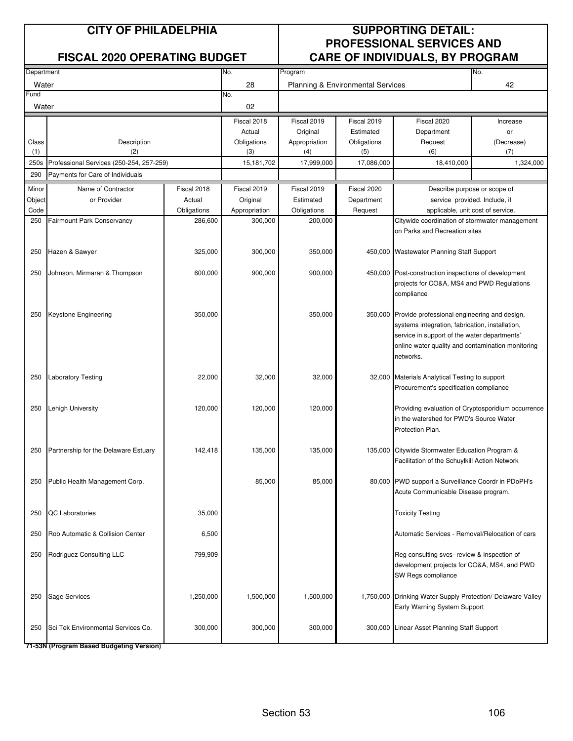|            |                                          |             |               |                                         |             | . .                                                                                           |                               |
|------------|------------------------------------------|-------------|---------------|-----------------------------------------|-------------|-----------------------------------------------------------------------------------------------|-------------------------------|
| Department |                                          |             | No.           | No.<br>Program                          |             |                                                                                               |                               |
| Water      |                                          |             | 28            | Planning & Environmental Services<br>42 |             |                                                                                               |                               |
| Fund       |                                          |             | No.           |                                         |             |                                                                                               |                               |
| Water      |                                          |             | 02            |                                         |             |                                                                                               |                               |
|            |                                          |             | Fiscal 2018   | Fiscal 2019                             | Fiscal 2019 | Fiscal 2020                                                                                   | Increase                      |
|            |                                          |             | Actual        | Original                                | Estimated   | Department                                                                                    | or                            |
| Class      | Description                              |             | Obligations   | Appropriation                           | Obligations | Request                                                                                       | (Decrease)                    |
| (1)        | (2)                                      |             | (3)           | (4)                                     | (5)         | (6)                                                                                           | (7)                           |
| 250s       | Professional Services (250-254, 257-259) |             | 15,181,702    | 17,999,000                              | 17,086,000  | 18,410,000                                                                                    | 1,324,000                     |
| 290        | Payments for Care of Individuals         |             |               |                                         |             |                                                                                               |                               |
| Minor      | Name of Contractor                       | Fiscal 2018 | Fiscal 2019   | Fiscal 2019                             | Fiscal 2020 | Describe purpose or scope of                                                                  |                               |
| Object     | or Provider                              | Actual      | Original      | Estimated                               | Department  |                                                                                               | service provided. Include, if |
| Code       |                                          | Obligations | Appropriation | Obligations                             | Request     | applicable, unit cost of service.                                                             |                               |
| 250        | <b>Fairmount Park Conservancy</b>        | 286,600     | 300,000       | 200,000                                 |             | Citywide coordination of stormwater management                                                |                               |
|            |                                          |             |               |                                         |             | on Parks and Recreation sites                                                                 |                               |
|            |                                          |             |               |                                         |             |                                                                                               |                               |
| 250        | Hazen & Sawyer                           | 325,000     | 300,000       | 350,000                                 |             | 450,000 Wastewater Planning Staff Support                                                     |                               |
| 250        | Johnson, Mirmaran & Thompson             | 600,000     | 900,000       | 900,000                                 |             | 450,000 Post-construction inspections of development                                          |                               |
|            |                                          |             |               |                                         |             | projects for CO&A, MS4 and PWD Regulations                                                    |                               |
|            |                                          |             |               |                                         |             | compliance                                                                                    |                               |
|            |                                          |             |               |                                         |             |                                                                                               |                               |
| 250        | Keystone Engineering                     | 350,000     |               | 350,000                                 |             | 350,000 Provide professional engineering and design,                                          |                               |
|            |                                          |             |               |                                         |             | systems integration, fabrication, installation,                                               |                               |
|            |                                          |             |               |                                         |             | service in support of the water departments'                                                  |                               |
|            |                                          |             |               |                                         |             | online water quality and contamination monitoring                                             |                               |
|            |                                          |             |               |                                         |             | networks.                                                                                     |                               |
|            |                                          |             |               |                                         |             |                                                                                               |                               |
| 250        | <b>Laboratory Testing</b>                | 22,000      | 32,000        | 32,000                                  |             | 32,000 Materials Analytical Testing to support                                                |                               |
|            |                                          |             |               |                                         |             | Procurement's specification compliance                                                        |                               |
|            |                                          |             |               |                                         |             |                                                                                               |                               |
| 250        | <b>Lehigh University</b>                 | 120,000     | 120,000       | 120,000                                 |             | Providing evaluation of Cryptosporidium occurrence<br>in the watershed for PWD's Source Water |                               |
|            |                                          |             |               |                                         |             | Protection Plan.                                                                              |                               |
|            |                                          |             |               |                                         |             |                                                                                               |                               |
| 250        | Partnership for the Delaware Estuary     | 142,418     | 135,000       | 135,000                                 | 135,000     | Citywide Stormwater Education Program &                                                       |                               |
|            |                                          |             |               |                                         |             | Facilitation of the Schuylkill Action Network                                                 |                               |
|            |                                          |             |               |                                         |             |                                                                                               |                               |
|            | 250 Public Health Management Corp.       |             | 85,000        | 85,000                                  |             | 80,000 PWD support a Surveillance Coordr in PDoPH's                                           |                               |
|            |                                          |             |               |                                         |             | Acute Communicable Disease program.                                                           |                               |
|            |                                          |             |               |                                         |             |                                                                                               |                               |
| 250        | QC Laboratories                          | 35,000      |               |                                         |             | <b>Toxicity Testing</b>                                                                       |                               |
|            |                                          |             |               |                                         |             |                                                                                               |                               |
| 250        | Rob Automatic & Collision Center         | 6,500       |               |                                         |             | Automatic Services - Removal/Relocation of cars                                               |                               |
| 250        | Rodriguez Consulting LLC                 | 799,909     |               |                                         |             | Reg consulting svcs- review & inspection of                                                   |                               |
|            |                                          |             |               |                                         |             | development projects for CO&A, MS4, and PWD                                                   |                               |
|            |                                          |             |               |                                         |             | SW Regs compliance                                                                            |                               |
|            |                                          |             |               |                                         |             |                                                                                               |                               |
| 250        | Sage Services                            | 1,250,000   | 1,500,000     | 1,500,000                               |             | 1,750,000 Drinking Water Supply Protection/ Delaware Valley                                   |                               |
|            |                                          |             |               |                                         |             | Early Warning System Support                                                                  |                               |
|            |                                          |             |               |                                         |             |                                                                                               |                               |
| 250        | Sci Tek Environmental Services Co.       | 300,000     | 300,000       | 300,000                                 |             | 300,000 Linear Asset Planning Staff Support                                                   |                               |
|            |                                          |             |               |                                         |             |                                                                                               |                               |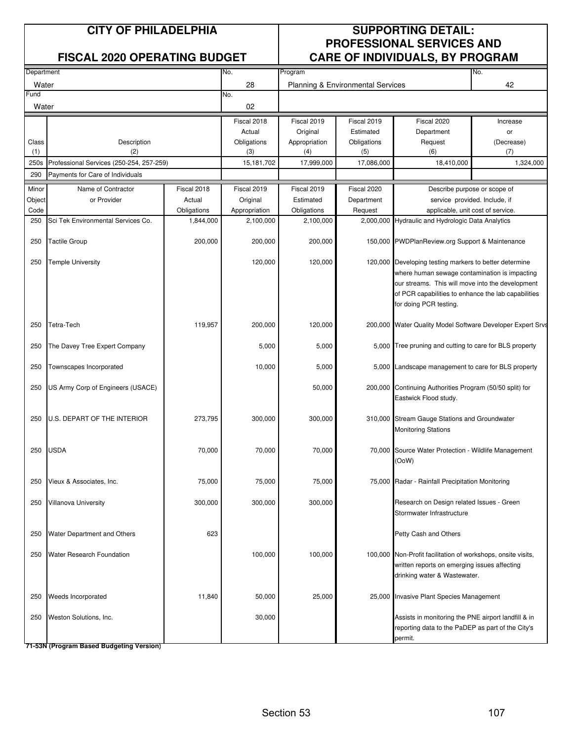|               |                                          |             |               |                                                           |             | . .                                                                                                                                                                                                                                          |                               |
|---------------|------------------------------------------|-------------|---------------|-----------------------------------------------------------|-------------|----------------------------------------------------------------------------------------------------------------------------------------------------------------------------------------------------------------------------------------------|-------------------------------|
| Department    |                                          |             | No.           | No.<br>Program<br>Planning & Environmental Services<br>42 |             |                                                                                                                                                                                                                                              |                               |
| Water<br>Fund |                                          |             | 28<br>No.     |                                                           |             |                                                                                                                                                                                                                                              |                               |
| Water         |                                          |             | 02            |                                                           |             |                                                                                                                                                                                                                                              |                               |
|               |                                          |             | Fiscal 2018   | Fiscal 2019                                               | Fiscal 2019 | Fiscal 2020                                                                                                                                                                                                                                  | Increase                      |
|               |                                          |             | Actual        | Original                                                  | Estimated   | Department                                                                                                                                                                                                                                   | or                            |
| Class         | Description                              |             | Obligations   | Appropriation                                             | Obligations | Request                                                                                                                                                                                                                                      | (Decrease)                    |
| (1)           | (2)                                      |             | (3)           | (4)                                                       | (5)         | (6)                                                                                                                                                                                                                                          | (7)                           |
| 250s          | Professional Services (250-254, 257-259) |             | 15,181,702    | 17,999,000                                                | 17,086,000  | 18,410,000                                                                                                                                                                                                                                   | 1,324,000                     |
| 290           | Payments for Care of Individuals         |             |               |                                                           |             |                                                                                                                                                                                                                                              |                               |
| Minor         | Name of Contractor                       | Fiscal 2018 | Fiscal 2019   | Fiscal 2019                                               | Fiscal 2020 | Describe purpose or scope of                                                                                                                                                                                                                 |                               |
| Object        | or Provider                              | Actual      | Original      | Estimated                                                 | Department  |                                                                                                                                                                                                                                              | service provided. Include, if |
| Code          |                                          | Obligations | Appropriation | Obligations                                               | Request     | applicable, unit cost of service.                                                                                                                                                                                                            |                               |
| 250           | Sci Tek Environmental Services Co.       | 1,844,000   | 2,100,000     | 2,100,000                                                 | 2,000,000   | Hydraulic and Hydrologic Data Analytics                                                                                                                                                                                                      |                               |
| 250           | <b>Tactile Group</b>                     | 200,000     | 200,000       | 200,000                                                   |             | 150,000 PWDPlanReview.org Support & Maintenance                                                                                                                                                                                              |                               |
| 250           | Temple University                        |             | 120,000       | 120,000                                                   |             | 120,000 Developing testing markers to better determine<br>where human sewage contamination is impacting<br>our streams. This will move into the development<br>of PCR capabilities to enhance the lab capabilities<br>for doing PCR testing. |                               |
| 250           | Tetra-Tech                               | 119,957     | 200,000       | 120,000                                                   |             | 200,000 Water Quality Model Software Developer Expert Srvs                                                                                                                                                                                   |                               |
| 250           | The Davey Tree Expert Company            |             | 5,000         | 5,000                                                     |             | 5,000 Tree pruning and cutting to care for BLS property                                                                                                                                                                                      |                               |
| 250           | Townscapes Incorporated                  |             | 10,000        | 5,000                                                     |             | 5,000 Landscape management to care for BLS property                                                                                                                                                                                          |                               |
| 250           | US Army Corp of Engineers (USACE)        |             |               | 50,000                                                    |             | 200,000 Continuing Authorities Program (50/50 split) for<br>Eastwick Flood study.                                                                                                                                                            |                               |
| 250           | U.S. DEPART OF THE INTERIOR              | 273,795     | 300,000       | 300,000                                                   |             | 310,000 Stream Gauge Stations and Groundwater<br><b>Monitoring Stations</b>                                                                                                                                                                  |                               |
| 250           | <b>USDA</b>                              | 70,000      | 70,000        | 70,000                                                    |             | 70,000 Source Water Protection - Wildlife Management<br>(OoW)                                                                                                                                                                                |                               |
| 250           | Vieux & Associates, Inc.                 | 75,000      | 75,000        | 75,000                                                    |             | 75,000 Radar - Rainfall Precipitation Monitoring                                                                                                                                                                                             |                               |
| 250           | Villanova University                     | 300,000     | 300,000       | 300,000                                                   |             | Research on Design related Issues - Green<br>Stormwater Infrastructure                                                                                                                                                                       |                               |
| 250           | Water Department and Others              | 623         |               |                                                           |             | Petty Cash and Others                                                                                                                                                                                                                        |                               |
| 250           | Water Research Foundation                |             | 100,000       | 100,000                                                   |             | 100,000 Non-Profit facilitation of workshops, onsite visits,<br>written reports on emerging issues affecting<br>drinking water & Wastewater.                                                                                                 |                               |
| 250           | Weeds Incorporated                       | 11,840      | 50,000        | 25,000                                                    |             | 25,000 Invasive Plant Species Management                                                                                                                                                                                                     |                               |
| 250           | Weston Solutions, Inc.                   |             | 30,000        |                                                           |             | Assists in monitoring the PNE airport landfill & in<br>reporting data to the PaDEP as part of the City's<br>permit.                                                                                                                          |                               |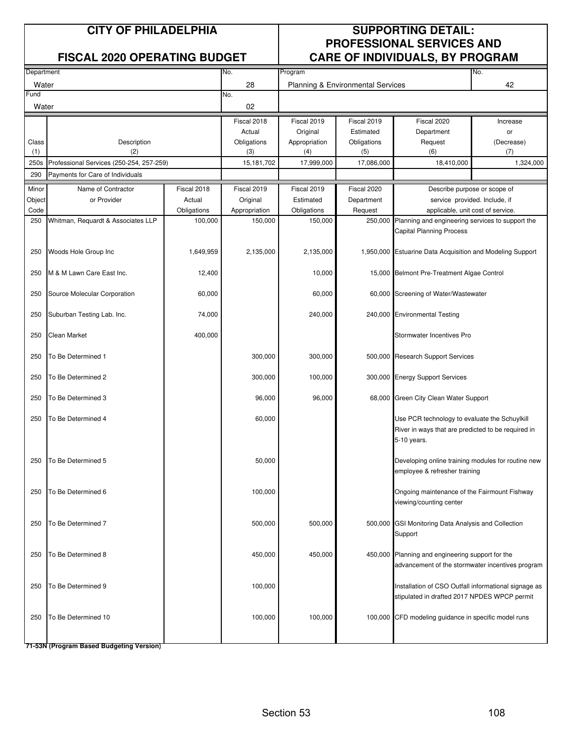|            |                                          |             |               |                                         |             | <u>SANE OF INSIVISOALS, BITTIOQHAM</u>                    |                               |  |
|------------|------------------------------------------|-------------|---------------|-----------------------------------------|-------------|-----------------------------------------------------------|-------------------------------|--|
| Department |                                          |             | No.           | No.<br>Program                          |             |                                                           |                               |  |
| Water      |                                          |             | 28            | 42<br>Planning & Environmental Services |             |                                                           |                               |  |
| Fund       |                                          |             | No.           |                                         |             |                                                           |                               |  |
| Water      |                                          |             | 02            |                                         |             |                                                           |                               |  |
|            |                                          |             | Fiscal 2018   | Fiscal 2019                             | Fiscal 2019 | Fiscal 2020                                               | Increase                      |  |
|            |                                          |             | Actual        | Original                                | Estimated   | Department                                                | or                            |  |
| Class      | Description                              |             | Obligations   | Appropriation                           | Obligations | Request                                                   | (Decrease)                    |  |
| (1)        | (2)                                      |             | (3)           | (4)                                     | (5)         | (6)                                                       | (7)                           |  |
| 250s       | Professional Services (250-254, 257-259) |             | 15,181,702    | 17,999,000                              | 17,086,000  | 18,410,000                                                | 1,324,000                     |  |
| 290        | Payments for Care of Individuals         |             |               |                                         |             |                                                           |                               |  |
| Minor      | Name of Contractor                       | Fiscal 2018 | Fiscal 2019   | Fiscal 2019                             | Fiscal 2020 |                                                           | Describe purpose or scope of  |  |
| Object     | or Provider                              | Actual      | Original      | Estimated                               | Department  |                                                           | service provided. Include, if |  |
| Code       |                                          | Obligations | Appropriation | Obligations                             | Request     | applicable, unit cost of service.                         |                               |  |
| 250        | Whitman, Requardt & Associates LLP       | 100,000     | 150,000       | 150,000                                 | 250,000     | Planning and engineering services to support the          |                               |  |
|            |                                          |             |               |                                         |             | Capital Planning Process                                  |                               |  |
|            |                                          |             |               |                                         |             |                                                           |                               |  |
| 250        | Woods Hole Group Inc                     | 1,649,959   | 2,135,000     | 2,135,000                               |             | 1,950,000 Estuarine Data Acquisition and Modeling Support |                               |  |
|            |                                          |             |               |                                         |             |                                                           |                               |  |
| 250        | M & M Lawn Care East Inc.                | 12,400      |               | 10,000                                  |             | 15,000 Belmont Pre-Treatment Algae Control                |                               |  |
|            |                                          |             |               |                                         |             |                                                           |                               |  |
| 250        | Source Molecular Corporation             | 60,000      |               | 60,000                                  |             | 60,000 Screening of Water/Wastewater                      |                               |  |
|            |                                          |             |               |                                         |             |                                                           |                               |  |
| 250        | Suburban Testing Lab. Inc.               | 74,000      |               | 240,000                                 |             | 240,000 Environmental Testing                             |                               |  |
|            |                                          |             |               |                                         |             |                                                           |                               |  |
| 250        | Clean Market                             | 400,000     |               |                                         |             | Stormwater Incentives Pro                                 |                               |  |
|            |                                          |             |               |                                         |             |                                                           |                               |  |
| 250        | To Be Determined 1                       |             | 300,000       | 300,000                                 |             | 500,000 Research Support Services                         |                               |  |
|            |                                          |             |               |                                         |             |                                                           |                               |  |
| 250        | To Be Determined 2                       |             | 300,000       | 100,000                                 |             | 300,000 Energy Support Services                           |                               |  |
|            |                                          |             |               |                                         |             |                                                           |                               |  |
| 250        | To Be Determined 3                       |             | 96,000        | 96,000                                  |             | 68,000 Green City Clean Water Support                     |                               |  |
|            |                                          |             |               |                                         |             |                                                           |                               |  |
| 250        | To Be Determined 4                       |             | 60,000        |                                         |             | Use PCR technology to evaluate the Schuylkill             |                               |  |
|            |                                          |             |               |                                         |             | River in ways that are predicted to be required in        |                               |  |
|            |                                          |             |               |                                         |             | 5-10 years.                                               |                               |  |
|            |                                          |             |               |                                         |             |                                                           |                               |  |
| 250        | To Be Determined 5                       |             | 50,000        |                                         |             | Developing online training modules for routine new        |                               |  |
|            |                                          |             |               |                                         |             | employee & refresher training                             |                               |  |
|            |                                          |             |               |                                         |             |                                                           |                               |  |
| 250        | To Be Determined 6                       |             | 100,000       |                                         |             | Ongoing maintenance of the Fairmount Fishway              |                               |  |
|            |                                          |             |               |                                         |             | viewing/counting center                                   |                               |  |
|            |                                          |             |               |                                         |             |                                                           |                               |  |
| 250        | To Be Determined 7                       |             | 500,000       | 500,000                                 |             | 500,000 GSI Monitoring Data Analysis and Collection       |                               |  |
|            |                                          |             |               |                                         |             | Support                                                   |                               |  |
|            |                                          |             |               |                                         |             |                                                           |                               |  |
| 250        | To Be Determined 8                       |             | 450,000       | 450,000                                 |             | 450,000 Planning and engineering support for the          |                               |  |
|            |                                          |             |               |                                         |             | advancement of the stormwater incentives program          |                               |  |
|            |                                          |             |               |                                         |             |                                                           |                               |  |
| 250        | To Be Determined 9                       |             | 100,000       |                                         |             | Installation of CSO Outfall informational signage as      |                               |  |
|            |                                          |             |               |                                         |             | stipulated in drafted 2017 NPDES WPCP permit              |                               |  |
|            |                                          |             |               |                                         |             |                                                           |                               |  |
| 250        | To Be Determined 10                      |             | 100,000       | 100,000                                 |             | 100,000 CFD modeling guidance in specific model runs      |                               |  |
|            |                                          |             |               |                                         |             |                                                           |                               |  |
|            |                                          |             |               |                                         |             |                                                           |                               |  |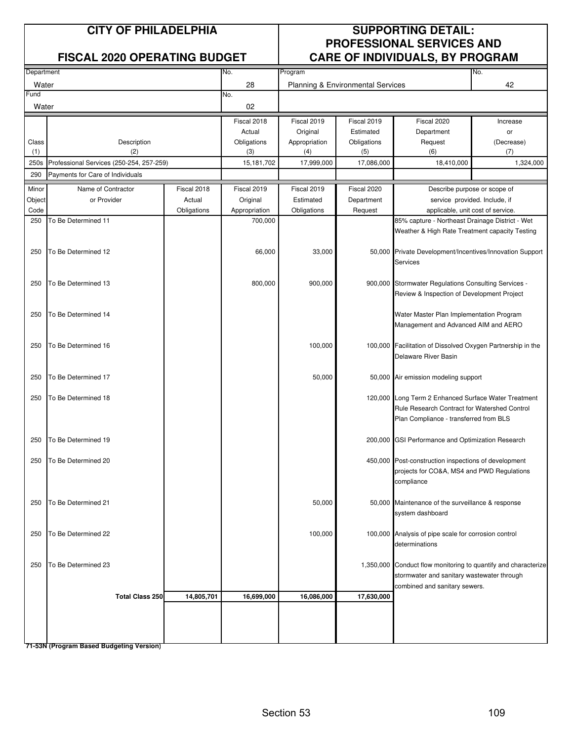## **CITY OF PHILADELPHIA SUPPORTING DETAIL: PROFESSIONAL SERVICES AND FISCAL 2020 OPERATING BUDGET CARE OF INDIVIDUALS, BY PROGRAM**

| Department |                                          |             | No.           | No.<br>Program                          |             |                                                                    |            |
|------------|------------------------------------------|-------------|---------------|-----------------------------------------|-------------|--------------------------------------------------------------------|------------|
| Water      |                                          |             | 28            | Planning & Environmental Services<br>42 |             |                                                                    |            |
| Fund       |                                          |             | No.           |                                         |             |                                                                    |            |
| Water      |                                          |             | 02            |                                         |             |                                                                    |            |
|            |                                          |             | Fiscal 2018   | Fiscal 2019                             | Fiscal 2019 | Fiscal 2020                                                        | Increase   |
|            |                                          |             | Actual        | Original                                | Estimated   | Department                                                         | or         |
| Class      | Description                              |             | Obligations   | Appropriation                           | Obligations | Request                                                            | (Decrease) |
| (1)        | (2)                                      |             | (3)           | (4)                                     | (5)         | (6)                                                                | (7)        |
| 250s       | Professional Services (250-254, 257-259) |             | 15,181,702    | 17,999,000                              | 17,086,000  | 18,410,000                                                         | 1,324,000  |
| 290        | Payments for Care of Individuals         |             |               |                                         |             |                                                                    |            |
| Minor      | Name of Contractor                       | Fiscal 2018 | Fiscal 2019   | Fiscal 2019                             | Fiscal 2020 |                                                                    |            |
| Object     | or Provider                              | Actual      | Original      | Estimated                               | Department  | Describe purpose or scope of                                       |            |
| Code       |                                          | Obligations | Appropriation | Obligations                             | Request     | service provided. Include, if<br>applicable, unit cost of service. |            |
| 250        | To Be Determined 11                      |             | 700,000       |                                         |             | 85% capture - Northeast Drainage District - Wet                    |            |
|            |                                          |             |               |                                         |             | Weather & High Rate Treatment capacity Testing                     |            |
|            |                                          |             |               |                                         |             |                                                                    |            |
| 250        | To Be Determined 12                      |             | 66,000        | 33,000                                  |             | 50,000 Private Development/Incentives/Innovation Support           |            |
|            |                                          |             |               |                                         |             | <b>Services</b>                                                    |            |
|            |                                          |             |               |                                         |             |                                                                    |            |
| 250        | To Be Determined 13                      |             | 800,000       | 900,000                                 |             | 900,000 Stormwater Regulations Consulting Services -               |            |
|            |                                          |             |               |                                         |             | Review & Inspection of Development Project                         |            |
|            |                                          |             |               |                                         |             |                                                                    |            |
| 250        | To Be Determined 14                      |             |               |                                         |             | Water Master Plan Implementation Program                           |            |
|            |                                          |             |               |                                         |             | Management and Advanced AIM and AERO                               |            |
|            |                                          |             |               |                                         |             |                                                                    |            |
| 250        | To Be Determined 16                      |             |               | 100,000                                 |             | 100,000 Facilitation of Dissolved Oxygen Partnership in the        |            |
|            |                                          |             |               |                                         |             | Delaware River Basin                                               |            |
|            |                                          |             |               |                                         |             |                                                                    |            |
| 250        | To Be Determined 17                      |             |               | 50,000                                  |             | 50,000 Air emission modeling support                               |            |
|            |                                          |             |               |                                         |             |                                                                    |            |
| 250        | To Be Determined 18                      |             |               |                                         |             | 120,000 Long Term 2 Enhanced Surface Water Treatment               |            |
|            |                                          |             |               |                                         |             | Rule Research Contract for Watershed Control                       |            |
|            |                                          |             |               |                                         |             | Plan Compliance - transferred from BLS                             |            |
|            |                                          |             |               |                                         |             |                                                                    |            |
| 250        | To Be Determined 19                      |             |               |                                         | 200,000     | GSI Performance and Optimization Research                          |            |
|            |                                          |             |               |                                         |             |                                                                    |            |
| 250        | To Be Determined 20                      |             |               |                                         |             | 450,000 Post-construction inspections of development               |            |
|            |                                          |             |               |                                         |             | projects for CO&A, MS4 and PWD Regulations                         |            |
|            |                                          |             |               |                                         |             | compliance                                                         |            |
|            |                                          |             |               |                                         |             |                                                                    |            |
| 250        | To Be Determined 21                      |             |               | 50,000                                  |             | 50,000 Maintenance of the surveillance & response                  |            |
|            |                                          |             |               |                                         |             | system dashboard                                                   |            |
|            |                                          |             |               |                                         |             |                                                                    |            |
| 250        | To Be Determined 22                      |             |               | 100,000                                 |             | 100,000 Analysis of pipe scale for corrosion control               |            |
|            |                                          |             |               |                                         |             | determinations                                                     |            |
|            |                                          |             |               |                                         |             |                                                                    |            |
| 250        | To Be Determined 23                      |             |               |                                         |             | 1,350,000 Conduct flow monitoring to quantify and characterize     |            |
|            |                                          |             |               |                                         |             | stormwater and sanitary wastewater through                         |            |
|            |                                          |             |               |                                         |             | combined and sanitary sewers.                                      |            |
|            | <b>Total Class 250</b>                   | 14,805,701  | 16,699,000    | 16,086,000                              | 17,630,000  |                                                                    |            |
|            |                                          |             |               |                                         |             |                                                                    |            |
|            |                                          |             |               |                                         |             |                                                                    |            |
|            |                                          |             |               |                                         |             |                                                                    |            |
|            |                                          |             |               |                                         |             |                                                                    |            |

**71-53N (Program Based Budgeting Version)**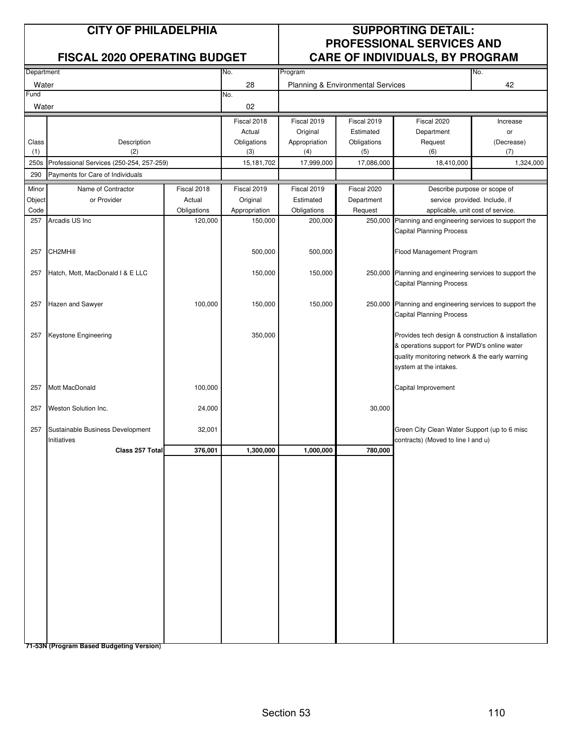## **CITY OF PHILADELPHIA SUPPORTING DETAIL: PROFESSIONAL SERVICES AND FISCAL 2020 OPERATING BUDGET CARE OF INDIVIDUALS, BY PROGRAM**

| Department |                                          | No.         | Program<br>No. |                                   |             |                                                          |                               |
|------------|------------------------------------------|-------------|----------------|-----------------------------------|-------------|----------------------------------------------------------|-------------------------------|
| Water      |                                          |             | 28             | Planning & Environmental Services |             |                                                          | 42                            |
| Fund       |                                          |             | No.            |                                   |             |                                                          |                               |
| Water      |                                          |             | 02             |                                   |             |                                                          |                               |
|            |                                          |             | Fiscal 2018    | Fiscal 2019                       | Fiscal 2019 | Fiscal 2020                                              | Increase                      |
|            |                                          |             | Actual         | Original                          | Estimated   | Department                                               | or                            |
| Class      | Description                              |             | Obligations    | Appropriation                     | Obligations | Request                                                  | (Decrease)                    |
| (1)        | (2)                                      |             | (3)            | (4)                               | (5)         | (6)                                                      | (7)                           |
| 250s       | Professional Services (250-254, 257-259) |             | 15,181,702     | 17,999,000                        | 17,086,000  | 18,410,000                                               | 1,324,000                     |
| 290        | Payments for Care of Individuals         |             |                |                                   |             |                                                          |                               |
| Minor      | Name of Contractor                       | Fiscal 2018 | Fiscal 2019    | Fiscal 2019                       | Fiscal 2020 |                                                          | Describe purpose or scope of  |
| Object     | or Provider                              | Actual      | Original       | Estimated                         | Department  |                                                          | service provided. Include, if |
| Code       |                                          | Obligations | Appropriation  | Obligations                       | Request     | applicable, unit cost of service.                        |                               |
| 257        | Arcadis US Inc                           | 120,000     | 150,000        | 200,000                           | 250,000     | Planning and engineering services to support the         |                               |
|            |                                          |             |                |                                   |             | <b>Capital Planning Process</b>                          |                               |
|            |                                          |             |                |                                   |             |                                                          |                               |
| 257        | CH2MHill                                 |             | 500,000        | 500,000                           |             | Flood Management Program                                 |                               |
|            |                                          |             |                |                                   |             |                                                          |                               |
| 257        | Hatch, Mott, MacDonald I & E LLC         |             | 150,000        | 150,000                           |             | 250,000 Planning and engineering services to support the |                               |
|            |                                          |             |                |                                   |             | <b>Capital Planning Process</b>                          |                               |
|            |                                          |             |                |                                   |             |                                                          |                               |
| 257        | Hazen and Sawyer                         | 100,000     | 150,000        | 150,000                           |             | 250,000 Planning and engineering services to support the |                               |
|            |                                          |             |                |                                   |             | <b>Capital Planning Process</b>                          |                               |
|            |                                          |             |                |                                   |             |                                                          |                               |
| 257        | Keystone Engineering                     |             | 350,000        |                                   |             | Provides tech design & construction & installation       |                               |
|            |                                          |             |                |                                   |             | & operations support for PWD's online water              |                               |
|            |                                          |             |                |                                   |             | quality monitoring network & the early warning           |                               |
|            |                                          |             |                |                                   |             | system at the intakes.                                   |                               |
|            |                                          |             |                |                                   |             |                                                          |                               |
| 257        | Mott MacDonald                           | 100,000     |                |                                   |             | Capital Improvement                                      |                               |
|            |                                          |             |                |                                   |             |                                                          |                               |
| 257        | Weston Solution Inc.                     | 24,000      |                |                                   | 30,000      |                                                          |                               |
|            |                                          |             |                |                                   |             |                                                          |                               |
| 257        | Sustainable Business Development         | 32,001      |                |                                   |             | Green City Clean Water Support (up to 6 misc             |                               |
|            | Initiatives                              |             |                |                                   |             | contracts) (Moved to line I and u)                       |                               |
|            | Class 257 Total                          | 376,001     | 1,300,000      | 1,000,000                         | 780,000     |                                                          |                               |
|            |                                          |             |                |                                   |             |                                                          |                               |
|            |                                          |             |                |                                   |             |                                                          |                               |
|            |                                          |             |                |                                   |             |                                                          |                               |
|            |                                          |             |                |                                   |             |                                                          |                               |
|            |                                          |             |                |                                   |             |                                                          |                               |
|            |                                          |             |                |                                   |             |                                                          |                               |
|            |                                          |             |                |                                   |             |                                                          |                               |
|            |                                          |             |                |                                   |             |                                                          |                               |
|            |                                          |             |                |                                   |             |                                                          |                               |
|            |                                          |             |                |                                   |             |                                                          |                               |
|            |                                          |             |                |                                   |             |                                                          |                               |
|            |                                          |             |                |                                   |             |                                                          |                               |
|            |                                          |             |                |                                   |             |                                                          |                               |
|            |                                          |             |                |                                   |             |                                                          |                               |
|            |                                          |             |                |                                   |             |                                                          |                               |
|            |                                          |             |                |                                   |             |                                                          |                               |
|            |                                          |             |                |                                   |             |                                                          |                               |
|            |                                          |             |                |                                   |             |                                                          |                               |

**71-53N (Program Based Budgeting Version)**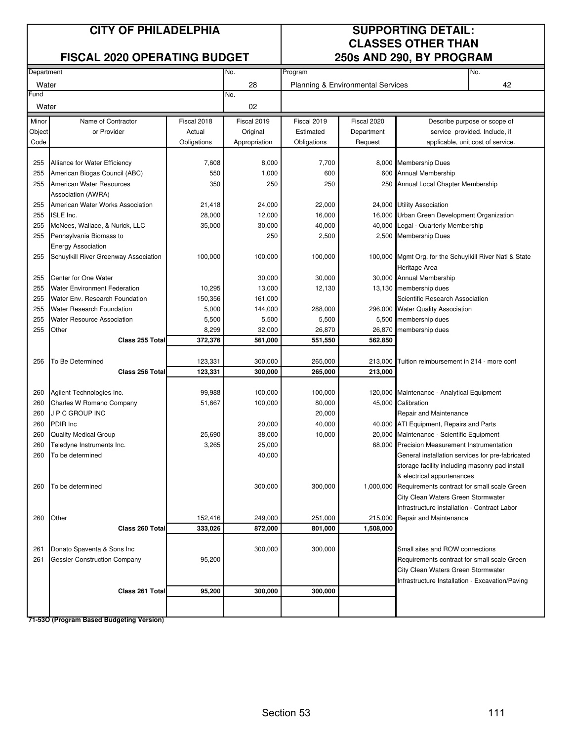## **CITY OF PHILADELPHIA SUPPORTING DETAIL:**

## **FISCAL 2020 OPERATING BUDGET**

# **CLASSES OTHER THAN**<br>250s AND 290, BY PROGRAM

| 009 AND 200, DT THOMIAM |                                       |             |               |                                   |             |                                                                                                  |    |
|-------------------------|---------------------------------------|-------------|---------------|-----------------------------------|-------------|--------------------------------------------------------------------------------------------------|----|
| Department              |                                       |             | No.           | No.<br>Program                    |             |                                                                                                  |    |
| Water                   |                                       |             | 28            | Planning & Environmental Services |             |                                                                                                  | 42 |
| Fund                    |                                       |             | No.           |                                   |             |                                                                                                  |    |
| Water                   |                                       |             | 02            |                                   |             |                                                                                                  |    |
| Minor                   | Name of Contractor                    | Fiscal 2018 | Fiscal 2019   | Fiscal 2019                       | Fiscal 2020 | Describe purpose or scope of                                                                     |    |
| Object                  | or Provider                           | Actual      | Original      | Estimated                         | Department  | service provided. Include, if                                                                    |    |
| Code                    |                                       | Obligations | Appropriation | Obligations                       | Request     | applicable, unit cost of service.                                                                |    |
|                         |                                       |             |               |                                   |             |                                                                                                  |    |
| 255                     | Alliance for Water Efficiency         | 7,608       | 8,000         | 7,700                             |             | 8,000 Membership Dues                                                                            |    |
| 255                     | American Biogas Council (ABC)         | 550         | 1,000         | 600                               |             | 600 Annual Membership                                                                            |    |
| 255                     | American Water Resources              | 350         | 250           | 250                               |             | 250 Annual Local Chapter Membership                                                              |    |
|                         | Association (AWRA)                    |             |               |                                   |             |                                                                                                  |    |
| 255                     | American Water Works Association      | 21,418      | 24,000        | 22,000                            |             | 24,000 Utility Association                                                                       |    |
| 255                     | <b>ISLE Inc.</b>                      | 28,000      | 12,000        | 16,000                            | 16,000      | Urban Green Development Organization                                                             |    |
| 255                     | McNees, Wallace, & Nurick, LLC        | 35,000      | 30,000        | 40,000                            | 40,000      | Legal - Quarterly Membership                                                                     |    |
| 255                     |                                       |             |               |                                   |             |                                                                                                  |    |
|                         | Pennsylvania Biomass to               |             | 250           | 2,500                             |             | 2,500 Membership Dues                                                                            |    |
|                         | <b>Energy Association</b>             |             |               |                                   |             |                                                                                                  |    |
| 255                     | Schuylkill River Greenway Association | 100,000     | 100,000       | 100,000                           |             | 100,000 Mgmt Org. for the Schuylkill River Natl & State                                          |    |
|                         |                                       |             |               |                                   |             | Heritage Area                                                                                    |    |
| 255                     | Center for One Water                  |             | 30,000        | 30,000                            |             | 30,000 Annual Membership                                                                         |    |
| 255                     | <b>Water Environment Federation</b>   | 10,295      | 13,000        | 12,130                            |             | 13,130 membership dues                                                                           |    |
| 255                     | Water Env. Research Foundation        | 150,356     | 161,000       |                                   |             | Scientific Research Association                                                                  |    |
| 255                     | Water Research Foundation             | 5,000       | 144,000       | 288,000                           |             | 296,000 Water Quality Association                                                                |    |
| 255                     | <b>Water Resource Association</b>     | 5,500       | 5,500         | 5,500                             | 5,500       | membership dues                                                                                  |    |
| 255                     | Other                                 | 8,299       | 32,000        | 26,870                            | 26,870      | membership dues                                                                                  |    |
|                         | Class 255 Total                       | 372,376     | 561,000       | 551,550                           | 562,850     |                                                                                                  |    |
|                         |                                       |             |               |                                   |             |                                                                                                  |    |
| 256                     | To Be Determined                      | 123,331     | 300,000       | 265,000                           | 213,000     | Tuition reimbursement in 214 - more conf                                                         |    |
|                         | Class 256 Total                       | 123,331     | 300,000       | 265,000                           | 213,000     |                                                                                                  |    |
|                         |                                       |             |               |                                   |             |                                                                                                  |    |
| 260                     | Agilent Technologies Inc.             | 99,988      | 100,000       | 100,000                           |             | 120,000 Maintenance - Analytical Equipment                                                       |    |
| 260                     | Charles W Romano Company              | 51,667      | 100,000       | 80,000                            |             | 45,000 Calibration                                                                               |    |
| 260                     | J P C GROUP INC                       |             |               | 20,000                            |             | Repair and Maintenance                                                                           |    |
| 260                     | PDIR Inc                              |             | 20,000        | 40,000                            |             | 40,000 ATI Equipment, Repairs and Parts                                                          |    |
| 260                     | <b>Quality Medical Group</b>          | 25,690      | 38,000        | 10,000                            |             | 20,000 Maintenance - Scientific Equipment                                                        |    |
| 260                     | Teledyne Instruments Inc.             | 3,265       | 25,000        |                                   |             |                                                                                                  |    |
| 260                     | To be determined                      |             | 40,000        |                                   |             | 68,000 Precision Measurement Instrumentation<br>General installation services for pre-fabricated |    |
|                         |                                       |             |               |                                   |             |                                                                                                  |    |
|                         |                                       |             |               |                                   |             | storage facility including masonry pad install                                                   |    |
|                         |                                       |             |               |                                   |             | & electrical appurtenances                                                                       |    |
| 260                     | To be determined                      |             | 300,000       | 300,000                           |             | 1,000,000 Requirements contract for small scale Green                                            |    |
|                         |                                       |             |               |                                   |             | City Clean Waters Green Stormwater                                                               |    |
|                         |                                       |             |               |                                   |             | Infrastructure installation - Contract Labor                                                     |    |
| 260                     | Other                                 | 152,416     | 249,000       | 251,000                           | 215,000     | Repair and Maintenance                                                                           |    |
|                         | Class 260 Total                       | 333,026     | 872,000       | 801,000                           | 1,508,000   |                                                                                                  |    |
|                         |                                       |             |               |                                   |             |                                                                                                  |    |
| 261                     | Donato Spaventa & Sons Inc            |             | 300,000       | 300,000                           |             | Small sites and ROW connections                                                                  |    |
| 261                     | <b>Gessler Construction Company</b>   | 95,200      |               |                                   |             | Requirements contract for small scale Green                                                      |    |
|                         |                                       |             |               |                                   |             | City Clean Waters Green Stormwater                                                               |    |
|                         |                                       |             |               |                                   |             | Infrastructure Installation - Excavation/Paving                                                  |    |
|                         | Class 261 Total                       | 95,200      | 300,000       | 300,000                           |             |                                                                                                  |    |
|                         |                                       |             |               |                                   |             |                                                                                                  |    |
|                         |                                       |             |               |                                   |             |                                                                                                  |    |

**71-53O (Program Based Budgeting Version)**